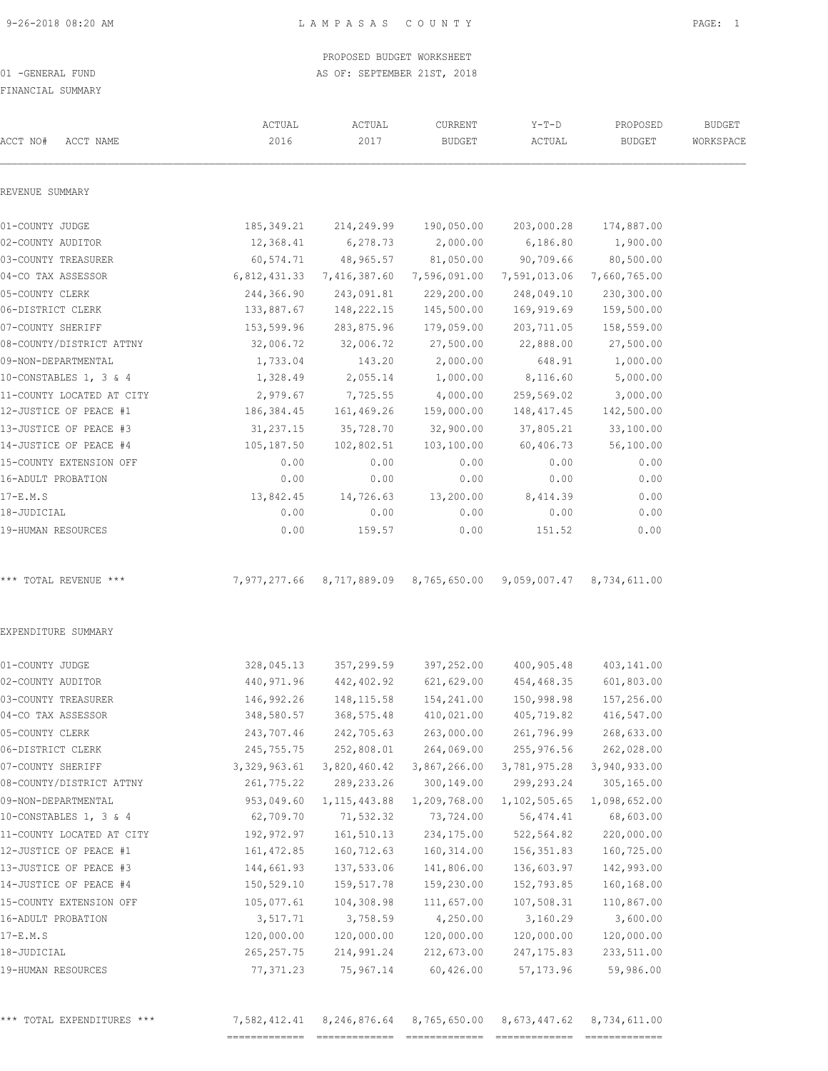FINANCIAL SUMMARY

| ACCT NO#<br>ACCT NAME     | ACTUAL<br>2016            | ACTUAL<br>2017           | CURRENT<br><b>BUDGET</b> | $Y-T-D$<br>ACTUAL                      | PROPOSED<br><b>BUDGET</b> | <b>BUDGET</b><br>WORKSPACE |
|---------------------------|---------------------------|--------------------------|--------------------------|----------------------------------------|---------------------------|----------------------------|
| REVENUE SUMMARY           |                           |                          |                          |                                        |                           |                            |
| 01-COUNTY JUDGE           | 185,349.21                | 214,249.99               | 190,050.00               | 203,000.28                             | 174,887.00                |                            |
| 02-COUNTY AUDITOR         | 12,368.41                 | 6,278.73                 | 2,000.00                 | 6,186.80                               | 1,900.00                  |                            |
| 03-COUNTY TREASURER       | 60,574.71                 | 48,965.57                | 81,050.00                | 90,709.66                              | 80,500.00                 |                            |
| 04-CO TAX ASSESSOR        | 6,812,431.33              | 7,416,387.60             | 7,596,091.00             | 7,591,013.06                           | 7,660,765.00              |                            |
| 05-COUNTY CLERK           | 244,366.90                | 243,091.81               | 229,200.00               | 248,049.10                             | 230,300.00                |                            |
| 06-DISTRICT CLERK         | 133,887.67                | 148,222.15               | 145,500.00               | 169,919.69                             | 159,500.00                |                            |
| 07-COUNTY SHERIFF         | 153,599.96                | 283,875.96               | 179,059.00               | 203,711.05                             | 158,559.00                |                            |
| 08-COUNTY/DISTRICT ATTNY  | 32,006.72                 | 32,006.72                | 27,500.00                | 22,888.00                              | 27,500.00                 |                            |
| 09-NON-DEPARTMENTAL       | 1,733.04                  | 143.20                   | 2,000.00                 | 648.91                                 | 1,000.00                  |                            |
| 10-CONSTABLES 1, 3 & 4    | 1,328.49                  | 2,055.14                 | 1,000.00                 | 8,116.60                               | 5,000.00                  |                            |
| 11-COUNTY LOCATED AT CITY | 2,979.67                  | 7,725.55                 | 4,000.00                 | 259,569.02                             | 3,000.00                  |                            |
| 12-JUSTICE OF PEACE #1    | 186,384.45                | 161,469.26               | 159,000.00               | 148,417.45                             | 142,500.00                |                            |
| 13-JUSTICE OF PEACE #3    | 31,237.15                 | 35,728.70                | 32,900.00                | 37,805.21                              | 33,100.00                 |                            |
| 14-JUSTICE OF PEACE #4    | 105,187.50                | 102,802.51               | 103,100.00               | 60,406.73                              | 56,100.00                 |                            |
| 15-COUNTY EXTENSION OFF   | 0.00                      | 0.00                     | 0.00                     | 0.00                                   | 0.00                      |                            |
| 16-ADULT PROBATION        | 0.00                      | 0.00                     | 0.00                     | 0.00                                   | 0.00                      |                            |
| 17-E.M.S                  | 13,842.45                 | 14,726.63                | 13,200.00                | 8,414.39                               | 0.00                      |                            |
| 18-JUDICIAL               | 0.00                      | 0.00                     | 0.00                     | 0.00                                   | 0.00                      |                            |
| 19-HUMAN RESOURCES        | 0.00                      | 159.57                   | 0.00                     | 151.52                                 | 0.00                      |                            |
| *** TOTAL REVENUE ***     | 7,977,277.66              |                          |                          | 8,717,889.09 8,765,650.00 9,059,007.47 | 8,734,611.00              |                            |
| EXPENDITURE SUMMARY       |                           |                          |                          |                                        |                           |                            |
| 01-COUNTY JUDGE           | 328,045.13                | 357,299.59               | 397,252.00               | 400,905.48                             | 403,141.00                |                            |
| 02-COUNTY AUDITOR         | 440, 971.96               | 442,402.92               | 621,629.00               | 454,468.35                             | 601,803.00                |                            |
| 03-COUNTY TREASURER       | 146,992.26                | 148, 115.58              | 154,241.00               | 150,998.98                             | 157,256.00                |                            |
| 04-CO TAX ASSESSOR        | 348,580.57                | 368,575.48               | 410,021.00               | 405,719.82                             | 416,547.00                |                            |
| 05-COUNTY CLERK           | 243,707.46                | 242,705.63               | 263,000.00               | 261,796.99                             | 268,633.00                |                            |
| 06-DISTRICT CLERK         | 245,755.75                | 252,808.01               | 264,069.00               | 255,976.56                             | 262,028.00                |                            |
| 07-COUNTY SHERIFF         | 3,329,963.61              | 3,820,460.42             | 3,867,266.00             | 3,781,975.28                           | 3,940,933.00              |                            |
|                           |                           |                          |                          |                                        |                           |                            |
|                           | 261,775.22                |                          |                          | 299,293.24                             |                           |                            |
| 08-COUNTY/DISTRICT ATTNY  |                           | 289, 233. 26             | 300,149.00               |                                        | 305,165.00                |                            |
| 09-NON-DEPARTMENTAL       | 953,049.60                | 1, 115, 443.88           | 1,209,768.00             | 1, 102, 505.65                         | 1,098,652.00              |                            |
| 10-CONSTABLES 1, 3 & 4    | 62,709.70                 | 71,532.32                | 73,724.00                | 56,474.41                              | 68,603.00                 |                            |
| 11-COUNTY LOCATED AT CITY | 192,972.97                | 161,510.13               | 234,175.00               | 522,564.82                             | 220,000.00                |                            |
| 12-JUSTICE OF PEACE #1    | 161, 472.85               | 160,712.63               | 160,314.00               | 156,351.83                             | 160,725.00                |                            |
| 13-JUSTICE OF PEACE #3    | 144,661.93                | 137,533.06               | 141,806.00               | 136,603.97                             | 142,993.00                |                            |
| 14-JUSTICE OF PEACE #4    | 150,529.10                | 159,517.78               | 159,230.00               | 152,793.85                             | 160,168.00                |                            |
| 15-COUNTY EXTENSION OFF   | 105,077.61                | 104,308.98               | 111,657.00               | 107,508.31                             | 110,867.00                |                            |
| 16-ADULT PROBATION        | 3,517.71                  | 3,758.59                 | 4,250.00                 | 3,160.29                               | 3,600.00                  |                            |
| 17-E.M.S<br>18-JUDICIAL   | 120,000.00<br>265, 257.75 | 120,000.00<br>214,991.24 | 120,000.00<br>212,673.00 | 120,000.00<br>247, 175.83              | 120,000.00<br>233,511.00  |                            |

|  |  | TOTAL EXPENDITURES *** |  |
|--|--|------------------------|--|
|--|--|------------------------|--|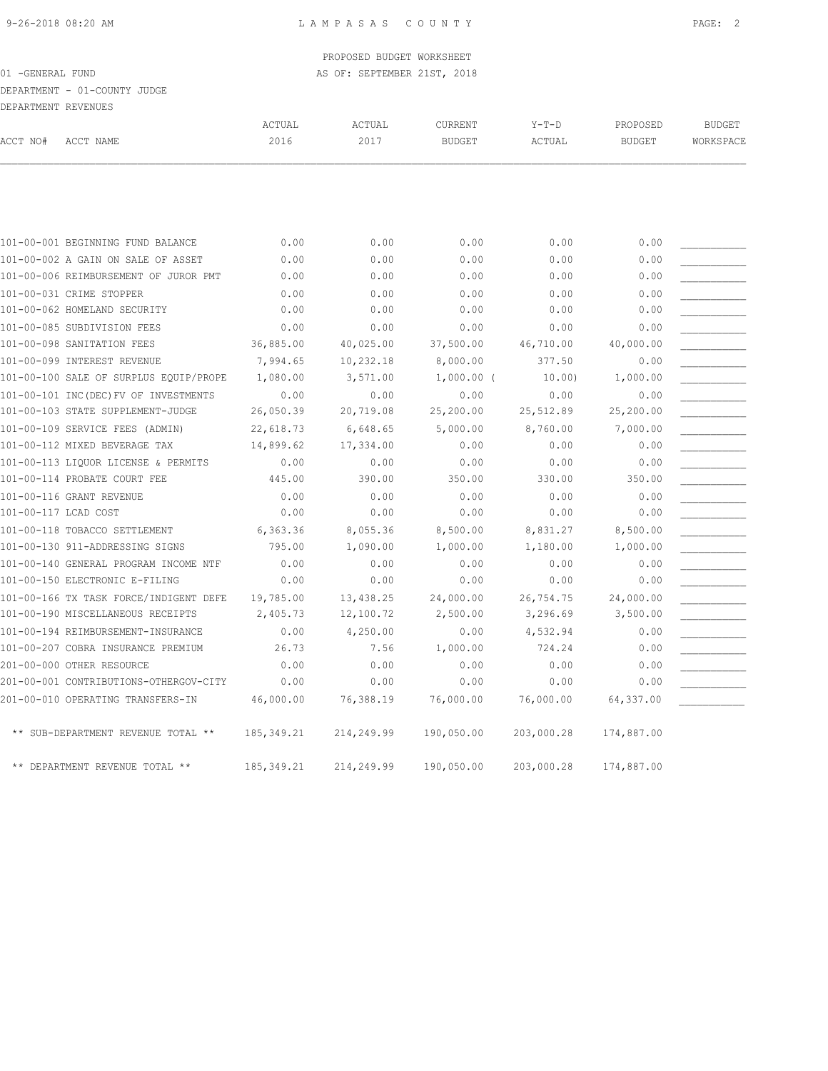# DEPARTMENT - 01-COUNTY JUDGE

| DEPARTMENT REVENUES  |                                        |                |                |                                 |            |                           |                            |
|----------------------|----------------------------------------|----------------|----------------|---------------------------------|------------|---------------------------|----------------------------|
| ACCT NO#             | ACCT NAME                              | ACTUAL<br>2016 | ACTUAL<br>2017 | <b>CURRENT</b><br><b>BUDGET</b> | $Y-T-D$    | PROPOSED<br><b>BUDGET</b> | <b>BUDGET</b><br>WORKSPACE |
|                      |                                        |                |                |                                 | ACTUAL     |                           |                            |
|                      |                                        |                |                |                                 |            |                           |                            |
|                      | 101-00-001 BEGINNING FUND BALANCE      | 0.00           | 0.00           | 0.00                            | 0.00       | 0.00                      |                            |
|                      | 101-00-002 A GAIN ON SALE OF ASSET     | 0.00           | 0.00           | 0.00                            | 0.00       | 0.00                      |                            |
|                      | 101-00-006 REIMBURSEMENT OF JUROR PMT  | 0.00           | 0.00           | 0.00                            | 0.00       | 0.00                      |                            |
|                      | 101-00-031 CRIME STOPPER               | 0.00           | 0.00           | 0.00                            | 0.00       | 0.00                      |                            |
|                      | 101-00-062 HOMELAND SECURITY           | 0.00           | 0.00           | 0.00                            | 0.00       | 0.00                      |                            |
|                      | 101-00-085 SUBDIVISION FEES            | 0.00           | 0.00           | 0.00                            | 0.00       | 0.00                      |                            |
|                      | 101-00-098 SANITATION FEES             | 36,885.00      | 40,025.00      | 37,500.00                       | 46,710.00  | 40,000.00                 |                            |
|                      | 101-00-099 INTEREST REVENUE            | 7,994.65       | 10,232.18      | 8,000.00                        | 377.50     | 0.00                      |                            |
|                      | 101-00-100 SALE OF SURPLUS EQUIP/PROPE | 1,080.00       | 3,571.00       | $1,000.00$ (                    | 10.00      | 1,000.00                  |                            |
|                      | 101-00-101 INC(DEC) FV OF INVESTMENTS  | 0.00           | 0.00           | 0.00                            | 0.00       | 0.00                      |                            |
|                      | 101-00-103 STATE SUPPLEMENT-JUDGE      | 26,050.39      | 20,719.08      | 25,200.00                       | 25,512.89  | 25,200.00                 |                            |
|                      | 101-00-109 SERVICE FEES (ADMIN)        | 22,618.73      | 6,648.65       | 5,000.00                        | 8,760.00   | 7,000.00                  |                            |
|                      | 101-00-112 MIXED BEVERAGE TAX          | 14,899.62      | 17,334.00      | 0.00                            | 0.00       | 0.00                      |                            |
|                      | 101-00-113 LIOUOR LICENSE & PERMITS    | 0.00           | 0.00           | 0.00                            | 0.00       | 0.00                      |                            |
|                      | 101-00-114 PROBATE COURT FEE           | 445.00         | 390.00         | 350.00                          | 330.00     | 350.00                    |                            |
|                      | 101-00-116 GRANT REVENUE               | 0.00           | 0.00           | 0.00                            | 0.00       | 0.00                      |                            |
| 101-00-117 LCAD COST |                                        | 0.00           | 0.00           | 0.00                            | 0.00       | 0.00                      |                            |
|                      | 101-00-118 TOBACCO SETTLEMENT          | 6,363.36       | 8,055.36       | 8,500.00                        | 8,831.27   | 8,500.00                  |                            |
|                      | 101-00-130 911-ADDRESSING SIGNS        | 795.00         | 1,090.00       | 1,000.00                        | 1,180.00   | 1,000.00                  |                            |
|                      | 101-00-140 GENERAL PROGRAM INCOME NTF  | 0.00           | 0.00           | 0.00                            | 0.00       | 0.00                      |                            |
|                      | 101-00-150 ELECTRONIC E-FILING         | 0.00           | 0.00           | 0.00                            | 0.00       | 0.00                      |                            |
|                      | 101-00-166 TX TASK FORCE/INDIGENT DEFE | 19,785.00      | 13,438.25      | 24,000.00                       | 26,754.75  | 24,000.00                 |                            |
|                      | 101-00-190 MISCELLANEOUS RECEIPTS      | 2,405.73       | 12,100.72      | 2,500.00                        | 3,296.69   | 3,500.00                  |                            |
|                      | 101-00-194 REIMBURSEMENT-INSURANCE     | 0.00           | 4,250.00       | 0.00                            | 4,532.94   | 0.00                      |                            |
|                      | 101-00-207 COBRA INSURANCE PREMIUM     | 26.73          | 7.56           | 1,000.00                        | 724.24     | 0.00                      |                            |
|                      | 201-00-000 OTHER RESOURCE              | 0.00           | 0.00           | 0.00                            | 0.00       | 0.00                      |                            |
|                      | 201-00-001 CONTRIBUTIONS-OTHERGOV-CITY | 0.00           | 0.00           | 0.00                            | 0.00       | 0.00                      |                            |
|                      | 201-00-010 OPERATING TRANSFERS-IN      | 46,000.00      | 76,388.19      | 76,000.00                       | 76,000.00  | 64,337.00                 |                            |
|                      | ** SUB-DEPARTMENT REVENUE TOTAL **     | 185, 349.21    | 214,249.99     | 190,050.00                      | 203,000.28 | 174,887.00                |                            |
|                      | ** DEPARTMENT REVENUE TOTAL **         | 185, 349.21    | 214,249.99     | 190,050.00                      | 203,000.28 | 174,887.00                |                            |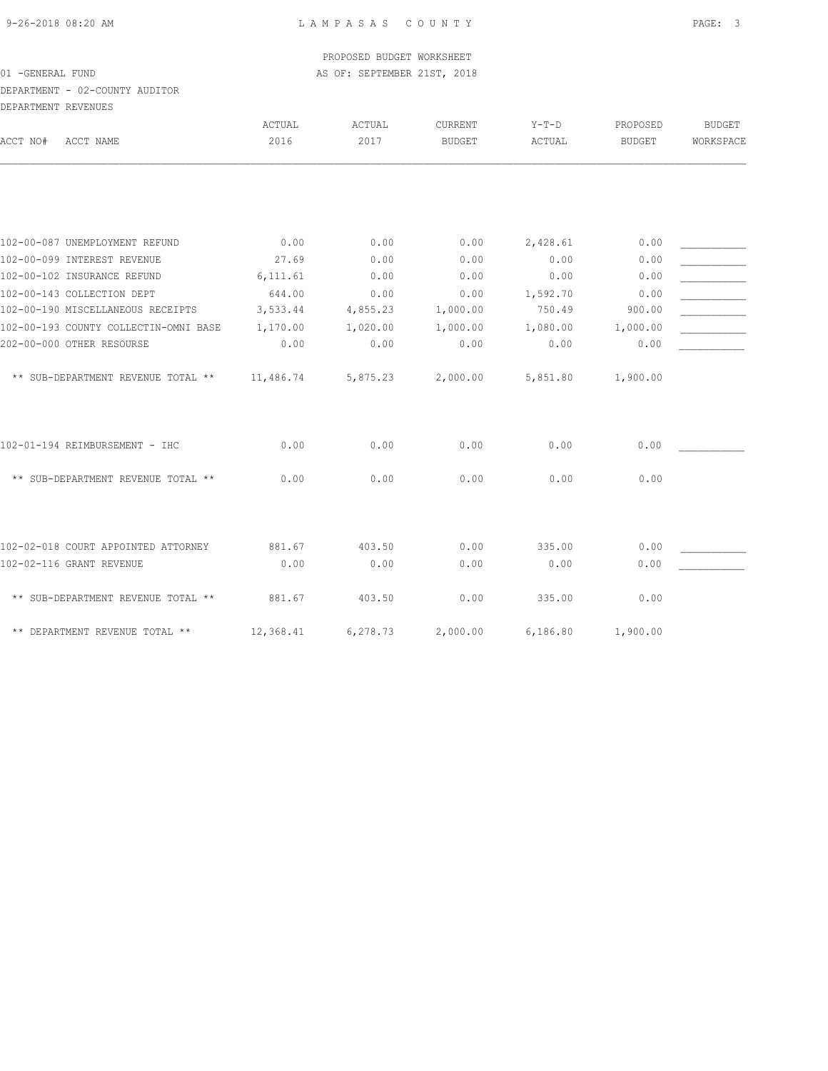## DEPARTMENT - 02-COUNTY AUDITOR DEPARTMENT REVENUES

| ACCT NAME<br>ACCT NO#                 | ACTUAL<br>2016 | ACTUAL<br>2017 | CURRENT<br><b>BUDGET</b> | $Y-T-D$<br>ACTUAL | PROPOSED<br><b>BUDGET</b> | <b>BUDGET</b><br>WORKSPACE |
|---------------------------------------|----------------|----------------|--------------------------|-------------------|---------------------------|----------------------------|
|                                       |                |                |                          |                   |                           |                            |
| 102-00-087 UNEMPLOYMENT REFUND        | 0.00           | 0.00           | 0.00                     | 2,428.61          | 0.00                      |                            |
| 102-00-099 INTEREST REVENUE           | 27.69          | 0.00           | 0.00                     | 0.00              | 0.00                      |                            |
| 102-00-102 INSURANCE REFUND           | 6, 111.61      | 0.00           | 0.00                     | 0.00              | 0.00                      |                            |
| 102-00-143 COLLECTION DEPT            | 644.00         | 0.00           | 0.00                     | 1,592.70          | 0.00                      |                            |
| 102-00-190 MISCELLANEOUS RECEIPTS     | 3,533.44       | 4,855.23       | 1,000.00                 | 750.49            | 900.00                    |                            |
| 102-00-193 COUNTY COLLECTIN-OMNI BASE | 1,170.00       | 1,020.00       | 1,000.00                 | 1,080.00          | 1,000.00                  |                            |
| 202-00-000 OTHER RESOURSE             | 0.00           | 0.00           | 0.00                     | 0.00              | 0.00                      |                            |
| ** SUB-DEPARTMENT REVENUE TOTAL **    | 11,486.74      | 5,875.23       | 2,000.00                 | 5,851.80          | 1,900.00                  |                            |
| 102-01-194 REIMBURSEMENT - IHC        | 0.00           | 0.00           | 0.00                     | 0.00              | 0.00                      |                            |
| ** SUB-DEPARTMENT REVENUE TOTAL **    | 0.00           | 0.00           | 0.00                     | 0.00              | 0.00                      |                            |
| 102-02-018 COURT APPOINTED ATTORNEY   | 881.67         | 403.50         | 0.00                     | 335.00            | 0.00                      |                            |
| 102-02-116 GRANT REVENUE              | 0.00           | 0.00           | 0.00                     | 0.00              | 0.00                      |                            |
|                                       |                |                |                          |                   |                           |                            |
| ** SUB-DEPARTMENT REVENUE TOTAL **    | 881.67         | 403.50         | 0.00                     | 335.00            | 0.00                      |                            |
| ** DEPARTMENT REVENUE TOTAL **        | 12,368.41      | 6,278.73       | 2,000.00                 | 6,186.80          | 1,900.00                  |                            |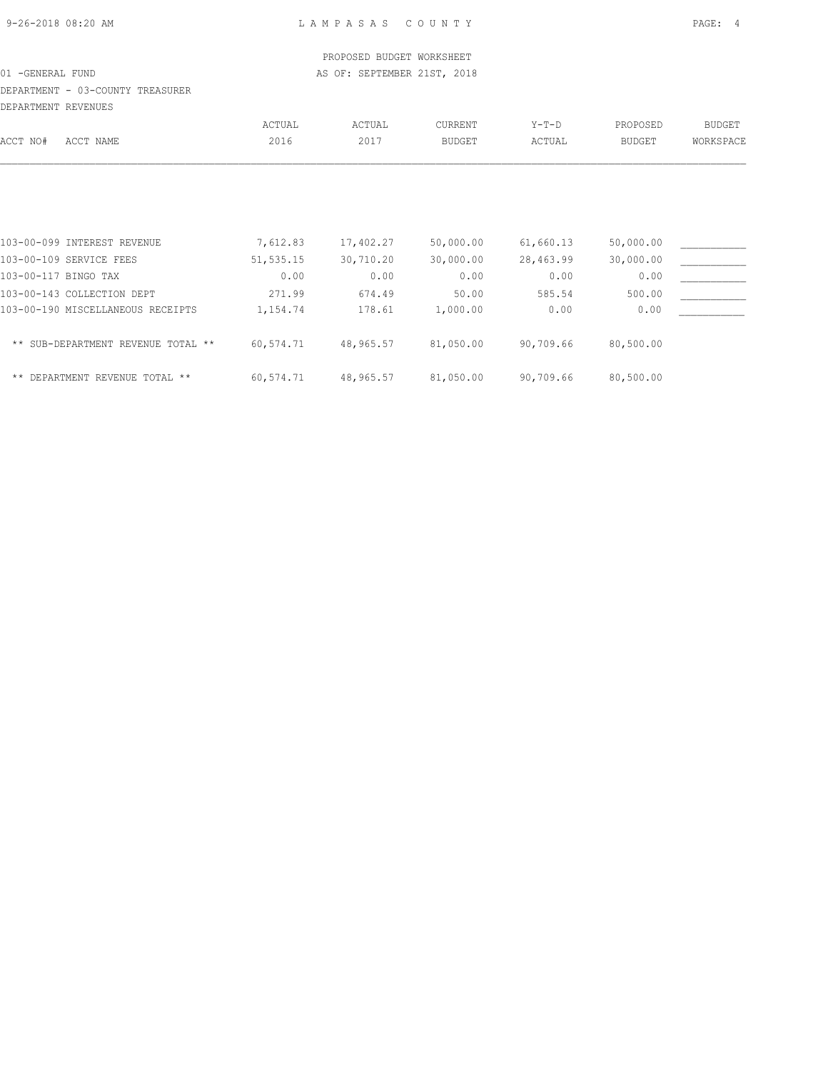| 9-26-2018 08:20 AM |  |  |
|--------------------|--|--|
|                    |  |  |

|                                    |            | PROPOSED BUDGET WORKSHEET   |           |           |               |               |
|------------------------------------|------------|-----------------------------|-----------|-----------|---------------|---------------|
| 01 - GENERAL FUND                  |            | AS OF: SEPTEMBER 21ST, 2018 |           |           |               |               |
| DEPARTMENT - 03-COUNTY TREASURER   |            |                             |           |           |               |               |
| DEPARTMENT REVENUES                |            |                             |           |           |               |               |
|                                    | ACTUAL     | ACTUAL                      | CURRENT   | $Y-T-D$   | PROPOSED      | <b>BUDGET</b> |
| ACCT NO#<br>ACCT NAME              | 2016       | 2017                        | BUDGET    | ACTUAL    | <b>BUDGET</b> | WORKSPACE     |
|                                    |            |                             |           |           |               |               |
| 103-00-099 INTEREST REVENUE        | 7,612.83   | 17,402.27                   | 50,000.00 | 61,660.13 | 50,000.00     |               |
| 103-00-109 SERVICE FEES            | 51, 535.15 | 30,710.20                   | 30,000.00 | 28,463.99 | 30,000.00     |               |
| 103-00-117 BINGO TAX               | 0.00       | 0.00                        | 0.00      | 0.00      | 0.00          |               |
| 103-00-143 COLLECTION DEPT         | 271.99     | 674.49                      | 50.00     | 585.54    | 500.00        |               |
| 103-00-190 MISCELLANEOUS RECEIPTS  | 1,154.74   | 178.61                      | 1,000.00  | 0.00      | 0.00          |               |
| ** SUB-DEPARTMENT REVENUE TOTAL ** | 60,574.71  | 48,965.57                   | 81,050.00 | 90,709.66 | 80,500.00     |               |

\*\* DEPARTMENT REVENUE TOTAL \*\* 60,574.71 48,965.57 81,050.00 90,709.66 80,500.00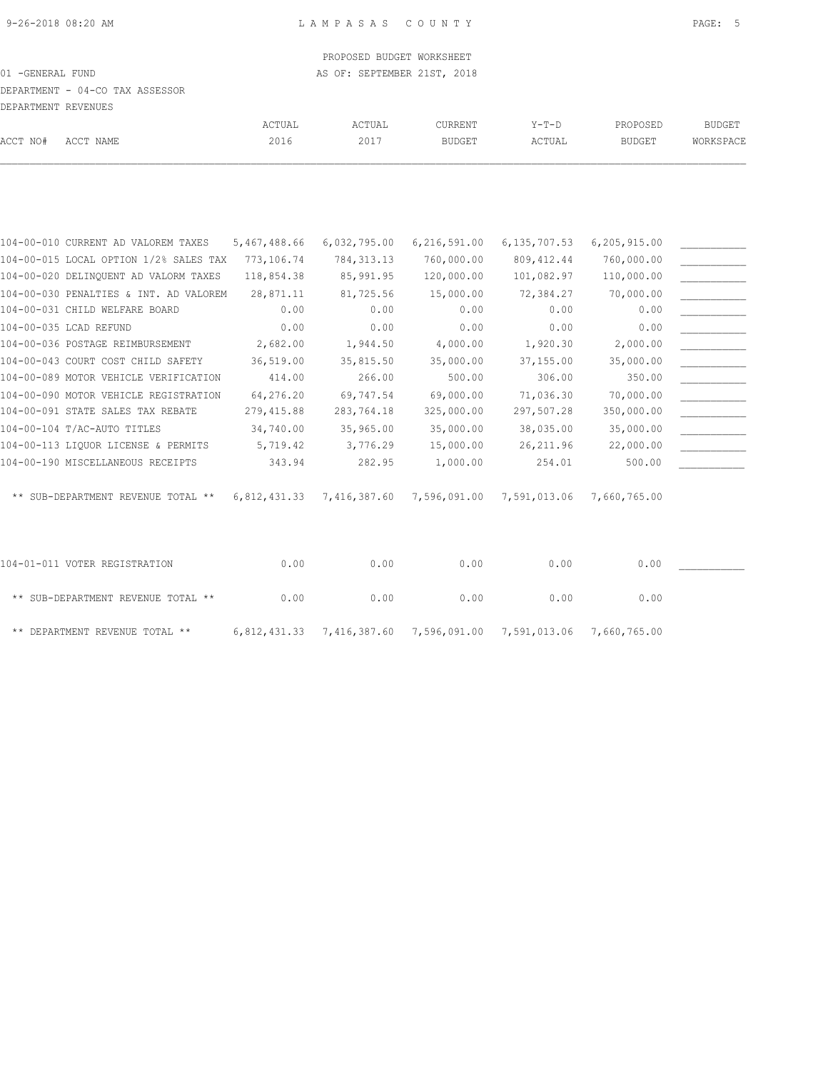# DEPARTMENT - 04-CO TAX ASSESSOR

| מסוונטסונים חוגסוגוחם גם סת |  |
|-----------------------------|--|

|          | DEPARTMENT REVENUES |        |        |               |        |               |           |
|----------|---------------------|--------|--------|---------------|--------|---------------|-----------|
|          |                     | ACTUAL | ACTUAL | CURRENT       | Y-T-D  | PROPOSED      | BUDGET    |
| ACCT NO# | ACCT NAME           | 2016   | 2017   | <b>BUDGET</b> | ACTUAL | <b>BUDGET</b> | WORKSPACE |

| 104-00-010 CURRENT AD VALOREM TAXES    | 5,467,488.66 | 6,032,795.00 | 6, 216, 591.00            | 6, 135, 707.53 | 6,205,915.00 |  |
|----------------------------------------|--------------|--------------|---------------------------|----------------|--------------|--|
| 104-00-015 LOCAL OPTION 1/2% SALES TAX | 773,106.74   | 784, 313.13  | 760,000.00                | 809, 412.44    | 760,000.00   |  |
| 104-00-020 DELINQUENT AD VALORM TAXES  | 118,854.38   | 85,991.95    | 120,000.00                | 101,082.97     | 110,000.00   |  |
| 104-00-030 PENALTIES & INT. AD VALOREM | 28,871.11    | 81,725.56    | 15,000.00                 | 72,384.27      | 70,000.00    |  |
| 104-00-031 CHILD WELFARE BOARD         | 0.00         | 0.00         | 0.00                      | 0.00           | 0.00         |  |
| 104-00-035 LCAD REFUND                 | 0.00         | 0.00         | 0.00                      | 0.00           | 0.00         |  |
| 104-00-036 POSTAGE REIMBURSEMENT       | 2,682.00     | 1,944.50     | 4,000.00                  | 1,920.30       | 2,000.00     |  |
| 104-00-043 COURT COST CHILD SAFETY     | 36,519.00    | 35,815.50    | 35,000.00                 | 37,155.00      | 35,000.00    |  |
| 104-00-089 MOTOR VEHICLE VERIFICATION  | 414.00       | 266.00       | 500.00                    | 306.00         | 350.00       |  |
| 104-00-090 MOTOR VEHICLE REGISTRATION  | 64,276.20    | 69,747.54    | 69,000.00                 | 71,036.30      | 70,000.00    |  |
| 104-00-091 STATE SALES TAX REBATE      | 279,415.88   | 283,764.18   | 325,000.00                | 297,507.28     | 350,000.00   |  |
| 104-00-104 T/AC-AUTO TITLES            | 34,740.00    | 35,965.00    | 35,000.00                 | 38,035.00      | 35,000.00    |  |
| 104-00-113 LIQUOR LICENSE & PERMITS    | 5,719.42     | 3,776.29     | 15,000.00                 | 26, 211.96     | 22,000.00    |  |
| 104-00-190 MISCELLANEOUS RECEIPTS      | 343.94       | 282.95       | 1,000.00                  | 254.01         | 500.00       |  |
|                                        |              |              |                           |                |              |  |
| ** SUB-DEPARTMENT REVENUE TOTAL **     | 6,812,431.33 |              | 7,416,387.60 7,596,091.00 | 7,591,013.06   | 7,660,765.00 |  |
|                                        |              |              |                           |                |              |  |
|                                        |              |              |                           |                |              |  |
|                                        |              |              |                           |                |              |  |

| 104-01-011 VOTER REGISTRATION      | 0.00 | 0.00 | 0.00                                                             | 0.00 | 0.00 |  |
|------------------------------------|------|------|------------------------------------------------------------------|------|------|--|
| ** SUB-DEPARTMENT REVENUE TOTAL ** | 0.00 | 0.00 | 0.00                                                             | 0.00 | 0.00 |  |
| ** DEPARTMENT REVENUE TOTAL **     |      |      | 6,812,431.33 7,416,387.60 7,596,091.00 7,591,013.06 7,660,765.00 |      |      |  |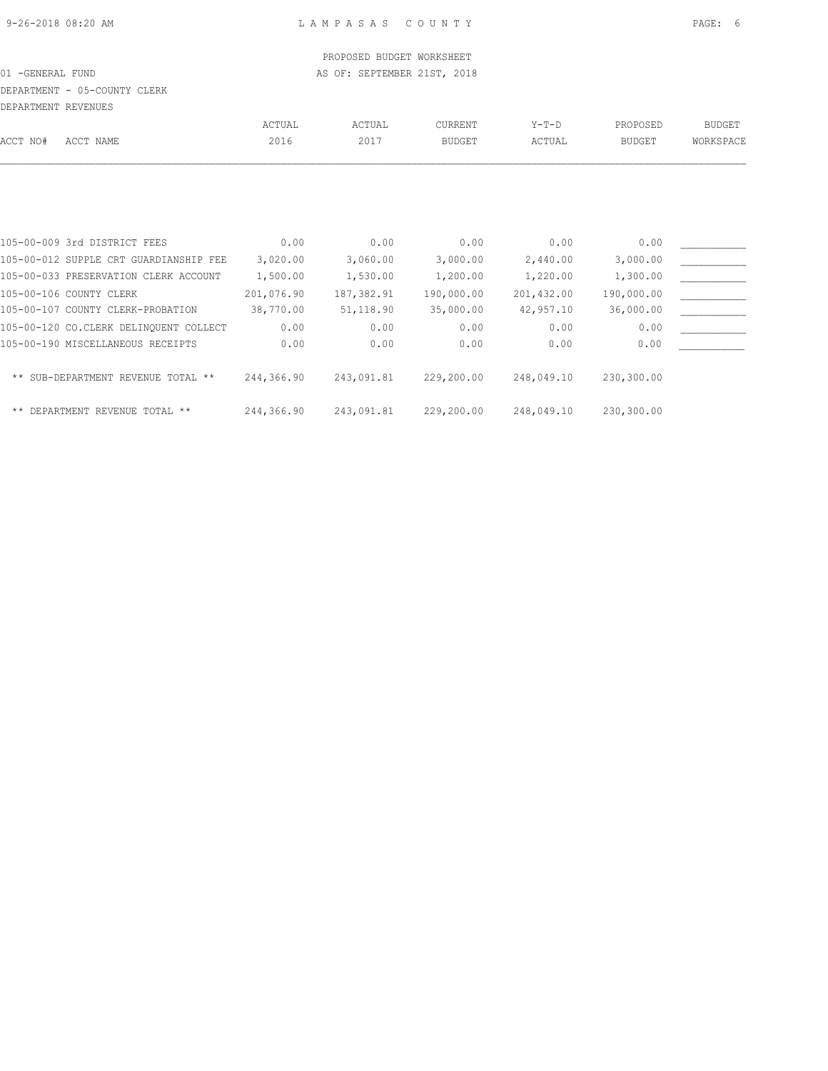# DEPARTMENT - 05-COUNTY CLERK

DEPARTMENT REVENUES

| DEFAKTMENT KEVENUES |                                        |            |            |                |            |               |               |
|---------------------|----------------------------------------|------------|------------|----------------|------------|---------------|---------------|
|                     |                                        | ACTUAL     | ACTUAL     | <b>CURRENT</b> | $Y-T-D$    | PROPOSED      | <b>BUDGET</b> |
| ACCT NO#            | ACCT NAME                              | 2016       | 2017       | <b>BUDGET</b>  | ACTUAL     | <b>BUDGET</b> | WORKSPACE     |
|                     |                                        |            |            |                |            |               |               |
|                     |                                        |            |            |                |            |               |               |
|                     |                                        |            |            |                |            |               |               |
|                     | 105-00-009 3rd DISTRICT FEES           | 0.00       | 0.00       | 0.00           | 0.00       | 0.00          |               |
|                     | 105-00-012 SUPPLE CRT GUARDIANSHIP FEE | 3,020.00   | 3,060.00   | 3,000.00       | 2,440.00   | 3,000.00      |               |
|                     | 105-00-033 PRESERVATION CLERK ACCOUNT  | 1,500.00   | 1,530.00   | 1,200.00       | 1,220.00   | 1,300.00      |               |
|                     | 105-00-106 COUNTY CLERK                | 201,076.90 | 187,382.91 | 190,000.00     | 201,432.00 | 190,000.00    |               |
|                     | 105-00-107 COUNTY CLERK-PROBATION      | 38,770.00  | 51,118.90  | 35,000.00      | 42,957.10  | 36,000.00     |               |
|                     | 105-00-120 CO.CLERK DELINOUENT COLLECT | 0.00       | 0.00       | 0.00           | 0.00       | 0.00          |               |
|                     | 105-00-190 MISCELLANEOUS RECEIPTS      | 0.00       | 0.00       | 0.00           | 0.00       | 0.00          |               |
|                     | ** SUB-DEPARTMENT REVENUE TOTAL **     | 244,366.90 | 243,091.81 | 229,200.00     | 248,049.10 | 230,300.00    |               |
|                     |                                        |            |            |                |            |               |               |

\*\* DEPARTMENT REVENUE TOTAL \*\* 244,366.90 243,091.81 229,200.00 248,049.10 230,300.00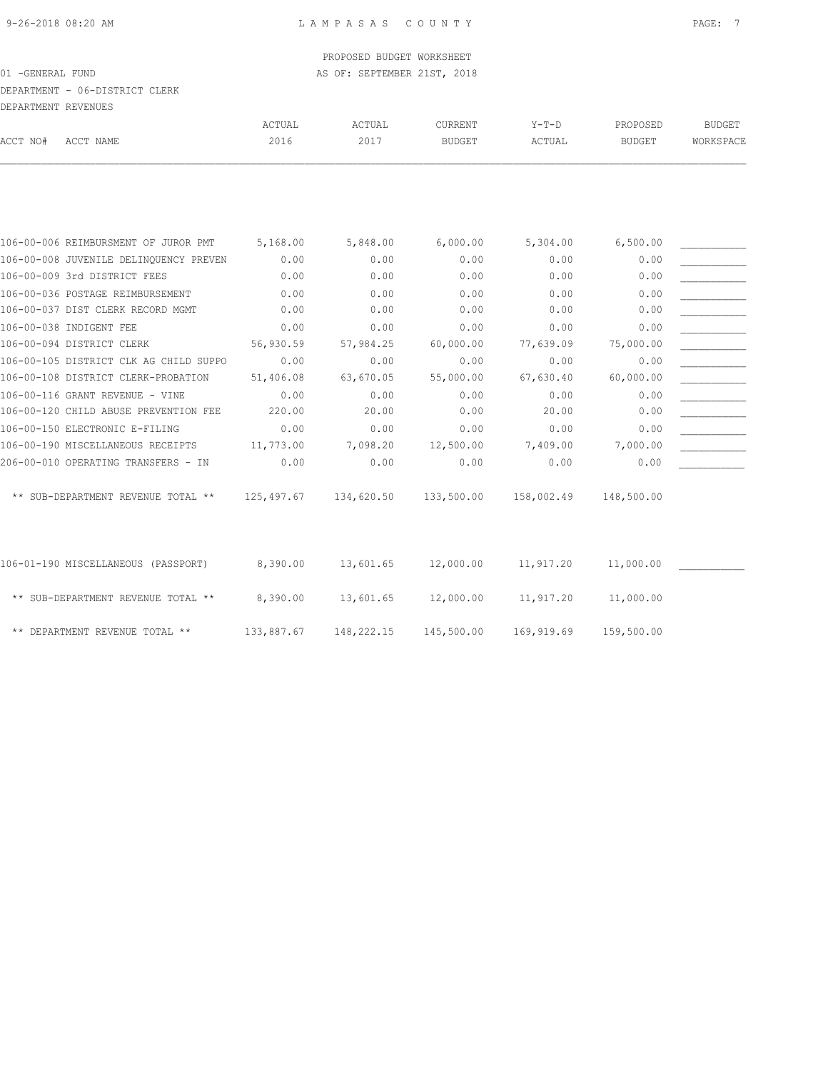# DEPARTMENT - 06-DISTRICT CLERK

|          | DEPARTMENT REVENUES |        |        |               |        |               |           |
|----------|---------------------|--------|--------|---------------|--------|---------------|-----------|
|          |                     | ACTUAL | ACTUAL | CURRENT       | Y-T-D  | PROPOSED      | BUDGET    |
| ACCT NO# | ACCT NAME           | 2016   | 2017   | <b>BUDGET</b> | ACTUAL | <b>BUDGET</b> | WORKSPACE |
|          |                     |        |        |               |        |               |           |

| 106-00-006 REIMBURSMENT OF JUROR PMT            | 5,168.00   | 5,848.00   | 6,000.00   | 5,304.00   | 6,500.00   |  |
|-------------------------------------------------|------------|------------|------------|------------|------------|--|
| 106-00-008 JUVENILE DELINQUENCY PREVEN          | 0.00       | 0.00       | 0.00       | 0.00       | 0.00       |  |
| 106-00-009 3rd DISTRICT FEES                    | 0.00       | 0.00       | 0.00       | 0.00       | 0.00       |  |
| 106-00-036 POSTAGE REIMBURSEMENT                | 0.00       | 0.00       | 0.00       | 0.00       | 0.00       |  |
| 106-00-037 DIST CLERK RECORD MGMT               | 0.00       | 0.00       | 0.00       | 0.00       | 0.00       |  |
| 106-00-038 INDIGENT FEE                         | 0.00       | 0.00       | 0.00       | 0.00       | 0.00       |  |
| 106-00-094 DISTRICT CLERK                       | 56,930.59  | 57,984.25  | 60,000.00  | 77,639.09  | 75,000.00  |  |
| 106-00-105 DISTRICT CLK AG CHILD SUPPO          | 0.00       | 0.00       | 0.00       | 0.00       | 0.00       |  |
| 106-00-108 DISTRICT CLERK-PROBATION             | 51,406.08  | 63,670.05  | 55,000.00  | 67,630.40  | 60,000.00  |  |
| 106-00-116 GRANT REVENUE - VINE                 | 0.00       | 0.00       | 0.00       | 0.00       | 0.00       |  |
| 106-00-120 CHILD ABUSE PREVENTION FEE           | 220.00     | 20.00      | 0.00       | 20.00      | 0.00       |  |
| 106-00-150 ELECTRONIC E-FILING                  | 0.00       | 0.00       | 0.00       | 0.00       | 0.00       |  |
| 106-00-190 MISCELLANEOUS RECEIPTS               | 11,773.00  | 7,098.20   | 12,500.00  | 7,409.00   | 7,000.00   |  |
| 206-00-010 OPERATING TRANSFERS - IN             | 0.00       | 0.00       | 0.00       | 0.00       | 0.00       |  |
| SUB-DEPARTMENT REVENUE TOTAL **<br>$\star\star$ | 125,497.67 | 134,620.50 | 133,500.00 | 158,002.49 | 148,500.00 |  |
| 106-01-190 MISCELLANEOUS (PASSPORT)             | 8,390.00   | 13,601.65  | 12,000.00  | 11,917.20  | 11,000.00  |  |
| ** SUB-DEPARTMENT REVENUE TOTAL **              | 8,390.00   | 13,601.65  | 12,000.00  | 11,917.20  | 11,000.00  |  |
|                                                 |            |            |            |            |            |  |

\*\* DEPARTMENT REVENUE TOTAL \*\* 133,887.67 148,222.15 145,500.00 169,919.69 159,500.00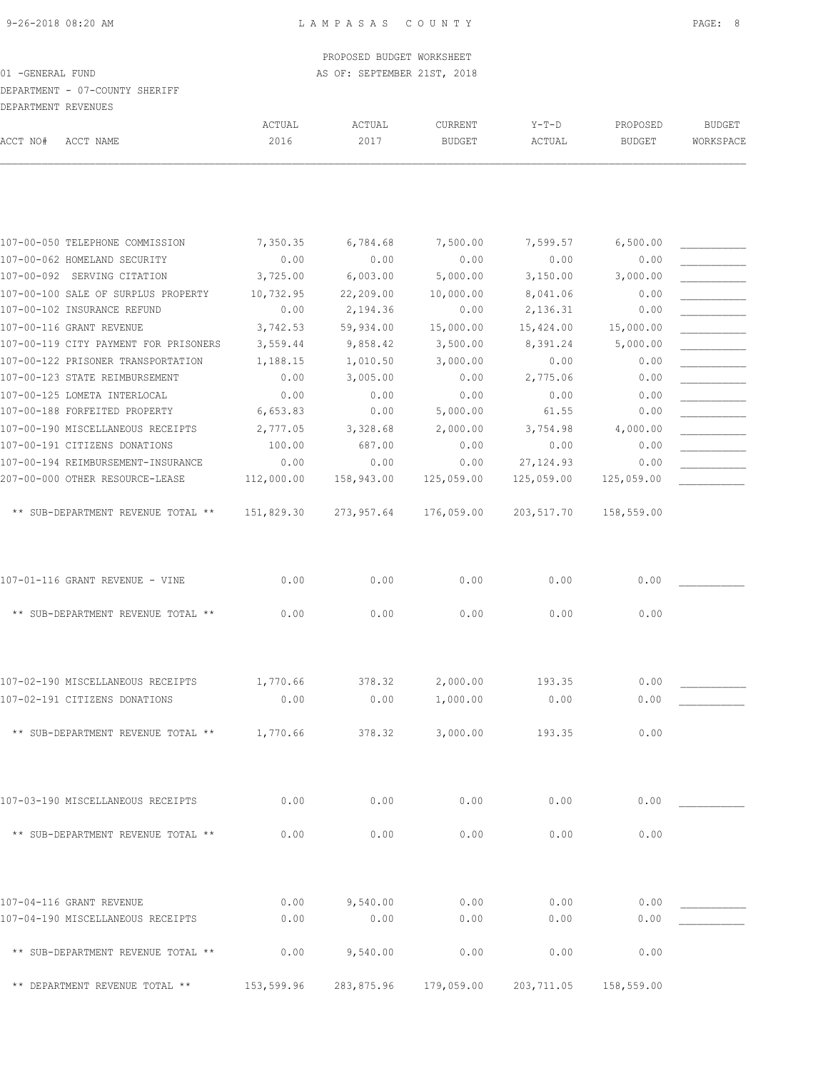DEPARTMENT - 07-COUNTY SHERIFF

| DEPARTMENT REVENUES |                                       |                |                |                          |                   |                           |                            |
|---------------------|---------------------------------------|----------------|----------------|--------------------------|-------------------|---------------------------|----------------------------|
| ACCT NO#            | ACCT NAME                             | ACTUAL<br>2016 | ACTUAL<br>2017 | CURRENT<br><b>BUDGET</b> | $Y-T-D$<br>ACTUAL | PROPOSED<br><b>BUDGET</b> | <b>BUDGET</b><br>WORKSPACE |
|                     |                                       |                |                |                          |                   |                           |                            |
|                     | 107-00-050 TELEPHONE COMMISSION       | 7,350.35       | 6,784.68       | 7,500.00                 | 7,599.57          | 6,500.00                  |                            |
|                     | 107-00-062 HOMELAND SECURITY          | 0.00           | 0.00           | 0.00                     | 0.00              | 0.00                      |                            |
|                     | 107-00-092 SERVING CITATION           | 3,725.00       | 6,003.00       | 5,000.00                 | 3,150.00          | 3,000.00                  |                            |
|                     | 107-00-100 SALE OF SURPLUS PROPERTY   | 10,732.95      | 22,209.00      | 10,000.00                | 8,041.06          | 0.00                      |                            |
|                     | 107-00-102 INSURANCE REFUND           | 0.00           | 2,194.36       | 0.00                     | 2,136.31          | 0.00                      |                            |
|                     | 107-00-116 GRANT REVENUE              | 3,742.53       | 59,934.00      | 15,000.00                | 15,424.00         | 15,000.00                 |                            |
|                     | 107-00-119 CITY PAYMENT FOR PRISONERS | 3,559.44       | 9,858.42       | 3,500.00                 | 8,391.24          | 5,000.00                  |                            |
|                     | 107-00-122 PRISONER TRANSPORTATION    | 1,188.15       | 1,010.50       | 3,000.00                 | 0.00              | 0.00                      |                            |
|                     | 107-00-123 STATE REIMBURSEMENT        | 0.00           | 3,005.00       | 0.00                     | 2,775.06          | 0.00                      |                            |
|                     | 107-00-125 LOMETA INTERLOCAL          | 0.00           | 0.00           | 0.00                     | 0.00              | 0.00                      |                            |
|                     | 107-00-188 FORFEITED PROPERTY         | 6,653.83       | 0.00           | 5,000.00                 | 61.55             | 0.00                      |                            |
|                     | 107-00-190 MISCELLANEOUS RECEIPTS     | 2,777.05       | 3,328.68       | 2,000.00                 | 3,754.98          | 4,000.00                  |                            |
|                     | 107-00-191 CITIZENS DONATIONS         | 100.00         | 687.00         | 0.00                     | 0.00              | 0.00                      |                            |
|                     | 107-00-194 REIMBURSEMENT-INSURANCE    | 0.00           | 0.00           | 0.00                     | 27, 124.93        | 0.00                      |                            |
|                     | 207-00-000 OTHER RESOURCE-LEASE       | 112,000.00     | 158,943.00     | 125,059.00               | 125,059.00        | 125,059.00                |                            |
|                     | ** SUB-DEPARTMENT REVENUE TOTAL **    | 151,829.30     | 273,957.64     | 176,059.00               | 203,517.70        | 158,559.00                |                            |
|                     | 107-01-116 GRANT REVENUE - VINE       | 0.00           | 0.00           | 0.00                     | 0.00              | 0.00                      |                            |
|                     | ** SUB-DEPARTMENT REVENUE TOTAL **    | 0.00           | 0.00           | 0.00                     | 0.00              | 0.00                      |                            |
|                     | 107-02-190 MISCELLANEOUS RECEIPTS     | 1,770.66       | 378.32         | 2,000.00                 | 193.35            | 0.00                      |                            |
|                     | 107-02-191 CITIZENS DONATIONS         | 0.00           | 0.00           | 1,000.00                 | 0.00              | 0.00                      |                            |
|                     | ** SUB-DEPARTMENT REVENUE TOTAL **    | 1,770.66       |                | 3,000.00                 | 193.35            | 0.00                      |                            |
|                     |                                       |                | 378.32         |                          |                   |                           |                            |
|                     | 107-03-190 MISCELLANEOUS RECEIPTS     | 0.00           | 0.00           | 0.00                     | 0.00              | 0.00                      |                            |
|                     | ** SUB-DEPARTMENT REVENUE TOTAL **    | 0.00           | 0.00           | 0.00                     | 0.00              | 0.00                      |                            |
|                     |                                       |                |                |                          |                   |                           |                            |
|                     | 107-04-116 GRANT REVENUE              | 0.00           | 9,540.00       | 0.00                     | 0.00              | 0.00                      |                            |
|                     | 107-04-190 MISCELLANEOUS RECEIPTS     | 0.00           | 0.00           | 0.00                     | 0.00              | 0.00                      |                            |
|                     | ** SUB-DEPARTMENT REVENUE TOTAL **    | 0.00           | 9,540.00       | 0.00                     | 0.00              | 0.00                      |                            |

\*\* DEPARTMENT REVENUE TOTAL \*\* 153,599.96 283,875.96 179,059.00 203,711.05 158,559.00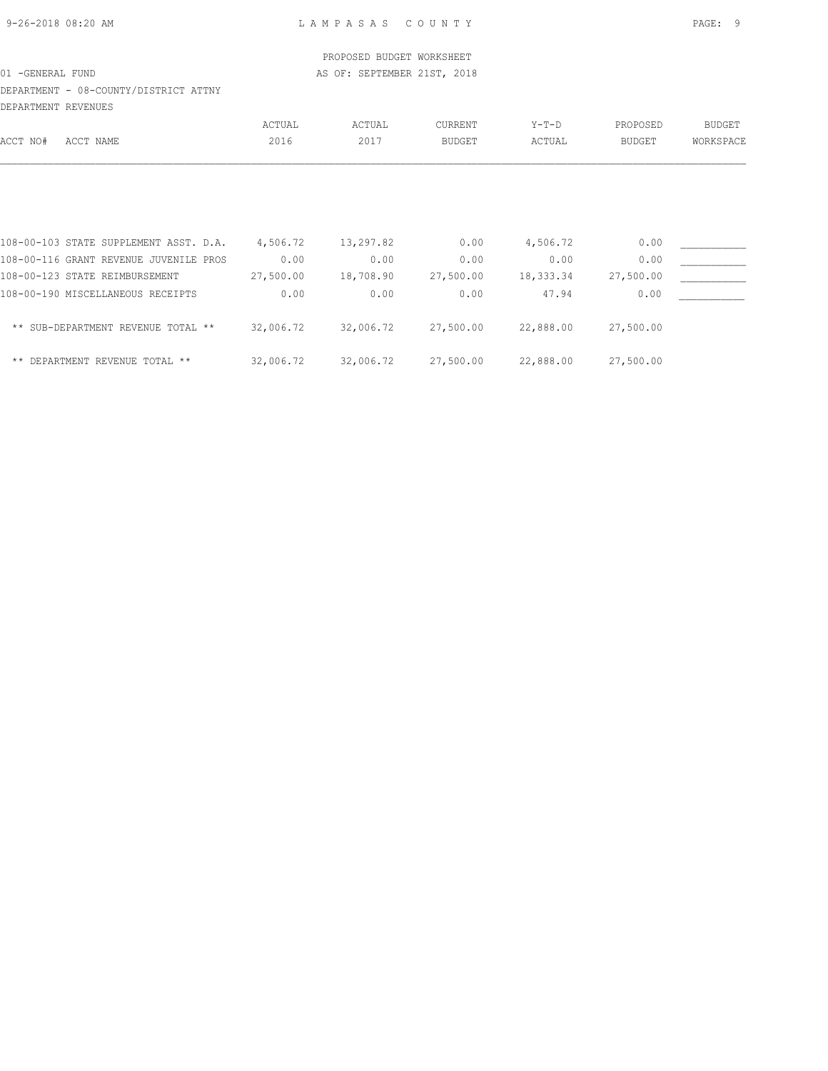DEPARTMENT - 08-COUNTY/DISTRICT ATTNY DEPARTMENT REVENUES

|          |                                        | ACTUAL    | ACTUAL    | CURRENT       | $Y-T-D$   | PROPOSED      | <b>BUDGET</b> |
|----------|----------------------------------------|-----------|-----------|---------------|-----------|---------------|---------------|
| ACCT NO# | ACCT NAME                              | 2016      | 2017      | <b>BUDGET</b> | ACTUAL    | <b>BUDGET</b> | WORKSPACE     |
|          |                                        |           |           |               |           |               |               |
|          | 108-00-103 STATE SUPPLEMENT ASST. D.A. | 4,506.72  | 13,297.82 | 0.00          | 4,506.72  | 0.00          |               |
|          | 108-00-116 GRANT REVENUE JUVENILE PROS | 0.00      | 0.00      | 0.00          | 0.00      | 0.00          |               |
|          | 108-00-123 STATE REIMBURSEMENT         | 27,500.00 | 18,708.90 | 27,500.00     | 18,333.34 | 27,500.00     |               |
|          | 108-00-190 MISCELLANEOUS RECEIPTS      | 0.00      | 0.00      | 0.00          | 47.94     | 0.00          |               |
|          | ** SUB-DEPARTMENT REVENUE TOTAL **     | 32,006.72 | 32,006.72 | 27,500.00     | 22,888.00 | 27,500.00     |               |
| $***$    | DEPARTMENT REVENUE TOTAL **            | 32,006.72 | 32,006.72 | 27,500.00     | 22,888.00 | 27,500.00     |               |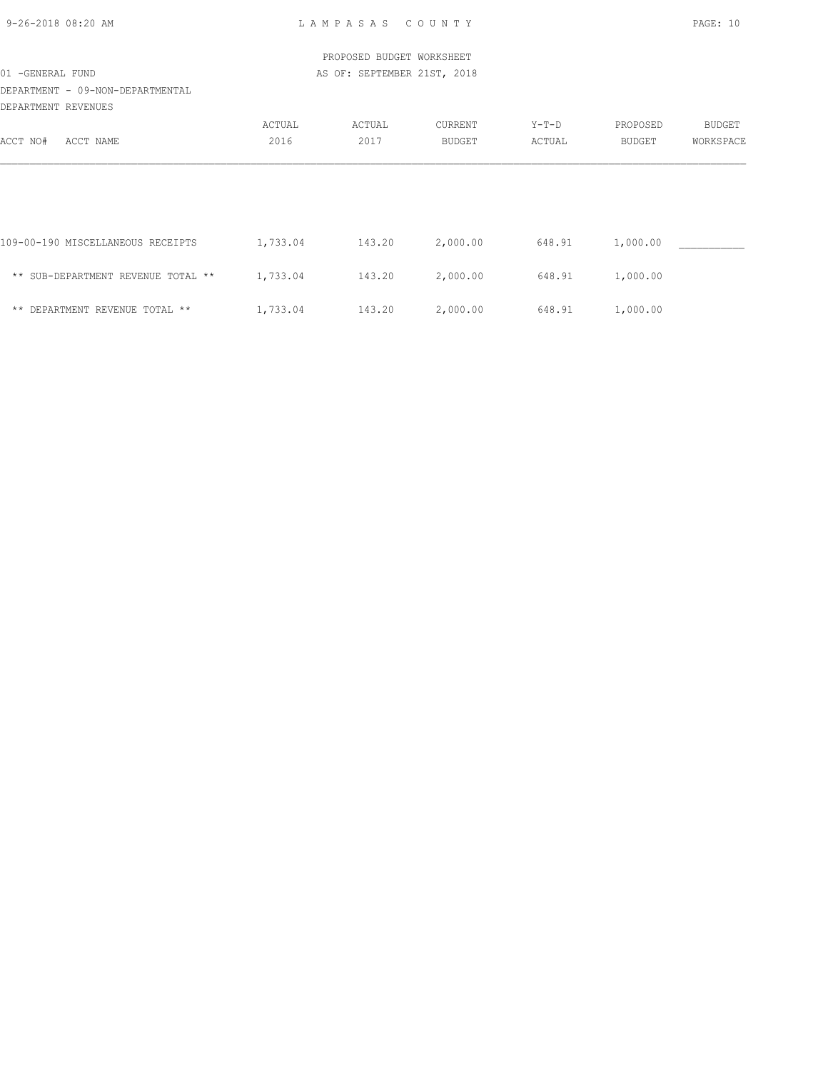| $9 - 26 - 2018$ 08:20 AM |  |
|--------------------------|--|

9-26-2018 08:20 AM L A M P A S A S C O U N T Y PAGE: 10

|                                      |          | PROPOSED BUDGET WORKSHEET   |               |        |          |               |
|--------------------------------------|----------|-----------------------------|---------------|--------|----------|---------------|
| 01 -GENERAL FUND                     |          | AS OF: SEPTEMBER 21ST, 2018 |               |        |          |               |
| DEPARTMENT - 09-NON-DEPARTMENTAL     |          |                             |               |        |          |               |
| DEPARTMENT REVENUES                  |          |                             |               |        |          |               |
|                                      | ACTUAL   | ACTUAL                      | CURRENT       | Y-T-D  | PROPOSED | <b>BUDGET</b> |
| ACCT NO#<br>ACCT NAME                | 2016     | 2017                        | <b>BUDGET</b> | ACTUAL | BUDGET   | WORKSPACE     |
|                                      |          |                             |               |        |          |               |
| 109-00-190 MISCELLANEOUS RECEIPTS    | 1,733.04 | 143.20                      | 2,000.00      | 648.91 | 1,000.00 |               |
| ** SUB-DEPARTMENT REVENUE TOTAL **   | 1,733.04 | 143.20                      | 2,000.00      | 648.91 | 1,000.00 |               |
| DEPARTMENT REVENUE TOTAL **<br>$***$ | 1,733.04 | 143.20                      | 2,000.00      | 648.91 | 1,000.00 |               |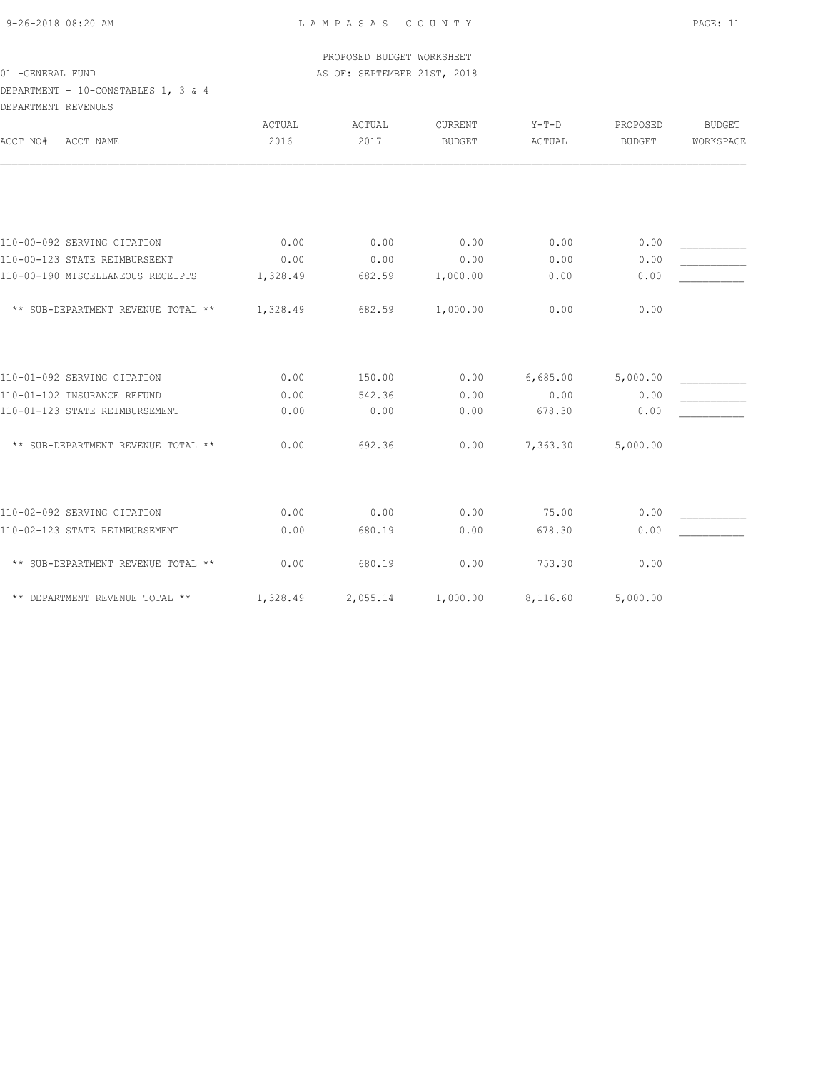## DEPARTMENT - 10-CONSTABLES 1, 3 & 4 DEPARTMENT REVENUES

| ACCT NAME<br>ACCT NO#              | ACTUAL<br>2016 | ACTUAL<br>2017 | CURRENT<br><b>BUDGET</b> | $Y-T-D$<br>ACTUAL | PROPOSED<br><b>BUDGET</b> | <b>BUDGET</b><br>WORKSPACE |
|------------------------------------|----------------|----------------|--------------------------|-------------------|---------------------------|----------------------------|
|                                    |                |                |                          |                   |                           |                            |
| 110-00-092 SERVING CITATION        | 0.00           | 0.00           | 0.00                     | 0.00              | 0.00                      |                            |
| 110-00-123 STATE REIMBURSEENT      | 0.00           | 0.00           | 0.00                     | 0.00              | 0.00                      |                            |
| 110-00-190 MISCELLANEOUS RECEIPTS  | 1,328.49       | 682.59         | 1,000.00                 | 0.00              | 0.00                      |                            |
| ** SUB-DEPARTMENT REVENUE TOTAL ** | 1,328.49       | 682.59         | 1,000.00                 | 0.00              | 0.00                      |                            |
| 110-01-092 SERVING CITATION        | 0.00           | 150.00         | 0.00                     | 6,685.00          | 5,000.00                  |                            |
| 110-01-102 INSURANCE REFUND        | 0.00           | 542.36         | 0.00                     | 0.00              | 0.00                      |                            |
| 110-01-123 STATE REIMBURSEMENT     | 0.00           | 0.00           | 0.00                     | 678.30            | 0.00                      |                            |
| ** SUB-DEPARTMENT REVENUE TOTAL ** | 0.00           | 692.36         | 0.00                     | 7,363.30          | 5,000.00                  |                            |
| 110-02-092 SERVING CITATION        | 0.00           | 0.00           | 0.00                     | 75.00             | 0.00                      |                            |
| 110-02-123 STATE REIMBURSEMENT     | 0.00           | 680.19         | 0.00                     | 678.30            | 0.00                      |                            |
|                                    |                |                |                          |                   |                           |                            |
| ** SUB-DEPARTMENT REVENUE TOTAL ** | 0.00           | 680.19         | 0.00                     | 753.30            | 0.00                      |                            |
| ** DEPARTMENT REVENUE TOTAL **     | 1,328.49       | 2,055.14       | 1,000.00                 | 8,116.60          | 5,000.00                  |                            |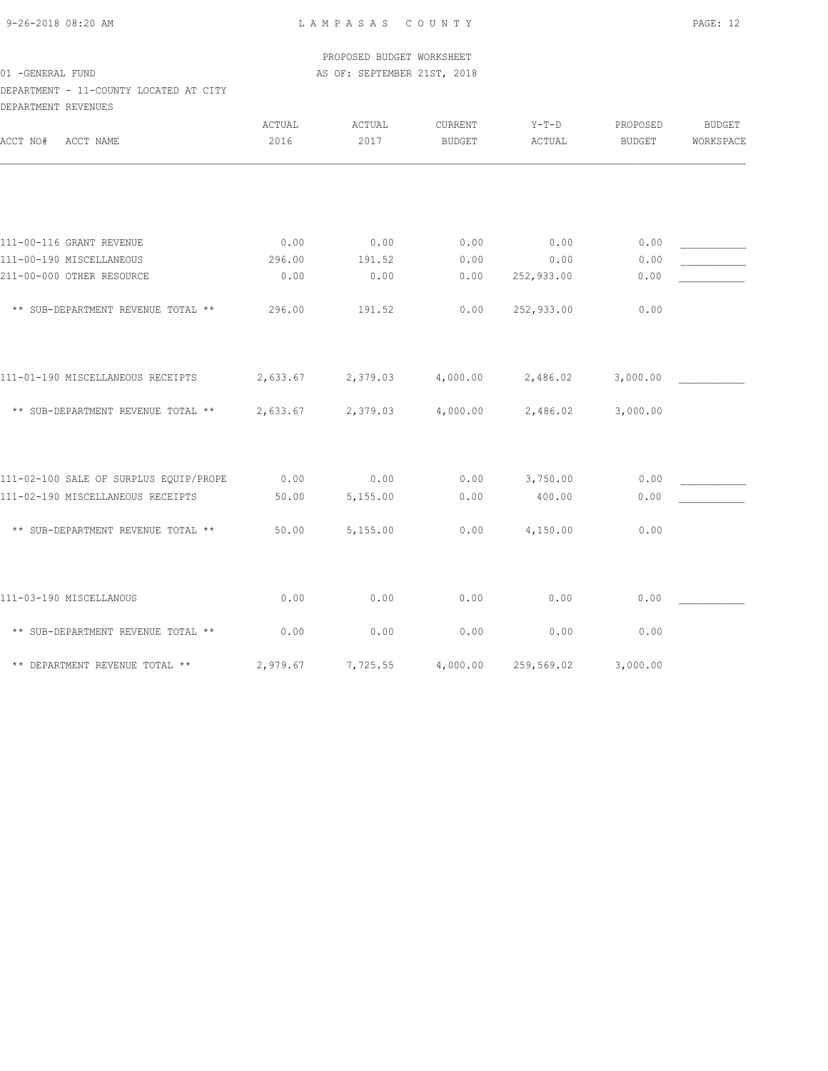9-26-2018 08:20 AM L A M P A S A S C O U N T Y PAGE: 12

## PROPOSED BUDGET WORKSHEET 01 -GENERAL FUND **AS OF: SEPTEMBER 21ST, 2018**

## DEPARTMENT - 11-COUNTY LOCATED AT CITY DEPARTMENT REVENUES

| ACCT NO#<br>ACCT NAME                  | ACTUAL<br>2016 | ACTUAL<br>2017 | CURRENT<br><b>BUDGET</b> | $Y-T-D$<br>ACTUAL | PROPOSED<br><b>BUDGET</b> | <b>BUDGET</b><br>WORKSPACE |
|----------------------------------------|----------------|----------------|--------------------------|-------------------|---------------------------|----------------------------|
|                                        |                |                |                          |                   |                           |                            |
| 111-00-116 GRANT REVENUE               | 0.00           | 0.00           | 0.00                     | 0.00              | 0.00                      |                            |
| 111-00-190 MISCELLANEOUS               | 296.00         | 191.52         | 0.00                     | 0.00              | 0.00                      |                            |
| 211-00-000 OTHER RESOURCE              | 0.00           | 0.00           | 0.00                     | 252,933.00        | 0.00                      |                            |
| ** SUB-DEPARTMENT REVENUE TOTAL **     | 296.00         | 191.52         | 0.00                     | 252,933.00        | 0.00                      |                            |
| 111-01-190 MISCELLANEOUS RECEIPTS      | 2,633.67       | 2,379.03       | 4,000.00                 | 2,486.02          | 3,000.00                  |                            |
| ** SUB-DEPARTMENT REVENUE TOTAL **     | 2,633.67       | 2,379.03       | 4,000.00                 | 2,486.02          | 3,000.00                  |                            |
| 111-02-100 SALE OF SURPLUS EQUIP/PROPE | 0.00           | 0.00           | 0.00                     | 3,750.00          | 0.00                      |                            |
| 111-02-190 MISCELLANEOUS RECEIPTS      | 50.00          | 5,155.00       | 0.00                     | 400.00            | 0.00                      |                            |
| ** SUB-DEPARTMENT REVENUE TOTAL **     | 50.00          | 5,155.00       | 0.00                     | 4,150.00          | 0.00                      |                            |
| 111-03-190 MISCELLANOUS                | 0.00           | 0.00           | 0.00                     | 0.00              | 0.00                      |                            |
| ** SUB-DEPARTMENT REVENUE TOTAL **     | 0.00           | 0.00           | 0.00                     | 0.00              | 0.00                      |                            |
| ** DEPARTMENT REVENUE TOTAL **         | 2,979.67       | 7,725.55       | 4,000.00                 | 259,569.02        | 3,000.00                  |                            |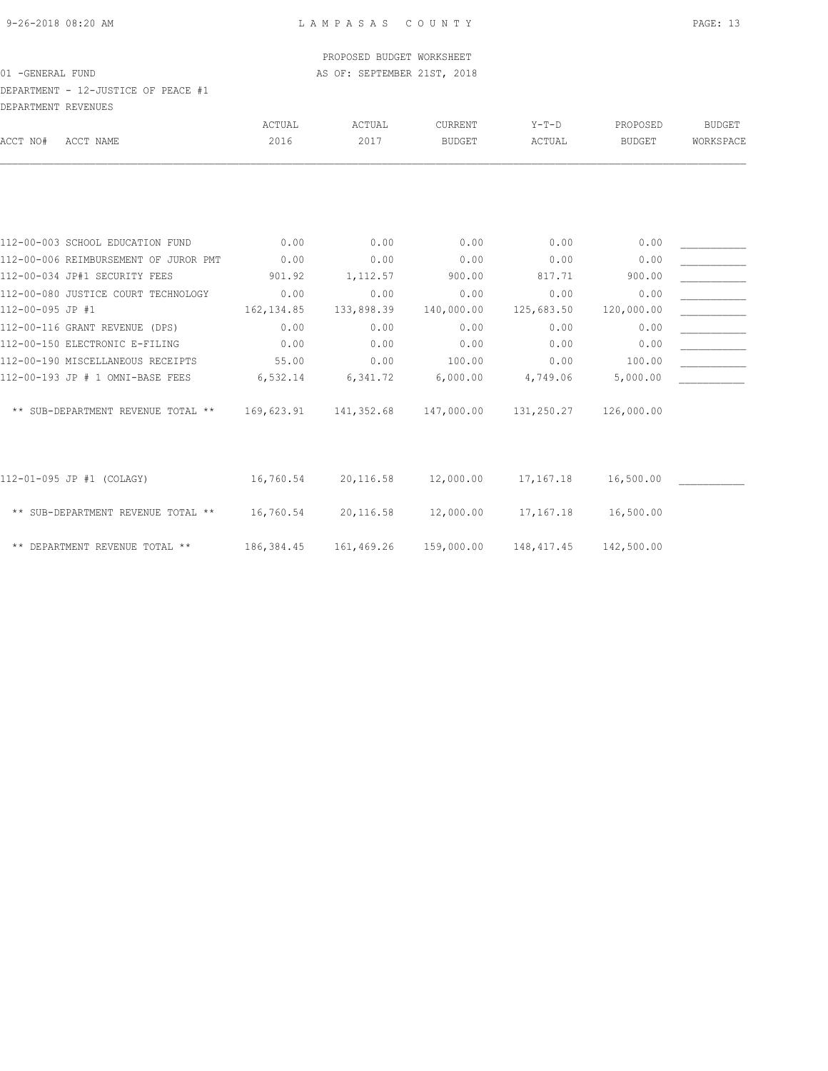DEPARTMENT - 12-JUSTICE OF PEACE #1 DEPARTMENT REVENUES

| DEFANIMENI NEVENUEJ                   |             |                                                |                     |             |               |               |
|---------------------------------------|-------------|------------------------------------------------|---------------------|-------------|---------------|---------------|
|                                       | ACTUAL      | ACTUAL                                         | CURRENT             | $Y-T-D$     | PROPOSED      | <b>BUDGET</b> |
| ACCT NAME<br>ACCT NO#                 | 2016        | 2017                                           | <b>BUDGET</b>       | ACTUAL      | <b>BUDGET</b> | WORKSPACE     |
|                                       |             |                                                |                     |             |               |               |
|                                       |             |                                                |                     |             |               |               |
| 112-00-003 SCHOOL EDUCATION FUND      | 0.00        | 0.00                                           | 0.00                | 0.00        | 0.00          |               |
| 112-00-006 REIMBURSEMENT OF JUROR PMT | 0.00        | 0.00                                           | 0.00                | 0.00        | 0.00          |               |
| 112-00-034 JP#1 SECURITY FEES         | 901.92      | 1,112.57                                       | 900.00              | 817.71      | 900.00        |               |
| 112-00-080 JUSTICE COURT TECHNOLOGY   | 0.00        | 0.00                                           | 0.00                | 0.00        | 0.00          |               |
| 112-00-095 JP #1                      | 162, 134.85 | 133,898.39                                     | 140,000.00          | 125,683.50  | 120,000.00    |               |
| 112-00-116 GRANT REVENUE (DPS)        | 0.00        | 0.00                                           | 0.00                | 0.00        | 0.00          |               |
| 112-00-150 ELECTRONIC E-FILING        | 0.00        | 0.00                                           | 0.00                | 0.00        | 0.00          |               |
| 112-00-190 MISCELLANEOUS RECEIPTS     | 55.00       | 0.00                                           | 100.00              | 0.00        | 100.00        |               |
| 112-00-193 JP # 1 OMNI-BASE FEES      | 6,532.14    | 6,341.72                                       | 6,000.00            | 4,749.06    | 5,000.00      |               |
| ** SUB-DEPARTMENT REVENUE TOTAL **    |             | 169,623.91  141,352.68  147,000.00  131,250.27 |                     |             | 126,000.00    |               |
|                                       |             |                                                |                     |             |               |               |
| 112-01-095 JP #1 (COLAGY)             | 16,760.54   |                                                | 20,116.58 12,000.00 | 17,167.18   | 16,500.00     |               |
| ** SUB-DEPARTMENT REVENUE TOTAL **    | 16,760.54   | 20,116.58                                      | 12,000.00           | 17,167.18   | 16,500.00     |               |
| ** DEPARTMENT REVENUE TOTAL **        | 186,384.45  | 161,469.26                                     | 159,000.00          | 148, 417.45 | 142,500.00    |               |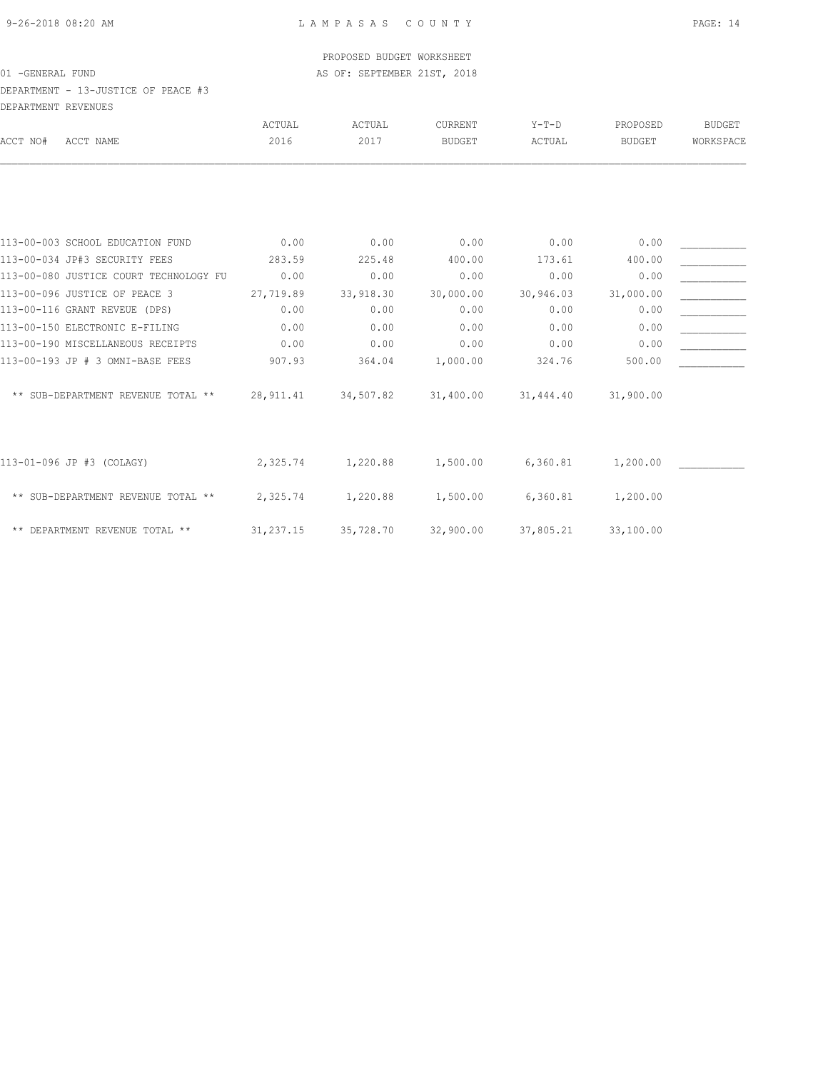## DEPARTMENT - 13-JUSTICE OF PEACE #3 DEPARTMENT REVENUES

|                           |                                        | <b>ACTUAL</b> | ACTUAL    | <b>CURRENT</b> | $Y-T-D$   | PROPOSED      | <b>BUDGET</b> |
|---------------------------|----------------------------------------|---------------|-----------|----------------|-----------|---------------|---------------|
| ACCT NO#                  | ACCT NAME                              | 2016          | 2017      | <b>BUDGET</b>  | ACTUAL    | <b>BUDGET</b> | WORKSPACE     |
|                           |                                        |               |           |                |           |               |               |
|                           |                                        |               |           |                |           |               |               |
|                           | 113-00-003 SCHOOL EDUCATION FUND       | 0.00          | 0.00      | 0.00           | 0.00      | 0.00          |               |
|                           | 113-00-034 JP#3 SECURITY FEES          | 283.59        | 225.48    | 400.00         | 173.61    | 400.00        |               |
|                           | 113-00-080 JUSTICE COURT TECHNOLOGY FU | 0.00          | 0.00      | 0.00           | 0.00      | 0.00          |               |
|                           | 113-00-096 JUSTICE OF PEACE 3          | 27,719.89     | 33,918.30 | 30,000.00      | 30,946.03 | 31,000.00     |               |
|                           | 113-00-116 GRANT REVEUE (DPS)          | 0.00          | 0.00      | 0.00           | 0.00      | 0.00          |               |
|                           | 113-00-150 ELECTRONIC E-FILING         | 0.00          | 0.00      | 0.00           | 0.00      | 0.00          |               |
|                           | 113-00-190 MISCELLANEOUS RECEIPTS      | 0.00          | 0.00      | 0.00           | 0.00      | 0.00          |               |
|                           | 113-00-193 JP # 3 OMNI-BASE FEES       | 907.93        | 364.04    | 1,000.00       | 324.76    | 500.00        |               |
|                           | ** SUB-DEPARTMENT REVENUE TOTAL **     | 28,911.41     | 34,507.82 | 31,400.00      | 31,444.40 | 31,900.00     |               |
|                           |                                        |               |           |                |           |               |               |
| 113-01-096 JP #3 (COLAGY) |                                        | 2,325.74      | 1,220.88  | 1,500.00       | 6,360.81  | 1,200.00      |               |
|                           | ** SUB-DEPARTMENT REVENUE TOTAL **     | 2,325.74      | 1,220.88  | 1,500.00       | 6,360.81  | 1,200.00      |               |
|                           | ** DEPARTMENT REVENUE TOTAL **         | 31,237.15     | 35,728.70 | 32,900.00      | 37,805.21 | 33,100.00     |               |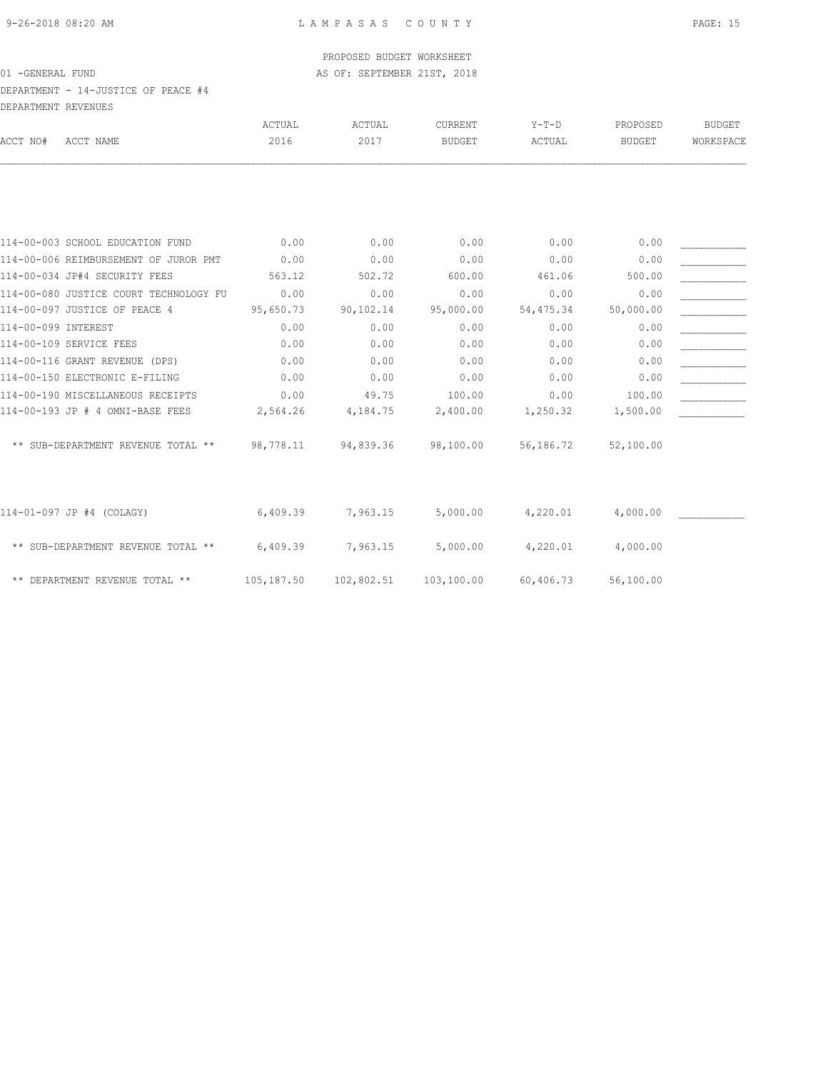### DEPARTMENT - 14-JUSTICE OF PEACE #4 DEPARTMENT REVENUES

| DEFAKTMENT KEVENUES           |                                        |            |            |               |            |               |               |
|-------------------------------|----------------------------------------|------------|------------|---------------|------------|---------------|---------------|
|                               |                                        | ACTUAL     | ACTUAL     | CURRENT       | $Y-T-D$    | PROPOSED      | <b>BUDGET</b> |
| ACCT NO#                      | ACCT NAME                              | 2016       | 2017       | <b>BUDGET</b> | ACTUAL     | <b>BUDGET</b> | WORKSPACE     |
|                               |                                        |            |            |               |            |               |               |
|                               |                                        |            |            |               |            |               |               |
|                               | 114-00-003 SCHOOL EDUCATION FUND       | 0.00       | 0.00       | 0.00          | 0.00       | 0.00          |               |
|                               | 114-00-006 REIMBURSEMENT OF JUROR PMT  | 0.00       | 0.00       | 0.00          | 0.00       | 0.00          |               |
| 114-00-034 JP#4 SECURITY FEES |                                        | 563.12     | 502.72     | 600.00        | 461.06     | 500.00        |               |
|                               | 114-00-080 JUSTICE COURT TECHNOLOGY FU | 0.00       | 0.00       | 0.00          | 0.00       | 0.00          |               |
| 114-00-097 JUSTICE OF PEACE 4 |                                        | 95,650.73  | 90,102.14  | 95,000.00     | 54, 475.34 | 50,000.00     |               |
| 114-00-099 INTEREST           |                                        | 0.00       | 0.00       | 0.00          | 0.00       | 0.00          |               |
| 114-00-109 SERVICE FEES       |                                        | 0.00       | 0.00       | 0.00          | 0.00       | 0.00          |               |
|                               | 114-00-116 GRANT REVENUE (DPS)         | 0.00       | 0.00       | 0.00          | 0.00       | 0.00          |               |
|                               | 114-00-150 ELECTRONIC E-FILING         | 0.00       | 0.00       | 0.00          | 0.00       | 0.00          |               |
|                               | 114-00-190 MISCELLANEOUS RECEIPTS      | 0.00       | 49.75      | 100.00        | 0.00       | 100.00        |               |
|                               | 114-00-193 JP # 4 OMNI-BASE FEES       | 2,564.26   | 4,184.75   | 2,400.00      | 1,250.32   | 1,500.00      |               |
|                               | ** SUB-DEPARTMENT REVENUE TOTAL **     | 98,778.11  | 94,839.36  | 98,100.00     | 56,186.72  | 52,100.00     |               |
| 114-01-097 JP #4 (COLAGY)     |                                        | 6,409.39   | 7,963.15   | 5,000.00      | 4,220.01   | 4,000.00      |               |
|                               | ** SUB-DEPARTMENT REVENUE TOTAL **     | 6,409.39   | 7,963.15   | 5,000.00      | 4,220.01   | 4,000.00      |               |
|                               | ** DEPARTMENT REVENUE TOTAL **         | 105,187.50 | 102,802.51 | 103,100.00    | 60,406.73  | 56,100.00     |               |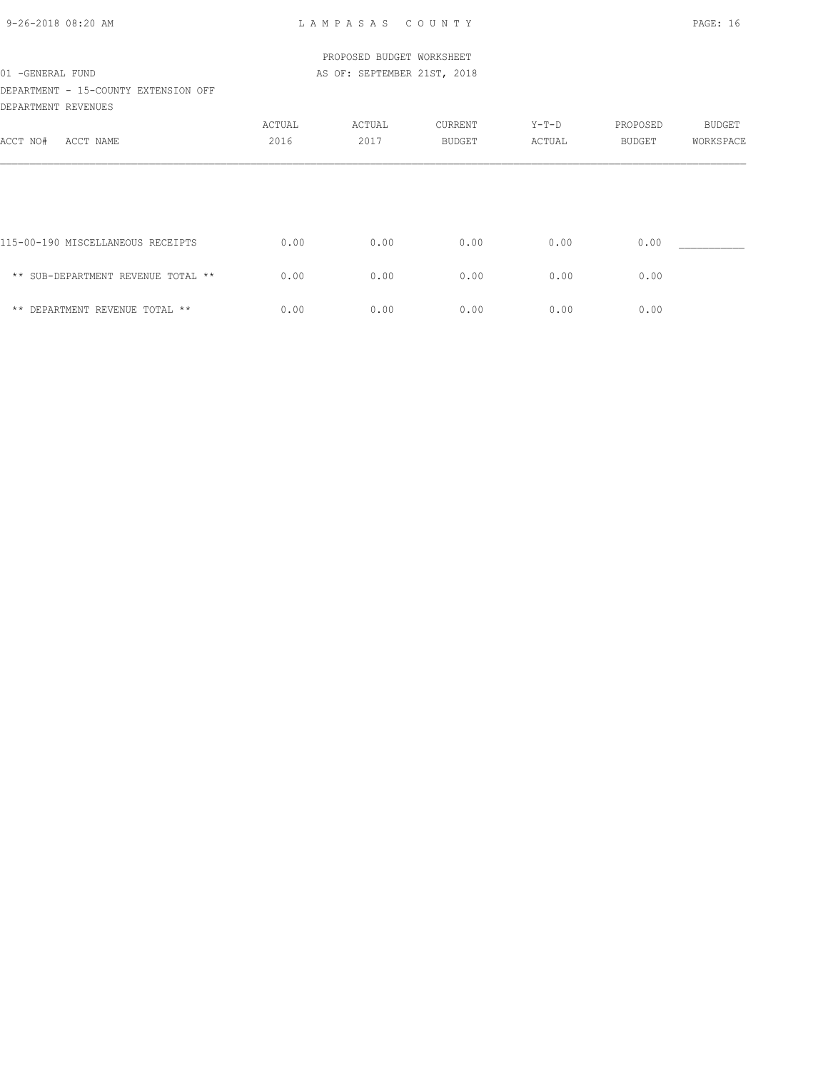| 9-26-2018 08:20 AM |  |
|--------------------|--|

9-26-2018 08:20 AM L A M P A S A S C O U N T Y PAGE: 16

|                                      |        | PROPOSED BUDGET WORKSHEET   |                |        |          |               |
|--------------------------------------|--------|-----------------------------|----------------|--------|----------|---------------|
| 01 - GENERAL FUND                    |        | AS OF: SEPTEMBER 21ST, 2018 |                |        |          |               |
| DEPARTMENT - 15-COUNTY EXTENSION OFF |        |                             |                |        |          |               |
| DEPARTMENT REVENUES                  |        |                             |                |        |          |               |
|                                      | ACTUAL | ACTUAL                      | <b>CURRENT</b> | Y-T-D  | PROPOSED | <b>BUDGET</b> |
| ACCT NO#<br>ACCT NAME                | 2016   | 2017                        | <b>BUDGET</b>  | ACTUAL | BUDGET   | WORKSPACE     |
|                                      |        |                             |                |        |          |               |
| 115-00-190 MISCELLANEOUS RECEIPTS    | 0.00   | 0.00                        | 0.00           | 0.00   | 0.00     |               |
| ** SUB-DEPARTMENT REVENUE TOTAL **   | 0.00   | 0.00                        | 0.00           | 0.00   | 0.00     |               |
| ** DEPARTMENT REVENUE TOTAL **       | 0.00   | 0.00                        | 0.00           | 0.00   | 0.00     |               |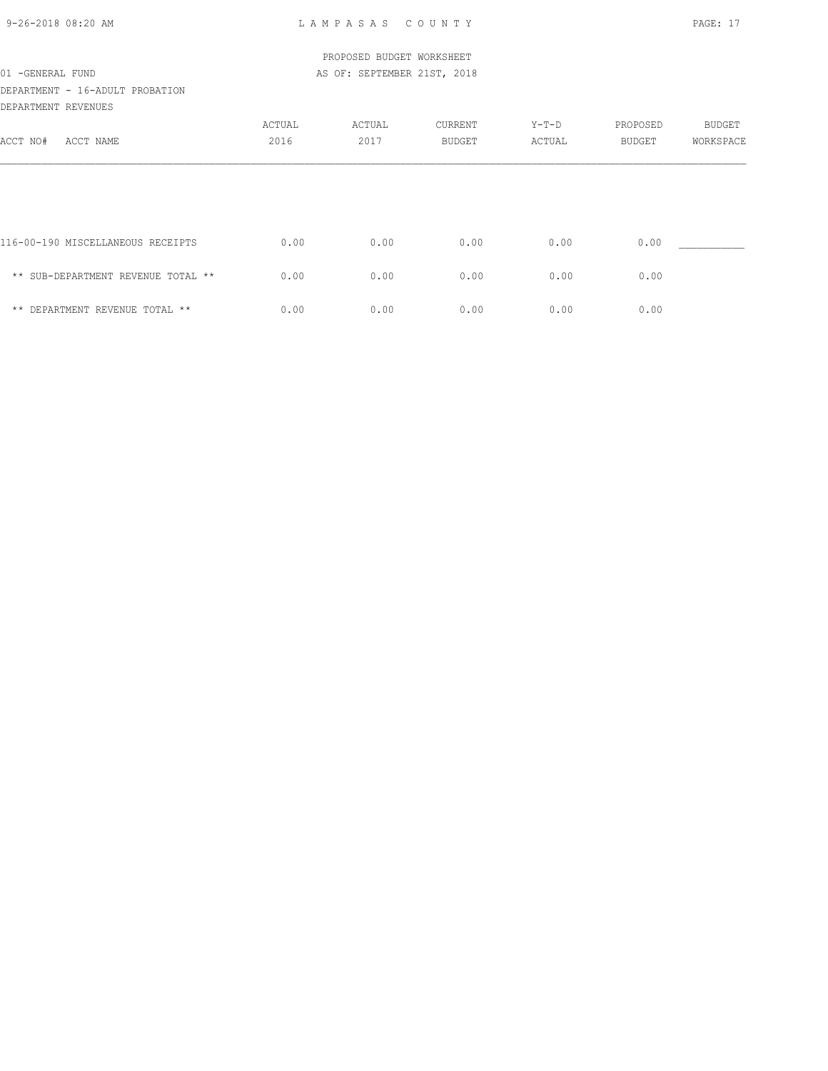| 9-26-2018 08:20 AM |  |
|--------------------|--|

|                                    |        | PROPOSED BUDGET WORKSHEET   |               |        |               |               |
|------------------------------------|--------|-----------------------------|---------------|--------|---------------|---------------|
| 01 -GENERAL FUND                   |        | AS OF: SEPTEMBER 21ST, 2018 |               |        |               |               |
| DEPARTMENT - 16-ADULT PROBATION    |        |                             |               |        |               |               |
| DEPARTMENT REVENUES                |        |                             |               |        |               |               |
|                                    | ACTUAL | ACTUAL                      | CURRENT       | Y-T-D  | PROPOSED      | <b>BUDGET</b> |
| ACCT NO#<br>ACCT NAME              | 2016   | 2017                        | <b>BUDGET</b> | ACTUAL | <b>BUDGET</b> | WORKSPACE     |
|                                    |        |                             |               |        |               |               |
| 116-00-190 MISCELLANEOUS RECEIPTS  | 0.00   | 0.00                        | 0.00          | 0.00   | 0.00          |               |
| ** SUB-DEPARTMENT REVENUE TOTAL ** | 0.00   | 0.00                        | 0.00          | 0.00   | 0.00          |               |
| ** DEPARTMENT REVENUE TOTAL **     | 0.00   | 0.00                        | 0.00          | 0.00   | 0.00          |               |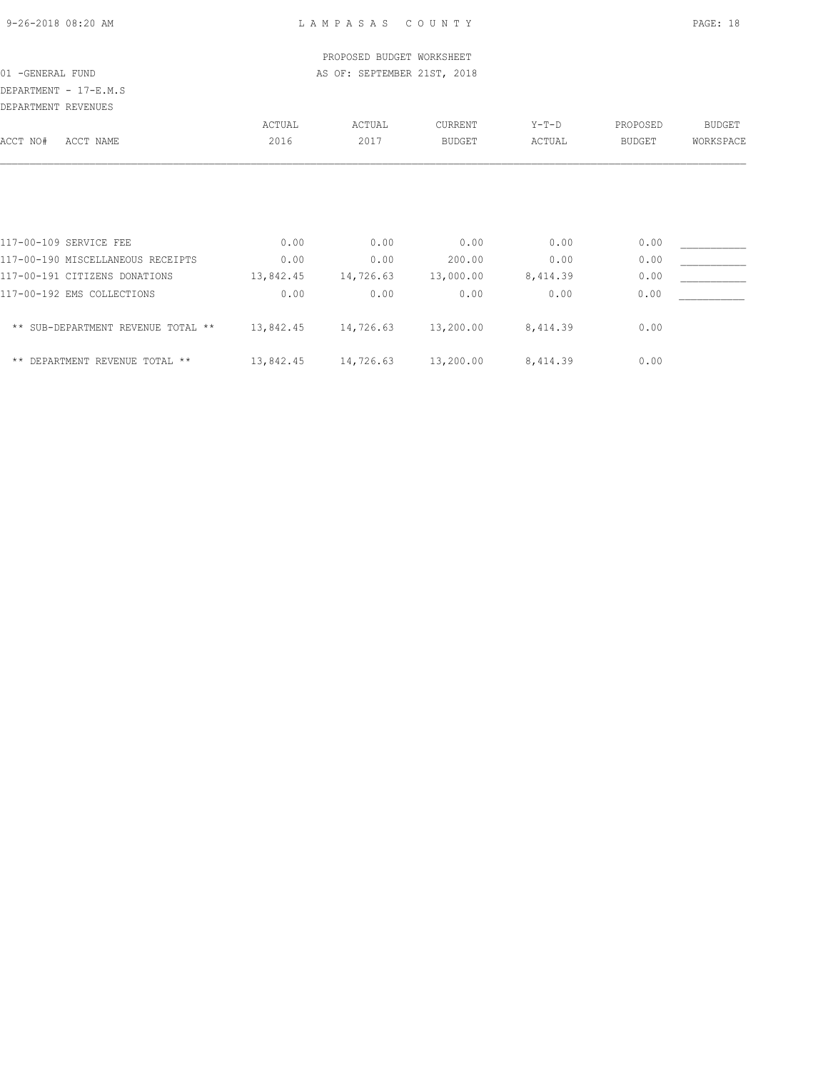# DEPARTMENT - 17-E.M.S

| DEPARTMENT REVENUES |                                    |           |           |               |          |               |               |
|---------------------|------------------------------------|-----------|-----------|---------------|----------|---------------|---------------|
|                     |                                    | ACTUAL    | ACTUAL    | CURRENT       | $Y-T-D$  | PROPOSED      | <b>BUDGET</b> |
| ACCT NO#            | ACCT NAME                          | 2016      | 2017      | <b>BUDGET</b> | ACTUAL   | <b>BUDGET</b> | WORKSPACE     |
|                     |                                    |           |           |               |          |               |               |
|                     | 117-00-109 SERVICE FEE             | 0.00      | 0.00      | 0.00          | 0.00     | 0.00          |               |
|                     | 117-00-190 MISCELLANEOUS RECEIPTS  | 0.00      | 0.00      | 200.00        | 0.00     | 0.00          |               |
|                     | 117-00-191 CITIZENS DONATIONS      | 13,842.45 | 14,726.63 | 13,000.00     | 8,414.39 | 0.00          |               |
|                     | 117-00-192 EMS COLLECTIONS         | 0.00      | 0.00      | 0.00          | 0.00     | 0.00          |               |
|                     | ** SUB-DEPARTMENT REVENUE TOTAL ** | 13,842.45 | 14,726.63 | 13,200.00     | 8,414.39 | 0.00          |               |
|                     | ** DEPARTMENT REVENUE TOTAL **     | 13,842.45 | 14,726.63 | 13,200.00     | 8,414.39 | 0.00          |               |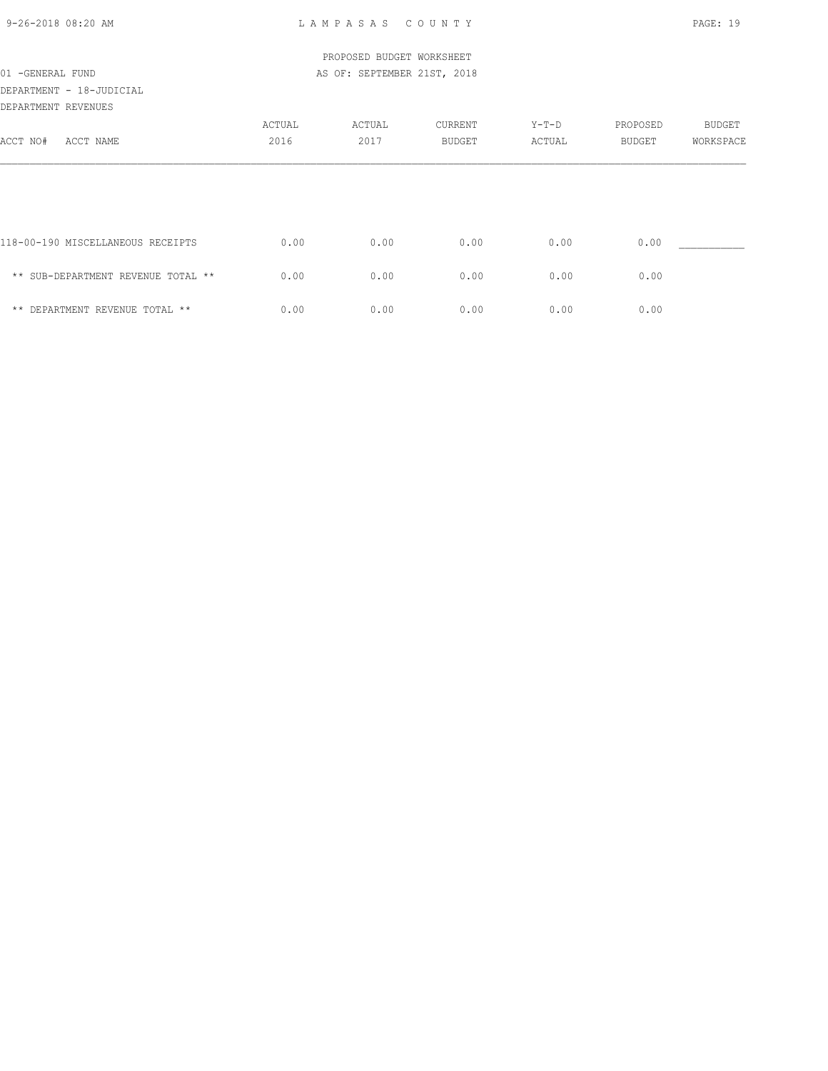| 9-26-2018 08:20 AM |  |
|--------------------|--|
|                    |  |

9-26-2018 08:20 AM L A M P A S A S C O U N T Y PAGE: 19

|                                    |        | PROPOSED BUDGET WORKSHEET   |               |         |          |           |
|------------------------------------|--------|-----------------------------|---------------|---------|----------|-----------|
| 01 - GENERAL FUND                  |        | AS OF: SEPTEMBER 21ST, 2018 |               |         |          |           |
| DEPARTMENT - 18-JUDICIAL           |        |                             |               |         |          |           |
| DEPARTMENT REVENUES                |        |                             |               |         |          |           |
|                                    | ACTUAL | ACTUAL                      | CURRENT       | $Y-T-D$ | PROPOSED | BUDGET    |
| ACCT NO#<br>ACCT NAME              | 2016   | 2017                        | <b>BUDGET</b> | ACTUAL  | BUDGET   | WORKSPACE |
|                                    |        |                             |               |         |          |           |
| 118-00-190 MISCELLANEOUS RECEIPTS  | 0.00   | 0.00                        | 0.00          | 0.00    | 0.00     |           |
| ** SUB-DEPARTMENT REVENUE TOTAL ** | 0.00   | 0.00                        | 0.00          | 0.00    | 0.00     |           |
| ** DEPARTMENT REVENUE TOTAL **     | 0.00   | 0.00                        | 0.00          | 0.00    | 0.00     |           |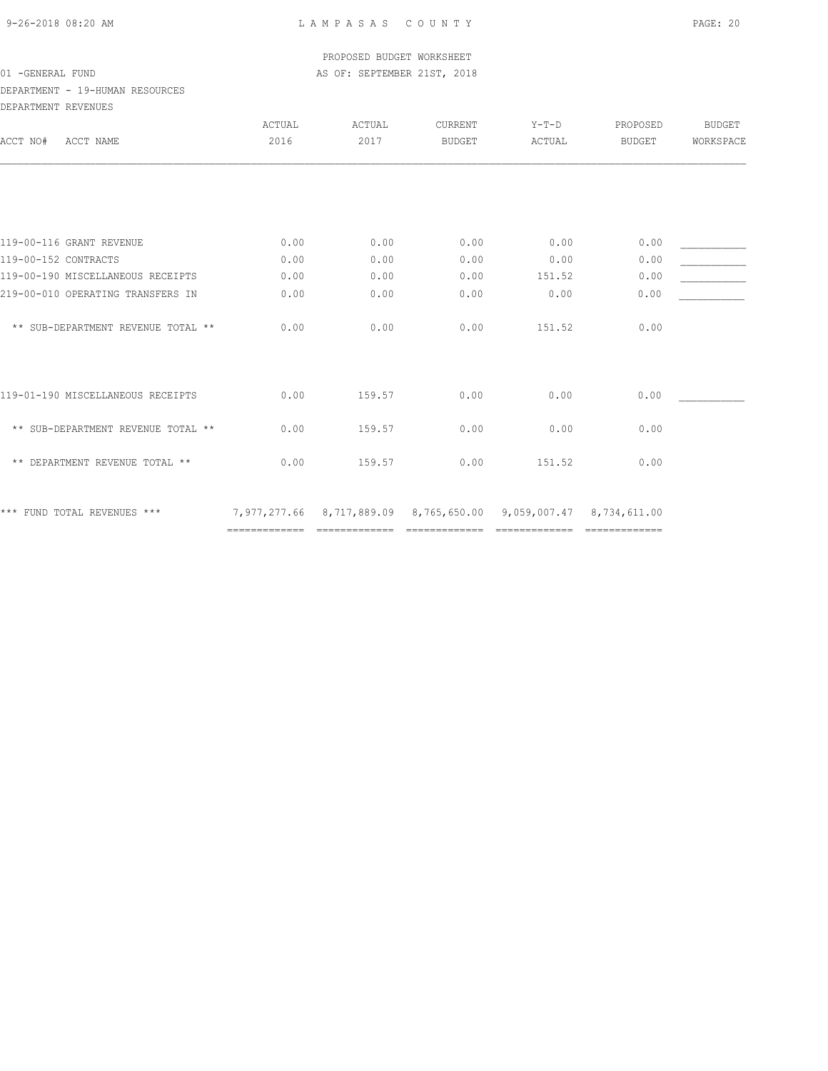### DEPARTMENT - 19-HUMAN RESOURCES DEPARTMENT REVENUES

| ULFARIMLNI KLVLNULƏ                |                                                                                                                            |                                                                                                                                                                                                                                                                                                                                                                                                                                                                                        |                                      |                              |                                                                                           |                                                           |
|------------------------------------|----------------------------------------------------------------------------------------------------------------------------|----------------------------------------------------------------------------------------------------------------------------------------------------------------------------------------------------------------------------------------------------------------------------------------------------------------------------------------------------------------------------------------------------------------------------------------------------------------------------------------|--------------------------------------|------------------------------|-------------------------------------------------------------------------------------------|-----------------------------------------------------------|
|                                    | ACTUAL                                                                                                                     | ACTUAL                                                                                                                                                                                                                                                                                                                                                                                                                                                                                 | <b>CURRENT</b>                       | $Y-T-D$                      | PROPOSED                                                                                  | <b>BUDGET</b>                                             |
| ACCT NAME                          |                                                                                                                            |                                                                                                                                                                                                                                                                                                                                                                                                                                                                                        | <b>BUDGET</b>                        | ACTUAL                       | <b>BUDGET</b>                                                                             | WORKSPACE                                                 |
|                                    |                                                                                                                            |                                                                                                                                                                                                                                                                                                                                                                                                                                                                                        |                                      |                              |                                                                                           |                                                           |
|                                    |                                                                                                                            |                                                                                                                                                                                                                                                                                                                                                                                                                                                                                        |                                      |                              |                                                                                           |                                                           |
|                                    |                                                                                                                            |                                                                                                                                                                                                                                                                                                                                                                                                                                                                                        |                                      |                              |                                                                                           |                                                           |
|                                    |                                                                                                                            |                                                                                                                                                                                                                                                                                                                                                                                                                                                                                        |                                      |                              |                                                                                           |                                                           |
|                                    |                                                                                                                            |                                                                                                                                                                                                                                                                                                                                                                                                                                                                                        |                                      |                              |                                                                                           |                                                           |
|                                    |                                                                                                                            |                                                                                                                                                                                                                                                                                                                                                                                                                                                                                        |                                      |                              |                                                                                           |                                                           |
| ** SUB-DEPARTMENT REVENUE TOTAL ** | 0.00                                                                                                                       | 0.00                                                                                                                                                                                                                                                                                                                                                                                                                                                                                   | 0.00                                 | 151.52                       | 0.00                                                                                      |                                                           |
| 119-01-190 MISCELLANEOUS RECEIPTS  | 0.00                                                                                                                       | 159.57                                                                                                                                                                                                                                                                                                                                                                                                                                                                                 | 0.00                                 | 0.00                         | 0.00                                                                                      |                                                           |
| ** SUB-DEPARTMENT REVENUE TOTAL ** | 0.00                                                                                                                       | 159.57                                                                                                                                                                                                                                                                                                                                                                                                                                                                                 | 0.00                                 | 0.00                         | 0.00                                                                                      |                                                           |
| ** DEPARTMENT REVENUE TOTAL **     | 0.00                                                                                                                       | 159.57                                                                                                                                                                                                                                                                                                                                                                                                                                                                                 | 0.00                                 | 151.52                       | 0.00                                                                                      |                                                           |
| *** FUND TOTAL REVENUES ***        | =============                                                                                                              | $\begin{array}{cccccccccc} \multicolumn{2}{c}{} & \multicolumn{2}{c}{} & \multicolumn{2}{c}{} & \multicolumn{2}{c}{} & \multicolumn{2}{c}{} & \multicolumn{2}{c}{} & \multicolumn{2}{c}{} & \multicolumn{2}{c}{} & \multicolumn{2}{c}{} & \multicolumn{2}{c}{} & \multicolumn{2}{c}{} & \multicolumn{2}{c}{} & \multicolumn{2}{c}{} & \multicolumn{2}{c}{} & \multicolumn{2}{c}{} & \multicolumn{2}{c}{} & \multicolumn{2}{c}{} & \multicolumn{2}{c}{} & \multicolumn{2}{c}{} & \mult$ |                                      |                              | =============                                                                             |                                                           |
|                                    | 119-00-116 GRANT REVENUE<br>119-00-152 CONTRACTS<br>119-00-190 MISCELLANEOUS RECEIPTS<br>219-00-010 OPERATING TRANSFERS IN | 2016<br>0.00<br>0.00<br>0.00<br>0.00                                                                                                                                                                                                                                                                                                                                                                                                                                                   | 2017<br>0.00<br>0.00<br>0.00<br>0.00 | 0.00<br>0.00<br>0.00<br>0.00 | 0.00<br>0.00<br>151.52<br>0.00<br>7,977,277.66 8,717,889.09 8,765,650.00<br>============= | 0.00<br>0.00<br>0.00<br>0.00<br>9,059,007.47 8,734,611.00 |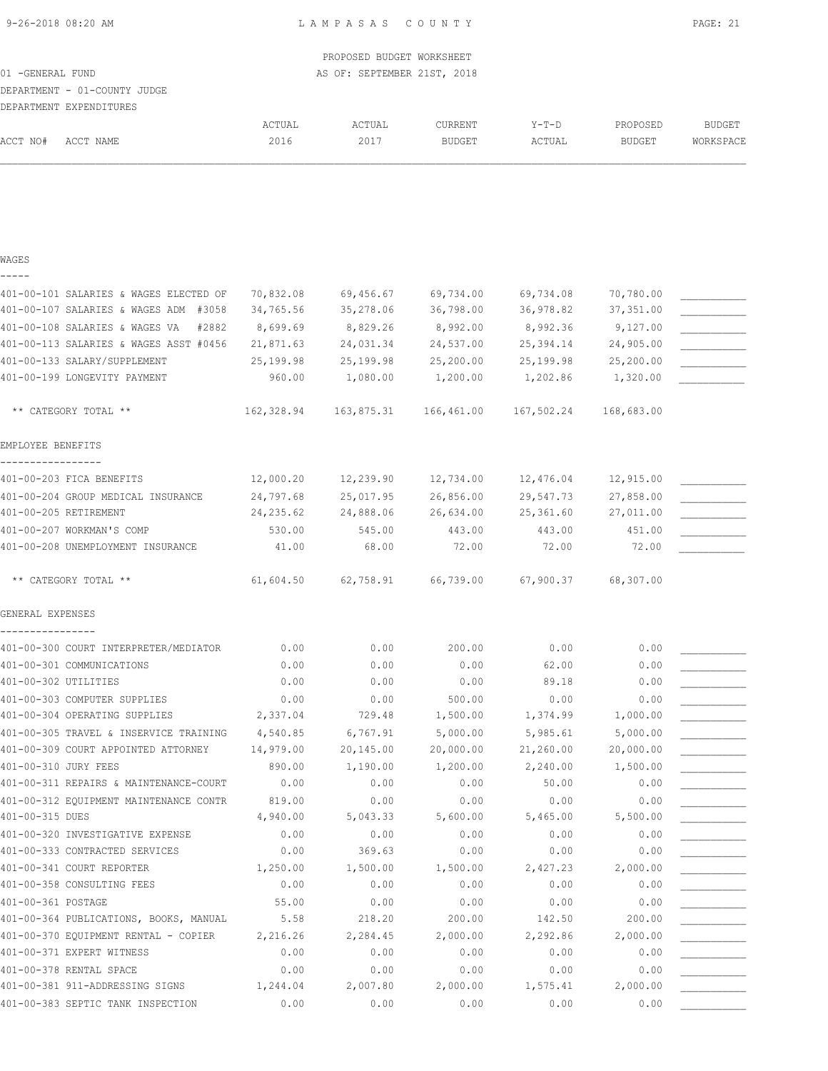|                      |                                                                    |              | PROPOSED BUDGET WORKSHEET   |               |              |               |               |
|----------------------|--------------------------------------------------------------------|--------------|-----------------------------|---------------|--------------|---------------|---------------|
| 01 - GENERAL FUND    |                                                                    |              | AS OF: SEPTEMBER 21ST, 2018 |               |              |               |               |
|                      | DEPARTMENT - 01-COUNTY JUDGE                                       |              |                             |               |              |               |               |
|                      | DEPARTMENT EXPENDITURES                                            | ACTUAL       | ACTUAL                      | CURRENT       | $Y-T-D$      | PROPOSED      | <b>BUDGET</b> |
| ACCT NO#             | ACCT NAME                                                          | 2016         | 2017                        | <b>BUDGET</b> | ACTUAL       | <b>BUDGET</b> | WORKSPACE     |
|                      |                                                                    |              |                             |               |              |               |               |
| WAGES                |                                                                    |              |                             |               |              |               |               |
|                      | 401-00-101 SALARIES & WAGES ELECTED OF                             | 70,832.08    | 69,456.67                   | 69,734.00     | 69,734.08    | 70,780.00     |               |
|                      | 401-00-107 SALARIES & WAGES ADM #3058                              | 34,765.56    | 35,278.06                   | 36,798.00     | 36,978.82    | 37,351.00     |               |
|                      | 401-00-108 SALARIES & WAGES VA<br>#2882                            | 8,699.69     | 8,829.26                    | 8,992.00      | 8,992.36     | 9,127.00      |               |
|                      | 401-00-113 SALARIES & WAGES ASST #0456                             | 21,871.63    | 24,031.34                   | 24,537.00     | 25,394.14    | 24,905.00     |               |
|                      | 401-00-133 SALARY/SUPPLEMENT                                       | 25,199.98    | 25,199.98                   | 25,200.00     | 25,199.98    | 25,200.00     |               |
|                      | 401-00-199 LONGEVITY PAYMENT                                       | 960.00       | 1,080.00                    | 1,200.00      | 1,202.86     | 1,320.00      |               |
|                      | ** CATEGORY TOTAL **                                               | 162,328.94   | 163,875.31                  | 166,461.00    | 167,502.24   | 168,683.00    |               |
| EMPLOYEE BENEFITS    |                                                                    |              |                             |               |              |               |               |
|                      | 401-00-203 FICA BENEFITS                                           | 12,000.20    | 12,239.90                   | 12,734.00     | 12,476.04    | 12,915.00     |               |
|                      | 401-00-204 GROUP MEDICAL INSURANCE                                 | 24,797.68    | 25,017.95                   | 26,856.00     | 29,547.73    | 27,858.00     |               |
|                      | 401-00-205 RETIREMENT                                              | 24, 235.62   | 24,888.06                   | 26,634.00     | 25,361.60    | 27,011.00     |               |
|                      | 401-00-207 WORKMAN'S COMP                                          | 530.00       | 545.00                      | 443.00        | 443.00       | 451.00        |               |
|                      | 401-00-208 UNEMPLOYMENT INSURANCE                                  | 41.00        | 68.00                       | 72.00         | 72.00        | 72.00         |               |
|                      | ** CATEGORY TOTAL **                                               | 61,604.50    | 62,758.91                   | 66,739.00     | 67,900.37    | 68,307.00     |               |
| GENERAL EXPENSES     |                                                                    |              |                             |               |              |               |               |
|                      | 401-00-300 COURT INTERPRETER/MEDIATOR                              | 0.00         | 0.00                        | 200.00        | 0.00         | 0.00          |               |
|                      | 401-00-301 COMMUNICATIONS                                          | 0.00         | 0.00                        | 0.00          | 62.00        | 0.00          |               |
| 401-00-302 UTILITIES |                                                                    | 0.00         | 0.00                        | 0.00          | 89.18        | 0.00          |               |
|                      | 401-00-303 COMPUTER SUPPLIES                                       | 0.00         | 0.00                        | 500.00        | 0.00         | 0.00          |               |
|                      | 401-00-304 OPERATING SUPPLIES                                      | 2,337.04     | 729.48                      | 1,500.00      | 1,374.99     | 1,000.00      |               |
|                      | 401-00-305 TRAVEL & INSERVICE TRAINING                             | 4,540.85     | 6,767.91                    | 5,000.00      | 5,985.61     | 5,000.00      |               |
|                      | 401-00-309 COURT APPOINTED ATTORNEY                                | 14,979.00    | 20,145.00                   | 20,000.00     | 21,260.00    | 20,000.00     |               |
| 401-00-310 JURY FEES |                                                                    | 890.00       | 1,190.00                    | 1,200.00      | 2,240.00     | 1,500.00      |               |
|                      | 401-00-311 REPAIRS & MAINTENANCE-COURT                             | 0.00         | 0.00                        | 0.00          | 50.00        | 0.00          |               |
|                      | 401-00-312 EQUIPMENT MAINTENANCE CONTR                             | 819.00       | 0.00                        | 0.00          | 0.00         | 0.00          |               |
| 401-00-315 DUES      |                                                                    | 4,940.00     | 5,043.33                    | 5,600.00      | 5,465.00     | 5,500.00      |               |
|                      | 401-00-320 INVESTIGATIVE EXPENSE<br>401-00-333 CONTRACTED SERVICES | 0.00<br>0.00 | 0.00<br>369.63              | 0.00<br>0.00  | 0.00<br>0.00 | 0.00<br>0.00  |               |
|                      | 401-00-341 COURT REPORTER                                          | 1,250.00     | 1,500.00                    | 1,500.00      | 2,427.23     | 2,000.00      |               |
|                      | 401-00-358 CONSULTING FEES                                         | 0.00         | 0.00                        | 0.00          | 0.00         | 0.00          |               |
| 401-00-361 POSTAGE   |                                                                    | 55.00        | 0.00                        | 0.00          | 0.00         | 0.00          |               |
|                      | 401-00-364 PUBLICATIONS, BOOKS, MANUAL                             | 5.58         | 218.20                      | 200.00        | 142.50       | 200.00        |               |
|                      | 401-00-370 EQUIPMENT RENTAL - COPIER                               | 2,216.26     | 2,284.45                    | 2,000.00      | 2,292.86     | 2,000.00      |               |
|                      | 401-00-371 EXPERT WITNESS                                          | 0.00         | 0.00                        | 0.00          | 0.00         | 0.00          |               |
|                      | 401-00-378 RENTAL SPACE                                            | 0.00         | 0.00                        | 0.00          | 0.00         | 0.00          |               |
|                      | 401-00-381 911-ADDRESSING SIGNS                                    | 1,244.04     | 2,007.80                    | 2,000.00      | 1,575.41     | 2,000.00      |               |
|                      | 401-00-383 SEPTIC TANK INSPECTION                                  | 0.00         | 0.00                        | 0.00          | 0.00         | 0.00          |               |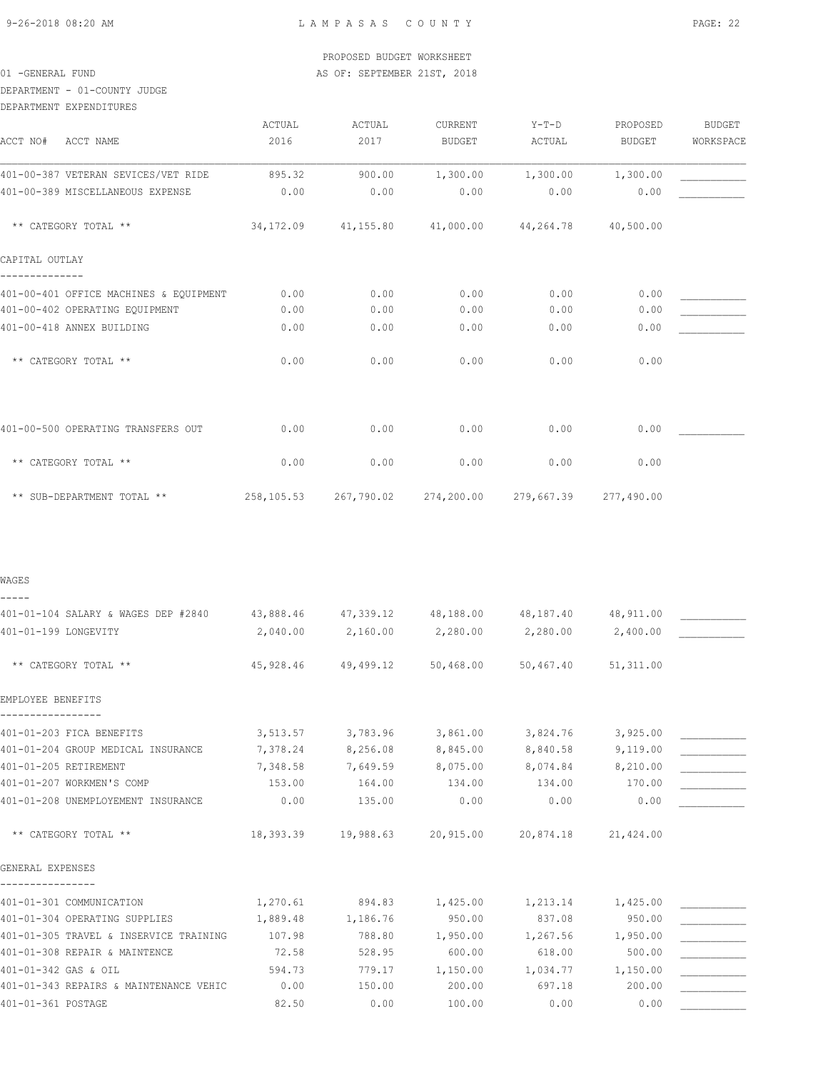WAGES

DEPARTMENT - 01-COUNTY JUDGE

| DEPARTMENT EXPENDITURES                |        |        |                                                        |          |          |               |
|----------------------------------------|--------|--------|--------------------------------------------------------|----------|----------|---------------|
|                                        | ACTUAL | ACTUAL | CURRENT                                                | $Y-T-D$  | PROPOSED | <b>BUDGET</b> |
| ACCT NO# ACCT NAME                     | 2016   | 2017   | BUDGET                                                 | ACTUAL   | BUDGET   | WORKSPACE     |
| 401-00-387 VETERAN SEVICES/VET RIDE    | 895.32 | 900.00 | 1,300.00                                               | 1,300.00 | 1,300.00 |               |
| 401-00-389 MISCELLANEOUS EXPENSE       | 0.00   | 0.00   | 0.00                                                   | 0.00     | 0.00     |               |
| ** CATEGORY TOTAL **                   |        |        | 34,172.09 41,155.80 41,000.00 44,264.78 40,500.00      |          |          |               |
| CAPITAL OUTLAY                         |        |        |                                                        |          |          |               |
| 401-00-401 OFFICE MACHINES & EQUIPMENT | 0.00   | 0.00   | 0.00                                                   | 0.00     | 0.00     |               |
| 401-00-402 OPERATING EQUIPMENT         | 0.00   | 0.00   | 0.00                                                   | 0.00     | 0.00     |               |
| 401-00-418 ANNEX BUILDING              | 0.00   | 0.00   | 0.00                                                   | 0.00     | 0.00     |               |
| ** CATEGORY TOTAL **                   | 0.00   | 0.00   | 0.00                                                   | 0.00     | 0.00     |               |
|                                        |        |        |                                                        |          |          |               |
| 401-00-500 OPERATING TRANSFERS OUT     | 0.00   | 0.00   | 0.00                                                   | 0.00     | 0.00     |               |
| ** CATEGORY TOTAL **                   | 0.00   | 0.00   | 0.00                                                   | 0.00     | 0.00     |               |
| ** SUB-DEPARTMENT TOTAL **             |        |        | 258,105.53 267,790.02 274,200.00 279,667.39 277,490.00 |          |          |               |
|                                        |        |        |                                                        |          |          |               |
|                                        |        |        |                                                        |          |          |               |

| 401-01-104 SALARY & WAGES DEP #2840    | 43,888.46 | 47,339.12 48,188.00                                         |                 | 48,187.40         | 48,911.00 |  |
|----------------------------------------|-----------|-------------------------------------------------------------|-----------------|-------------------|-----------|--|
| 401-01-199 LONGEVITY                   | 2,040.00  | 2,160.00                                                    | 2,280.00        | 2,280.00          | 2,400.00  |  |
|                                        |           |                                                             |                 |                   |           |  |
| ** CATEGORY TOTAL **                   |           | $45,928.46$ $49,499.12$ $50,468.00$ $50,467.40$ $51,311.00$ |                 |                   |           |  |
|                                        |           |                                                             |                 |                   |           |  |
| EMPLOYEE BENEFITS                      |           |                                                             |                 |                   |           |  |
| 401-01-203 FICA BENEFITS               |           | 3,513.57 3,783.96 3,861.00                                  |                 | 3,824.76          | 3,925.00  |  |
| 401-01-204 GROUP MEDICAL INSURANCE     | 7,378.24  | 8,256.08 8,845.00                                           |                 | 8,840.58          | 9,119.00  |  |
| 401-01-205 RETIREMENT                  | 7,348.58  | 7,649.59 8,075.00                                           |                 | 8,074.84          | 8,210.00  |  |
| 401-01-207 WORKMEN'S COMP              | 153.00    | 164.00                                                      | 134.00          | 134.00            | 170.00    |  |
| 401-01-208 UNEMPLOYEMENT INSURANCE     | 0.00      | 135.00                                                      | 0.00            | 0.00              | 0.00      |  |
|                                        |           |                                                             |                 |                   |           |  |
| ** CATEGORY TOTAL **                   |           | 18,393.39  19,988.63  20,915.00  20,874.18  21,424.00       |                 |                   |           |  |
| GENERAL EXPENSES                       |           |                                                             |                 |                   |           |  |
|                                        |           |                                                             |                 |                   |           |  |
| 401-01-301 COMMUNICATION               | 1,270.61  |                                                             | 894.83 1,425.00 | 1,213.14 1,425.00 |           |  |
| 401-01-304 OPERATING SUPPLIES          | 1,889.48  | 1,186.76                                                    | 950.00          | 837.08            | 950.00    |  |
| 401-01-305 TRAVEL & INSERVICE TRAINING | 107.98    | 788.80                                                      | 1,950.00        | 1,267.56          | 1,950.00  |  |
| 401-01-308 REPAIR & MAINTENCE          | 72.58     | 528.95                                                      | 600.00          | 618.00            | 500.00    |  |
| 401-01-342 GAS & OIL                   | 594.73    | 779.17                                                      | 1,150.00        | 1,034.77          | 1,150.00  |  |
| 401-01-343 REPAIRS & MAINTENANCE VEHIC | 0.00      | 150.00                                                      | 200.00          | 697.18            | 200.00    |  |
| 401-01-361 POSTAGE                     | 82.50     | 0.00                                                        | 100.00          | 0.00              | 0.00      |  |
|                                        |           |                                                             |                 |                   |           |  |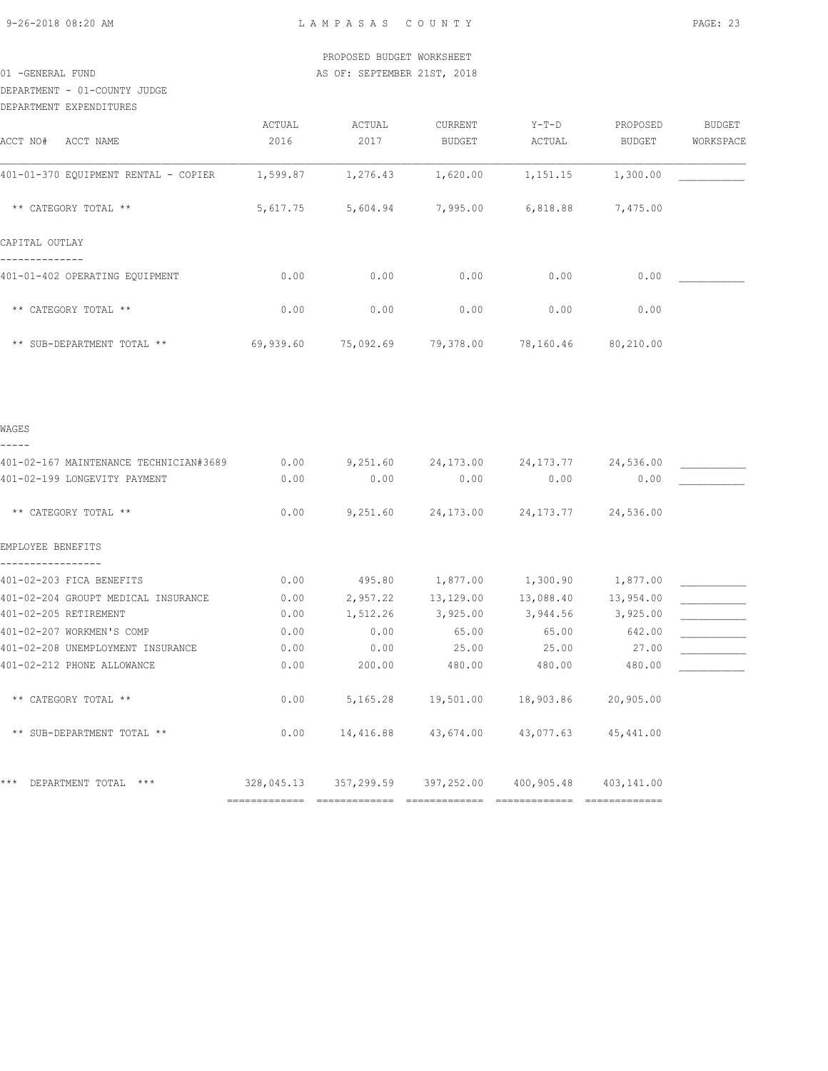DEPARTMENT - 01-COUNTY JUDGE

| DEPARTMENT EXPENDITURES                |                |                |                          |                                        |                    |                            |
|----------------------------------------|----------------|----------------|--------------------------|----------------------------------------|--------------------|----------------------------|
| ACCT NO# ACCT NAME                     | ACTUAL<br>2016 | ACTUAL<br>2017 | CURRENT<br><b>BUDGET</b> | $Y-T-D$<br>ACTUAL                      | PROPOSED<br>BUDGET | <b>BUDGET</b><br>WORKSPACE |
| 401-01-370 EQUIPMENT RENTAL - COPIER   | 1,599.87       | 1,276.43       | 1,620.00                 | 1,151.15                               | 1,300.00           |                            |
| ** CATEGORY TOTAL **                   | 5,617.75       | 5,604.94       | 7,995.00                 | 6,818.88                               | 7,475.00           |                            |
| CAPITAL OUTLAY                         |                |                |                          |                                        |                    |                            |
| 401-01-402 OPERATING EOUIPMENT         | 0.00           | 0.00           | 0.00                     | 0.00                                   | 0.00               |                            |
| ** CATEGORY TOTAL **                   | 0.00           | 0.00           | 0.00                     | 0.00                                   | 0.00               |                            |
| ** SUB-DEPARTMENT TOTAL **             | 69,939.60      |                | 75,092.69 79,378.00      | 78,160.46 80,210.00                    |                    |                            |
|                                        |                |                |                          |                                        |                    |                            |
| WAGES<br>-----                         |                |                |                          |                                        |                    |                            |
| 401-02-167 MAINTENANCE TECHNICIAN#3689 | 0.00           |                | $9,251.60$ 24,173.00     | 24, 173. 77 24, 536. 00                |                    |                            |
| 401-02-199 LONGEVITY PAYMENT           | 0.00           | 0.00           | 0.00                     | 0.00                                   | 0.00               |                            |
| ** CATEGORY TOTAL **                   | 0.00           |                |                          | 9,251.60 24,173.00 24,173.77 24,536.00 |                    |                            |
|                                        |                |                |                          |                                        |                    |                            |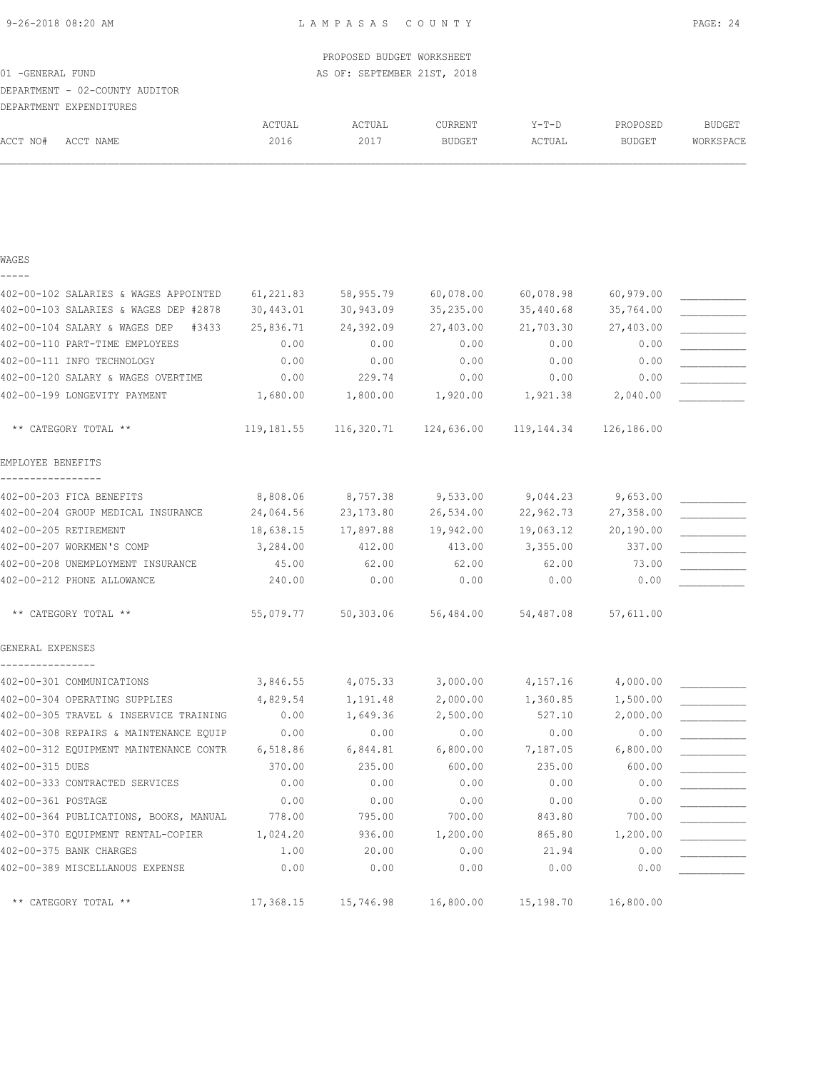|                                      |                                        |            | PROPOSED BUDGET WORKSHEET   |               |            |               |               |
|--------------------------------------|----------------------------------------|------------|-----------------------------|---------------|------------|---------------|---------------|
| 01 - GENERAL FUND                    |                                        |            | AS OF: SEPTEMBER 21ST, 2018 |               |            |               |               |
|                                      | DEPARTMENT - 02-COUNTY AUDITOR         |            |                             |               |            |               |               |
| DEPARTMENT EXPENDITURES              |                                        |            |                             |               |            |               |               |
|                                      |                                        | ACTUAL     | ACTUAL                      | CURRENT       | Y-T-D      | PROPOSED      | <b>BUDGET</b> |
| ACCT NO#                             | ACCT NAME                              | 2016       | 2017                        | <b>BUDGET</b> | ACTUAL     | <b>BUDGET</b> | WORKSPACE     |
|                                      |                                        |            |                             |               |            |               |               |
| WAGES                                |                                        |            |                             |               |            |               |               |
|                                      | 402-00-102 SALARIES & WAGES APPOINTED  | 61,221.83  | 58,955.79                   | 60,078.00     | 60,078.98  | 60,979.00     |               |
|                                      | 402-00-103 SALARIES & WAGES DEP #2878  | 30,443.01  | 30,943.09                   | 35,235.00     | 35,440.68  | 35,764.00     |               |
|                                      | 402-00-104 SALARY & WAGES DEP<br>#3433 | 25,836.71  | 24,392.09                   | 27,403.00     | 21,703.30  | 27,403.00     |               |
|                                      | 402-00-110 PART-TIME EMPLOYEES         | 0.00       | 0.00                        | 0.00          | 0.00       | 0.00          |               |
|                                      | 402-00-111 INFO TECHNOLOGY             | 0.00       | 0.00                        | 0.00          | 0.00       | 0.00          |               |
|                                      | 402-00-120 SALARY & WAGES OVERTIME     | 0.00       | 229.74                      | 0.00          | 0.00       | 0.00          |               |
|                                      | 402-00-199 LONGEVITY PAYMENT           | 1,680.00   | 1,800.00                    | 1,920.00      | 1,921.38   | 2,040.00      |               |
|                                      | ** CATEGORY TOTAL **                   | 119,181.55 | 116,320.71                  | 124,636.00    | 119,144.34 | 126,186.00    |               |
| EMPLOYEE BENEFITS                    |                                        |            |                             |               |            |               |               |
|                                      | 402-00-203 FICA BENEFITS               | 8,808.06   | 8,757.38                    | 9,533.00      | 9,044.23   | 9,653.00      |               |
|                                      | 402-00-204 GROUP MEDICAL INSURANCE     | 24,064.56  | 23,173.80                   | 26,534.00     | 22,962.73  | 27,358.00     |               |
| 402-00-205 RETIREMENT                |                                        | 18,638.15  | 17,897.88                   | 19,942.00     | 19,063.12  | 20,190.00     |               |
|                                      | 402-00-207 WORKMEN'S COMP              | 3,284.00   | 412.00                      | 413.00        | 3,355.00   | 337.00        |               |
|                                      | 402-00-208 UNEMPLOYMENT INSURANCE      | 45.00      | 62.00                       | 62.00         | 62.00      | 73.00         |               |
|                                      | 402-00-212 PHONE ALLOWANCE             | 240.00     | 0.00                        | 0.00          | 0.00       | 0.00          |               |
|                                      | ** CATEGORY TOTAL **                   | 55,079.77  | 50,303.06                   | 56,484.00     | 54,487.08  | 57,611.00     |               |
| GENERAL EXPENSES<br>---------------- |                                        |            |                             |               |            |               |               |
|                                      | 402-00-301 COMMUNICATIONS              | 3,846.55   | 4,075.33                    | 3,000.00      | 4,157.16   | 4,000.00      |               |
|                                      | 402-00-304 OPERATING SUPPLIES          | 4,829.54   | 1,191.48                    | 2,000.00      | 1,360.85   | 1,500.00      |               |
|                                      | 402-00-305 TRAVEL & INSERVICE TRAINING | 0.00       | 1,649.36                    | 2,500.00      | 527.10     | 2,000.00      |               |
|                                      | 402-00-308 REPAIRS & MAINTENANCE EQUIP | 0.00       | 0.00                        | 0.00          | 0.00       | 0.00          |               |
|                                      | 402-00-312 EQUIPMENT MAINTENANCE CONTR | 6,518.86   | 6,844.81                    | 6,800.00      | 7,187.05   | 6,800.00      |               |
| 402-00-315 DUES                      |                                        | 370.00     | 235.00                      | 600.00        | 235.00     | 600.00        |               |
|                                      | 402-00-333 CONTRACTED SERVICES         | 0.00       | 0.00                        | 0.00          | 0.00       | 0.00          |               |
| 402-00-361 POSTAGE                   |                                        | 0.00       | 0.00                        | 0.00          | 0.00       | 0.00          |               |
|                                      | 402-00-364 PUBLICATIONS, BOOKS, MANUAL | 778.00     | 795.00                      | 700.00        | 843.80     | 700.00        |               |
|                                      | 402-00-370 EQUIPMENT RENTAL-COPIER     | 1,024.20   | 936.00                      | 1,200.00      | 865.80     | 1,200.00      |               |
| 402-00-375 BANK CHARGES              |                                        | 1.00       | 20.00                       | 0.00          | 21.94      | 0.00          |               |
|                                      | 402-00-389 MISCELLANOUS EXPENSE        | 0.00       | 0.00                        | 0.00          | 0.00       | 0.00          |               |

\*\* CATEGORY TOTAL \*\* <br>17,368.15 15,746.98 16,800.00 15,198.70 16,800.00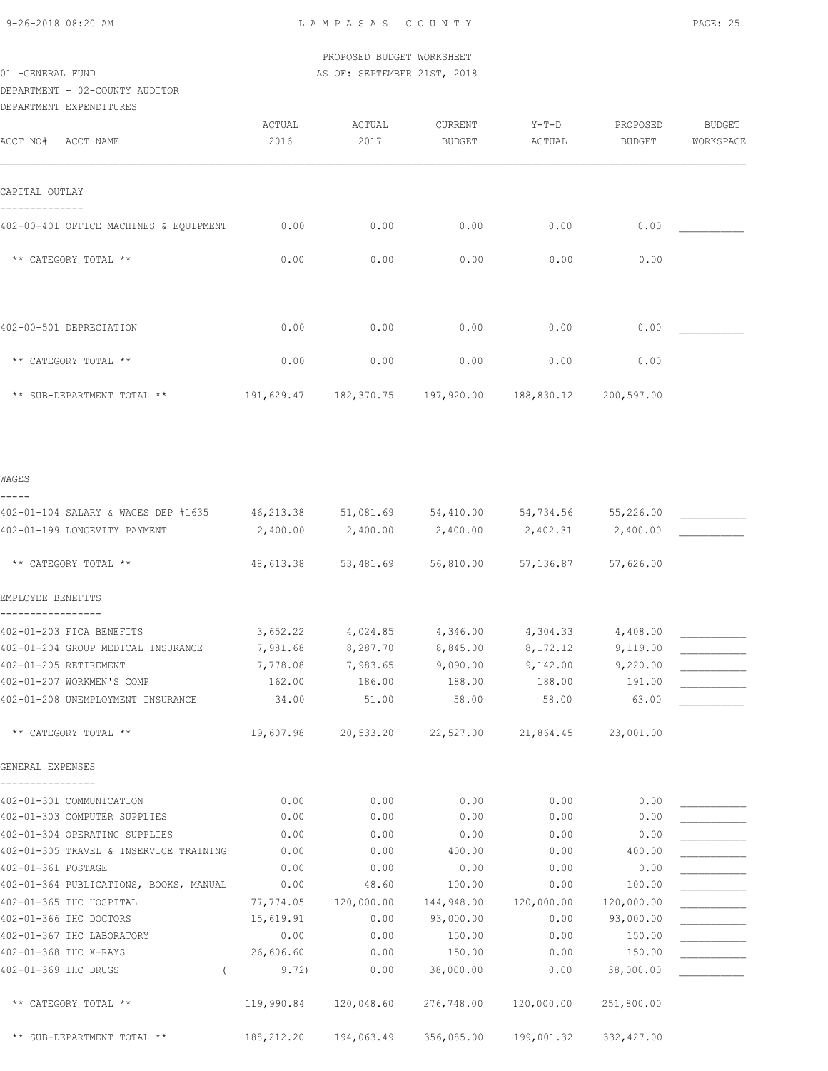9-26-2018 08:20 AM L A M P A S A S C O U N T Y PAGE: 25

|                  | PROPOSED BUDGET WORKSHEET   |  |
|------------------|-----------------------------|--|
| 01 -GENERAL FUND | AS OF: SEPTEMBER 21ST, 2018 |  |

# DEPARTMENT - 02-COUNTY AUDITOR

| DEPARTMENT - 02-COUNTY AUDITOR               |                |                                                   |                          |                   |                           |                            |
|----------------------------------------------|----------------|---------------------------------------------------|--------------------------|-------------------|---------------------------|----------------------------|
| DEPARTMENT EXPENDITURES                      |                |                                                   |                          |                   |                           |                            |
| ACCT NO#<br>ACCT NAME                        | ACTUAL<br>2016 | ACTUAL<br>2017                                    | CURRENT<br><b>BUDGET</b> | $Y-T-D$<br>ACTUAL | PROPOSED<br><b>BUDGET</b> | <b>BUDGET</b><br>WORKSPACE |
| CAPITAL OUTLAY                               |                |                                                   |                          |                   |                           |                            |
| 402-00-401 OFFICE MACHINES & EQUIPMENT       | 0.00           | 0.00                                              | 0.00                     | 0.00              | 0.00                      |                            |
| ** CATEGORY TOTAL **                         | 0.00           | 0.00                                              | 0.00                     | 0.00              | 0.00                      |                            |
| 402-00-501 DEPRECIATION                      | 0.00           | 0.00                                              | 0.00                     | 0.00              | 0.00                      |                            |
| ** CATEGORY TOTAL **                         | 0.00           | 0.00                                              | 0.00                     | 0.00              | 0.00                      |                            |
| ** SUB-DEPARTMENT TOTAL **                   |                | 191,629.47 182,370.75                             | 197,920.00               | 188,830.12        | 200,597.00                |                            |
| WAGES                                        |                |                                                   |                          |                   |                           |                            |
| -----<br>402-01-104 SALARY & WAGES DEP #1635 |                | 46,213.38 51,081.69 54,410.00 54,734.56 55,226.00 |                          |                   |                           |                            |
| 402-01-199 LONGEVITY PAYMENT                 | 2,400.00       | 2,400.00                                          | 2,400.00                 | 2,402.31          | 2,400.00                  |                            |
| ** CATEGORY TOTAL **                         | 48,613.38      | 53,481.69                                         | 56,810.00                | 57,136.87         | 57,626.00                 |                            |
| EMPLOYEE BENEFITS                            |                |                                                   |                          |                   |                           |                            |
| 402-01-203 FICA BENEFITS                     | 3,652.22       | 4,024.85                                          | 4,346.00                 | 4,304.33          | 4,408.00                  |                            |
| 402-01-204 GROUP MEDICAL INSURANCE           | 7,981.68       | 8,287.70                                          | 8,845.00                 | 8,172.12          | 9,119.00                  |                            |
| 402-01-205 RETIREMENT                        | 7,778.08       | 7,983.65                                          | 9,090.00                 | 9,142.00          | 9,220.00                  |                            |
| 402-01-207 WORKMEN'S COMP                    | 162.00         | 186.00                                            | 188.00                   | 188.00            | 191.00                    |                            |
| 402-01-208 UNEMPLOYMENT INSURANCE            | 34.00          | 51.00                                             | 58.00                    | 58.00             | 63.00                     |                            |
| ** CATEGORY TOTAL **                         | 19,607.98      |                                                   | 20,533.20 22,527.00      | 21,864.45         | 23,001.00                 |                            |
| GENERAL EXPENSES                             |                |                                                   |                          |                   |                           |                            |
| 402-01-301 COMMUNICATION                     | 0.00           | 0.00                                              | 0.00                     | 0.00              | 0.00                      |                            |
| 402-01-303 COMPUTER SUPPLIES                 | 0.00           | 0.00                                              | 0.00                     | 0.00              | 0.00                      |                            |
| 402-01-304 OPERATING SUPPLIES                | 0.00           | 0.00                                              | 0.00                     | 0.00              | 0.00                      |                            |
| 402-01-305 TRAVEL & INSERVICE TRAINING       | 0.00           | 0.00                                              | 400.00                   | 0.00              | 400.00                    |                            |
| 402-01-361 POSTAGE                           | 0.00           | 0.00                                              | 0.00                     | 0.00              | 0.00                      |                            |
| 402-01-364 PUBLICATIONS, BOOKS, MANUAL       | 0.00           | 48.60                                             | 100.00                   | 0.00              | 100.00                    |                            |

| Huztuitjui kujinge                     | v.vv       | v.vv       | . v v      | v.vv       | $\vee$ . $\vee\vee$ |  |
|----------------------------------------|------------|------------|------------|------------|---------------------|--|
| 402-01-364 PUBLICATIONS, BOOKS, MANUAL | 0.00       | 48.60      | 100.00     | 0.00       | 100.00              |  |
| 402-01-365 IHC HOSPITAL                | 77,774.05  | 120,000.00 | 144,948.00 | 120,000.00 | 120,000.00          |  |
| 402-01-366 IHC DOCTORS                 | 15,619.91  | 0.00       | 93,000.00  | 0.00       | 93,000.00           |  |
| 402-01-367 IHC LABORATORY              | 0.00       | 0.00       | 150.00     | 0.00       | 150.00              |  |
| 402-01-368 IHC X-RAYS                  | 26,606.60  | 0.00       | 150.00     | 0.00       | 150.00              |  |
| 402-01-369 IHC DRUGS                   | 9.72)      | 0.00       | 38,000.00  | 0.00       | 38,000.00           |  |
| ** CATEGORY TOTAL **                   | 119,990.84 | 120,048.60 | 276,748.00 | 120,000.00 | 251,800.00          |  |
| ** SUB-DEPARTMENT TOTAL **             | 188,212.20 | 194,063.49 | 356,085.00 | 199,001.32 | 332,427.00          |  |
|                                        |            |            |            |            |                     |  |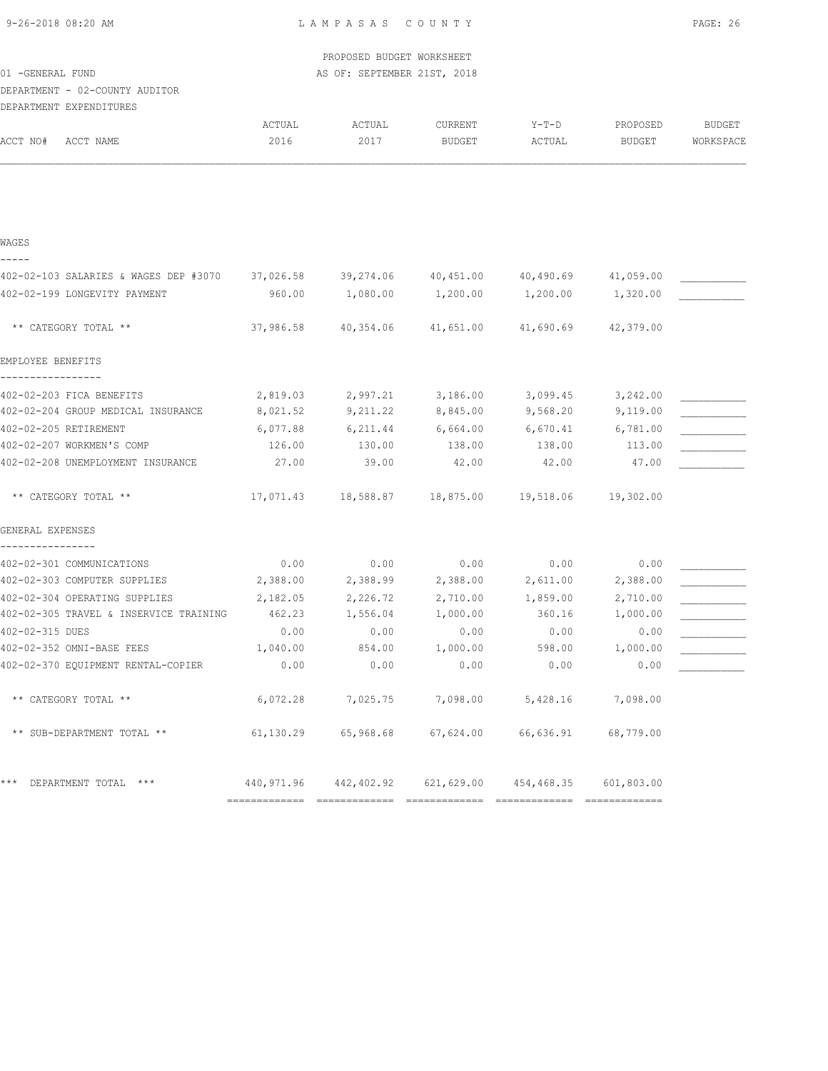|  | 9-26-2018 08:20 AM |  |
|--|--------------------|--|
|  |                    |  |

|                                        |           | PROPOSED BUDGET WORKSHEET   |                                                |           |            |               |
|----------------------------------------|-----------|-----------------------------|------------------------------------------------|-----------|------------|---------------|
| 01 -GENERAL FUND                       |           | AS OF: SEPTEMBER 21ST, 2018 |                                                |           |            |               |
| DEPARTMENT - 02-COUNTY AUDITOR         |           |                             |                                                |           |            |               |
| DEPARTMENT EXPENDITURES                |           |                             |                                                |           |            |               |
|                                        | ACTUAL    | ACTUAL                      | CURRENT                                        | $Y-T-D$   | PROPOSED   | <b>BUDGET</b> |
| ACCT NO#<br>ACCT NAME                  | 2016      | 2017                        | <b>BUDGET</b>                                  | ACTUAL    | BUDGET     | WORKSPACE     |
|                                        |           |                             |                                                |           |            |               |
|                                        |           |                             |                                                |           |            |               |
|                                        |           |                             |                                                |           |            |               |
| WAGES                                  |           |                             |                                                |           |            |               |
| 402-02-103 SALARIES & WAGES DEP #3070  | 37,026.58 | 39,274.06                   | 40,451.00                                      | 40,490.69 | 41,059.00  |               |
| 402-02-199 LONGEVITY PAYMENT           | 960.00    | 1,080.00                    | 1,200.00                                       | 1,200.00  | 1,320.00   |               |
|                                        |           |                             |                                                |           |            |               |
| ** CATEGORY TOTAL **                   | 37,986.58 | 40,354.06                   | 41,651.00                                      | 41,690.69 | 42,379.00  |               |
|                                        |           |                             |                                                |           |            |               |
| EMPLOYEE BENEFITS                      |           |                             |                                                |           |            |               |
| 402-02-203 FICA BENEFITS               | 2,819.03  | 2,997.21                    | 3,186.00                                       | 3,099.45  | 3,242.00   |               |
| 402-02-204 GROUP MEDICAL INSURANCE     | 8,021.52  | 9,211.22                    | 8,845.00                                       | 9,568.20  | 9,119.00   |               |
| 402-02-205 RETIREMENT                  | 6,077.88  | 6,211.44                    | 6,664.00                                       | 6,670.41  | 6,781.00   |               |
| 402-02-207 WORKMEN'S COMP              | 126.00    | 130.00                      | 138.00                                         | 138.00    | 113.00     |               |
| 402-02-208 UNEMPLOYMENT INSURANCE      | 27.00     | 39.00                       | 42.00                                          | 42.00     | 47.00      |               |
| ** CATEGORY TOTAL **                   | 17,071.43 | 18,588.87                   | 18,875.00                                      | 19,518.06 | 19,302.00  |               |
| GENERAL EXPENSES                       |           |                             |                                                |           |            |               |
| 402-02-301 COMMUNICATIONS              | 0.00      | 0.00                        | 0.00                                           | 0.00      | 0.00       |               |
| 402-02-303 COMPUTER SUPPLIES           | 2,388.00  | 2,388.99                    | 2,388.00                                       | 2,611.00  | 2,388.00   |               |
| 402-02-304 OPERATING SUPPLIES          | 2,182.05  | 2,226.72                    | 2,710.00                                       | 1,859.00  | 2,710.00   |               |
| 402-02-305 TRAVEL & INSERVICE TRAINING | 462.23    | 1,556.04                    | 1,000.00                                       | 360.16    | 1,000.00   |               |
| 402-02-315 DUES                        | 0.00      | 0.00                        | 0.00                                           | 0.00      | 0.00       |               |
| 402-02-352 OMNI-BASE FEES              | 1,040.00  | 854.00                      | 1,000.00                                       | 598.00    | 1,000.00   |               |
| 402-02-370 EQUIPMENT RENTAL-COPIER     | 0.00      | 0.00                        | 0.00                                           | 0.00      | 0.00       |               |
| ** CATEGORY TOTAL **                   | 6,072.28  | 7,025.75                    | 7,098.00                                       | 5,428.16  | 7,098.00   |               |
| ** SUB-DEPARTMENT TOTAL **             | 61,130.29 | 65,968.68                   | 67,624.00                                      | 66,636.91 | 68,779.00  |               |
| *** DEPARTMENT TOTAL ***               |           |                             | 440,971.96  442,402.92  621,629.00  454,468.35 |           | 601,803.00 |               |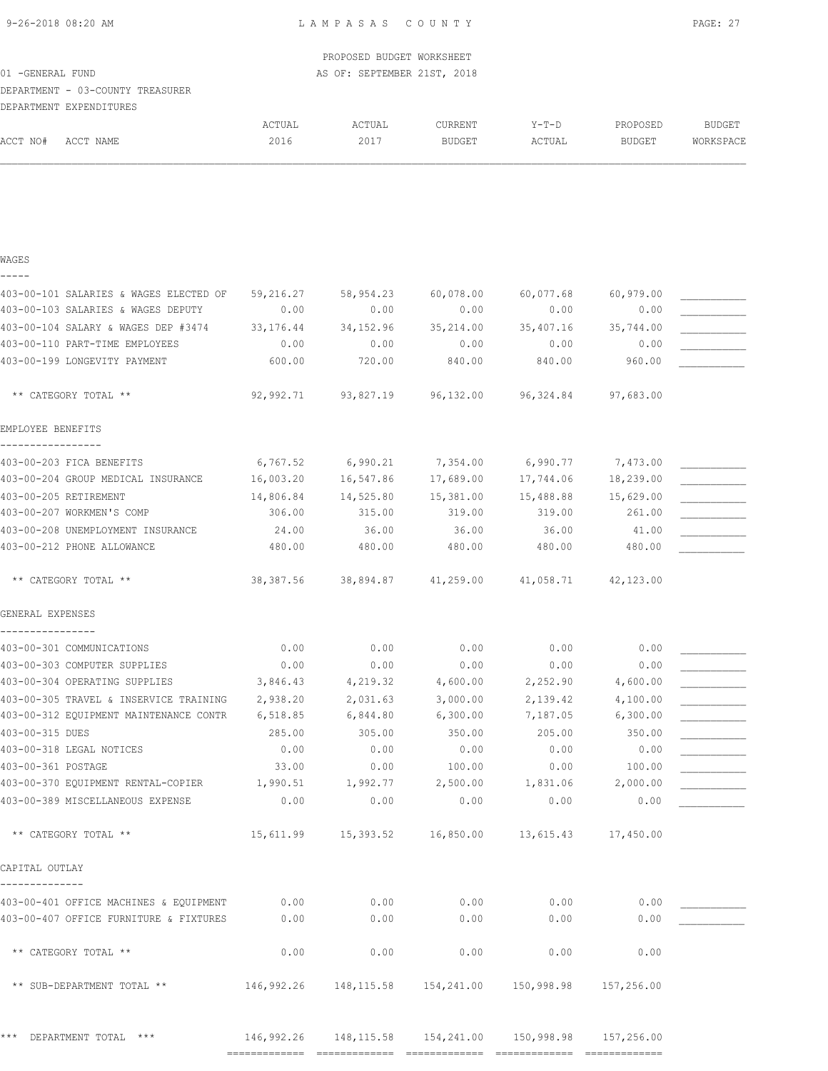PROPOSED BUDGET WORKSHEET

| 01 - GENERAL FUND                               |                | AS OF: SEPTEMBER 21ST, 2018 |                                                            |                 |                           |                            |
|-------------------------------------------------|----------------|-----------------------------|------------------------------------------------------------|-----------------|---------------------------|----------------------------|
| DEPARTMENT - 03-COUNTY TREASURER                |                |                             |                                                            |                 |                           |                            |
| DEPARTMENT EXPENDITURES                         |                |                             |                                                            |                 |                           |                            |
| ACCT NO#<br>ACCT NAME                           | ACTUAL<br>2016 | ACTUAL<br>2017              | <b>CURRENT</b><br><b>BUDGET</b>                            | Y-T-D<br>ACTUAL | PROPOSED<br><b>BUDGET</b> | <b>BUDGET</b><br>WORKSPACE |
|                                                 |                |                             |                                                            |                 |                           |                            |
| WAGES<br>-----                                  |                |                             |                                                            |                 |                           |                            |
| 403-00-101 SALARIES & WAGES ELECTED OF          | 59,216.27      | 58,954.23                   | 60,078.00                                                  | 60,077.68       | 60,979.00                 |                            |
| 403-00-103 SALARIES & WAGES DEPUTY              | 0.00           | 0.00                        | 0.00                                                       | 0.00            | 0.00                      |                            |
| 403-00-104 SALARY & WAGES DEP #3474             | 33, 176. 44    | 34, 152.96                  | 35,214.00                                                  | 35,407.16       | 35,744.00                 |                            |
| 403-00-110 PART-TIME EMPLOYEES                  | 0.00           | 0.00                        | 0.00                                                       | 0.00            | 0.00                      |                            |
| 403-00-199 LONGEVITY PAYMENT                    | 600.00         | 720.00                      | 840.00                                                     | 840.00          | 960.00                    |                            |
| ** CATEGORY TOTAL **                            | 92,992.71      | 93,827.19                   | 96,132.00                                                  | 96,324.84       | 97,683.00                 |                            |
| EMPLOYEE BENEFITS                               |                |                             |                                                            |                 |                           |                            |
| 403-00-203 FICA BENEFITS                        | 6,767.52       | 6,990.21                    | 7,354.00                                                   | 6,990.77        | 7,473.00                  |                            |
| 403-00-204 GROUP MEDICAL INSURANCE              | 16,003.20      | 16,547.86                   | 17,689.00                                                  | 17,744.06       | 18,239.00                 |                            |
| 403-00-205 RETIREMENT                           | 14,806.84      | 14,525.80                   | 15,381.00                                                  | 15,488.88       | 15,629.00                 |                            |
| 403-00-207 WORKMEN'S COMP                       | 306.00         | 315.00                      | 319.00                                                     | 319.00          | 261.00                    |                            |
| 403-00-208 UNEMPLOYMENT INSURANCE               | 24.00          | 36.00                       | 36.00                                                      | 36.00           | 41.00                     |                            |
| 403-00-212 PHONE ALLOWANCE                      | 480.00         | 480.00                      | 480.00                                                     | 480.00          | 480.00                    |                            |
| ** CATEGORY TOTAL **                            | 38,387.56      | 38,894.87 41,259.00         |                                                            | 41,058.71       | 42,123.00                 |                            |
| GENERAL EXPENSES                                |                |                             |                                                            |                 |                           |                            |
| 403-00-301 COMMUNICATIONS                       | 0.00           | 0.00                        | 0.00                                                       | 0.00            | 0.00                      |                            |
| 403-00-303 COMPUTER SUPPLIES                    | 0.00           | 0.00                        | 0.00                                                       | 0.00            | 0.00                      |                            |
| 403-00-304 OPERATING SUPPLIES                   | 3,846.43       | 4,219.32                    | 4,600.00                                                   | 2,252.90        | 4,600.00                  |                            |
| 403-00-305 TRAVEL & INSERVICE TRAINING          | 2,938.20       | 2,031.63                    | 3,000.00                                                   | 2,139.42        | 4,100.00                  |                            |
| 403-00-312 EQUIPMENT MAINTENANCE CONTR 6,518.85 |                | 6,844.80                    | 6,300.00                                                   | 7,187.05        | 6,300.00                  |                            |
| 403-00-315 DUES                                 | 285.00         | 305.00                      | 350.00                                                     | 205.00          | 350.00                    |                            |
| 403-00-318 LEGAL NOTICES                        | 0.00           | 0.00                        | 0.00                                                       | 0.00            | 0.00                      |                            |
| 403-00-361 POSTAGE                              | 33.00          | 0.00                        | 100.00                                                     | 0.00            | 100.00                    |                            |
| 403-00-370 EQUIPMENT RENTAL-COPIER              | 1,990.51       | 1,992.77                    | 2,500.00                                                   | 1,831.06        | 2,000.00                  |                            |
| 403-00-389 MISCELLANEOUS EXPENSE                | 0.00           | 0.00                        | 0.00                                                       | 0.00            | 0.00                      |                            |
| ** CATEGORY TOTAL **                            |                |                             | 15,611.99  15,393.52  16,850.00                            | 13,615.43       | 17,450.00                 |                            |
| CAPITAL OUTLAY                                  |                |                             |                                                            |                 |                           |                            |
| 403-00-401 OFFICE MACHINES & EQUIPMENT          | 0.00           | 0.00                        | 0.00                                                       | 0.00            | 0.00                      |                            |
| 403-00-407 OFFICE FURNITURE & FIXTURES          | 0.00           | 0.00                        | 0.00                                                       | 0.00            | 0.00                      |                            |
| ** CATEGORY TOTAL **                            | 0.00           | 0.00                        | 0.00                                                       | 0.00            | 0.00                      |                            |
| ** SUB-DEPARTMENT TOTAL **                      |                |                             | 146,992.26  148,115.58  154,241.00  150,998.98             |                 | 157,256.00                |                            |
| *** DEPARTMENT TOTAL ***                        |                |                             | 146,992.26  148,115.58  154,241.00  150,998.98  157,256.00 |                 |                           |                            |
|                                                 |                |                             |                                                            |                 |                           |                            |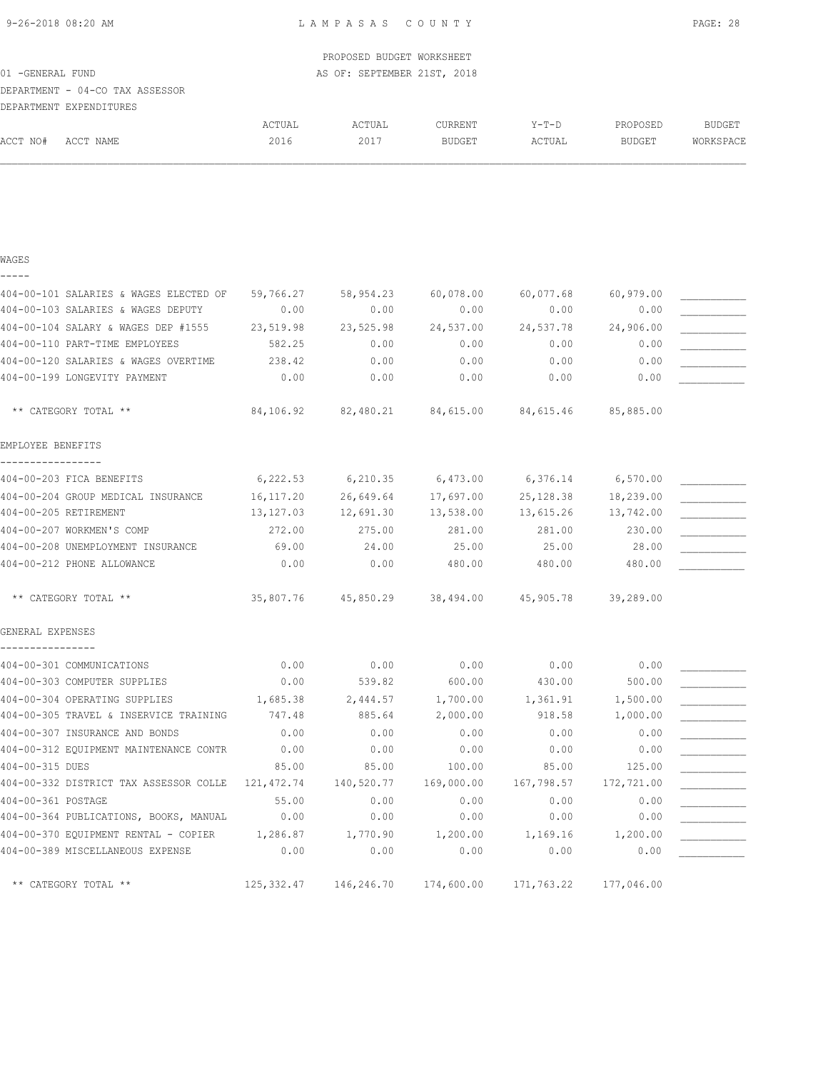|  | 9-26-2018 08:20 AM |  |
|--|--------------------|--|
|  |                    |  |

|                                        |             | PROPOSED BUDGET WORKSHEET                              |            |            |               |           |
|----------------------------------------|-------------|--------------------------------------------------------|------------|------------|---------------|-----------|
| 01 - GENERAL FUND                      |             | AS OF: SEPTEMBER 21ST, 2018                            |            |            |               |           |
| DEPARTMENT - 04-CO TAX ASSESSOR        |             |                                                        |            |            |               |           |
| DEPARTMENT EXPENDITURES                |             |                                                        |            |            |               |           |
|                                        | ACTUAL      | ACTUAL                                                 | CURRENT    | Y-T-D      | PROPOSED      | BUDGET    |
| ACCT NO#<br>ACCT NAME                  | 2016        | 2017                                                   | BUDGET     | ACTUAL     | <b>BUDGET</b> | WORKSPACE |
|                                        |             |                                                        |            |            |               |           |
| WAGES                                  |             |                                                        |            |            |               |           |
| 404-00-101 SALARIES & WAGES ELECTED OF | 59,766.27   | 58,954.23                                              | 60,078.00  | 60,077.68  | 60,979.00     |           |
| 404-00-103 SALARIES & WAGES DEPUTY     | 0.00        | 0.00                                                   | 0.00       | 0.00       | 0.00          |           |
| 404-00-104 SALARY & WAGES DEP #1555    | 23,519.98   | 23,525.98                                              | 24,537.00  | 24,537.78  | 24,906.00     |           |
| 404-00-110 PART-TIME EMPLOYEES         | 582.25      | 0.00                                                   | 0.00       | 0.00       | 0.00          |           |
| 404-00-120 SALARIES & WAGES OVERTIME   | 238.42      | 0.00                                                   | 0.00       | 0.00       | 0.00          |           |
| 404-00-199 LONGEVITY PAYMENT           | 0.00        | 0.00                                                   | 0.00       | 0.00       | 0.00          |           |
| ** CATEGORY TOTAL **                   |             | 84,106.92  82,480.21  84,615.00  84,615.46  85,885.00  |            |            |               |           |
| EMPLOYEE BENEFITS                      |             |                                                        |            |            |               |           |
| 404-00-203 FICA BENEFITS               |             | $6,222.53$ $6,210.35$ $6,473.00$ $6,376.14$ $6,570.00$ |            |            |               |           |
| 404-00-204 GROUP MEDICAL INSURANCE     | 16, 117.20  | 26,649.64                                              | 17,697.00  | 25,128.38  | 18,239.00     |           |
| 404-00-205 RETIREMENT                  | 13,127.03   | 12,691.30                                              | 13,538.00  | 13,615.26  | 13,742.00     |           |
| 404-00-207 WORKMEN'S COMP              | 272.00      | 275.00                                                 | 281.00     | 281.00     | 230.00        |           |
| 404-00-208 UNEMPLOYMENT INSURANCE      | 69.00       | 24.00                                                  | 25.00      | 25.00      | 28.00         |           |
| 404-00-212 PHONE ALLOWANCE             | 0.00        | 0.00                                                   | 480.00     | 480.00     | 480.00        |           |
| ** CATEGORY TOTAL **                   |             | 35,807.76 45,850.29 38,494.00 45,905.78 39,289.00      |            |            |               |           |
| GENERAL EXPENSES                       |             |                                                        |            |            |               |           |
| 404-00-301 COMMUNICATIONS              | 0.00        | 0.00                                                   | 0.00       | 0.00       | 0.00          |           |
| 404-00-303 COMPUTER SUPPLIES           | 0.00        | 539.82                                                 | 600.00     | 430.00     | 500.00        |           |
| 404-00-304 OPERATING SUPPLIES          | 1,685.38    | 2,444.57                                               | 1,700.00   | 1,361.91   | 1,500.00      |           |
| 404-00-305 TRAVEL & INSERVICE TRAINING | 747.48      | 885.64                                                 | 2,000.00   | 918.58     | 1,000.00      |           |
| 404-00-307 INSURANCE AND BONDS         | 0.00        | 0.00                                                   | 0.00       | 0.00       | 0.00          |           |
| 404-00-312 EQUIPMENT MAINTENANCE CONTR | 0.00        | 0.00                                                   | 0.00       | 0.00       | 0.00          |           |
| 404-00-315 DUES                        | 85.00       | 85.00                                                  | 100.00     | 85.00      | 125.00        |           |
| 404-00-332 DISTRICT TAX ASSESSOR COLLE | 121, 472.74 | 140,520.77                                             | 169,000.00 | 167,798.57 | 172,721.00    |           |
| 404-00-361 POSTAGE                     | 55.00       | 0.00                                                   | 0.00       | 0.00       | 0.00          |           |
| 404-00-364 PUBLICATIONS, BOOKS, MANUAL | 0.00        | 0.00                                                   | 0.00       | 0.00       | 0.00          |           |
| 404-00-370 EQUIPMENT RENTAL - COPIER   | 1,286.87    | 1,770.90                                               | 1,200.00   | 1,169.16   | 1,200.00      |           |
| 404-00-389 MISCELLANEOUS EXPENSE       | 0.00        | 0.00                                                   | 0.00       | 0.00       | 0.00          |           |
| ** CATEGORY TOTAL **                   | 125,332.47  | 146,246.70                                             | 174,600.00 | 171,763.22 | 177,046.00    |           |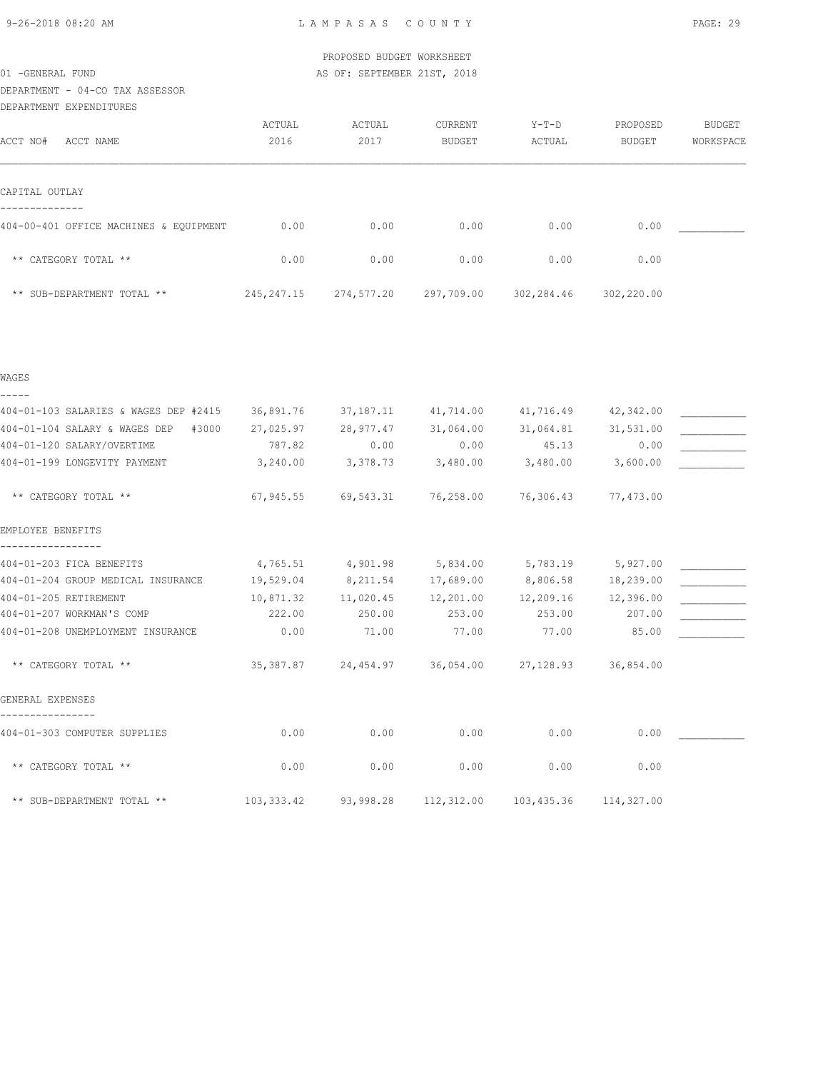DEPARTMENT - 04-CO TAX ASSESSOR

| DEPARTMENT EXPENDITURES                |              |            |               |            |               |           |
|----------------------------------------|--------------|------------|---------------|------------|---------------|-----------|
|                                        | ACTUAL       | ACTUAL     | CURRENT       | Y-T-D      | PROPOSED      | BUDGET    |
| ACCT NO#<br>ACCT NAME                  | 2016         | 2017       | <b>BUDGET</b> | ACTUAL     | <b>BUDGET</b> | WORKSPACE |
| CAPITAL OUTLAY                         |              |            |               |            |               |           |
|                                        |              |            |               |            |               |           |
| 404-00-401 OFFICE MACHINES & EQUIPMENT | 0.00         | 0.00       | 0.00          | 0.00       | 0.00          |           |
| ** CATEGORY TOTAL **                   | 0.00         | 0.00       | 0.00          | 0.00       | 0.00          |           |
| ** SUB-DEPARTMENT TOTAL **             | 245, 247. 15 | 274,577.20 | 297,709.00    | 302,284.46 | 302,220.00    |           |

| WAGES                                          |             |                            |                               |                                         |                     |  |
|------------------------------------------------|-------------|----------------------------|-------------------------------|-----------------------------------------|---------------------|--|
| -----<br>404-01-103 SALARIES & WAGES DEP #2415 | 36,891.76   |                            | 37,187.11 41,714.00           |                                         | 41,716.49 42,342.00 |  |
| 404-01-104 SALARY & WAGES DEP<br>#3000         | 27,025.97   | 28,977.47                  | 31,064.00                     | 31,064.81                               | 31,531.00           |  |
| 404-01-120 SALARY/OVERTIME                     | 787.82      | 0.00                       | 0.00                          | 45.13                                   | 0.00                |  |
| 404-01-199 LONGEVITY PAYMENT                   | 3,240.00    | 3,378.73                   | 3,480.00                      | 3,480.00                                | 3,600.00            |  |
| ** CATEGORY TOTAL **                           |             |                            | 67,945.55 69,543.31 76,258.00 | 76,306.43                               | 77,473.00           |  |
| EMPLOYEE BENEFITS                              |             |                            |                               |                                         |                     |  |
| 404-01-203 FICA BENEFITS                       |             | 4,765.51 4,901.98 5,834.00 |                               | 5,783.19                                | 5,927.00            |  |
| 404-01-204 GROUP MEDICAL INSURANCE             | 19,529.04   | 8,211.54 17,689.00         |                               | 8,806.58 18,239.00                      |                     |  |
| 404-01-205 RETIREMENT                          | 10,871.32   | 11,020.45                  | 12,201.00                     |                                         | 12,209.16 12,396.00 |  |
| 404-01-207 WORKMAN'S COMP                      | 222.00      | 250.00                     | 253.00                        | 253.00                                  | 207.00              |  |
| 404-01-208 UNEMPLOYMENT INSURANCE              | 0.00        | 71.00                      | 77.00                         | 77.00                                   | 85.00               |  |
| ** CATEGORY TOTAL **                           |             |                            |                               | 35,387.87 24,454.97 36,054.00 27,128.93 | 36,854.00           |  |
| GENERAL EXPENSES                               |             |                            |                               |                                         |                     |  |
| 404-01-303 COMPUTER SUPPLIES                   | 0.00        | 0.00                       | 0.00                          | 0.00                                    | 0.00                |  |
| ** CATEGORY TOTAL **                           | 0.00        | 0.00                       | 0.00                          | 0.00                                    | 0.00                |  |
| ** SUB-DEPARTMENT TOTAL **                     | 103, 333.42 | 93,998.28                  | 112,312.00                    | 103,435.36                              | 114,327.00          |  |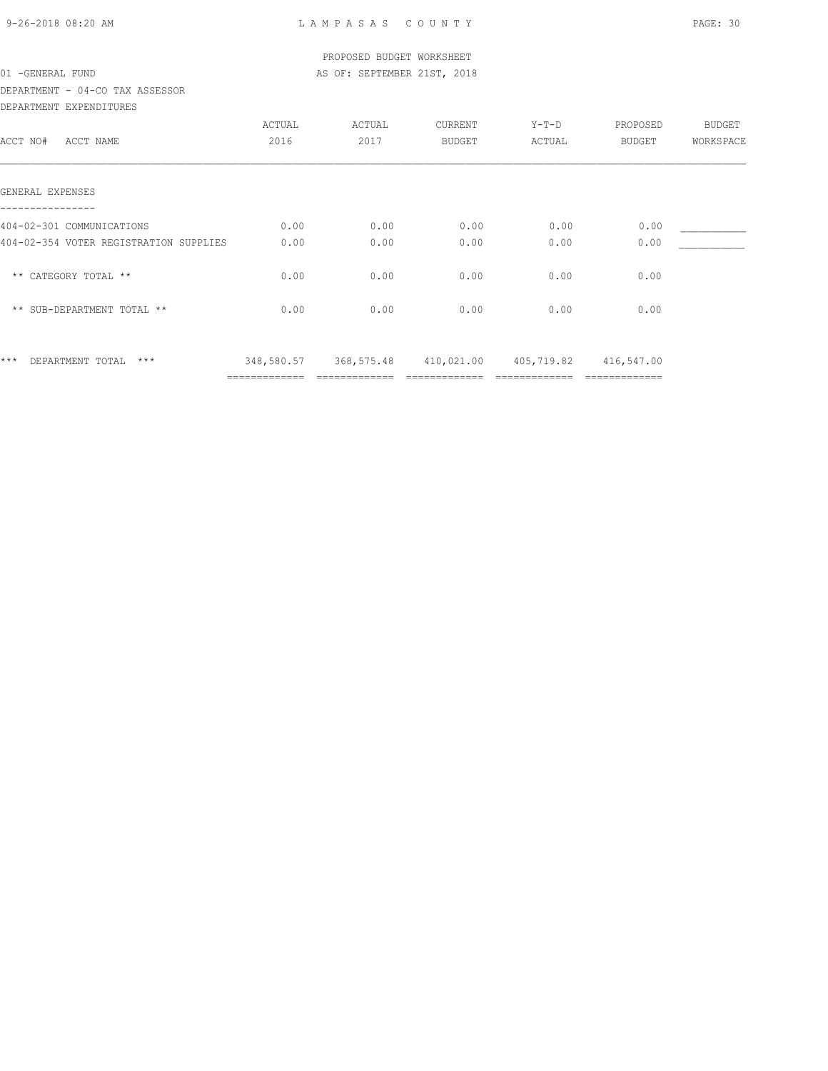| 9-26-2018 08:20 AM |  |
|--------------------|--|

|                                        |        | PROPOSED BUDGET WORKSHEET                              |               |        |          |               |
|----------------------------------------|--------|--------------------------------------------------------|---------------|--------|----------|---------------|
| 01 - GENERAL FUND                      |        | AS OF: SEPTEMBER 21ST, 2018                            |               |        |          |               |
| DEPARTMENT - 04-CO TAX ASSESSOR        |        |                                                        |               |        |          |               |
| DEPARTMENT EXPENDITURES                |        |                                                        |               |        |          |               |
|                                        | ACTUAL | ACTUAL                                                 | CURRENT       | Y-T-D  | PROPOSED | <b>BUDGET</b> |
| ACCT NO#<br>ACCT NAME                  | 2016   | 2017                                                   | <b>BUDGET</b> | ACTUAL | BUDGET   | WORKSPACE     |
| GENERAL EXPENSES                       |        |                                                        |               |        |          |               |
| 404-02-301 COMMUNICATIONS              | 0.00   | 0.00                                                   | 0.00          | 0.00   | 0.00     |               |
| 404-02-354 VOTER REGISTRATION SUPPLIES | 0.00   | 0.00                                                   | 0.00          | 0.00   | 0.00     |               |
| ** CATEGORY TOTAL **                   | 0.00   | 0.00                                                   | 0.00          | 0.00   | 0.00     |               |
| ** SUB-DEPARTMENT TOTAL **             | 0.00   | 0.00                                                   | 0.00          | 0.00   | 0.00     |               |
| $***$<br>$***$<br>DEPARTMENT TOTAL     |        | 348,580.57 368,575.48 410,021.00 405,719.82 416,547.00 |               |        |          |               |
|                                        |        |                                                        |               |        |          |               |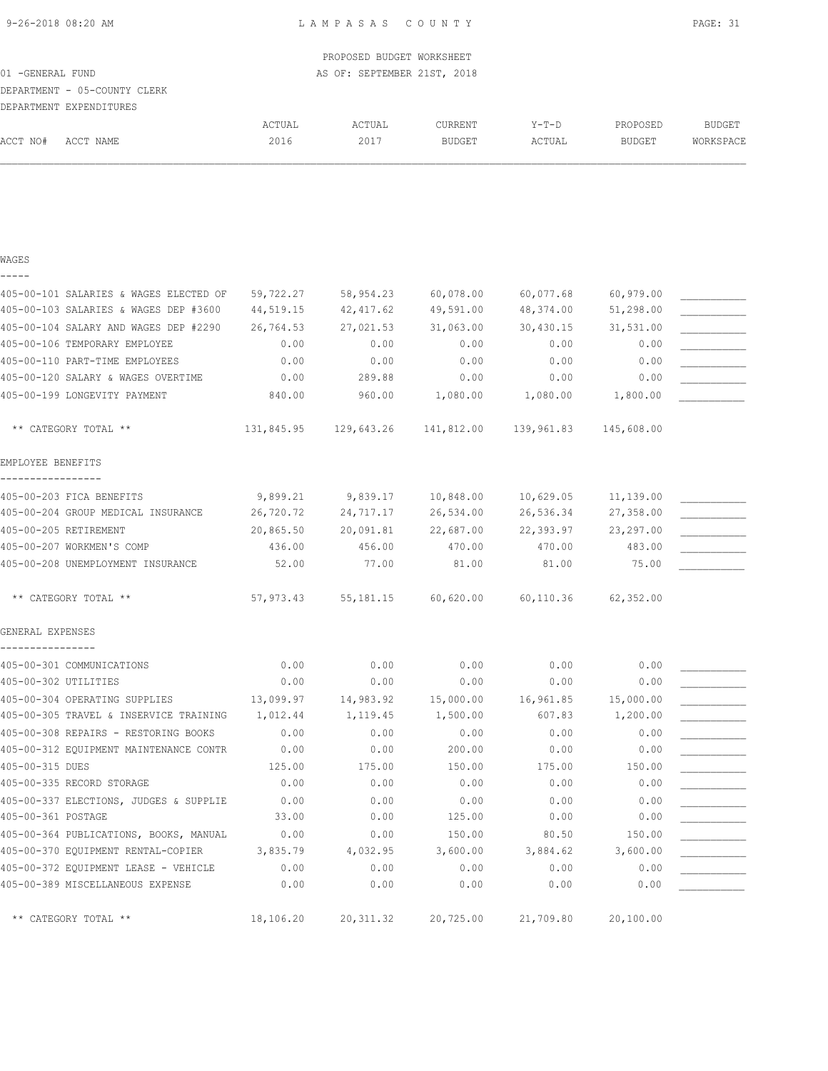|                                                              |               | PROPOSED BUDGET WORKSHEET   |                    |               |               |               |
|--------------------------------------------------------------|---------------|-----------------------------|--------------------|---------------|---------------|---------------|
| 01 - GENERAL FUND<br>DEPARTMENT - 05-COUNTY CLERK            |               | AS OF: SEPTEMBER 21ST, 2018 |                    |               |               |               |
| DEPARTMENT EXPENDITURES                                      |               |                             |                    |               |               |               |
|                                                              | ACTUAL        | ACTUAL                      | CURRENT            | $Y-T-D$       | PROPOSED      | <b>BUDGET</b> |
| ACCT NO#<br>ACCT NAME                                        | 2016          | 2017                        | <b>BUDGET</b>      | ACTUAL        | <b>BUDGET</b> | WORKSPACE     |
|                                                              |               |                             |                    |               |               |               |
| WAGES                                                        |               |                             |                    |               |               |               |
| 405-00-101 SALARIES & WAGES ELECTED OF                       | 59,722.27     | 58,954.23                   | 60,078.00          | 60,077.68     | 60,979.00     |               |
| 405-00-103 SALARIES & WAGES DEP #3600                        | 44,519.15     | 42,417.62                   | 49,591.00          | 48,374.00     | 51,298.00     |               |
| 405-00-104 SALARY AND WAGES DEP #2290                        | 26,764.53     | 27,021.53                   | 31,063.00          | 30,430.15     | 31,531.00     |               |
| 405-00-106 TEMPORARY EMPLOYEE                                | 0.00          | 0.00                        | 0.00               | 0.00          | 0.00          |               |
| 405-00-110 PART-TIME EMPLOYEES                               | 0.00          | 0.00                        | 0.00               | 0.00          | 0.00          |               |
| 405-00-120 SALARY & WAGES OVERTIME                           | 0.00          | 289.88                      | 0.00               | 0.00          | 0.00          |               |
| 405-00-199 LONGEVITY PAYMENT                                 | 840.00        | 960.00                      | 1,080.00           | 1,080.00      | 1,800.00      |               |
| ** CATEGORY TOTAL **                                         | 131,845.95    | 129,643.26                  | 141,812.00         | 139,961.83    | 145,608.00    |               |
| EMPLOYEE BENEFITS                                            |               |                             |                    |               |               |               |
| 405-00-203 FICA BENEFITS                                     | 9,899.21      |                             | 9,839.17 10,848.00 | 10,629.05     | 11,139.00     |               |
| 405-00-204 GROUP MEDICAL INSURANCE                           | 26,720.72     | 24,717.17                   | 26,534.00          | 26,536.34     | 27,358.00     |               |
| 405-00-205 RETIREMENT                                        | 20,865.50     | 20,091.81                   | 22,687.00          | 22,393.97     | 23, 297.00    |               |
| 405-00-207 WORKMEN'S COMP                                    | 436.00        | 456.00                      | 470.00             | 470.00        | 483.00        |               |
| 405-00-208 UNEMPLOYMENT INSURANCE                            | 52.00         | 77.00                       | 81.00              | 81.00         | 75.00         |               |
| ** CATEGORY TOTAL **                                         | 57,973.43     | 55,181.15                   | 60,620.00          | 60,110.36     | 62,352.00     |               |
| GENERAL EXPENSES                                             |               |                             |                    |               |               |               |
| 405-00-301 COMMUNICATIONS                                    | 0.00          | 0.00                        | 0.00               | 0.00          | 0.00          |               |
| 405-00-302 UTILITIES                                         | 0.00          | 0.00                        | 0.00               | 0.00          | 0.00          |               |
| 405-00-304 OPERATING SUPPLIES                                | 13,099.97     | 14,983.92                   | 15,000.00          | 16,961.85     | 15,000.00     |               |
| 405-00-305 TRAVEL & INSERVICE TRAINING                       | 1,012.44      | 1,119.45                    | 1,500.00           | 607.83        | 1,200.00      |               |
| 405-00-308 REPAIRS - RESTORING BOOKS                         | 0.00          | 0.00                        | 0.00               | 0.00          | 0.00          |               |
| 405-00-312 EQUIPMENT MAINTENANCE CONTR                       | 0.00          | 0.00                        | 200.00             | 0.00          | 0.00          |               |
| 405-00-315 DUES                                              | 125.00        | 175.00                      | 150.00             | 175.00        | 150.00        |               |
| 405-00-335 RECORD STORAGE                                    | 0.00          | 0.00                        | 0.00               | 0.00          | 0.00          |               |
| 405-00-337 ELECTIONS, JUDGES & SUPPLIE<br>405-00-361 POSTAGE | 0.00<br>33.00 | 0.00<br>0.00                | 0.00<br>125.00     | 0.00          | 0.00<br>0.00  |               |
| 405-00-364 PUBLICATIONS, BOOKS, MANUAL                       | 0.00          | 0.00                        | 150.00             | 0.00<br>80.50 | 150.00        |               |
| 405-00-370 EQUIPMENT RENTAL-COPIER                           | 3,835.79      | 4,032.95                    | 3,600.00           | 3,884.62      | 3,600.00      |               |
| 405-00-372 EQUIPMENT LEASE - VEHICLE                         | 0.00          | 0.00                        | 0.00               | 0.00          | 0.00          |               |
| 405-00-389 MISCELLANEOUS EXPENSE                             | 0.00          | 0.00                        | 0.00               | 0.00          | 0.00          |               |
| ** CATEGORY TOTAL **                                         | 18,106.20     | 20, 311.32                  | 20,725.00          | 21,709.80     | 20,100.00     |               |
|                                                              |               |                             |                    |               |               |               |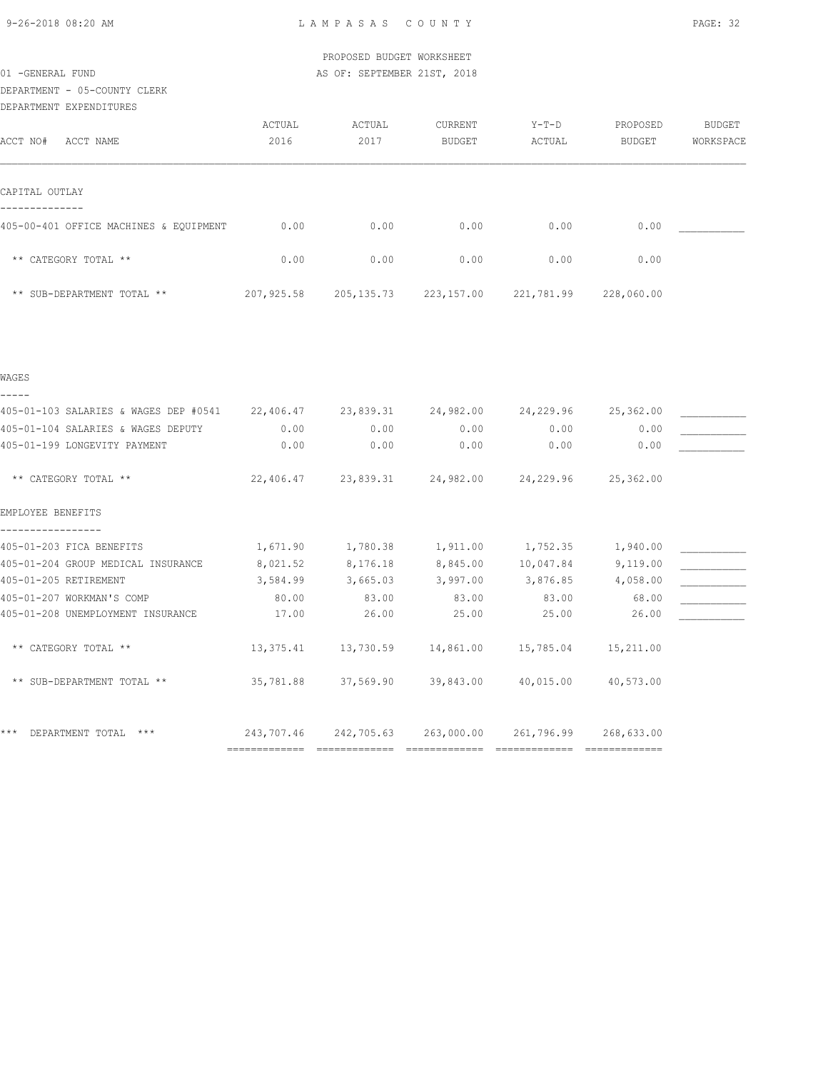|                                        |            | PROPOSED BUDGET WORKSHEET   |               |            |               |           |
|----------------------------------------|------------|-----------------------------|---------------|------------|---------------|-----------|
| 01 - GENERAL FUND                      |            | AS OF: SEPTEMBER 21ST, 2018 |               |            |               |           |
| DEPARTMENT - 05-COUNTY CLERK           |            |                             |               |            |               |           |
| DEPARTMENT EXPENDITURES                |            |                             |               |            |               |           |
|                                        | ACTUAL     | ACTUAL                      | CURRENT       | $Y-T-D$    | PROPOSED      | BUDGET    |
| ACCT NO#<br>ACCT NAME                  | 2016       | 2017                        | <b>BUDGET</b> | ACTUAL     | <b>BUDGET</b> | WORKSPACE |
| CAPITAL OUTLAY                         |            |                             |               |            |               |           |
| 405-00-401 OFFICE MACHINES & EQUIPMENT | 0.00       | 0.00                        | 0.00          | 0.00       | 0.00          |           |
| ** CATEGORY TOTAL **                   | 0.00       | 0.00                        | 0.00          | 0.00       | 0.00          |           |
| ** SUB-DEPARTMENT TOTAL **             | 207,925.58 | 205, 135.73 223, 157.00     |               | 221,781.99 | 228,060.00    |           |
|                                        |            |                             |               |            |               |           |
| WAGES                                  |            |                             |               |            |               |           |

| 405-01-103 SALARIES & WAGES DEP #0541 22,406.47 23,839.31 24,982.00 |            |                                                             |            | 24,229.96  | 25,362.00  |  |
|---------------------------------------------------------------------|------------|-------------------------------------------------------------|------------|------------|------------|--|
| 405-01-104 SALARIES & WAGES DEPUTY                                  | 0.00       | 0.00                                                        | 0.00       | 0.00       | 0.00       |  |
| 405-01-199 LONGEVITY PAYMENT                                        | 0.00       | 0.00                                                        | 0.00       | 0.00       | 0.00       |  |
| ** CATEGORY TOTAL **                                                |            | $22,406.47$ $23,839.31$ $24,982.00$ $24,229.96$ $25,362.00$ |            |            |            |  |
| EMPLOYEE BENEFITS                                                   |            |                                                             |            |            |            |  |
| 405-01-203 FICA BENEFITS                                            | 1,671.90   | 1,780.38                                                    | 1,911.00   | 1,752.35   | 1,940.00   |  |
| 405-01-204 GROUP MEDICAL INSURANCE                                  | 8,021.52   | 8,176.18                                                    | 8,845.00   | 10,047.84  | 9,119.00   |  |
| 405-01-205 RETIREMENT                                               | 3,584.99   | 3,665.03                                                    | 3,997.00   | 3,876.85   | 4,058.00   |  |
| 405-01-207 WORKMAN'S COMP                                           | 80.00      | 83.00                                                       | 83.00      | 83.00      | 68.00      |  |
| 405-01-208 UNEMPLOYMENT INSURANCE                                   | 17.00      | 26.00                                                       | 25.00      | 25.00      | 26.00      |  |
| ** CATEGORY TOTAL **                                                |            | $13,375.41$ $13,730.59$ $14,861.00$ $15,785.04$             |            |            | 15,211.00  |  |
| ** SUB-DEPARTMENT TOTAL **                                          |            | 35,781.88 37,569.90 39,843.00 40,015.00                     |            |            | 40,573.00  |  |
| $***$<br>DEPARTMENT TOTAL<br>$***$                                  | 243,707.46 | 242,705.63                                                  | 263,000.00 | 261,796.99 | 268,633.00 |  |
|                                                                     |            |                                                             |            |            |            |  |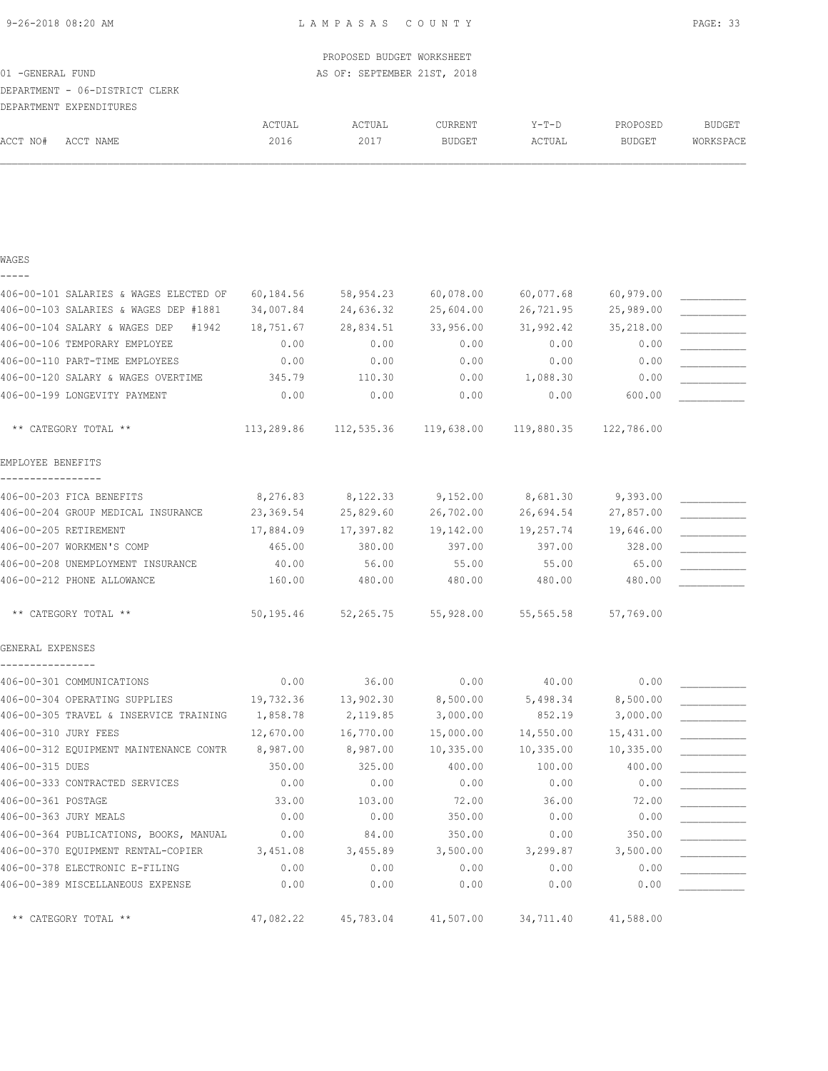|                                        |            | PROPOSED BUDGET WORKSHEET   |                     |            |               |               |
|----------------------------------------|------------|-----------------------------|---------------------|------------|---------------|---------------|
| 01 - GENERAL FUND                      |            | AS OF: SEPTEMBER 21ST, 2018 |                     |            |               |               |
| DEPARTMENT - 06-DISTRICT CLERK         |            |                             |                     |            |               |               |
| DEPARTMENT EXPENDITURES                |            |                             |                     |            |               |               |
|                                        | ACTUAL     | ACTUAL                      | CURRENT             | $Y-T-D$    | PROPOSED      | <b>BUDGET</b> |
| ACCT NO#<br>ACCT NAME                  | 2016       | 2017                        | <b>BUDGET</b>       | ACTUAL     | <b>BUDGET</b> | WORKSPACE     |
|                                        |            |                             |                     |            |               |               |
| WAGES                                  |            |                             |                     |            |               |               |
|                                        |            |                             |                     |            |               |               |
| 406-00-101 SALARIES & WAGES ELECTED OF | 60,184.56  |                             | 58,954.23 60,078.00 | 60,077.68  | 60,979.00     |               |
| 406-00-103 SALARIES & WAGES DEP #1881  | 34,007.84  |                             | 24,636.32 25,604.00 | 26,721.95  | 25,989.00     |               |
| 406-00-104 SALARY & WAGES DEP<br>#1942 | 18,751.67  | 28,834.51                   | 33,956.00           | 31,992.42  | 35,218.00     |               |
| 406-00-106 TEMPORARY EMPLOYEE          | 0.00       | 0.00                        | 0.00                | 0.00       | 0.00          |               |
| 406-00-110 PART-TIME EMPLOYEES         | 0.00       | 0.00                        | 0.00                | 0.00       | 0.00          |               |
| 406-00-120 SALARY & WAGES OVERTIME     | 345.79     | 110.30                      | 0.00                | 1,088.30   | 0.00          |               |
| 406-00-199 LONGEVITY PAYMENT           | 0.00       | 0.00                        | 0.00                | 0.00       | 600.00        |               |
| ** CATEGORY TOTAL **                   | 113,289.86 | 112,535.36                  | 119,638.00          | 119,880.35 | 122,786.00    |               |
| EMPLOYEE BENEFITS                      |            |                             |                     |            |               |               |
| 406-00-203 FICA BENEFITS               | 8,276.83   | 8,122.33                    | 9,152.00            | 8,681.30   | 9,393.00      |               |
| 406-00-204 GROUP MEDICAL INSURANCE     | 23,369.54  | 25,829.60                   | 26,702.00           | 26,694.54  | 27,857.00     |               |
| 406-00-205 RETIREMENT                  | 17,884.09  | 17,397.82                   | 19,142.00           | 19,257.74  | 19,646.00     |               |
| 406-00-207 WORKMEN'S COMP              | 465.00     | 380.00                      | 397.00              | 397.00     | 328.00        |               |
| 406-00-208 UNEMPLOYMENT INSURANCE      | 40.00      | 56.00                       | 55.00               | 55.00      | 65.00         |               |
| 406-00-212 PHONE ALLOWANCE             | 160.00     | 480.00                      | 480.00              | 480.00     | 480.00        |               |
| ** CATEGORY TOTAL **                   | 50,195.46  | 52,265.75                   | 55,928.00           | 55,565.58  | 57,769.00     |               |
| GENERAL EXPENSES                       |            |                             |                     |            |               |               |
| 406-00-301 COMMUNICATIONS              | 0.00       | 36.00                       | 0.00                | 40.00      | 0.00          |               |
| 406-00-304 OPERATING SUPPLIES          | 19,732.36  | 13,902.30                   | 8,500.00            | 5,498.34   | 8,500.00      |               |
| 406-00-305 TRAVEL & INSERVICE TRAINING | 1,858.78   | 2,119.85                    | 3,000.00            | 852.19     | 3,000.00      |               |
| 406-00-310 JURY FEES                   | 12,670.00  | 16,770.00                   | 15,000.00           | 14,550.00  | 15,431.00     |               |
| 406-00-312 EQUIPMENT MAINTENANCE CONTR | 8,987.00   | 8,987.00                    | 10,335.00           | 10,335.00  | 10,335.00     |               |
| 406-00-315 DUES                        | 350.00     | 325.00                      | 400.00              | 100.00     | 400.00        |               |
| 406-00-333 CONTRACTED SERVICES         | 0.00       | 0.00                        | 0.00                | 0.00       | 0.00          |               |
| 406-00-361 POSTAGE                     | 33.00      | 103.00                      | 72.00               | 36.00      | 72.00         |               |
| 406-00-363 JURY MEALS                  | 0.00       | 0.00                        | 350.00              | 0.00       | 0.00          |               |
| 406-00-364 PUBLICATIONS, BOOKS, MANUAL | 0.00       | 84.00                       | 350.00              | 0.00       | 350.00        |               |
| 406-00-370 EQUIPMENT RENTAL-COPIER     | 3,451.08   | 3,455.89                    | 3,500.00            | 3,299.87   | 3,500.00      |               |
| 406-00-378 ELECTRONIC E-FILING         | 0.00       | 0.00                        | 0.00                | 0.00       | 0.00          |               |
| 406-00-389 MISCELLANEOUS EXPENSE       | 0.00       | 0.00                        | 0.00                | 0.00       | 0.00          |               |
| ** CATEGORY TOTAL **                   | 47,082.22  | 45,783.04                   | 41,507.00           | 34,711.40  | 41,588.00     |               |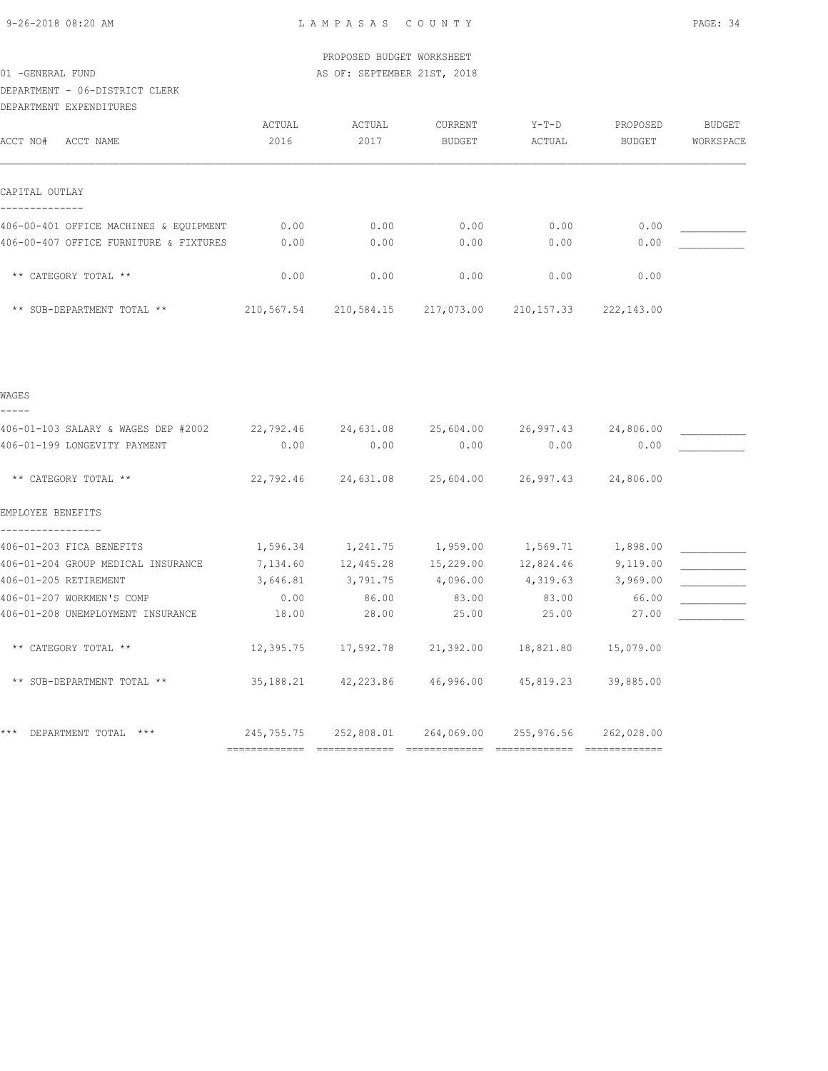|                                        |           | PROPOSED BUDGET WORKSHEET                              |                 |           |                   |               |
|----------------------------------------|-----------|--------------------------------------------------------|-----------------|-----------|-------------------|---------------|
| 01 - GENERAL FUND                      |           | AS OF: SEPTEMBER 21ST, 2018                            |                 |           |                   |               |
| DEPARTMENT - 06-DISTRICT CLERK         |           |                                                        |                 |           |                   |               |
| DEPARTMENT EXPENDITURES                |           |                                                        |                 |           |                   |               |
|                                        | ACTUAL    | ACTUAL                                                 | ${\tt CURRENT}$ | $Y-T-D$   | PROPOSED          | <b>BUDGET</b> |
| ACCT NO#<br>ACCT NAME                  | 2016      | 2017                                                   | <b>BUDGET</b>   | ACTUAL    | BUDGET            | WORKSPACE     |
| CAPITAL OUTLAY                         |           |                                                        |                 |           |                   |               |
| 406-00-401 OFFICE MACHINES & EQUIPMENT | 0.00      | 0.00                                                   | 0.00            | 0.00      | 0.00              |               |
| 406-00-407 OFFICE FURNITURE & FIXTURES | 0.00      | 0.00                                                   | 0.00            | 0.00      | 0.00              |               |
| ** CATEGORY TOTAL **                   | 0.00      | 0.00                                                   | 0.00            | 0.00      | 0.00              |               |
| ** SUB-DEPARTMENT TOTAL **             |           | 210,567.54 210,584.15 217,073.00 210,157.33 222,143.00 |                 |           |                   |               |
| WAGES                                  |           |                                                        |                 |           |                   |               |
| 406-01-103 SALARY & WAGES DEP #2002    |           | 22,792.46 24,631.08 25,604.00 26,997.43                |                 |           | 24,806.00         |               |
| 406-01-199 LONGEVITY PAYMENT           | 0.00      | 0.00                                                   | 0.00            | 0.00      | 0.00              |               |
| ** CATEGORY TOTAL **                   |           | 22,792.46 24,631.08 25,604.00 26,997.43 24,806.00      |                 |           |                   |               |
| EMPLOYEE BENEFITS                      |           |                                                        |                 |           |                   |               |
| 406-01-203 FICA BENEFITS               |           | 1,596.34 1,241.75 1,959.00 1,569.71 1,898.00           |                 |           |                   |               |
| 406-01-204 GROUP MEDICAL INSURANCE     |           | 7,134.60 12,445.28 15,229.00 12,824.46 9,119.00        |                 |           |                   |               |
| 406-01-205 RETIREMENT                  | 3,646.81  | 3,791.75 4,096.00                                      |                 |           | 4,319.63 3,969.00 |               |
| 406-01-207 WORKMEN'S COMP              | 0.00      | 86.00                                                  | 83.00           | 83.00     | 66.00             |               |
| 406-01-208 UNEMPLOYMENT INSURANCE      | 18.00     | 28.00                                                  | 25.00           | 25.00     | 27.00             |               |
| ** CATEGORY TOTAL **                   |           | 12,395.75 17,592.78 21,392.00                          |                 | 18,821.80 | 15,079.00         |               |
| ** SUB-DEPARTMENT TOTAL **             | 35,188.21 | 42,223.86                                              | 46,996.00       | 45,819.23 | 39,885.00         |               |

\*\*\* DEPARTMENT TOTAL \*\*\* 245,755.75 252,808.01 264,069.00 255,976.56 262,028.00 ============= ============= ============= ============= =============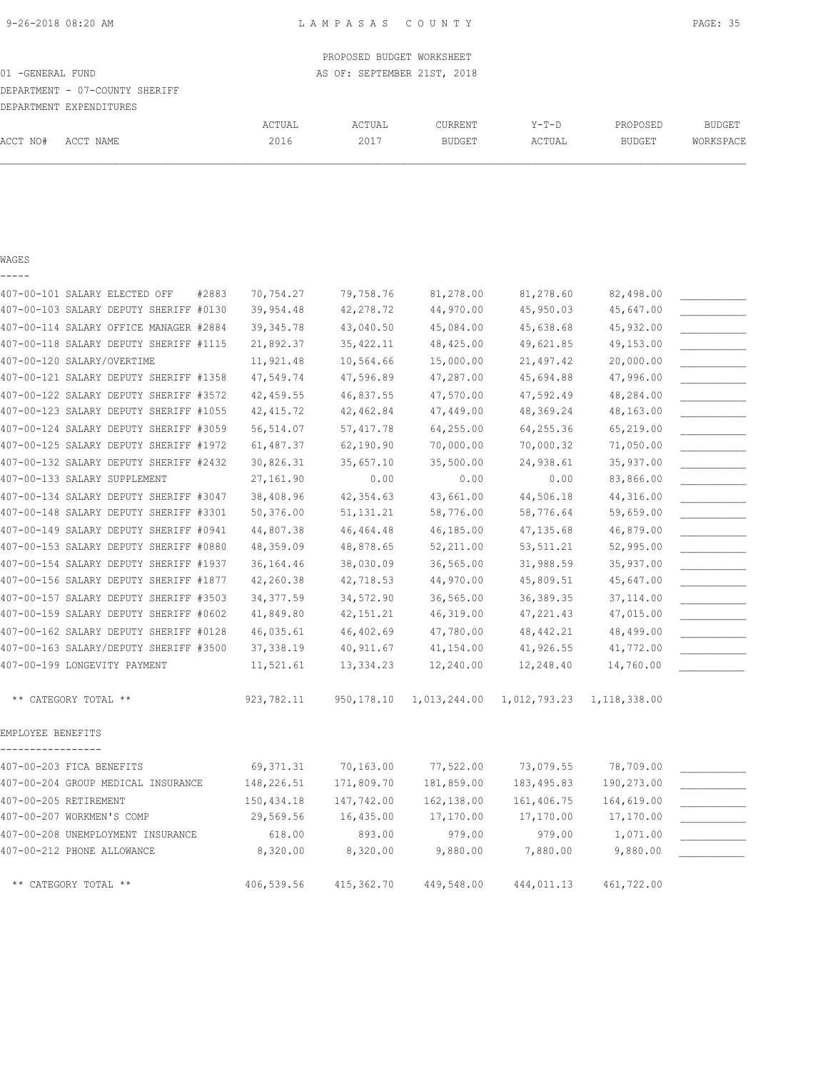| 01 - GENERAL FUND              |        | PROPOSED BUDGET WORKSHEET<br>AS OF: SEPTEMBER 21ST, 2018 |         |         |          |               |
|--------------------------------|--------|----------------------------------------------------------|---------|---------|----------|---------------|
| DEPARTMENT - 07-COUNTY SHERIFF |        |                                                          |         |         |          |               |
| DEPARTMENT EXPENDITURES        |        |                                                          |         |         |          |               |
|                                | ACTUAL | ACTUAL                                                   | CURRENT | $Y-T-D$ | PROPOSED | <b>BUDGET</b> |
| ACCT NO#<br>ACCT NAME          | 2016   | 2017                                                     | BUDGET  | ACTUAL  | BUDGET   | WORKSPACE     |
|                                |        |                                                          |         |         |          |               |
|                                |        |                                                          |         |         |          |               |

### WAGES

| _ |  | ___ |  |
|---|--|-----|--|
|   |  |     |  |

|                       | 407-00-101 SALARY ELECTED OFF          | #2883 | 70,754.27  | 79,758.76   | 81,278.00    | 81,278.60    | 82,498.00      |  |
|-----------------------|----------------------------------------|-------|------------|-------------|--------------|--------------|----------------|--|
|                       | 407-00-103 SALARY DEPUTY SHERIFF #0130 |       | 39,954.48  | 42,278.72   | 44,970.00    | 45,950.03    | 45,647.00      |  |
|                       | 407-00-114 SALARY OFFICE MANAGER #2884 |       | 39, 345.78 | 43,040.50   | 45,084.00    | 45,638.68    | 45,932.00      |  |
|                       | 407-00-118 SALARY DEPUTY SHERIFF #1115 |       | 21,892.37  | 35, 422.11  | 48,425.00    | 49,621.85    | 49,153.00      |  |
|                       | 407-00-120 SALARY/OVERTIME             |       | 11,921.48  | 10,564.66   | 15,000.00    | 21,497.42    | 20,000.00      |  |
|                       | 407-00-121 SALARY DEPUTY SHERIFF #1358 |       | 47,549.74  | 47,596.89   | 47,287.00    | 45,694.88    | 47,996.00      |  |
|                       | 407-00-122 SALARY DEPUTY SHERIFF #3572 |       | 42,459.55  | 46,837.55   | 47,570.00    | 47,592.49    | 48,284.00      |  |
|                       | 407-00-123 SALARY DEPUTY SHERIFF #1055 |       | 42, 415.72 | 42,462.84   | 47,449.00    | 48,369.24    | 48,163.00      |  |
|                       | 407-00-124 SALARY DEPUTY SHERIFF #3059 |       | 56,514.07  | 57, 417.78  | 64,255.00    | 64,255.36    | 65,219.00      |  |
|                       | 407-00-125 SALARY DEPUTY SHERIFF #1972 |       | 61,487.37  | 62,190.90   | 70,000.00    | 70,000.32    | 71,050.00      |  |
|                       | 407-00-132 SALARY DEPUTY SHERIFF #2432 |       | 30,826.31  | 35,657.10   | 35,500.00    | 24,938.61    | 35,937.00      |  |
|                       | 407-00-133 SALARY SUPPLEMENT           |       | 27,161.90  | 0.00        | 0.00         | 0.00         | 83,866.00      |  |
|                       | 407-00-134 SALARY DEPUTY SHERIFF #3047 |       | 38,408.96  | 42, 354.63  | 43,661.00    | 44,506.18    | 44,316.00      |  |
|                       | 407-00-148 SALARY DEPUTY SHERIFF #3301 |       | 50,376.00  | 51, 131. 21 | 58,776.00    | 58,776.64    | 59,659.00      |  |
|                       | 407-00-149 SALARY DEPUTY SHERIFF #0941 |       | 44,807.38  | 46, 464. 48 | 46,185.00    | 47, 135.68   | 46,879.00      |  |
|                       | 407-00-153 SALARY DEPUTY SHERIFF #0880 |       | 48,359.09  | 48,878.65   | 52,211.00    | 53, 511.21   | 52,995.00      |  |
|                       | 407-00-154 SALARY DEPUTY SHERIFF #1937 |       | 36,164.46  | 38,030.09   | 36,565.00    | 31,988.59    | 35,937.00      |  |
|                       | 407-00-156 SALARY DEPUTY SHERIFF #1877 |       | 42,260.38  | 42,718.53   | 44,970.00    | 45,809.51    | 45,647.00      |  |
|                       | 407-00-157 SALARY DEPUTY SHERIFF #3503 |       | 34, 377.59 | 34,572.90   | 36,565.00    | 36, 389. 35  | 37, 114.00     |  |
|                       | 407-00-159 SALARY DEPUTY SHERIFF #0602 |       | 41,849.80  | 42, 151.21  | 46,319.00    | 47, 221.43   | 47,015.00      |  |
|                       | 407-00-162 SALARY DEPUTY SHERIFF #0128 |       | 46,035.61  | 46,402.69   | 47,780.00    | 48, 442.21   | 48,499.00      |  |
|                       | 407-00-163 SALARY/DEPUTY SHERIFF #3500 |       | 37, 338.19 | 40,911.67   | 41,154.00    | 41,926.55    | 41,772.00      |  |
|                       | 407-00-199 LONGEVITY PAYMENT           |       | 11,521.61  | 13, 334.23  | 12,240.00    | 12,248.40    | 14,760.00      |  |
|                       | ** CATEGORY TOTAL **                   |       | 923,782.11 | 950,178.10  | 1,013,244.00 | 1,012,793.23 | 1, 118, 338.00 |  |
| EMPLOYEE BENEFITS     | --------                               |       |            |             |              |              |                |  |
|                       | 407-00-203 FICA BENEFITS               |       | 69, 371.31 | 70,163.00   | 77,522.00    | 73,079.55    | 78,709.00      |  |
|                       | 407-00-204 GROUP MEDICAL INSURANCE     |       | 148,226.51 | 171,809.70  | 181,859.00   | 183,495.83   | 190,273.00     |  |
| 407-00-205 RETIREMENT |                                        |       | 150,434.18 | 147,742.00  | 162,138.00   | 161,406.75   | 164,619.00     |  |
|                       | 407-00-207 WORKMEN'S COMP              |       | 29,569.56  | 16,435.00   | 17,170.00    | 17,170.00    | 17,170.00      |  |
|                       | 407-00-208 UNEMPLOYMENT INSURANCE      |       | 618.00     | 893.00      | 979.00       | 979.00       | 1,071.00       |  |
|                       | 407-00-212 PHONE ALLOWANCE             |       | 8,320.00   | 8,320.00    | 9,880.00     | 7,880.00     | 9,880.00       |  |
|                       | ** CATEGORY TOTAL **                   |       | 406,539.56 | 415,362.70  | 449,548.00   | 444,011.13   | 461,722.00     |  |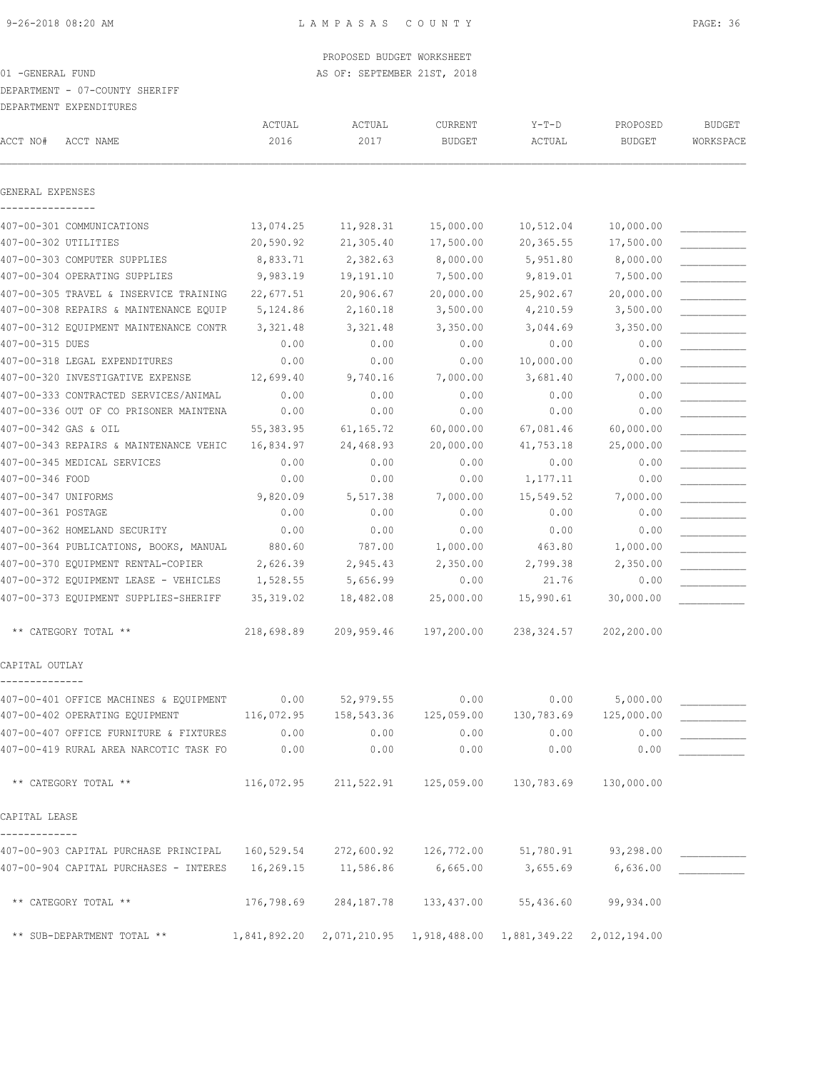DEPARTMENT - 07-COUNTY SHERIFF

DEPARTMENT EXPENDITURES

| ACCT NO#            | ACCT NAME                              | ACTUAL<br>2016 | ACTUAL<br>2017 | CURRENT<br><b>BUDGET</b> | $Y-T-D$<br>ACTUAL                                                | PROPOSED<br><b>BUDGET</b> | <b>BUDGET</b><br>WORKSPACE |
|---------------------|----------------------------------------|----------------|----------------|--------------------------|------------------------------------------------------------------|---------------------------|----------------------------|
|                     |                                        |                |                |                          |                                                                  |                           |                            |
| GENERAL EXPENSES    |                                        |                |                |                          |                                                                  |                           |                            |
|                     | 407-00-301 COMMUNICATIONS              | 13,074.25      | 11,928.31      | 15,000.00                | 10,512.04                                                        | 10,000.00                 |                            |
|                     | 407-00-302 UTILITIES                   | 20,590.92      | 21,305.40      | 17,500.00                | 20,365.55                                                        | 17,500.00                 |                            |
|                     | 407-00-303 COMPUTER SUPPLIES           | 8,833.71       | 2,382.63       | 8,000.00                 | 5,951.80                                                         | 8,000.00                  |                            |
|                     | 407-00-304 OPERATING SUPPLIES          | 9,983.19       | 19,191.10      | 7,500.00                 | 9,819.01                                                         | 7,500.00                  |                            |
|                     | 407-00-305 TRAVEL & INSERVICE TRAINING | 22,677.51      | 20,906.67      | 20,000.00                | 25,902.67                                                        | 20,000.00                 |                            |
|                     | 407-00-308 REPAIRS & MAINTENANCE EQUIP | 5,124.86       | 2,160.18       | 3,500.00                 | 4,210.59                                                         | 3,500.00                  |                            |
|                     | 407-00-312 EQUIPMENT MAINTENANCE CONTR | 3,321.48       | 3,321.48       | 3,350.00                 | 3,044.69                                                         | 3,350.00                  |                            |
| 407-00-315 DUES     |                                        | 0.00           | 0.00           | 0.00                     | 0.00                                                             | 0.00                      |                            |
|                     | 407-00-318 LEGAL EXPENDITURES          | 0.00           | 0.00           | 0.00                     | 10,000.00                                                        | 0.00                      |                            |
|                     | 407-00-320 INVESTIGATIVE EXPENSE       | 12,699.40      | 9,740.16       | 7,000.00                 | 3,681.40                                                         | 7,000.00                  |                            |
|                     | 407-00-333 CONTRACTED SERVICES/ANIMAL  | 0.00           | 0.00           | 0.00                     | 0.00                                                             | 0.00                      |                            |
|                     | 407-00-336 OUT OF CO PRISONER MAINTENA | 0.00           | 0.00           | 0.00                     | 0.00                                                             | 0.00                      |                            |
|                     | 407-00-342 GAS & OIL                   | 55, 383.95     | 61,165.72      | 60,000.00                | 67,081.46                                                        | 60,000.00                 |                            |
|                     | 407-00-343 REPAIRS & MAINTENANCE VEHIC | 16,834.97      | 24,468.93      | 20,000.00                | 41,753.18                                                        | 25,000.00                 |                            |
|                     | 407-00-345 MEDICAL SERVICES            | 0.00           | 0.00           | 0.00                     | 0.00                                                             | 0.00                      |                            |
| 407-00-346 FOOD     |                                        | 0.00           | 0.00           | 0.00                     | 1,177.11                                                         | 0.00                      |                            |
| 407-00-347 UNIFORMS |                                        | 9,820.09       | 5,517.38       | 7,000.00                 | 15,549.52                                                        | 7,000.00                  |                            |
| 407-00-361 POSTAGE  |                                        | 0.00           | 0.00           | 0.00                     | 0.00                                                             | 0.00                      |                            |
|                     | 407-00-362 HOMELAND SECURITY           | 0.00           | 0.00           | 0.00                     | 0.00                                                             | 0.00                      |                            |
|                     | 407-00-364 PUBLICATIONS, BOOKS, MANUAL | 880.60         | 787.00         | 1,000.00                 | 463.80                                                           | 1,000.00                  |                            |
|                     | 407-00-370 EQUIPMENT RENTAL-COPIER     | 2,626.39       | 2,945.43       | 2,350.00                 | 2,799.38                                                         | 2,350.00                  |                            |
|                     | 407-00-372 EQUIPMENT LEASE - VEHICLES  | 1,528.55       | 5,656.99       | 0.00                     | 21.76                                                            | 0.00                      |                            |
|                     | 407-00-373 EQUIPMENT SUPPLIES-SHERIFF  | 35, 319.02     | 18,482.08      | 25,000.00                | 15,990.61                                                        | 30,000.00                 |                            |
|                     | ** CATEGORY TOTAL **                   | 218,698.89     | 209,959.46     | 197,200.00               | 238,324.57                                                       | 202,200.00                |                            |
| CAPITAL OUTLAY      |                                        |                |                |                          |                                                                  |                           |                            |
|                     | 407-00-401 OFFICE MACHINES & EQUIPMENT | 0.00           | 52,979.55      | 0.00                     | 0.00                                                             | 5,000.00                  |                            |
|                     | 407-00-402 OPERATING EQUIPMENT         | 116,072.95     | 158,543.36     | 125,059.00               | 130,783.69                                                       | 125,000.00                |                            |
|                     | 407-00-407 OFFICE FURNITURE & FIXTURES | 0.00           | 0.00           | 0.00                     | 0.00                                                             | 0.00                      |                            |
|                     | 407-00-419 RURAL AREA NARCOTIC TASK FO | 0.00           | 0.00           | 0.00                     | 0.00                                                             | 0.00                      |                            |
|                     | ** CATEGORY TOTAL **                   | 116,072.95     | 211,522.91     | 125,059.00               | 130,783.69                                                       | 130,000.00                |                            |
| CAPITAL LEASE       |                                        |                |                |                          |                                                                  |                           |                            |
|                     | 407-00-903 CAPITAL PURCHASE PRINCIPAL  | 160,529.54     | 272,600.92     | 126,772.00               | 51,780.91                                                        | 93,298.00                 |                            |
|                     | 407-00-904 CAPITAL PURCHASES - INTERES | 16,269.15      | 11,586.86      | 6,665.00                 | 3,655.69                                                         | 6,636.00                  |                            |
|                     | ** CATEGORY TOTAL **                   | 176,798.69     | 284,187.78     | 133,437.00               | 55,436.60                                                        | 99,934.00                 |                            |
|                     | ** SUB-DEPARTMENT TOTAL **             |                |                |                          | 1,841,892.20 2,071,210.95 1,918,488.00 1,881,349.22 2,012,194.00 |                           |                            |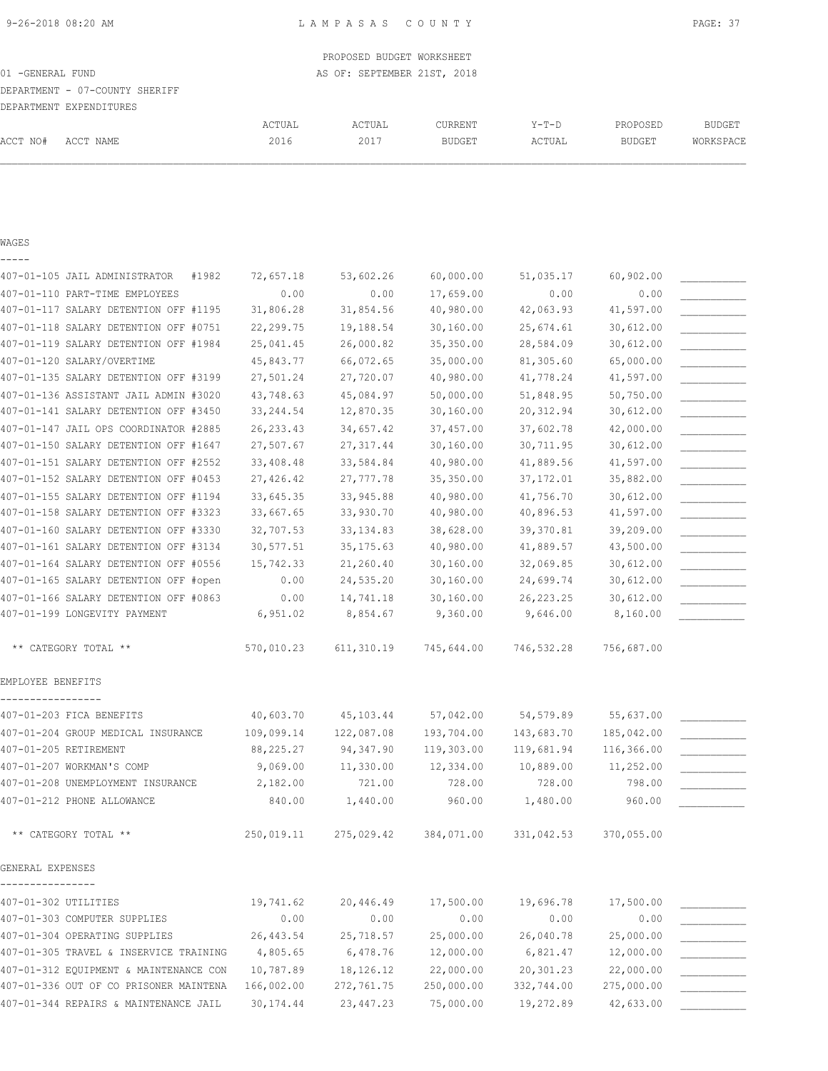## PROPOSED BUDGET WORKSHEET 01 -GENERAL FUND **AS OF: SEPTEMBER 21ST, 2018** DEPARTMENT - 07-COUNTY SHERIFF DEPARTMENT EXPENDITURES ACTUAL ACTUAL CURRENT Y-T-D PROPOSED BUDGET ACCT NO# ACCT NAME 2016 2017 BUDGET ACTUAL BUDGET WORKSPACE

#### WAGES

| 407-01-105 JAIL ADMINISTRATOR<br>#1982 | 72,657.18  | 53,602.26  | 60,000.00  | 51,035.17   | 60,902.00  |  |
|----------------------------------------|------------|------------|------------|-------------|------------|--|
| 407-01-110 PART-TIME EMPLOYEES         | 0.00       | 0.00       | 17,659.00  | 0.00        | 0.00       |  |
| 407-01-117 SALARY DETENTION OFF #1195  | 31,806.28  | 31,854.56  | 40,980.00  | 42,063.93   | 41,597.00  |  |
| 407-01-118 SALARY DETENTION OFF #0751  | 22,299.75  | 19,188.54  | 30,160.00  | 25,674.61   | 30,612.00  |  |
| 407-01-119 SALARY DETENTION OFF #1984  | 25,041.45  | 26,000.82  | 35,350.00  | 28,584.09   | 30,612.00  |  |
| 407-01-120 SALARY/OVERTIME             | 45,843.77  | 66,072.65  | 35,000.00  | 81,305.60   | 65,000.00  |  |
| 407-01-135 SALARY DETENTION OFF #3199  | 27,501.24  | 27,720.07  | 40,980.00  | 41,778.24   | 41,597.00  |  |
| 407-01-136 ASSISTANT JAIL ADMIN #3020  | 43,748.63  | 45,084.97  | 50,000.00  | 51,848.95   | 50,750.00  |  |
| 407-01-141 SALARY DETENTION OFF #3450  | 33, 244.54 | 12,870.35  | 30,160.00  | 20, 312.94  | 30,612.00  |  |
| 407-01-147 JAIL OPS COORDINATOR #2885  | 26, 233.43 | 34,657.42  | 37,457.00  | 37,602.78   | 42,000.00  |  |
| 407-01-150 SALARY DETENTION OFF #1647  | 27,507.67  | 27, 317.44 | 30,160.00  | 30,711.95   | 30,612.00  |  |
| 407-01-151 SALARY DETENTION OFF #2552  | 33,408.48  | 33,584.84  | 40,980.00  | 41,889.56   | 41,597.00  |  |
| 407-01-152 SALARY DETENTION OFF #0453  | 27,426.42  | 27, 777.78 | 35,350.00  | 37,172.01   | 35,882.00  |  |
| 407-01-155 SALARY DETENTION OFF #1194  | 33,645.35  | 33,945.88  | 40,980.00  | 41,756.70   | 30,612.00  |  |
| 407-01-158 SALARY DETENTION OFF #3323  | 33,667.65  | 33,930.70  | 40,980.00  | 40,896.53   | 41,597.00  |  |
| 407-01-160 SALARY DETENTION OFF #3330  | 32,707.53  | 33, 134.83 | 38,628.00  | 39,370.81   | 39,209.00  |  |
| 407-01-161 SALARY DETENTION OFF #3134  | 30,577.51  | 35, 175.63 | 40,980.00  | 41,889.57   | 43,500.00  |  |
| 407-01-164 SALARY DETENTION OFF #0556  | 15,742.33  | 21,260.40  | 30,160.00  | 32,069.85   | 30,612.00  |  |
| 407-01-165 SALARY DETENTION OFF #open  | 0.00       | 24,535.20  | 30,160.00  | 24,699.74   | 30,612.00  |  |
| 407-01-166 SALARY DETENTION OFF #0863  | 0.00       | 14,741.18  | 30,160.00  | 26, 223. 25 | 30,612.00  |  |
| 407-01-199 LONGEVITY PAYMENT           | 6,951.02   | 8,854.67   | 9,360.00   | 9,646.00    | 8,160.00   |  |
| ** CATEGORY TOTAL **                   | 570,010.23 | 611,310.19 | 745,644.00 | 746,532.28  | 756,687.00 |  |
| EMPLOYEE BENEFITS                      |            |            |            |             |            |  |
| 407-01-203 FICA BENEFITS               | 40,603.70  | 45,103.44  | 57,042.00  | 54,579.89   | 55,637.00  |  |
| 407-01-204 GROUP MEDICAL INSURANCE     | 109,099.14 | 122,087.08 | 193,704.00 | 143,683.70  | 185,042.00 |  |
| 407-01-205 RETIREMENT                  | 88,225.27  | 94, 347.90 | 119,303.00 | 119,681.94  | 116,366.00 |  |
| 407-01-207 WORKMAN'S COMP              | 9,069.00   | 11,330.00  | 12,334.00  | 10,889.00   | 11,252.00  |  |
| 407-01-208 UNEMPLOYMENT INSURANCE      | 2,182.00   | 721.00     | 728.00     | 728.00      | 798.00     |  |
| 407-01-212 PHONE ALLOWANCE             | 840.00     | 1,440.00   | 960.00     | 1,480.00    | 960.00     |  |
| ** CATEGORY TOTAL **                   | 250,019.11 | 275,029.42 | 384,071.00 | 331,042.53  | 370,055.00 |  |
| GENERAL EXPENSES                       |            |            |            |             |            |  |
| 407-01-302 UTILITIES                   | 19,741.62  | 20,446.49  | 17,500.00  | 19,696.78   | 17,500.00  |  |
| 407-01-303 COMPUTER SUPPLIES           | 0.00       | 0.00       | 0.00       | 0.00        | 0.00       |  |
| 407-01-304 OPERATING SUPPLIES          | 26, 443.54 | 25,718.57  | 25,000.00  | 26,040.78   | 25,000.00  |  |
| 407-01-305 TRAVEL & INSERVICE TRAINING | 4,805.65   | 6,478.76   | 12,000.00  | 6,821.47    | 12,000.00  |  |
| 407-01-312 EQUIPMENT & MAINTENANCE CON | 10,787.89  | 18,126.12  | 22,000.00  | 20,301.23   | 22,000.00  |  |
| 407-01-336 OUT OF CO PRISONER MAINTENA | 166,002.00 | 272,761.75 | 250,000.00 | 332,744.00  | 275,000.00 |  |
| 407-01-344 REPAIRS & MAINTENANCE JAIL  | 30, 174.44 | 23, 447.23 | 75,000.00  | 19,272.89   | 42,633.00  |  |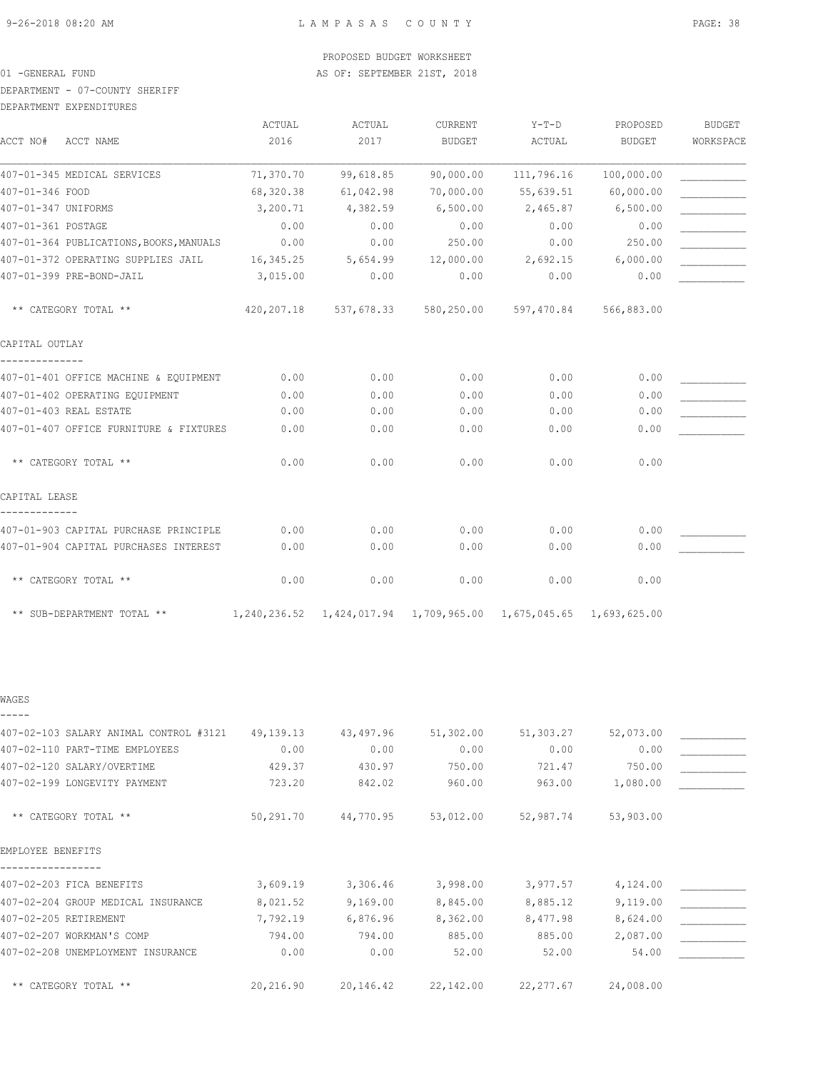#### DEPARTMENT - 07-COUNTY SHERIFF

| DEPARTMENT EXPENDITURES |
|-------------------------|
|                         |

|                                         | ACTUAL    | <b>ACTUAL</b>      | CURRENT       | $Y-T-D$                                                              | PROPOSED   | <b>BUDGET</b> |
|-----------------------------------------|-----------|--------------------|---------------|----------------------------------------------------------------------|------------|---------------|
| ACCT NO#<br>ACCT NAME                   | 2016      | 2017               | <b>BUDGET</b> | ACTUAL                                                               | BUDGET     | WORKSPACE     |
| 407-01-345 MEDICAL SERVICES             | 71,370.70 | 99,618.85          | 90,000.00     | 111,796.16                                                           | 100,000.00 |               |
| 407-01-346 FOOD                         | 68,320.38 | 61,042.98          | 70,000.00     | 55,639.51                                                            | 60,000.00  |               |
| 407-01-347 UNIFORMS                     | 3,200.71  | 4,382.59           | 6,500.00      | 2,465.87                                                             | 6,500.00   |               |
| 407-01-361 POSTAGE                      | 0.00      | 0.00               | 0.00          | 0.00                                                                 | 0.00       |               |
| 407-01-364 PUBLICATIONS, BOOKS, MANUALS | 0.00      | 0.00               | 250.00        | 0.00                                                                 | 250.00     |               |
| 407-01-372 OPERATING SUPPLIES JAIL      |           | 16,345.25 5,654.99 | 12,000.00     | 2,692.15                                                             | 6,000.00   |               |
| 407-01-399 PRE-BOND-JAIL                | 3,015.00  | 0.00               | 0.00          | 0.00                                                                 | 0.00       |               |
| ** CATEGORY TOTAL **                    |           |                    |               | 420,207.18 537,678.33 580,250.00 597,470.84                          | 566,883.00 |               |
| CAPITAL OUTLAY                          |           |                    |               |                                                                      |            |               |
| 407-01-401 OFFICE MACHINE & EQUIPMENT   | 0.00      | 0.00               | 0.00          | 0.00                                                                 | 0.00       |               |
| 407-01-402 OPERATING EQUIPMENT          | 0.00      | 0.00               | 0.00          | 0.00                                                                 | 0.00       |               |
| 407-01-403 REAL ESTATE                  | 0.00      | 0.00               | 0.00          | 0.00                                                                 | 0.00       |               |
| 407-01-407 OFFICE FURNITURE & FIXTURES  | 0.00      | 0.00               | 0.00          | 0.00                                                                 | 0.00       |               |
| ** CATEGORY TOTAL **                    | 0.00      | 0.00               | 0.00          | 0.00                                                                 | 0.00       |               |
| CAPITAL LEASE                           |           |                    |               |                                                                      |            |               |
| 407-01-903 CAPITAL PURCHASE PRINCIPLE   | 0.00      | 0.00               | 0.00          | 0.00                                                                 | 0.00       |               |
| 407-01-904 CAPITAL PURCHASES INTEREST   | 0.00      | 0.00               | 0.00          | 0.00                                                                 | 0.00       |               |
| ** CATEGORY TOTAL **                    | 0.00      | 0.00               | 0.00          | 0.00                                                                 | 0.00       |               |
| ** SUB-DEPARTMENT TOTAL **              |           |                    |               | 1,240,236.52  1,424,017.94  1,709,965.00  1,675,045.65  1,693,625.00 |            |               |

WAGES -----

| 407-02-103 SALARY ANIMAL CONTROL #3121 | 49,139.13 | 43,497.96 | 51,302.00 | 51,303.27  | 52,073.00 |  |
|----------------------------------------|-----------|-----------|-----------|------------|-----------|--|
| 407-02-110 PART-TIME EMPLOYEES         | 0.00      | 0.00      | 0.00      | 0.00       | 0.00      |  |
| 407-02-120 SALARY/OVERTIME             | 429.37    | 430.97    | 750.00    | 721.47     | 750.00    |  |
| 407-02-199 LONGEVITY PAYMENT           | 723.20    | 842.02    | 960.00    | 963.00     | 1,080.00  |  |
| ** CATEGORY TOTAL **                   | 50,291.70 | 44,770.95 | 53,012.00 | 52,987.74  | 53,903.00 |  |
| EMPLOYEE BENEFITS                      |           |           |           |            |           |  |
| 407-02-203 FICA BENEFITS               | 3,609.19  | 3,306.46  | 3,998.00  | 3,977.57   | 4,124.00  |  |
| 407-02-204 GROUP MEDICAL INSURANCE     | 8,021.52  | 9,169.00  | 8,845.00  | 8,885.12   | 9,119.00  |  |
| 407-02-205 RETIREMENT                  | 7,792.19  | 6,876.96  | 8,362.00  | 8,477.98   | 8,624.00  |  |
| 407-02-207 WORKMAN'S COMP              | 794.00    | 794.00    | 885.00    | 885.00     | 2,087.00  |  |
| 407-02-208 UNEMPLOYMENT INSURANCE      | 0.00      | 0.00      | 52.00     | 52.00      | 54.00     |  |
| ** CATEGORY TOTAL **                   | 20,216.90 | 20,146.42 | 22,142.00 | 22, 277.67 | 24,008.00 |  |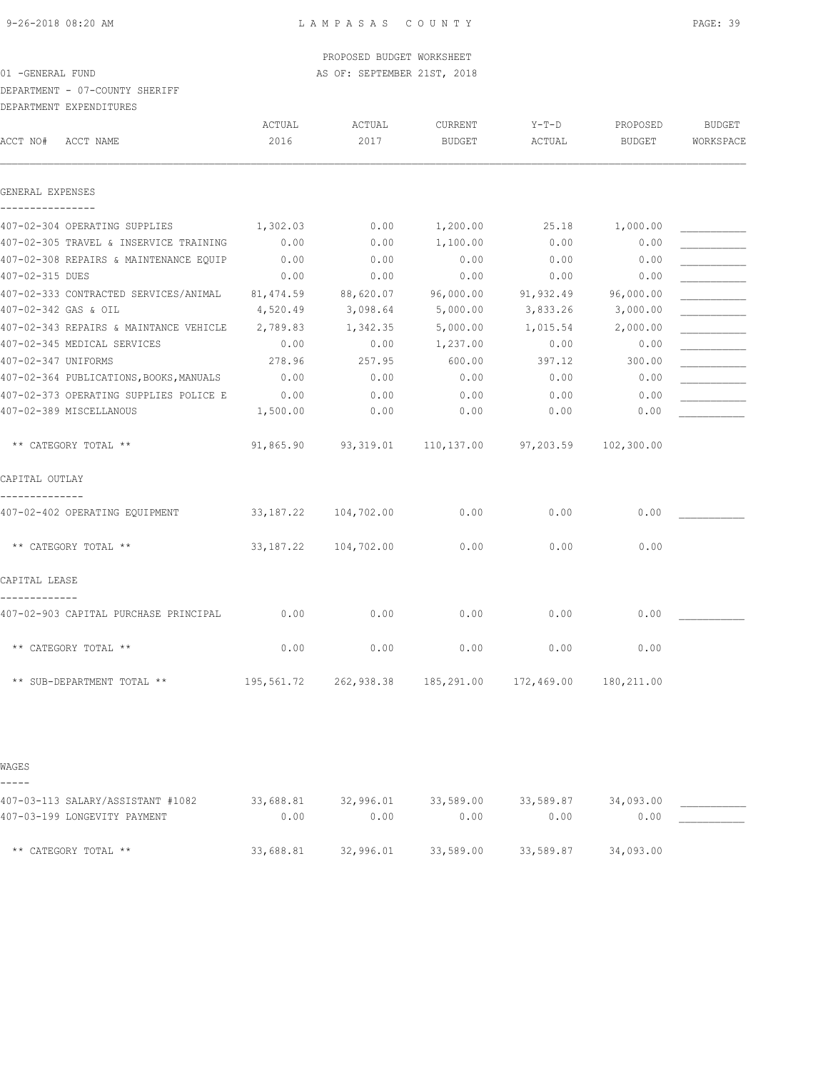DEPARTMENT - 07-COUNTY SHERIFF

DEPARTMENT EXPENDITURES

| ACCT NO#            | ACCT NAME                                                         | ACTUAL<br>2016 | ACTUAL<br>2017       | CURRENT<br><b>BUDGET</b> | Y-T-D<br>ACTUAL | PROPOSED<br><b>BUDGET</b> | <b>BUDGET</b><br>WORKSPACE |
|---------------------|-------------------------------------------------------------------|----------------|----------------------|--------------------------|-----------------|---------------------------|----------------------------|
| GENERAL EXPENSES    |                                                                   |                |                      |                          |                 |                           |                            |
| ----------------    | 407-02-304 OPERATING SUPPLIES                                     | 1,302.03       | 0.00                 | 1,200.00                 | 25.18           | 1,000.00                  |                            |
|                     | 407-02-305 TRAVEL & INSERVICE TRAINING                            | 0.00           | 0.00                 | 1,100.00                 | 0.00            | 0.00                      |                            |
|                     | 407-02-308 REPAIRS & MAINTENANCE EQUIP                            | 0.00           | 0.00                 | 0.00                     | 0.00            | 0.00                      |                            |
| 407-02-315 DUES     |                                                                   | 0.00           | 0.00                 | 0.00                     | 0.00            | 0.00                      |                            |
|                     | 407-02-333 CONTRACTED SERVICES/ANIMAL 81,474.59                   |                | 88,620.07            | 96,000.00                | 91,932.49       | 96,000.00                 |                            |
|                     | 407-02-342 GAS & OIL                                              | 4,520.49       | 3,098.64             | 5,000.00                 | 3,833.26        | 3,000.00                  |                            |
|                     | 407-02-343 REPAIRS & MAINTANCE VEHICLE                            | 2,789.83       | 1,342.35             | 5,000.00                 | 1,015.54        | 2,000.00                  |                            |
|                     | 407-02-345 MEDICAL SERVICES                                       | 0.00           | 0.00                 | 1,237.00                 | 0.00            | 0.00                      |                            |
| 407-02-347 UNIFORMS |                                                                   | 278.96         | 257.95               | 600.00                   | 397.12          | 300.00                    |                            |
|                     | 407-02-364 PUBLICATIONS, BOOKS, MANUALS 0.00                      |                | 0.00                 | 0.00                     | 0.00            | 0.00                      |                            |
|                     | 407-02-373 OPERATING SUPPLIES POLICE E                            | 0.00           | 0.00                 | 0.00                     | 0.00            | 0.00                      |                            |
|                     | 407-02-389 MISCELLANOUS                                           | 1,500.00       | 0.00                 | 0.00                     | 0.00            | 0.00                      |                            |
|                     | ** CATEGORY TOTAL **                                              | 91,865.90      |                      | 93,319.01 110,137.00     | 97,203.59       | 102,300.00                |                            |
| CAPITAL OUTLAY      |                                                                   |                |                      |                          |                 |                           |                            |
|                     | 407-02-402 OPERATING EQUIPMENT                                    |                | 33,187.22 104,702.00 | 0.00                     | 0.00            | 0.00                      |                            |
|                     | ** CATEGORY TOTAL **                                              | 33,187.22      | 104,702.00           | 0.00                     | 0.00            | 0.00                      |                            |
| CAPITAL LEASE       |                                                                   |                |                      |                          |                 |                           |                            |
|                     | 407-02-903 CAPITAL PURCHASE PRINCIPAL                             | 0.00           | 0.00                 | 0.00                     | 0.00            | 0.00                      |                            |
|                     | ** CATEGORY TOTAL **                                              | 0.00           | 0.00                 | 0.00                     | 0.00            | 0.00                      |                            |
|                     |                                                                   |                |                      |                          |                 | 180,211.00                |                            |
|                     |                                                                   |                |                      |                          |                 |                           |                            |
| WAGES               |                                                                   |                |                      |                          |                 |                           |                            |
| -----               |                                                                   |                |                      |                          |                 |                           |                            |
|                     | 407-03-113 SALARY/ASSISTANT #1082<br>407-03-199 LONGEVITY PAYMENT | 33,688.81      | 32,996.01            | 33,589.00                | 33,589.87       | 34,093.00                 |                            |
|                     |                                                                   | 0.00           | 0.00                 | 0.00                     | 0.00            | 0.00                      |                            |

\*\* CATEGORY TOTAL \*\* 33,688.81 32,996.01 33,589.00 33,589.87 34,093.00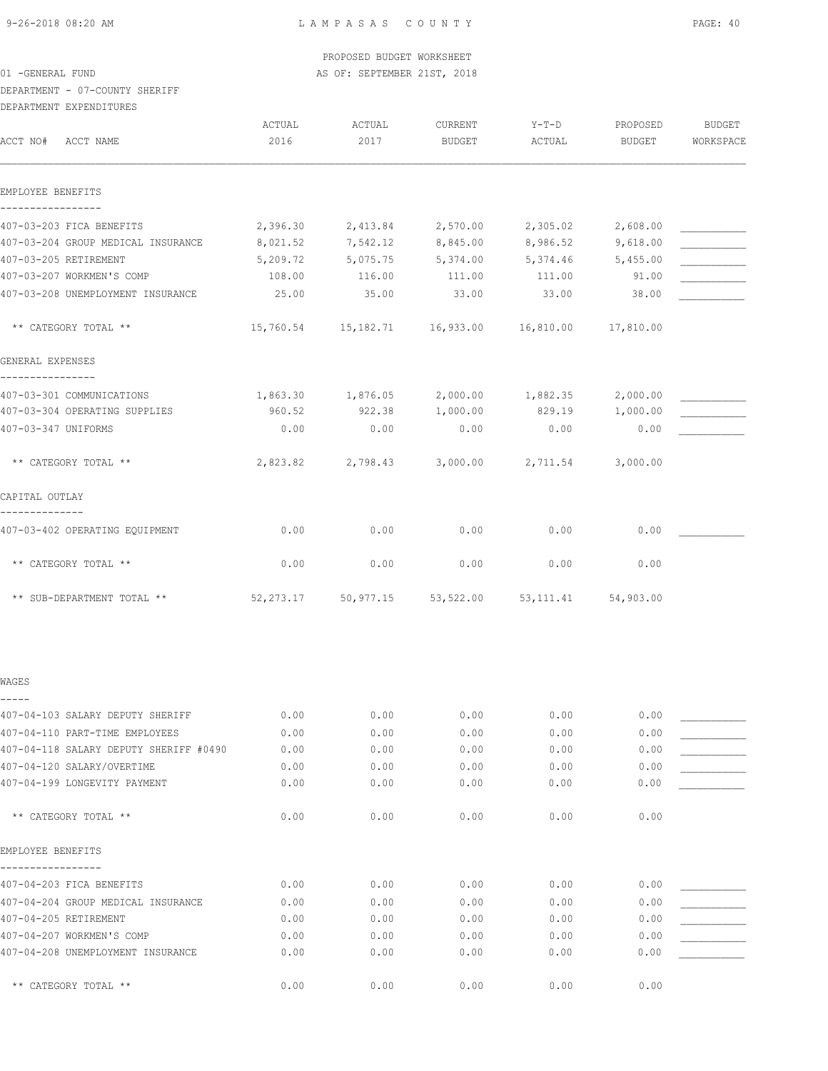|                  |  |  | PROPOSED BUDGET WORKSHEET   |  |
|------------------|--|--|-----------------------------|--|
| 01 -GENERAL FUND |  |  | AS OF: SEPTEMBER 21ST, 2018 |  |

## DEPARTMENT - 07-COUNTY SHERIFF

DEPARTMENT EXPENDITURES

| DELARITENI EALENDIIOREO                |                |                                                             |                   |                   |                    |                     |
|----------------------------------------|----------------|-------------------------------------------------------------|-------------------|-------------------|--------------------|---------------------|
| ACCT NO#<br>ACCT NAME                  | ACTUAL<br>2016 | ACTUAL<br>2017                                              | CURRENT<br>BUDGET | Y-T-D<br>ACTUAL   | PROPOSED<br>BUDGET | BUDGET<br>WORKSPACE |
| EMPLOYEE BENEFITS                      |                |                                                             |                   |                   |                    |                     |
|                                        |                |                                                             |                   |                   |                    |                     |
| 407-03-203 FICA BENEFITS               |                | 2,396.30 2,413.84                                           |                   | 2,570.00 2,305.02 | 2,608.00           |                     |
| 407-03-204 GROUP MEDICAL INSURANCE     |                | 8,021.52 7,542.12 8,845.00 8,986.52                         |                   |                   | 9,618.00           |                     |
| 407-03-205 RETIREMENT                  | 5,209.72       | 5,075.75 5,374.00 5,374.46                                  |                   |                   | 5,455.00           |                     |
| 407-03-207 WORKMEN'S COMP              | 108.00         | 116.00                                                      | 111.00            | 111.00            | 91.00              |                     |
| 407-03-208 UNEMPLOYMENT INSURANCE      | 25.00          | 35.00                                                       | 33.00             | 33.00             | 38.00              |                     |
| ** CATEGORY TOTAL **                   |                | $15,760.54$ $15,182.71$ $16,933.00$ $16,810.00$ $17,810.00$ |                   |                   |                    |                     |
| GENERAL EXPENSES                       |                |                                                             |                   |                   |                    |                     |
| 407-03-301 COMMUNICATIONS              |                | $1,863.30$ $1,876.05$ $2,000.00$ $1,882.35$                 |                   |                   | 2,000.00           |                     |
| 407-03-304 OPERATING SUPPLIES          |                | 960.52 922.38 1,000.00                                      |                   | 829.19 1,000.00   |                    |                     |
| 407-03-347 UNIFORMS                    | 0.00           | 0.00                                                        | 0.00              | 0.00              | 0.00               |                     |
| ** CATEGORY TOTAL **                   |                | 2,823.82 2,798.43                                           |                   | 3,000.00 2,711.54 | 3,000.00           |                     |
| CAPITAL OUTLAY                         |                |                                                             |                   |                   |                    |                     |
| 407-03-402 OPERATING EQUIPMENT         | 0.00           | 0.00                                                        | 0.00              | 0.00              | 0.00               |                     |
| ** CATEGORY TOTAL **                   | 0.00           | 0.00                                                        | 0.00              | 0.00              | 0.00               |                     |
| ** SUB-DEPARTMENT TOTAL **             |                | $52,273.17$ $50,977.15$ $53,522.00$ $53,111.41$ $54,903.00$ |                   |                   |                    |                     |
| WAGES                                  |                |                                                             |                   |                   |                    |                     |
| 407-04-103 SALARY DEPUTY SHERIFF       | 0.00           | 0.00                                                        |                   | $0.00$ 0.00       | 0.00               |                     |
| 407-04-110 PART-TIME EMPLOYEES         | 0.00           | 0.00                                                        | 0.00              | 0.00              | 0.00               |                     |
| 407-04-118 SALARY DEPUTY SHERIFF #0490 | 0.00           | 0.00                                                        | 0.00              | 0.00              | 0.00               |                     |
| 407-04-120 SALARY/OVERTIME             | 0.00           | 0.00                                                        | 0.00              | 0.00              | 0.00               |                     |
| 407-04-199 LONGEVITY PAYMENT           | 0.00           | 0.00                                                        | 0.00              | 0.00              | 0.00               |                     |
| ** CATEGORY TOTAL **                   | 0.00           | 0.00                                                        | 0.00              | 0.00              | 0.00               |                     |
| EMPLOYEE BENEFITS                      |                |                                                             |                   |                   |                    |                     |
| 407-04-203 FICA BENEFITS               | 0.00           | 0.00                                                        | 0.00              | 0.00              | 0.00               |                     |
| 407-04-204 GROUP MEDICAL INSURANCE     | 0.00           | 0.00                                                        | 0.00              | 0.00              | 0.00               |                     |
| 407-04-205 RETIREMENT                  | 0.00           | 0.00                                                        | 0.00              | 0.00              | 0.00               |                     |
| 407-04-207 WORKMEN'S COMP              | 0.00           | 0.00                                                        | 0.00              | 0.00              | 0.00               |                     |
| 407-04-208 UNEMPLOYMENT INSURANCE      | 0.00           | 0.00                                                        | 0.00              | 0.00              | 0.00               |                     |
|                                        |                |                                                             |                   |                   |                    |                     |

\*\* CATEGORY TOTAL \*\*  $0.00$  0.00 0.00 0.00 0.00 0.00 0.00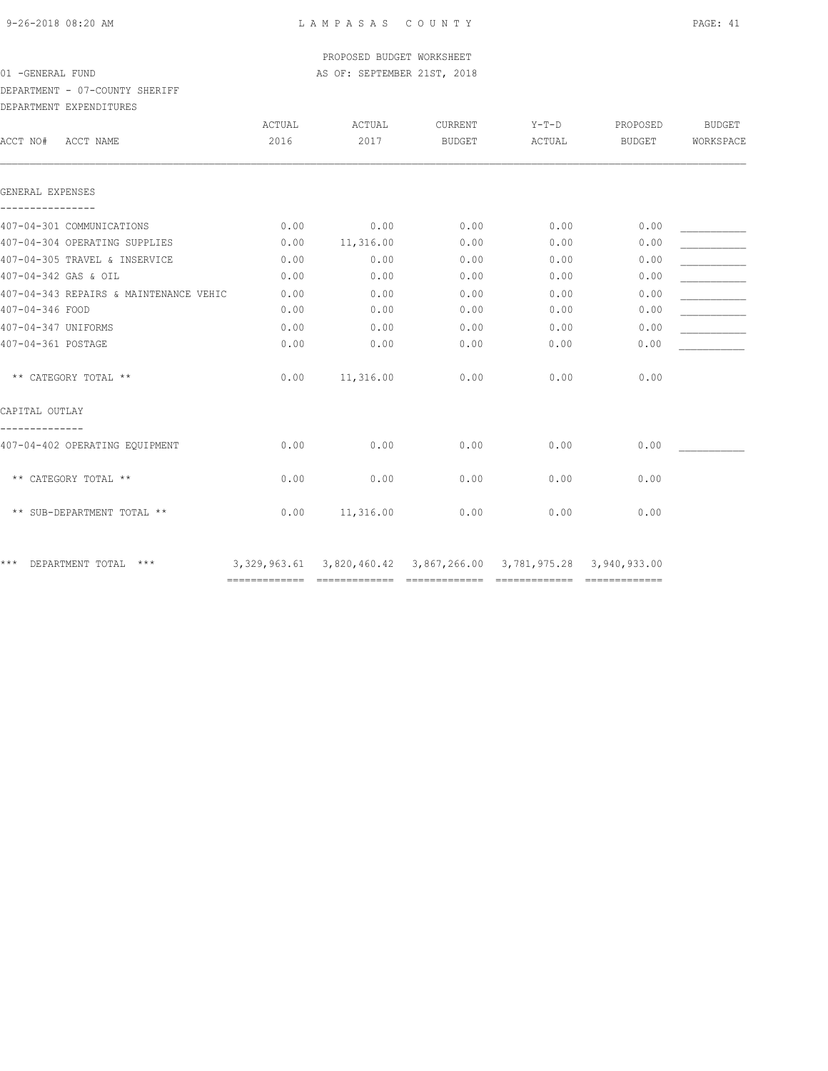DEPARTMENT - 07-COUNTY SHERIFF

| DEPARTMENT EXPENDITURES                |        |           |                                                                      |        |          |               |
|----------------------------------------|--------|-----------|----------------------------------------------------------------------|--------|----------|---------------|
|                                        | ACTUAL | ACTUAL    | CURRENT                                                              | Y-T-D  | PROPOSED | <b>BUDGET</b> |
| ACCT NO#<br>ACCT NAME                  | 2016   | 2017      | BUDGET                                                               | ACTUAL | BUDGET   | WORKSPACE     |
| GENERAL EXPENSES                       |        |           |                                                                      |        |          |               |
| 407-04-301 COMMUNICATIONS              | 0.00   | 0.00      | 0.00                                                                 | 0.00   | 0.00     |               |
| 407-04-304 OPERATING SUPPLIES          | 0.00   | 11,316.00 | 0.00                                                                 | 0.00   | 0.00     |               |
| 407-04-305 TRAVEL & INSERVICE          | 0.00   | 0.00      | 0.00                                                                 | 0.00   | 0.00     |               |
| 407-04-342 GAS & OIL                   | 0.00   | 0.00      | 0.00                                                                 | 0.00   | 0.00     |               |
| 407-04-343 REPAIRS & MAINTENANCE VEHIC | 0.00   | 0.00      | 0.00                                                                 | 0.00   | 0.00     |               |
| 407-04-346 FOOD                        | 0.00   | 0.00      | 0.00                                                                 | 0.00   | 0.00     |               |
| 407-04-347 UNIFORMS                    | 0.00   | 0.00      | 0.00                                                                 | 0.00   | 0.00     |               |
| 407-04-361 POSTAGE                     | 0.00   | 0.00      | 0.00                                                                 | 0.00   | 0.00     |               |
| ** CATEGORY TOTAL **                   | 0.00   | 11,316.00 | 0.00                                                                 | 0.00   | 0.00     |               |
| CAPITAL OUTLAY                         |        |           |                                                                      |        |          |               |
| 407-04-402 OPERATING EQUIPMENT         | 0.00   | 0.00      | 0.00                                                                 | 0.00   | 0.00     |               |
| ** CATEGORY TOTAL **                   | 0.00   | 0.00      | 0.00                                                                 | 0.00   | 0.00     |               |
| ** SUB-DEPARTMENT TOTAL **             | 0.00   | 11,316.00 | 0.00                                                                 | 0.00   | 0.00     |               |
| DEPARTMENT TOTAL ***<br>* * *          |        |           | 3,329,963.61  3,820,460.42  3,867,266.00  3,781,975.28  3,940,933.00 |        |          |               |
|                                        |        |           |                                                                      |        |          |               |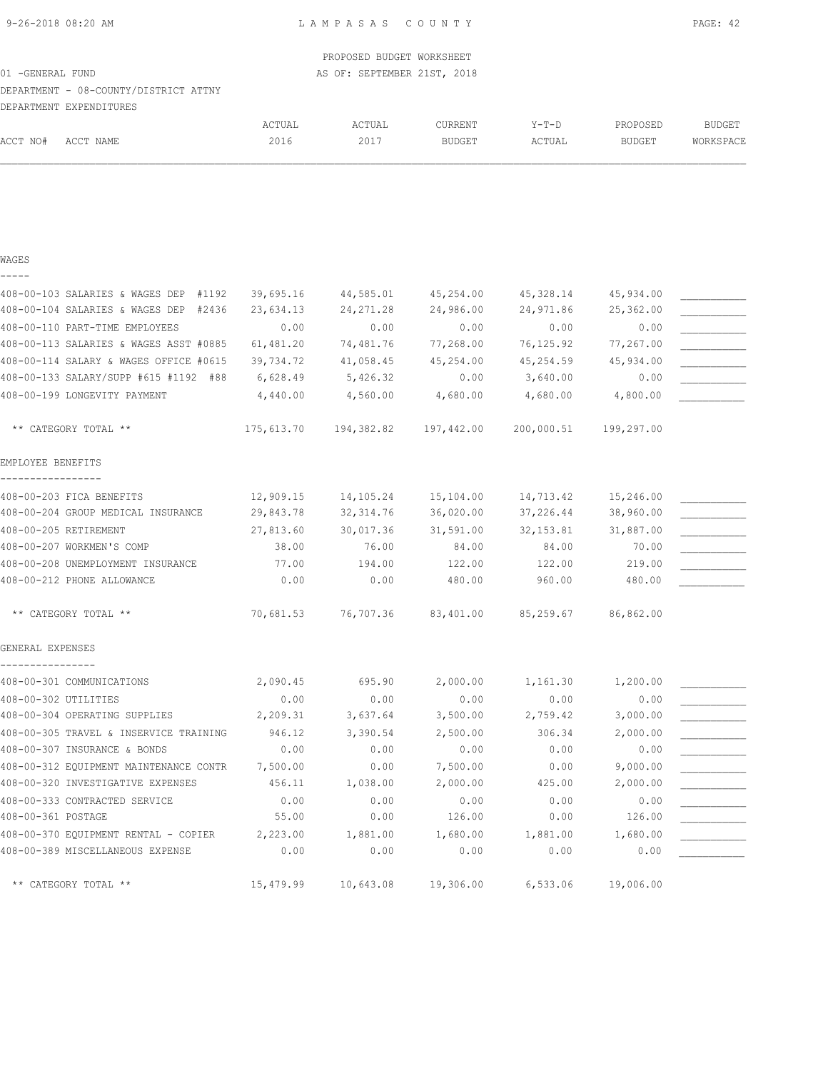# PROPOSED BUDGET WORKSHEET 01 -GENERAL FUND **AS OF: SEPTEMBER 21ST, 2018** DEPARTMENT - 08-COUNTY/DISTRICT ATTNY DEPARTMENT EXPENDITURES

|                      |                                          | ACTUAL     | ACTUAL     | CURRENT       | $Y-T-D$    | PROPOSED      | <b>BUDGET</b> |
|----------------------|------------------------------------------|------------|------------|---------------|------------|---------------|---------------|
| ACCT NO#             | ACCT NAME                                | 2016       | 2017       | <b>BUDGET</b> | ACTUAL     | <b>BUDGET</b> | WORKSPACE     |
|                      |                                          |            |            |               |            |               |               |
|                      |                                          |            |            |               |            |               |               |
|                      |                                          |            |            |               |            |               |               |
| WAGES                |                                          |            |            |               |            |               |               |
|                      |                                          |            |            |               |            |               |               |
|                      | 408-00-103 SALARIES & WAGES DEP<br>#1192 | 39,695.16  | 44,585.01  | 45,254.00     | 45,328.14  | 45,934.00     |               |
|                      | 408-00-104 SALARIES & WAGES DEP<br>#2436 | 23,634.13  | 24, 271.28 | 24,986.00     | 24,971.86  | 25,362.00     |               |
|                      | 408-00-110 PART-TIME EMPLOYEES           | 0.00       | 0.00       | 0.00          | 0.00       | 0.00          |               |
|                      | 408-00-113 SALARIES & WAGES ASST #0885   | 61,481.20  | 74,481.76  | 77,268.00     | 76,125.92  | 77,267.00     |               |
|                      | 408-00-114 SALARY & WAGES OFFICE #0615   | 39,734.72  | 41,058.45  | 45,254.00     | 45,254.59  | 45,934.00     |               |
|                      | 408-00-133 SALARY/SUPP #615 #1192 #88    | 6,628.49   | 5,426.32   | 0.00          | 3,640.00   | 0.00          |               |
|                      | 408-00-199 LONGEVITY PAYMENT             | 4,440.00   | 4,560.00   | 4,680.00      | 4,680.00   | 4,800.00      |               |
|                      | ** CATEGORY TOTAL **                     | 175,613.70 | 194,382.82 | 197,442.00    | 200,000.51 | 199,297.00    |               |
| EMPLOYEE BENEFITS    |                                          |            |            |               |            |               |               |
|                      | 408-00-203 FICA BENEFITS                 | 12,909.15  | 14,105.24  | 15,104.00     | 14,713.42  | 15,246.00     |               |
|                      | 408-00-204 GROUP MEDICAL INSURANCE       | 29,843.78  | 32, 314.76 | 36,020.00     | 37,226.44  | 38,960.00     |               |
|                      | 408-00-205 RETIREMENT                    | 27,813.60  | 30,017.36  | 31,591.00     | 32, 153.81 | 31,887.00     |               |
|                      | 408-00-207 WORKMEN'S COMP                | 38.00      | 76.00      | 84.00         | 84.00      | 70.00         |               |
|                      | 408-00-208 UNEMPLOYMENT INSURANCE        | 77.00      | 194.00     | 122.00        | 122.00     | 219.00        |               |
|                      | 408-00-212 PHONE ALLOWANCE               | 0.00       | 0.00       | 480.00        | 960.00     | 480.00        |               |
|                      | ** CATEGORY TOTAL **                     | 70,681.53  | 76,707.36  | 83,401.00     | 85,259.67  | 86,862.00     |               |
| GENERAL EXPENSES     |                                          |            |            |               |            |               |               |
|                      | 408-00-301 COMMUNICATIONS                | 2,090.45   | 695.90     | 2,000.00      | 1,161.30   | 1,200.00      |               |
| 408-00-302 UTILITIES |                                          | 0.00       | 0.00       | 0.00          | 0.00       | 0.00          |               |
|                      | 408-00-304 OPERATING SUPPLIES            | 2,209.31   | 3,637.64   | 3,500.00      | 2,759.42   | 3,000.00      |               |
|                      | 408-00-305 TRAVEL & INSERVICE TRAINING   | 946.12     | 3,390.54   | 2,500.00      | 306.34     | 2,000.00      |               |
|                      | 408-00-307 INSURANCE & BONDS             | 0.00       | 0.00       | 0.00          | 0.00       | 0.00          |               |
|                      | 408-00-312 EQUIPMENT MAINTENANCE CONTR   | 7,500.00   | 0.00       | 7,500.00      | 0.00       | 9,000.00      |               |
|                      | 408-00-320 INVESTIGATIVE EXPENSES        | 456.11     | 1,038.00   | 2,000.00      | 425.00     | 2,000.00      |               |
|                      | 408-00-333 CONTRACTED SERVICE            | 0.00       | 0.00       | 0.00          | 0.00       | 0.00          |               |
| 408-00-361 POSTAGE   |                                          | 55.00      | 0.00       | 126.00        | 0.00       | 126.00        |               |
|                      | 408-00-370 EQUIPMENT RENTAL - COPIER     | 2,223.00   | 1,881.00   | 1,680.00      | 1,881.00   | 1,680.00      |               |
|                      | 408-00-389 MISCELLANEOUS EXPENSE         | 0.00       | 0.00       | 0.00          | 0.00       | 0.00          |               |
|                      | ** CATEGORY TOTAL **                     | 15,479.99  | 10,643.08  | 19,306.00     | 6,533.06   | 19,006.00     |               |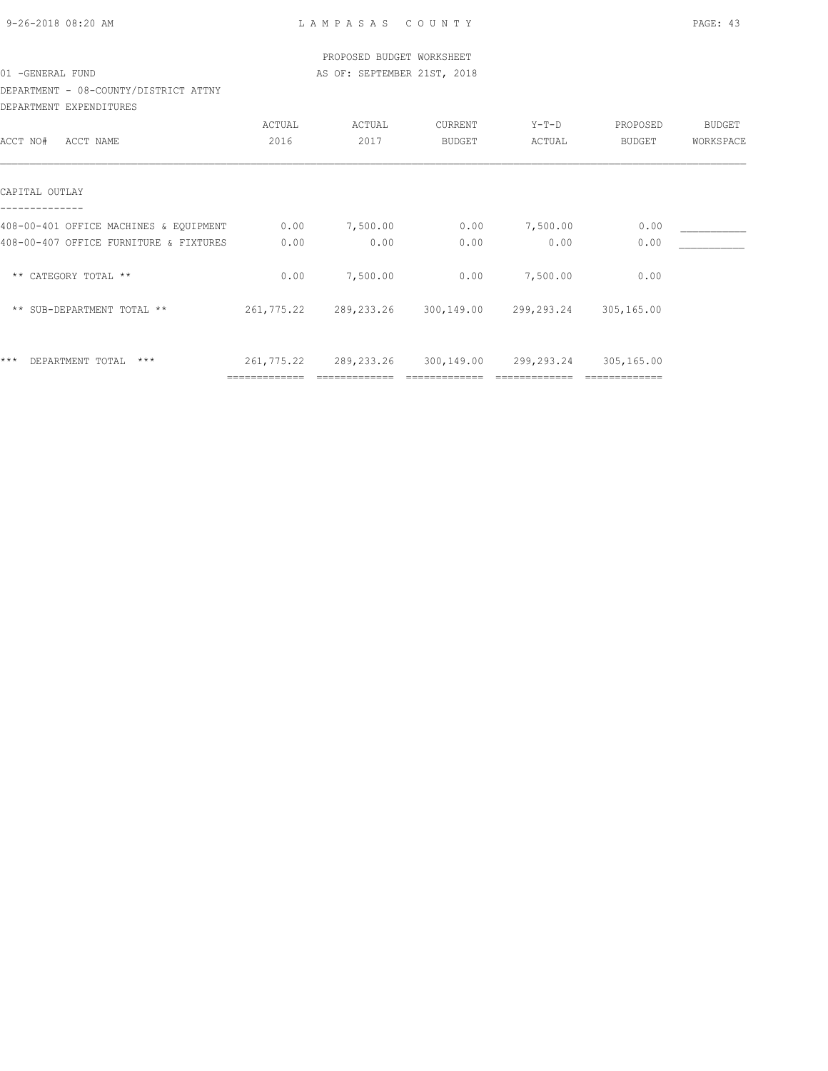| 9-26-2018 08:20 AM |  |
|--------------------|--|

|                                        |               | PROPOSED BUDGET WORKSHEET   |               |                       |            |           |
|----------------------------------------|---------------|-----------------------------|---------------|-----------------------|------------|-----------|
| 01 - GENERAL FUND                      |               | AS OF: SEPTEMBER 21ST, 2018 |               |                       |            |           |
| DEPARTMENT - 08-COUNTY/DISTRICT ATTNY  |               |                             |               |                       |            |           |
| DEPARTMENT EXPENDITURES                |               |                             |               |                       |            |           |
|                                        | ACTUAL        | ACTUAL                      | CURRENT       | $Y-T-D$               | PROPOSED   | BUDGET    |
| ACCT NO#<br>ACCT NAME                  | 2016          | 2017                        | <b>BUDGET</b> | ACTUAL                | BUDGET     | WORKSPACE |
| CAPITAL OUTLAY                         |               |                             |               |                       |            |           |
| 408-00-401 OFFICE MACHINES & EQUIPMENT | 0.00          | 7,500.00                    | 0.00          | 7,500.00              | 0.00       |           |
| 408-00-407 OFFICE FURNITURE & FIXTURES | 0.00          | 0.00                        | 0.00          | 0.00                  | 0.00       |           |
| ** CATEGORY TOTAL **                   | 0.00          | 7,500.00                    | 0.00          | 7,500.00              | 0.00       |           |
| ** SUB-DEPARTMENT TOTAL **             | 261,775.22    | 289, 233. 26                |               | 300,149.00 299,293.24 | 305,165.00 |           |
| $***$<br>$***$<br>DEPARTMENT TOTAL     | 261,775.22    | 289,233.26                  | 300,149.00    | 299,293.24            | 305,165.00 |           |
|                                        | ------------- |                             |               |                       |            |           |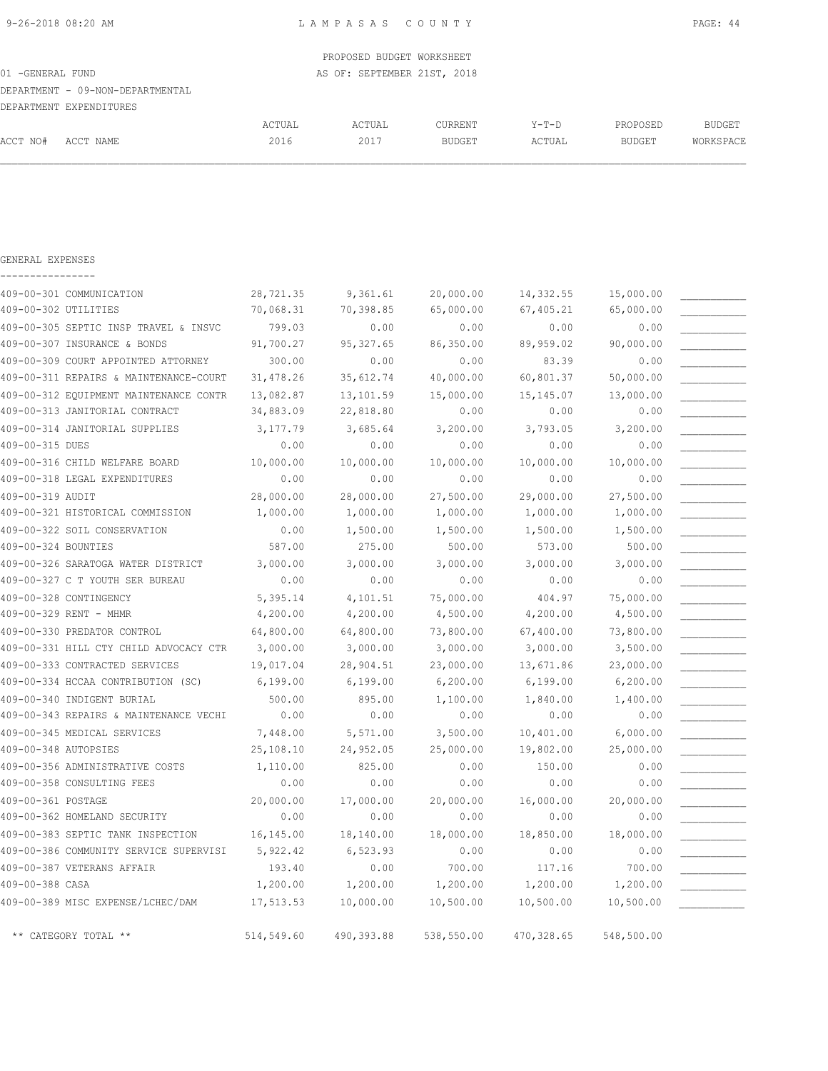|                   |                                  |        | PROPOSED BUDGET WORKSHEET   |               |         |          |           |
|-------------------|----------------------------------|--------|-----------------------------|---------------|---------|----------|-----------|
| 01 - GENERAL FUND |                                  |        | AS OF: SEPTEMBER 21ST, 2018 |               |         |          |           |
|                   | DEPARTMENT - 09-NON-DEPARTMENTAL |        |                             |               |         |          |           |
|                   | DEPARTMENT EXPENDITURES          |        |                             |               |         |          |           |
|                   |                                  | ACTUAL | ACTUAL                      | CURRENT       | $Y-T-D$ | PROPOSED | BUDGET    |
| ACCT NO#          | ACCT NAME                        | 2016   | 2017                        | <b>BUDGET</b> | ACTUAL  | BUDGET   | WORKSPACE |
|                   |                                  |        |                             |               |         |          |           |
|                   |                                  |        |                             |               |         |          |           |

| GENERAL EXPENSES |  |  |  |  |  |  |  |  |
|------------------|--|--|--|--|--|--|--|--|
|                  |  |  |  |  |  |  |  |  |

|                      | 409-00-301 COMMUNICATION               | 28,721.35  | 9,361.61   | 20,000.00  | 14,332.55  | 15,000.00  |  |
|----------------------|----------------------------------------|------------|------------|------------|------------|------------|--|
| 409-00-302 UTILITIES |                                        | 70,068.31  | 70,398.85  | 65,000.00  | 67,405.21  | 65,000.00  |  |
|                      | 409-00-305 SEPTIC INSP TRAVEL & INSVC  | 799.03     | 0.00       | 0.00       | 0.00       | 0.00       |  |
|                      | 409-00-307 INSURANCE & BONDS           | 91,700.27  | 95, 327.65 | 86,350.00  | 89,959.02  | 90,000.00  |  |
|                      | 409-00-309 COURT APPOINTED ATTORNEY    | 300.00     | 0.00       | 0.00       | 83.39      | 0.00       |  |
|                      | 409-00-311 REPAIRS & MAINTENANCE-COURT | 31,478.26  | 35,612.74  | 40,000.00  | 60,801.37  | 50,000.00  |  |
|                      | 409-00-312 EQUIPMENT MAINTENANCE CONTR | 13,082.87  | 13,101.59  | 15,000.00  | 15, 145.07 | 13,000.00  |  |
|                      | 409-00-313 JANITORIAL CONTRACT         | 34,883.09  | 22,818.80  | 0.00       | 0.00       | 0.00       |  |
|                      | 409-00-314 JANITORIAL SUPPLIES         | 3,177.79   | 3,685.64   | 3,200.00   | 3,793.05   | 3,200.00   |  |
| 409-00-315 DUES      |                                        | 0.00       | 0.00       | 0.00       | 0.00       | 0.00       |  |
|                      | 409-00-316 CHILD WELFARE BOARD         | 10,000.00  | 10,000.00  | 10,000.00  | 10,000.00  | 10,000.00  |  |
|                      | 409-00-318 LEGAL EXPENDITURES          | 0.00       | 0.00       | 0.00       | 0.00       | 0.00       |  |
| 409-00-319 AUDIT     |                                        | 28,000.00  | 28,000.00  | 27,500.00  | 29,000.00  | 27,500.00  |  |
|                      | 409-00-321 HISTORICAL COMMISSION       | 1,000.00   | 1,000.00   | 1,000.00   | 1,000.00   | 1,000.00   |  |
|                      | 409-00-322 SOIL CONSERVATION           | 0.00       | 1,500.00   | 1,500.00   | 1,500.00   | 1,500.00   |  |
| 409-00-324 BOUNTIES  |                                        | 587.00     | 275.00     | 500.00     | 573.00     | 500.00     |  |
|                      | 409-00-326 SARATOGA WATER DISTRICT     | 3,000.00   | 3,000.00   | 3,000.00   | 3,000.00   | 3,000.00   |  |
|                      | 409-00-327 C T YOUTH SER BUREAU        | 0.00       | 0.00       | 0.00       | 0.00       | 0.00       |  |
|                      | 409-00-328 CONTINGENCY                 | 5,395.14   | 4,101.51   | 75,000.00  | 404.97     | 75,000.00  |  |
|                      | 409-00-329 RENT - MHMR                 | 4,200.00   | 4,200.00   | 4,500.00   | 4,200.00   | 4,500.00   |  |
|                      | 409-00-330 PREDATOR CONTROL            | 64,800.00  | 64,800.00  | 73,800.00  | 67,400.00  | 73,800.00  |  |
|                      | 409-00-331 HILL CTY CHILD ADVOCACY CTR | 3,000.00   | 3,000.00   | 3,000.00   | 3,000.00   | 3,500.00   |  |
|                      | 409-00-333 CONTRACTED SERVICES         | 19,017.04  | 28,904.51  | 23,000.00  | 13,671.86  | 23,000.00  |  |
|                      | 409-00-334 HCCAA CONTRIBUTION (SC)     | 6,199.00   | 6,199.00   | 6, 200.00  | 6,199.00   | 6, 200.00  |  |
|                      | 409-00-340 INDIGENT BURIAL             | 500.00     | 895.00     | 1,100.00   | 1,840.00   | 1,400.00   |  |
|                      | 409-00-343 REPAIRS & MAINTENANCE VECHI | 0.00       | 0.00       | 0.00       | 0.00       | 0.00       |  |
|                      | 409-00-345 MEDICAL SERVICES            | 7,448.00   | 5,571.00   | 3,500.00   | 10,401.00  | 6,000.00   |  |
| 409-00-348 AUTOPSIES |                                        | 25,108.10  | 24,952.05  | 25,000.00  | 19,802.00  | 25,000.00  |  |
|                      | 409-00-356 ADMINISTRATIVE COSTS        | 1,110.00   | 825.00     | 0.00       | 150.00     | 0.00       |  |
|                      | 409-00-358 CONSULTING FEES             | 0.00       | 0.00       | 0.00       | 0.00       | 0.00       |  |
| 409-00-361 POSTAGE   |                                        | 20,000.00  | 17,000.00  | 20,000.00  | 16,000.00  | 20,000.00  |  |
|                      | 409-00-362 HOMELAND SECURITY           | 0.00       | 0.00       | 0.00       | 0.00       | 0.00       |  |
|                      | 409-00-383 SEPTIC TANK INSPECTION      | 16,145.00  | 18,140.00  | 18,000.00  | 18,850.00  | 18,000.00  |  |
|                      | 409-00-386 COMMUNITY SERVICE SUPERVISI | 5,922.42   | 6,523.93   | 0.00       | 0.00       | 0.00       |  |
|                      | 409-00-387 VETERANS AFFAIR             | 193.40     | 0.00       | 700.00     | 117.16     | 700.00     |  |
| 409-00-388 CASA      |                                        | 1,200.00   | 1,200.00   | 1,200.00   | 1,200.00   | 1,200.00   |  |
|                      | 409-00-389 MISC EXPENSE/LCHEC/DAM      | 17,513.53  | 10,000.00  | 10,500.00  | 10,500.00  | 10,500.00  |  |
|                      | ** CATEGORY TOTAL **                   | 514,549.60 | 490,393.88 | 538,550.00 | 470,328.65 | 548,500.00 |  |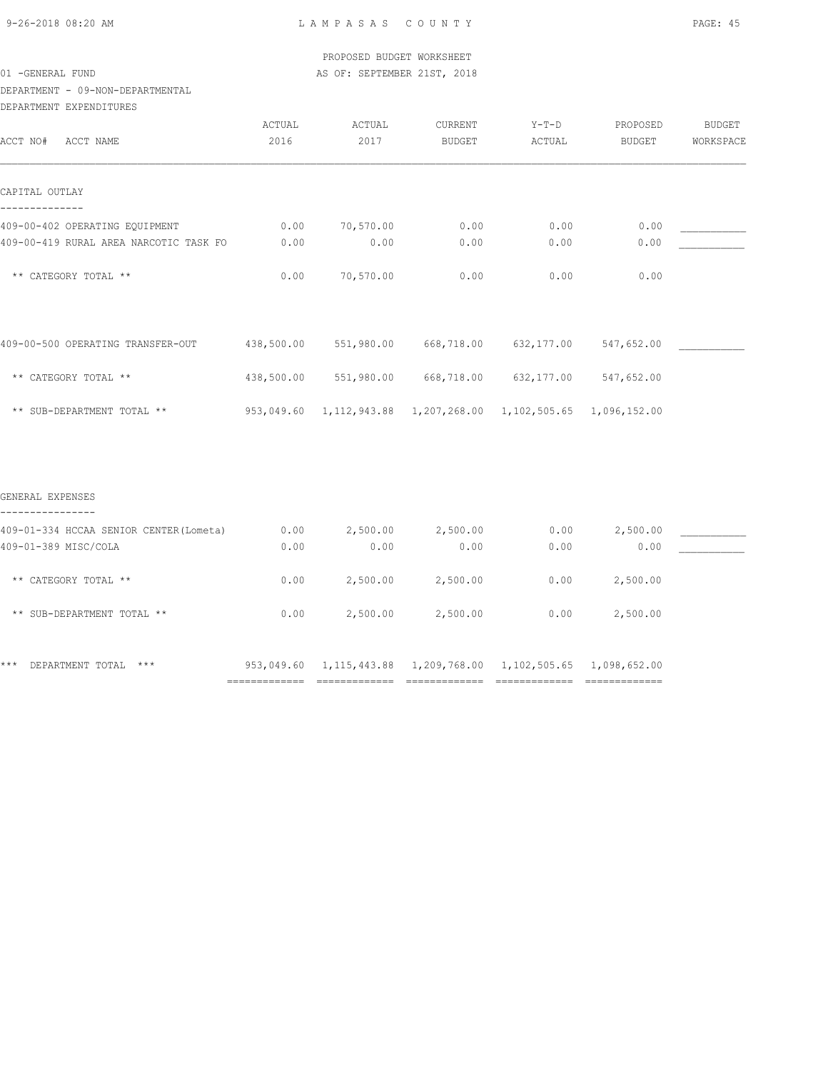### DEPARTMENT - 09-NON-DEPARTMENTAL

| DEPARTMENT EXPENDITURES                 |                |                                                                |                          |                   |                           |                            |
|-----------------------------------------|----------------|----------------------------------------------------------------|--------------------------|-------------------|---------------------------|----------------------------|
| ACCT NAME<br>ACCT NO#                   | ACTUAL<br>2016 | ACTUAL<br>2017                                                 | CURRENT<br><b>BUDGET</b> | $Y-T-D$<br>ACTUAL | PROPOSED<br><b>BUDGET</b> | <b>BUDGET</b><br>WORKSPACE |
|                                         |                |                                                                |                          |                   |                           |                            |
| CAPITAL OUTLAY                          |                |                                                                |                          |                   |                           |                            |
| 409-00-402 OPERATING EQUIPMENT          | 0.00           | 70,570.00                                                      | 0.00                     | 0.00              | 0.00                      |                            |
| 409-00-419 RURAL AREA NARCOTIC TASK FO  | 0.00           | 0.00                                                           | 0.00                     | 0.00              | 0.00                      |                            |
| ** CATEGORY TOTAL **                    | 0.00           | 70,570.00                                                      | 0.00                     | 0.00              | 0.00                      |                            |
|                                         |                |                                                                |                          |                   |                           |                            |
| 409-00-500 OPERATING TRANSFER-OUT       | 438,500.00     | 551,980.00                                                     | 668,718.00               | 632, 177.00       | 547,652.00                |                            |
| ** CATEGORY TOTAL **                    | 438,500.00     | 551,980.00                                                     | 668,718.00               | 632,177.00        | 547,652.00                |                            |
| ** SUB-DEPARTMENT TOTAL **              | 953,049.60     | 1, 112, 943.88  1, 207, 268.00  1, 102, 505.65  1, 096, 152.00 |                          |                   |                           |                            |
|                                         |                |                                                                |                          |                   |                           |                            |
| GENERAL EXPENSES                        |                |                                                                |                          |                   |                           |                            |
| 409-01-334 HCCAA SENIOR CENTER (Lometa) | 0.00           | 2,500.00                                                       | 2,500.00                 | 0.00              | 2,500.00                  |                            |
| 409-01-389 MISC/COLA                    | 0.00           | 0.00                                                           | 0.00                     | 0.00              | 0.00                      |                            |
| ** CATEGORY TOTAL **                    | 0.00           | 2,500.00                                                       | 2,500.00                 | 0.00              | 2,500.00                  |                            |

\*\* SUB-DEPARTMENT TOTAL \*\* 0.00 2,500.00 2,500.00 0.00 2,500.00

\*\*\* DEPARTMENT TOTAL \*\*\* 953,049.60 1,115,443.88 1,209,768.00 1,102,505.65 1,098,652.00

============= ============= ============= ============= =============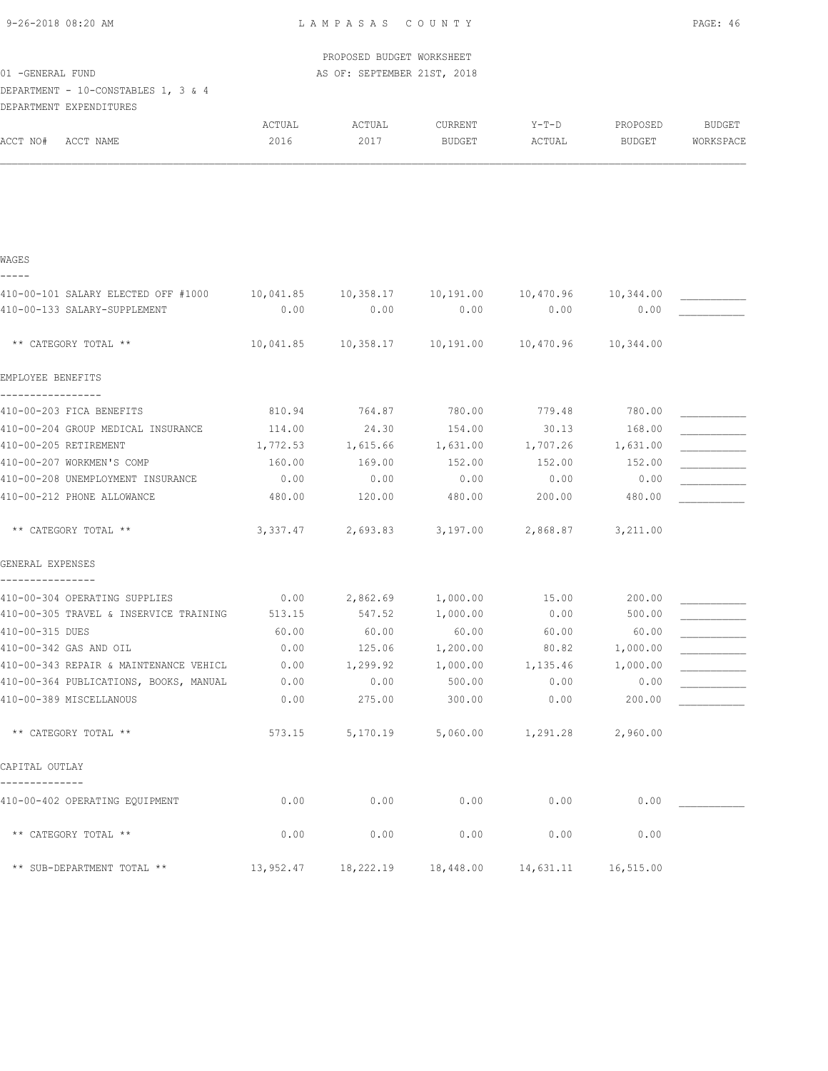| 9-26-2018 08:20 AM |
|--------------------|
|--------------------|

|                                                                |           | PROPOSED BUDGET WORKSHEET                                   |               |           |                   |           |
|----------------------------------------------------------------|-----------|-------------------------------------------------------------|---------------|-----------|-------------------|-----------|
| 01 - GENERAL FUND                                              |           | AS OF: SEPTEMBER 21ST, 2018                                 |               |           |                   |           |
| DEPARTMENT - 10-CONSTABLES 1, 3 & 4<br>DEPARTMENT EXPENDITURES |           |                                                             |               |           |                   |           |
|                                                                | ACTUAL    | ACTUAL                                                      | CURRENT       | Y-T-D     | PROPOSED          | BUDGET    |
| ACCT NO#<br>ACCT NAME                                          | 2016      | 2017                                                        | <b>BUDGET</b> | ACTUAL    | BUDGET            | WORKSPACE |
|                                                                |           |                                                             |               |           |                   |           |
|                                                                |           |                                                             |               |           |                   |           |
|                                                                |           |                                                             |               |           |                   |           |
|                                                                |           |                                                             |               |           |                   |           |
|                                                                |           |                                                             |               |           |                   |           |
| WAGES                                                          |           |                                                             |               |           |                   |           |
| -----                                                          |           |                                                             |               |           |                   |           |
| 410-00-101 SALARY ELECTED OFF #1000                            |           | $10,041.85$ $10,358.17$ $10,191.00$ $10,470.96$ $10,344.00$ |               |           |                   |           |
| 410-00-133 SALARY-SUPPLEMENT                                   | 0.00      | 0.00                                                        | 0.00          | 0.00      | 0.00              |           |
| ** CATEGORY TOTAL **                                           | 10,041.85 |                                                             |               | 10,470.96 | 10,344.00         |           |
|                                                                |           |                                                             |               |           |                   |           |
| EMPLOYEE BENEFITS                                              |           |                                                             |               |           |                   |           |
|                                                                |           |                                                             |               |           |                   |           |
| 410-00-203 FICA BENEFITS                                       | 810.94    | 764.87                                                      | 780.00        | 779.48    | 780.00            |           |
| 410-00-204 GROUP MEDICAL INSURANCE                             | 114.00    | 24.30                                                       | 154.00        | 30.13     | 168.00            |           |
| 410-00-205 RETIREMENT                                          | 1,772.53  | 1,615.66 1,631.00                                           |               |           | 1,707.26 1,631.00 |           |
| 410-00-207 WORKMEN'S COMP                                      | 160.00    | 169.00                                                      | 152.00        | 152.00    | 152.00            |           |
| 410-00-208 UNEMPLOYMENT INSURANCE                              | 0.00      | 0.00                                                        | 0.00          | 0.00      | 0.00              |           |
| 410-00-212 PHONE ALLOWANCE                                     | 480.00    | 120.00                                                      | 480.00        | 200.00    | 480.00            |           |
| ** CATEGORY TOTAL **                                           | 3,337.47  | 2,693.83                                                    | 3,197.00      | 2,868.87  | 3,211.00          |           |
| GENERAL EXPENSES                                               |           |                                                             |               |           |                   |           |
| 410-00-304 OPERATING SUPPLIES                                  | 0.00      | 2,862.69 1,000.00                                           |               | 15.00     | 200.00            |           |
| 410-00-305 TRAVEL & INSERVICE TRAINING                         | 513.15    | 547.52                                                      | 1,000.00      | 0.00      | 500.00            |           |
| 410-00-315 DUES                                                | 60.00     | 60.00                                                       | 60.00         | 60.00     | 60.00             |           |
| 410-00-342 GAS AND OIL                                         | 0.00      | 125.06                                                      | 1,200.00      | 80.82     | 1,000.00          |           |
| 410-00-343 REPAIR & MAINTENANCE VEHICL                         | 0.00      | 1,299.92                                                    | 1,000.00      | 1,135.46  | 1,000.00          |           |
| 410-00-364 PUBLICATIONS, BOOKS, MANUAL                         | 0.00      | 0.00                                                        | 500.00        | 0.00      | 0.00              |           |
| 410-00-389 MISCELLANOUS                                        | 0.00      | 275.00                                                      | 300.00        | 0.00      | 200.00            |           |
|                                                                |           |                                                             |               |           |                   |           |
| ** CATEGORY TOTAL **                                           | 573.15    | 5,170.19                                                    | 5,060.00      | 1,291.28  | 2,960.00          |           |
| CAPITAL OUTLAY                                                 |           |                                                             |               |           |                   |           |
| 410-00-402 OPERATING EQUIPMENT                                 | 0.00      | 0.00                                                        | 0.00          | 0.00      | 0.00              |           |
| ** CATEGORY TOTAL **                                           | 0.00      | 0.00                                                        | 0.00          | 0.00      | 0.00              |           |
| ** SUB-DEPARTMENT TOTAL **                                     | 13,952.47 | 18,222.19                                                   | 18,448.00     | 14,631.11 | 16,515.00         |           |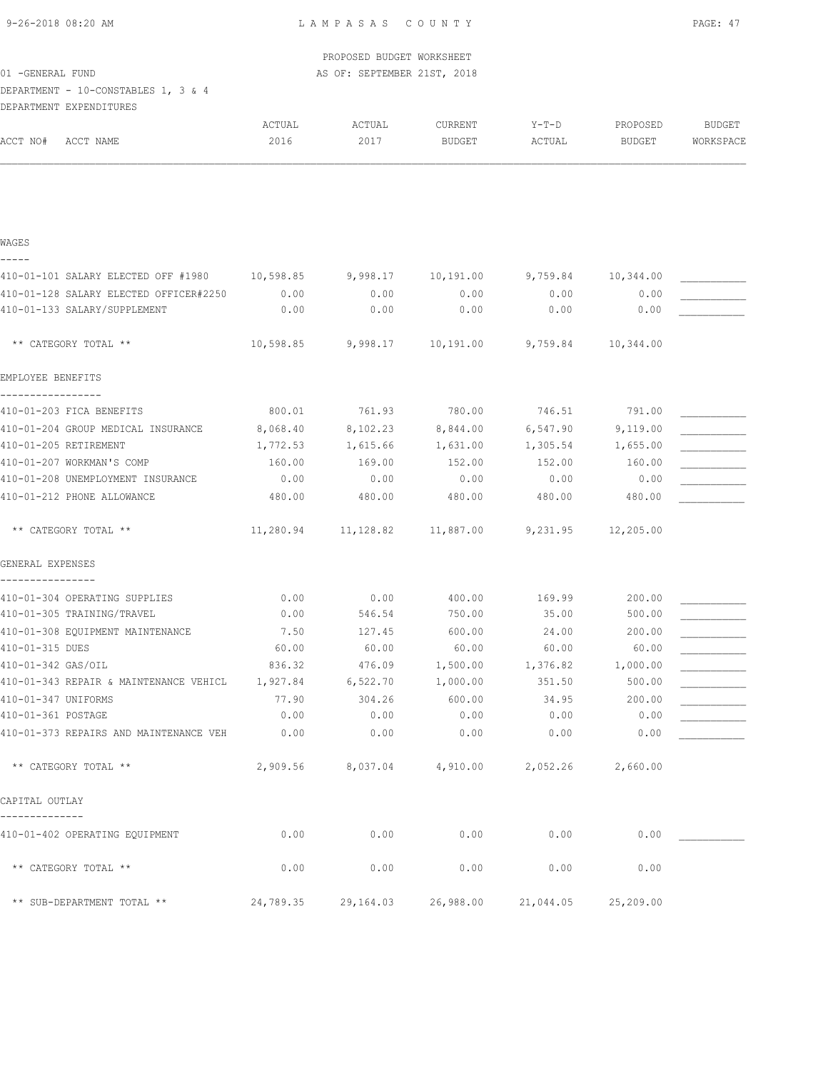| 9-26-2018 08:20 AM |  |
|--------------------|--|
|                    |  |

|                                                                |           | PROPOSED BUDGET WORKSHEET   |           |           |                    |               |
|----------------------------------------------------------------|-----------|-----------------------------|-----------|-----------|--------------------|---------------|
| 01 - GENERAL FUND                                              |           | AS OF: SEPTEMBER 21ST, 2018 |           |           |                    |               |
| DEPARTMENT - 10-CONSTABLES 1, 3 & 4<br>DEPARTMENT EXPENDITURES |           |                             |           |           |                    |               |
|                                                                | ACTUAL    | ACTUAL                      | CURRENT   | $Y-T-D$   | PROPOSED           | <b>BUDGET</b> |
| ACCT NO#<br>ACCT NAME                                          | 2016      | 2017                        | BUDGET    | ACTUAL    | <b>BUDGET</b>      | WORKSPACE     |
|                                                                |           |                             |           |           |                    |               |
|                                                                |           |                             |           |           |                    |               |
|                                                                |           |                             |           |           |                    |               |
| WAGES<br>-----                                                 |           |                             |           |           |                    |               |
| 410-01-101 SALARY ELECTED OFF #1980                            | 10,598.85 | 9,998.17                    | 10,191.00 |           | 9,759.84 10,344.00 |               |
| 410-01-128 SALARY ELECTED OFFICER#2250                         | 0.00      | 0.00                        | 0.00      | 0.00      | 0.00               |               |
| 410-01-133 SALARY/SUPPLEMENT                                   | 0.00      | 0.00                        | 0.00      | 0.00      | 0.00               |               |
|                                                                |           |                             |           |           |                    |               |
| ** CATEGORY TOTAL **                                           | 10,598.85 | 9,998.17                    | 10,191.00 | 9,759.84  | 10,344.00          |               |
| EMPLOYEE BENEFITS                                              |           |                             |           |           |                    |               |
| 410-01-203 FICA BENEFITS                                       | 800.01    | 761.93                      | 780.00    | 746.51    | 791.00             |               |
| 410-01-204 GROUP MEDICAL INSURANCE                             | 8,068.40  | 8,102.23                    | 8,844.00  | 6,547.90  | 9,119.00           |               |
| 410-01-205 RETIREMENT                                          | 1,772.53  | 1,615.66                    | 1,631.00  | 1,305.54  | 1,655.00           |               |
| 410-01-207 WORKMAN'S COMP                                      | 160.00    | 169.00                      | 152.00    | 152.00    | 160.00             |               |
| 410-01-208 UNEMPLOYMENT INSURANCE                              | 0.00      | 0.00                        | 0.00      | 0.00      | 0.00               |               |
| 410-01-212 PHONE ALLOWANCE                                     | 480.00    | 480.00                      | 480.00    | 480.00    | 480.00             |               |
| ** CATEGORY TOTAL **                                           | 11,280.94 | 11,128.82                   | 11,887.00 | 9,231.95  | 12,205.00          |               |
| GENERAL EXPENSES                                               |           |                             |           |           |                    |               |
| 410-01-304 OPERATING SUPPLIES                                  | 0.00      | 0.00                        | 400.00    | 169.99    | 200.00             |               |
| 410-01-305 TRAINING/TRAVEL                                     | 0.00      | 546.54                      | 750.00    | 35.00     | 500.00             |               |
| 410-01-308 EQUIPMENT MAINTENANCE                               | 7.50      | 127.45                      | 600.00    | 24.00     | 200.00             |               |
| 410-01-315 DUES                                                | 60.00     | 60.00                       | 60.00     | 60.00     | 60.00              |               |
| 410-01-342 GAS/OIL                                             | 836.32    | 476.09                      | 1,500.00  | 1,376.82  | 1,000.00           |               |
| 410-01-343 REPAIR & MAINTENANCE VEHICL                         | 1,927.84  | 6,522.70                    | 1,000.00  | 351.50    | 500.00             |               |
| 410-01-347 UNIFORMS                                            | 77.90     | 304.26                      | 600.00    | 34.95     | 200.00             |               |
| 410-01-361 POSTAGE                                             | 0.00      | 0.00                        | 0.00      | 0.00      | 0.00               |               |
| 410-01-373 REPAIRS AND MAINTENANCE VEH                         | 0.00      | 0.00                        | 0.00      | 0.00      | 0.00               |               |
| ** CATEGORY TOTAL **                                           | 2,909.56  | 8,037.04                    | 4,910.00  | 2,052.26  | 2,660.00           |               |
| CAPITAL OUTLAY                                                 |           |                             |           |           |                    |               |
| 410-01-402 OPERATING EQUIPMENT                                 | 0.00      | 0.00                        | 0.00      | 0.00      | 0.00               |               |
| ** CATEGORY TOTAL **                                           | 0.00      | 0.00                        | 0.00      | 0.00      | 0.00               |               |
| ** SUB-DEPARTMENT TOTAL **                                     | 24,789.35 | 29,164.03                   | 26,988.00 | 21,044.05 | 25,209.00          |               |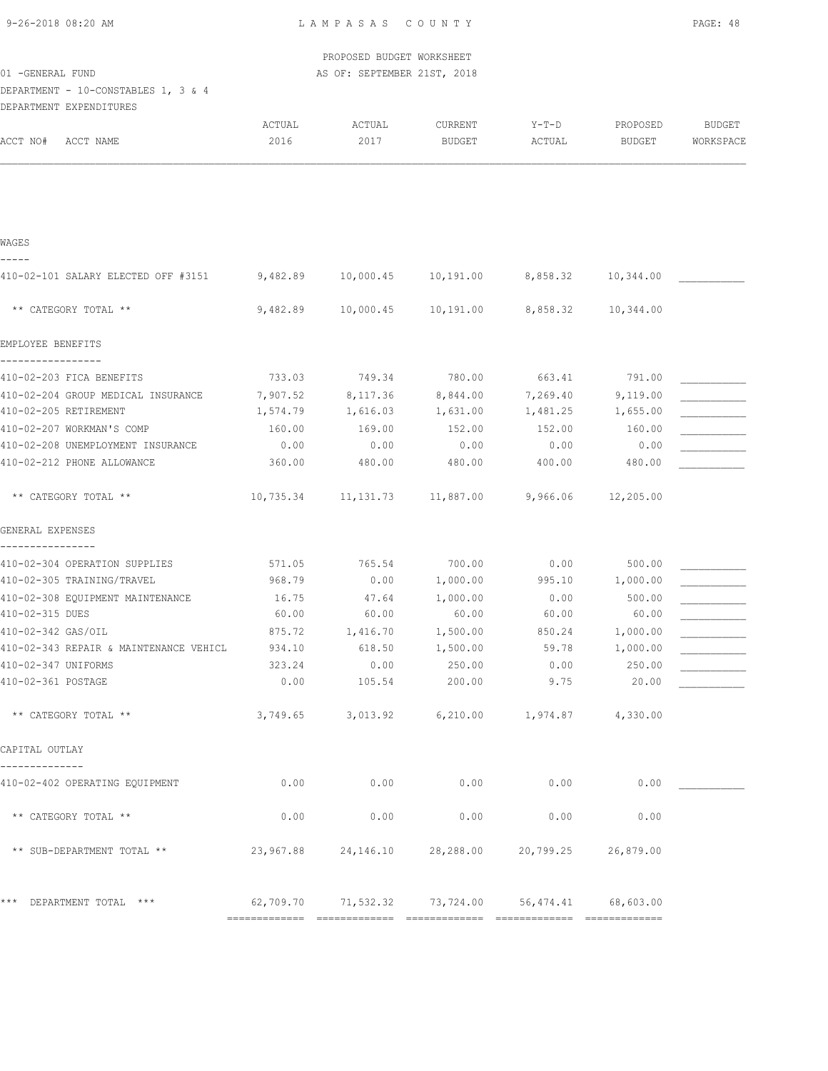| 9-26-2018 08:20 AM |  |
|--------------------|--|

|                                                              |                | PROPOSED BUDGET WORKSHEET   |                                                |                 |                    |                     |
|--------------------------------------------------------------|----------------|-----------------------------|------------------------------------------------|-----------------|--------------------|---------------------|
| 01 - GENERAL FUND                                            |                | AS OF: SEPTEMBER 21ST, 2018 |                                                |                 |                    |                     |
| DEPARTMENT - 10-CONSTABLES 1, 3 & 4                          |                |                             |                                                |                 |                    |                     |
| DEPARTMENT EXPENDITURES                                      |                |                             |                                                |                 |                    |                     |
| ACCT NO#<br>ACCT NAME                                        | ACTUAL<br>2016 | ACTUAL<br>2017              | CURRENT<br><b>BUDGET</b>                       | Y-T-D<br>ACTUAL | PROPOSED<br>BUDGET | BUDGET<br>WORKSPACE |
|                                                              |                |                             |                                                |                 |                    |                     |
|                                                              |                |                             |                                                |                 |                    |                     |
|                                                              |                |                             |                                                |                 |                    |                     |
| WAGES                                                        |                |                             |                                                |                 |                    |                     |
| 410-02-101 SALARY ELECTED OFF #3151                          | 9,482.89       |                             | 10,000.45 10,191.00                            | 8,858.32        | 10,344.00          |                     |
|                                                              |                |                             |                                                |                 |                    |                     |
| ** CATEGORY TOTAL **                                         | 9,482.89       | 10,000.45                   | 10,191.00                                      | 8,858.32        | 10,344.00          |                     |
| EMPLOYEE BENEFITS                                            |                |                             |                                                |                 |                    |                     |
| 410-02-203 FICA BENEFITS                                     | 733.03         |                             | 749.34 780.00                                  | 663.41          | 791.00             |                     |
| 410-02-204 GROUP MEDICAL INSURANCE                           | 7,907.52       |                             | 8,117.36 8,844.00                              | 7,269.40        | 9,119.00           |                     |
| 410-02-205 RETIREMENT                                        | 1,574.79       |                             | 1,616.03 1,631.00                              |                 | 1,481.25 1,655.00  |                     |
| 410-02-207 WORKMAN'S COMP                                    | 160.00         | 169.00                      | 152.00                                         | 152.00          | 160.00             |                     |
| 410-02-208 UNEMPLOYMENT INSURANCE                            | 0.00           | 0.00                        | 0.00                                           | 0.00            | 0.00               |                     |
| 410-02-212 PHONE ALLOWANCE                                   | 360.00         | 480.00                      | 480.00                                         | 400.00          | 480.00             |                     |
| ** CATEGORY TOTAL **                                         |                |                             | $10,735.34$ $11,131.73$ $11,887.00$ $9,966.06$ |                 | 12,205.00          |                     |
| GENERAL EXPENSES                                             |                |                             |                                                |                 |                    |                     |
| 410-02-304 OPERATION SUPPLIES                                | 571.05         | 765.54                      | 700.00                                         | 0.00            | 500.00             |                     |
| 410-02-305 TRAINING/TRAVEL                                   | 968.79         | 0.00                        | 1,000.00                                       | 995.10          | 1,000.00           |                     |
| 410-02-308 EQUIPMENT MAINTENANCE                             | 16.75          | 47.64                       | 1,000.00                                       | 0.00            | 500.00             |                     |
| 410-02-315 DUES                                              | 60.00          | 60.00                       | 60.00                                          | 60.00           | 60.00              |                     |
| 410-02-342 GAS/OIL                                           | 875.72         | 1,416.70                    | 1,500.00                                       | 850.24          | 1,000.00           |                     |
| 410-02-343 REPAIR & MAINTENANCE VEHICL                       | 934.10         | 618.50                      | 1,500.00                                       | 59.78           | 1,000.00           |                     |
| 410-02-347 UNIFORMS                                          | 323.24         | 0.00                        | 250.00                                         | 0.00            | 250.00             |                     |
| 410-02-361 POSTAGE                                           | 0.00           | 105.54                      | 200.00                                         | 9.75            | 20.00              |                     |
| ** CATEGORY TOTAL **                                         | 3,749.65       | 3,013.92                    | 6,210.00                                       | 1,974.87        | 4,330.00           |                     |
| CAPITAL OUTLAY                                               |                |                             |                                                |                 |                    |                     |
| 410-02-402 OPERATING EQUIPMENT                               | 0.00           | 0.00                        | 0.00                                           | 0.00            | 0.00               |                     |
| ** CATEGORY TOTAL **                                         | 0.00           | 0.00                        | 0.00                                           | 0.00            | 0.00               |                     |
| $^{\star\,\star\,}$ SUB-DEPARTMENT TOTAL $^{\star\,\star\,}$ | 23,967.88      | 24,146.10                   | 28,288.00                                      | 20,799.25       | 26,879.00          |                     |
|                                                              |                |                             |                                                |                 |                    |                     |
| *** DEPARTMENT TOTAL ***                                     | 62,709.70      | 71,532.32                   | 73,724.00                                      | 56,474.41       | 68,603.00          |                     |

============= ============= ============= ============= =============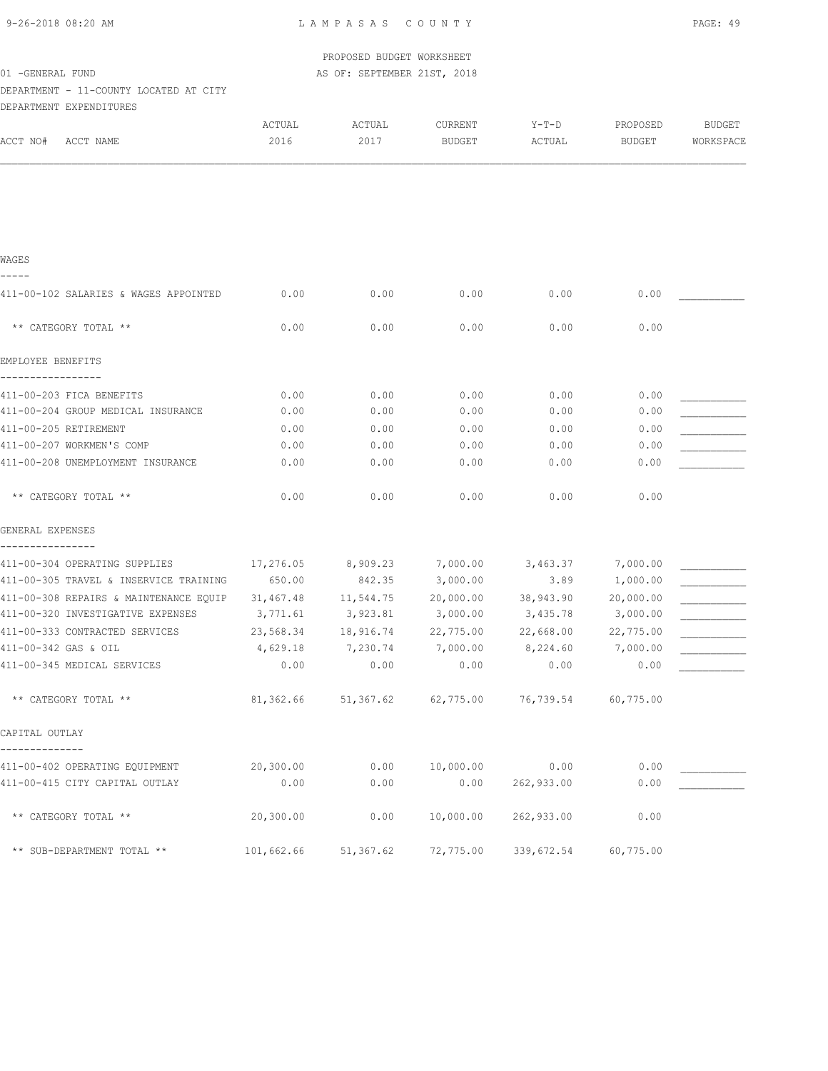| 9-26-2018 08:20 AM |  |
|--------------------|--|
|                    |  |

|                                                  |            | PROPOSED BUDGET WORKSHEET   |                |                                         |               |               |
|--------------------------------------------------|------------|-----------------------------|----------------|-----------------------------------------|---------------|---------------|
| 01 - GENERAL FUND                                |            | AS OF: SEPTEMBER 21ST, 2018 |                |                                         |               |               |
| DEPARTMENT - 11-COUNTY LOCATED AT CITY           |            |                             |                |                                         |               |               |
| DEPARTMENT EXPENDITURES                          |            |                             |                |                                         |               |               |
|                                                  | ACTUAL     | ACTUAL                      | <b>CURRENT</b> | Y-T-D                                   | PROPOSED      | <b>BUDGET</b> |
| ACCT NO#<br>ACCT NAME                            | 2016       | 2017                        | <b>BUDGET</b>  | ACTUAL                                  | <b>BUDGET</b> | WORKSPACE     |
|                                                  |            |                             |                |                                         |               |               |
| WAGES                                            |            |                             |                |                                         |               |               |
| 411-00-102 SALARIES & WAGES APPOINTED            | 0.00       | 0.00                        | 0.00           | 0.00                                    | 0.00          |               |
| ** CATEGORY TOTAL **                             | 0.00       | 0.00                        | 0.00           | 0.00                                    | 0.00          |               |
| EMPLOYEE BENEFITS                                |            |                             |                |                                         |               |               |
| 411-00-203 FICA BENEFITS                         | 0.00       | 0.00                        | 0.00           | 0.00                                    | 0.00          |               |
| 411-00-204 GROUP MEDICAL INSURANCE               | 0.00       | 0.00                        | 0.00           | 0.00                                    | 0.00          |               |
| 411-00-205 RETIREMENT                            | 0.00       | 0.00                        | 0.00           | 0.00                                    | 0.00          |               |
| 411-00-207 WORKMEN'S COMP                        | 0.00       | 0.00                        | 0.00           | 0.00                                    | 0.00          |               |
| 411-00-208 UNEMPLOYMENT INSURANCE                | 0.00       | 0.00                        | 0.00           | 0.00                                    | 0.00          |               |
| ** CATEGORY TOTAL **                             | 0.00       | 0.00                        | 0.00           | 0.00                                    | 0.00          |               |
| GENERAL EXPENSES                                 |            |                             |                |                                         |               |               |
| 411-00-304 OPERATING SUPPLIES                    | 17,276.05  | 8,909.23                    | 7,000.00       | 3,463.37                                | 7,000.00      |               |
| 411-00-305 TRAVEL & INSERVICE TRAINING           | 650.00     | 842.35                      | 3,000.00       | 3.89                                    | 1,000.00      |               |
| 411-00-308 REPAIRS & MAINTENANCE EOUIP 31,467.48 |            | 11,544.75                   | 20,000.00      | 38,943.90                               | 20,000.00     |               |
| 411-00-320 INVESTIGATIVE EXPENSES                | 3,771.61   | 3,923.81                    | 3,000.00       | 3,435.78                                | 3,000.00      |               |
| 411-00-333 CONTRACTED SERVICES                   | 23,568.34  | 18,916.74                   | 22,775.00      | 22,668.00                               | 22,775.00     |               |
| 411-00-342 GAS & OIL                             | 4,629.18   | 7,230.74                    | 7,000.00       | 8,224.60                                | 7,000.00      |               |
| 411-00-345 MEDICAL SERVICES                      | 0.00       | 0.00                        | 0.00           | 0.00                                    | 0.00          |               |
| ** CATEGORY TOTAL **                             |            |                             |                | 81,362.66 51,367.62 62,775.00 76,739.54 | 60,775.00     |               |
| CAPITAL OUTLAY                                   |            |                             |                |                                         |               |               |
| 411-00-402 OPERATING EQUIPMENT                   | 20,300.00  | 0.00                        | 10,000.00      | 0.00                                    | 0.00          |               |
| 411-00-415 CITY CAPITAL OUTLAY                   | 0.00       | 0.00                        | 0.00           | 262,933.00                              | 0.00          |               |
| ** CATEGORY TOTAL **                             | 20, 300.00 | 0.00                        | 10,000.00      | 262,933.00                              | 0.00          |               |

\*\* SUB-DEPARTMENT TOTAL \*\* 101,662.66 51,367.62 72,775.00 339,672.54 60,775.00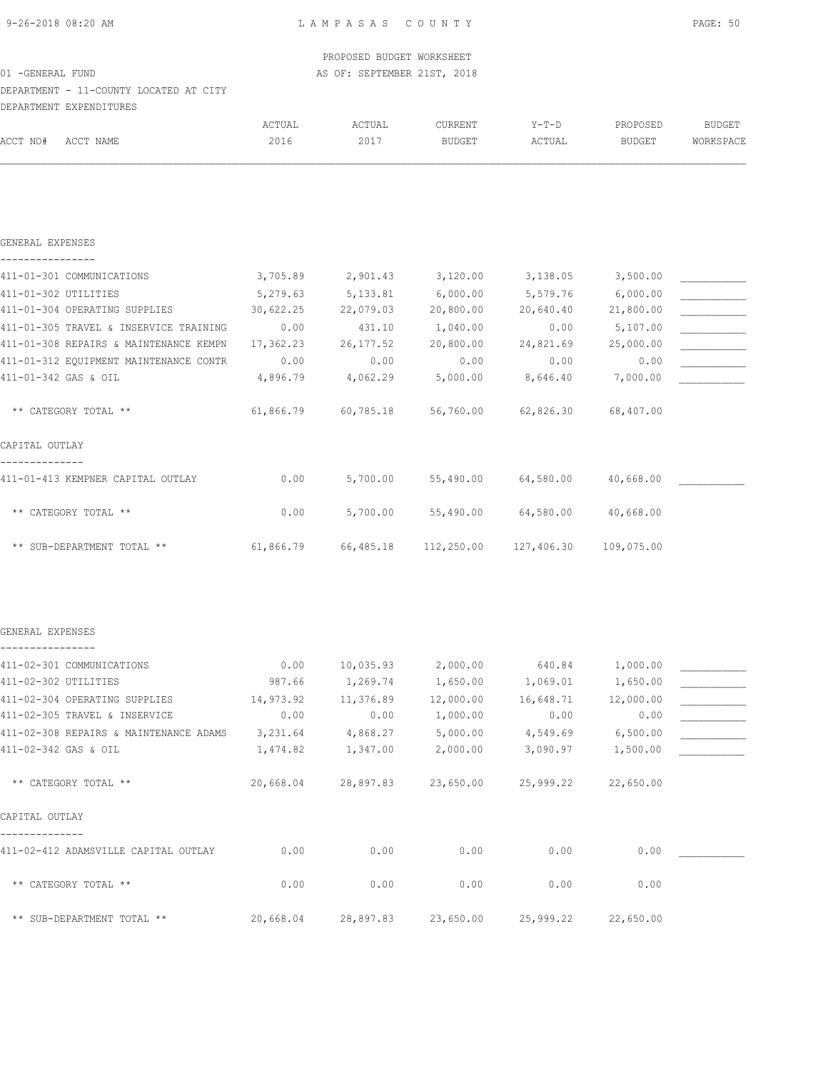| 9-26-2018 08:20 AM |
|--------------------|
|--------------------|

# DEPARTMENT - 11-COUNTY LOCATED AT CITY

|          | DEPARTMENT EXPENDITURES |        |        |               |         |          |           |
|----------|-------------------------|--------|--------|---------------|---------|----------|-----------|
|          |                         | ACTUAL | ACTUAL | CURRENT       | $Y-T-D$ | PROPOSED | BUDGET    |
| ACCT NO# | ACCT NAME               | 2016   | 2017   | <b>BUDGET</b> | ACTUAL  | BUDGET   | WORKSPACE |

| GENERAL EXPENSES                       |           |            |            |            |            |  |
|----------------------------------------|-----------|------------|------------|------------|------------|--|
| 411-01-301 COMMUNICATIONS              | 3,705.89  | 2,901.43   | 3,120.00   | 3,138.05   | 3,500.00   |  |
| 411-01-302 UTILITIES                   | 5,279.63  | 5, 133.81  | 6,000.00   | 5,579.76   | 6,000.00   |  |
| 411-01-304 OPERATING SUPPLIES          | 30,622.25 | 22,079.03  | 20,800.00  | 20,640.40  | 21,800.00  |  |
| 411-01-305 TRAVEL & INSERVICE TRAINING | 0.00      | 431.10     | 1,040.00   | 0.00       | 5,107.00   |  |
| 411-01-308 REPAIRS & MAINTENANCE KEMPN | 17,362.23 | 26, 177.52 | 20,800.00  | 24,821.69  | 25,000.00  |  |
| 411-01-312 EQUIPMENT MAINTENANCE CONTR | 0.00      | 0.00       | 0.00       | 0.00       | 0.00       |  |
| 411-01-342 GAS & OIL                   | 4,896.79  | 4,062.29   | 5,000.00   | 8,646.40   | 7,000.00   |  |
| ** CATEGORY TOTAL **                   | 61,866.79 | 60,785.18  | 56,760.00  | 62,826.30  | 68,407.00  |  |
| CAPITAL OUTLAY                         |           |            |            |            |            |  |
| 411-01-413 KEMPNER CAPITAL OUTLAY      | 0.00      | 5,700.00   | 55,490.00  | 64,580.00  | 40,668.00  |  |
| ** CATEGORY TOTAL **                   | 0.00      | 5,700.00   | 55,490.00  | 64,580.00  | 40,668.00  |  |
| ** SUB-DEPARTMENT TOTAL **             | 61,866.79 | 66,485.18  | 112,250.00 | 127,406.30 | 109,075.00 |  |

#### GENERAL EXPENSES ----------------

| 411-02-301 COMMUNICATIONS              | 0.00      | 10,035.93 | 2,000.00  | 640.84    | 1,000.00  |  |
|----------------------------------------|-----------|-----------|-----------|-----------|-----------|--|
| 411-02-302 UTILITIES                   | 987.66    | 1,269.74  | 1,650.00  | 1,069.01  | 1,650.00  |  |
| 411-02-304 OPERATING SUPPLIES          | 14,973.92 | 11,376.89 | 12,000.00 | 16,648.71 | 12,000.00 |  |
| 411-02-305 TRAVEL & INSERVICE          | 0.00      | 0.00      | 1,000.00  | 0.00      | 0.00      |  |
| 411-02-308 REPAIRS & MAINTENANCE ADAMS | 3,231.64  | 4,868.27  | 5,000.00  | 4,549.69  | 6,500.00  |  |
| 411-02-342 GAS & OIL                   | 1,474.82  | 1,347.00  | 2,000.00  | 3,090.97  | 1,500.00  |  |
|                                        |           |           |           |           |           |  |
| ** CATEGORY TOTAL **                   | 20,668.04 | 28,897.83 | 23,650.00 | 25,999.22 | 22,650.00 |  |
| CAPITAL OUTLAY                         |           |           |           |           |           |  |
| 411-02-412 ADAMSVILLE CAPITAL OUTLAY   | 0.00      | 0.00      | 0.00      | 0.00      | 0.00      |  |
|                                        |           |           |           |           |           |  |
| ** CATEGORY TOTAL **                   | 0.00      | 0.00      | 0.00      | 0.00      | 0.00      |  |
|                                        |           |           |           |           |           |  |
| ** SUB-DEPARTMENT TOTAL **             | 20,668.04 | 28,897.83 | 23,650.00 | 25,999.22 | 22,650.00 |  |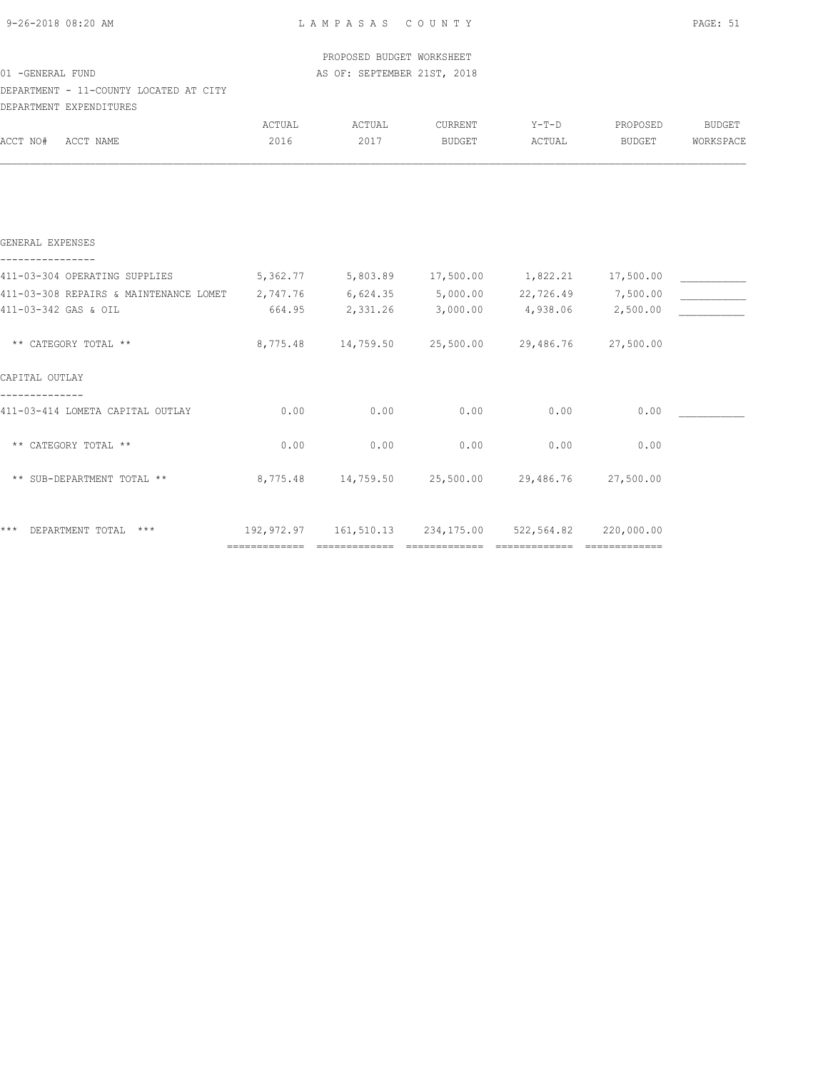| 9-26-2018 08:20 AM |  |  |
|--------------------|--|--|
|                    |  |  |

# DEPARTMENT - 11-COUNTY LOCATED AT CITY

| DEPARTMENT EXPENDITURES |                                        |            |                              |            |                    |                     |           |
|-------------------------|----------------------------------------|------------|------------------------------|------------|--------------------|---------------------|-----------|
|                         |                                        | ACTUAL     | ACTUAL                       | CURRENT    | $Y-T-D$            | PROPOSED            | BUDGET    |
| ACCT NO#                | ACCT NAME                              | 2016       | 2017                         | BUDGET     | ACTUAL             | BUDGET              | WORKSPACE |
|                         |                                        |            |                              |            |                    |                     |           |
|                         |                                        |            |                              |            |                    |                     |           |
| GENERAL EXPENSES        |                                        |            |                              |            |                    |                     |           |
|                         | 411-03-304 OPERATING SUPPLIES          | 5,362.77   | 5,803.89 17,500.00           |            | 1,822.21 17,500.00 |                     |           |
|                         | 411-03-308 REPAIRS & MAINTENANCE LOMET | 2,747.76   | $6,624.35$ $5,000.00$        |            |                    | 22,726.49 7,500.00  |           |
| 411-03-342 GAS & OIL    |                                        | 664.95     | 2,331.26                     | 3,000.00   | 4,938.06           | 2,500.00            |           |
| ** CATEGORY TOTAL **    |                                        | 8,775.48   | 14,759.50                    | 25,500.00  | 29,486.76          | 27,500.00           |           |
| CAPITAL OUTLAY          |                                        |            |                              |            |                    |                     |           |
|                         | 411-03-414 LOMETA CAPITAL OUTLAY       | 0.00       | 0.00                         | 0.00       | 0.00               | 0.00                |           |
|                         | ** CATEGORY TOTAL **                   | 0.00       | 0.00                         | 0.00       | 0.00               | 0.00                |           |
|                         | ** SUB-DEPARTMENT TOTAL **             |            | 8,775.48 14,759.50 25,500.00 |            |                    | 29,486.76 27,500.00 |           |
|                         | *** DEPARTMENT TOTAL ***               | 192,972.97 | 161,510.13                   | 234,175.00 | 522,564.82         | 220,000.00          |           |

============= ============= ============= ============= =============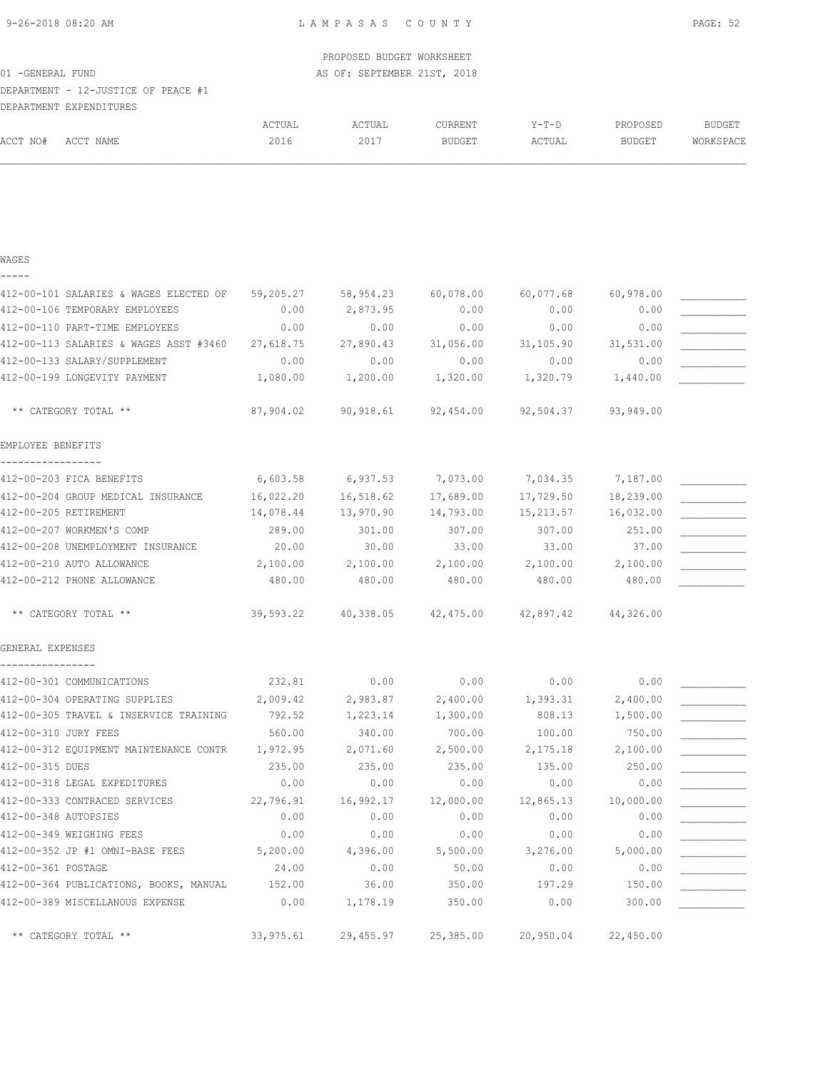EMPLOYEE BENEFITS -----------------

GENERAL EXPENSES ---------------- 9-26-2018 08:20 AM L A M P A S A S C O U N T Y PAGE: 52

| 9-Z0-ZUIO VOIZU AM |                                                                                                                                                                                                                                                                                                             |           |               |                                                                                                                |           | FAGL; JZ      |
|--------------------|-------------------------------------------------------------------------------------------------------------------------------------------------------------------------------------------------------------------------------------------------------------------------------------------------------------|-----------|---------------|----------------------------------------------------------------------------------------------------------------|-----------|---------------|
|                    |                                                                                                                                                                                                                                                                                                             |           |               |                                                                                                                |           |               |
|                    |                                                                                                                                                                                                                                                                                                             |           |               |                                                                                                                |           |               |
|                    |                                                                                                                                                                                                                                                                                                             |           |               |                                                                                                                |           |               |
|                    |                                                                                                                                                                                                                                                                                                             |           |               |                                                                                                                |           |               |
|                    | ACTUAL                                                                                                                                                                                                                                                                                                      | ACTUAL    | CURRENT       | $Y-T-D$                                                                                                        | PROPOSED  | <b>BUDGET</b> |
| ACCT NAME          | 2016                                                                                                                                                                                                                                                                                                        | 2017      | <b>BUDGET</b> | ACTUAL                                                                                                         | BUDGET    | WORKSPACE     |
|                    |                                                                                                                                                                                                                                                                                                             |           |               |                                                                                                                |           |               |
|                    |                                                                                                                                                                                                                                                                                                             |           |               |                                                                                                                |           |               |
|                    | 59,205.27                                                                                                                                                                                                                                                                                                   |           |               |                                                                                                                | 60,978.00 |               |
|                    | 0.00                                                                                                                                                                                                                                                                                                        | 2,873.95  | 0.00          | 0.00                                                                                                           | 0.00      |               |
|                    | 0.00                                                                                                                                                                                                                                                                                                        | 0.00      | 0.00          | 0.00                                                                                                           | 0.00      |               |
|                    | 27,618.75                                                                                                                                                                                                                                                                                                   | 27,890.43 | 31,056.00     | 31,105.90                                                                                                      | 31,531.00 |               |
|                    | 0.00                                                                                                                                                                                                                                                                                                        | 0.00      | 0.00          | 0.00                                                                                                           | 0.00      |               |
|                    | 1,080.00                                                                                                                                                                                                                                                                                                    | 1,200.00  |               | 1,320.79                                                                                                       | 1,440.00  |               |
|                    | 01 - GENERAL FUND<br>DEPARTMENT - 12-JUSTICE OF PEACE #1<br>DEPARTMENT EXPENDITURES<br>412-00-101 SALARIES & WAGES ELECTED OF<br>412-00-106 TEMPORARY EMPLOYEES<br>412-00-110 PART-TIME EMPLOYEES<br>412-00-113 SALARIES & WAGES ASST #3460<br>412-00-133 SALARY/SUPPLEMENT<br>412-00-199 LONGEVITY PAYMENT |           |               | LAMFASAS COUNII<br>PROPOSED BUDGET WORKSHEET<br>AS OF: SEPTEMBER 21ST, 2018<br>58,954.23 60,078.00<br>1,320.00 |           | 60,077.68     |

\*\* CATEGORY TOTAL \*\* 87,904.02 90,918.61 92,454.00 92,504.37 93,949.00

412-00-203 FICA BENEFITS 6,603.58 6,937.53 7,073.00 7,034.35 7,187.00 412-00-204 GROUP MEDICAL INSURANCE  $16,022.20$   $16,518.62$   $17,689.00$   $17,729.50$   $18,239.00$ 412-00-205 RETIREMENT 14,078.44 13,970.90 14,793.00 15,213.57 16,032.00 412-00-207 WORKMEN'S COMP 289.00 301.00 307.00 307.00 307.00 251.00 412-00-208 UNEMPLOYMENT INSURANCE 20.00 30.00 33.00 33.00 37.00 \_\_\_\_\_\_\_\_\_\_\_ 412-00-210 AUTO ALLOWANCE  $\begin{array}{cccc} 2,100.00 & 2,100.00 & 2,100.00 & 2,100.00 \end{array}$  2,100.00  $\begin{array}{cccc} 2,100.00 & 2,100.00 & 2,100.00 & 2,100.00 \end{array}$ 412-00-212 PHONE ALLOWANCE 480.00 480.00 480.00 480.00 480.00 480.00 480.00

\*\* CATEGORY TOTAL \*\* 39,593.22 40,338.05 42,475.00 42,897.42 44,326.00

 $412-00-301$  COMMUNICATIONS  $232.81$  0.00 0.00 0.00 0.00 0.00 412-00-304 OPERATING SUPPLIES  $2,009.42$   $2,983.87$   $2,400.00$   $1,393.31$   $2,400.00$ 412-00-305 TRAVEL & INSERVICE TRAINING  $792.52$   $1,223.14$   $1,300.00$   $808.13$   $1,500.00$ 412-00-310 JURY FEES 560.00 340.00 700.00 100.00 750.00 \_\_\_\_\_\_\_\_\_\_\_ 412-00-312 EQUIPMENT MAINTENANCE CONTR 1,972.95 2,071.60 2,500.00 2,175.18 2,100.00 412-00-315 DUES 235.00 235.00 235.00 135.00 250.00 \_\_\_\_\_\_\_\_\_\_\_ 412-00-318 LEGAL EXPEDITURES 0.00 0.00 0.00 0.00 0.00 0.00 0.00 412-00-333 CONTRACED SERVICES 22,796.91 16,992.17 12,000.00 12,865.13 10,000.00 412-00-348 AUTOPSIES 0.00 0.00 0.00 0.00 0.00 \_\_\_\_\_\_\_\_\_\_\_  $412-00-349$  WEIGHING FEES  $0.00$   $0.00$   $0.00$   $0.00$   $0.00$   $0.00$   $0.00$ 412-00-352 JP #1 OMNI-BASE FEES 5,200.00  $4,396.00$  5,500.00  $3,276.00$  5,000.00  $412-00-361$  POSTAGE  $24.00$   $0.00$   $50.00$   $0.00$   $0.00$   $0.00$ 412-00-364 PUBLICATIONS, BOOKS, MANUAL 152.00 36.00 350.00 197.29 150.00 412-00-389 MISCELLANOUS EXPENSE 0.00 1,178.19 350.00 0.00 300.00 \_\_\_\_\_\_\_\_\_\_\_

\*\* CATEGORY TOTAL \*\* 33,975.61 29,455.97 25,385.00 20,950.04 22,450.00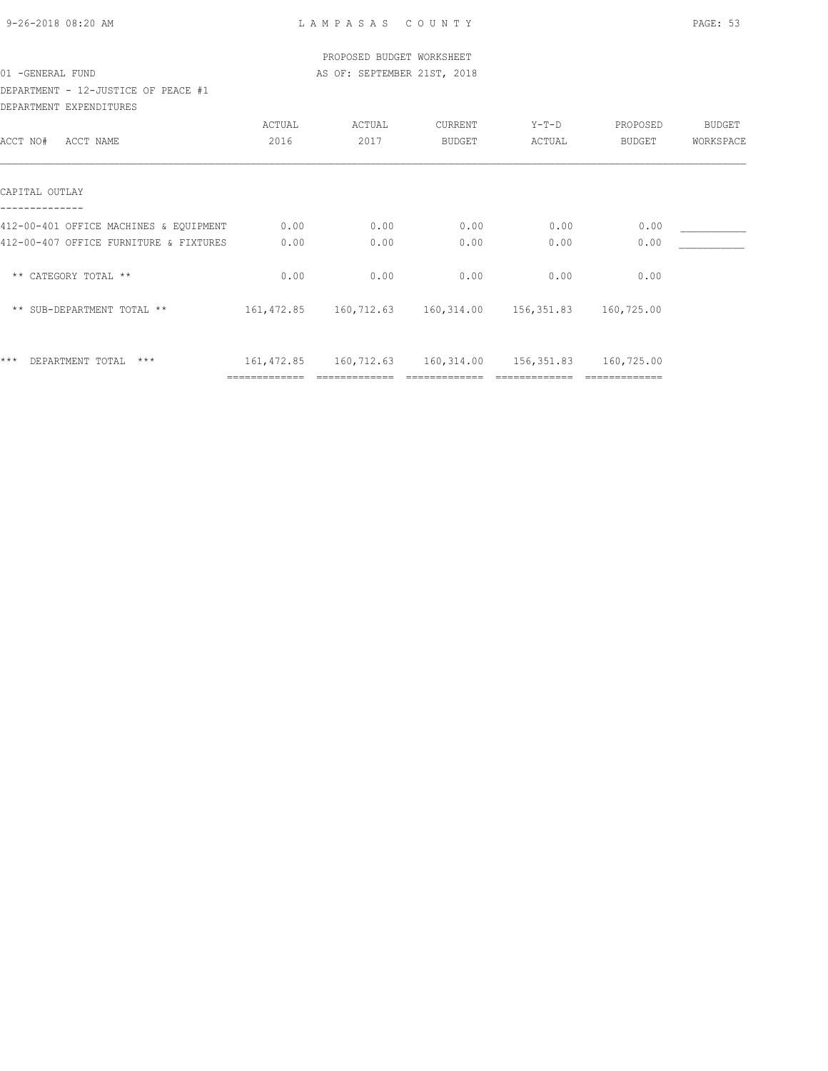| 9-26-2018 08:20 AM |  |
|--------------------|--|

|                                        |               | PROPOSED BUDGET WORKSHEET                              |               |         |               |               |
|----------------------------------------|---------------|--------------------------------------------------------|---------------|---------|---------------|---------------|
| 01 - GENERAL FUND                      |               | AS OF: SEPTEMBER 21ST, 2018                            |               |         |               |               |
| DEPARTMENT - 12-JUSTICE OF PEACE #1    |               |                                                        |               |         |               |               |
| DEPARTMENT EXPENDITURES                |               |                                                        |               |         |               |               |
|                                        | ACTUAL        | ACTUAL                                                 | CURRENT       | $Y-T-D$ | PROPOSED      | <b>BUDGET</b> |
| ACCT NO#<br>ACCT NAME                  | 2016          | 2017                                                   | <b>BUDGET</b> | ACTUAL  | <b>BUDGET</b> | WORKSPACE     |
| CAPITAL OUTLAY                         |               |                                                        |               |         |               |               |
| 412-00-401 OFFICE MACHINES & EQUIPMENT | 0.00          | 0.00                                                   | 0.00          | 0.00    | 0.00          |               |
| 412-00-407 OFFICE FURNITURE & FIXTURES | 0.00          | 0.00                                                   | 0.00          | 0.00    | 0.00          |               |
| ** CATEGORY TOTAL **                   | 0.00          | 0.00                                                   | 0.00          | 0.00    | 0.00          |               |
| ** SUB-DEPARTMENT TOTAL **             |               | 161, 472.85 160, 712.63 160, 314.00 156, 351.83        |               |         | 160,725.00    |               |
| $***$<br>DEPARTMENT TOTAL<br>***       |               | 161,472.85 160,712.63 160,314.00 156,351.83 160,725.00 |               |         |               |               |
|                                        | ============= |                                                        |               |         |               |               |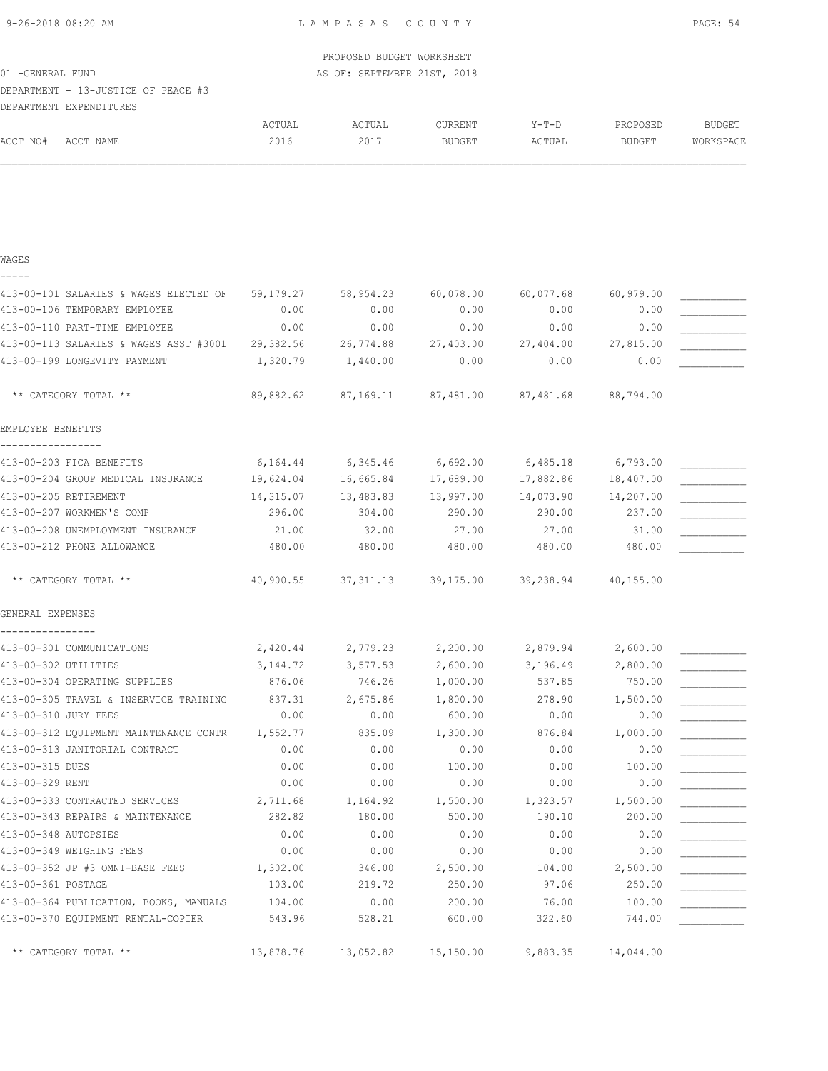| 9-26-2018 08:20 AM                 |                                                  |           | LAMPASAS COUNTY             |                     |           |           | PAGE: 54      |
|------------------------------------|--------------------------------------------------|-----------|-----------------------------|---------------------|-----------|-----------|---------------|
|                                    |                                                  |           | PROPOSED BUDGET WORKSHEET   |                     |           |           |               |
| 01 - GENERAL FUND                  |                                                  |           | AS OF: SEPTEMBER 21ST, 2018 |                     |           |           |               |
|                                    | DEPARTMENT - 13-JUSTICE OF PEACE #3              |           |                             |                     |           |           |               |
|                                    | DEPARTMENT EXPENDITURES                          |           |                             |                     |           |           |               |
|                                    |                                                  | ACTUAL    | ACTUAL                      | CURRENT             | $Y-T-D$   | PROPOSED  | <b>BUDGET</b> |
| ACCT NO#                           | ACCT NAME                                        | 2016      | 2017                        | BUDGET              | ACTUAL    | BUDGET    | WORKSPACE     |
|                                    |                                                  |           |                             |                     |           |           |               |
| WAGES                              |                                                  |           |                             |                     |           |           |               |
|                                    | 413-00-101 SALARIES & WAGES ELECTED OF           | 59,179.27 | 58,954.23                   | 60,078.00           | 60,077.68 | 60,979.00 |               |
|                                    | 413-00-106 TEMPORARY EMPLOYEE                    | 0.00      | 0.00                        | 0.00                | 0.00      | 0.00      |               |
|                                    | 413-00-110 PART-TIME EMPLOYEE                    | 0.00      | 0.00                        | 0.00                | 0.00      | 0.00      |               |
|                                    | 413-00-113 SALARIES & WAGES ASST #3001 29,382.56 |           | 26,774.88                   | 27,403.00           | 27,404.00 | 27,815.00 |               |
|                                    | 413-00-199 LONGEVITY PAYMENT                     | 1,320.79  | 1,440.00                    | 0.00                | 0.00      | 0.00      |               |
|                                    | ** CATEGORY TOTAL **                             | 89,882.62 |                             | 87,169.11 87,481.00 | 87,481.68 | 88,794.00 |               |
| EMPLOYEE BENEFITS<br>------------- |                                                  |           |                             |                     |           |           |               |
|                                    | 413-00-203 FICA BENEFITS                         | 6,164.44  | 6,345.46                    | 6,692.00            | 6,485.18  | 6,793.00  |               |
|                                    | 413-00-204 GROUP MEDICAL INSURANCE               | 19,624.04 | 16,665.84 17,689.00         |                     | 17,882.86 | 18,407.00 |               |
| 413-00-205 RETIREMENT              |                                                  | 14,315.07 | 13,483.83 13,997.00         |                     | 14,073.90 | 14,207.00 |               |
|                                    | 413-00-207 WORKMEN'S COMP                        | 296.00    | 304.00                      | 290.00              | 290.00    | 237.00    |               |
|                                    | 413-00-208 UNEMPLOYMENT INSURANCE                | 21.00     | 32.00                       | 27.00               | 27.00     | 31.00     |               |
|                                    | 413-00-212 PHONE ALLOWANCE                       | 480.00    | 480.00                      | 480.00              | 480.00    | 480.00    |               |
|                                    | ** CATEGORY TOTAL **                             | 40,900.55 | 37, 311.13                  | 39,175.00           | 39,238.94 | 40,155.00 |               |
| GENERAL EXPENSES                   |                                                  |           |                             |                     |           |           |               |
| ----------------                   | 413-00-301 COMMUNICATIONS                        | 2,420.44  | 2,779.23                    | 2,200.00            | 2,879.94  | 2,600.00  |               |
| 413-00-302 UTILITIES               |                                                  | 3, 144.72 | 3,577.53                    | 2,600.00            | 3,196.49  | 2,800.00  |               |
|                                    | 413-00-304 OPERATING SUPPLIES                    | 876.06    | 746.26                      | 1,000.00            | 537.85    | 750.00    |               |
|                                    |                                                  |           |                             |                     |           |           |               |

| 413-00-302 UTILITIES                   | 3, 144.72 | 3,577.53  | 2,600.00  | 3,196.49 | 2,800.00  |  |
|----------------------------------------|-----------|-----------|-----------|----------|-----------|--|
| 413-00-304 OPERATING SUPPLIES          | 876.06    | 746.26    | 1,000.00  | 537.85   | 750.00    |  |
| 413-00-305 TRAVEL & INSERVICE TRAINING | 837.31    | 2,675.86  | 1,800.00  | 278.90   | 1,500.00  |  |
| 413-00-310 JURY FEES                   | 0.00      | 0.00      | 600.00    | 0.00     | 0.00      |  |
| 413-00-312 EQUIPMENT MAINTENANCE CONTR | 1,552.77  | 835.09    | 1,300.00  | 876.84   | 1,000.00  |  |
| 413-00-313 JANITORIAL CONTRACT         | 0.00      | 0.00      | 0.00      | 0.00     | 0.00      |  |
| 413-00-315 DUES                        | 0.00      | 0.00      | 100.00    | 0.00     | 100.00    |  |
| 413-00-329 RENT                        | 0.00      | 0.00      | 0.00      | 0.00     | 0.00      |  |
| 413-00-333 CONTRACTED SERVICES         | 2,711.68  | 1,164.92  | 1,500.00  | 1,323.57 | 1,500.00  |  |
| 413-00-343 REPAIRS & MAINTENANCE       | 282.82    | 180.00    | 500.00    | 190.10   | 200.00    |  |
| 413-00-348 AUTOPSIES                   | 0.00      | 0.00      | 0.00      | 0.00     | 0.00      |  |
| 413-00-349 WEIGHING FEES               | 0.00      | 0.00      | 0.00      | 0.00     | 0.00      |  |
| 413-00-352 JP #3 OMNI-BASE FEES        | 1,302.00  | 346.00    | 2,500.00  | 104.00   | 2,500.00  |  |
| 413-00-361 POSTAGE                     | 103.00    | 219.72    | 250.00    | 97.06    | 250.00    |  |
| 413-00-364 PUBLICATION, BOOKS, MANUALS | 104.00    | 0.00      | 200.00    | 76.00    | 100.00    |  |
| 413-00-370 EQUIPMENT RENTAL-COPIER     | 543.96    | 528.21    | 600.00    | 322.60   | 744.00    |  |
| ** CATEGORY TOTAL **                   | 13,878.76 | 13,052.82 | 15,150.00 | 9,883.35 | 14,044.00 |  |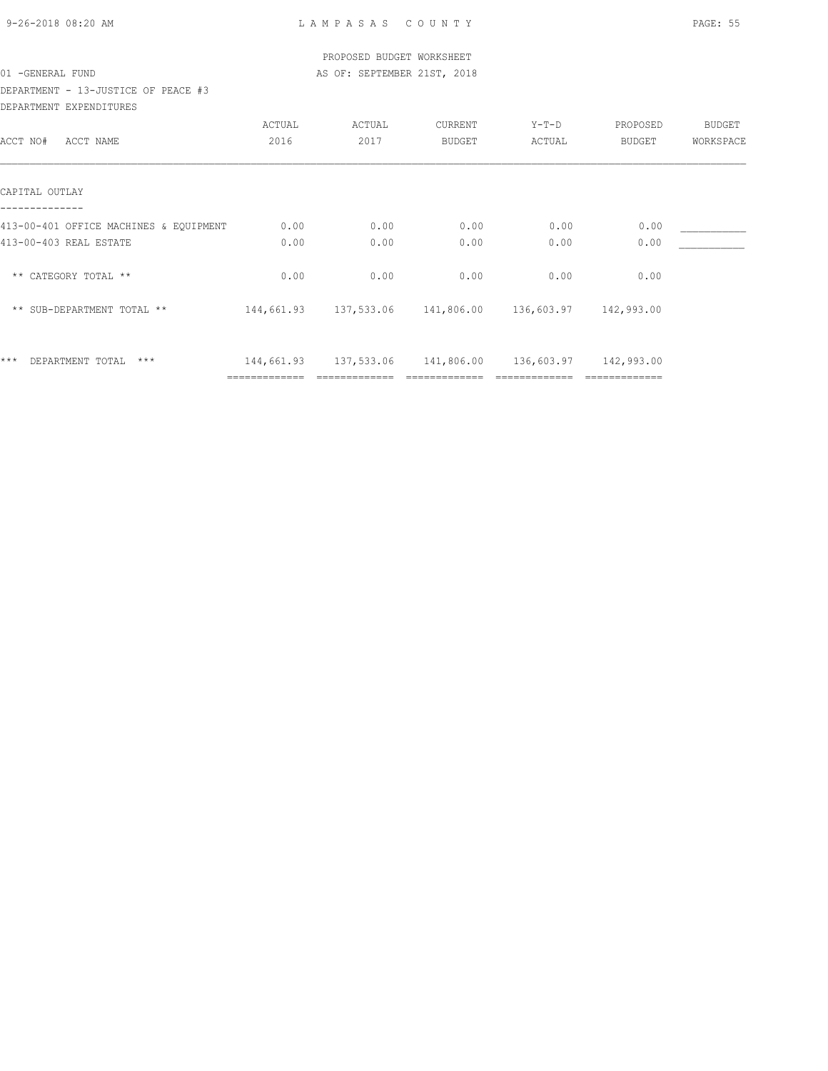| 9-26-2018 08:20 AM |  |
|--------------------|--|

|                                        |               | PROPOSED BUDGET WORKSHEET                         |               |         |               |           |
|----------------------------------------|---------------|---------------------------------------------------|---------------|---------|---------------|-----------|
| 01 - GENERAL FUND                      |               | AS OF: SEPTEMBER 21ST, 2018                       |               |         |               |           |
| DEPARTMENT - 13-JUSTICE OF PEACE #3    |               |                                                   |               |         |               |           |
| DEPARTMENT EXPENDITURES                |               |                                                   |               |         |               |           |
|                                        | ACTUAL        | ACTUAL                                            | CURRENT       | $Y-T-D$ | PROPOSED      | BUDGET    |
| ACCT NO#<br>ACCT NAME                  | 2016          | 2017                                              | <b>BUDGET</b> | ACTUAL  | BUDGET        | WORKSPACE |
| CAPITAL OUTLAY                         |               |                                                   |               |         |               |           |
| 413-00-401 OFFICE MACHINES & EQUIPMENT | 0.00          | 0.00                                              | 0.00          | 0.00    | 0.00          |           |
| 413-00-403 REAL ESTATE                 | 0.00          | 0.00                                              | 0.00          | 0.00    | 0.00          |           |
| ** CATEGORY TOTAL **                   | 0.00          | 0.00                                              | 0.00          | 0.00    | 0.00          |           |
| ** SUB-DEPARTMENT TOTAL **             |               | 144,661.93   137,533.06   141,806.00   136,603.97 |               |         | 142,993.00    |           |
| $***$<br>DEPARTMENT TOTAL<br>***       |               | 144,661.93   137,533.06   141,806.00   136,603.97 |               |         | 142,993.00    |           |
|                                        | ============= |                                                   |               |         | ============= |           |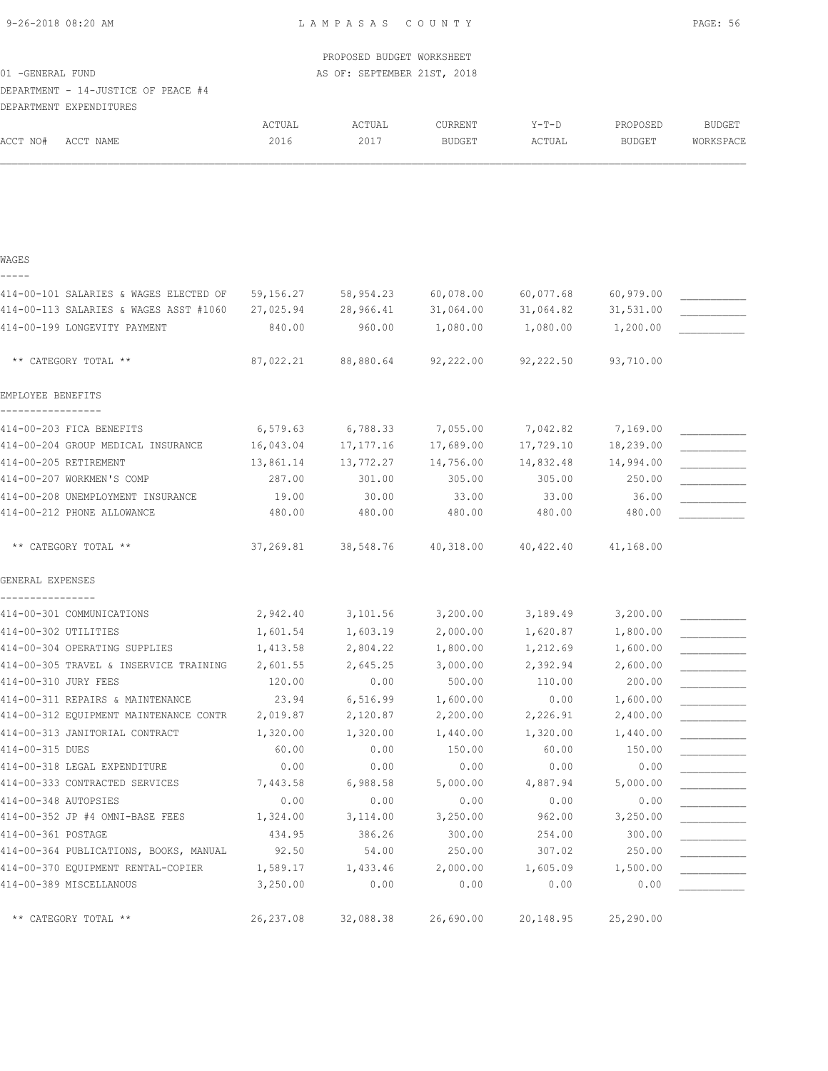| 9-26-2018 08:20 AM |  |  |  |  |  |
|--------------------|--|--|--|--|--|
|--------------------|--|--|--|--|--|

|                                        |            | PROPOSED BUDGET WORKSHEET   |                   |           |               |               |
|----------------------------------------|------------|-----------------------------|-------------------|-----------|---------------|---------------|
| 01 - GENERAL FUND                      |            | AS OF: SEPTEMBER 21ST, 2018 |                   |           |               |               |
| DEPARTMENT - 14-JUSTICE OF PEACE #4    |            |                             |                   |           |               |               |
| DEPARTMENT EXPENDITURES                |            |                             |                   |           |               |               |
|                                        | ACTUAL     | ACTUAL                      | CURRENT           | Y-T-D     | PROPOSED      | <b>BUDGET</b> |
| ACCT NO#<br>ACCT NAME                  | 2016       | 2017                        | <b>BUDGET</b>     | ACTUAL    | <b>BUDGET</b> | WORKSPACE     |
|                                        |            |                             |                   |           |               |               |
| WAGES                                  |            |                             |                   |           |               |               |
|                                        |            |                             |                   |           |               |               |
| 414-00-101 SALARIES & WAGES ELECTED OF | 59,156.27  | 58,954.23                   | 60,078.00         | 60,077.68 | 60,979.00     |               |
| 414-00-113 SALARIES & WAGES ASST #1060 | 27,025.94  | 28,966.41                   | 31,064.00         | 31,064.82 | 31,531.00     |               |
| 414-00-199 LONGEVITY PAYMENT           | 840.00     | 960.00                      | 1,080.00          | 1,080.00  | 1,200.00      |               |
| ** CATEGORY TOTAL **                   | 87,022.21  | 88,880.64                   | 92,222.00         | 92,222.50 | 93,710.00     |               |
| EMPLOYEE BENEFITS                      |            |                             |                   |           |               |               |
| 414-00-203 FICA BENEFITS               | 6,579.63   |                             | 6,788.33 7,055.00 | 7,042.82  | 7,169.00      |               |
| 414-00-204 GROUP MEDICAL INSURANCE     | 16,043.04  | 17,177.16                   | 17,689.00         | 17,729.10 | 18,239.00     |               |
| 414-00-205 RETIREMENT                  | 13,861.14  | 13,772.27                   | 14,756.00         | 14,832.48 | 14,994.00     |               |
| 414-00-207 WORKMEN'S COMP              | 287.00     | 301.00                      | 305.00            | 305.00    | 250.00        |               |
| 414-00-208 UNEMPLOYMENT INSURANCE      | 19.00      | 30.00                       | 33.00             | 33.00     | 36.00         |               |
| 414-00-212 PHONE ALLOWANCE             | 480.00     | 480.00                      | 480.00            | 480.00    | 480.00        |               |
| ** CATEGORY TOTAL **                   | 37,269.81  | 38,548.76                   | 40,318.00         | 40,422.40 | 41,168.00     |               |
| GENERAL EXPENSES                       |            |                             |                   |           |               |               |
| 414-00-301 COMMUNICATIONS              | 2,942.40   | 3,101.56                    | 3,200.00          | 3,189.49  | 3,200.00      |               |
| 414-00-302 UTILITIES                   | 1,601.54   | 1,603.19                    | 2,000.00          | 1,620.87  | 1,800.00      |               |
| 414-00-304 OPERATING SUPPLIES          | 1,413.58   | 2,804.22                    | 1,800.00          | 1,212.69  | 1,600.00      |               |
| 414-00-305 TRAVEL & INSERVICE TRAINING | 2,601.55   | 2,645.25                    | 3,000.00          | 2,392.94  | 2,600.00      |               |
| 414-00-310 JURY FEES                   | 120.00     | 0.00                        | 500.00            | 110.00    | 200.00        |               |
| 414-00-311 REPAIRS & MAINTENANCE       | 23.94      | 6,516.99                    | 1,600.00          | 0.00      | 1,600.00      |               |
| 414-00-312 EQUIPMENT MAINTENANCE CONTR | 2,019.87   | 2,120.87                    | 2,200.00          | 2,226.91  | 2,400.00      |               |
| 414-00-313 JANITORIAL CONTRACT         | 1,320.00   | 1,320.00                    | 1,440.00          | 1,320.00  | 1,440.00      |               |
| 414-00-315 DUES                        | 60.00      | 0.00                        | 150.00            | 60.00     | 150.00        |               |
| 414-00-318 LEGAL EXPENDITURE           | 0.00       | 0.00                        | 0.00              | 0.00      | 0.00          |               |
| 414-00-333 CONTRACTED SERVICES         | 7,443.58   | 6,988.58                    | 5,000.00          | 4,887.94  | 5,000.00      |               |
| 414-00-348 AUTOPSIES                   | 0.00       | 0.00                        | 0.00              | 0.00      | 0.00          |               |
| 414-00-352 JP #4 OMNI-BASE FEES        | 1,324.00   | 3,114.00                    | 3,250.00          | 962.00    | 3,250.00      |               |
| 414-00-361 POSTAGE                     | 434.95     | 386.26                      | 300.00            | 254.00    | 300.00        |               |
| 414-00-364 PUBLICATIONS, BOOKS, MANUAL | 92.50      | 54.00                       | 250.00            | 307.02    | 250.00        |               |
| 414-00-370 EQUIPMENT RENTAL-COPIER     | 1,589.17   | 1,433.46                    | 2,000.00          | 1,605.09  | 1,500.00      |               |
| 414-00-389 MISCELLANOUS                | 3,250.00   | 0.00                        | 0.00              | 0.00      | 0.00          |               |
| ** CATEGORY TOTAL **                   | 26, 237.08 | 32,088.38                   | 26,690.00         | 20,148.95 | 25,290.00     |               |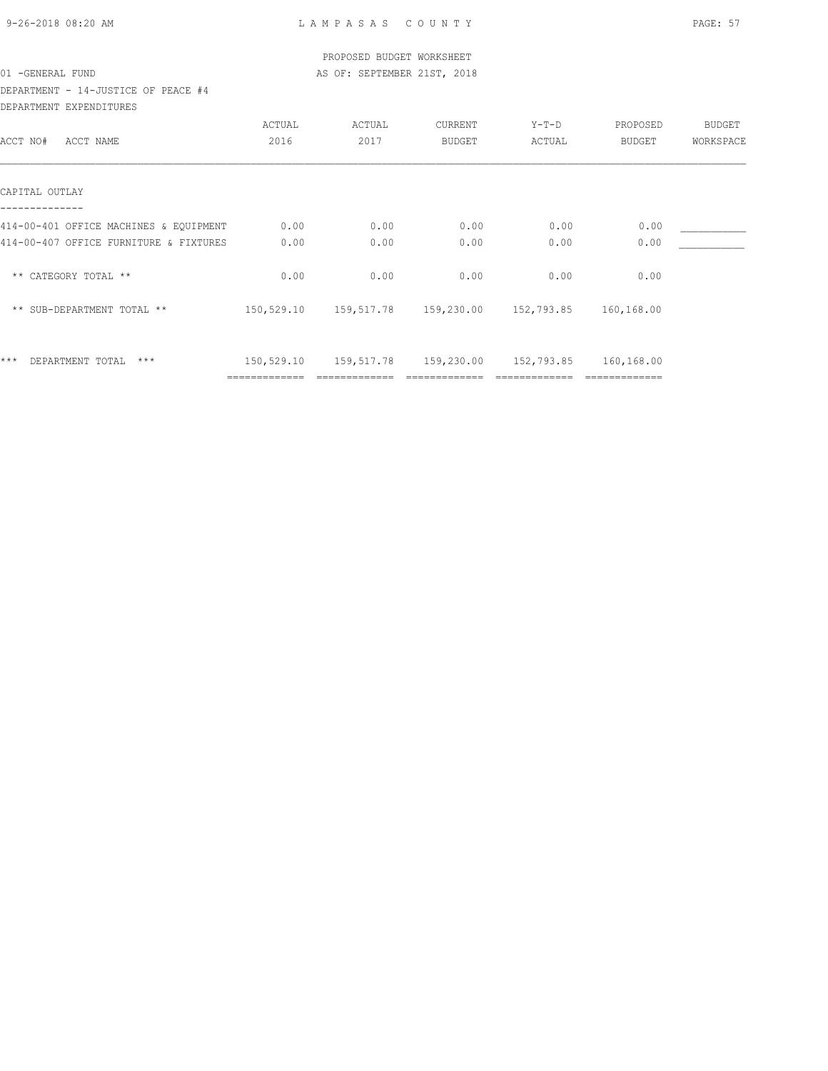| 9-26-2018 08:20 AM |  |
|--------------------|--|

|                                        |               | PROPOSED BUDGET WORKSHEET                                  |               |        |          |           |
|----------------------------------------|---------------|------------------------------------------------------------|---------------|--------|----------|-----------|
| 01 - GENERAL FUND                      |               | AS OF: SEPTEMBER 21ST, 2018                                |               |        |          |           |
| DEPARTMENT - 14-JUSTICE OF PEACE #4    |               |                                                            |               |        |          |           |
| DEPARTMENT EXPENDITURES                |               |                                                            |               |        |          |           |
|                                        | ACTUAL        | ACTUAL                                                     | CURRENT       | Y-T-D  | PROPOSED | BUDGET    |
| ACCT NO#<br>ACCT NAME                  | 2016          | 2017                                                       | <b>BUDGET</b> | ACTUAL | BUDGET   | WORKSPACE |
| CAPITAL OUTLAY                         |               |                                                            |               |        |          |           |
| 414-00-401 OFFICE MACHINES & EQUIPMENT | 0.00          | 0.00                                                       | 0.00          | 0.00   | 0.00     |           |
| 414-00-407 OFFICE FURNITURE & FIXTURES | 0.00          | 0.00                                                       | 0.00          | 0.00   | 0.00     |           |
| ** CATEGORY TOTAL **                   | 0.00          | 0.00                                                       | 0.00          | 0.00   | 0.00     |           |
| ** SUB-DEPARTMENT TOTAL **             |               | 150,529.10 159,517.78 159,230.00 152,793.85 160,168.00     |               |        |          |           |
| $***$<br>DEPARTMENT TOTAL<br>***       |               | 150,529.10  159,517.78  159,230.00  152,793.85  160,168.00 |               |        |          |           |
|                                        | ============= |                                                            |               |        |          |           |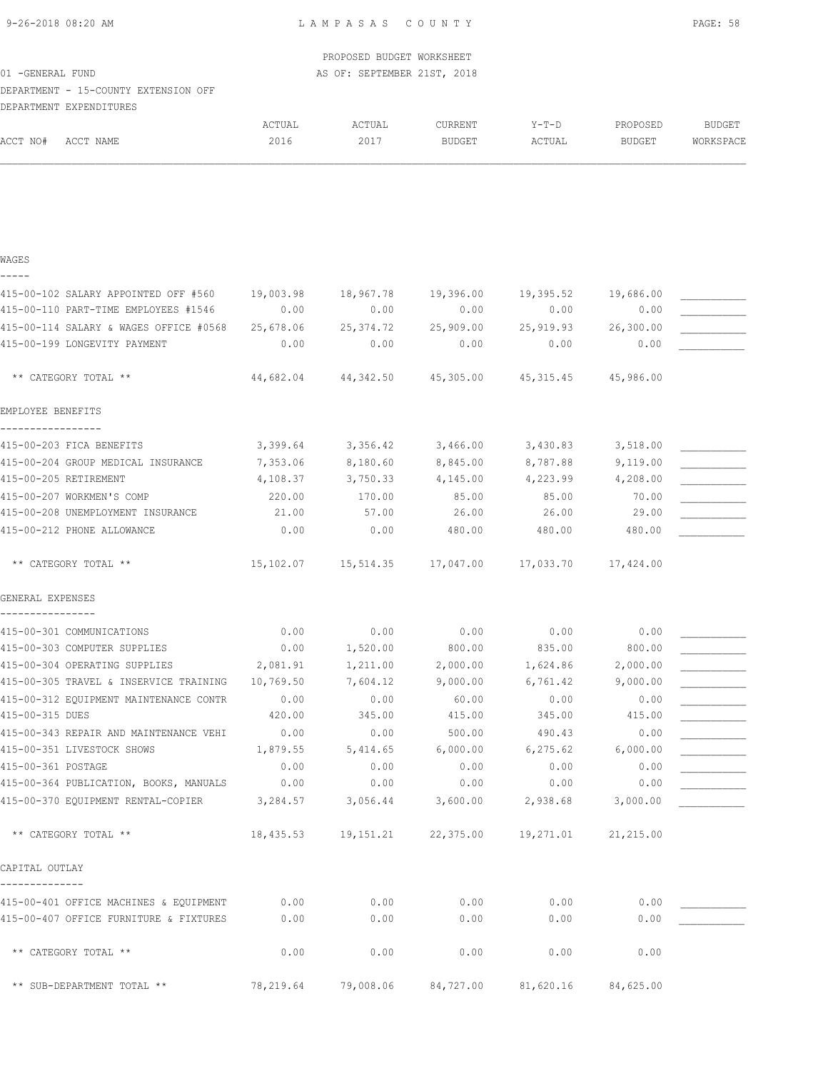| 9-26-2018 08:20 AM |  |  |  |  |  |  |
|--------------------|--|--|--|--|--|--|
|--------------------|--|--|--|--|--|--|

|                                                      |           | PROPOSED BUDGET WORKSHEET              |                     |                     |                     |               |
|------------------------------------------------------|-----------|----------------------------------------|---------------------|---------------------|---------------------|---------------|
| 01 - GENERAL FUND                                    |           | AS OF: SEPTEMBER 21ST, 2018            |                     |                     |                     |               |
| DEPARTMENT - 15-COUNTY EXTENSION OFF                 |           |                                        |                     |                     |                     |               |
| DEPARTMENT EXPENDITURES                              |           |                                        |                     |                     |                     |               |
|                                                      | ACTUAL    | ACTUAL                                 | CURRENT             | $Y-T-D$             | PROPOSED            | <b>BUDGET</b> |
| ACCT NO#<br>ACCT NAME                                | 2016      | 2017                                   | BUDGET              | ACTUAL              | BUDGET              | WORKSPACE     |
|                                                      |           |                                        |                     |                     |                     |               |
| WAGES                                                |           |                                        |                     |                     |                     |               |
| 415-00-102 SALARY APPOINTED OFF #560                 | 19,003.98 |                                        | 18,967.78 19,396.00 |                     | 19,395.52 19,686.00 |               |
| 415-00-110 PART-TIME EMPLOYEES #1546                 | 0.00      | 0.00                                   | 0.00                | 0.00                | 0.00                |               |
| 415-00-114 SALARY & WAGES OFFICE #0568               | 25,678.06 | 25,374.72 25,909.00                    |                     |                     | 25,919.93 26,300.00 |               |
| 415-00-199 LONGEVITY PAYMENT                         | 0.00      | 0.00                                   | 0.00                | 0.00                | 0.00                |               |
| ** CATEGORY TOTAL **                                 | 44,682.04 |                                        | 44,342.50 45,305.00 | 45,315.45 45,986.00 |                     |               |
| EMPLOYEE BENEFITS                                    |           |                                        |                     |                     |                     |               |
| 415-00-203 FICA BENEFITS                             | 3,399.64  | 3,356.42                               | 3,466.00            | 3,430.83            | 3,518.00            |               |
| 415-00-204 GROUP MEDICAL INSURANCE                   | 7,353.06  | 8,180.60                               | 8,845.00            | 8,787.88            | 9,119.00            |               |
| 415-00-205 RETIREMENT                                | 4,108.37  | 3,750.33                               | 4,145.00            | 4,223.99            | 4,208.00            |               |
| 415-00-207 WORKMEN'S COMP                            | 220.00    | 170.00                                 | 85.00               | 85.00               | 70.00               |               |
| 415-00-208 UNEMPLOYMENT INSURANCE                    | 21.00     | 57.00                                  | 26.00               | 26.00               | 29.00               |               |
| 415-00-212 PHONE ALLOWANCE                           | 0.00      | 0.00                                   | 480.00              | 480.00              | 480.00              |               |
| ** CATEGORY TOTAL **                                 |           | 15, 102.07    15, 514.35    17, 047.00 |                     | 17,033.70 17,424.00 |                     |               |
| GENERAL EXPENSES                                     |           |                                        |                     |                     |                     |               |
| 415-00-301 COMMUNICATIONS                            | 0.00      | 0.00                                   | 0.00                | 0.00                | 0.00                |               |
| 415-00-303 COMPUTER SUPPLIES                         | 0.00      | 1,520.00                               | 800.00              | 835.00              | 800.00              |               |
| 415-00-304 OPERATING SUPPLIES                        | 2,081.91  | 1,211.00                               | 2,000.00            | 1,624.86            | 2,000.00            |               |
| 415-00-305 TRAVEL & INSERVICE TRAINING               | 10,769.50 | 7,604.12                               | 9,000.00            | 6,761.42            | 9,000.00            |               |
| 415-00-312 EQUIPMENT MAINTENANCE CONTR               | 0.00      | 0.00                                   | 60.00               | 0.00                | 0.00                |               |
| 415-00-315 DUES                                      | 420.00    | 345.00                                 | 415.00              | 345.00              | 415.00              |               |
| 415-00-343 REPAIR AND MAINTENANCE VEHI               | 0.00      | 0.00                                   | 500.00              | 490.43              | 0.00                |               |
| 415-00-351 LIVESTOCK SHOWS                           | 1,879.55  | 5,414.65                               | 6,000.00            | 6, 275.62           | 6,000.00            |               |
| 415-00-361 POSTAGE                                   | 0.00      | 0.00                                   | 0.00                | 0.00                | 0.00                |               |
| 415-00-364 PUBLICATION, BOOKS, MANUALS               | 0.00      | 0.00                                   | 0.00                | 0.00                | 0.00                |               |
| 415-00-370 EQUIPMENT RENTAL-COPIER 3,284.57 3,056.44 |           |                                        | 3,600.00            | 2,938.68            | 3,000.00            |               |
| ** CATEGORY TOTAL **                                 |           | 18,435.53 19,151.21 22,375.00          |                     |                     | 19,271.01 21,215.00 |               |
| CAPITAL OUTLAY                                       |           |                                        |                     |                     |                     |               |
| 415-00-401 OFFICE MACHINES & EQUIPMENT               | 0.00      | 0.00                                   | 0.00                | 0.00                | 0.00                |               |
| 415-00-407 OFFICE FURNITURE & FIXTURES               | 0.00      | 0.00                                   | 0.00                | 0.00                | 0.00                |               |
| ** CATEGORY TOTAL **                                 | 0.00      | 0.00                                   | 0.00                | 0.00                | 0.00                |               |
| ** SUB-DEPARTMENT TOTAL **                           | 78,219.64 | 79,008.06                              | 84,727.00           | 81,620.16           | 84,625.00           |               |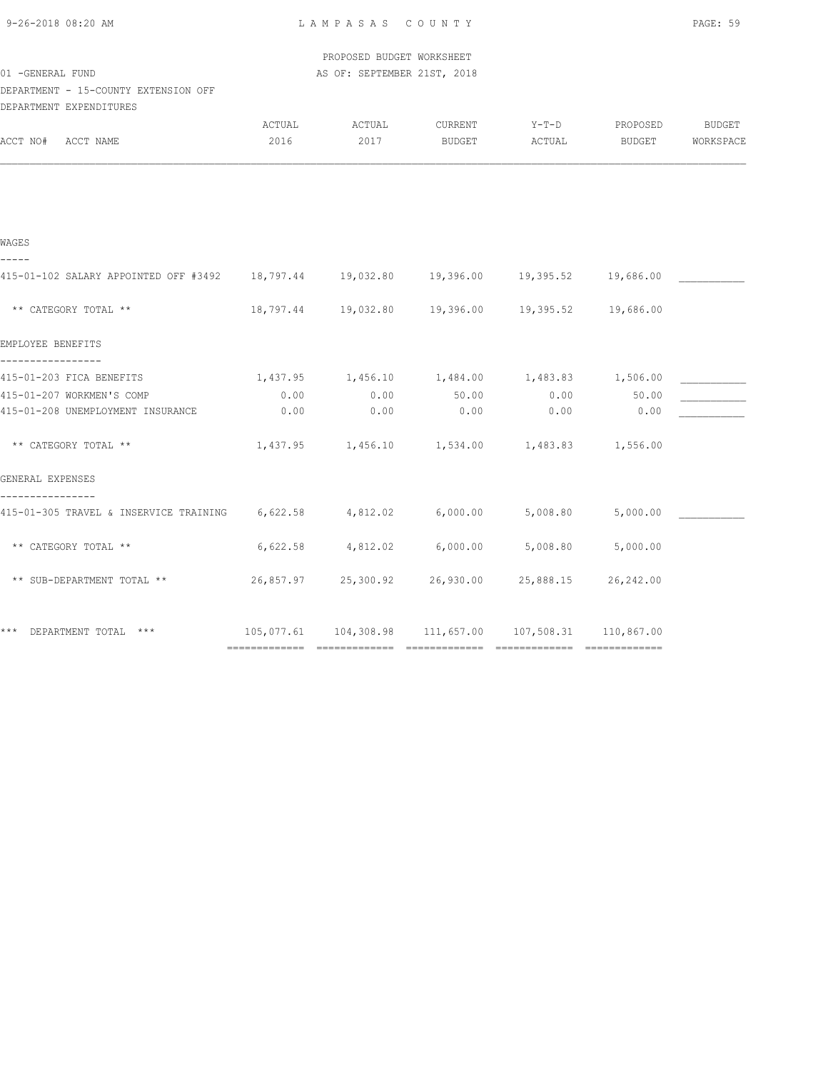| 9-26-2018 08:20 AM |  |
|--------------------|--|
|                    |  |

| 01 - GENERAL FUND                                                                       |                | PROPOSED BUDGET WORKSHEET<br>AS OF: SEPTEMBER 21ST, 2018         |                   |                   |                    |                            |
|-----------------------------------------------------------------------------------------|----------------|------------------------------------------------------------------|-------------------|-------------------|--------------------|----------------------------|
| DEPARTMENT - 15-COUNTY EXTENSION OFF<br>DEPARTMENT EXPENDITURES                         |                |                                                                  |                   |                   |                    |                            |
| ACCT NO#<br>ACCT NAME                                                                   | ACTUAL<br>2016 | ACTUAL<br>2017                                                   | CURRENT<br>BUDGET | $Y-T-D$<br>ACTUAL | PROPOSED<br>BUDGET | <b>BUDGET</b><br>WORKSPACE |
|                                                                                         |                |                                                                  |                   |                   |                    |                            |
| WAGES                                                                                   |                |                                                                  |                   |                   |                    |                            |
| 415-01-102 SALARY APPOINTED OFF #3492 18,797.44 19,032.80 19,396.00 19,395.52 19,686.00 |                |                                                                  |                   |                   |                    |                            |
| ** CATEGORY TOTAL **                                                                    |                | 18,797.44  19,032.80  19,396.00  19,395.52  19,686.00            |                   |                   |                    |                            |
| EMPLOYEE BENEFITS                                                                       |                |                                                                  |                   |                   |                    |                            |
| 415-01-203 FICA BENEFITS                                                                |                | $1,437.95$ $1,456.10$ $1,484.00$ $1,483.83$ $1,506.00$           |                   |                   |                    |                            |
| 415-01-207 WORKMEN'S COMP                                                               | 0.00           | 0.00                                                             | 50.00             |                   | $0.00$ 50.00       |                            |
| 415-01-208 UNEMPLOYMENT INSURANCE                                                       | 0.00           | 0.00                                                             | 0.00              | 0.00              | 0.00               |                            |
| ** CATEGORY TOTAL **                                                                    | 1,437.95       | $1,456.10$ $1,534.00$ $1,483.83$ $1,556.00$                      |                   |                   |                    |                            |
| GENERAL EXPENSES                                                                        |                |                                                                  |                   |                   |                    |                            |
| 415-01-305 TRAVEL & INSERVICE TRAINING 6,622.58 4,812.02 6,000.00                       |                |                                                                  |                   | 5,008.80          | 5,000.00           |                            |
| ** CATEGORY TOTAL **                                                                    | 6,622.58       | 4,812.02                                                         | 6,000.00          | 5,008.80          | 5,000.00           |                            |
| ** SUB-DEPARTMENT TOTAL **                                                              |                | 26,857.97 25,300.92 26,930.00                                    |                   | 25,888.15         | 26,242.00          |                            |
| DEPARTMENT TOTAL ***                                                                    |                | $105,077.61$ $104,308.98$ $111,657.00$ $107,508.31$ $110,867.00$ |                   |                   |                    |                            |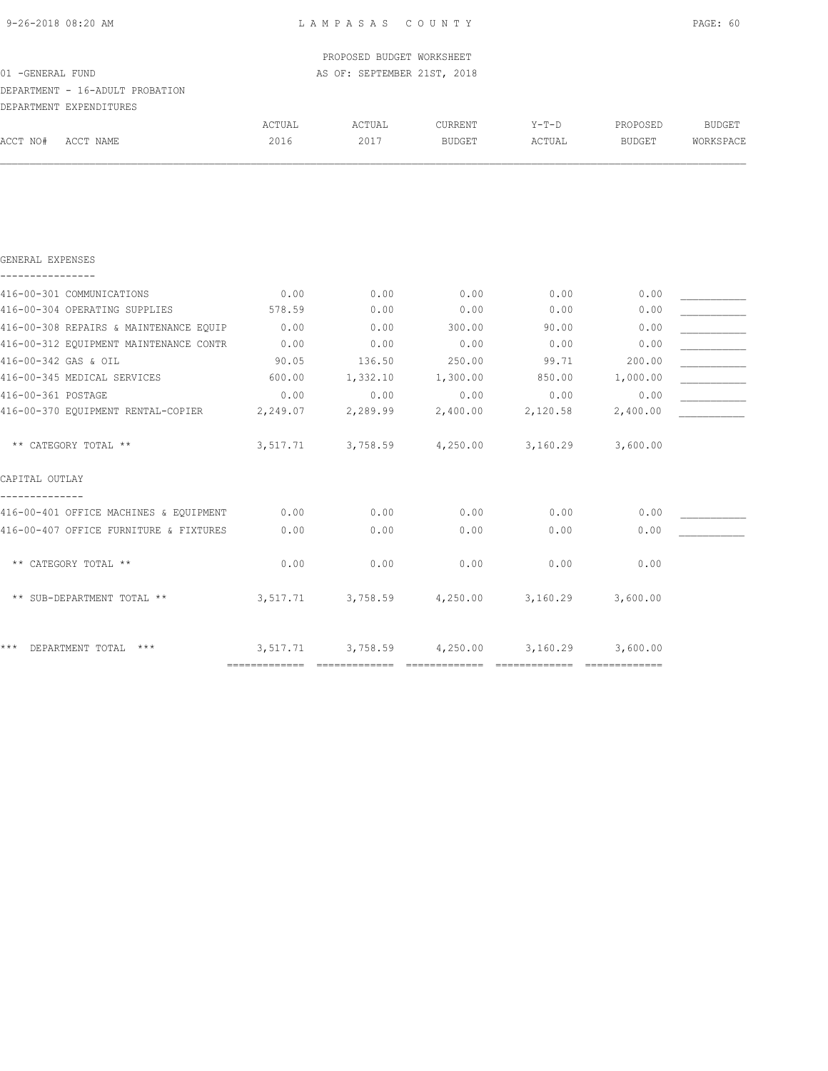| 9-26-2018 08:20 AM |  |  |  |  |  |
|--------------------|--|--|--|--|--|
|--------------------|--|--|--|--|--|

| ACTUAL   | ACTUAL   | CURRENT       | $Y-T-D$                                                                       | PROPOSED | <b>BUDGET</b>                                                                              |
|----------|----------|---------------|-------------------------------------------------------------------------------|----------|--------------------------------------------------------------------------------------------|
| 2016     | 2017     | BUDGET        | ACTUAL                                                                        | BUDGET   | WORKSPACE                                                                                  |
|          |          |               |                                                                               |          |                                                                                            |
|          |          |               |                                                                               |          |                                                                                            |
| 0.00     | 0.00     | 0.00          | 0.00                                                                          | 0.00     |                                                                                            |
| 578.59   | 0.00     | 0.00          | 0.00                                                                          | 0.00     |                                                                                            |
| 0.00     | 0.00     | 300.00        | 90.00                                                                         | 0.00     |                                                                                            |
| 0.00     | 0.00     | 0.00          | 0.00                                                                          | 0.00     |                                                                                            |
| 90.05    | 136.50   | 250.00        | 99.71                                                                         | 200.00   |                                                                                            |
| 600.00   |          |               | 850.00                                                                        | 1,000.00 |                                                                                            |
| 0.00     | 0.00     | 0.00          | 0.00                                                                          | 0.00     |                                                                                            |
| 2,249.07 | 2,289.99 | 2,400.00      | 2,120.58                                                                      | 2,400.00 |                                                                                            |
| 3,517.71 | 3,758.59 | 4,250.00      | 3,160.29                                                                      | 3,600.00 |                                                                                            |
|          |          |               |                                                                               |          |                                                                                            |
| 0.00     | 0.00     | 0.00          | 0.00                                                                          | 0.00     |                                                                                            |
| 0.00     | 0.00     | 0.00          | 0.00                                                                          | 0.00     |                                                                                            |
| 0.00     | 0.00     | 0.00          | 0.00                                                                          | 0.00     |                                                                                            |
|          |          |               |                                                                               | 3,600.00 |                                                                                            |
|          |          |               |                                                                               | 3,600.00 |                                                                                            |
|          |          | ============= | PROPOSED BUDGET WORKSHEET<br>AS OF: SEPTEMBER 21ST, 2018<br>1,332.10 1,300.00 |          | $3,517.71$ $3,758.59$ $4,250.00$ $3,160.29$<br>$3,517.71$ $3,758.59$ $4,250.00$ $3,160.29$ |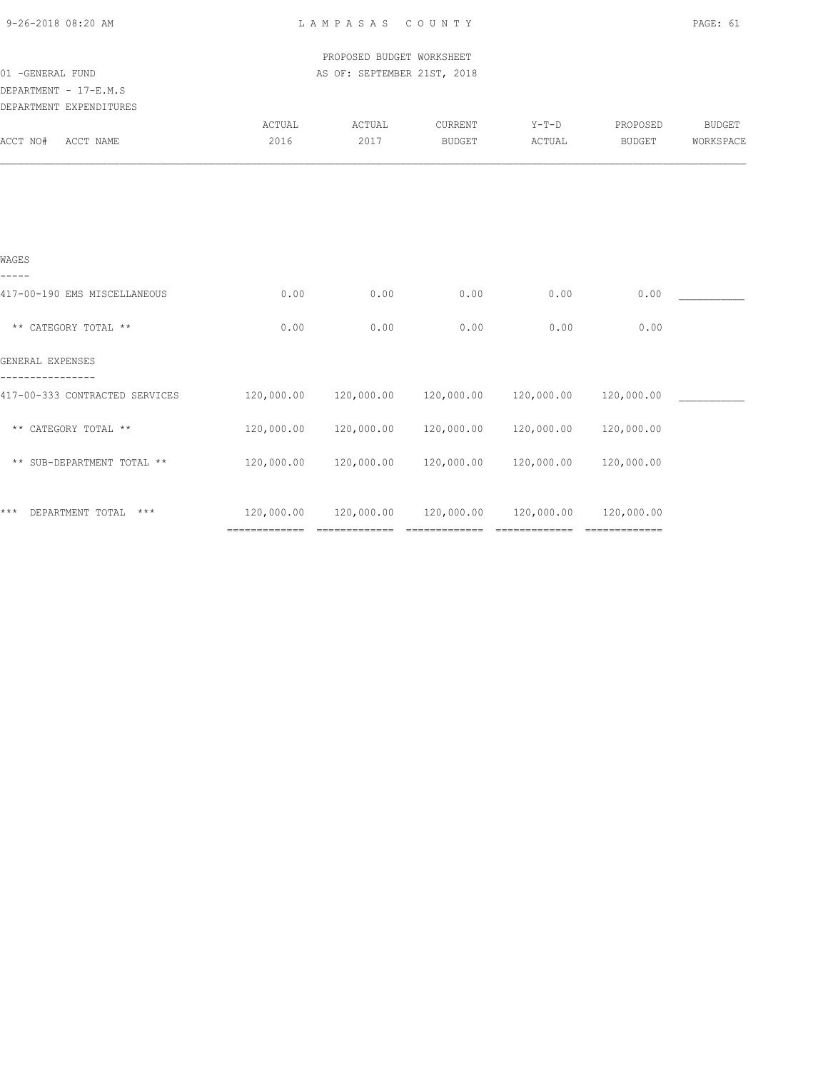| 9-26-2018 08:20 AM                                           |            | LAMPASAS COUNTY             |            |                       |            | PAGE: 61      |
|--------------------------------------------------------------|------------|-----------------------------|------------|-----------------------|------------|---------------|
|                                                              |            | PROPOSED BUDGET WORKSHEET   |            |                       |            |               |
| 01 - GENERAL FUND                                            |            | AS OF: SEPTEMBER 21ST, 2018 |            |                       |            |               |
| DEPARTMENT - 17-E.M.S                                        |            |                             |            |                       |            |               |
| DEPARTMENT EXPENDITURES                                      |            |                             |            |                       |            |               |
|                                                              | ACTUAL     | ACTUAL                      | CURRENT    | $Y-T-D$               | PROPOSED   | <b>BUDGET</b> |
| ACCT NO#<br>ACCT NAME                                        | 2016       | 2017                        | BUDGET     | ACTUAL                | BUDGET     | WORKSPACE     |
|                                                              |            |                             |            |                       |            |               |
| WAGES                                                        |            |                             |            |                       |            |               |
| 417-00-190 EMS MISCELLANEOUS                                 | 0.00       | 0.00                        | 0.00       | 0.00                  | 0.00       |               |
| ** CATEGORY TOTAL **                                         | 0.00       | 0.00                        | 0.00       | 0.00                  | 0.00       |               |
| GENERAL EXPENSES                                             |            |                             |            |                       |            |               |
| 417-00-333 CONTRACTED SERVICES                               | 120,000.00 | 120,000.00                  |            | 120,000.00 120,000.00 | 120,000.00 |               |
| ** CATEGORY TOTAL **                                         | 120,000.00 | 120,000.00                  | 120,000.00 | 120,000.00            | 120,000.00 |               |
| $^{\star\,\star\,}$ SUB-DEPARTMENT TOTAL $^{\star\,\star\,}$ | 120,000.00 | 120,000.00                  | 120,000.00 | 120,000.00            | 120,000.00 |               |
| * * *<br>DEPARTMENT TOTAL ***                                |            | 120,000.00 120,000.00       |            |                       | 120,000.00 |               |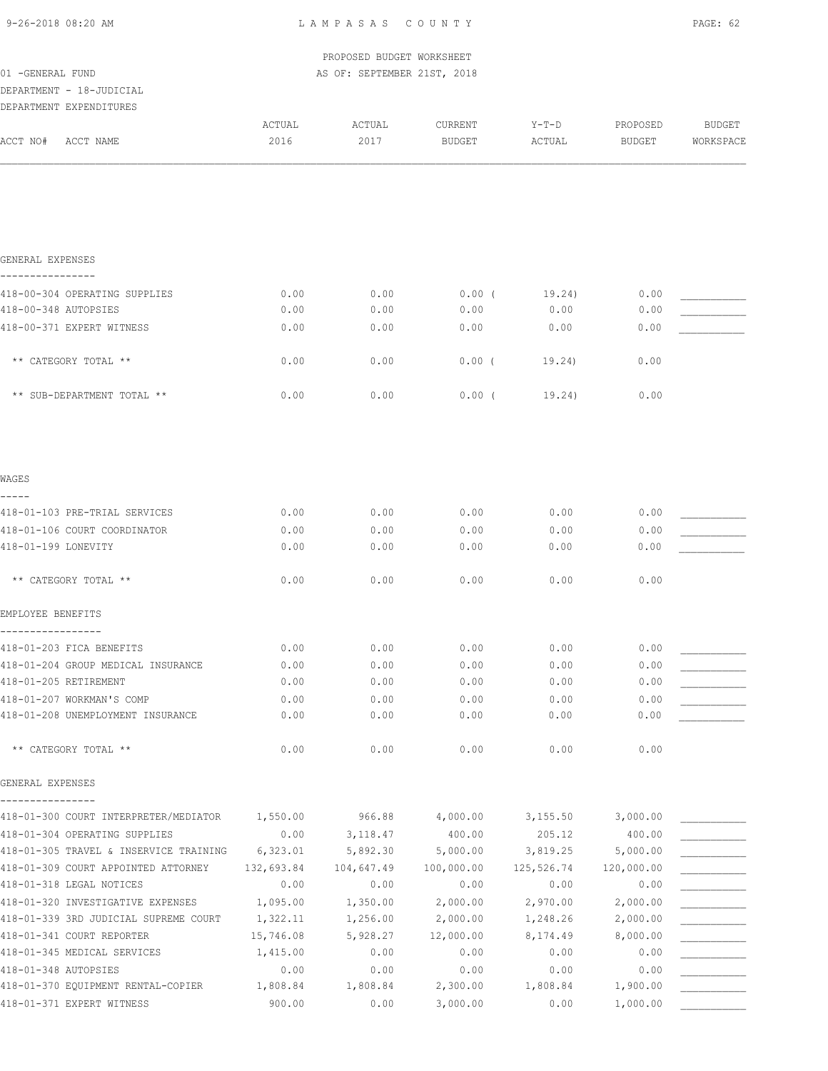| 9-26-2018 08:20 AM |  |
|--------------------|--|
|                    |  |

|                                                          |                       | PROPOSED BUDGET WORKSHEET   |                          |                  |                    |                     |
|----------------------------------------------------------|-----------------------|-----------------------------|--------------------------|------------------|--------------------|---------------------|
| 01 - GENERAL FUND                                        |                       | AS OF: SEPTEMBER 21ST, 2018 |                          |                  |                    |                     |
| DEPARTMENT - 18-JUDICIAL                                 |                       |                             |                          |                  |                    |                     |
| DEPARTMENT EXPENDITURES                                  |                       |                             |                          |                  |                    |                     |
| ACCT NO#<br>ACCT NAME                                    | ACTUAL<br>2016        | ACTUAL<br>2017              | CURRENT<br><b>BUDGET</b> | Y-T-D<br>ACTUAL  | PROPOSED<br>BUDGET | BUDGET<br>WORKSPACE |
|                                                          |                       |                             |                          |                  |                    |                     |
| GENERAL EXPENSES                                         |                       |                             |                          |                  |                    |                     |
| 418-00-304 OPERATING SUPPLIES                            | 0.00                  | 0.00                        | $0.00$ (                 | 19.24)           | 0.00               |                     |
| 418-00-348 AUTOPSIES                                     | 0.00                  | 0.00                        | 0.00                     | 0.00             | 0.00               |                     |
| 418-00-371 EXPERT WITNESS                                | 0.00                  | 0.00                        | 0.00                     | 0.00             | 0.00               |                     |
| ** CATEGORY TOTAL **                                     | 0.00                  | 0.00                        | $0.00$ (                 | 19.24)           | 0.00               |                     |
| ** SUB-DEPARTMENT TOTAL **                               | 0.00                  | 0.00                        | 0.00(                    | 19.24)           | 0.00               |                     |
| WAGES                                                    |                       |                             |                          |                  |                    |                     |
| 418-01-103 PRE-TRIAL SERVICES                            | 0.00                  | 0.00                        | 0.00                     | 0.00             | 0.00               |                     |
| 418-01-106 COURT COORDINATOR                             | 0.00                  | 0.00                        | 0.00                     | 0.00             | 0.00               |                     |
| 418-01-199 LONEVITY                                      | 0.00                  | 0.00                        | 0.00                     | 0.00             | 0.00               |                     |
| ** CATEGORY TOTAL **                                     | 0.00                  | 0.00                        | 0.00                     | 0.00             | 0.00               |                     |
| EMPLOYEE BENEFITS                                        |                       |                             |                          |                  |                    |                     |
| 418-01-203 FICA BENEFITS                                 | 0.00                  | 0.00                        | 0.00                     | 0.00             | 0.00               |                     |
| 418-01-204 GROUP MEDICAL INSURANCE                       | 0.00                  | 0.00                        | 0.00                     | 0.00             | 0.00               |                     |
| 418-01-205 RETIREMENT                                    | 0.00                  | 0.00                        | 0.00                     | 0.00             | 0.00               |                     |
| 418-01-207 WORKMAN'S COMP                                | 0.00                  | 0.00                        | 0.00                     | 0.00             | 0.00               |                     |
| 418-01-208 UNEMPLOYMENT INSURANCE                        | 0.00                  | 0.00                        | 0.00                     | 0.00             | 0.00               |                     |
| ** CATEGORY TOTAL **                                     | 0.00                  | 0.00                        | 0.00                     | 0.00             | 0.00               |                     |
| GENERAL EXPENSES                                         |                       |                             |                          |                  |                    |                     |
| 418-01-300 COURT INTERPRETER/MEDIATOR                    | 1,550.00              | 966.88                      | 4,000.00                 | 3,155.50         | 3,000.00           |                     |
| 418-01-304 OPERATING SUPPLIES                            | 0.00                  | 3,118.47                    | 400.00                   | 205.12           | 400.00             |                     |
| 418-01-305 TRAVEL & INSERVICE TRAINING                   | 6,323.01              | 5,892.30                    | 5,000.00                 | 3,819.25         | 5,000.00           |                     |
| 418-01-309 COURT APPOINTED ATTORNEY                      | 132,693.84            | 104,647.49                  | 100,000.00               | 125,526.74       | 120,000.00         |                     |
| 418-01-318 LEGAL NOTICES                                 | 0.00                  | 0.00                        | 0.00                     | 0.00             | 0.00               |                     |
| 418-01-320 INVESTIGATIVE EXPENSES                        | 1,095.00              | 1,350.00                    | 2,000.00                 | 2,970.00         | 2,000.00           |                     |
| 418-01-339 3RD JUDICIAL SUPREME COURT                    | 1,322.11              | 1,256.00                    | 2,000.00                 | 1,248.26         | 2,000.00           |                     |
| 418-01-341 COURT REPORTER<br>418-01-345 MEDICAL SERVICES | 15,746.08<br>1,415.00 | 5,928.27<br>0.00            | 12,000.00<br>0.00        | 8,174.49<br>0.00 | 8,000.00<br>0.00   |                     |
| 418-01-348 AUTOPSIES                                     | 0.00                  | 0.00                        | 0.00                     | 0.00             | 0.00               |                     |
| 418-01-370 EQUIPMENT RENTAL-COPIER                       | 1,808.84              | 1,808.84                    | 2,300.00                 | 1,808.84         | 1,900.00           |                     |
| 418-01-371 EXPERT WITNESS                                | 900.00                | 0.00                        | 3,000.00                 | 0.00             | 1,000.00           |                     |
|                                                          |                       |                             |                          |                  |                    |                     |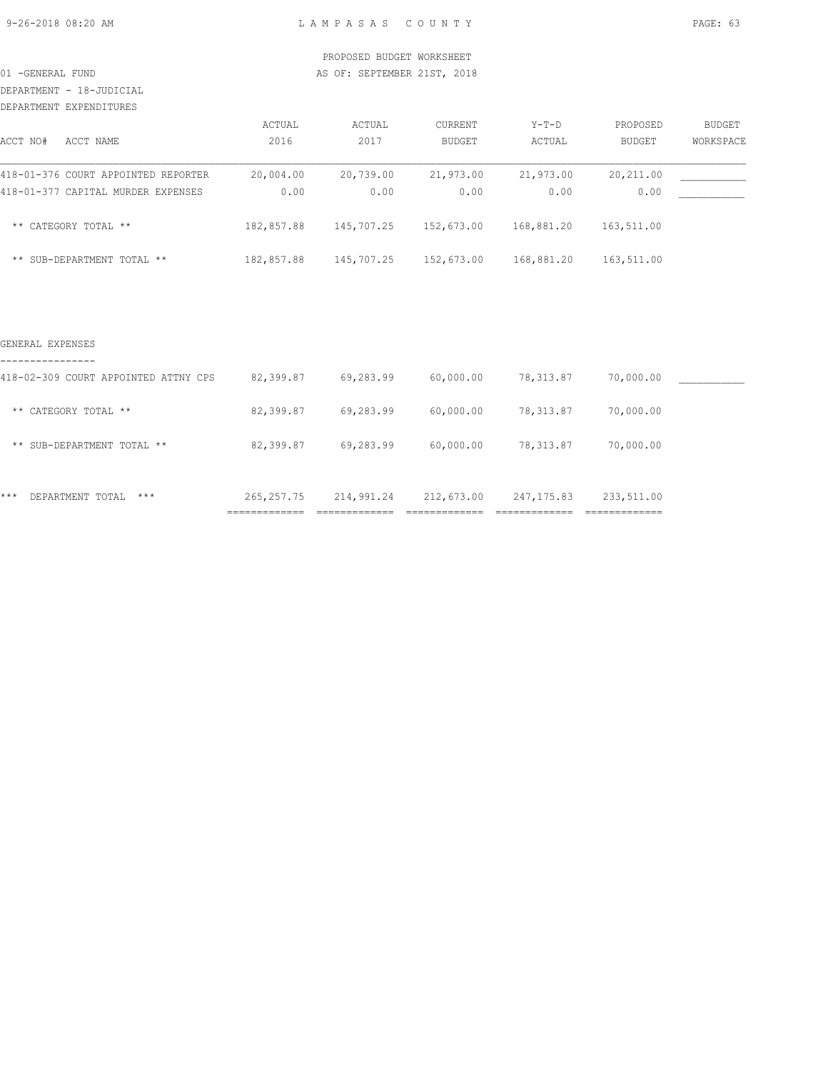DEPARTMENT - 18-JUDICIAL

| DEPARTMENT EXPENDITURES             |            |            |               |            |               |           |
|-------------------------------------|------------|------------|---------------|------------|---------------|-----------|
|                                     | ACTUAL     | ACTUAL     | CURRENT       | $Y-T-D$    | PROPOSED      | BUDGET    |
| ACCT NO#<br>ACCT NAME               | 2016       | 2017       | <b>BUDGET</b> | ACTUAL     | <b>BUDGET</b> | WORKSPACE |
| 418-01-376 COURT APPOINTED REPORTER | 20,004.00  | 20,739.00  | 21,973.00     | 21,973.00  | 20,211.00     |           |
| 418-01-377 CAPITAL MURDER EXPENSES  | 0.00       | 0.00       | 0.00          | 0.00       | 0.00          |           |
| ** CATEGORY TOTAL **                | 182,857.88 | 145,707.25 | 152,673.00    | 168,881.20 | 163,511.00    |           |
| ** SUB-DEPARTMENT TOTAL **          | 182,857.88 | 145,707.25 | 152,673.00    | 168,881.20 | 163,511.00    |           |

#### GENERAL EXPENSES

| $***$<br>$***$<br>DEPARTMENT TOTAL   | 265, 257. 75 | 214,991.24 | 212,673.00 | 247, 175.83 | 233,511.00 |  |
|--------------------------------------|--------------|------------|------------|-------------|------------|--|
| ** SUB-DEPARTMENT TOTAL **           | 82,399.87    | 69,283.99  | 60,000.00  | 78,313.87   | 70,000.00  |  |
| ** CATEGORY TOTAL **                 | 82,399.87    | 69,283.99  | 60,000.00  | 78,313.87   | 70,000.00  |  |
| 418-02-309 COURT APPOINTED ATTNY CPS | 82,399.87    | 69,283.99  | 60,000.00  | 78,313.87   | 70,000.00  |  |
|                                      |              |            |            |             |            |  |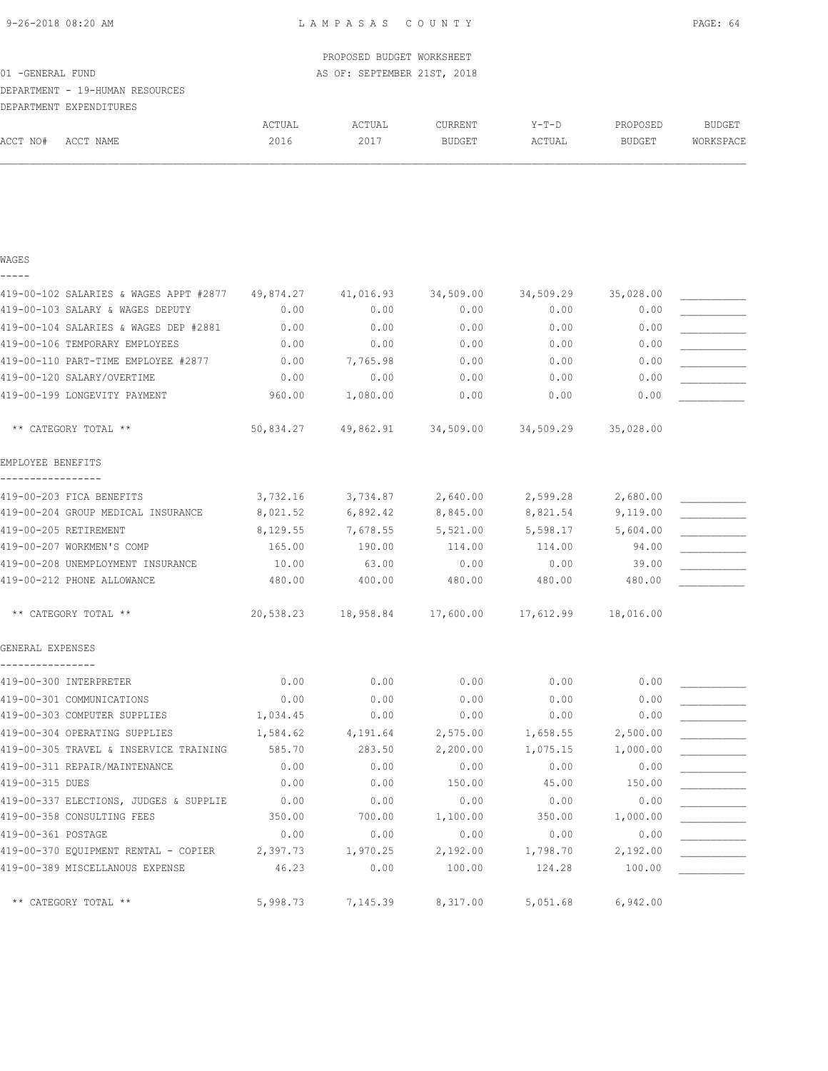| 9-26-2018 08:20 AM |  |
|--------------------|--|
|--------------------|--|

|                                        |           | PROPOSED BUDGET WORKSHEET   |               |           |           |               |
|----------------------------------------|-----------|-----------------------------|---------------|-----------|-----------|---------------|
| 01 - GENERAL FUND                      |           | AS OF: SEPTEMBER 21ST, 2018 |               |           |           |               |
| DEPARTMENT - 19-HUMAN RESOURCES        |           |                             |               |           |           |               |
| DEPARTMENT EXPENDITURES                |           |                             |               |           |           |               |
|                                        | ACTUAL    | ACTUAL                      | CURRENT       | Y-T-D     | PROPOSED  | <b>BUDGET</b> |
| ACCT NO#<br>ACCT NAME                  | 2016      | 2017                        | <b>BUDGET</b> | ACTUAL    | BUDGET    | WORKSPACE     |
|                                        |           |                             |               |           |           |               |
|                                        |           |                             |               |           |           |               |
| WAGES                                  |           |                             |               |           |           |               |
| 419-00-102 SALARIES & WAGES APPT #2877 | 49,874.27 | 41,016.93                   | 34,509.00     | 34,509.29 | 35,028.00 |               |
| 419-00-103 SALARY & WAGES DEPUTY       | 0.00      | 0.00                        | 0.00          | 0.00      | 0.00      |               |
| 419-00-104 SALARIES & WAGES DEP #2881  | 0.00      | 0.00                        | 0.00          | 0.00      | 0.00      |               |
| 419-00-106 TEMPORARY EMPLOYEES         | 0.00      | 0.00                        | 0.00          | 0.00      | 0.00      |               |
| 419-00-110 PART-TIME EMPLOYEE #2877    | 0.00      | 7,765.98                    | 0.00          | 0.00      | 0.00      |               |
| 419-00-120 SALARY/OVERTIME             | 0.00      | 0.00                        | 0.00          | 0.00      | 0.00      |               |
| 419-00-199 LONGEVITY PAYMENT           | 960.00    | 1,080.00                    | 0.00          | 0.00      | 0.00      |               |
| ** CATEGORY TOTAL **                   | 50,834.27 | 49,862.91                   | 34,509.00     | 34,509.29 | 35,028.00 |               |
| EMPLOYEE BENEFITS                      |           |                             |               |           |           |               |
| 419-00-203 FICA BENEFITS               | 3,732.16  | 3,734.87                    | 2,640.00      | 2,599.28  | 2,680.00  |               |
| 419-00-204 GROUP MEDICAL INSURANCE     | 8,021.52  | 6,892.42                    | 8,845.00      | 8,821.54  | 9,119.00  |               |
| 419-00-205 RETIREMENT                  | 8,129.55  | 7,678.55                    | 5,521.00      | 5,598.17  | 5,604.00  |               |
| 419-00-207 WORKMEN'S COMP              | 165.00    | 190.00                      | 114.00        | 114.00    | 94.00     |               |
| 419-00-208 UNEMPLOYMENT INSURANCE      | 10.00     | 63.00                       | 0.00          | 0.00      | 39.00     |               |
| 419-00-212 PHONE ALLOWANCE             | 480.00    | 400.00                      | 480.00        | 480.00    | 480.00    |               |
| ** CATEGORY TOTAL **                   | 20,538.23 | 18,958.84                   | 17,600.00     | 17,612.99 | 18,016.00 |               |
| GENERAL EXPENSES                       |           |                             |               |           |           |               |
| ----------------                       |           |                             |               |           |           |               |
| 419-00-300 INTERPRETER                 | 0.00      | 0.00                        | 0.00          | 0.00      | 0.00      |               |
| 419-00-301 COMMUNICATIONS              | 0.00      | 0.00                        | 0.00          | 0.00      | 0.00      |               |
| 419-00-303 COMPUTER SUPPLIES           | 1,034.45  | 0.00                        | 0.00          | 0.00      | 0.00      |               |
| 419-00-304 OPERATING SUPPLIES          | 1,584.62  | 4,191.64                    | 2,575.00      | 1,658.55  | 2,500.00  |               |
| 419-00-305 TRAVEL & INSERVICE TRAINING | 585.70    | 283.50                      | 2,200.00      | 1,075.15  | 1,000.00  |               |
| 419-00-311 REPAIR/MAINTENANCE          | 0.00      | 0.00                        | 0.00          | 0.00      | 0.00      |               |
| 419-00-315 DUES                        | 0.00      | 0.00                        | 150.00        | 45.00     | 150.00    |               |
| 419-00-337 ELECTIONS, JUDGES & SUPPLIE | 0.00      | 0.00                        | 0.00          | 0.00      | 0.00      |               |
| 419-00-358 CONSULTING FEES             | 350.00    | 700.00                      | 1,100.00      | 350.00    | 1,000.00  |               |
| 419-00-361 POSTAGE                     | 0.00      | 0.00                        | 0.00          | 0.00      | 0.00      |               |
| 419-00-370 EQUIPMENT RENTAL - COPIER   | 2,397.73  | 1,970.25                    | 2,192.00      | 1,798.70  | 2,192.00  |               |
| 419-00-389 MISCELLANOUS EXPENSE        | 46.23     | 0.00                        | 100.00        | 124.28    | 100.00    |               |
| ** CATEGORY TOTAL **                   | 5,998.73  | 7,145.39                    | 8,317.00      | 5,051.68  | 6,942.00  |               |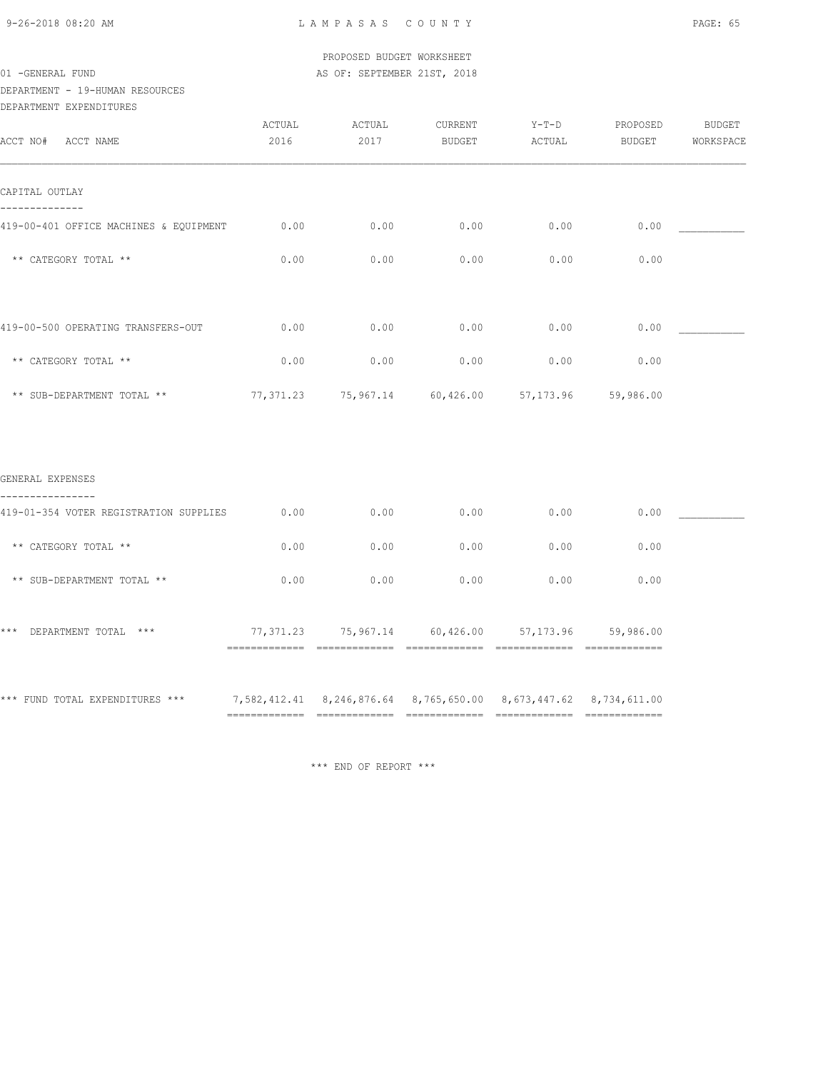PROPOSED BUDGET WORKSHEET 01 -GENERAL FUND **AS OF: SEPTEMBER 21ST, 2018** 

DEPARTMENT - 19-HUMAN RESOURCES

DEPARTMENT EXPENDITURES

| ACCT NO# ACCT NAME                                 | ACTUAL<br>2016 | ACTUAL<br>2017 | CURRENT<br>BUDGET | $Y-T-D$<br>ACTUAL                                     | PROPOSED<br>BUDGET | BUDGET<br>WORKSPACE |
|----------------------------------------------------|----------------|----------------|-------------------|-------------------------------------------------------|--------------------|---------------------|
| CAPITAL OUTLAY                                     |                |                |                   |                                                       |                    |                     |
| --------<br>419-00-401 OFFICE MACHINES & EQUIPMENT | 0.00           | 0.00           | 0.00              | 0.00                                                  | 0.00               |                     |
| ** CATEGORY TOTAL **                               | 0.00           | 0.00           | 0.00              | 0.00                                                  | 0.00               |                     |
| 419-00-500 OPERATING TRANSFERS-OUT                 | 0.00           | 0.00           | 0.00              | 0.00                                                  | 0.00               |                     |
| ** CATEGORY TOTAL **                               | 0.00           | 0.00           | 0.00              | 0.00                                                  | 0.00               |                     |
| ** SUB-DEPARTMENT TOTAL **                         |                |                |                   | 77,371.23  75,967.14  60,426.00  57,173.96  59,986.00 |                    |                     |
| GENERAL EXPENSES                                   |                |                |                   |                                                       |                    |                     |
| 419-01-354 VOTER REGISTRATION SUPPLIES             | 0.00           | 0.00           | 0.00              | 0.00                                                  | 0.00               |                     |
| ** CATEGORY TOTAL **                               | 0.00           | 0.00           | 0.00              | 0.00                                                  | 0.00               |                     |
| ** SUB-DEPARTMENT TOTAL **                         | 0.00           | 0.00           | 0.00              | 0.00                                                  | 0.00               |                     |
| *** DEPARTMENT TOTAL ***                           |                |                |                   | 77,371.23 75,967.14 60,426.00 57,173.96 59,986.00     |                    |                     |
|                                                    |                |                |                   |                                                       |                    |                     |

\*\*\* FUND TOTAL EXPENDITURES \*\*\* 7,582,412.41 8,246,876.64 8,765,650.00 8,673,447.62 8,734,611.00 ============= ============= ============= ============= =============

\*\*\* END OF REPORT \*\*\*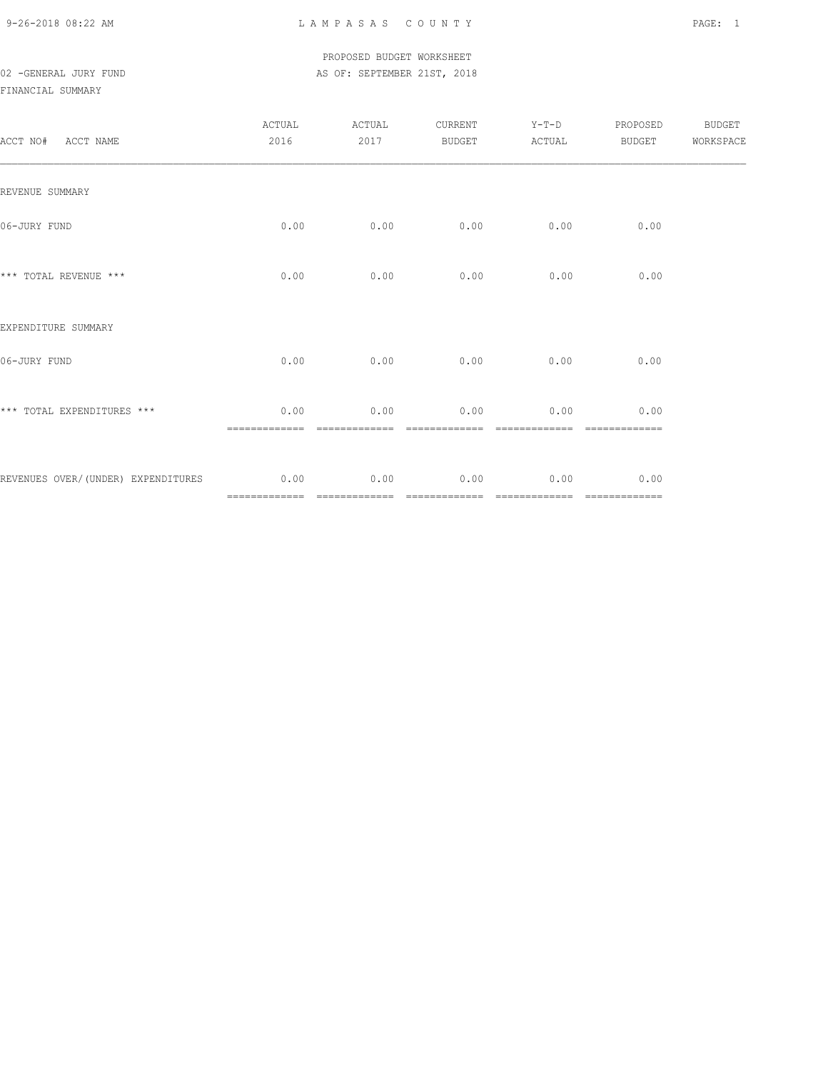### PROPOSED BUDGET WORKSHEET 02 -GENERAL JURY FUND **AS OF: SEPTEMBER 21ST, 2018**

### FINANCIAL SUMMARY

| ACCT NO# ACCT NAME                      | ACTUAL<br>2016     | ACTUAL<br>2017        | CURRENT<br>BUDGET     | $Y-T-D$<br>ACTUAL     | PROPOSED<br><b>BUDGET</b> | <b>BUDGET</b><br>WORKSPACE |
|-----------------------------------------|--------------------|-----------------------|-----------------------|-----------------------|---------------------------|----------------------------|
| REVENUE SUMMARY                         |                    |                       |                       |                       |                           |                            |
| 06-JURY FUND                            | 0.00               | 0.00                  | 0.00                  | 0.00                  | 0.00                      |                            |
| *** TOTAL REVENUE ***                   | 0.00               | 0.00                  | 0.00                  | 0.00                  | 0.00                      |                            |
| EXPENDITURE SUMMARY                     |                    |                       |                       |                       |                           |                            |
| 06-JURY FUND                            | 0.00               | 0.00                  | 0.00                  | 0.00                  | 0.00                      |                            |
| *** TOTAL EXPENDITURES ***              | 0.00<br>---------- | 0.00<br>------------- | 0.00<br>------------- | 0.00<br>------------- | 0.00<br>=============     |                            |
| REVENUES OVER/(UNDER) EXPENDITURES 0.00 |                    | 0.00                  | 0.00                  | 0.00                  | 0.00                      |                            |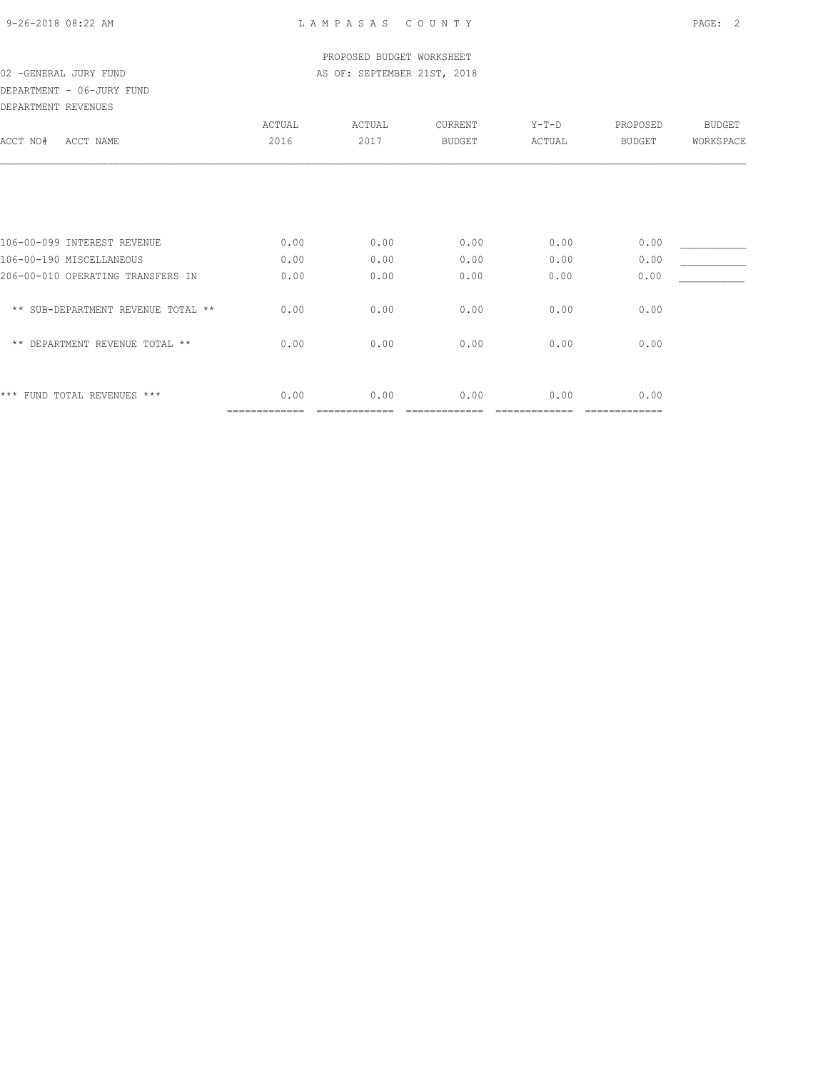DEPARTMENT - 06-JURY FUND

| DEPARTMENT REVENUES                  |        |        |               |         |          |               |
|--------------------------------------|--------|--------|---------------|---------|----------|---------------|
|                                      | ACTUAL | ACTUAL | CURRENT       | $Y-T-D$ | PROPOSED | <b>BUDGET</b> |
| ACCT NO#<br>ACCT NAME                | 2016   | 2017   | <b>BUDGET</b> | ACTUAL  | BUDGET   | WORKSPACE     |
|                                      |        |        |               |         |          |               |
|                                      |        |        |               |         |          |               |
| 106-00-099 INTEREST REVENUE          | 0.00   | 0.00   | 0.00          | 0.00    | 0.00     |               |
| 106-00-190 MISCELLANEOUS             | 0.00   | 0.00   | 0.00          | 0.00    | 0.00     |               |
| 206-00-010 OPERATING TRANSFERS IN    | 0.00   | 0.00   | 0.00          | 0.00    | 0.00     |               |
| ** SUB-DEPARTMENT REVENUE TOTAL **   | 0.00   | 0.00   | 0.00          | 0.00    | 0.00     |               |
| DEPARTMENT REVENUE TOTAL **<br>$***$ | 0.00   | 0.00   | 0.00          | 0.00    | 0.00     |               |
|                                      |        |        |               |         |          |               |
| *** FUND TOTAL REVENUES ***          | 0.00   | 0.00   | 0.00          | 0.00    | 0.00     |               |
|                                      |        |        |               |         |          |               |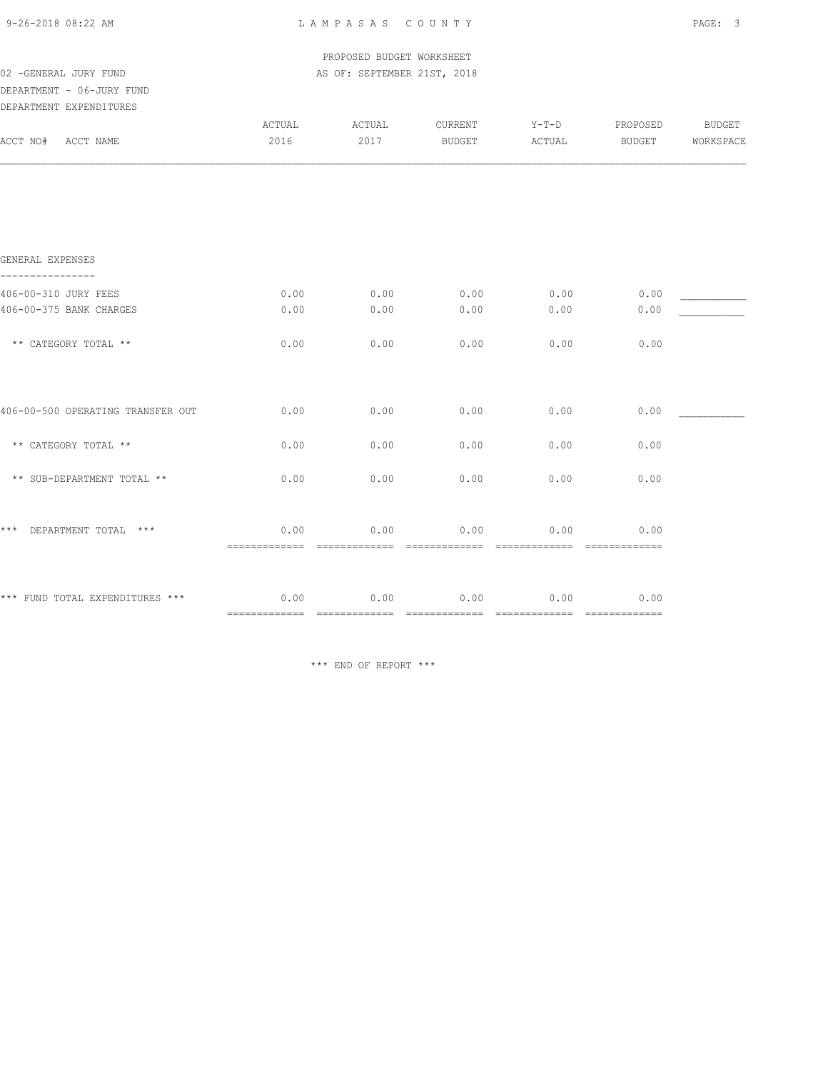| 9-26-2018 08:22 AM                | LAMPASAS COUNTY                        |                             |                       |                                     |                        |           |  |
|-----------------------------------|----------------------------------------|-----------------------------|-----------------------|-------------------------------------|------------------------|-----------|--|
|                                   |                                        |                             |                       |                                     |                        |           |  |
|                                   |                                        | PROPOSED BUDGET WORKSHEET   |                       |                                     |                        |           |  |
| 02 - GENERAL JURY FUND            |                                        | AS OF: SEPTEMBER 21ST, 2018 |                       |                                     |                        |           |  |
| DEPARTMENT - 06-JURY FUND         |                                        |                             |                       |                                     |                        |           |  |
| DEPARTMENT EXPENDITURES           |                                        |                             |                       |                                     |                        |           |  |
|                                   | ACTUAL                                 | ACTUAL                      | CURRENT               | $Y-T-D$                             | PROPOSED               | BUDGET    |  |
| ACCT NO# ACCT NAME                | 2016                                   | 2017                        | <b>BUDGET</b>         | ACTUAL                              | BUDGET                 | WORKSPACE |  |
|                                   |                                        |                             |                       |                                     |                        |           |  |
| GENERAL EXPENSES                  |                                        |                             |                       |                                     |                        |           |  |
| 406-00-310 JURY FEES              | 0.00                                   | 0.00                        | 0.00                  | 0.00                                | 0.00                   |           |  |
| 406-00-375 BANK CHARGES           | 0.00                                   | 0.00                        | 0.00                  | 0.00                                | 0.00                   |           |  |
| ** CATEGORY TOTAL **              | 0.00                                   | 0.00                        | 0.00                  | 0.00                                | 0.00                   |           |  |
|                                   |                                        |                             |                       |                                     |                        |           |  |
| 406-00-500 OPERATING TRANSFER OUT | 0.00                                   | 0.00                        | 0.00                  | 0.00                                | 0.00                   |           |  |
| ** CATEGORY TOTAL **              | 0.00                                   | 0.00                        | 0.00                  | 0.00                                | 0.00                   |           |  |
| ** SUB-DEPARTMENT TOTAL **        | 0.00                                   | 0.00                        | 0.00                  | 0.00                                | 0.00                   |           |  |
| $***$<br>DEPARTMENT TOTAL ***     | 0.00<br>============================== | 0.00                        | 0.00                  | 0.00                                | 0.00<br>-------------- |           |  |
|                                   |                                        |                             |                       |                                     |                        |           |  |
| *** FUND TOTAL EXPENDITURES ***   | 0.00<br>===========================    | 0.00                        | 0.00<br>============= | 0.00<br>2222222222222 2222222222222 | 0.00                   |           |  |

\*\*\* END OF REPORT \*\*\*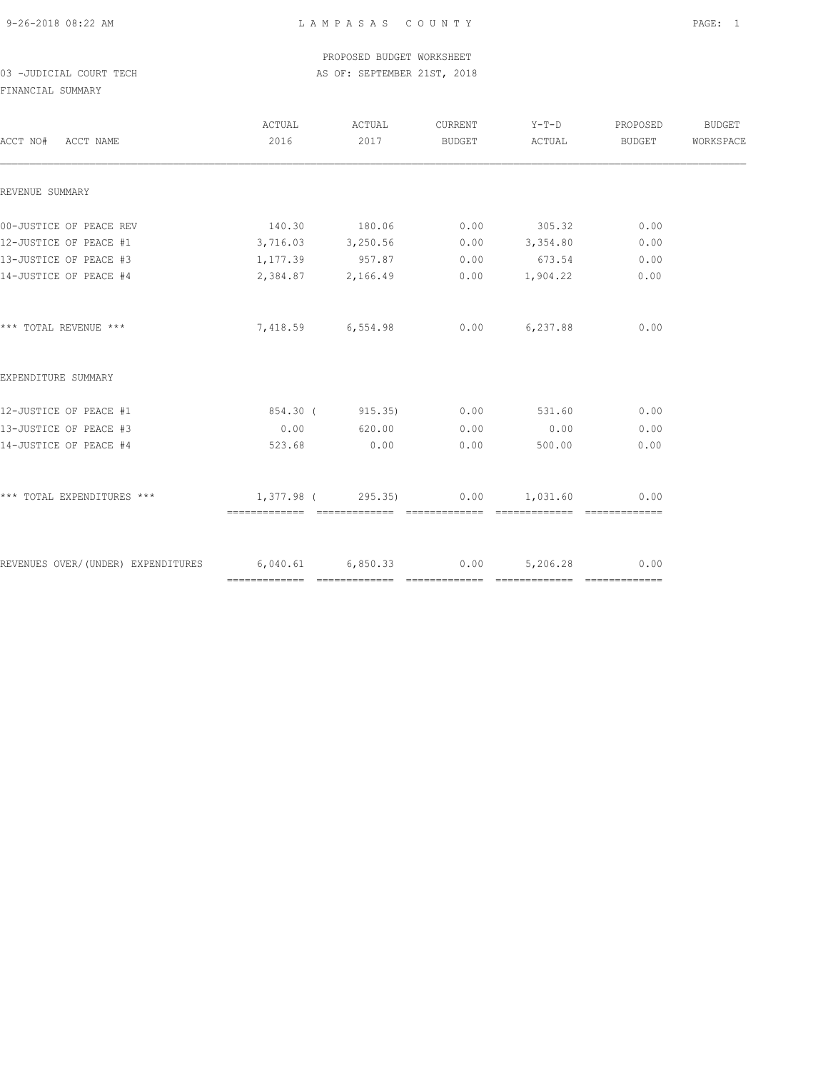PROPOSED BUDGET WORKSHEET 03 -JUDICIAL COURT TECH COURT CECH AS OF: SEPTEMBER 21ST, 2018

FINANCIAL SUMMARY

| ACCT NO# ACCT NAME                                                 | ACTUAL ACTUAL<br>2016                 | 2017              |      | CURRENT Y-T-D PROPOSED<br>BUDGET ACTUAL BUDGET |      | <b>BUDGET</b><br>WORKSPACE |
|--------------------------------------------------------------------|---------------------------------------|-------------------|------|------------------------------------------------|------|----------------------------|
| REVENUE SUMMARY                                                    |                                       |                   |      |                                                |      |                            |
|                                                                    |                                       |                   |      |                                                |      |                            |
| 00-JUSTICE OF PEACE REV                                            |                                       | 140.30 180.06     |      | $0.00$ 305.32                                  | 0.00 |                            |
| 12-JUSTICE OF PEACE #1                                             | $3,716.03$ $3,250.56$ 0.00 $3,354.80$ |                   |      |                                                | 0.00 |                            |
| 13-JUSTICE OF PEACE #3                                             | 1, 177.39 957.87                      |                   |      | $0.00$ 673.54                                  | 0.00 |                            |
| 14-JUSTICE OF PEACE #4                                             |                                       | 2,384.87 2,166.49 |      | $0.00$ 1,904.22                                | 0.00 |                            |
| *** TOTAL REVENUE ***                                              |                                       | 7,418.59 6,554.98 |      | $0.00$ 6,237.88                                | 0.00 |                            |
| EXPENDITURE SUMMARY                                                |                                       |                   |      |                                                |      |                            |
| 12-JUSTICE OF PEACE #1                                             | 854.30 ( 915.35) 0.00 531.60          |                   |      |                                                | 0.00 |                            |
| 13-JUSTICE OF PEACE #3                                             |                                       | $0.00$ 620.00     | 0.00 | 0.00                                           | 0.00 |                            |
| 14-JUSTICE OF PEACE #4                                             | 523.68                                | 0.00              | 0.00 | 500.00                                         | 0.00 |                            |
| *** TOTAL EXPENDITURES ***                                         | $1,377.98$ (295.35)                   |                   |      | $0.00$ 1,031.60                                | 0.00 |                            |
| REVENUES OVER/(UNDER) EXPENDITURES 6,040.61 6,850.33 0.00 5,206.28 |                                       |                   |      |                                                | 0.00 |                            |
|                                                                    |                                       |                   |      |                                                |      |                            |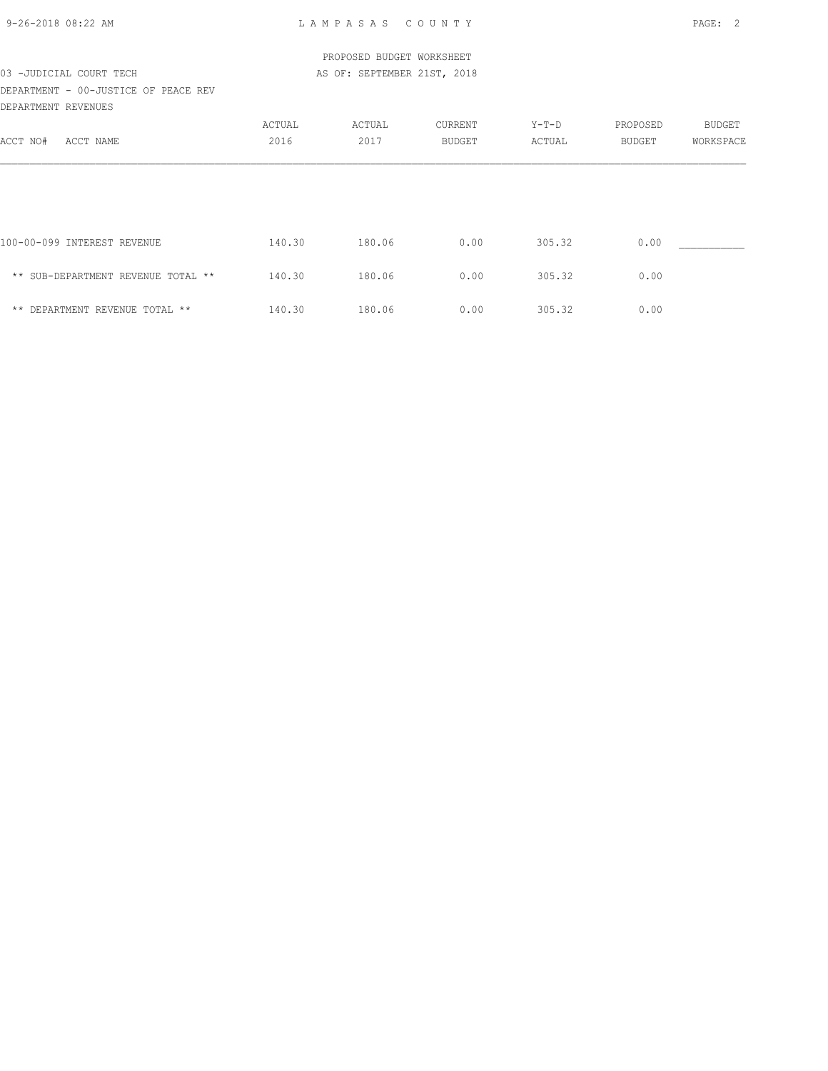| $9 - 26 - 2018$ 08:22 AM                                    |        | LAMPASAS COUNTY             |         |         |          | PAGE: 2   |
|-------------------------------------------------------------|--------|-----------------------------|---------|---------|----------|-----------|
|                                                             |        | PROPOSED BUDGET WORKSHEET   |         |         |          |           |
| 03 -JUDICIAL COURT TECH                                     |        | AS OF: SEPTEMBER 21ST, 2018 |         |         |          |           |
| DEPARTMENT - 00-JUSTICE OF PEACE REV<br>DEPARTMENT REVENUES |        |                             |         |         |          |           |
|                                                             | ACTUAL | ACTUAL                      | CURRENT | $Y-T-D$ | PROPOSED | BUDGET    |
| ACCT NO# ACCT NAME                                          | 2016   | 2017                        | BUDGET  | ACTUAL  | BUDGET   | WORKSPACE |
|                                                             |        |                             |         |         |          |           |
|                                                             |        |                             |         |         |          |           |
| 100-00-099 INTEREST REVENUE                                 | 140.30 | 180.06                      | 0.00    | 305.32  | 0.00     |           |
| ** SUB-DEPARTMENT REVENUE TOTAL **                          | 140.30 | 180.06                      | 0.00    | 305.32  | 0.00     |           |
| ** DEPARTMENT REVENUE TOTAL **                              | 140.30 | 180.06                      | 0.00    | 305.32  | 0.00     |           |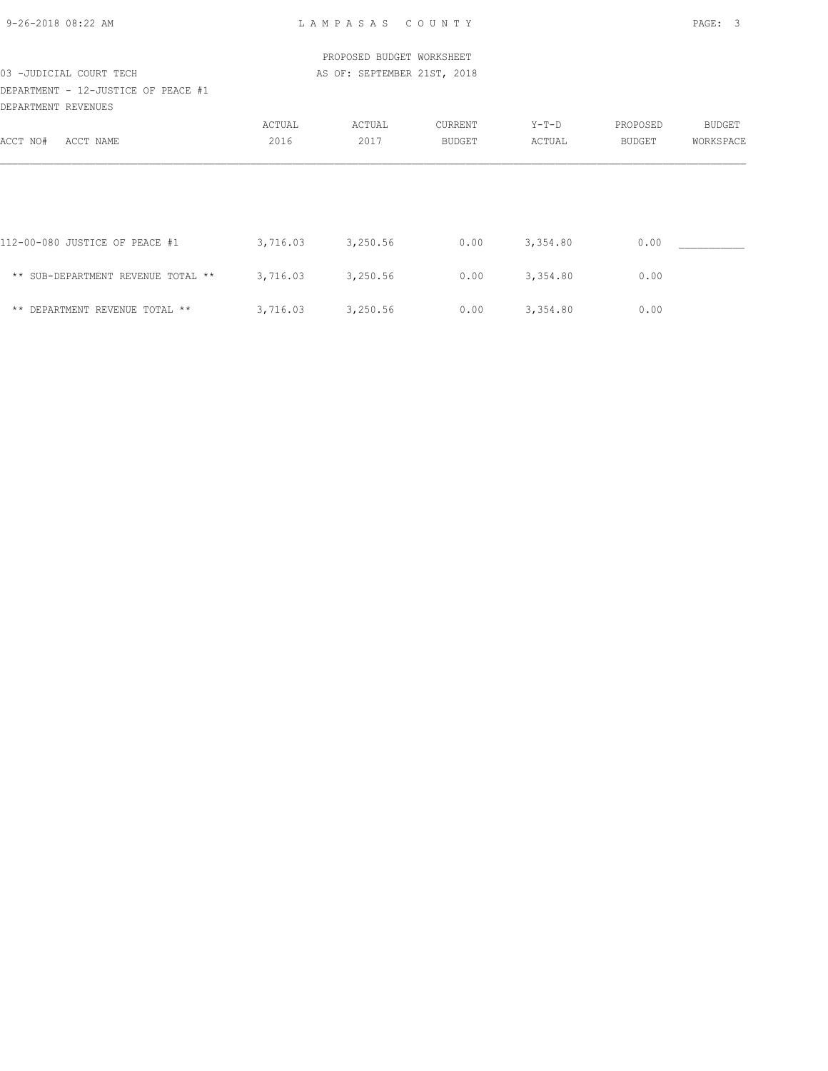| 9-26-2018 08:22 AM |  |
|--------------------|--|
|                    |  |

| PROPOSED BUDGET WORKSHEET           |          |                             |               |          |          |           |  |  |  |
|-------------------------------------|----------|-----------------------------|---------------|----------|----------|-----------|--|--|--|
| 03 -JUDICIAL COURT TECH             |          | AS OF: SEPTEMBER 21ST, 2018 |               |          |          |           |  |  |  |
| DEPARTMENT - 12-JUSTICE OF PEACE #1 |          |                             |               |          |          |           |  |  |  |
| DEPARTMENT REVENUES                 |          |                             |               |          |          |           |  |  |  |
|                                     | ACTUAL   | ACTUAL                      | CURRENT       | Y-T-D    | PROPOSED | BUDGET    |  |  |  |
| ACCT NAME<br>ACCT NO#               | 2016     | 2017                        | <b>BUDGET</b> | ACTUAL   | BUDGET   | WORKSPACE |  |  |  |
|                                     |          |                             |               |          |          |           |  |  |  |
| 112-00-080 JUSTICE OF PEACE #1      | 3,716.03 | 3,250.56                    | 0.00          | 3,354.80 | 0.00     |           |  |  |  |
| ** SUB-DEPARTMENT REVENUE TOTAL **  | 3,716.03 | 3,250.56                    | 0.00          | 3,354.80 | 0.00     |           |  |  |  |
| ** DEPARTMENT REVENUE TOTAL **      | 3,716.03 | 3,250.56                    | 0.00          | 3,354.80 | 0.00     |           |  |  |  |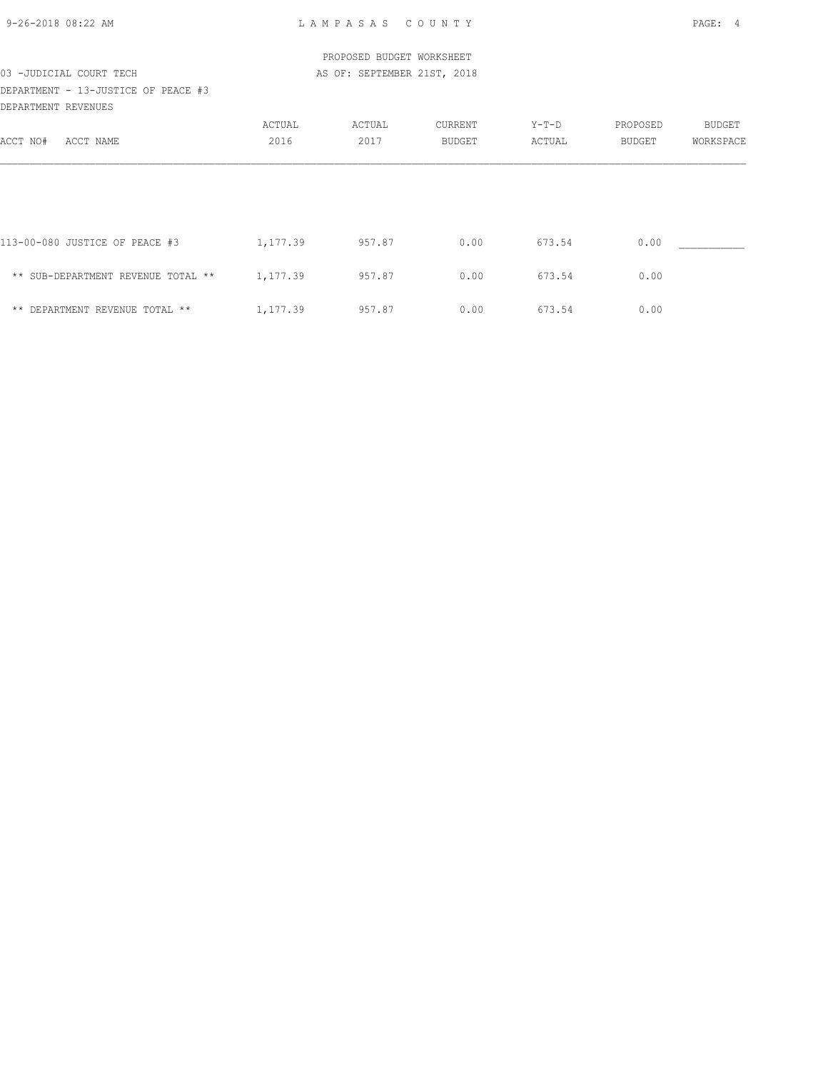| PROPOSED BUDGET WORKSHEET           |          |                             |         |        |          |           |  |  |  |  |
|-------------------------------------|----------|-----------------------------|---------|--------|----------|-----------|--|--|--|--|
| 03 -JUDICIAL COURT TECH             |          | AS OF: SEPTEMBER 21ST, 2018 |         |        |          |           |  |  |  |  |
| DEPARTMENT - 13-JUSTICE OF PEACE #3 |          |                             |         |        |          |           |  |  |  |  |
| DEPARTMENT REVENUES                 |          |                             |         |        |          |           |  |  |  |  |
|                                     | ACTUAL   | ACTUAL                      | CURRENT | Y-T-D  | PROPOSED | BUDGET    |  |  |  |  |
| ACCT NO#<br>ACCT NAME               | 2016     | 2017                        | BUDGET  | ACTUAL | BUDGET   | WORKSPACE |  |  |  |  |
|                                     |          |                             |         |        |          |           |  |  |  |  |
|                                     |          |                             |         |        |          |           |  |  |  |  |
|                                     |          |                             |         |        |          |           |  |  |  |  |
|                                     |          |                             |         |        |          |           |  |  |  |  |
| 113-00-080 JUSTICE OF PEACE #3      | 1,177.39 | 957.87                      | 0.00    | 673.54 | 0.00     |           |  |  |  |  |
|                                     |          |                             |         |        |          |           |  |  |  |  |
| ** SUB-DEPARTMENT REVENUE TOTAL **  | 1,177.39 | 957.87                      | 0.00    | 673.54 | 0.00     |           |  |  |  |  |
|                                     |          |                             |         |        |          |           |  |  |  |  |
| ** DEPARTMENT REVENUE TOTAL **      | 1,177.39 | 957.87                      | 0.00    | 673.54 | 0.00     |           |  |  |  |  |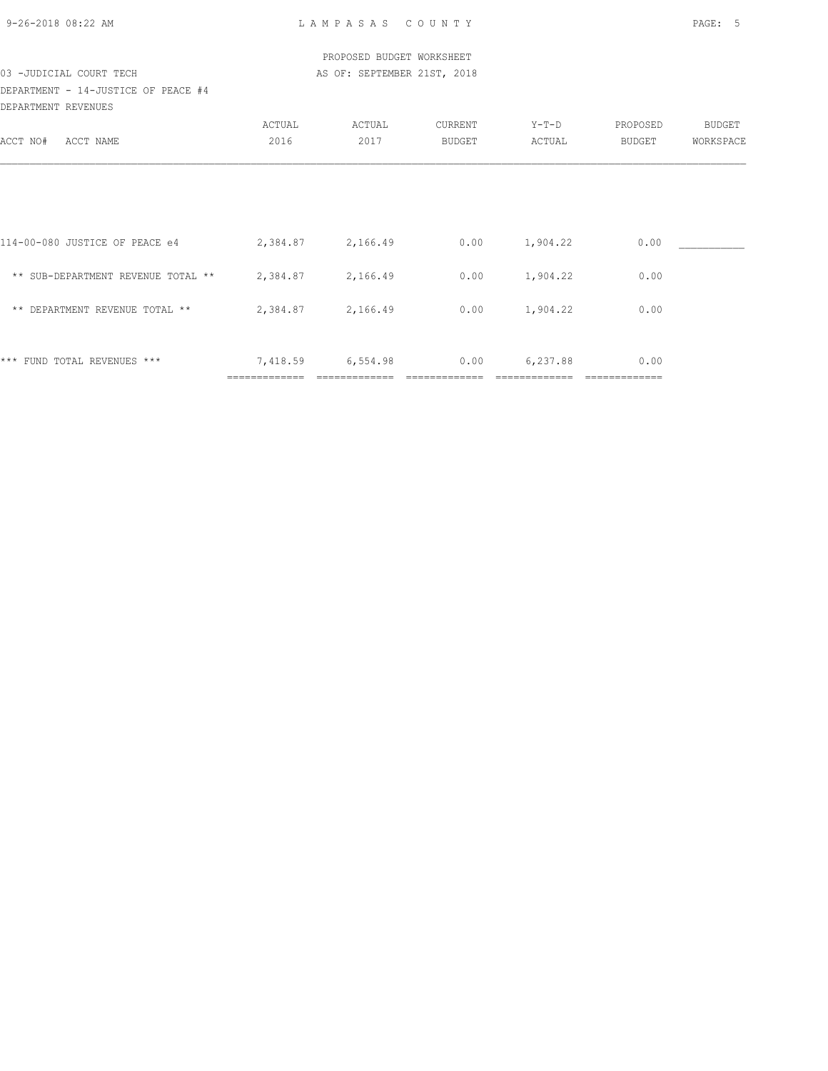|                                     |                   | PROPOSED BUDGET WORKSHEET   |         |                 |          |           |
|-------------------------------------|-------------------|-----------------------------|---------|-----------------|----------|-----------|
| 03 -JUDICIAL COURT TECH             |                   | AS OF: SEPTEMBER 21ST, 2018 |         |                 |          |           |
| DEPARTMENT - 14-JUSTICE OF PEACE #4 |                   |                             |         |                 |          |           |
| DEPARTMENT REVENUES                 |                   |                             |         |                 |          |           |
|                                     | ACTUAL            | ACTUAL                      | CURRENT | $Y-T-D$         | PROPOSED | BUDGET    |
| ACCT NO# ACCT NAME                  | 2016              | 2017                        | BUDGET  | ACTUAL          | BUDGET   | WORKSPACE |
|                                     |                   |                             |         |                 |          |           |
| 114-00-080 JUSTICE OF PEACE e4      | 2,384.87 2,166.49 |                             | 0.00    | 1,904.22        | 0.00     |           |
|                                     |                   |                             |         |                 |          |           |
| ** SUB-DEPARTMENT REVENUE TOTAL **  | 2,384.87 2,166.49 |                             | 0.00    | 1,904.22        | 0.00     |           |
| ** DEPARTMENT REVENUE TOTAL **      |                   | 2,384.87 2,166.49           | 0.00    | 1,904.22        | 0.00     |           |
| *** FUND TOTAL REVENUES ***         | 7,418.59          | 6,554.98                    |         | $0.00$ 6,237.88 | 0.00     |           |

============= ============= ============= ============= =============

9-26-2018 08:22 AM L A M P A S A S C O U N T Y PAGE: 5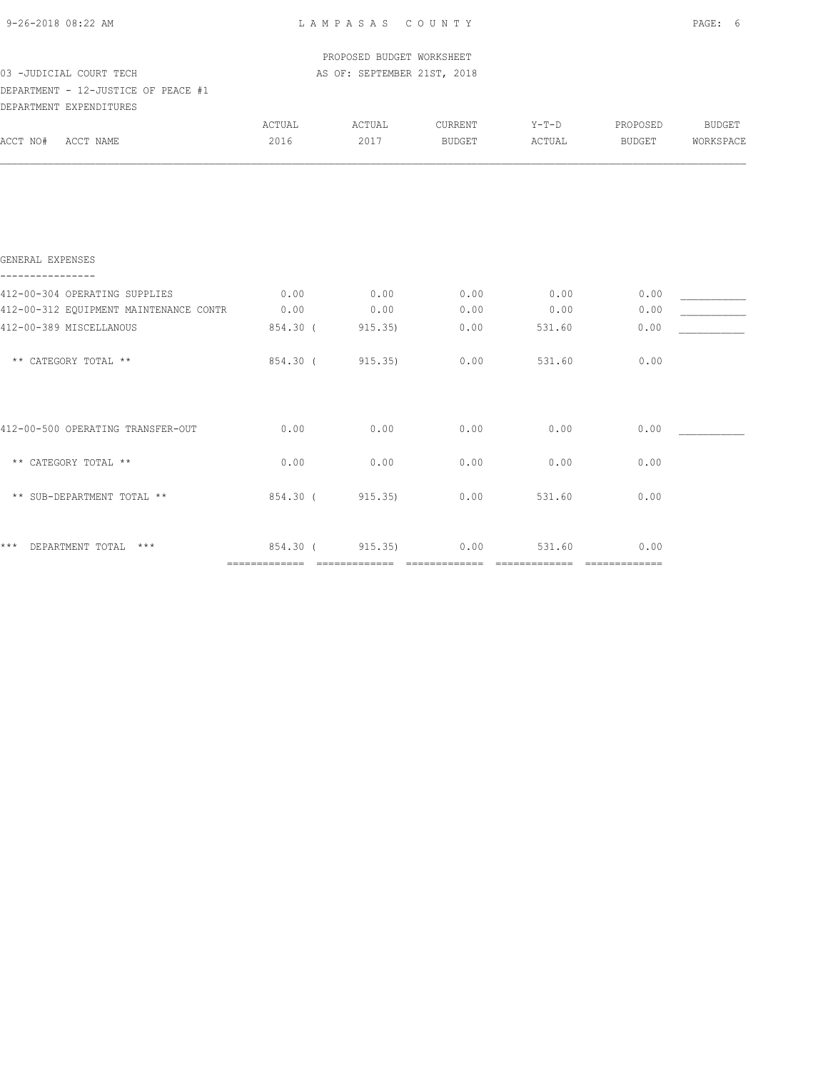| 9-26-2018 08:22 AM                     | LAMPASAS COUNTY |                             | PAGE: 6 |         |          |               |
|----------------------------------------|-----------------|-----------------------------|---------|---------|----------|---------------|
|                                        |                 | PROPOSED BUDGET WORKSHEET   |         |         |          |               |
| 03 - JUDICIAL COURT TECH               |                 | AS OF: SEPTEMBER 21ST, 2018 |         |         |          |               |
| DEPARTMENT - 12-JUSTICE OF PEACE #1    |                 |                             |         |         |          |               |
| DEPARTMENT EXPENDITURES                |                 |                             |         |         |          |               |
|                                        | ACTUAL          | ACTUAL                      | CURRENT | $Y-T-D$ | PROPOSED | <b>BUDGET</b> |
| ACCT NO# ACCT NAME                     | 2016            | 2017                        | BUDGET  | ACTUAL  | BUDGET   | WORKSPACE     |
| GENERAL EXPENSES                       |                 |                             |         |         |          |               |
|                                        |                 |                             |         |         |          |               |
| 412-00-304 OPERATING SUPPLIES          | 0.00            | 0.00                        | 0.00    | 0.00    | 0.00     |               |
| 412-00-312 EQUIPMENT MAINTENANCE CONTR | 0.00            | 0.00                        | 0.00    | 0.00    | 0.00     |               |
| 412-00-389 MISCELLANOUS                | 854.30 (        | 915.35)                     | 0.00    | 531.60  | 0.00     |               |
| ** CATEGORY TOTAL **                   | 854.30 (        | 915.35)                     | 0.00    | 531.60  | 0.00     |               |
| 412-00-500 OPERATING TRANSFER-OUT      | 0.00            | 0.00                        | 0.00    | 0.00    | 0.00     |               |
| ** CATEGORY TOTAL **                   | 0.00            | 0.00                        | 0.00    | 0.00    | 0.00     |               |
| ** SUB-DEPARTMENT TOTAL **             |                 | 854.30 (915.35)             | 0.00    | 531.60  | 0.00     |               |
| *** DEPARTMENT TOTAL ***               |                 | 854.30 (915.35)             | 0.00    | 531.60  | 0.00     |               |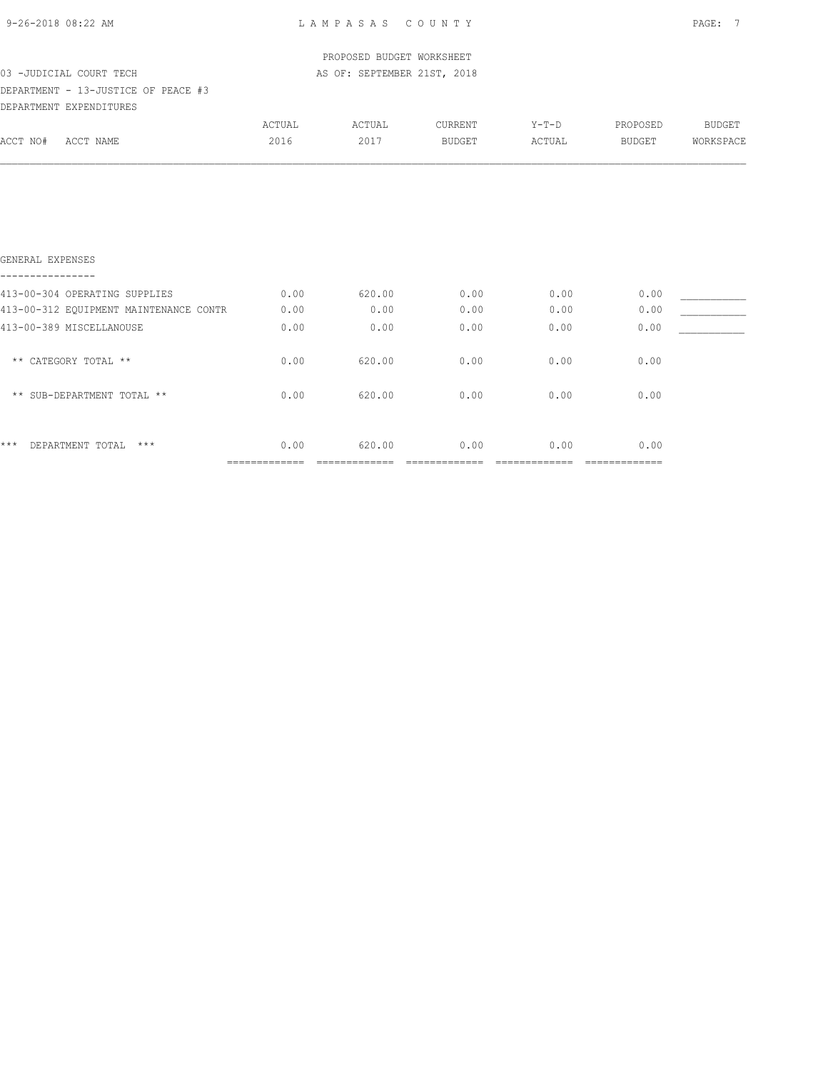|  | 9-26-2018 08:22 AM |  |
|--|--------------------|--|
|  |                    |  |

GENERAL EXPENSES

L A M P A S A S C O U N T Y PAGE: 7

| 03 -JUDICIAL COURT TECH                                        |        | PROPOSED BUDGET WORKSHEET<br>AS OF: SEPTEMBER 21ST, 2018 |         |        |          |           |
|----------------------------------------------------------------|--------|----------------------------------------------------------|---------|--------|----------|-----------|
| DEPARTMENT - 13-JUSTICE OF PEACE #3<br>DEPARTMENT EXPENDITURES |        |                                                          |         |        |          |           |
|                                                                | ACTUAL | ACTUAL                                                   | CURRENT | Y-T-D  | PROPOSED | BUDGET    |
| ACCT NO#<br>ACCT NAME                                          | 2016   | 2017                                                     | BUDGET  | ACTUAL | BUDGET   | WORKSPACE |
|                                                                |        |                                                          |         |        |          |           |
|                                                                |        |                                                          |         |        |          |           |
|                                                                |        |                                                          |         |        |          |           |

|                  |                                        | ------------- | -------- |      |      |      |  |
|------------------|----------------------------------------|---------------|----------|------|------|------|--|
| $***$            | DEPARTMENT TOTAL<br>$***$              | 0.00          | 620.00   | 0.00 | 0.00 | 0.00 |  |
|                  | ** SUB-DEPARTMENT TOTAL **             | 0.00          | 620.00   | 0.00 | 0.00 | 0.00 |  |
|                  | ** CATEGORY TOTAL **                   | 0.00          | 620.00   | 0.00 | 0.00 | 0.00 |  |
|                  | 413-00-389 MISCELLANOUSE               | 0.00          | 0.00     | 0.00 | 0.00 | 0.00 |  |
|                  | 413-00-312 EOUIPMENT MAINTENANCE CONTR | 0.00          | 0.00     | 0.00 | 0.00 | 0.00 |  |
|                  | 413-00-304 OPERATING SUPPLIES          | 0.00          | 620.00   | 0.00 | 0.00 | 0.00 |  |
| ---------------- |                                        |               |          |      |      |      |  |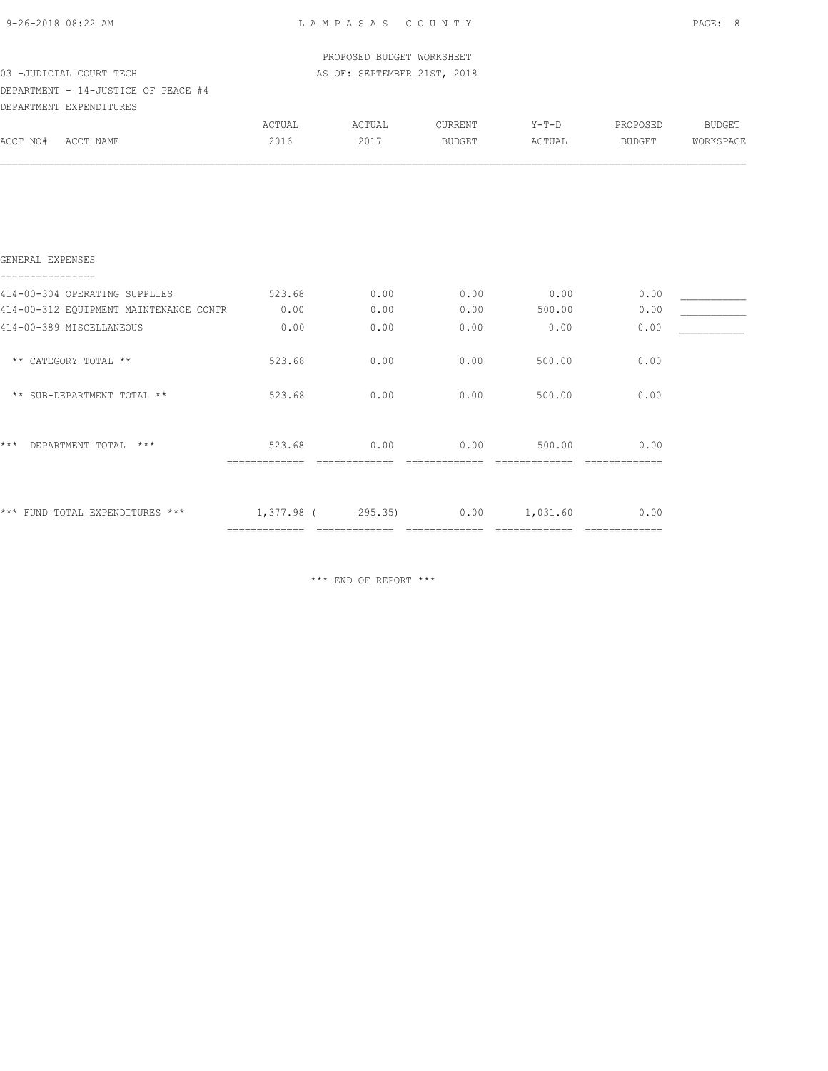| 9-26-2018 08:22 AM                     |               | LAMPASAS COUNTY             |               | PAGE: 8 |          |               |
|----------------------------------------|---------------|-----------------------------|---------------|---------|----------|---------------|
|                                        |               | PROPOSED BUDGET WORKSHEET   |               |         |          |               |
| 03 - JUDICIAL COURT TECH               |               | AS OF: SEPTEMBER 21ST, 2018 |               |         |          |               |
| DEPARTMENT - 14-JUSTICE OF PEACE #4    |               |                             |               |         |          |               |
| DEPARTMENT EXPENDITURES                |               |                             |               |         |          |               |
|                                        | ACTUAL        | ACTUAL                      | CURRENT       | $Y-T-D$ | PROPOSED | <b>BUDGET</b> |
| ACCT NO#<br>ACCT NAME                  | 2016          | 2017                        | <b>BUDGET</b> | ACTUAL  | BUDGET   | WORKSPACE     |
|                                        |               |                             |               |         |          |               |
| GENERAL EXPENSES                       |               |                             |               |         |          |               |
|                                        |               |                             |               |         |          |               |
| 414-00-304 OPERATING SUPPLIES          | 523.68        | 0.00                        | 0.00          | 0.00    | 0.00     |               |
| 414-00-312 EQUIPMENT MAINTENANCE CONTR | 0.00          | 0.00                        | 0.00          | 500.00  | 0.00     |               |
| 414-00-389 MISCELLANEOUS               | 0.00          | 0.00                        | 0.00          | 0.00    | 0.00     |               |
| ** CATEGORY TOTAL **                   | 523.68        | 0.00                        | 0.00          | 500.00  | 0.00     |               |
| ** SUB-DEPARTMENT TOTAL **             | 523.68        | 0.00                        | 0.00          | 500.00  | 0.00     |               |
| $***$<br>DEPARTMENT TOTAL ***          | 523.68        | 0.00                        | 0.00          | 500.00  | 0.00     |               |
|                                        | ============= |                             | ============= |         |          |               |

\*\*\* FUND TOTAL EXPENDITURES \*\*\*  $1,377.98$  ( 295.35) 0.00  $1,031.60$  0.00 ============= ============= ============= ============= =============

\*\*\* END OF REPORT \*\*\*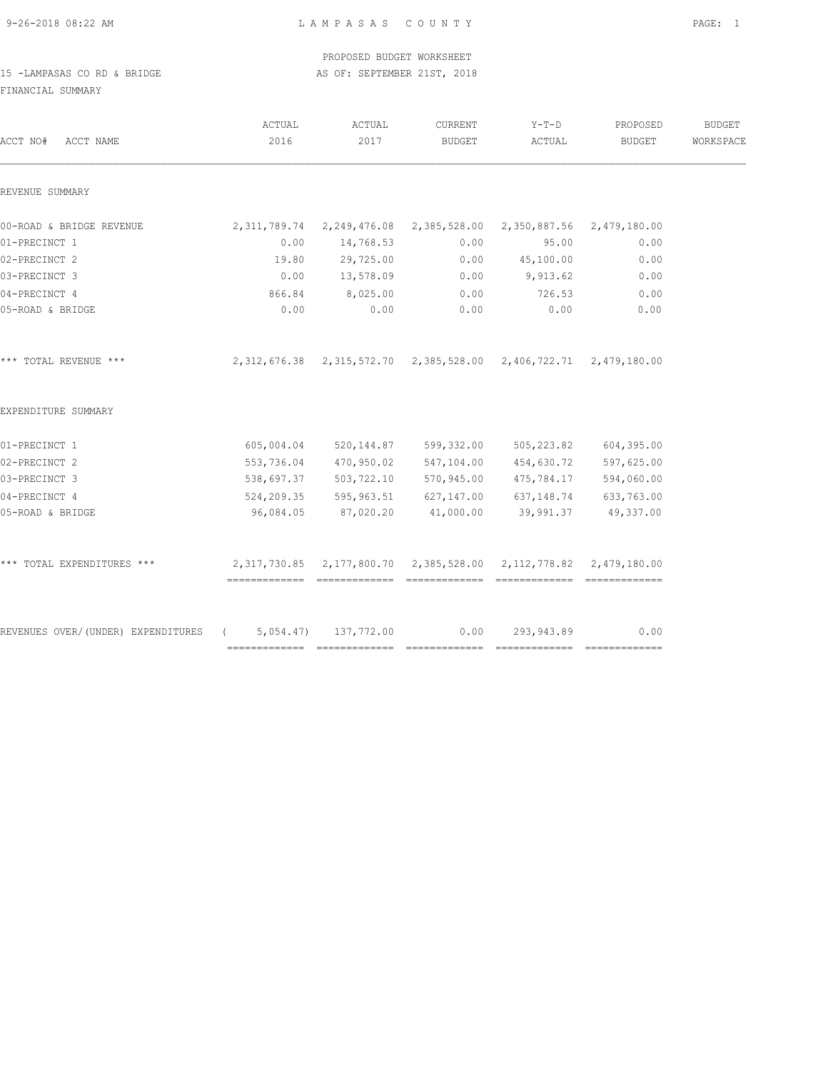9-26-2018 08:22 AM L A M P A S A S C O U N T Y PAGE: 1

|                             |  |  |  | PROPOSED BUDGET WORKSHEET   |  |
|-----------------------------|--|--|--|-----------------------------|--|
| 15 -LAMPASAS CO RD & BRIDGE |  |  |  | AS OF: SEPTEMBER 21ST, 2018 |  |

FINANCIAL SUMMARY

| ACCT NO#<br>ACCT NAME                                    | ACTUAL<br>2016                                                             | ACTUAL<br>2017        | CURRENT<br>BUDGET     | $Y-T-D$<br>ACTUAL                                      | PROPOSED<br>BUDGET | <b>BUDGET</b><br>WORKSPACE |
|----------------------------------------------------------|----------------------------------------------------------------------------|-----------------------|-----------------------|--------------------------------------------------------|--------------------|----------------------------|
| REVENUE SUMMARY                                          |                                                                            |                       |                       |                                                        |                    |                            |
| 00-ROAD & BRIDGE REVENUE                                 | 2,311,789.74 2,249,476.08 2,385,528.00 2,350,887.56 2,479,180.00           |                       |                       |                                                        |                    |                            |
| 01-PRECINCT 1                                            | 0.00                                                                       | 14,768.53             | 0.00                  | 95.00                                                  | 0.00               |                            |
| 02-PRECINCT 2                                            | 19.80                                                                      | 29,725.00             | 0.00                  | 45,100.00                                              | 0.00               |                            |
| 03-PRECINCT 3                                            | 0.00                                                                       | 13,578.09             | 0.00                  | 9,913.62                                               | 0.00               |                            |
| 04-PRECINCT 4                                            | 866.84                                                                     | 8,025.00              | 0.00                  | 726.53                                                 | 0.00               |                            |
| 05-ROAD & BRIDGE                                         | 0.00                                                                       | 0.00                  | 0.00                  | 0.00                                                   | 0.00               |                            |
| *** TOTAL REVENUE ***                                    | 2, 312, 676.38 2, 315, 572.70 2, 385, 528.00 2, 406, 722.71 2, 479, 180.00 |                       |                       |                                                        |                    |                            |
| EXPENDITURE SUMMARY                                      |                                                                            |                       |                       |                                                        |                    |                            |
| 01-PRECINCT 1                                            | 605,004.04                                                                 |                       | 520,144.87 599,332.00 | 505,223.82                                             | 604,395.00         |                            |
| 02-PRECINCT 2                                            |                                                                            | 553,736.04 470,950.02 |                       | 547,104.00 454,630.72                                  | 597,625.00         |                            |
| 03-PRECINCT 3                                            |                                                                            | 538,697.37 503,722.10 |                       | 570,945.00 475,784.17                                  | 594,060.00         |                            |
| 04-PRECINCT 4                                            |                                                                            |                       |                       | 524,209.35 595,963.51 627,147.00 637,148.74 633,763.00 |                    |                            |
| 05-ROAD & BRIDGE                                         | 96,084.05                                                                  | 87,020.20             | 41,000.00             | 39,991.37                                              | 49,337.00          |                            |
| *** TOTAL EXPENDITURES ***                               | 2,317,730.85 2,177,800.70 2,385,528.00 2,112,778.82 2,479,180.00           |                       |                       |                                                        |                    |                            |
| REVENUES OVER/(UNDER) EXPENDITURES (5,054.47) 137,772.00 |                                                                            |                       | 0.00                  | 293,943.89                                             | 0.00               |                            |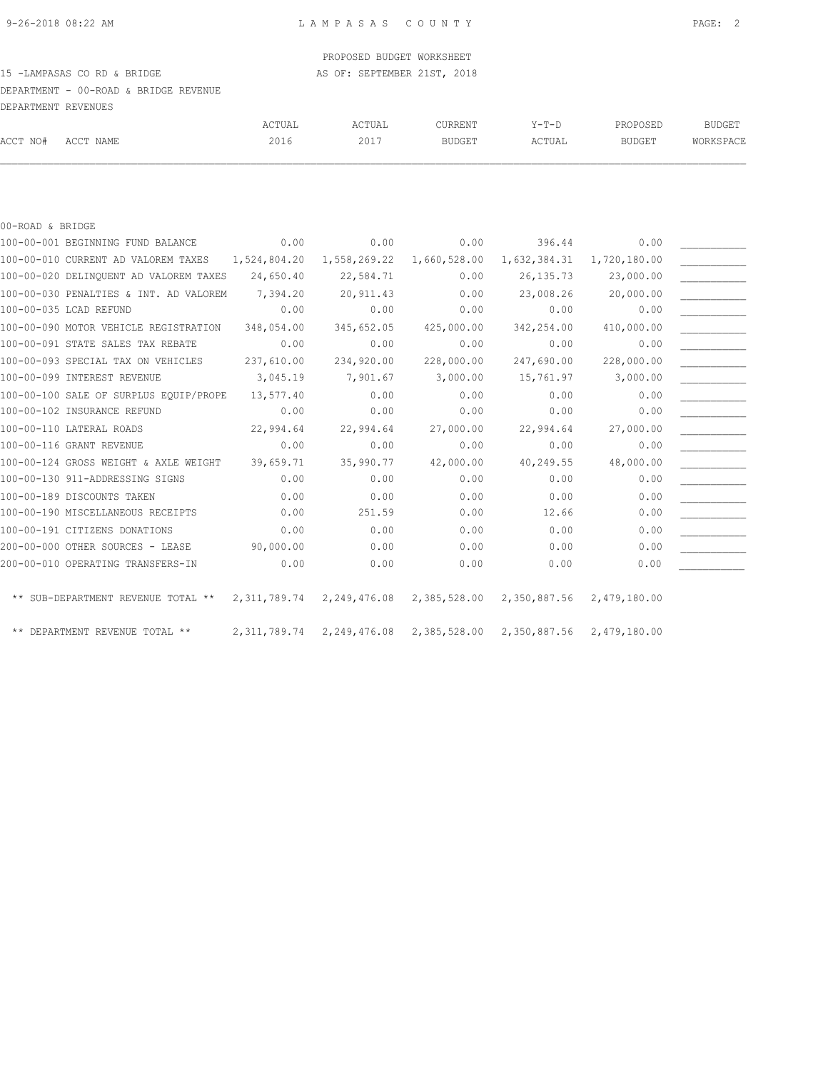#### PROPOSED BUDGET WORKSHEET

### 15 -LAMPASAS CO RD & BRIDGE AS OF: SEPTEMBER 21ST, 2018

DEPARTMENT - 00-ROAD & BRIDGE REVENUE

|          | DEPARTMENT REVENUES |        |        |               |         |               |           |
|----------|---------------------|--------|--------|---------------|---------|---------------|-----------|
|          |                     | ACTUAL | ACTUAL | CURRENT       | $Y-T-D$ | PROPOSED      | BUDGET    |
| ACCT NO# | ACCT NAME           | 2016   | 2017   | <b>BUDGET</b> | ACTUAL  | <b>BUDGET</b> | WORKSPACE |

#### 00-ROAD & BRIDGE

| 100-00-001 BEGINNING FUND BALANCE                | 0.00           | 0.00                      | 0.00         | 396.44                    | 0.00         |  |
|--------------------------------------------------|----------------|---------------------------|--------------|---------------------------|--------------|--|
| 100-00-010 CURRENT AD VALOREM TAXES 1,524,804.20 |                | 1,558,269.22              | 1,660,528.00 | 1,632,384.31              | 1,720,180.00 |  |
| 100-00-020 DELINQUENT AD VALOREM TAXES           | 24,650.40      | 22,584.71                 | 0.00         | 26, 135.73                | 23,000.00    |  |
| 100-00-030 PENALTIES & INT. AD VALOREM           | 7,394.20       | 20,911.43                 | 0.00         | 23,008.26                 | 20,000.00    |  |
| 100-00-035 LCAD REFUND                           | 0.00           | 0.00                      | 0.00         | 0.00                      | 0.00         |  |
| 100-00-090 MOTOR VEHICLE REGISTRATION            | 348,054.00     | 345,652.05                | 425,000.00   | 342,254.00                | 410,000.00   |  |
| 100-00-091 STATE SALES TAX REBATE                | 0.00           | 0.00                      | 0.00         | 0.00                      | 0.00         |  |
| 100-00-093 SPECIAL TAX ON VEHICLES               | 237,610.00     | 234,920.00                | 228,000.00   | 247,690.00                | 228,000.00   |  |
| 100-00-099 INTEREST REVENUE                      | 3,045.19       | 7,901.67                  | 3,000.00     | 15,761.97                 | 3,000.00     |  |
| 100-00-100 SALE OF SURPLUS EOUIP/PROPE           | 13,577.40      | 0.00                      | 0.00         | 0.00                      | 0.00         |  |
| 100-00-102 INSURANCE REFUND                      | 0.00           | 0.00                      | 0.00         | 0.00                      | 0.00         |  |
| 100-00-110 LATERAL ROADS                         | 22,994.64      | 22,994.64                 | 27,000.00    | 22,994.64                 | 27,000.00    |  |
| 100-00-116 GRANT REVENUE                         | 0.00           | 0.00                      | 0.00         | 0.00                      | 0.00         |  |
| 100-00-124 GROSS WEIGHT & AXLE WEIGHT            | 39,659.71      | 35,990.77                 | 42,000.00    | 40,249.55                 | 48,000.00    |  |
| 100-00-130 911-ADDRESSING SIGNS                  | 0.00           | 0.00                      | 0.00         | 0.00                      | 0.00         |  |
| 100-00-189 DISCOUNTS TAKEN                       | 0.00           | 0.00                      | 0.00         | 0.00                      | 0.00         |  |
| 100-00-190 MISCELLANEOUS RECEIPTS                | 0.00           | 251.59                    | 0.00         | 12.66                     | 0.00         |  |
| 100-00-191 CITIZENS DONATIONS                    | 0.00           | 0.00                      | 0.00         | 0.00                      | 0.00         |  |
| 200-00-000 OTHER SOURCES - LEASE                 | 90,000.00      | 0.00                      | 0.00         | 0.00                      | 0.00         |  |
| 200-00-010 OPERATING TRANSFERS-IN                | 0.00           | 0.00                      | 0.00         | 0.00                      | 0.00         |  |
| ** SUB-DEPARTMENT REVENUE TOTAL ** 2,311,789.74  |                | 2,249,476.08 2,385,528.00 |              | 2,350,887.56 2,479,180.00 |              |  |
| ** DEPARTMENT REVENUE TOTAL **                   | 2, 311, 789.74 | 2,249,476.08              | 2,385,528.00 | 2,350,887.56 2,479,180.00 |              |  |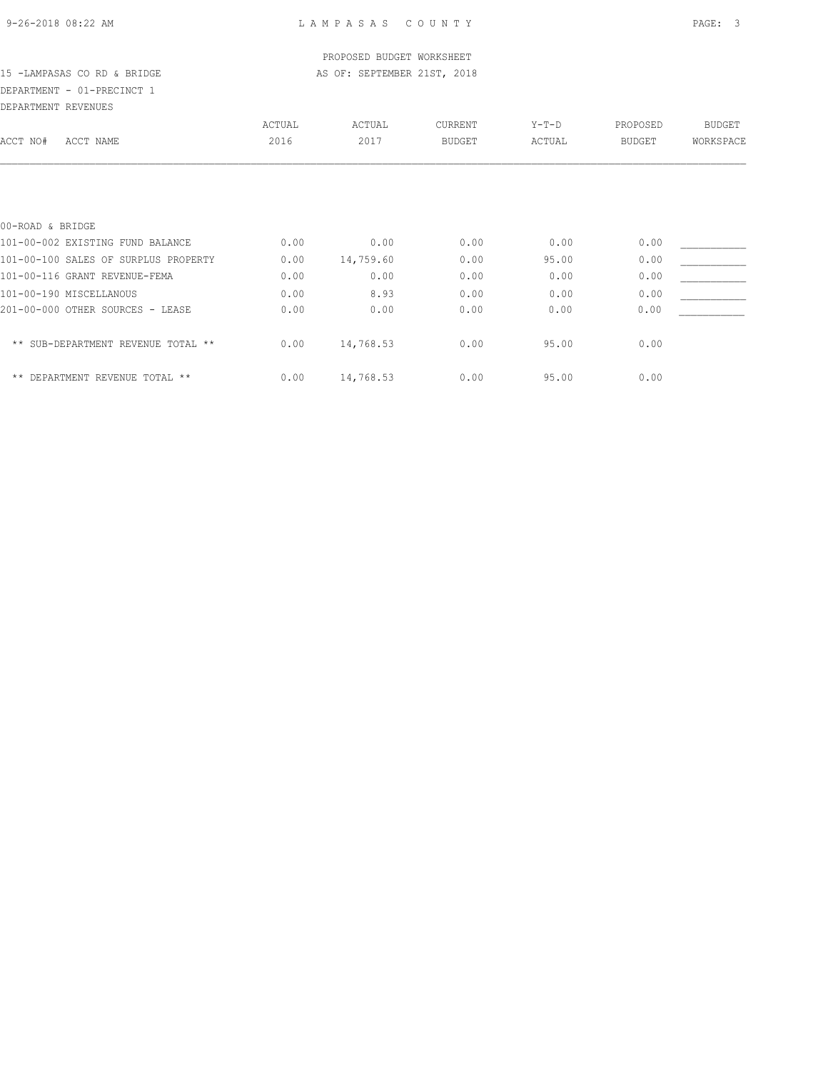### PROPOSED BUDGET WORKSHEET 15 -LAMPASAS CO RD & BRIDGE AS OF: SEPTEMBER 21ST, 2018

### DEPARTMENT - 01-PRECINCT 1

| DEPARTMENT REVENUES                  |        |           |               |         |               |               |
|--------------------------------------|--------|-----------|---------------|---------|---------------|---------------|
|                                      | ACTUAL | ACTUAL    | CURRENT       | $Y-T-D$ | PROPOSED      | <b>BUDGET</b> |
| ACCT NO#<br>ACCT NAME                | 2016   | 2017      | <b>BUDGET</b> | ACTUAL  | <b>BUDGET</b> | WORKSPACE     |
|                                      |        |           |               |         |               |               |
| 00-ROAD & BRIDGE                     |        |           |               |         |               |               |
| 101-00-002 EXISTING FUND BALANCE     | 0.00   | 0.00      | 0.00          | 0.00    | 0.00          |               |
| 101-00-100 SALES OF SURPLUS PROPERTY | 0.00   | 14,759.60 | 0.00          | 95.00   | 0.00          |               |
| 101-00-116 GRANT REVENUE-FEMA        | 0.00   | 0.00      | 0.00          | 0.00    | 0.00          |               |
| 101-00-190 MISCELLANOUS              | 0.00   | 8.93      | 0.00          | 0.00    | 0.00          |               |
| 201-00-000 OTHER SOURCES - LEASE     | 0.00   | 0.00      | 0.00          | 0.00    | 0.00          |               |
| ** SUB-DEPARTMENT REVENUE TOTAL **   | 0.00   | 14,768.53 | 0.00          | 95.00   | 0.00          |               |
| ** DEPARTMENT REVENUE TOTAL **       | 0.00   | 14,768.53 | 0.00          | 95.00   | 0.00          |               |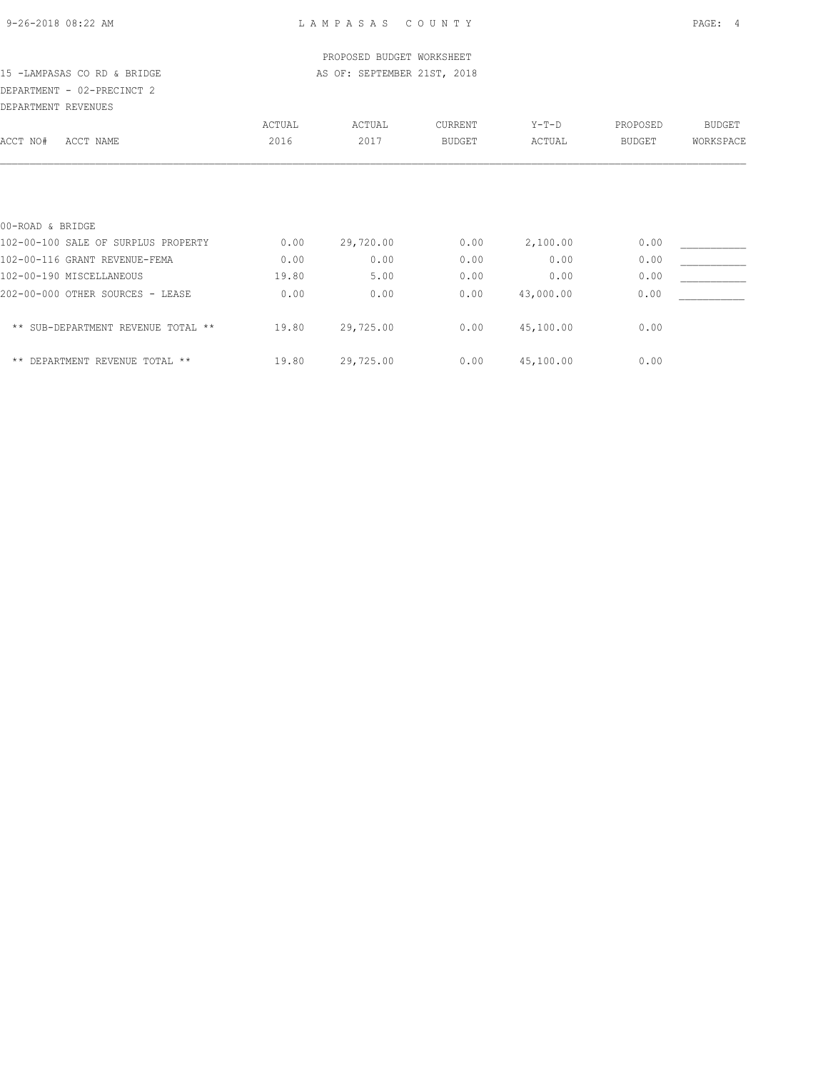| 9-26-2018 08:22 AM |  |
|--------------------|--|
|                    |  |

| PROPOSED BUDGET WORKSHEET           |        |                             |               |           |               |               |  |  |
|-------------------------------------|--------|-----------------------------|---------------|-----------|---------------|---------------|--|--|
| 15 -LAMPASAS CO RD & BRIDGE         |        | AS OF: SEPTEMBER 21ST, 2018 |               |           |               |               |  |  |
| DEPARTMENT - 02-PRECINCT 2          |        |                             |               |           |               |               |  |  |
| DEPARTMENT REVENUES                 |        |                             |               |           |               |               |  |  |
|                                     | ACTUAL | ACTUAL                      | CURRENT       | $Y-T-D$   | PROPOSED      | <b>BUDGET</b> |  |  |
| ACCT NO#<br>ACCT NAME               | 2016   | 2017                        | <b>BUDGET</b> | ACTUAL    | <b>BUDGET</b> | WORKSPACE     |  |  |
|                                     |        |                             |               |           |               |               |  |  |
| 00-ROAD & BRIDGE                    |        |                             |               |           |               |               |  |  |
| 102-00-100 SALE OF SURPLUS PROPERTY | 0.00   | 29,720.00                   | 0.00          | 2,100.00  | 0.00          |               |  |  |
| 102-00-116 GRANT REVENUE-FEMA       | 0.00   | 0.00                        | 0.00          | 0.00      | 0.00          |               |  |  |
| 102-00-190 MISCELLANEOUS            | 19.80  | 5.00                        | 0.00          | 0.00      | 0.00          |               |  |  |
| 202-00-000 OTHER SOURCES - LEASE    | 0.00   | 0.00                        | 0.00          | 43,000.00 | 0.00          |               |  |  |
| ** SUB-DEPARTMENT REVENUE TOTAL **  | 19.80  | 29,725.00                   | 0.00          | 45,100.00 | 0.00          |               |  |  |
| ** DEPARTMENT REVENUE TOTAL **      | 19.80  | 29,725.00                   | 0.00          | 45,100.00 | 0.00          |               |  |  |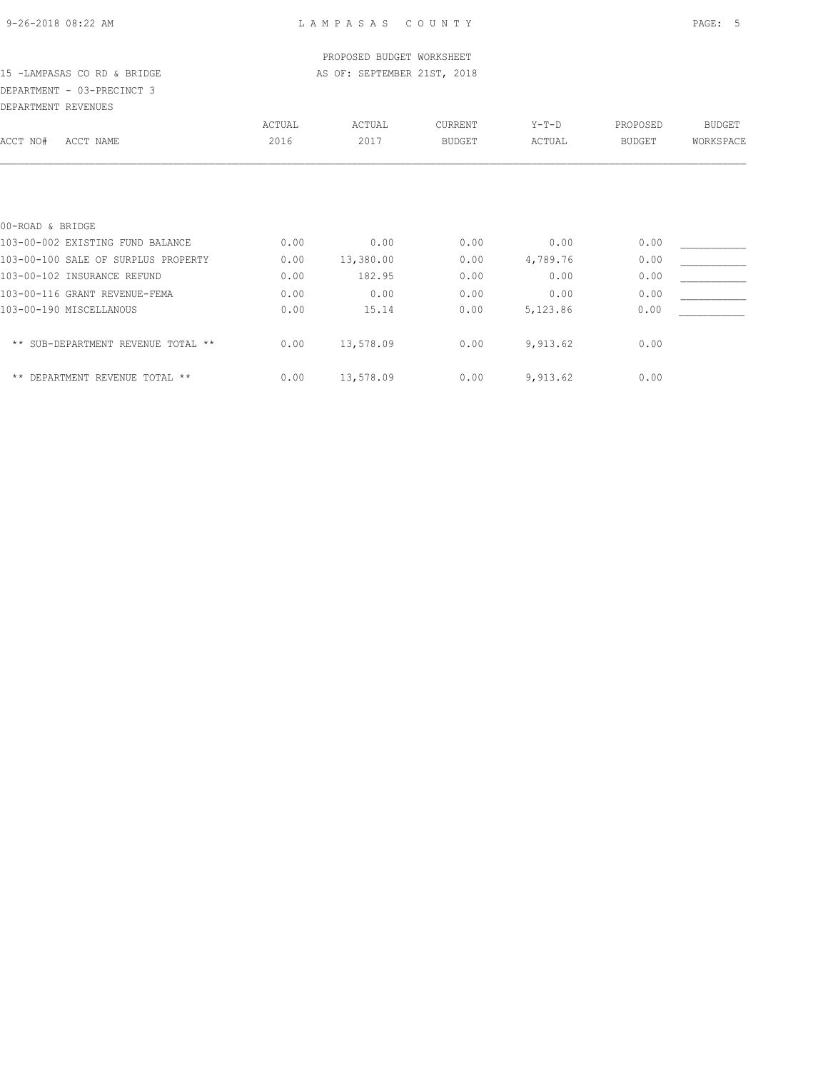### PROPOSED BUDGET WORKSHEET 15 -LAMPASAS CO RD & BRIDGE AS OF: SEPTEMBER 21ST, 2018

### DEPARTMENT - 03-PRECINCT 3 DEPARTMENT REVENUES

| DEFAKIMENI KEVENUES                             |        |           |               |          |               |               |
|-------------------------------------------------|--------|-----------|---------------|----------|---------------|---------------|
|                                                 | ACTUAL | ACTUAL    | CURRENT       | $Y-T-D$  | PROPOSED      | <b>BUDGET</b> |
| ACCT NO#<br>ACCT NAME                           | 2016   | 2017      | <b>BUDGET</b> | ACTUAL   | <b>BUDGET</b> | WORKSPACE     |
|                                                 |        |           |               |          |               |               |
| 00-ROAD & BRIDGE                                |        |           |               |          |               |               |
| 103-00-002 EXISTING FUND BALANCE                | 0.00   | 0.00      | 0.00          | 0.00     | 0.00          |               |
| 103-00-100 SALE OF SURPLUS PROPERTY             | 0.00   | 13,380.00 | 0.00          | 4,789.76 | 0.00          |               |
| 103-00-102 INSURANCE REFUND                     | 0.00   | 182.95    | 0.00          | 0.00     | 0.00          |               |
| 103-00-116 GRANT REVENUE-FEMA                   | 0.00   | 0.00      | 0.00          | 0.00     | 0.00          |               |
| 103-00-190 MISCELLANOUS                         | 0.00   | 15.14     | 0.00          | 5,123.86 | 0.00          |               |
| SUB-DEPARTMENT REVENUE TOTAL **<br>$\star\star$ | 0.00   | 13,578.09 | 0.00          | 9,913.62 | 0.00          |               |
| ** DEPARTMENT REVENUE TOTAL **                  | 0.00   | 13,578.09 | 0.00          | 9,913.62 | 0.00          |               |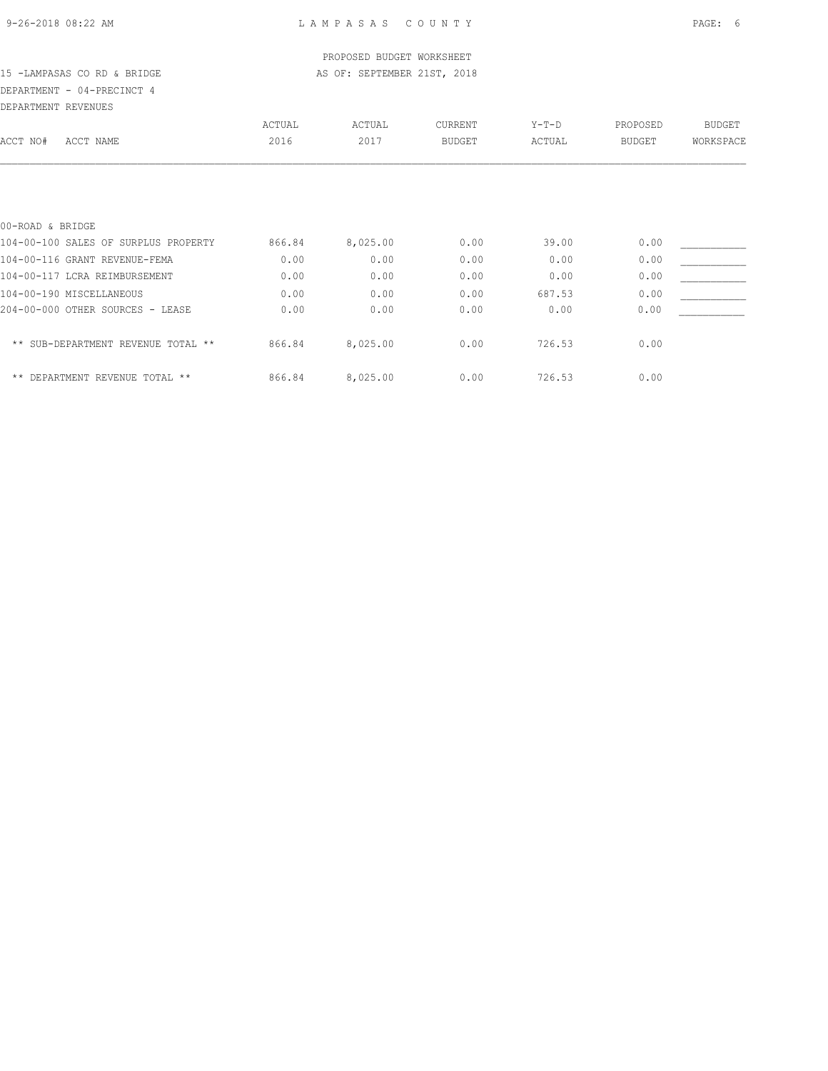|                                      |        | PROPOSED BUDGET WORKSHEET   |               |         |               |               |
|--------------------------------------|--------|-----------------------------|---------------|---------|---------------|---------------|
| 15 -LAMPASAS CO RD & BRIDGE          |        | AS OF: SEPTEMBER 21ST, 2018 |               |         |               |               |
| DEPARTMENT - 04-PRECINCT 4           |        |                             |               |         |               |               |
| DEPARTMENT REVENUES                  |        |                             |               |         |               |               |
|                                      | ACTUAL | ACTUAL                      | CURRENT       | $Y-T-D$ | PROPOSED      | <b>BUDGET</b> |
| ACCT NAME<br>ACCT NO#                | 2016   | 2017                        | <b>BUDGET</b> | ACTUAL  | <b>BUDGET</b> | WORKSPACE     |
|                                      |        |                             |               |         |               |               |
| 00-ROAD & BRIDGE                     |        |                             |               |         |               |               |
| 104-00-100 SALES OF SURPLUS PROPERTY | 866.84 | 8,025.00                    | 0.00          | 39.00   | 0.00          |               |
| 104-00-116 GRANT REVENUE-FEMA        | 0.00   | 0.00                        | 0.00          | 0.00    | 0.00          |               |
| 104-00-117 LCRA REIMBURSEMENT        | 0.00   | 0.00                        | 0.00          | 0.00    | 0.00          |               |
| 104-00-190 MISCELLANEOUS             | 0.00   | 0.00                        | 0.00          | 687.53  | 0.00          |               |
| 204-00-000 OTHER SOURCES - LEASE     | 0.00   | 0.00                        | 0.00          | 0.00    | 0.00          |               |
| ** SUB-DEPARTMENT REVENUE TOTAL **   | 866.84 | 8,025.00                    | 0.00          | 726.53  | 0.00          |               |
| ** DEPARTMENT REVENUE TOTAL **       | 866.84 | 8,025.00                    | 0.00          | 726.53  | 0.00          |               |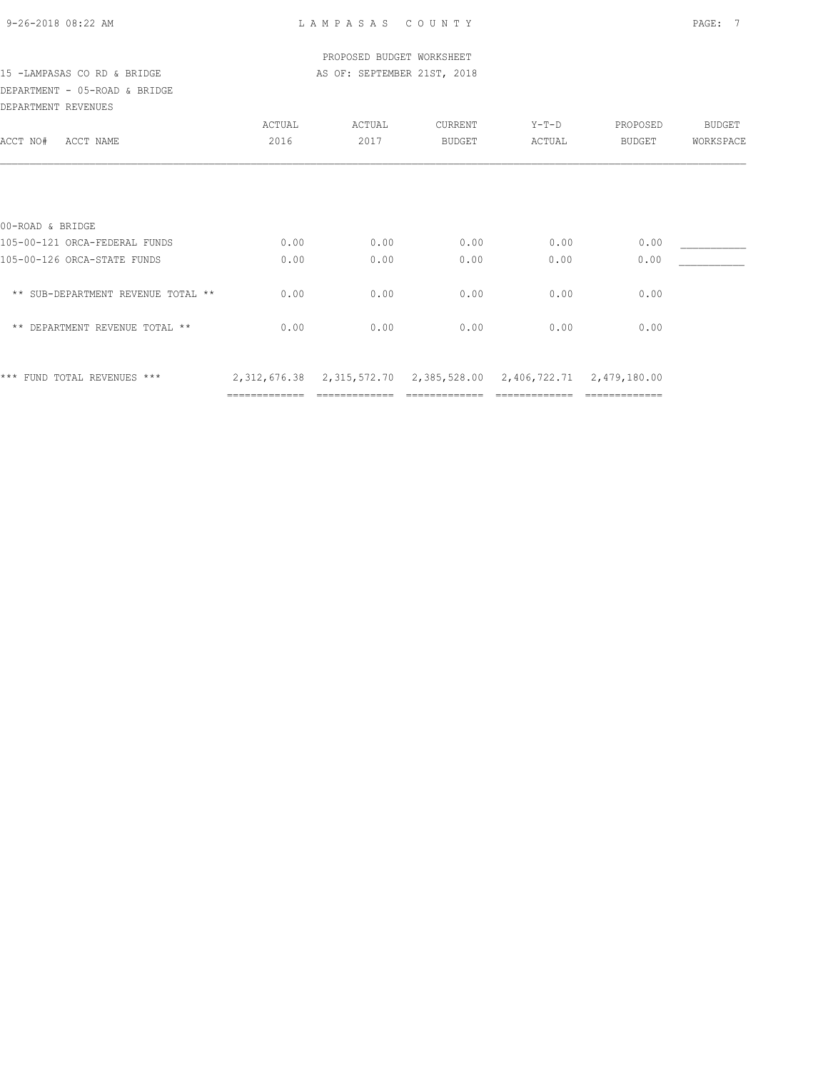|  | 9-26-2018 08:22 AM |  |  |
|--|--------------------|--|--|
|  |                    |  |  |

|                                    |               | PROPOSED BUDGET WORKSHEET                                                  |         |        |               |           |
|------------------------------------|---------------|----------------------------------------------------------------------------|---------|--------|---------------|-----------|
| 15 -LAMPASAS CO RD & BRIDGE        |               | AS OF: SEPTEMBER 21ST, 2018                                                |         |        |               |           |
| DEPARTMENT - 05-ROAD & BRIDGE      |               |                                                                            |         |        |               |           |
| DEPARTMENT REVENUES                |               |                                                                            |         |        |               |           |
|                                    | ACTUAL        | ACTUAL                                                                     | CURRENT | Y-T-D  | PROPOSED      | BUDGET    |
| ACCT NO#<br>ACCT NAME              | 2016          | 2017                                                                       | BUDGET  | ACTUAL | BUDGET        | WORKSPACE |
|                                    |               |                                                                            |         |        |               |           |
| 00-ROAD & BRIDGE                   |               |                                                                            |         |        |               |           |
| 105-00-121 ORCA-FEDERAL FUNDS      | 0.00          | 0.00                                                                       | 0.00    | 0.00   | 0.00          |           |
| 105-00-126 ORCA-STATE FUNDS        | 0.00          | 0.00                                                                       | 0.00    | 0.00   | 0.00          |           |
| ** SUB-DEPARTMENT REVENUE TOTAL ** | 0.00          | 0.00                                                                       | 0.00    | 0.00   | 0.00          |           |
| ** DEPARTMENT REVENUE TOTAL **     | 0.00          | 0.00                                                                       | 0.00    | 0.00   | 0.00          |           |
| *** FUND TOTAL REVENUES ***        |               | 2, 312, 676.38 2, 315, 572.70 2, 385, 528.00 2, 406, 722.71 2, 479, 180.00 |         |        |               |           |
|                                    | ------------- |                                                                            |         |        | ------------- |           |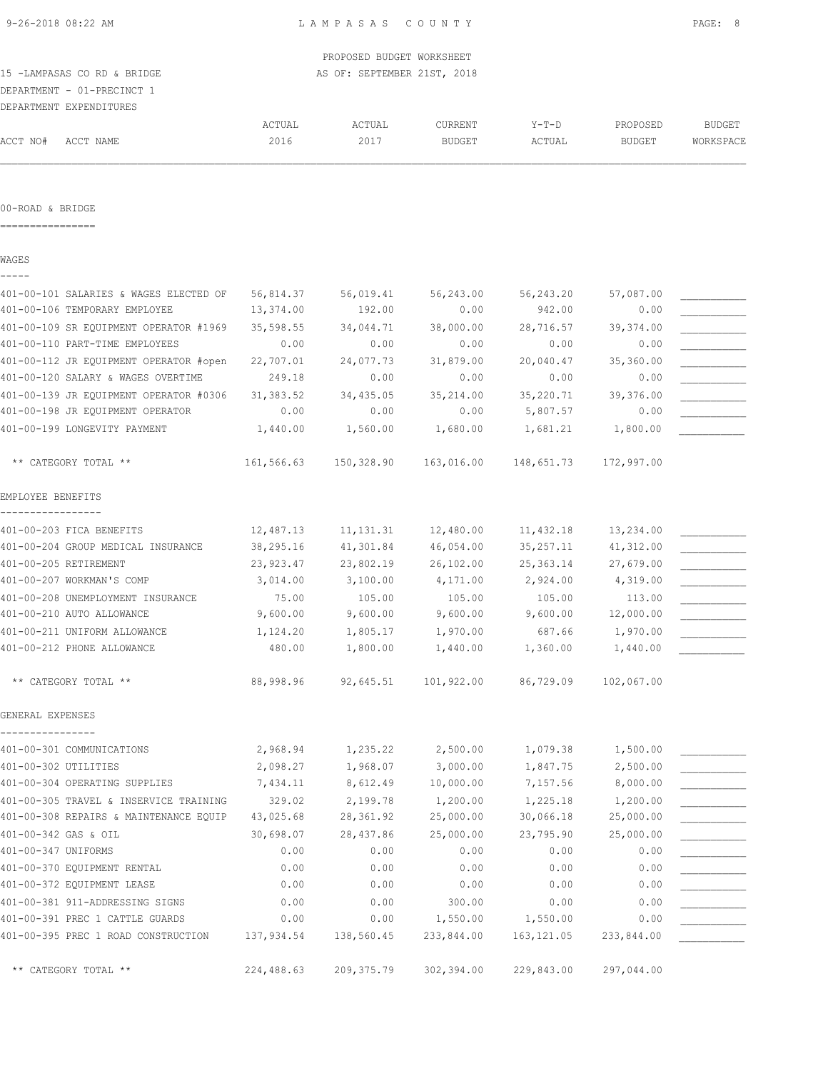| 15 -LAMPASAS CO RD & BRIDGE<br>DEPARTMENT - 01-PRECINCT 1 |                | PROPOSED BUDGET WORKSHEET<br>AS OF: SEPTEMBER 21ST, 2018 |                          |                   |                           |                            |
|-----------------------------------------------------------|----------------|----------------------------------------------------------|--------------------------|-------------------|---------------------------|----------------------------|
| DEPARTMENT EXPENDITURES<br>ACCT NO#<br>ACCT NAME          | ACTUAL<br>2016 | ACTUAL<br>2017                                           | CURRENT<br><b>BUDGET</b> | $Y-T-D$<br>ACTUAL | PROPOSED<br><b>BUDGET</b> | <b>BUDGET</b><br>WORKSPACE |
| 00-ROAD & BRIDGE                                          |                |                                                          |                          |                   |                           |                            |
| WAGES                                                     |                |                                                          |                          |                   |                           |                            |
| 401-00-101 SALARIES & WAGES ELECTED OF                    | 56,814.37      | 56,019.41                                                | 56,243.00                | 56,243.20         | 57,087.00                 |                            |
| 401-00-106 TEMPORARY EMPLOYEE                             | 13,374.00      | 192.00                                                   | 0.00                     | 942.00            | 0.00                      |                            |
| 401-00-109 SR EQUIPMENT OPERATOR #1969                    | 35,598.55      | 34,044.71                                                | 38,000.00                | 28,716.57         | 39, 374.00                |                            |
| 401-00-110 PART-TIME EMPLOYEES                            | 0.00           | 0.00                                                     | 0.00                     | 0.00              | 0.00                      |                            |
| 401-00-112 JR EQUIPMENT OPERATOR #open                    | 22,707.01      | 24,077.73                                                | 31,879.00                | 20,040.47         | 35,360.00                 |                            |
| 401-00-120 SALARY & WAGES OVERTIME                        | 249.18         | 0.00                                                     | 0.00                     | 0.00              | 0.00                      |                            |
| 401-00-139 JR EQUIPMENT OPERATOR #0306                    | 31,383.52      | 34,435.05                                                | 35,214.00                | 35,220.71         | 39,376.00                 |                            |
| 401-00-198 JR EQUIPMENT OPERATOR                          | 0.00           | 0.00                                                     | 0.00                     | 5,807.57          | 0.00                      |                            |
| 401-00-199 LONGEVITY PAYMENT                              | 1,440.00       | 1,560.00                                                 | 1,680.00                 | 1,681.21          | 1,800.00                  |                            |
| ** CATEGORY TOTAL **                                      | 161,566.63     | 150,328.90                                               | 163,016.00               | 148,651.73        | 172,997.00                |                            |
| EMPLOYEE BENEFITS                                         |                |                                                          |                          |                   |                           |                            |
| 401-00-203 FICA BENEFITS                                  | 12,487.13      | 11, 131.31                                               | 12,480.00                | 11,432.18         | 13,234.00                 |                            |
| 401-00-204 GROUP MEDICAL INSURANCE                        | 38,295.16      | 41,301.84                                                | 46,054.00                | 35, 257.11        | 41,312.00                 |                            |
| 401-00-205 RETIREMENT                                     | 23,923.47      | 23,802.19                                                | 26,102.00                | 25, 363.14        | 27,679.00                 |                            |
| 401-00-207 WORKMAN'S COMP                                 | 3,014.00       | 3,100.00                                                 | 4,171.00                 | 2,924.00          | 4,319.00                  |                            |
| 401-00-208 UNEMPLOYMENT INSURANCE                         | 75.00          | 105.00                                                   | 105.00                   | 105.00            | 113.00                    |                            |
| 401-00-210 AUTO ALLOWANCE                                 | 9,600.00       | 9,600.00                                                 | 9,600.00                 | 9,600.00          | 12,000.00                 |                            |
| 401-00-211 UNIFORM ALLOWANCE                              | 1,124.20       | 1,805.17                                                 | 1,970.00                 | 687.66            | 1,970.00                  |                            |
| 401-00-212 PHONE ALLOWANCE                                | 480.00         | 1,800.00                                                 | 1,440.00                 | 1,360.00          | 1,440.00                  |                            |
| ** CATEGORY TOTAL **                                      | 88,998.96      | 92,645.51                                                | 101,922.00               | 86,729.09         | 102,067.00                |                            |
| GENERAL EXPENSES                                          |                |                                                          |                          |                   |                           |                            |
| 401-00-301 COMMUNICATIONS                                 | 2,968.94       | 1,235.22                                                 | 2,500.00                 | 1,079.38          | 1,500.00                  |                            |
| 401-00-302 UTILITIES                                      | 2,098.27       | 1,968.07                                                 | 3,000.00                 | 1,847.75          | 2,500.00                  |                            |
| 401-00-304 OPERATING SUPPLIES                             | 7,434.11       | 8,612.49                                                 | 10,000.00                | 7,157.56          | 8,000.00                  |                            |
| 401-00-305 TRAVEL & INSERVICE TRAINING                    | 329.02         | 2,199.78                                                 | 1,200.00                 | 1,225.18          | 1,200.00                  |                            |
| 401-00-308 REPAIRS & MAINTENANCE EQUIP                    | 43,025.68      | 28,361.92                                                | 25,000.00                | 30,066.18         | 25,000.00                 |                            |
| 401-00-342 GAS & OIL                                      | 30,698.07      | 28,437.86                                                | 25,000.00                | 23,795.90         | 25,000.00                 |                            |
| 401-00-347 UNIFORMS                                       | 0.00           | 0.00                                                     | 0.00                     | 0.00              | 0.00                      |                            |
| 401-00-370 EQUIPMENT RENTAL                               | 0.00           | 0.00                                                     | 0.00                     | 0.00              | 0.00                      |                            |
| 401-00-372 EQUIPMENT LEASE                                | 0.00           | 0.00                                                     | 0.00                     | 0.00              | 0.00                      |                            |
| 401-00-381 911-ADDRESSING SIGNS                           | 0.00           | 0.00                                                     | 300.00                   | 0.00              | 0.00                      |                            |
| 401-00-391 PREC 1 CATTLE GUARDS                           | 0.00           | 0.00                                                     | 1,550.00                 | 1,550.00          | 0.00                      |                            |
| 401-00-395 PREC 1 ROAD CONSTRUCTION                       | 137,934.54     | 138,560.45                                               | 233,844.00               | 163, 121.05       | 233,844.00                |                            |
| ** CATEGORY TOTAL **                                      | 224,488.63     | 209, 375.79                                              | 302,394.00               | 229,843.00        | 297,044.00                |                            |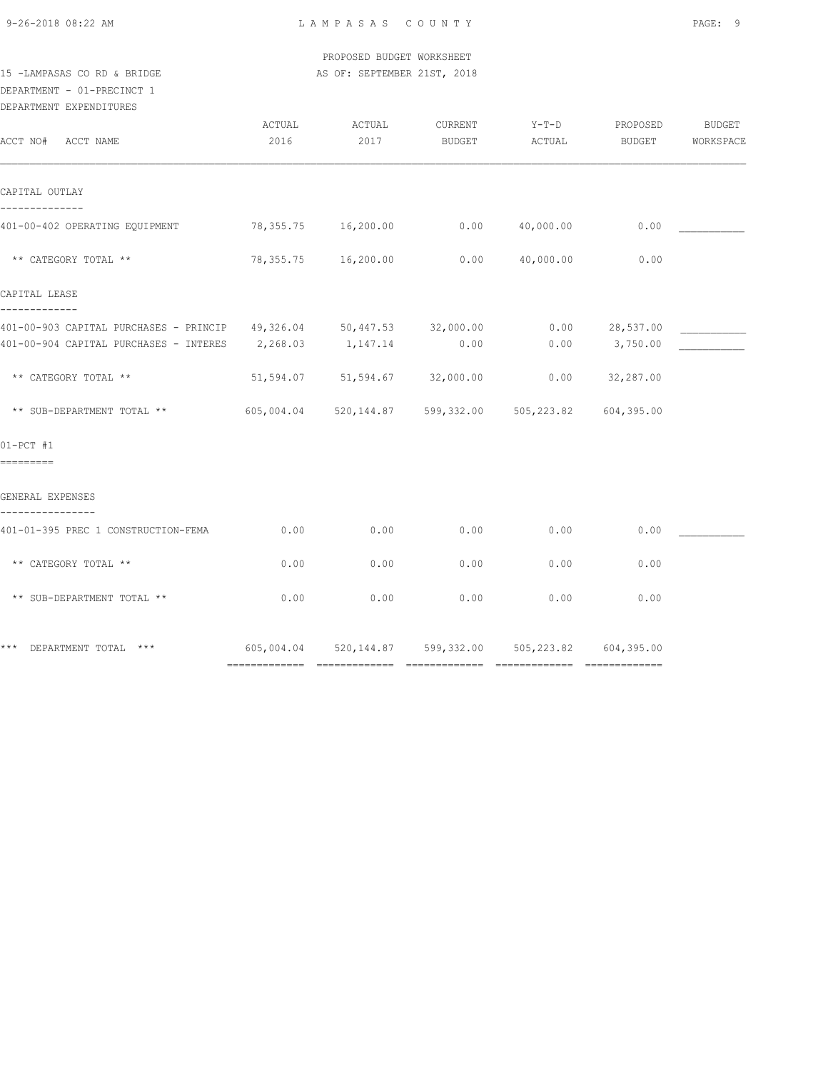9-26-2018 08:22 AM L A M P A S A S C O U N T Y PAGE: 9

 PROPOSED BUDGET WORKSHEET 15 -LAMPASAS CO RD & BRIDGE AS OF: SEPTEMBER 21ST, 2018

## DEPARTMENT - 01-PRECINCT 1

| DEPARTMENT | EXPENDITURES |
|------------|--------------|
|            |              |

| ACCT NO# ACCT NAME                                                                                                               | ACTUAL<br>2016 | ACTUAL<br>2017                | CURRENT<br>BUDGET | $Y-T-D$<br>ACTUAL                                      | PROPOSED<br>BUDGET         | <b>BUDGET</b><br>WORKSPACE |
|----------------------------------------------------------------------------------------------------------------------------------|----------------|-------------------------------|-------------------|--------------------------------------------------------|----------------------------|----------------------------|
| CAPITAL OUTLAY                                                                                                                   |                |                               |                   |                                                        |                            |                            |
| 401-00-402 OPERATING EQUIPMENT 78,355.75 16,200.00 0.00 40,000.00                                                                |                |                               |                   |                                                        | 0.00                       |                            |
| ** CATEGORY TOTAL **                                                                                                             |                | 78,355.75 16,200.00           | 0.00              | 40,000.00                                              | 0.00                       |                            |
| CAPITAL LEASE                                                                                                                    |                |                               |                   |                                                        |                            |                            |
| 401-00-903 CAPITAL PURCHASES - PRINCIP 49,326.04 50,447.53 32,000.00<br>401-00-904 CAPITAL PURCHASES - INTERES 2,268.03 1,147.14 |                |                               | 0.00              | 0.00                                                   | 0.00 28,537.00<br>3,750.00 |                            |
| ** CATEGORY TOTAL **                                                                                                             |                | 51,594.07 51,594.67 32,000.00 |                   |                                                        | $0.00$ 32,287.00           |                            |
| ** SUB-DEPARTMENT TOTAL **                                                                                                       |                |                               |                   | 605,004.04 520,144.87 599,332.00 505,223.82 604,395.00 |                            |                            |
| $01-PCT$ #1<br>=========                                                                                                         |                |                               |                   |                                                        |                            |                            |
| GENERAL EXPENSES                                                                                                                 |                |                               |                   |                                                        |                            |                            |
| 401-01-395 PREC 1 CONSTRUCTION-FEMA                                                                                              | 0.00           | 0.00                          | 0.00              | 0.00                                                   | 0.00                       |                            |
| ** CATEGORY TOTAL **                                                                                                             | 0.00           | 0.00                          | 0.00              | 0.00                                                   | 0.00                       |                            |
| ** SUB-DEPARTMENT TOTAL **                                                                                                       | 0.00           | 0.00                          | 0.00              | 0.00                                                   | 0.00                       |                            |
| *** DEPARTMENT TOTAL ***                                                                                                         |                |                               |                   | 605,004.04 520,144.87 599,332.00 505,223.82 604,395.00 |                            |                            |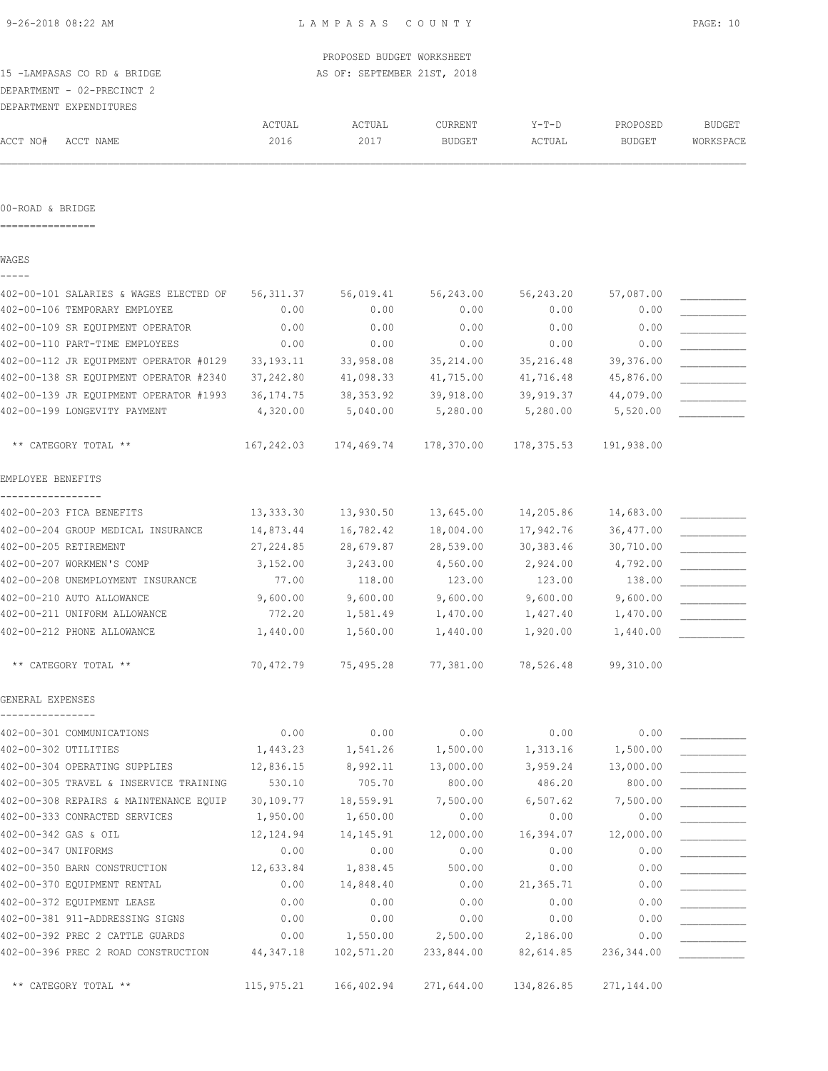|                                                                    |              | PROPOSED BUDGET WORKSHEET   |               |              |                        |               |
|--------------------------------------------------------------------|--------------|-----------------------------|---------------|--------------|------------------------|---------------|
| 15 -LAMPASAS CO RD & BRIDGE                                        |              | AS OF: SEPTEMBER 21ST, 2018 |               |              |                        |               |
| DEPARTMENT - 02-PRECINCT 2                                         |              |                             |               |              |                        |               |
| DEPARTMENT EXPENDITURES                                            |              |                             |               |              |                        |               |
|                                                                    | ACTUAL       | ACTUAL                      | CURRENT       | $Y-T-D$      | PROPOSED               | <b>BUDGET</b> |
| ACCT NO#<br>ACCT NAME                                              | 2016         | 2017                        | <b>BUDGET</b> | ACTUAL       | <b>BUDGET</b>          | WORKSPACE     |
|                                                                    |              |                             |               |              |                        |               |
| 00-ROAD & BRIDGE                                                   |              |                             |               |              |                        |               |
| WAGES                                                              |              |                             |               |              |                        |               |
|                                                                    |              |                             |               |              |                        |               |
| 402-00-101 SALARIES & WAGES ELECTED OF                             | 56, 311.37   | 56,019.41                   | 56,243.00     | 56,243.20    | 57,087.00              |               |
| 402-00-106 TEMPORARY EMPLOYEE                                      | 0.00         | 0.00                        | 0.00          | 0.00         | 0.00                   |               |
| 402-00-109 SR EOUIPMENT OPERATOR<br>402-00-110 PART-TIME EMPLOYEES | 0.00<br>0.00 | 0.00<br>0.00                | 0.00<br>0.00  | 0.00<br>0.00 | 0.00<br>0.00           |               |
| 402-00-112 JR EQUIPMENT OPERATOR #0129                             | 33, 193. 11  | 33,958.08                   | 35,214.00     | 35,216.48    |                        |               |
| 402-00-138 SR EQUIPMENT OPERATOR #2340                             | 37,242.80    | 41,098.33                   | 41,715.00     | 41,716.48    | 39,376.00<br>45,876.00 |               |
| 402-00-139 JR EQUIPMENT OPERATOR #1993                             | 36, 174.75   | 38, 353.92                  | 39,918.00     | 39,919.37    | 44,079.00              |               |
| 402-00-199 LONGEVITY PAYMENT                                       | 4,320.00     | 5,040.00                    | 5,280.00      | 5,280.00     | 5,520.00               |               |
|                                                                    |              |                             |               |              |                        |               |
| ** CATEGORY TOTAL **                                               | 167,242.03   | 174,469.74                  | 178,370.00    | 178, 375.53  | 191,938.00             |               |
| EMPLOYEE BENEFITS                                                  |              |                             |               |              |                        |               |
| 402-00-203 FICA BENEFITS                                           | 13,333.30    | 13,930.50                   | 13,645.00     | 14,205.86    | 14,683.00              |               |
| 402-00-204 GROUP MEDICAL INSURANCE                                 | 14,873.44    | 16,782.42                   | 18,004.00     | 17,942.76    | 36, 477.00             |               |
| 402-00-205 RETIREMENT                                              | 27, 224.85   | 28,679.87                   | 28,539.00     | 30, 383.46   | 30,710.00              |               |
| 402-00-207 WORKMEN'S COMP                                          | 3,152.00     | 3,243.00                    | 4,560.00      | 2,924.00     | 4,792.00               |               |
| 402-00-208 UNEMPLOYMENT INSURANCE                                  | 77.00        | 118.00                      | 123.00        | 123.00       | 138.00                 |               |
| 402-00-210 AUTO ALLOWANCE                                          | 9,600.00     | 9,600.00                    | 9,600.00      | 9,600.00     | 9,600.00               |               |
| 402-00-211 UNIFORM ALLOWANCE                                       | 772.20       | 1,581.49                    | 1,470.00      | 1,427.40     | 1,470.00               |               |
| 402-00-212 PHONE ALLOWANCE                                         | 1,440.00     | 1,560.00                    | 1,440.00      | 1,920.00     | 1,440.00               |               |
| ** CATEGORY TOTAL **                                               | 70,472.79    | 75,495.28                   | 77,381.00     | 78,526.48    | 99,310.00              |               |
| GENERAL EXPENSES                                                   |              |                             |               |              |                        |               |
| 402-00-301 COMMUNICATIONS                                          | 0.00         | 0.00                        | 0.00          | 0.00         | 0.00                   |               |
| 402-00-302 UTILITIES                                               | 1,443.23     | 1,541.26                    | 1,500.00      | 1,313.16     | 1,500.00               |               |
| 402-00-304 OPERATING SUPPLIES                                      | 12,836.15    | 8,992.11                    | 13,000.00     | 3,959.24     | 13,000.00              |               |
| 402-00-305 TRAVEL & INSERVICE TRAINING                             | 530.10       | 705.70                      | 800.00        | 486.20       | 800.00                 |               |
| 402-00-308 REPAIRS & MAINTENANCE EQUIP                             | 30,109.77    | 18,559.91                   | 7,500.00      | 6,507.62     | 7,500.00               |               |
| 402-00-333 CONRACTED SERVICES                                      | 1,950.00     | 1,650.00                    | 0.00          | 0.00         | 0.00                   |               |
| 402-00-342 GAS & OIL                                               | 12,124.94    | 14, 145. 91                 | 12,000.00     | 16,394.07    | 12,000.00              |               |
| 402-00-347 UNIFORMS                                                | 0.00         | 0.00                        | 0.00          | 0.00         | 0.00                   |               |
| 402-00-350 BARN CONSTRUCTION                                       | 12,633.84    | 1,838.45                    | 500.00        | 0.00         | 0.00                   |               |
| 402-00-370 EQUIPMENT RENTAL                                        | 0.00         | 14,848.40                   | 0.00          | 21,365.71    | 0.00                   |               |
| 402-00-372 EQUIPMENT LEASE                                         | 0.00         | 0.00                        | 0.00          | 0.00         | 0.00                   |               |
| 402-00-381 911-ADDRESSING SIGNS                                    | 0.00         | 0.00                        | 0.00          | 0.00         | 0.00                   |               |
| 402-00-392 PREC 2 CATTLE GUARDS                                    | 0.00         | 1,550.00                    | 2,500.00      | 2,186.00     | 0.00                   |               |

402-00-396 PREC 2 ROAD CONSTRUCTION 44,347.18 102,571.20 233,844.00 82,614.85 236,344.00 \_\_\_\_\_\_\_\_\_\_\_

\*\* CATEGORY TOTAL \*\* 115,975.21 166,402.94 271,644.00 134,826.85 271,144.00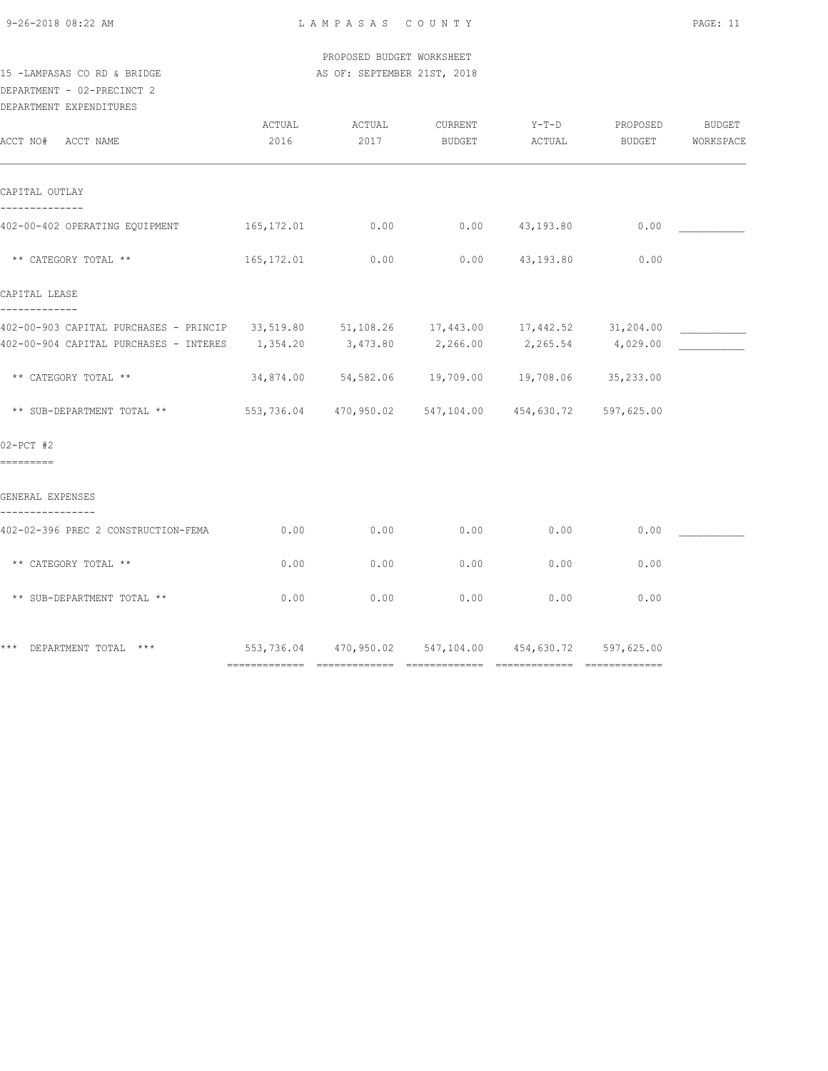9-26-2018 08:22 AM L A M P A S A S C O U N T Y PAGE: 11

 PROPOSED BUDGET WORKSHEET 15 -LAMPASAS CO RD & BRIDGE AS OF: SEPTEMBER 21ST, 2018

## DEPARTMENT - 02-PRECINCT 2

| DEPARTMENT | <b>EXPENDITURES</b> |  |
|------------|---------------------|--|
|            |                     |  |

| ACCT NO# ACCT NAME                                                                                                                                                                          | ACTUAL<br>2016 | ACTUAL<br>2017 | CURRENT<br><b>BUDGET</b>                               | $Y-T-D$<br>ACTUAL  | PROPOSED<br><b>BUDGET</b> | BUDGET<br>WORKSPACE |
|---------------------------------------------------------------------------------------------------------------------------------------------------------------------------------------------|----------------|----------------|--------------------------------------------------------|--------------------|---------------------------|---------------------|
| CAPITAL OUTLAY                                                                                                                                                                              |                |                |                                                        |                    |                           |                     |
| $402-00-402$ OPERATING EQUIPMENT $165,172.01$ 0.00 0.00 $43,193.80$                                                                                                                         |                |                |                                                        |                    | 0.00                      |                     |
| ** CATEGORY TOTAL **                                                                                                                                                                        | 165, 172.01    | 0.00           |                                                        | $0.00$ $43,193.80$ | 0.00                      |                     |
| CAPITAL LEASE                                                                                                                                                                               |                |                |                                                        |                    |                           |                     |
| 402-00-903 CAPITAL PURCHASES - PRINCIP 33,519.80 51,108.26 17,443.00 17,442.52 31,204.00<br>$402-00-904$ CAPITAL PURCHASES - INTERES $1,354.20$ $3,473.80$ $2,266.00$ $2,265.54$ $4,029.00$ |                |                |                                                        |                    |                           |                     |
| ** CATEGORY TOTAL **                                                                                                                                                                        |                |                | 34,874.00 54,582.06 19,709.00 19,708.06 35,233.00      |                    |                           |                     |
| ** SUB-DEPARTMENT TOTAL **                                                                                                                                                                  |                |                | 553,736.04 470,950.02 547,104.00 454,630.72 597,625.00 |                    |                           |                     |
| $02-PCT$ #2<br><b>BEEREEE</b>                                                                                                                                                               |                |                |                                                        |                    |                           |                     |
| GENERAL EXPENSES                                                                                                                                                                            |                |                |                                                        |                    |                           |                     |
| 402-02-396 PREC 2 CONSTRUCTION-FEMA                                                                                                                                                         | 0.00           | 0.00           | 0.00                                                   | 0.00               | 0.00                      |                     |
| ** CATEGORY TOTAL **                                                                                                                                                                        | 0.00           | 0.00           | 0.00                                                   | 0.00               | 0.00                      |                     |
| ** SUB-DEPARTMENT TOTAL **                                                                                                                                                                  | 0.00           | 0.00           | 0.00                                                   | 0.00               | 0.00                      |                     |
| *** DEPARTMENT TOTAL ***                                                                                                                                                                    |                |                | 553,736.04 470,950.02 547,104.00 454,630.72 597,625.00 |                    |                           |                     |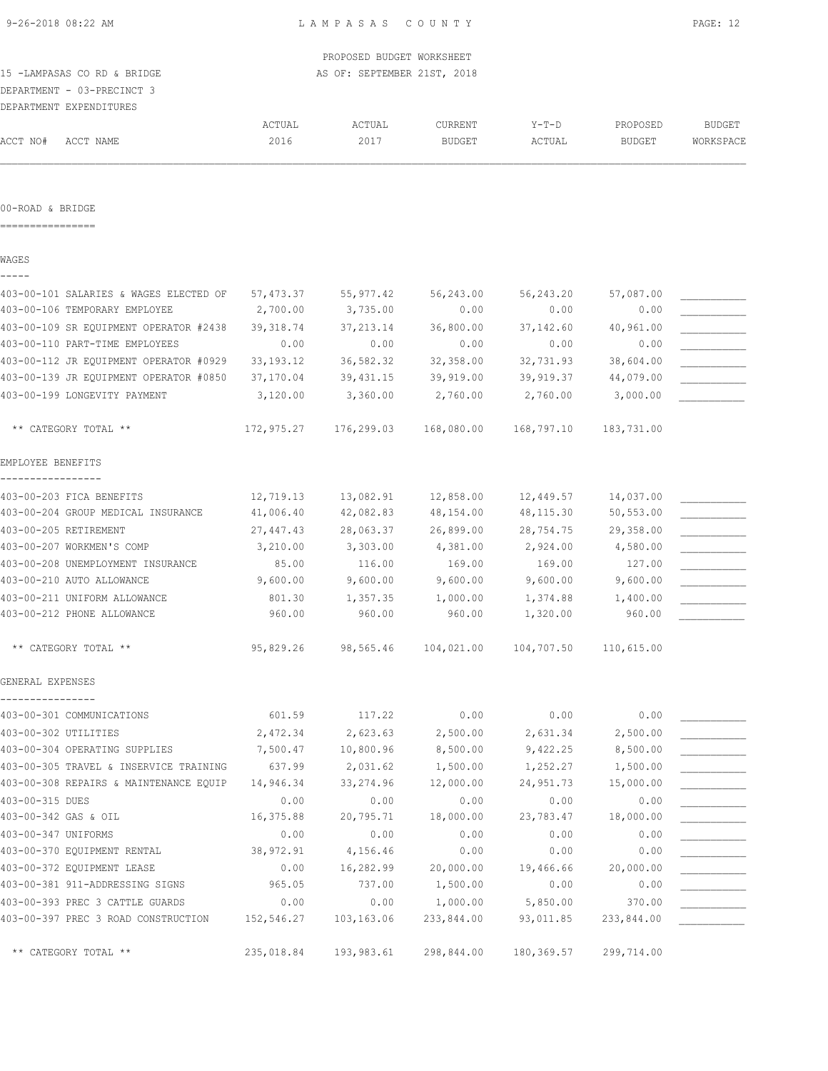|                                        |             | PROPOSED BUDGET WORKSHEET   |               |             |               |               |
|----------------------------------------|-------------|-----------------------------|---------------|-------------|---------------|---------------|
| 15 -LAMPASAS CO RD & BRIDGE            |             | AS OF: SEPTEMBER 21ST, 2018 |               |             |               |               |
| DEPARTMENT - 03-PRECINCT 3             |             |                             |               |             |               |               |
| DEPARTMENT EXPENDITURES                |             |                             |               |             |               |               |
|                                        | ACTUAL      | ACTUAL                      | CURRENT       | $Y-T-D$     | PROPOSED      | <b>BUDGET</b> |
| ACCT NO#<br>ACCT NAME                  | 2016        | 2017                        | <b>BUDGET</b> | ACTUAL      | <b>BUDGET</b> | WORKSPACE     |
| 00-ROAD & BRIDGE                       |             |                             |               |             |               |               |
|                                        |             |                             |               |             |               |               |
| WAGES                                  |             |                             |               |             |               |               |
| 403-00-101 SALARIES & WAGES ELECTED OF | 57,473.37   | 55,977.42                   | 56,243.00     | 56,243.20   | 57,087.00     |               |
| 403-00-106 TEMPORARY EMPLOYEE          | 2,700.00    | 3,735.00                    | 0.00          | 0.00        | 0.00          |               |
| 403-00-109 SR EQUIPMENT OPERATOR #2438 | 39, 318.74  | 37, 213.14                  | 36,800.00     | 37,142.60   | 40,961.00     |               |
| 403-00-110 PART-TIME EMPLOYEES         | 0.00        | 0.00                        | 0.00          | 0.00        | 0.00          |               |
| 403-00-112 JR EQUIPMENT OPERATOR #0929 | 33, 193. 12 | 36,582.32                   | 32,358.00     | 32,731.93   | 38,604.00     |               |
| 403-00-139 JR EQUIPMENT OPERATOR #0850 | 37,170.04   | 39, 431.15                  | 39,919.00     | 39,919.37   | 44,079.00     |               |
| 403-00-199 LONGEVITY PAYMENT           | 3,120.00    | 3,360.00                    | 2,760.00      | 2,760.00    | 3,000.00      |               |
| ** CATEGORY TOTAL **                   | 172,975.27  | 176,299.03                  | 168,080.00    | 168,797.10  | 183,731.00    |               |
| EMPLOYEE BENEFITS                      |             |                             |               |             |               |               |
| 403-00-203 FICA BENEFITS               | 12,719.13   | 13,082.91                   | 12,858.00     | 12,449.57   | 14,037.00     |               |
| 403-00-204 GROUP MEDICAL INSURANCE     | 41,006.40   | 42,082.83                   | 48,154.00     | 48, 115.30  | 50,553.00     |               |
| 403-00-205 RETIREMENT                  | 27,447.43   | 28,063.37                   | 26,899.00     | 28,754.75   | 29,358.00     |               |
| 403-00-207 WORKMEN'S COMP              | 3,210.00    | 3,303.00                    | 4,381.00      | 2,924.00    | 4,580.00      |               |
| 403-00-208 UNEMPLOYMENT INSURANCE      | 85.00       | 116.00                      | 169.00        | 169.00      | 127.00        |               |
| 403-00-210 AUTO ALLOWANCE              | 9,600.00    | 9,600.00                    | 9,600.00      | 9,600.00    | 9,600.00      |               |
| 403-00-211 UNIFORM ALLOWANCE           | 801.30      | 1,357.35                    | 1,000.00      | 1,374.88    | 1,400.00      |               |
| 403-00-212 PHONE ALLOWANCE             | 960.00      | 960.00                      | 960.00        | 1,320.00    | 960.00        |               |
| ** CATEGORY TOTAL **                   | 95,829.26   | 98,565.46                   | 104,021.00    | 104,707.50  | 110,615.00    |               |
| GENERAL EXPENSES                       |             |                             |               |             |               |               |
| 403-00-301 COMMUNICATIONS              | 601.59      | 117.22                      | 0.00          | 0.00        | 0.00          |               |
| 403-00-302 UTILITIES                   | 2,472.34    | 2,623.63                    | 2,500.00      | 2,631.34    | 2,500.00      |               |
| 403-00-304 OPERATING SUPPLIES          | 7,500.47    | 10,800.96                   | 8,500.00      | 9,422.25    | 8,500.00      |               |
| 403-00-305 TRAVEL & INSERVICE TRAINING | 637.99      | 2,031.62                    | 1,500.00      | 1,252.27    | 1,500.00      |               |
| 403-00-308 REPAIRS & MAINTENANCE EQUIP | 14,946.34   | 33, 274.96                  | 12,000.00     | 24,951.73   | 15,000.00     |               |
| 403-00-315 DUES                        | 0.00        | 0.00                        | 0.00          | 0.00        | 0.00          |               |
| 403-00-342 GAS & OIL                   | 16,375.88   | 20,795.71                   | 18,000.00     | 23,783.47   | 18,000.00     |               |
| 403-00-347 UNIFORMS                    | 0.00        | 0.00                        | 0.00          | 0.00        | 0.00          |               |
| 403-00-370 EQUIPMENT RENTAL            | 38,972.91   | 4,156.46                    | 0.00          | 0.00        | 0.00          |               |
| 403-00-372 EQUIPMENT LEASE             | 0.00        | 16,282.99                   | 20,000.00     | 19,466.66   | 20,000.00     |               |
| 403-00-381 911-ADDRESSING SIGNS        | 965.05      | 737.00                      | 1,500.00      | 0.00        | 0.00          |               |
| 403-00-393 PREC 3 CATTLE GUARDS        | 0.00        | 0.00                        | 1,000.00      | 5,850.00    | 370.00        |               |
| 403-00-397 PREC 3 ROAD CONSTRUCTION    | 152,546.27  | 103,163.06                  | 233,844.00    | 93,011.85   | 233,844.00    |               |
| ** CATEGORY TOTAL **                   | 235,018.84  | 193,983.61                  | 298,844.00    | 180, 369.57 | 299,714.00    |               |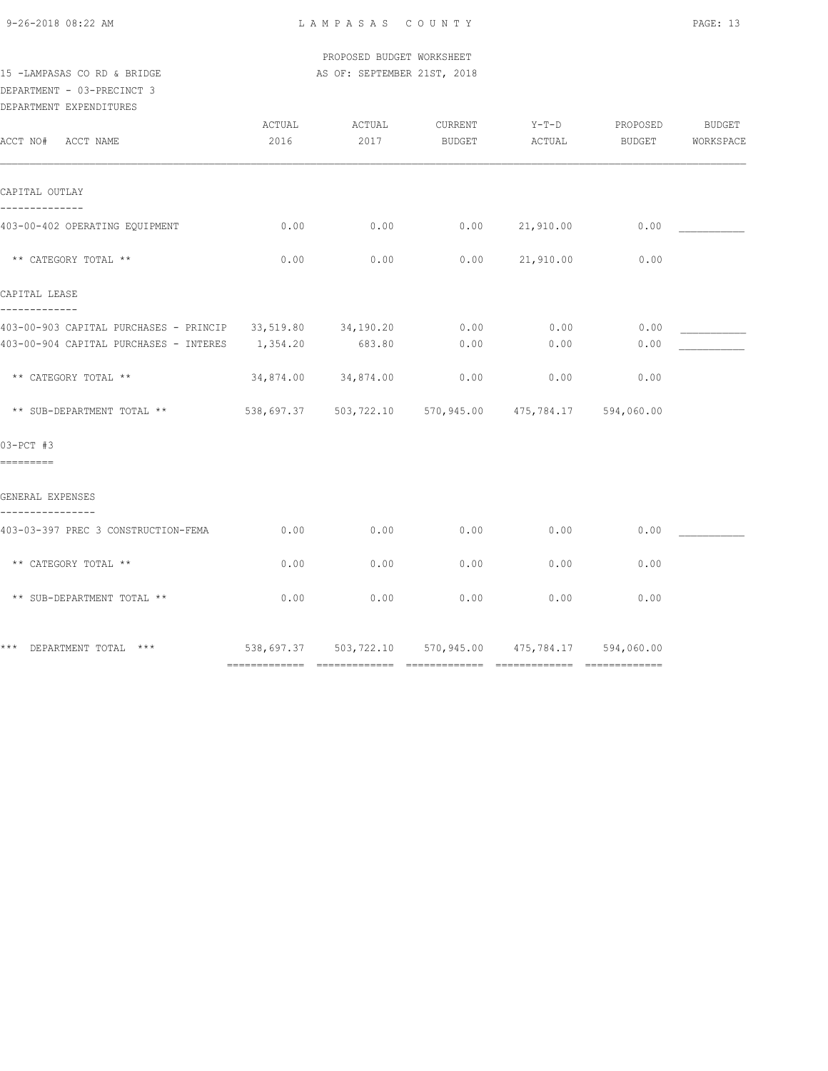9-26-2018 08:22 AM L A M P A S A S C O U N T Y PAGE: 13

 PROPOSED BUDGET WORKSHEET 15 -LAMPASAS CO RD & BRIDGE AS OF: SEPTEMBER 21ST, 2018

### DEPARTMENT - 03-PRECINCT 3

DEPARTMENT EXPENDITURES

| ACCT NO# ACCT NAME                                                          | ACTUAL<br>2016 | ACTUAL<br>2017                                             | CURRENT<br><b>BUDGET</b> | $Y-T-D$<br>ACTUAL | PROPOSED<br>BUDGET | <b>BUDGET</b><br>WORKSPACE |
|-----------------------------------------------------------------------------|----------------|------------------------------------------------------------|--------------------------|-------------------|--------------------|----------------------------|
| CAPITAL OUTLAY                                                              |                |                                                            |                          |                   |                    |                            |
| 403-00-402 OPERATING EQUIPMENT                                              | 0.00           | 0.00                                                       |                          | 0.00 21,910.00    | 0.00               |                            |
| ** CATEGORY TOTAL **                                                        | 0.00           | 0.00                                                       | 0.00                     | 21,910.00         | 0.00               |                            |
| CAPITAL LEASE                                                               |                |                                                            |                          |                   |                    |                            |
| -------------<br>403-00-903 CAPITAL PURCHASES - PRINCIP 33,519.80 34,190.20 |                |                                                            | 0.00                     | 0.00              | 0.00               |                            |
| 403-00-904 CAPITAL PURCHASES - INTERES 1,354.20                             |                | 683.80                                                     | 0.00                     | 0.00              | 0.00               |                            |
| ** CATEGORY TOTAL **                                                        |                | 34,874.00 34,874.00                                        | 0.00                     | 0.00              | 0.00               |                            |
| ** SUB-DEPARTMENT TOTAL **                                                  |                | 538,697.37  503,722.10  570,945.00  475,784.17  594,060.00 |                          |                   |                    |                            |
| 03-PCT #3<br>=========                                                      |                |                                                            |                          |                   |                    |                            |
| GENERAL EXPENSES                                                            |                |                                                            |                          |                   |                    |                            |
| 403-03-397 PREC 3 CONSTRUCTION-FEMA                                         | 0.00           | 0.00                                                       | 0.00                     | 0.00              | 0.00               |                            |
| ** CATEGORY TOTAL **                                                        | 0.00           | 0.00                                                       | 0.00                     | 0.00              | 0.00               |                            |
| ** SUB-DEPARTMENT TOTAL **                                                  | 0.00           | 0.00                                                       | 0.00                     | 0.00              | 0.00               |                            |
| *** DEPARTMENT TOTAL ***                                                    |                | 538,697.37 503,722.10 570,945.00 475,784.17 594,060.00     |                          |                   |                    |                            |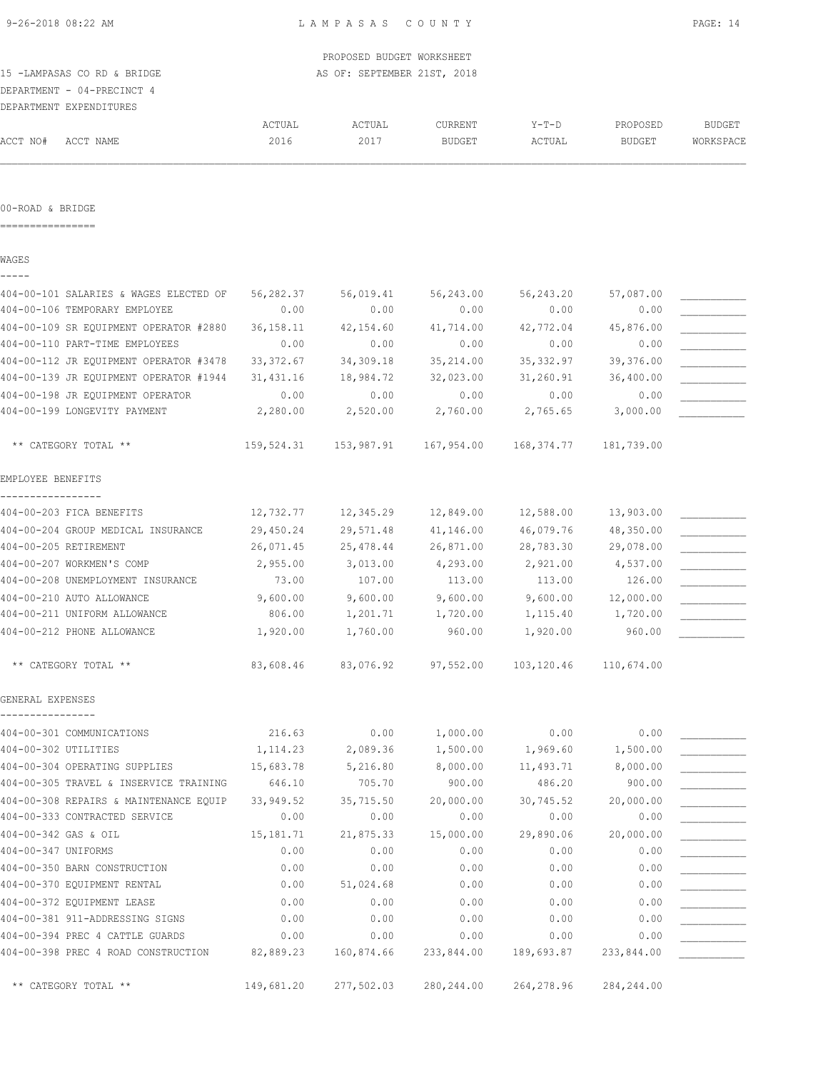|  | 9-26-2018 08:22 AM |  |
|--|--------------------|--|
|  |                    |  |

| 15 -LAMPASAS CO RD & BRIDGE<br>DEPARTMENT - 04-PRECINCT 4 |                        | PROPOSED BUDGET WORKSHEET<br>AS OF: SEPTEMBER 21ST, 2018 |                          |                     |                           |                            |
|-----------------------------------------------------------|------------------------|----------------------------------------------------------|--------------------------|---------------------|---------------------------|----------------------------|
| DEPARTMENT EXPENDITURES                                   |                        |                                                          |                          |                     |                           |                            |
| ACCT NO#<br>ACCT NAME                                     | ACTUAL<br>2016         | ACTUAL<br>2017                                           | CURRENT<br><b>BUDGET</b> | $Y-T-D$<br>ACTUAL   | PROPOSED<br><b>BUDGET</b> | <b>BUDGET</b><br>WORKSPACE |
| 00-ROAD & BRIDGE                                          |                        |                                                          |                          |                     |                           |                            |
|                                                           |                        |                                                          |                          |                     |                           |                            |
| WAGES                                                     |                        |                                                          |                          |                     |                           |                            |
| 404-00-101 SALARIES & WAGES ELECTED OF                    | 56,282.37              | 56,019.41                                                | 56,243.00                | 56,243.20           | 57,087.00                 |                            |
| 404-00-106 TEMPORARY EMPLOYEE                             | 0.00                   | 0.00                                                     | 0.00                     | 0.00                | 0.00                      |                            |
| 404-00-109 SR EQUIPMENT OPERATOR #2880                    | 36, 158. 11            | 42,154.60                                                | 41,714.00                | 42,772.04           | 45,876.00                 |                            |
| 404-00-110 PART-TIME EMPLOYEES                            | 0.00                   | 0.00                                                     | 0.00                     | 0.00                | 0.00                      |                            |
| 404-00-112 JR EQUIPMENT OPERATOR #3478                    | 33, 372.67             | 34,309.18                                                | 35,214.00                | 35, 332.97          | 39,376.00                 |                            |
| 404-00-139 JR EQUIPMENT OPERATOR #1944                    | 31,431.16              | 18,984.72                                                | 32,023.00                | 31,260.91           | 36,400.00                 |                            |
| 404-00-198 JR EQUIPMENT OPERATOR                          | 0.00                   | 0.00                                                     | 0.00                     | 0.00                | 0.00                      |                            |
| 404-00-199 LONGEVITY PAYMENT                              | 2,280.00               | 2,520.00                                                 | 2,760.00                 | 2,765.65            | 3,000.00                  |                            |
| ** CATEGORY TOTAL **                                      | 159,524.31             | 153,987.91                                               | 167,954.00               | 168,374.77          | 181,739.00                |                            |
| EMPLOYEE BENEFITS                                         |                        |                                                          |                          |                     |                           |                            |
| 404-00-203 FICA BENEFITS                                  | 12,732.77              | 12,345.29                                                | 12,849.00                | 12,588.00           | 13,903.00                 |                            |
| 404-00-204 GROUP MEDICAL INSURANCE                        | 29,450.24              | 29,571.48                                                | 41,146.00                | 46,079.76           | 48,350.00                 |                            |
| 404-00-205 RETIREMENT                                     | 26,071.45              | 25,478.44                                                | 26,871.00                | 28,783.30           | 29,078.00                 |                            |
| 404-00-207 WORKMEN'S COMP                                 | 2,955.00               | 3,013.00                                                 | 4,293.00                 | 2,921.00            | 4,537.00                  |                            |
| 404-00-208 UNEMPLOYMENT INSURANCE                         | 73.00                  | 107.00                                                   | 113.00                   | 113.00              | 126.00                    |                            |
| 404-00-210 AUTO ALLOWANCE                                 | 9,600.00               | 9,600.00                                                 | 9,600.00                 | 9,600.00            | 12,000.00                 |                            |
| 404-00-211 UNIFORM ALLOWANCE                              | 806.00                 | 1,201.71                                                 | 1,720.00                 | 1,115.40            | 1,720.00                  |                            |
| 404-00-212 PHONE ALLOWANCE                                | 1,920.00               | 1,760.00                                                 | 960.00                   | 1,920.00            | 960.00                    |                            |
| ** CATEGORY TOTAL **                                      |                        | 83,608.46 83,076.92                                      | 97,552.00                |                     | 103, 120.46 110, 674.00   |                            |
| GENERAL EXPENSES                                          |                        |                                                          |                          |                     |                           |                            |
|                                                           |                        |                                                          |                          |                     |                           |                            |
| 404-00-301 COMMUNICATIONS<br>404-00-302 UTILITIES         | 216.63                 | 0.00                                                     | 1,000.00                 | 0.00<br>1,969.60    | 0.00                      |                            |
| 404-00-304 OPERATING SUPPLIES                             | 1, 114.23<br>15,683.78 | 2,089.36                                                 | 1,500.00                 |                     | 1,500.00                  |                            |
| 404-00-305 TRAVEL & INSERVICE TRAINING                    | 646.10                 | 5,216.80<br>705.70                                       | 8,000.00<br>900.00       | 11,493.71<br>486.20 | 8,000.00<br>900.00        |                            |
| 404-00-308 REPAIRS & MAINTENANCE EQUIP                    | 33,949.52              | 35,715.50                                                | 20,000.00                | 30,745.52           |                           |                            |
| 404-00-333 CONTRACTED SERVICE                             | 0.00                   | 0.00                                                     | 0.00                     | 0.00                | 20,000.00<br>0.00         |                            |
| 404-00-342 GAS & OIL                                      | 15,181.71              | 21,875.33                                                | 15,000.00                | 29,890.06           | 20,000.00                 |                            |
| 404-00-347 UNIFORMS                                       | 0.00                   | 0.00                                                     | 0.00                     | 0.00                | 0.00                      |                            |
| 404-00-350 BARN CONSTRUCTION                              | 0.00                   | 0.00                                                     | 0.00                     | 0.00                | 0.00                      |                            |
| 404-00-370 EQUIPMENT RENTAL                               | 0.00                   | 51,024.68                                                | 0.00                     | 0.00                | 0.00                      |                            |
| 404-00-372 EQUIPMENT LEASE                                | 0.00                   | 0.00                                                     | 0.00                     | 0.00                | 0.00                      |                            |
| 404-00-381 911-ADDRESSING SIGNS                           | 0.00                   | 0.00                                                     | 0.00                     | 0.00                | 0.00                      |                            |
| 404-00-394 PREC 4 CATTLE GUARDS                           | 0.00                   | 0.00                                                     | 0.00                     | 0.00                | 0.00                      |                            |
| 404-00-398 PREC 4 ROAD CONSTRUCTION                       | 82,889.23              | 160,874.66                                               | 233,844.00               | 189,693.87          | 233,844.00                |                            |
| ** CATEGORY TOTAL **                                      | 149,681.20             | 277,502.03                                               | 280,244.00               | 264,278.96          | 284,244.00                |                            |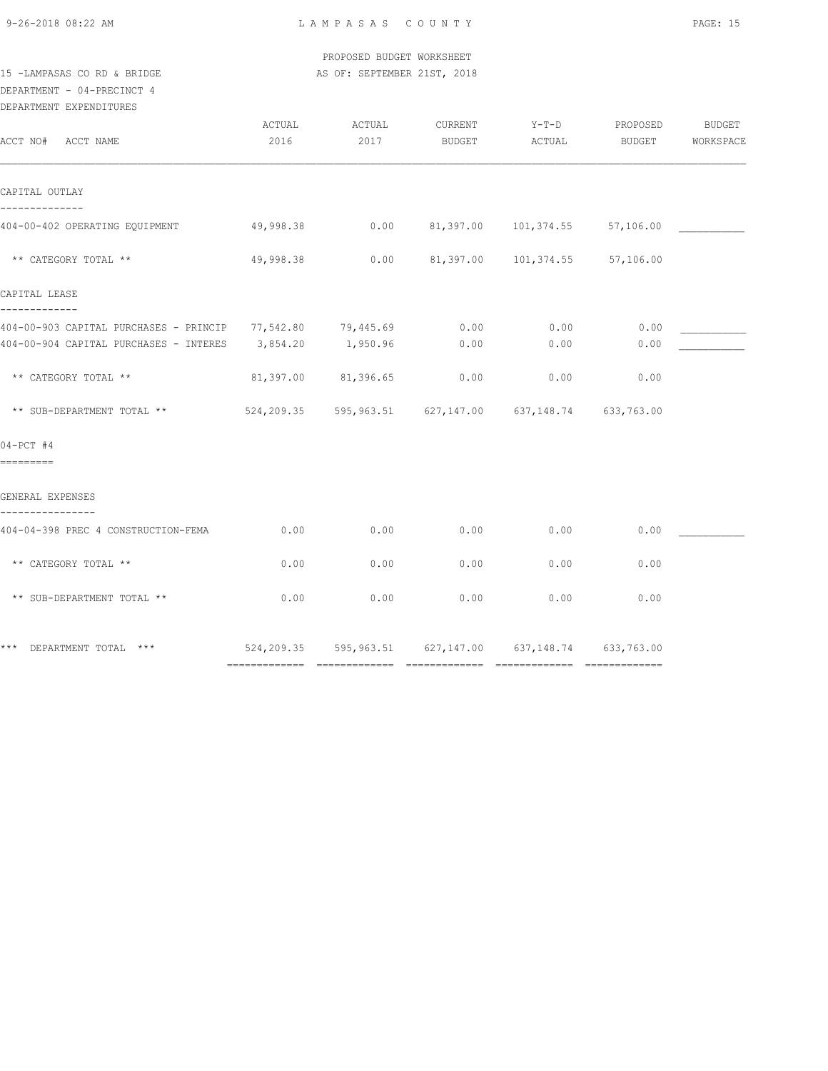9-26-2018 08:22 AM L A M P A S A S C O U N T Y PAGE: 15

 PROPOSED BUDGET WORKSHEET 15 -LAMPASAS CO RD & BRIDGE AS OF: SEPTEMBER 21ST, 2018

### DEPARTMENT - 04-PRECINCT 4

| DEPARTMENT EXPENDITURES |
|-------------------------|

| ACCT NO# ACCT NAME                                                                                                             | ACTUAL<br>2016 | ACTUAL<br>2017 | CURRENT<br>BUDGET | $Y-T-D$<br>ACTUAL                                      | PROPOSED<br>BUDGET | BUDGET<br>WORKSPACE |
|--------------------------------------------------------------------------------------------------------------------------------|----------------|----------------|-------------------|--------------------------------------------------------|--------------------|---------------------|
| CAPITAL OUTLAY                                                                                                                 |                |                |                   |                                                        |                    |                     |
| 404-00-402 OPERATING EQUIPMENT                                                                                                 | 49,998.38      |                |                   | $0.00$ $81,397.00$ $101,374.55$ $57,106.00$            |                    |                     |
| ** CATEGORY TOTAL **                                                                                                           | 49,998.38      |                |                   | $0.00$ $81,397.00$ $101,374.55$                        | 57,106.00          |                     |
| CAPITAL LEASE                                                                                                                  |                |                |                   |                                                        |                    |                     |
| -------------<br>404-00-903 CAPITAL PURCHASES - PRINCIP 77,542.80 79,445.69<br>404-00-904 CAPITAL PURCHASES - INTERES 3,854.20 |                | 1,950.96       | 0.00<br>0.00      | 0.00<br>0.00                                           | 0.00<br>0.00       |                     |
| ** CATEGORY TOTAL **                                                                                                           | 81,397.00      | 81,396.65      | 0.00              | 0.00                                                   | 0.00               |                     |
| ** SUB-DEPARTMENT TOTAL **                                                                                                     |                |                |                   | 524,209.35 595,963.51 627,147.00 637,148.74 633,763.00 |                    |                     |
| $04-PCT$ #4<br>=========                                                                                                       |                |                |                   |                                                        |                    |                     |
| GENERAL EXPENSES                                                                                                               |                |                |                   |                                                        |                    |                     |
| 404-04-398 PREC 4 CONSTRUCTION-FEMA                                                                                            | 0.00           | 0.00           | 0.00              | 0.00                                                   | 0.00               |                     |
| ** CATEGORY TOTAL **                                                                                                           | 0.00           | 0.00           | 0.00              | 0.00                                                   | 0.00               |                     |
| ** SUB-DEPARTMENT TOTAL **                                                                                                     | 0.00           | 0.00           | 0.00              | 0.00                                                   | 0.00               |                     |
| *** DEPARTMENT TOTAL ***                                                                                                       |                |                |                   | 524,209.35 595,963.51 627,147.00 637,148.74 633,763.00 |                    |                     |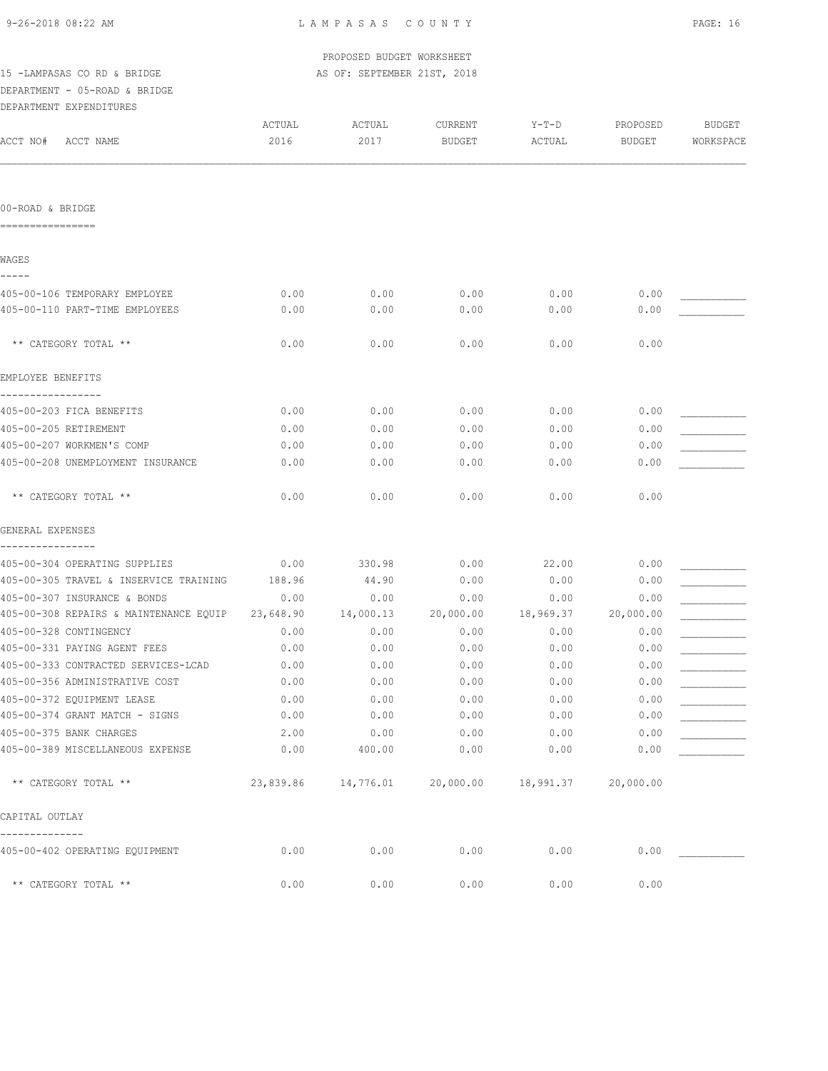| 9-26-2018 08:22 AM |  |
|--------------------|--|
|                    |  |

|                                        |                | PROPOSED BUDGET WORKSHEET   |                          |                   |                           |                            |
|----------------------------------------|----------------|-----------------------------|--------------------------|-------------------|---------------------------|----------------------------|
| 15 -LAMPASAS CO RD & BRIDGE            |                | AS OF: SEPTEMBER 21ST, 2018 |                          |                   |                           |                            |
| DEPARTMENT - 05-ROAD & BRIDGE          |                |                             |                          |                   |                           |                            |
| DEPARTMENT EXPENDITURES                |                |                             |                          |                   |                           |                            |
| ACCT NO#<br>ACCT NAME                  | ACTUAL<br>2016 | ACTUAL<br>2017              | CURRENT<br><b>BUDGET</b> | $Y-T-D$<br>ACTUAL | PROPOSED<br><b>BUDGET</b> | <b>BUDGET</b><br>WORKSPACE |
| 00-ROAD & BRIDGE                       |                |                             |                          |                   |                           |                            |
|                                        |                |                             |                          |                   |                           |                            |
| WAGES<br>$- - - - -$                   |                |                             |                          |                   |                           |                            |
| 405-00-106 TEMPORARY EMPLOYEE          | 0.00           | 0.00                        | 0.00                     | 0.00              | 0.00                      |                            |
| 405-00-110 PART-TIME EMPLOYEES         | 0.00           | 0.00                        | 0.00                     | 0.00              | 0.00                      |                            |
| ** CATEGORY TOTAL **                   | 0.00           | 0.00                        | 0.00                     | 0.00              | 0.00                      |                            |
| EMPLOYEE BENEFITS                      |                |                             |                          |                   |                           |                            |
| 405-00-203 FICA BENEFITS               | 0.00           | 0.00                        | 0.00                     | 0.00              | 0.00                      |                            |
| 405-00-205 RETIREMENT                  | 0.00           | 0.00                        | 0.00                     | 0.00              | 0.00                      |                            |
| 405-00-207 WORKMEN'S COMP              | 0.00           | 0.00                        | 0.00                     | 0.00              | 0.00                      |                            |
| 405-00-208 UNEMPLOYMENT INSURANCE      | 0.00           | 0.00                        | 0.00                     | 0.00              | 0.00                      |                            |
| ** CATEGORY TOTAL **                   | 0.00           | 0.00                        | 0.00                     | 0.00              | 0.00                      |                            |
| GENERAL EXPENSES                       |                |                             |                          |                   |                           |                            |
| 405-00-304 OPERATING SUPPLIES          | 0.00           | 330.98                      | 0.00                     | 22.00             | 0.00                      |                            |
| 405-00-305 TRAVEL & INSERVICE TRAINING | 188.96         | 44.90                       | 0.00                     | 0.00              | 0.00                      |                            |
| 405-00-307 INSURANCE & BONDS           | 0.00           | 0.00                        | 0.00                     | 0.00              | 0.00                      |                            |
| 405-00-308 REPAIRS & MAINTENANCE EQUIP | 23,648.90      | 14,000.13                   | 20,000.00                | 18,969.37         | 20,000.00                 |                            |
| 405-00-328 CONTINGENCY                 | 0.00           | 0.00                        | 0.00                     | 0.00              | 0.00                      |                            |
| 405-00-331 PAYING AGENT FEES           | 0.00           | 0.00                        | 0.00                     | 0.00              | 0.00                      |                            |
| 405-00-333 CONTRACTED SERVICES-LCAD    | 0.00           | 0.00                        | 0.00                     | 0.00              | 0.00                      |                            |
| 405-00-356 ADMINISTRATIVE COST         | 0.00           | 0.00                        | 0.00                     | 0.00              | 0.00                      |                            |
| 405-00-372 EQUIPMENT LEASE             | 0.00           | 0.00                        | 0.00                     | 0.00              | 0.00                      |                            |
| 405-00-374 GRANT MATCH - SIGNS         | 0.00           | 0.00                        | 0.00                     | 0.00              | 0.00                      |                            |
| 405-00-375 BANK CHARGES                | 2.00           | 0.00                        | 0.00                     | 0.00              | 0.00                      |                            |
| 405-00-389 MISCELLANEOUS EXPENSE       | 0.00           | 400.00                      | 0.00                     | 0.00              | 0.00                      |                            |
| ** CATEGORY TOTAL **                   | 23,839.86      | 14,776.01                   | 20,000.00                | 18,991.37         | 20,000.00                 |                            |
| CAPITAL OUTLAY                         |                |                             |                          |                   |                           |                            |
| 405-00-402 OPERATING EQUIPMENT         | 0.00           | 0.00                        | 0.00                     | 0.00              | 0.00                      |                            |
| ** CATEGORY TOTAL **                   | 0.00           | 0.00                        | 0.00                     | 0.00              | 0.00                      |                            |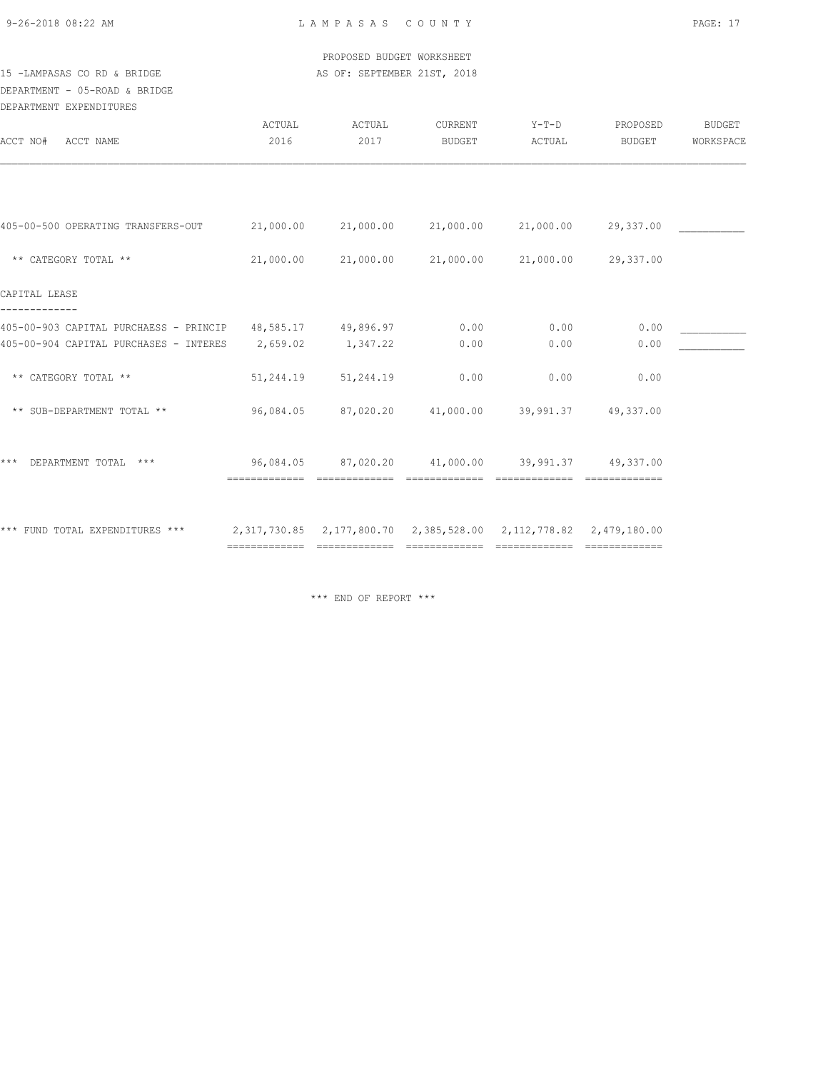9-26-2018 08:22 AM L A M P A S A S C O U N T Y PAGE: 17

 PROPOSED BUDGET WORKSHEET 15 -LAMPASAS CO RD & BRIDGE AS OF: SEPTEMBER 21ST, 2018

# DEPARTMENT - 05-ROAD & BRIDGE

| ACTUAL<br>2016 | ACTUAL<br>2017 | CURRENT<br><b>BUDGET</b> | $Y-T-D$<br>ACTUAL                                                                                        | PROPOSED<br>BUDGET  | BUDGET<br>WORKSPACE                                                                                                                                                                              |
|----------------|----------------|--------------------------|----------------------------------------------------------------------------------------------------------|---------------------|--------------------------------------------------------------------------------------------------------------------------------------------------------------------------------------------------|
|                |                |                          |                                                                                                          |                     |                                                                                                                                                                                                  |
|                |                |                          |                                                                                                          |                     |                                                                                                                                                                                                  |
| 21,000.00      |                |                          |                                                                                                          |                     |                                                                                                                                                                                                  |
|                |                |                          |                                                                                                          |                     |                                                                                                                                                                                                  |
|                |                | 0.00                     | 0.00                                                                                                     | 0.00                |                                                                                                                                                                                                  |
| 2,659.02       | 1,347.22       | 0.00                     | 0.00                                                                                                     | 0.00                |                                                                                                                                                                                                  |
| 51,244.19      | 51,244.19      | 0.00                     | 0.00                                                                                                     | 0.00                |                                                                                                                                                                                                  |
| 96,084.05      |                |                          |                                                                                                          | 49,337.00           |                                                                                                                                                                                                  |
|                |                |                          |                                                                                                          |                     |                                                                                                                                                                                                  |
|                |                |                          |                                                                                                          |                     |                                                                                                                                                                                                  |
|                | 21,000.00      |                          | 21,000.00 21,000.00<br>405-00-903 CAPITAL PURCHAESS - PRINCIP 48,585.17 49,896.97<br>87,020.20 41,000.00 | 21,000.00 21,000.00 | 21,000.00 29,337.00<br>21,000.00 29,337.00<br>39,991.37<br>96,084.05  87,020.20  41,000.00  39,991.37  49,337.00<br>2,317,730.85    2,177,800.70    2,385,528.00    2,112,778.82    2,479,180.00 |

\*\*\* END OF REPORT \*\*\*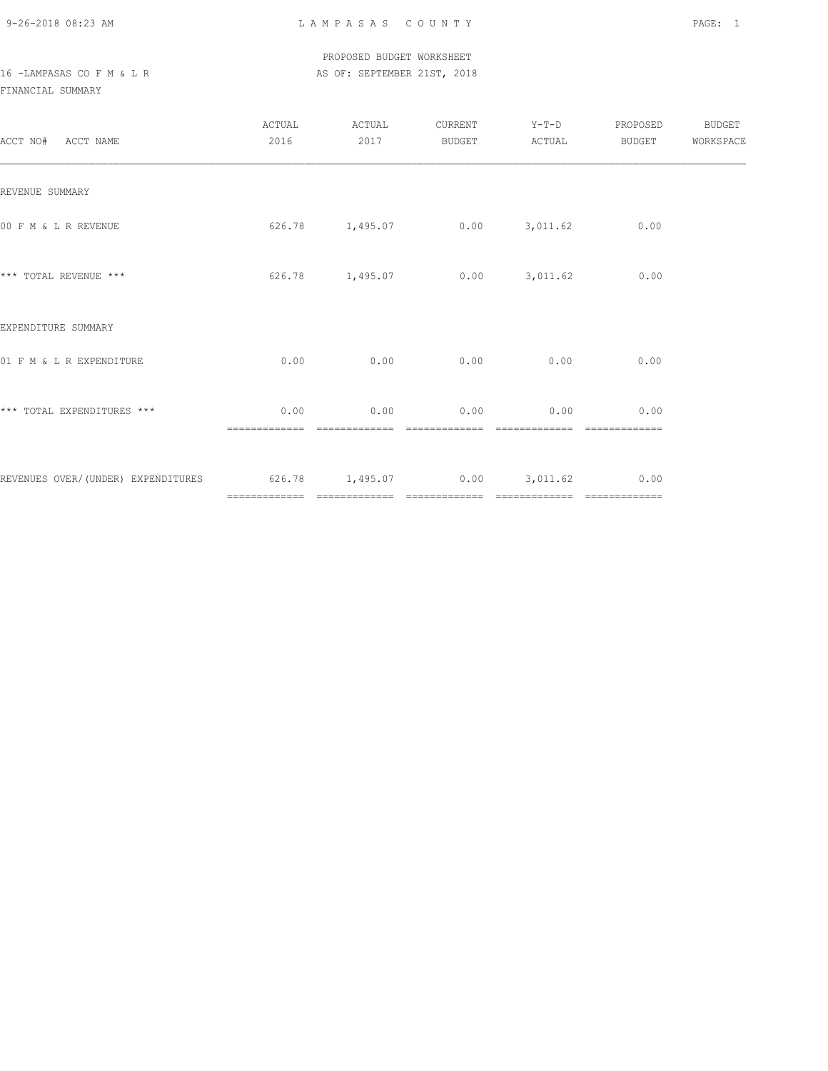9-26-2018 08:23 AM L A M P A S A S C O U N T Y PAGE: 1

 PROPOSED BUDGET WORKSHEET 16 -LAMPASAS CO F M & L R AS OF: SEPTEMBER 21ST, 2018

FINANCIAL SUMMARY

| ACCT NO# ACCT NAME                                               | ACTUAL<br>2016 | ACTUAL<br>2017                  | CURRENT<br>BUDGET | $Y-T-D$<br>ACTUAL | PROPOSED<br><b>BUDGET</b>                                                                                                                                                                                                                                                                                                                                                                                                                                                                      | <b>BUDGET</b><br>WORKSPACE |
|------------------------------------------------------------------|----------------|---------------------------------|-------------------|-------------------|------------------------------------------------------------------------------------------------------------------------------------------------------------------------------------------------------------------------------------------------------------------------------------------------------------------------------------------------------------------------------------------------------------------------------------------------------------------------------------------------|----------------------------|
| REVENUE SUMMARY                                                  |                |                                 |                   |                   |                                                                                                                                                                                                                                                                                                                                                                                                                                                                                                |                            |
| 00 F M & L R REVENUE                                             |                | $626.78$ 1,495.07 0.00 3,011.62 |                   |                   | 0.00                                                                                                                                                                                                                                                                                                                                                                                                                                                                                           |                            |
| *** TOTAL REVENUE ***                                            |                | 626.78 1,495.07                 |                   | $0.00$ $3,011.62$ | 0.00                                                                                                                                                                                                                                                                                                                                                                                                                                                                                           |                            |
| EXPENDITURE SUMMARY                                              |                |                                 |                   |                   |                                                                                                                                                                                                                                                                                                                                                                                                                                                                                                |                            |
| 01 F M & L R EXPENDITURE                                         | 0.00           | 0.00                            | 0.00              | 0.00              | 0.00                                                                                                                                                                                                                                                                                                                                                                                                                                                                                           |                            |
| *** TOTAL EXPENDITURES ***                                       | 0.00           | 0.00                            | 0.00              | 0.00              | 0.00                                                                                                                                                                                                                                                                                                                                                                                                                                                                                           |                            |
| REVENUES OVER/(UNDER) EXPENDITURES 626.78 1,495.07 0.00 3,011.62 |                |                                 |                   |                   | 0.00<br>$\begin{array}{cccccccccccccc} \multicolumn{2}{c}{} & \multicolumn{2}{c}{} & \multicolumn{2}{c}{} & \multicolumn{2}{c}{} & \multicolumn{2}{c}{} & \multicolumn{2}{c}{} & \multicolumn{2}{c}{} & \multicolumn{2}{c}{} & \multicolumn{2}{c}{} & \multicolumn{2}{c}{} & \multicolumn{2}{c}{} & \multicolumn{2}{c}{} & \multicolumn{2}{c}{} & \multicolumn{2}{c}{} & \multicolumn{2}{c}{} & \multicolumn{2}{c}{} & \multicolumn{2}{c}{} & \multicolumn{2}{c}{} & \multicolumn{2}{c}{} & \$ |                            |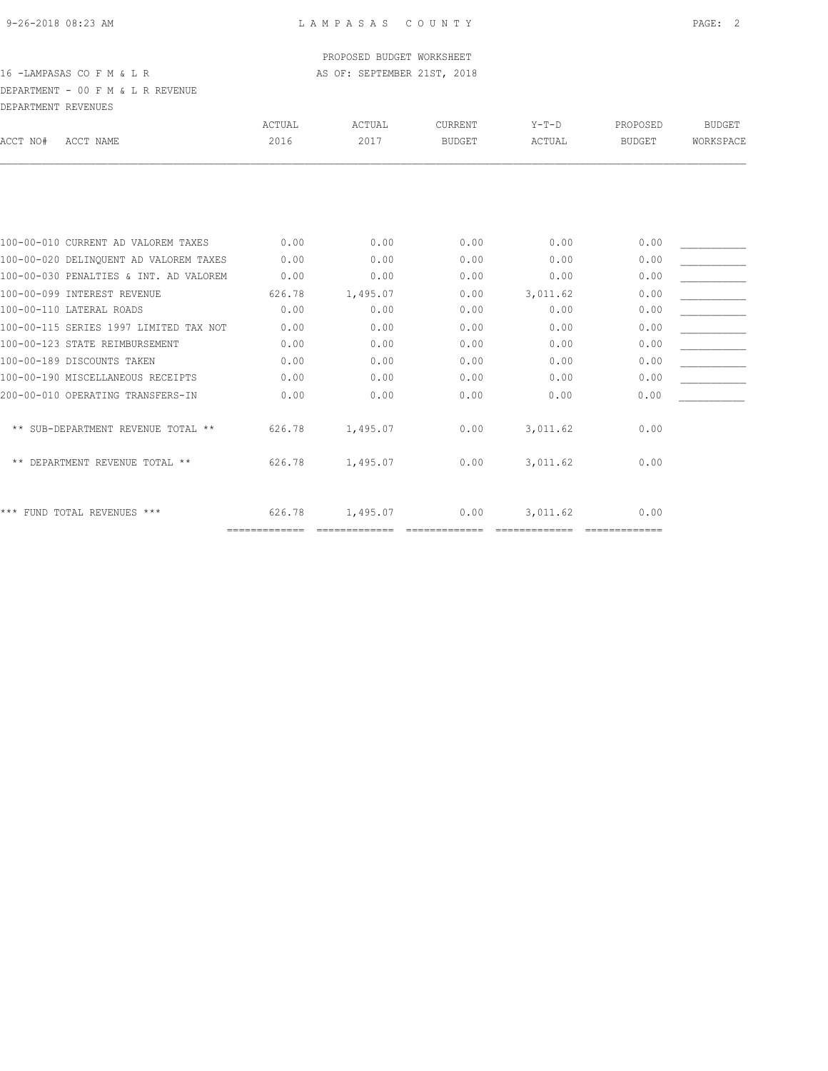### PROPOSED BUDGET WORKSHEET

16 -LAMPASAS CO F M & L R AS OF: SEPTEMBER 21ST, 2018

DEPARTMENT - 00 F M & L R REVENUE DEPARTMENT REVENUES

| ACCT NO# | ACCT NAME                              | ACTUAL<br>2016 | ACTUAL<br>2017 | <b>CURRENT</b><br><b>BUDGET</b> | $Y-T-D$<br>ACTUAL | PROPOSED<br>BUDGET | <b>BUDGET</b><br>WORKSPACE |
|----------|----------------------------------------|----------------|----------------|---------------------------------|-------------------|--------------------|----------------------------|
|          |                                        |                |                |                                 |                   |                    |                            |
|          |                                        |                |                |                                 |                   |                    |                            |
|          | 100-00-010 CURRENT AD VALOREM TAXES    | 0.00           | 0.00           | 0.00                            | 0.00              | 0.00               |                            |
|          | 100-00-020 DELINQUENT AD VALOREM TAXES | 0.00           | 0.00           | 0.00                            | 0.00              | 0.00               |                            |
|          | 100-00-030 PENALTIES & INT. AD VALOREM | 0.00           | 0.00           | 0.00                            | 0.00              | 0.00               |                            |
|          | 100-00-099 INTEREST REVENUE            | 626.78         | 1,495.07       | 0.00                            | 3,011.62          | 0.00               |                            |
|          | 100-00-110 LATERAL ROADS               | 0.00           | 0.00           | 0.00                            | 0.00              | 0.00               |                            |
|          | 100-00-115 SERIES 1997 LIMITED TAX NOT | 0.00           | 0.00           | 0.00                            | 0.00              | 0.00               |                            |
|          | 100-00-123 STATE REIMBURSEMENT         | 0.00           | 0.00           | 0.00                            | 0.00              | 0.00               |                            |
|          | 100-00-189 DISCOUNTS TAKEN             | 0.00           | 0.00           | 0.00                            | 0.00              | 0.00               |                            |
|          | 100-00-190 MISCELLANEOUS RECEIPTS      | 0.00           | 0.00           | 0.00                            | 0.00              | 0.00               |                            |
|          | 200-00-010 OPERATING TRANSFERS-IN      | 0.00           | 0.00           | 0.00                            | 0.00              | 0.00               |                            |
|          | ** SUB-DEPARTMENT REVENUE TOTAL **     | 626.78         | 1,495.07       | 0.00                            | 3,011.62          | 0.00               |                            |
|          | ** DEPARTMENT REVENUE TOTAL **         | 626.78         | 1,495.07       | 0.00                            | 3,011.62          | 0.00               |                            |
|          | *** FUND TOTAL REVENUES ***            | 626.78         | 1,495.07       | 0.00                            | 3,011.62          | 0.00               |                            |
|          |                                        |                |                |                                 |                   |                    |                            |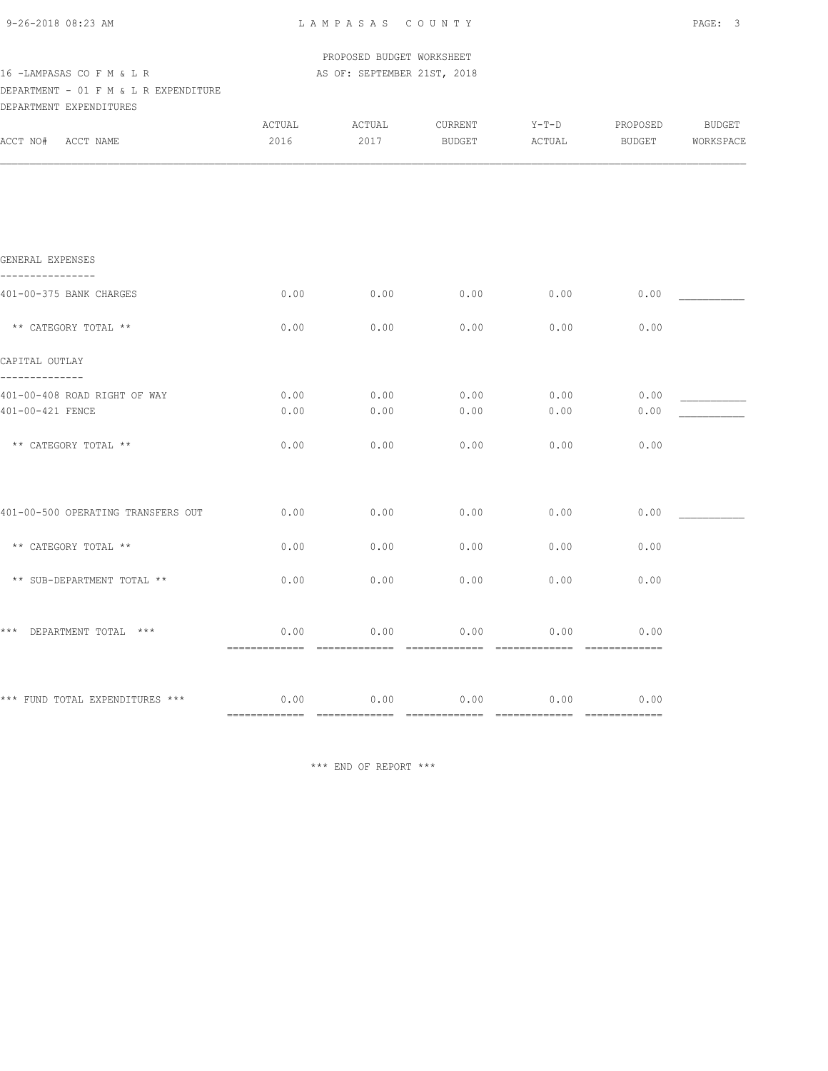| 9-26-2018 08:23 AM                                                                                                                                         |                | LAMPASAS COUNTY |                   |                   |                    | PAGE: 3             |  |
|------------------------------------------------------------------------------------------------------------------------------------------------------------|----------------|-----------------|-------------------|-------------------|--------------------|---------------------|--|
| PROPOSED BUDGET WORKSHEET<br>16 - LAMPASAS CO F M & L R<br>AS OF: SEPTEMBER 21ST, 2018<br>DEPARTMENT - 01 F M & L R EXPENDITURE<br>DEPARTMENT EXPENDITURES |                |                 |                   |                   |                    |                     |  |
| ACCT NO# ACCT NAME                                                                                                                                         | ACTUAL<br>2016 | ACTUAL<br>2017  | CURRENT<br>BUDGET | $Y-T-D$<br>ACTUAL | PROPOSED<br>BUDGET | BUDGET<br>WORKSPACE |  |
|                                                                                                                                                            |                |                 |                   |                   |                    |                     |  |
|                                                                                                                                                            |                |                 |                   |                   |                    |                     |  |
|                                                                                                                                                            |                |                 |                   |                   |                    |                     |  |
| GENERAL EXPENSES<br>----------------                                                                                                                       |                |                 |                   |                   |                    |                     |  |
| 401-00-375 BANK CHARGES                                                                                                                                    | 0.00           | 0.00            | 0.00              | 0.00              | 0.00               |                     |  |
| ** CATEGORY TOTAL **                                                                                                                                       | 0.00           | 0.00            | 0.00              | 0.00              | 0.00               |                     |  |
| CAPITAL OUTLAY<br>--------------                                                                                                                           |                |                 |                   |                   |                    |                     |  |
| 401-00-408 ROAD RIGHT OF WAY<br>401-00-421 FENCE                                                                                                           | 0.00<br>0.00   | 0.00<br>0.00    | 0.00<br>0.00      | 0.00<br>0.00      | 0.00<br>0.00       |                     |  |
| ** CATEGORY TOTAL **                                                                                                                                       | 0.00           | 0.00            | 0.00              | 0.00              | 0.00               |                     |  |
|                                                                                                                                                            |                |                 |                   |                   |                    |                     |  |
| 401-00-500 OPERATING TRANSFERS OUT                                                                                                                         | 0.00           | 0.00            | 0.00              | 0.00              | 0.00               |                     |  |
| ** CATEGORY TOTAL **                                                                                                                                       | 0.00           | 0.00            | 0.00              | 0.00              | 0.00               |                     |  |
| ** SUB-DEPARTMENT TOTAL **                                                                                                                                 | 0.00           | 0.00            | 0.00              | 0.00              | 0.00               |                     |  |

|                                                                 | 0.00 |
|-----------------------------------------------------------------|------|
| 0.00<br>0.00<br>0.00<br>0.00<br>*** FUND TOTAL EXPENDITURES *** | 0.00 |

\*\*\* END OF REPORT \*\*\*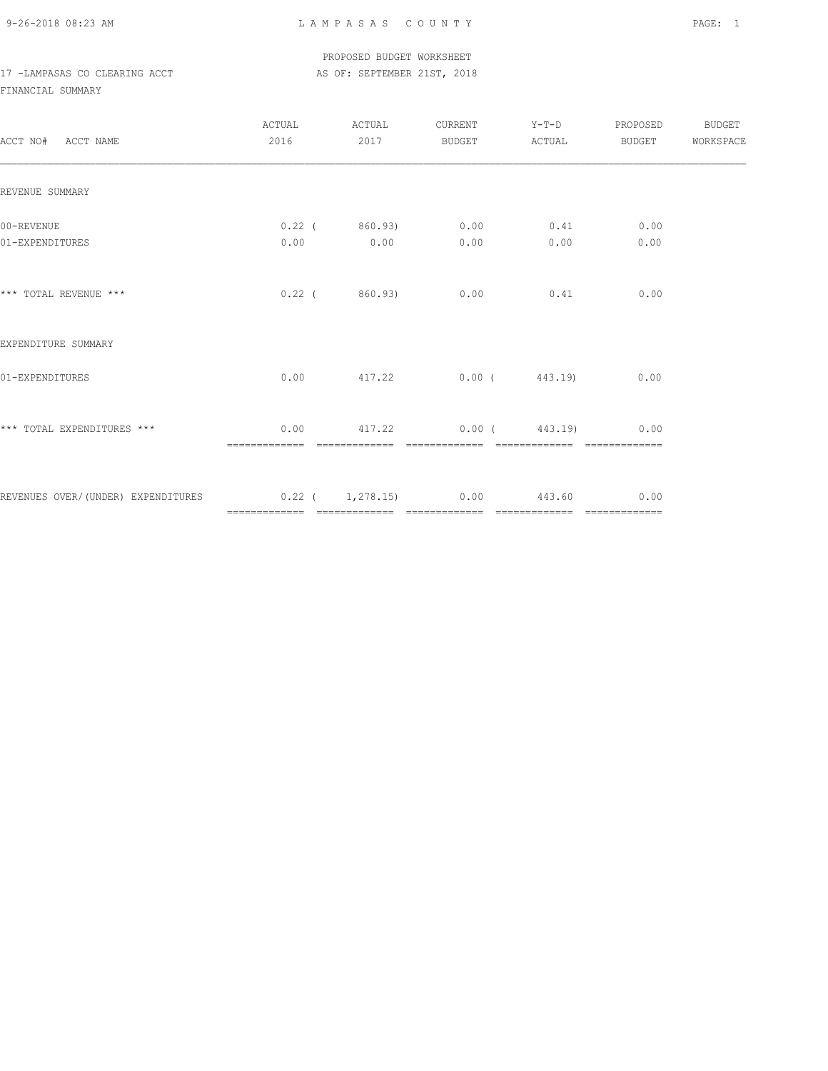9-26-2018 08:23 AM L A M P A S A S C O U N T Y PAGE: 1

 PROPOSED BUDGET WORKSHEET 17 -LAMPASAS CO CLEARING ACCT AS OF: SEPTEMBER 21ST, 2018

FINANCIAL SUMMARY

| ACCT NO# ACCT NAME                                              |               | ACTUAL ACTUAL CURRENT Y-T-D PROPOSED BUDGET<br>2016  2017 BUDGET ACTUAL BUDGET WORKSPACE |      |  |
|-----------------------------------------------------------------|---------------|------------------------------------------------------------------------------------------|------|--|
| REVENUE SUMMARY                                                 |               |                                                                                          |      |  |
| 00-REVENUE<br>01-EXPENDITURES                                   |               | $0.22$ ( $860.93$ ) $0.00$ $0.41$ 0.00<br>$0.00$ $0.00$ $0.00$ $0.00$ $0.00$             | 0.00 |  |
| *** TOTAL REVENUE ***                                           |               | $0.22$ ( 860.93) 0.00 0.41 0.00                                                          |      |  |
| EXPENDITURE SUMMARY                                             |               |                                                                                          |      |  |
| 01-EXPENDITURES                                                 |               | $0.00$ $417.22$ $0.00$ $443.19$ $0.00$                                                   |      |  |
| *** TOTAL EXPENDITURES ***                                      | ============= | $0.00$ $417.22$ $0.00$ $443.19$ $0.00$                                                   |      |  |
| REVENUES OVER/(UNDER) EXPENDITURES 0.22 ( 1,278.15) 0.00 443.60 |               |                                                                                          | 0.00 |  |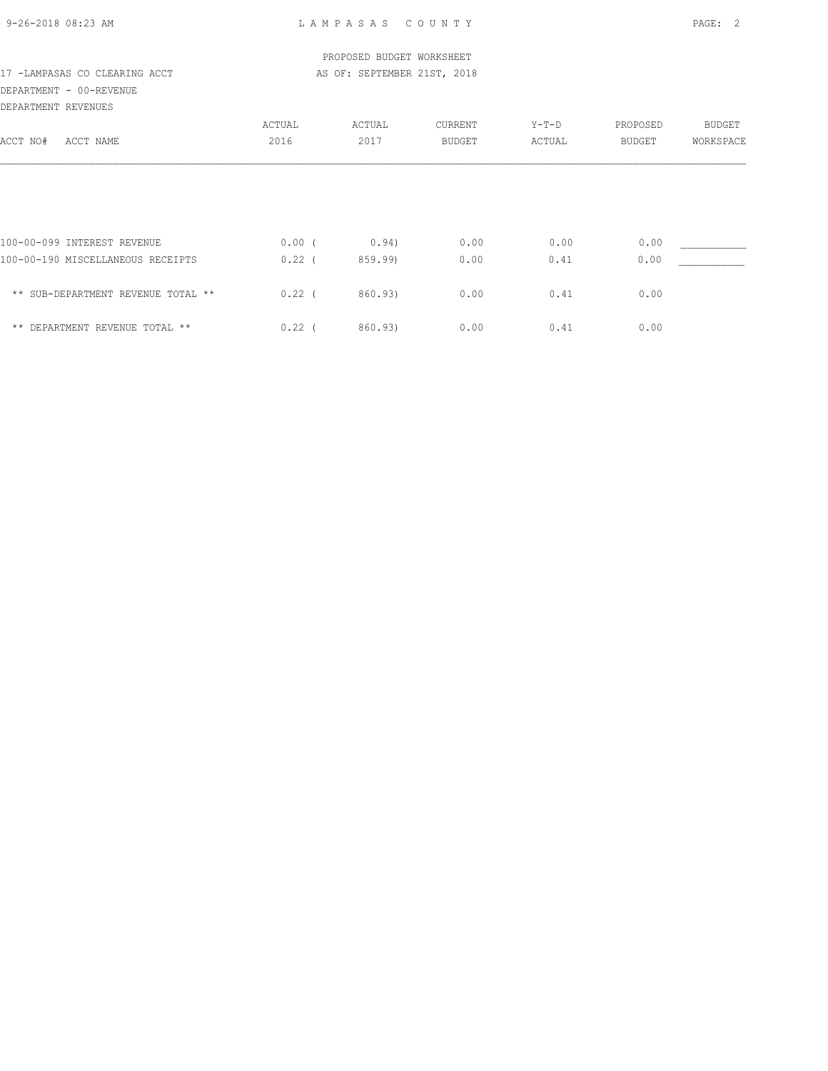9-26-2018 08:23 AM L A M P A S A S C O U N T Y PAGE: 2

|                                    |          | PROPOSED BUDGET WORKSHEET   |         |        |               |           |
|------------------------------------|----------|-----------------------------|---------|--------|---------------|-----------|
| 17 - LAMPASAS CO CLEARING ACCT     |          | AS OF: SEPTEMBER 21ST, 2018 |         |        |               |           |
| DEPARTMENT - 00-REVENUE            |          |                             |         |        |               |           |
| DEPARTMENT REVENUES                |          |                             |         |        |               |           |
|                                    | ACTUAL   | ACTUAL                      | CURRENT | Y-T-D  | PROPOSED      | BUDGET    |
| ACCT NO#<br>ACCT NAME              | 2016     | 2017                        | BUDGET  | ACTUAL | <b>BUDGET</b> | WORKSPACE |
|                                    |          |                             |         |        |               |           |
| 100-00-099 INTEREST REVENUE        | $0.00$ ( | 0.94)                       | 0.00    | 0.00   | 0.00          |           |
| 100-00-190 MISCELLANEOUS RECEIPTS  | $0.22$ ( | 859.99)                     | 0.00    | 0.41   | 0.00          |           |
| ** SUB-DEPARTMENT REVENUE TOTAL ** | $0.22$ ( | 860.93)                     | 0.00    | 0.41   | 0.00          |           |
| ** DEPARTMENT REVENUE TOTAL **     | $0.22$ ( | 860.93)                     | 0.00    | 0.41   | 0.00          |           |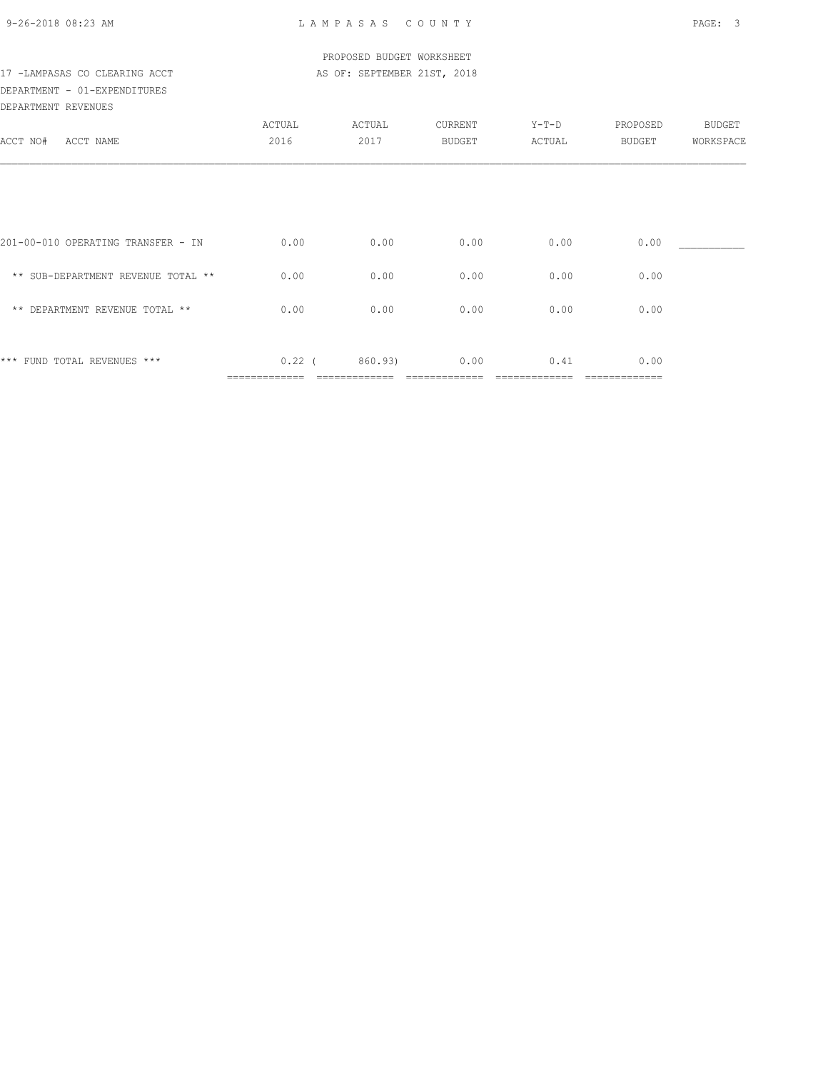|  | 9-26-2018 08:23 AM |  |
|--|--------------------|--|

|                                    |        | PROPOSED BUDGET WORKSHEET   |               |        |          |           |
|------------------------------------|--------|-----------------------------|---------------|--------|----------|-----------|
| 17 -LAMPASAS CO CLEARING ACCT      |        | AS OF: SEPTEMBER 21ST, 2018 |               |        |          |           |
| DEPARTMENT - 01-EXPENDITURES       |        |                             |               |        |          |           |
| DEPARTMENT REVENUES                |        |                             |               |        |          |           |
|                                    | ACTUAL | ACTUAL                      | CURRENT       | Y-T-D  | PROPOSED | BUDGET    |
| ACCT NO#<br>ACCT NAME              | 2016   | 2017                        | <b>BUDGET</b> | ACTUAL | BUDGET   | WORKSPACE |
|                                    |        |                             |               |        |          |           |
|                                    |        |                             |               |        |          |           |
|                                    |        |                             |               |        |          |           |
|                                    |        |                             |               |        |          |           |
| 201-00-010 OPERATING TRANSFER - IN | 0.00   | 0.00                        | 0.00          | 0.00   | 0.00     |           |
|                                    |        |                             |               |        |          |           |
| ** SUB-DEPARTMENT REVENUE TOTAL ** | 0.00   | 0.00                        | 0.00          | 0.00   | 0.00     |           |
|                                    |        |                             |               |        |          |           |
| ** DEPARTMENT REVENUE TOTAL **     | 0.00   | 0.00                        | 0.00          | 0.00   | 0.00     |           |

\*\*\* FUND TOTAL REVENUES \*\*\* 0.22 (860.93) 0.00 0.41 0.00 ============= ============= ============= ============= =============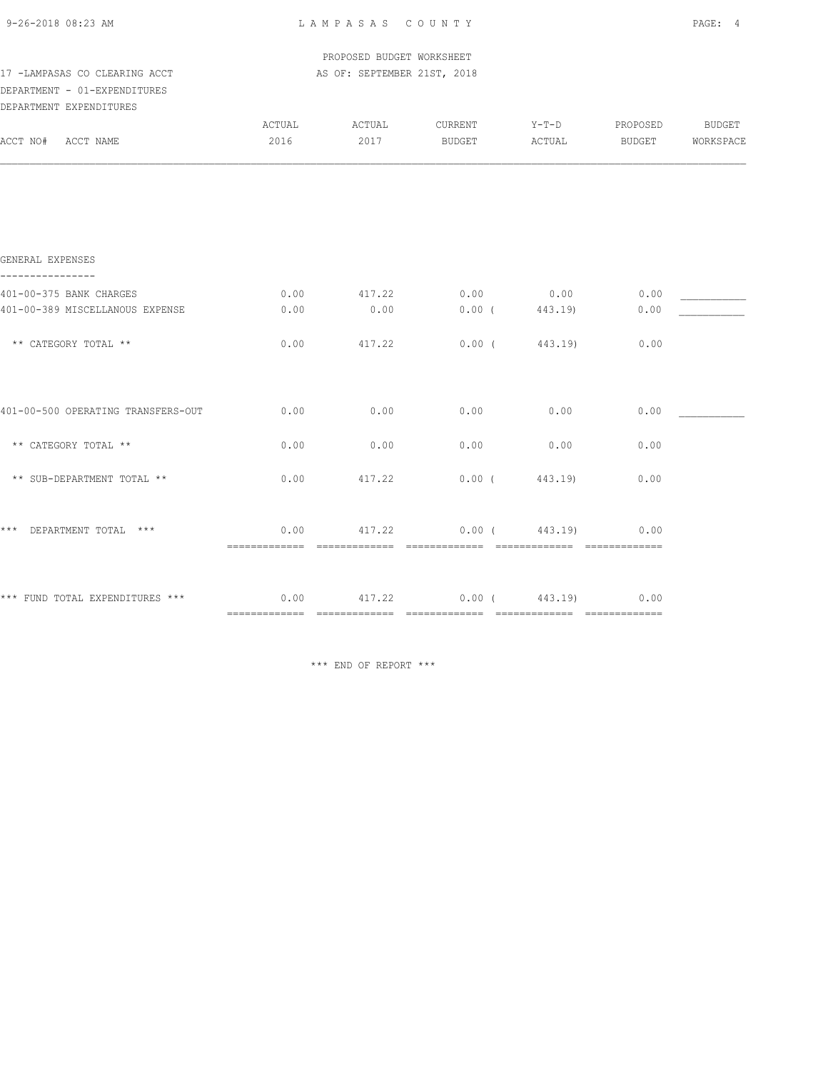| 9-26-2018 08:23 AM |  |
|--------------------|--|
|                    |  |

| 9-26-2018 08:23 AM                 |               | LAMPASAS COUNTY             |                  |                          |                  | PAGE: 4 |
|------------------------------------|---------------|-----------------------------|------------------|--------------------------|------------------|---------|
|                                    |               | PROPOSED BUDGET WORKSHEET   |                  |                          |                  |         |
| 17 -LAMPASAS CO CLEARING ACCT      |               | AS OF: SEPTEMBER 21ST, 2018 |                  |                          |                  |         |
| DEPARTMENT - 01-EXPENDITURES       |               |                             |                  |                          |                  |         |
| DEPARTMENT EXPENDITURES            |               |                             |                  |                          |                  |         |
|                                    | <b>ACTUAL</b> | ACTUAL                      | CURRENT          |                          | Y-T-D PROPOSED   | BUDGET  |
| ACCT NO# ACCT NAME                 | 2016          | 2017                        | BUDGET           | ACTUAL                   | BUDGET WORKSPACE |         |
|                                    |               |                             |                  |                          |                  |         |
|                                    |               |                             |                  |                          |                  |         |
|                                    |               |                             |                  |                          |                  |         |
| GENERAL EXPENSES                   |               |                             |                  |                          |                  |         |
| 401-00-375 BANK CHARGES            | 0.00          |                             | 417.22 0.00 0.00 |                          | 0.00             |         |
| 401-00-389 MISCELLANOUS EXPENSE    | 0.00          | 0.00                        | 0.00(443.19)     |                          | 0.00             |         |
| ** CATEGORY TOTAL **               | 0.00          | 417.22                      |                  | $0.00$ ( $443.19$ )      | 0.00             |         |
|                                    |               |                             |                  |                          |                  |         |
| 401-00-500 OPERATING TRANSFERS-OUT | 0.00          | 0.00                        | 0.00             | 0.00                     | 0.00             |         |
| ** CATEGORY TOTAL **               | 0.00          | 0.00                        | 0.00             | 0.00                     | 0.00             |         |
| ** SUB-DEPARTMENT TOTAL **         | 0.00          | 417.22                      |                  | 0.00(443.19)             | 0.00             |         |
|                                    |               |                             |                  |                          |                  |         |
| *** DEPARTMENT TOTAL ***           |               | $0.00$ $417.22$             |                  | $0.00$ ( $443.19$ ) 0.00 |                  |         |

\*\*\* FUND TOTAL EXPENDITURES \*\*\* 0.00 417.22 0.00 ( 443.19) 0.00

\*\*\* END OF REPORT \*\*\*

============= ============= ============= ============= =============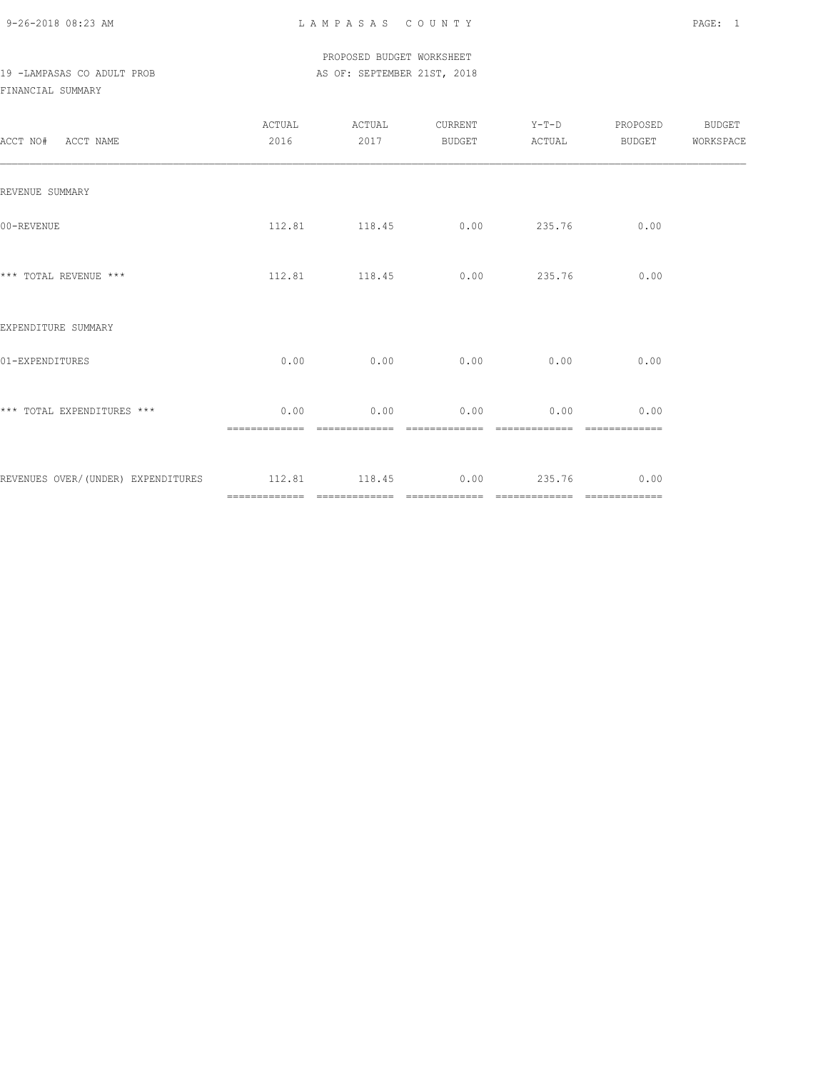9-26-2018 08:23 AM L A M P A S A S C O U N T Y PAGE: 1

|                            |  |  | PROPOSED BUDGET WORKSHEET   |  |
|----------------------------|--|--|-----------------------------|--|
| 19 -LAMPASAS CO ADULT PROB |  |  | AS OF: SEPTEMBER 21ST, 2018 |  |

### FINANCIAL SUMMARY

| ACCT NO# ACCT NAME                                                | ACTUAL<br>2016 | ACTUAL<br>2017        | BUDGET ACTUAL                      | CURRENT Y-T-D | PROPOSED BUDGET<br><b>BUDGET</b> | WORKSPACE |
|-------------------------------------------------------------------|----------------|-----------------------|------------------------------------|---------------|----------------------------------|-----------|
| REVENUE SUMMARY                                                   |                |                       |                                    |               |                                  |           |
| 00-REVENUE                                                        |                |                       | 112.81 118.45 0.00 235.76          |               | 0.00                             |           |
| *** TOTAL REVENUE ***                                             |                |                       | 112.81 118.45 0.00 235.76          |               | 0.00                             |           |
| EXPENDITURE SUMMARY                                               |                |                       |                                    |               |                                  |           |
| 01-EXPENDITURES                                                   |                |                       | $0.00$ $0.00$ $0.00$ $0.00$ $0.00$ |               | 0.00                             |           |
| *** TOTAL EXPENDITURES ***                                        | 0.00           | 0.00<br>============= | 0.00<br>=============              | 0.00          | 0.00                             |           |
| REVENUES OVER/(UNDER) EXPENDITURES 112.81 118.45 0.00 235.76 0.00 |                |                       |                                    |               |                                  |           |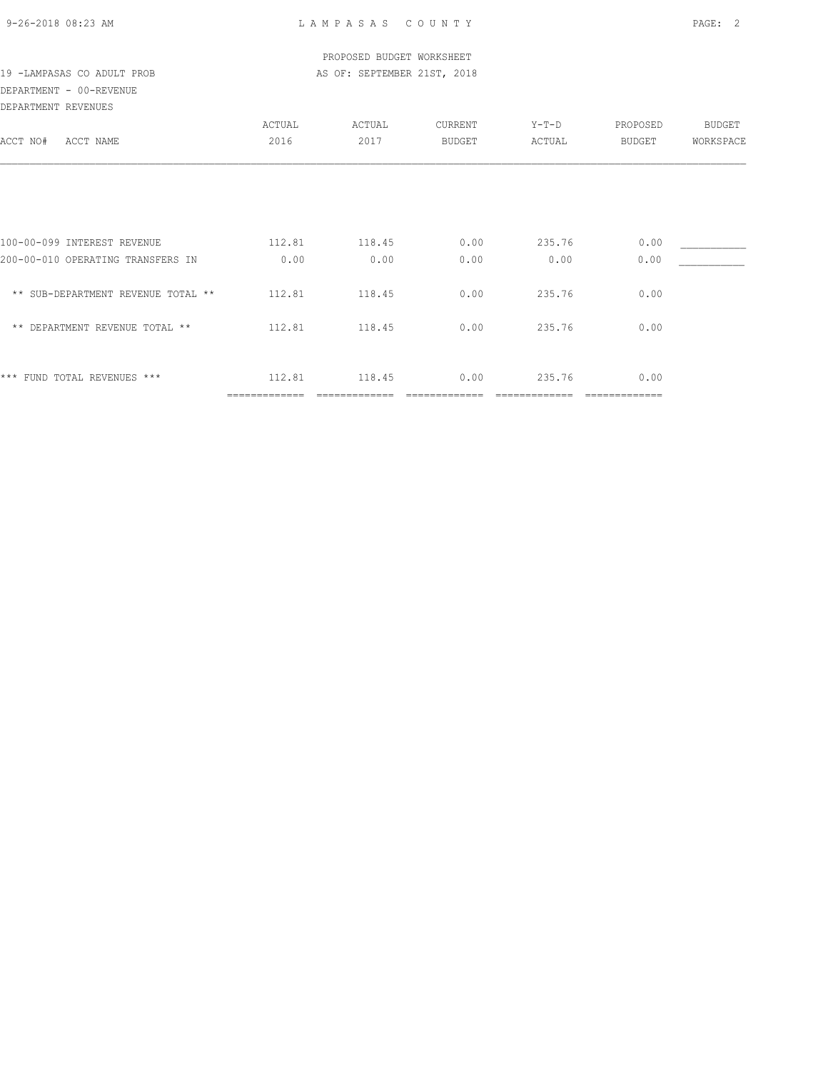| 9-26-2018 08:23 AM |  |
|--------------------|--|

| 19 -LAMPASAS CO ADULT PROB<br>DEPARTMENT - 00-REVENUE |                         | PROPOSED BUDGET WORKSHEET<br>AS OF: SEPTEMBER 21ST, 2018 |               |                 |          |           |
|-------------------------------------------------------|-------------------------|----------------------------------------------------------|---------------|-----------------|----------|-----------|
| DEPARTMENT REVENUES                                   | ACTUAL                  | ACTUAL                                                   | CURRENT       |                 | PROPOSED | BUDGET    |
| ACCT NO#<br>ACCT NAME                                 | 2016                    | 2017                                                     | <b>BUDGET</b> | Y-T-D<br>ACTUAL | BUDGET   | WORKSPACE |
|                                                       |                         |                                                          |               |                 |          |           |
| 100-00-099 INTEREST REVENUE                           | 112.81                  | 118.45                                                   | 0.00          | 235.76          | 0.00     |           |
| 200-00-010 OPERATING TRANSFERS IN                     | 0.00                    | 0.00                                                     | 0.00          | 0.00            | 0.00     |           |
| ** SUB-DEPARTMENT REVENUE TOTAL **                    | 112.81                  | 118.45                                                   | 0.00          | 235.76          | 0.00     |           |
| ** DEPARTMENT REVENUE TOTAL **                        | 112.81                  | 118.45                                                   | 0.00          | 235.76          | 0.00     |           |
| *** FUND TOTAL REVENUES ***                           | 112.81<br>============= | 118.45                                                   | 0.00          | 235.76          | 0.00     |           |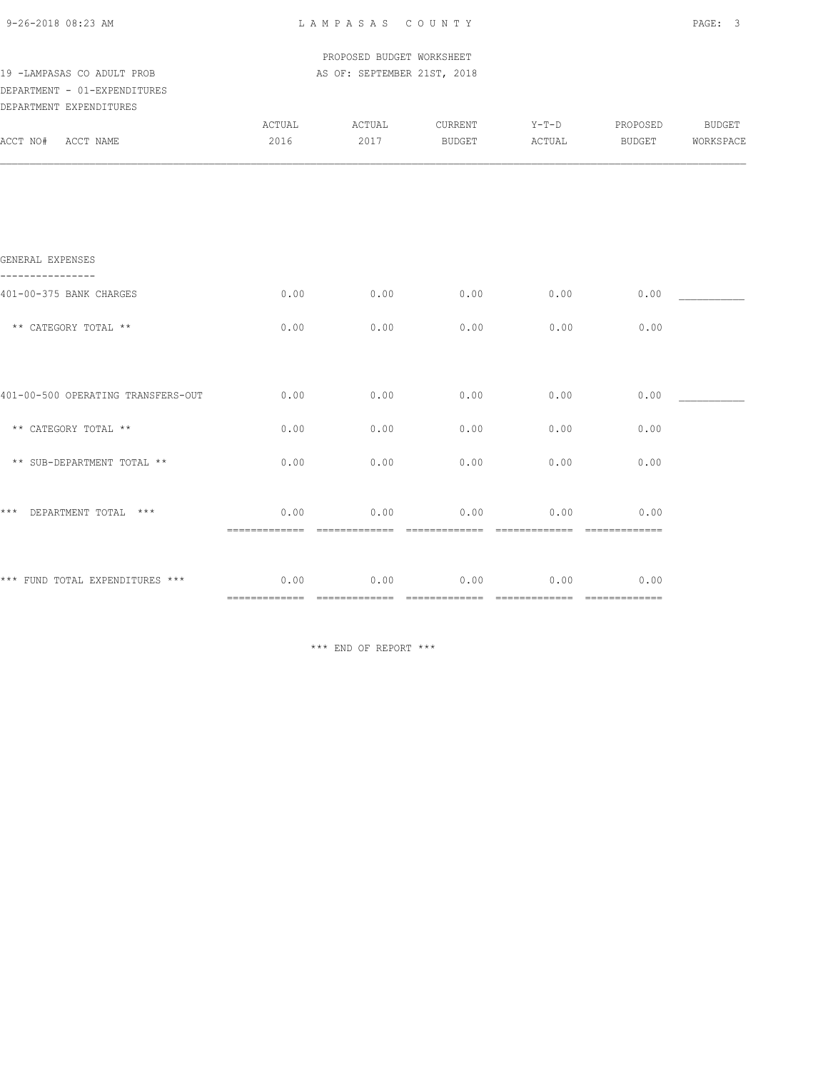| 9-26-2018 08:23 AM |  |
|--------------------|--|
|                    |  |

|                                      |        | PROPOSED BUDGET WORKSHEET   |         |         |          |           |
|--------------------------------------|--------|-----------------------------|---------|---------|----------|-----------|
| 19 -LAMPASAS CO ADULT PROB           |        | AS OF: SEPTEMBER 21ST, 2018 |         |         |          |           |
| DEPARTMENT - 01-EXPENDITURES         |        |                             |         |         |          |           |
| DEPARTMENT EXPENDITURES              |        |                             |         |         |          |           |
|                                      | ACTUAL | ACTUAL                      | CURRENT | $Y-T-D$ | PROPOSED | BUDGET    |
| ACCT NO# ACCT NAME                   | 2016   | 2017                        | BUDGET  | ACTUAL  | BUDGET   | WORKSPACE |
|                                      |        |                             |         |         |          |           |
| GENERAL EXPENSES                     |        |                             |         |         |          |           |
| 401-00-375 BANK CHARGES              | 0.00   | 0.00                        | 0.00    | 0.00    | 0.00     |           |
| ** CATEGORY TOTAL **                 | 0.00   | 0.00                        | 0.00    | 0.00    | 0.00     |           |
|                                      |        |                             |         |         |          |           |
| 401-00-500 OPERATING TRANSFERS-OUT   | 0.00   | 0.00                        | 0.00    | 0.00    | 0.00     |           |
| ** CATEGORY TOTAL **                 | 0.00   | 0.00                        | 0.00    | 0.00    | 0.00     |           |
| ** SUB-DEPARTMENT TOTAL **           | 0.00   | 0.00                        | 0.00    | 0.00    | 0.00     |           |
| *** DEPARTMENT TOTAL ***             | 0.00   | 0.00                        | 0.00    | 0.00    | 0.00     |           |
|                                      |        |                             |         |         |          |           |
| *** FUND TOTAL EXPENDITURES *** 0.00 |        | 0.00                        | 0.00    | 0.00    | 0.00     |           |
|                                      |        |                             |         |         |          |           |

\*\*\* END OF REPORT \*\*\*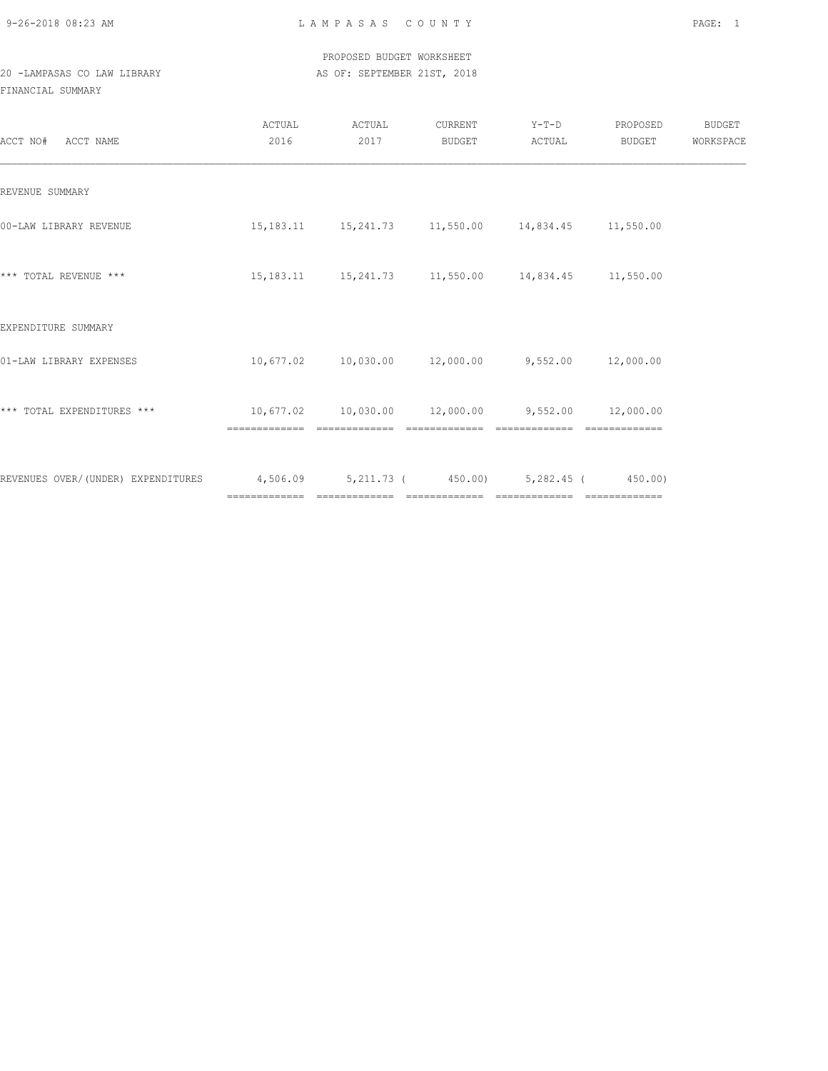9-26-2018 08:23 AM L A M P A S A S C O U N T Y PAGE: 1

 PROPOSED BUDGET WORKSHEET 20 -LAMPASAS CO LAW LIBRARY **AS OF: SEPTEMBER 21ST, 2018** 

FINANCIAL SUMMARY

| ACCT NO# ACCT NAME                                                              | ACTUAL<br>2016 | ACTUAL<br>2017 | CURRENT<br><b>BUDGET</b> | $Y-T-D$<br>ACTUAL                                                           | PROPOSED<br>BUDGET | BUDGET<br>WORKSPACE |
|---------------------------------------------------------------------------------|----------------|----------------|--------------------------|-----------------------------------------------------------------------------|--------------------|---------------------|
| REVENUE SUMMARY                                                                 |                |                |                          |                                                                             |                    |                     |
| 00-LAW LIBRARY REVENUE                                                          |                |                |                          | 15, 183.11 15, 241.73 11, 550.00 14, 834.45 11, 550.00                      |                    |                     |
| *** TOTAL REVENUE ***                                                           |                |                |                          | 15, 183.11 15, 241.73 11, 550.00 14, 834.45 11, 550.00                      |                    |                     |
| EXPENDITURE SUMMARY                                                             |                |                |                          |                                                                             |                    |                     |
| 01-LAW LIBRARY EXPENSES                                                         |                |                |                          | $10,677.02$ $10,030.00$ $12,000.00$ $9,552.00$ $12,000.00$                  |                    |                     |
| *** TOTAL EXPENDITURES ***                                                      |                | =============  | =============            | $10,677.02$ $10,030.00$ $12,000.00$ $9,552.00$ $12,000.00$<br>============= |                    |                     |
| REVENUES OVER/(UNDER) EXPENDITURES 4,506.09 5,211.73 (450.00) 5,282.45 (450.00) |                |                |                          |                                                                             |                    |                     |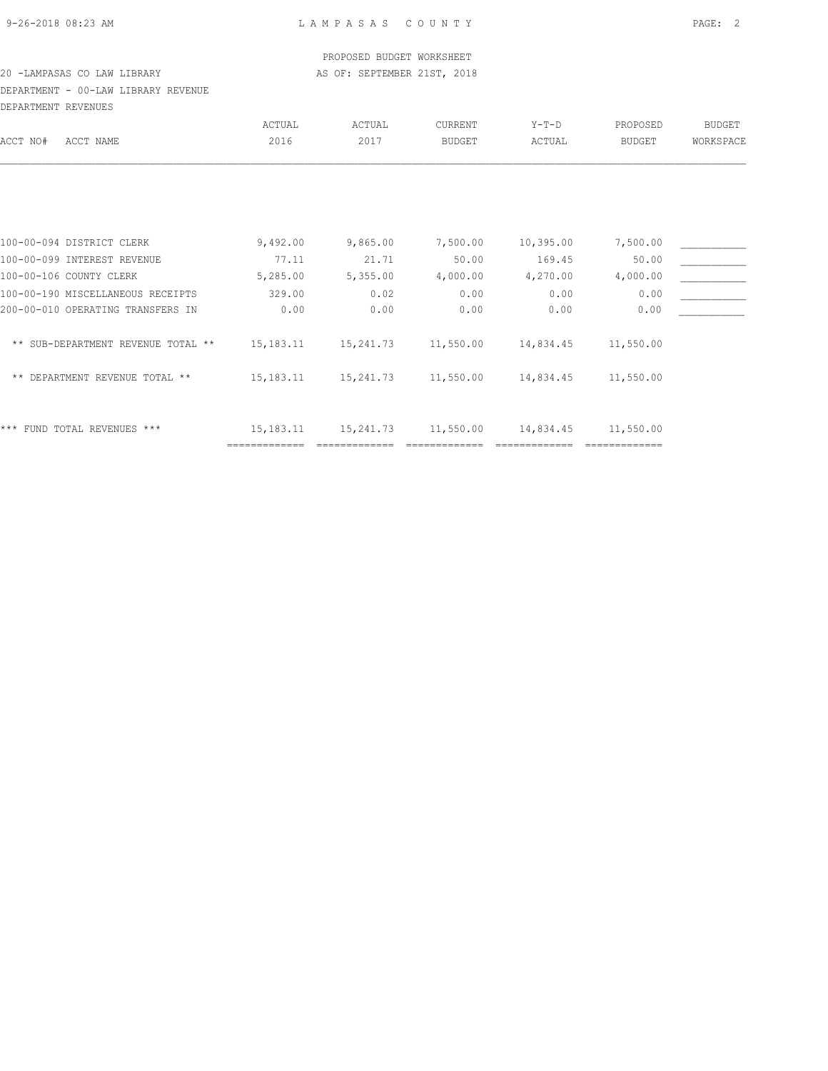### PROPOSED BUDGET WORKSHEET 20 -LAMPASAS CO LAW LIBRARY **AS OF: SEPTEMBER 21ST, 2018**

DEPARTMENT - 00-LAW LIBRARY REVENUE DEPARTMENT REVENUES

|                                    | ACTUAL                       | ACTUAL    | <b>CURRENT</b> | $Y-T-D$   | PROPOSED      | <b>BUDGET</b> |
|------------------------------------|------------------------------|-----------|----------------|-----------|---------------|---------------|
| ACCT NO#<br>ACCT NAME              | 2016                         | 2017      | <b>BUDGET</b>  | ACTUAL    | <b>BUDGET</b> | WORKSPACE     |
|                                    |                              |           |                |           |               |               |
|                                    |                              |           |                |           |               |               |
| 100-00-094 DISTRICT CLERK          | 9,492.00                     | 9,865.00  | 7,500.00       | 10,395.00 | 7,500.00      |               |
| 100-00-099 INTEREST REVENUE        | 77.11                        | 21.71     | 50.00          | 169.45    | 50.00         |               |
| 100-00-106 COUNTY CLERK            | 5,285.00                     | 5,355.00  | 4,000.00       | 4,270.00  | 4,000.00      |               |
| 100-00-190 MISCELLANEOUS RECEIPTS  | 329.00                       | 0.02      | 0.00           | 0.00      | 0.00          |               |
| 200-00-010 OPERATING TRANSFERS IN  | 0.00                         | 0.00      | 0.00           | 0.00      | 0.00          |               |
| ** SUB-DEPARTMENT REVENUE TOTAL ** | 15,183.11                    | 15,241.73 | 11,550.00      | 14,834.45 | 11,550.00     |               |
| ** DEPARTMENT REVENUE TOTAL **     | 15, 183. 11                  | 15,241.73 | 11,550.00      | 14,834.45 | 11,550.00     |               |
| *** FUND TOTAL REVENUES ***        | 15, 183. 11<br>------------- | 15,241.73 | 11,550.00      | 14,834.45 | 11,550.00     |               |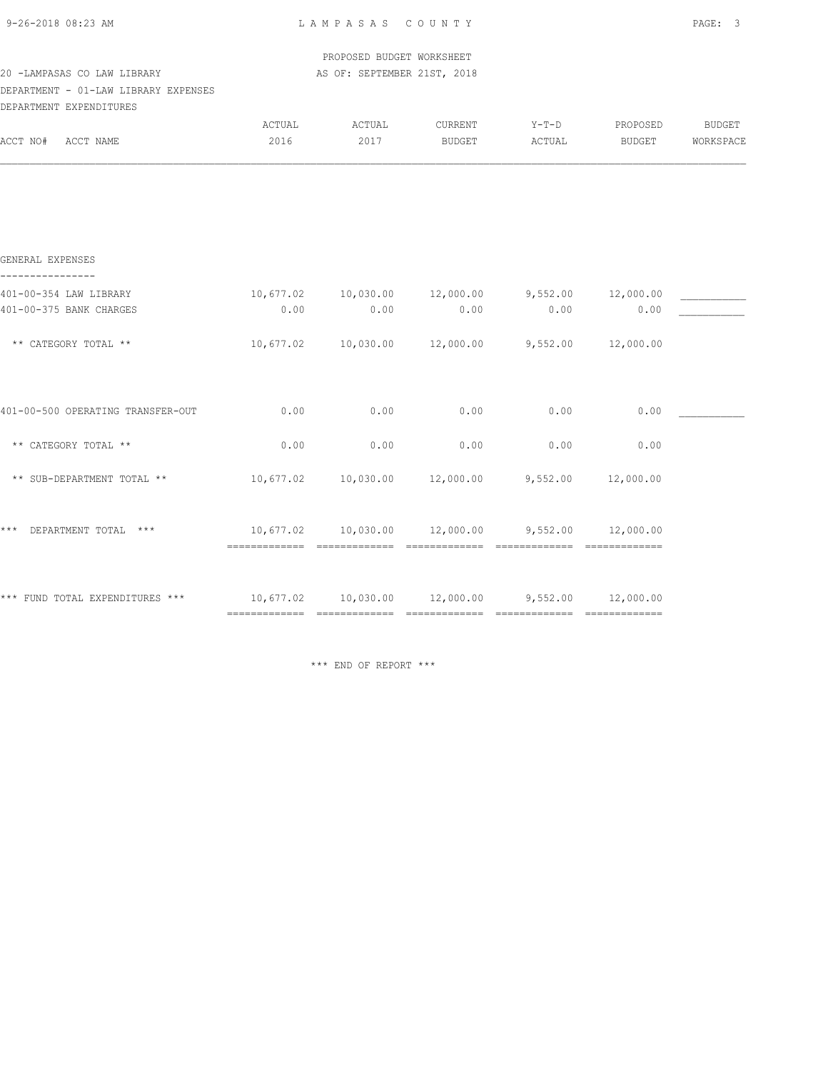| 9-26-2018 08:23 AM                                                  |                                                          | LAMPASAS COUNTY |                                                            |                   |                    | PAGE: 3                    |
|---------------------------------------------------------------------|----------------------------------------------------------|-----------------|------------------------------------------------------------|-------------------|--------------------|----------------------------|
| 20 -LAMPASAS CO LAW LIBRARY<br>DEPARTMENT - 01-LAW LIBRARY EXPENSES | PROPOSED BUDGET WORKSHEET<br>AS OF: SEPTEMBER 21ST, 2018 |                 |                                                            |                   |                    |                            |
| DEPARTMENT EXPENDITURES                                             |                                                          |                 |                                                            |                   |                    |                            |
| ACCT NO# ACCT NAME                                                  | ACTUAL<br>2016                                           | ACTUAL<br>2017  | CURRENT<br>BUDGET                                          | $Y-T-D$<br>ACTUAL | PROPOSED<br>BUDGET | <b>BUDGET</b><br>WORKSPACE |
|                                                                     |                                                          |                 |                                                            |                   |                    |                            |
| GENERAL EXPENSES                                                    |                                                          |                 |                                                            |                   |                    |                            |
| 401-00-354 LAW LIBRARY                                              |                                                          |                 | $10,677.02$ $10,030.00$ $12,000.00$ $9,552.00$ $12,000.00$ |                   |                    |                            |
| 401-00-375 BANK CHARGES                                             | 0.00                                                     | 0.00            | 0.00                                                       | 0.00              | 0.00               |                            |
| ** CATEGORY TOTAL **                                                |                                                          |                 | $10,677.02$ $10,030.00$ $12,000.00$ $9,552.00$ $12,000.00$ |                   |                    |                            |
| 401-00-500 OPERATING TRANSFER-OUT                                   | 0.00                                                     | 0.00            | 0.00                                                       | 0.00              | 0.00               |                            |
| ** CATEGORY TOTAL **                                                | 0.00                                                     | 0.00            | 0.00                                                       | 0.00              | 0.00               |                            |
| ** SUB-DEPARTMENT TOTAL **                                          |                                                          |                 | $10,677.02$ $10,030.00$ $12,000.00$ $9,552.00$ $12,000.00$ |                   |                    |                            |
| $***$<br>DEPARTMENT TOTAL ***                                       |                                                          |                 | $10,677.02$ $10,030.00$ $12,000.00$ $9,552.00$ $12,000.00$ |                   |                    |                            |

\*\*\* FUND TOTAL EXPENDITURES \*\*\* 10,677.02 10,030.00 12,000.00 9,552.00 12,000.00

\*\*\* END OF REPORT \*\*\*

============= ============= ============= ============= =============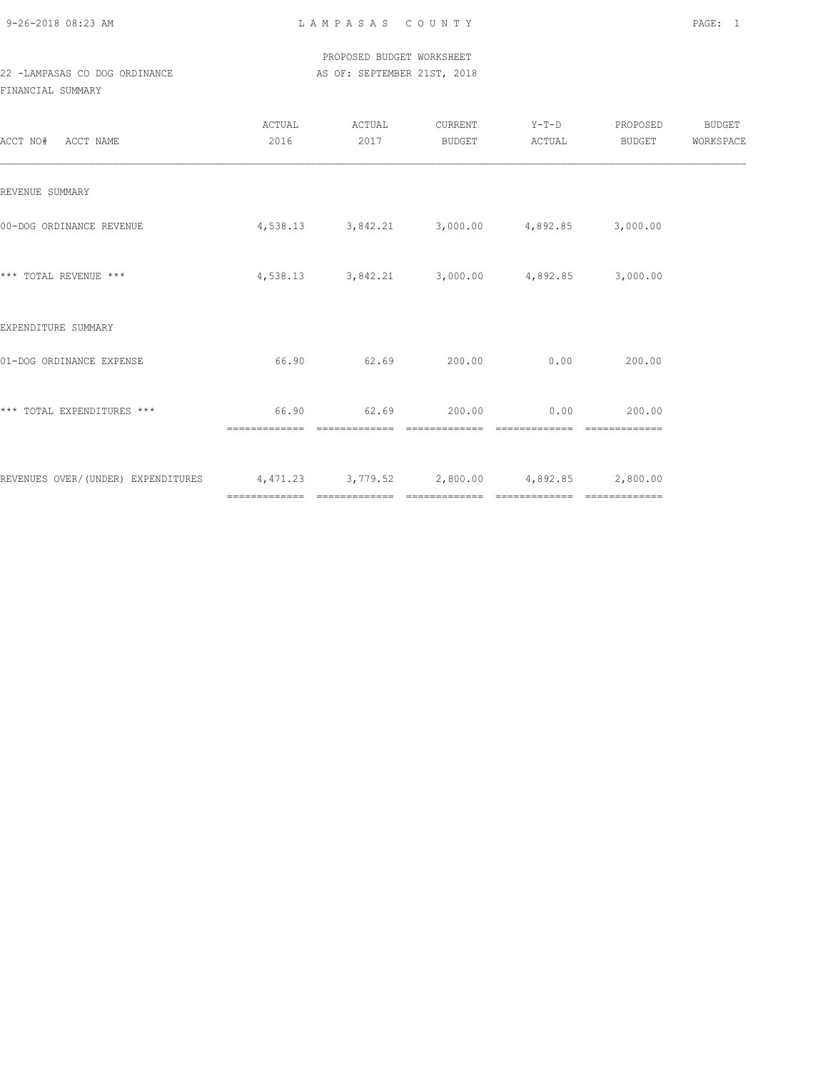9-26-2018 08:23 AM L A M P A S A S C O U N T Y PAGE: 1

 PROPOSED BUDGET WORKSHEET 22 -LAMPASAS CO DOG ORDINANCE AS OF: SEPTEMBER 21ST, 2018

FINANCIAL SUMMARY

| ACCT NO# ACCT NAME                                                              | ACTUAL<br>2016 | ACTUAL<br>2017 | CURRENT<br>BUDGET | $Y-T-D$<br>ACTUAL                                      | PROPOSED<br>BUDGET | <b>BUDGET</b><br>WORKSPACE |
|---------------------------------------------------------------------------------|----------------|----------------|-------------------|--------------------------------------------------------|--------------------|----------------------------|
| REVENUE SUMMARY                                                                 |                |                |                   |                                                        |                    |                            |
| 00-DOG ORDINANCE REVENUE                                                        |                |                |                   | $4,538.13$ $3,842.21$ $3,000.00$ $4,892.85$ $3,000.00$ |                    |                            |
| *** TOTAL REVENUE ***                                                           |                |                |                   | 4,538.13 3,842.21 3,000.00 4,892.85 3,000.00           |                    |                            |
| EXPENDITURE SUMMARY                                                             |                |                |                   |                                                        |                    |                            |
| 01-DOG ORDINANCE EXPENSE                                                        | 66.90          | 62.69          | 200.00            | 0.00                                                   | 200.00             |                            |
| *** TOTAL EXPENDITURES ***                                                      | 66.90          |                | 62.69 200.00      | 0.00                                                   | 200.00             |                            |
| REVENUES OVER/(UNDER) EXPENDITURES 4,471.23 3,779.52 2,800.00 4,892.85 2,800.00 |                |                |                   |                                                        | --------------     |                            |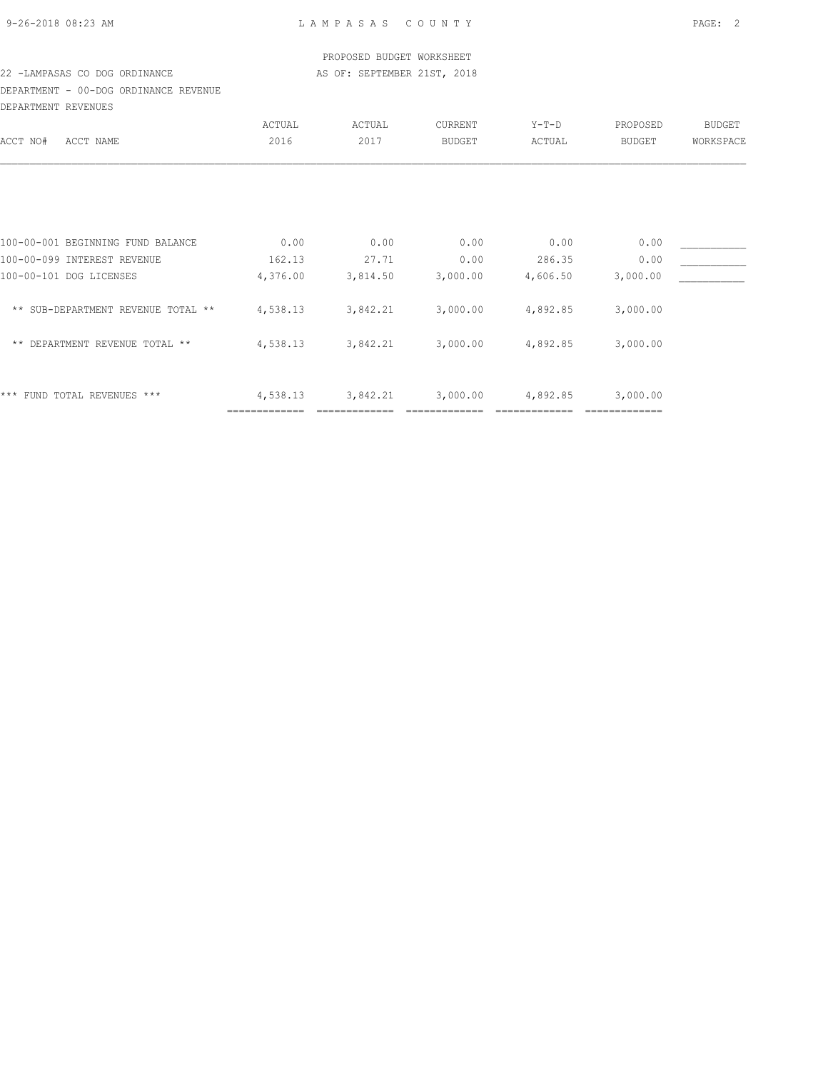### PROPOSED BUDGET WORKSHEET 22 -LAMPASAS CO DOG ORDINANCE AS OF: SEPTEMBER 21ST, 2018

DEPARTMENT - 00-DOG ORDINANCE REVENUE DEPARTMENT REVENUES

|                                    | ACTUAL        | ACTUAL   | CURRENT       | $Y-T-D$  | PROPOSED | <b>BUDGET</b> |
|------------------------------------|---------------|----------|---------------|----------|----------|---------------|
| ACCT NO#<br>ACCT NAME              | 2016          | 2017     | <b>BUDGET</b> | ACTUAL   | BUDGET   | WORKSPACE     |
|                                    |               |          |               |          |          |               |
| 100-00-001 BEGINNING FUND BALANCE  | 0.00          | 0.00     | 0.00          | 0.00     | 0.00     |               |
| 100-00-099 INTEREST REVENUE        | 162.13        | 27.71    | 0.00          | 286.35   | 0.00     |               |
| 100-00-101 DOG LICENSES            | 4,376.00      | 3,814.50 | 3,000.00      | 4,606.50 | 3,000.00 |               |
| ** SUB-DEPARTMENT REVENUE TOTAL ** | 4,538.13      | 3,842.21 | 3,000.00      | 4,892.85 | 3,000.00 |               |
| ** DEPARTMENT REVENUE TOTAL **     | 4,538.13      | 3,842.21 | 3,000.00      | 4,892.85 | 3,000.00 |               |
| FUND TOTAL REVENUES ***<br>***     | 4,538.13      | 3,842.21 | 3,000.00      | 4,892.85 | 3,000.00 |               |
|                                    | ============= |          |               |          |          |               |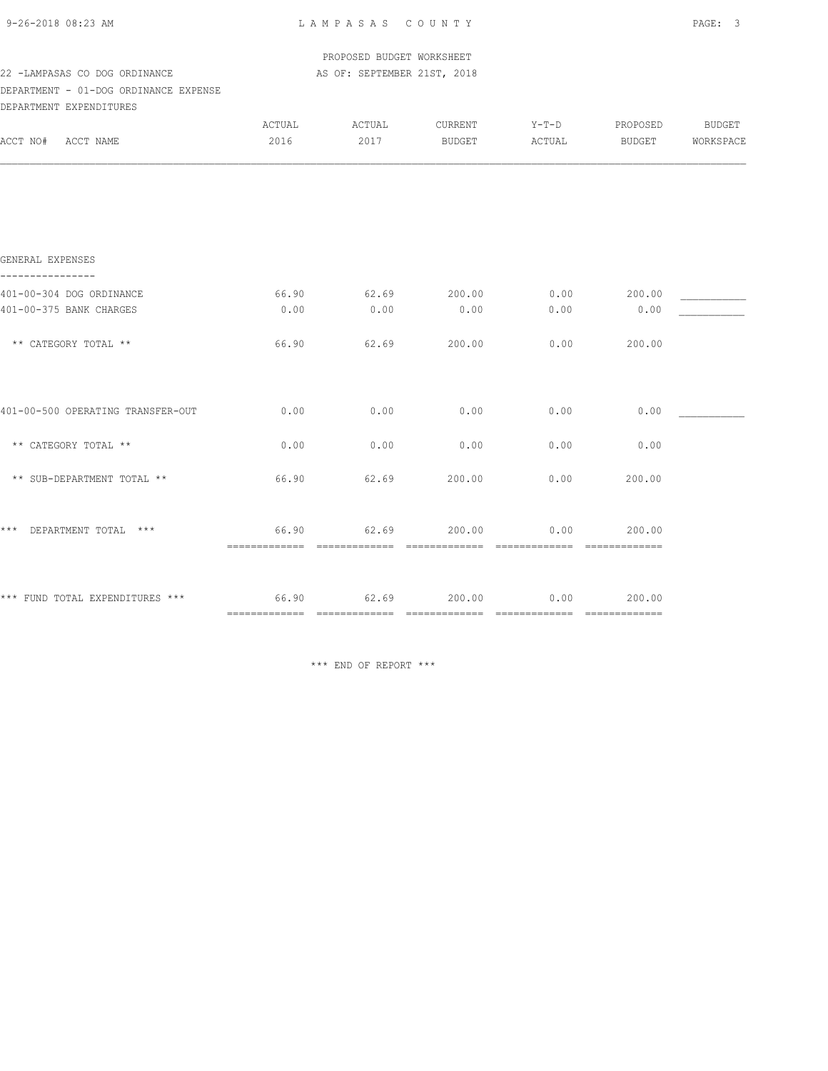|                                                                                                   |                       | PROPOSED BUDGET WORKSHEET   |                                  |        |        |                            |
|---------------------------------------------------------------------------------------------------|-----------------------|-----------------------------|----------------------------------|--------|--------|----------------------------|
| 22 -LAMPASAS CO DOG ORDINANCE<br>DEPARTMENT - 01-DOG ORDINANCE EXPENSE<br>DEPARTMENT EXPENDITURES |                       | AS OF: SEPTEMBER 21ST, 2018 |                                  |        |        |                            |
| ACCT NO# ACCT NAME                                                                                | ACTUAL ACTUAL<br>2016 | 2017                        | CURRENT Y-T-D PROPOSED<br>BUDGET | ACTUAL | BUDGET | <b>BUDGET</b><br>WORKSPACE |
|                                                                                                   |                       |                             |                                  |        |        |                            |
|                                                                                                   |                       |                             |                                  |        |        |                            |
| GENERAL EXPENSES<br>----------------                                                              |                       |                             |                                  |        |        |                            |
| 401-00-304 DOG ORDINANCE                                                                          | 66.90                 | 62.69                       | 200.00                           | 0.00   | 200.00 |                            |
| 401-00-375 BANK CHARGES                                                                           | 0.00                  | 0.00                        | 0.00                             | 0.00   | 0.00   |                            |
| ** CATEGORY TOTAL **                                                                              | 66.90                 | 62.69                       | 200.00                           | 0.00   | 200.00 |                            |
| 401-00-500 OPERATING TRANSFER-OUT                                                                 | 0.00                  | 0.00                        | 0.00                             | 0.00   | 0.00   |                            |
| ** CATEGORY TOTAL **                                                                              | 0.00                  | 0.00                        | 0.00                             | 0.00   | 0.00   |                            |
| ** SUB-DEPARTMENT TOTAL **                                                                        | 66.90                 | 62.69                       | 200.00                           | 0.00   | 200.00 |                            |
| *** DEPARTMENT TOTAL ***                                                                          | 66.90                 | 62.69                       | 200.00                           | 0.00   | 200.00 |                            |
| *** FUND TOTAL EXPENDITURES *** 66.90                                                             |                       |                             | 62.69 200.00                     | 0.00   | 200.00 |                            |

\*\*\* END OF REPORT \*\*\*

============= ============= ============= ============= =============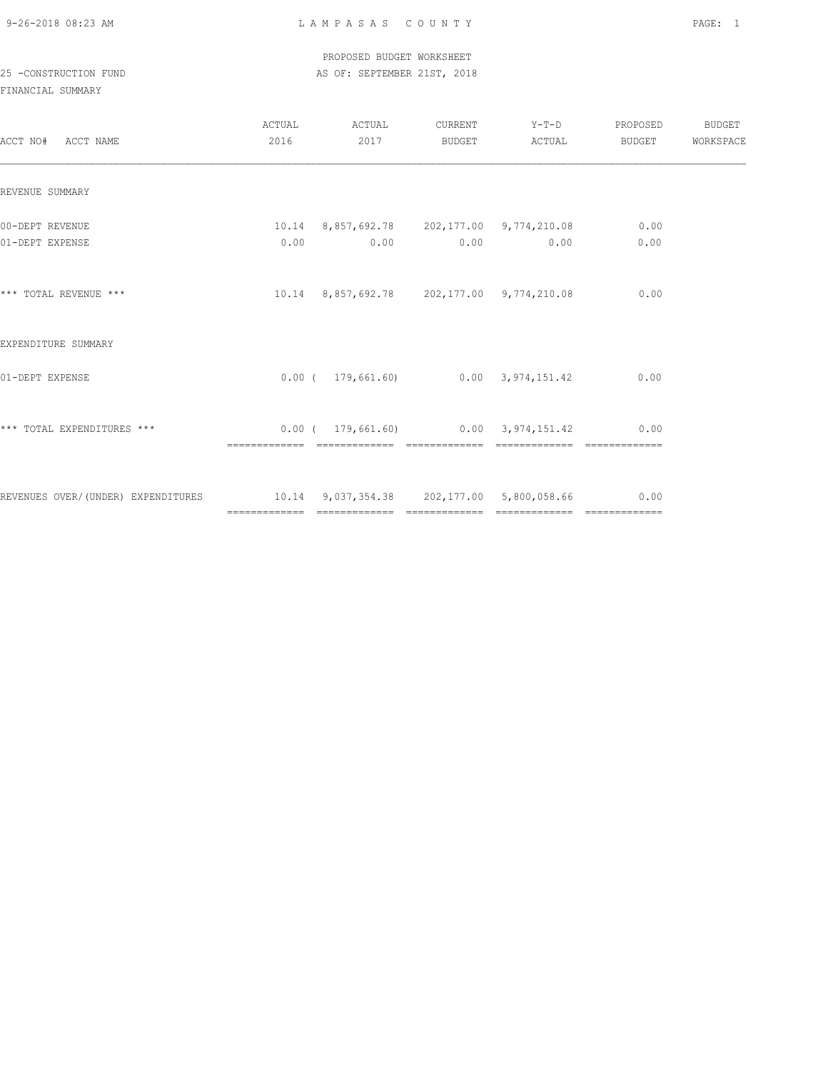#### PROPOSED BUDGET WORKSHEET 25 -CONSTRUCTION FUND **AS OF: SEPTEMBER 21ST, 2018**

| ACCT NO# ACCT NAME                                                            | ACTUAL<br>2016 | ACTUAL<br>2017                                            | CURRENT Y-T-D PROPOSED<br>BUDGET ACTUAL | BUDGET       | BUDGET<br>WORKSPACE |
|-------------------------------------------------------------------------------|----------------|-----------------------------------------------------------|-----------------------------------------|--------------|---------------------|
| REVENUE SUMMARY                                                               |                |                                                           |                                         |              |                     |
| 00-DEPT REVENUE<br>01-DEPT EXPENSE                                            |                | 10.14 8,857,692.78 202,177.00 9,774,210.08<br>$0.00$ 0.00 | $0.00$ 0.00                             | 0.00<br>0.00 |                     |
| *** TOTAL REVENUE ***                                                         |                | 10.14  8,857,692.78  202,177.00  9,774,210.08             |                                         | 0.00         |                     |
| EXPENDITURE SUMMARY                                                           |                |                                                           |                                         |              |                     |
| 01-DEPT EXPENSE                                                               |                | $0.00$ ( $179,661.60$ ) $0.00$ 3,974,151.42               |                                         | 0.00         |                     |
| *** TOTAL EXPENDITURES ***                                                    |                | $0.00$ ( 179,661.60) 0.00 3,974,151.42                    | ============================            | 0.00         |                     |
| REVENUES OVER/(UNDER) EXPENDITURES 10.14 9,037,354.38 202,177.00 5,800,058.66 |                |                                                           |                                         | 0.00         |                     |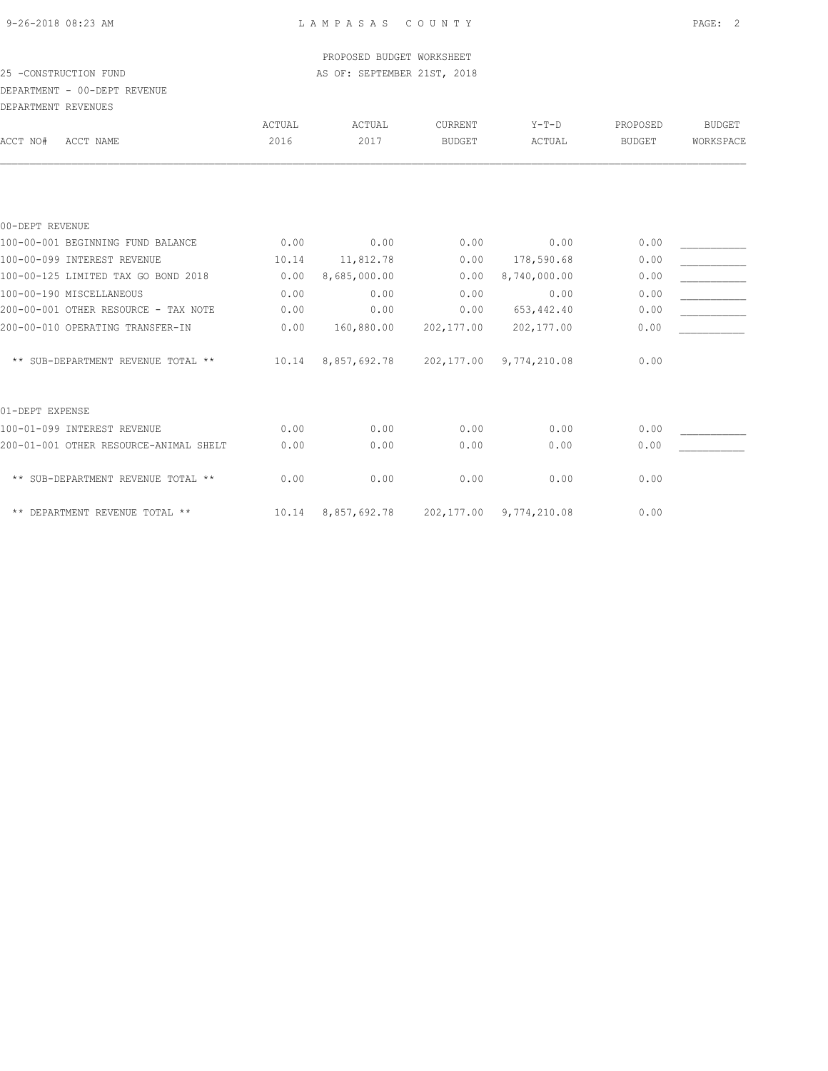### PROPOSED BUDGET WORKSHEET 25 -CONSTRUCTION FUND **AS OF: SEPTEMBER 21ST, 2018** DEPARTMENT - 00-DEPT REVENUE

| DEPARTMENT REVENUES                    |        |              |               |              |               |               |
|----------------------------------------|--------|--------------|---------------|--------------|---------------|---------------|
|                                        | ACTUAL | ACTUAL       | CURRENT       | $Y-T-D$      | PROPOSED      | <b>BUDGET</b> |
| ACCT NO#<br>ACCT NAME                  | 2016   | 2017         | <b>BUDGET</b> | ACTUAL       | <b>BUDGET</b> | WORKSPACE     |
|                                        |        |              |               |              |               |               |
| 00-DEPT REVENUE                        |        |              |               |              |               |               |
| 100-00-001 BEGINNING FUND BALANCE      | 0.00   | 0.00         | 0.00          | 0.00         | 0.00          |               |
| 100-00-099 INTEREST REVENUE            | 10.14  | 11,812.78    | 0.00          | 178,590.68   | 0.00          |               |
| 100-00-125 LIMITED TAX GO BOND 2018    | 0.00   | 8,685,000.00 | 0.00          | 8,740,000.00 | 0.00          |               |
| 100-00-190 MISCELLANEOUS               | 0.00   | 0.00         | 0.00          | 0.00         | 0.00          |               |
| 200-00-001 OTHER RESOURCE - TAX NOTE   | 0.00   | 0.00         | 0.00          | 653, 442.40  | 0.00          |               |
| 200-00-010 OPERATING TRANSFER-IN       | 0.00   | 160,880.00   | 202,177.00    | 202,177.00   | 0.00          |               |
| ** SUB-DEPARTMENT REVENUE TOTAL **     | 10.14  | 8,857,692.78 | 202,177.00    | 9,774,210.08 | 0.00          |               |
| 01-DEPT EXPENSE                        |        |              |               |              |               |               |
| 100-01-099 INTEREST REVENUE            | 0.00   | 0.00         | 0.00          | 0.00         | 0.00          |               |
| 200-01-001 OTHER RESOURCE-ANIMAL SHELT | 0.00   | 0.00         | 0.00          | 0.00         | 0.00          |               |
| ** SUB-DEPARTMENT REVENUE TOTAL **     | 0.00   | 0.00         | 0.00          | 0.00         | 0.00          |               |
| ** DEPARTMENT REVENUE TOTAL **         | 10.14  | 8,857,692.78 | 202,177.00    | 9,774,210.08 | 0.00          |               |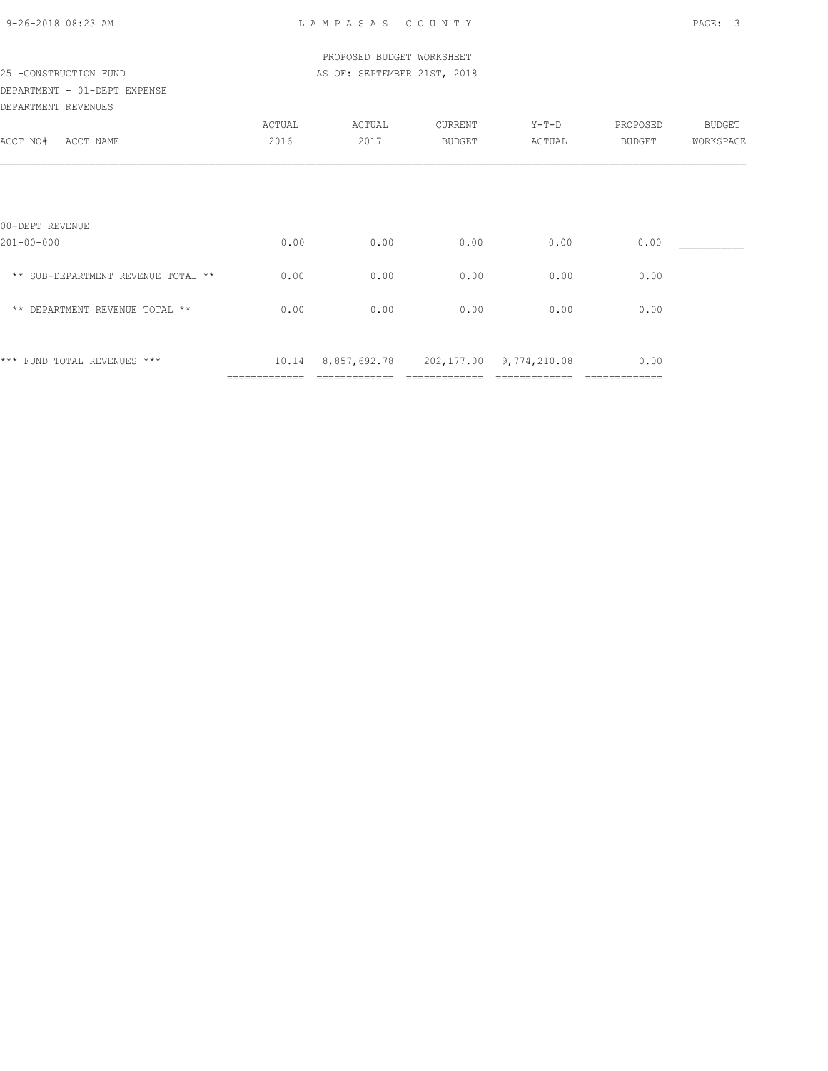| 9-26-2018 08:23 AM |  |
|--------------------|--|

| 25 -CONSTRUCTION FUND                               |                | PROPOSED BUDGET WORKSHEET<br>AS OF: SEPTEMBER 21ST, 2018 |                   |                 |                    |                     |
|-----------------------------------------------------|----------------|----------------------------------------------------------|-------------------|-----------------|--------------------|---------------------|
| DEPARTMENT - 01-DEPT EXPENSE<br>DEPARTMENT REVENUES |                |                                                          |                   |                 |                    |                     |
| ACCT NO#<br>ACCT NAME                               | ACTUAL<br>2016 | ACTUAL<br>2017                                           | CURRENT<br>BUDGET | Y-T-D<br>ACTUAL | PROPOSED<br>BUDGET | BUDGET<br>WORKSPACE |
|                                                     |                |                                                          |                   |                 |                    |                     |
| 00-DEPT REVENUE                                     |                |                                                          |                   |                 |                    |                     |
| $201 - 00 - 000$                                    | 0.00           | 0.00                                                     | 0.00              | 0.00            | 0.00               |                     |
| ** SUB-DEPARTMENT REVENUE TOTAL **                  | 0.00           | 0.00                                                     | 0.00              | 0.00            | 0.00               |                     |
| ** DEPARTMENT REVENUE TOTAL **                      | 0.00           | 0.00                                                     | 0.00              | 0.00            | 0.00               |                     |
| *** FUND TOTAL REVENUES ***                         |                | 10.14 8,857,692.78 202,177.00 9,774,210.08               |                   |                 | 0.00               |                     |
|                                                     |                |                                                          |                   |                 |                    |                     |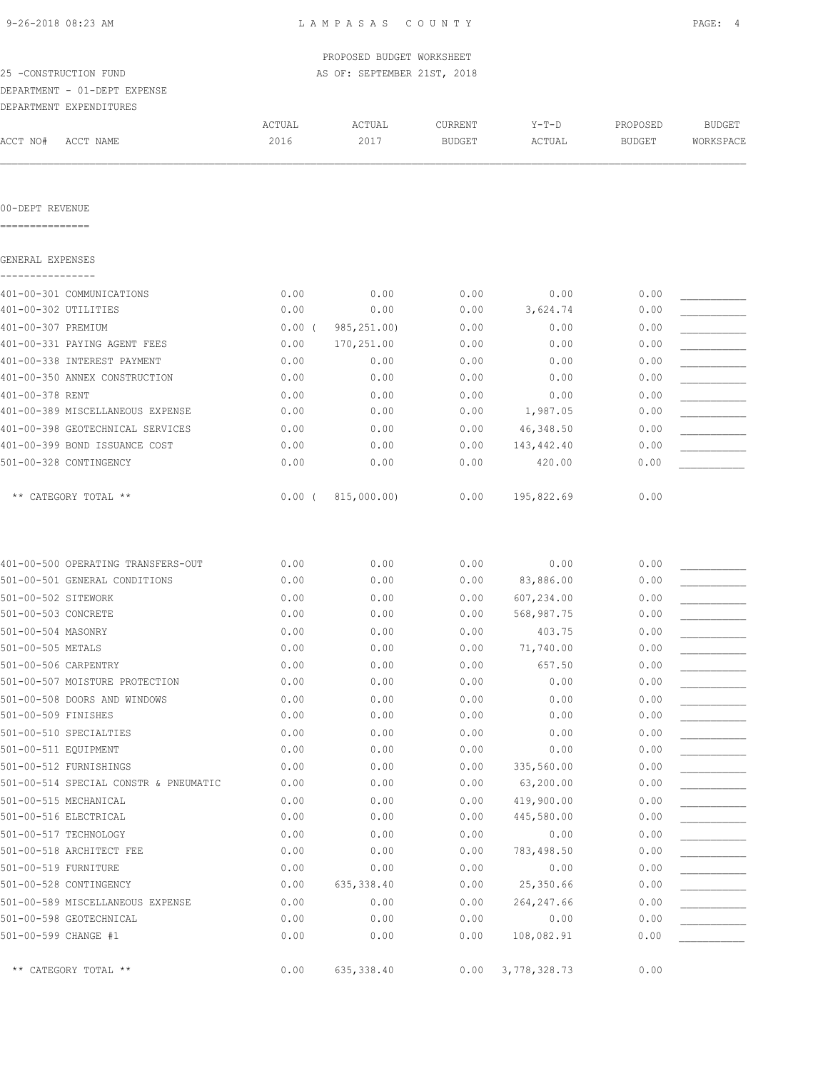|  | 9-26-2018 08:23 AM |  |
|--|--------------------|--|
|  |                    |  |

|                                       |          | PROPOSED BUDGET WORKSHEET   |               |              |               |               |
|---------------------------------------|----------|-----------------------------|---------------|--------------|---------------|---------------|
| 25 -CONSTRUCTION FUND                 |          | AS OF: SEPTEMBER 21ST, 2018 |               |              |               |               |
| DEPARTMENT - 01-DEPT EXPENSE          |          |                             |               |              |               |               |
| DEPARTMENT EXPENDITURES               |          |                             |               |              |               |               |
|                                       | ACTUAL   | ACTUAL                      | CURRENT       | $Y-T-D$      | PROPOSED      | <b>BUDGET</b> |
| ACCT NO#<br>ACCT NAME                 | 2016     | 2017                        | <b>BUDGET</b> | ACTUAL       | <b>BUDGET</b> | WORKSPACE     |
|                                       |          |                             |               |              |               |               |
| 00-DEPT REVENUE<br>===============    |          |                             |               |              |               |               |
| GENERAL EXPENSES                      |          |                             |               |              |               |               |
| 401-00-301 COMMUNICATIONS             | 0.00     | 0.00                        | 0.00          | 0.00         | 0.00          |               |
| 401-00-302 UTILITIES                  | 0.00     | 0.00                        | 0.00          | 3,624.74     | 0.00          |               |
| 401-00-307 PREMIUM                    | $0.00$ ( | 985, 251.00)                | 0.00          | 0.00         | 0.00          |               |
| 401-00-331 PAYING AGENT FEES          | 0.00     | 170,251.00                  | 0.00          | 0.00         | 0.00          |               |
| 401-00-338 INTEREST PAYMENT           | 0.00     | 0.00                        | 0.00          | 0.00         | 0.00          |               |
| 401-00-350 ANNEX CONSTRUCTION         | 0.00     | 0.00                        | 0.00          | 0.00         | 0.00          |               |
| 401-00-378 RENT                       | 0.00     | 0.00                        | 0.00          | 0.00         | 0.00          |               |
| 401-00-389 MISCELLANEOUS EXPENSE      | 0.00     | 0.00                        | 0.00          | 1,987.05     | 0.00          |               |
| 401-00-398 GEOTECHNICAL SERVICES      | 0.00     | 0.00                        | 0.00          | 46,348.50    | 0.00          |               |
| 401-00-399 BOND ISSUANCE COST         | 0.00     | 0.00                        | 0.00          | 143,442.40   | 0.00          |               |
| 501-00-328 CONTINGENCY                | 0.00     | 0.00                        | 0.00          | 420.00       | 0.00          |               |
| ** CATEGORY TOTAL **                  | $0.00$ ( | 815,000.00)                 | 0.00          | 195,822.69   | 0.00          |               |
|                                       |          |                             |               |              |               |               |
| 401-00-500 OPERATING TRANSFERS-OUT    | 0.00     | 0.00                        | 0.00          | 0.00         | 0.00          |               |
| 501-00-501 GENERAL CONDITIONS         | 0.00     | 0.00                        | 0.00          | 83,886.00    | 0.00          |               |
| 501-00-502 SITEWORK                   | 0.00     | 0.00                        | 0.00          | 607,234.00   | 0.00          |               |
| 501-00-503 CONCRETE                   | 0.00     | 0.00                        | 0.00          | 568,987.75   | 0.00          |               |
| 501-00-504 MASONRY                    | 0.00     | 0.00                        | 0.00          | 403.75       | 0.00          |               |
| 501-00-505 METALS                     | 0.00     | 0.00                        | 0.00          | 71,740.00    | 0.00          |               |
| 501-00-506 CARPENTRY                  | 0.00     | 0.00                        | 0.00          | 657.50       | 0.00          |               |
| 501-00-507 MOISTURE PROTECTION        | 0.00     | 0.00                        | 0.00          | 0.00         | 0.00          |               |
| 501-00-508 DOORS AND WINDOWS          | 0.00     | 0.00                        | 0.00          | 0.00         | 0.00          |               |
| 501-00-509 FINISHES                   | 0.00     | 0.00                        | 0.00          | 0.00         | 0.00          |               |
| 501-00-510 SPECIALTIES                | 0.00     | 0.00                        | 0.00          | 0.00         | 0.00          |               |
| 501-00-511 EQUIPMENT                  | 0.00     | 0.00                        | 0.00          | 0.00         | 0.00          |               |
| 501-00-512 FURNISHINGS                | 0.00     | 0.00                        | 0.00          | 335,560.00   | 0.00          |               |
| 501-00-514 SPECIAL CONSTR & PNEUMATIC | 0.00     | 0.00                        | 0.00          | 63,200.00    | 0.00          |               |
| 501-00-515 MECHANICAL                 | 0.00     | 0.00                        | 0.00          | 419,900.00   | 0.00          |               |
| 501-00-516 ELECTRICAL                 | 0.00     | 0.00                        | 0.00          | 445,580.00   | 0.00          |               |
| 501-00-517 TECHNOLOGY                 | 0.00     | 0.00                        | 0.00          | 0.00         | 0.00          |               |
| 501-00-518 ARCHITECT FEE              | 0.00     | 0.00                        | 0.00          | 783,498.50   | 0.00          |               |
| 501-00-519 FURNITURE                  | 0.00     | 0.00                        | 0.00          | 0.00         | 0.00          |               |
| 501-00-528 CONTINGENCY                | 0.00     | 635,338.40                  | 0.00          | 25,350.66    | 0.00          |               |
| 501-00-589 MISCELLANEOUS EXPENSE      | 0.00     | 0.00                        | 0.00          | 264, 247.66  | 0.00          |               |
| 501-00-598 GEOTECHNICAL               | 0.00     | 0.00                        | 0.00          | 0.00         | 0.00          |               |
| 501-00-599 CHANGE #1                  | 0.00     | 0.00                        | 0.00          | 108,082.91   | 0.00          |               |
| ** CATEGORY TOTAL **                  | 0.00     | 635,338.40                  | 0.00          | 3,778,328.73 | 0.00          |               |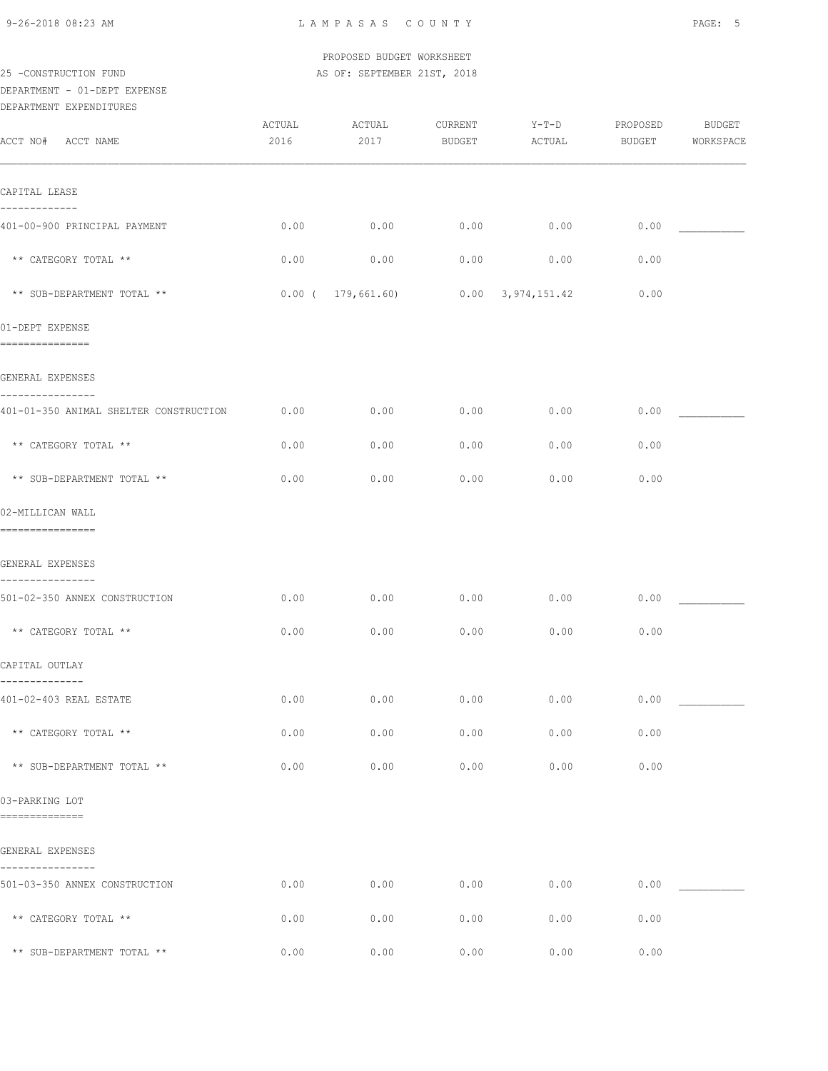| 9-26-2018 08:23 AM                                         |        | LAMPASAS COUNTY                                          |         |                       |                    | PAGE: 5       |
|------------------------------------------------------------|--------|----------------------------------------------------------|---------|-----------------------|--------------------|---------------|
| 25 -CONSTRUCTION FUND                                      |        | PROPOSED BUDGET WORKSHEET<br>AS OF: SEPTEMBER 21ST, 2018 |         |                       |                    |               |
| DEPARTMENT - 01-DEPT EXPENSE                               |        |                                                          |         |                       |                    |               |
| DEPARTMENT EXPENDITURES                                    | ACTUAL | ACTUAL                                                   | CURRENT |                       |                    | <b>BUDGET</b> |
| ACCT NO# ACCT NAME                                         | 2016   | 2017                                                     | BUDGET  | $Y-T-D$<br>ACTUAL     | PROPOSED<br>BUDGET | WORKSPACE     |
| CAPITAL LEASE                                              |        |                                                          |         |                       |                    |               |
| -------------<br>401-00-900 PRINCIPAL PAYMENT              | 0.00   | 0.00                                                     | 0.00    | 0.00                  | 0.00               |               |
| ** CATEGORY TOTAL **                                       | 0.00   | 0.00                                                     | 0.00    | 0.00                  | 0.00               |               |
| ** SUB-DEPARTMENT TOTAL **                                 |        | $0.00$ ( 179,661.60)                                     |         | $0.00$ $3,974,151.42$ | 0.00               |               |
| 01-DEPT EXPENSE<br>===============                         |        |                                                          |         |                       |                    |               |
| GENERAL EXPENSES                                           |        |                                                          |         |                       |                    |               |
| ----------------<br>401-01-350 ANIMAL SHELTER CONSTRUCTION | 0.00   | 0.00                                                     | 0.00    | 0.00                  | 0.00               |               |
| ** CATEGORY TOTAL **                                       | 0.00   | 0.00                                                     | 0.00    | 0.00                  | 0.00               |               |
| ** SUB-DEPARTMENT TOTAL **                                 | 0.00   | 0.00                                                     | 0.00    | 0.00                  | 0.00               |               |
| 02-MILLICAN WALL<br>================                       |        |                                                          |         |                       |                    |               |
| GENERAL EXPENSES                                           |        |                                                          |         |                       |                    |               |
| ----------------<br>501-02-350 ANNEX CONSTRUCTION          | 0.00   | 0.00                                                     | 0.00    | 0.00                  | 0.00               |               |
| ** CATEGORY TOTAL **                                       | 0.00   | 0.00                                                     | 0.00    | 0.00                  | 0.00               |               |
| CAPITAL OUTLAY                                             |        |                                                          |         |                       |                    |               |
| --------------<br>401-02-403 REAL ESTATE                   | 0.00   | 0.00                                                     | 0.00    | 0.00                  | 0.00               |               |
| ** CATEGORY TOTAL **                                       | 0.00   | 0.00                                                     | 0.00    | 0.00                  | 0.00               |               |
| ** SUB-DEPARTMENT TOTAL **                                 | 0.00   | 0.00                                                     | 0.00    | 0.00                  | 0.00               |               |
| 03-PARKING LOT<br>==============                           |        |                                                          |         |                       |                    |               |
| GENERAL EXPENSES                                           |        |                                                          |         |                       |                    |               |
| ----------------<br>501-03-350 ANNEX CONSTRUCTION          | 0.00   | 0.00                                                     | 0.00    | 0.00                  | 0.00               |               |
| ** CATEGORY TOTAL **                                       | 0.00   | 0.00                                                     | 0.00    | 0.00                  | 0.00               |               |

\*\* SUB-DEPARTMENT TOTAL \*\* 0.00 0.00 0.00 0.00 0.00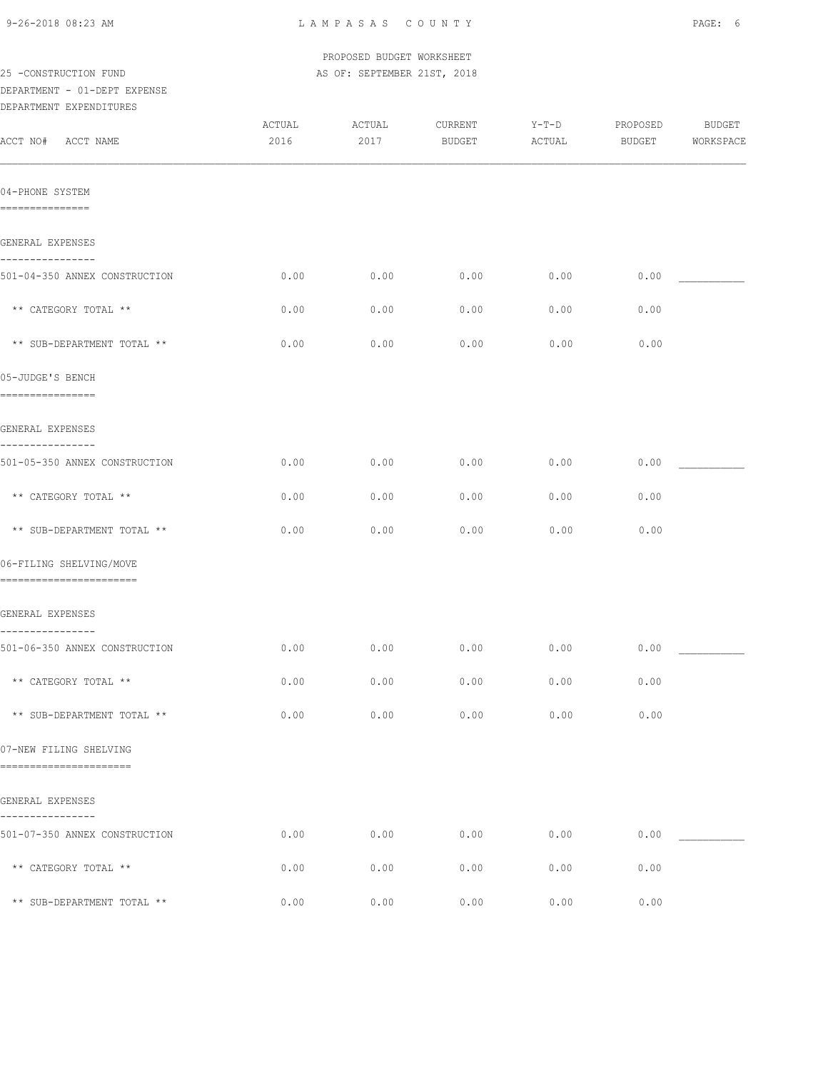| 9-26-2018 08:23 AM |
|--------------------|
|--------------------|

|                                                       |                | PROPOSED BUDGET WORKSHEET   |                   |                   |                           |                            |
|-------------------------------------------------------|----------------|-----------------------------|-------------------|-------------------|---------------------------|----------------------------|
| 25 -CONSTRUCTION FUND<br>DEPARTMENT - 01-DEPT EXPENSE |                | AS OF: SEPTEMBER 21ST, 2018 |                   |                   |                           |                            |
| DEPARTMENT EXPENDITURES<br>ACCT NO# ACCT NAME         | ACTUAL<br>2016 | ACTUAL<br>2017              | CURRENT<br>BUDGET | $Y-T-D$<br>ACTUAL | PROPOSED<br><b>BUDGET</b> | <b>BUDGET</b><br>WORKSPACE |
|                                                       |                |                             |                   |                   |                           |                            |
| 04-PHONE SYSTEM<br>===============                    |                |                             |                   |                   |                           |                            |
| GENERAL EXPENSES                                      |                |                             |                   |                   |                           |                            |
| ----------------<br>501-04-350 ANNEX CONSTRUCTION     | 0.00           | 0.00                        | 0.00              | 0.00              | 0.00                      |                            |
| ** CATEGORY TOTAL **                                  | 0.00           | 0.00                        | 0.00              | 0.00              | 0.00                      |                            |
| ** SUB-DEPARTMENT TOTAL **                            | 0.00           | 0.00                        | 0.00              | 0.00              | 0.00                      |                            |
| 05-JUDGE'S BENCH<br>================                  |                |                             |                   |                   |                           |                            |
| GENERAL EXPENSES                                      |                |                             |                   |                   |                           |                            |
| 501-05-350 ANNEX CONSTRUCTION                         | 0.00           | 0.00                        | 0.00              | 0.00              | 0.00                      |                            |
| ** CATEGORY TOTAL **                                  | 0.00           | 0.00                        | 0.00              | 0.00              | 0.00                      |                            |
| ** SUB-DEPARTMENT TOTAL **                            | 0.00           | 0.00                        | 0.00              | 0.00              | 0.00                      |                            |
| 06-FILING SHELVING/MOVE<br>========================   |                |                             |                   |                   |                           |                            |
| GENERAL EXPENSES                                      |                |                             |                   |                   |                           |                            |
| 501-06-350 ANNEX CONSTRUCTION                         | 0.00           | 0.00                        | 0.00              | 0.00              | 0.00                      |                            |
| ** CATEGORY TOTAL **                                  | 0.00           | 0.00                        | 0.00              | 0.00              | 0.00                      |                            |
| ** SUB-DEPARTMENT TOTAL **                            | 0.00           | 0.00                        | 0.00              | 0.00              | 0.00                      |                            |
| 07-NEW FILING SHELVING<br>=======================     |                |                             |                   |                   |                           |                            |
| GENERAL EXPENSES                                      |                |                             |                   |                   |                           |                            |
| 501-07-350 ANNEX CONSTRUCTION                         | 0.00           | 0.00                        | 0.00              | 0.00              | 0.00                      |                            |
| ** CATEGORY TOTAL **                                  | 0.00           | 0.00                        | 0.00              | 0.00              | 0.00                      |                            |
| ** SUB-DEPARTMENT TOTAL **                            | 0.00           | 0.00                        | 0.00              | 0.00              | 0.00                      |                            |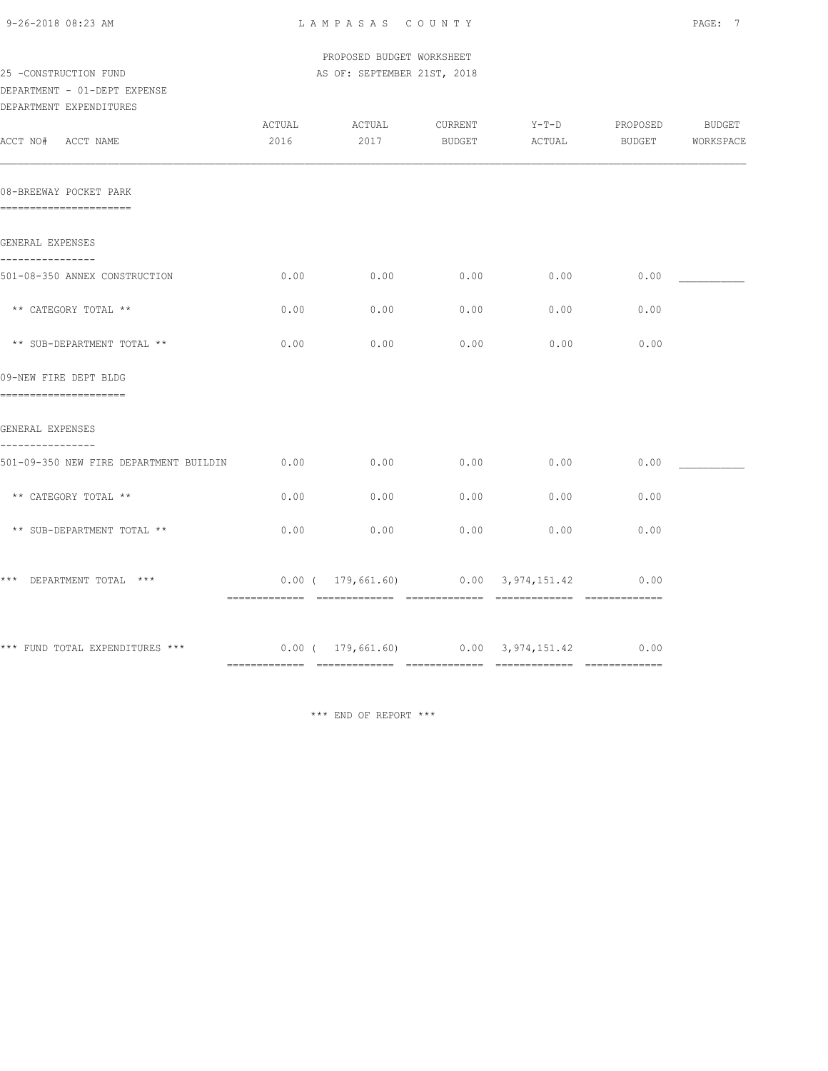| 9-26-2018 08:23 AM |  |
|--------------------|--|
|                    |  |

|                                                                                      |        | PROPOSED BUDGET WORKSHEET   |         |                                        |          |           |
|--------------------------------------------------------------------------------------|--------|-----------------------------|---------|----------------------------------------|----------|-----------|
| 25 -CONSTRUCTION FUND                                                                |        | AS OF: SEPTEMBER 21ST, 2018 |         |                                        |          |           |
| DEPARTMENT - 01-DEPT EXPENSE                                                         |        |                             |         |                                        |          |           |
| DEPARTMENT EXPENDITURES                                                              |        |                             |         |                                        |          |           |
|                                                                                      | ACTUAL | ACTUAL                      | CURRENT | $Y-T-D$                                | PROPOSED | BUDGET    |
| ACCT NO# ACCT NAME                                                                   | 2016   | 2017                        | BUDGET  | ACTUAL                                 | BUDGET   | WORKSPACE |
| 08-BREEWAY POCKET PARK<br>-----------------------                                    |        |                             |         |                                        |          |           |
| GENERAL EXPENSES                                                                     |        |                             |         |                                        |          |           |
| -----------<br>501-08-350 ANNEX CONSTRUCTION                                         | 0.00   | 0.00                        | 0.00    | 0.00                                   | 0.00     |           |
| ** CATEGORY TOTAL **                                                                 | 0.00   | 0.00                        | 0.00    | 0.00                                   | 0.00     |           |
| ** SUB-DEPARTMENT TOTAL **                                                           | 0.00   | 0.00                        | 0.00    | 0.00                                   | 0.00     |           |
| 09-NEW FIRE DEPT BLDG<br>_______________________                                     |        |                             |         |                                        |          |           |
| GENERAL EXPENSES<br>----------                                                       |        |                             |         |                                        |          |           |
| 501-09-350 NEW FIRE DEPARTMENT BUILDIN                                               | 0.00   | 0.00                        | 0.00    | 0.00                                   | 0.00     |           |
| ** CATEGORY TOTAL **                                                                 | 0.00   | 0.00                        | 0.00    | 0.00                                   | 0.00     |           |
| ** SUB-DEPARTMENT TOTAL **                                                           | 0.00   | 0.00                        | 0.00    | 0.00                                   | 0.00     |           |
| *** DEPARTMENT TOTAL ***                                                             |        |                             |         | $0.00$ ( 179,661.60) 0.00 3,974,151.42 | 0.00     |           |
| *** FUND TOTAL EXPENDITURES ***          0.00 (  179,661.60)      0.00  3,974,151.42 |        |                             |         |                                        | 0.00     |           |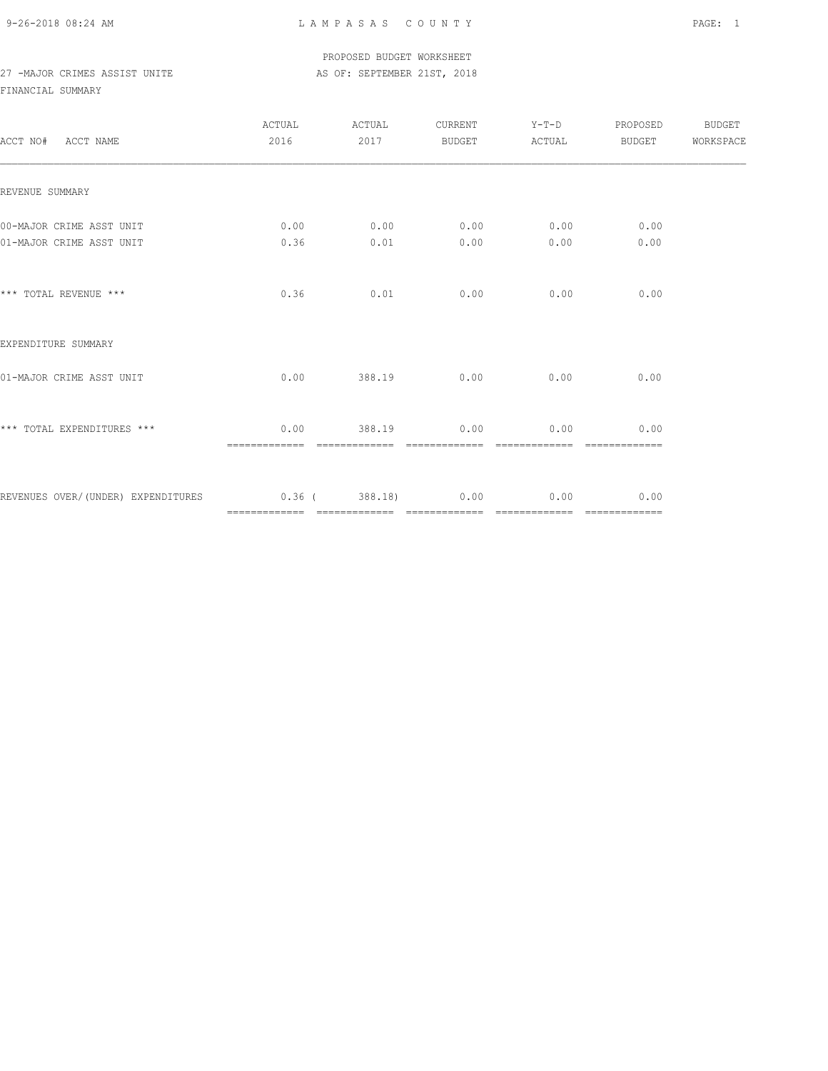PROPOSED BUDGET WORKSHEET 27 -MAJOR CRIMES ASSIST UNITE AS OF: SEPTEMBER 21ST, 2018

| ACCT NO# ACCT NAME                                    | ACTUAL<br>2016        | ACTUAL<br>2017          | <b>BUDGET</b>         | CURRENT Y-T-D<br>ACTUAL | PROPOSED<br>BUDGET                                                                                                                                                                                                                                                                                                                                                                                                                                                                             | BUDGET<br>WORKSPACE |
|-------------------------------------------------------|-----------------------|-------------------------|-----------------------|-------------------------|------------------------------------------------------------------------------------------------------------------------------------------------------------------------------------------------------------------------------------------------------------------------------------------------------------------------------------------------------------------------------------------------------------------------------------------------------------------------------------------------|---------------------|
| REVENUE SUMMARY                                       |                       |                         |                       |                         |                                                                                                                                                                                                                                                                                                                                                                                                                                                                                                |                     |
| 00-MAJOR CRIME ASST UNIT<br>01-MAJOR CRIME ASST UNIT  | 0.00<br>0.36          | 0.01                    | $0.00$ 0.00<br>0.00   | 0.00<br>0.00            | 0.00<br>0.00                                                                                                                                                                                                                                                                                                                                                                                                                                                                                   |                     |
|                                                       |                       |                         |                       |                         |                                                                                                                                                                                                                                                                                                                                                                                                                                                                                                |                     |
| *** TOTAL REVENUE ***                                 | 0.36                  | 0.01                    | 0.00                  | 0.00                    | 0.00                                                                                                                                                                                                                                                                                                                                                                                                                                                                                           |                     |
| EXPENDITURE SUMMARY                                   |                       |                         |                       |                         |                                                                                                                                                                                                                                                                                                                                                                                                                                                                                                |                     |
| 01-MAJOR CRIME ASST UNIT                              | 0.00                  | 388.19                  | 0.00                  | 0.00                    | 0.00                                                                                                                                                                                                                                                                                                                                                                                                                                                                                           |                     |
| *** TOTAL EXPENDITURES ***                            | 0.00<br>============= | 388.19<br>============= | 0.00<br>============= | 0.00<br>=============   | 0.00<br>=============                                                                                                                                                                                                                                                                                                                                                                                                                                                                          |                     |
| REVENUES OVER/(UNDER) EXPENDITURES 0.36 (388.18) 0.00 |                       |                         |                       | 0.00<br>=============   | 0.00<br>$\begin{array}{cccccccccc} \multicolumn{2}{c}{} & \multicolumn{2}{c}{} & \multicolumn{2}{c}{} & \multicolumn{2}{c}{} & \multicolumn{2}{c}{} & \multicolumn{2}{c}{} & \multicolumn{2}{c}{} & \multicolumn{2}{c}{} & \multicolumn{2}{c}{} & \multicolumn{2}{c}{} & \multicolumn{2}{c}{} & \multicolumn{2}{c}{} & \multicolumn{2}{c}{} & \multicolumn{2}{c}{} & \multicolumn{2}{c}{} & \multicolumn{2}{c}{} & \multicolumn{2}{c}{} & \multicolumn{2}{c}{} & \multicolumn{2}{c}{} & \mult$ |                     |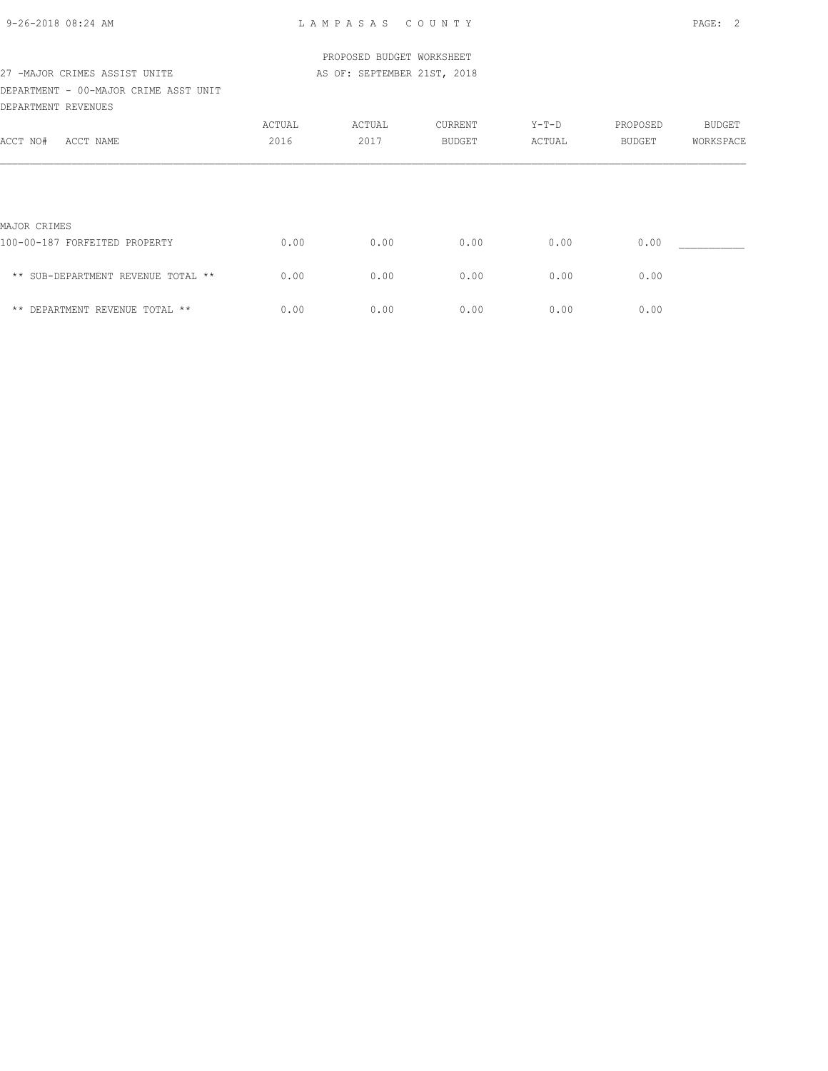| 9-26-2018 08:24 AM |  |
|--------------------|--|
|                    |  |

|                                       |        | PROPOSED BUDGET WORKSHEET   |         |        |          |               |
|---------------------------------------|--------|-----------------------------|---------|--------|----------|---------------|
| 27 -MAJOR CRIMES ASSIST UNITE         |        | AS OF: SEPTEMBER 21ST, 2018 |         |        |          |               |
| DEPARTMENT - 00-MAJOR CRIME ASST UNIT |        |                             |         |        |          |               |
| DEPARTMENT REVENUES                   |        |                             |         |        |          |               |
|                                       | ACTUAL | ACTUAL                      | CURRENT | Y-T-D  | PROPOSED | <b>BUDGET</b> |
| ACCT NAME<br>ACCT NO#                 | 2016   | 2017                        | BUDGET  | ACTUAL | BUDGET   | WORKSPACE     |
|                                       |        |                             |         |        |          |               |
| MAJOR CRIMES                          |        |                             |         |        |          |               |
| 100-00-187 FORFEITED PROPERTY         | 0.00   | 0.00                        | 0.00    | 0.00   | 0.00     |               |
| ** SUB-DEPARTMENT REVENUE TOTAL **    | 0.00   | 0.00                        | 0.00    | 0.00   | 0.00     |               |
| ** DEPARTMENT REVENUE TOTAL **        | 0.00   | 0.00                        | 0.00    | 0.00   | 0.00     |               |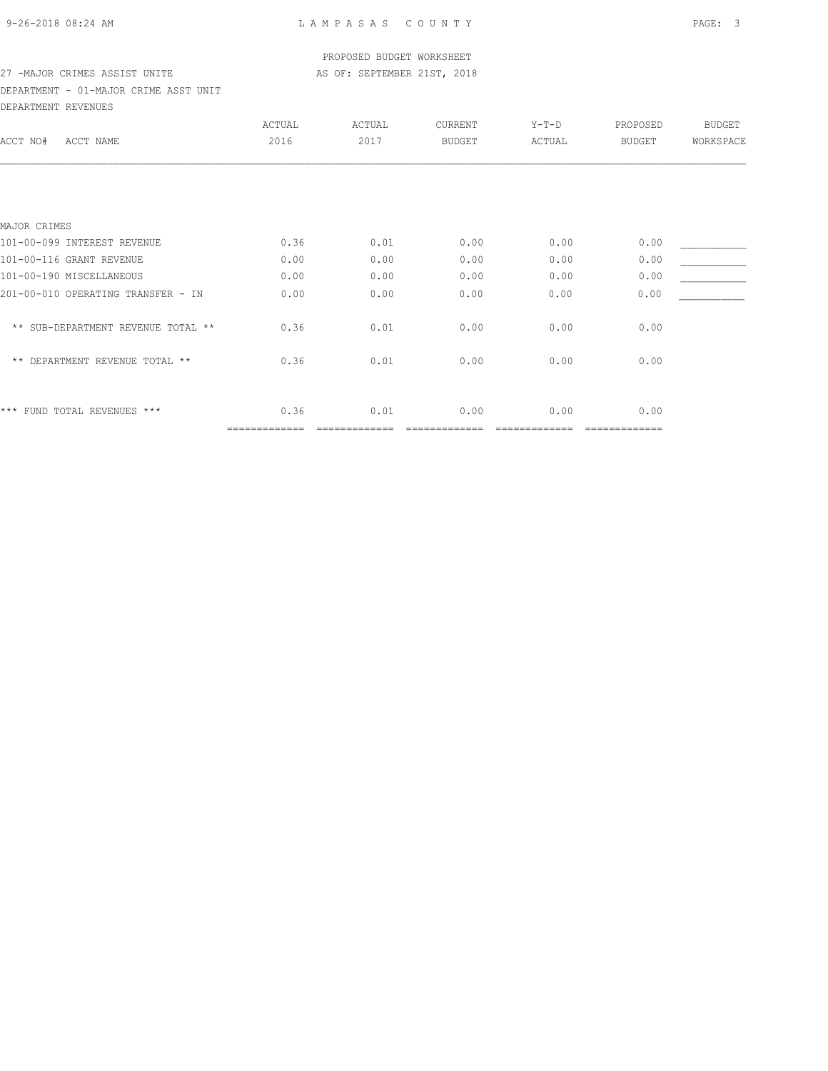#### PROPOSED BUDGET WORKSHEET 27 -MAJOR CRIMES ASSIST UNITE AS OF: SEPTEMBER 21ST, 2018

# DEPARTMENT - 01-MAJOR CRIME ASST UNIT

DEPARTMENT REVENUES

|                                    | ACTUAL        | ACTUAL | CURRENT       | $Y-T-D$ | PROPOSED      | <b>BUDGET</b> |
|------------------------------------|---------------|--------|---------------|---------|---------------|---------------|
| ACCT NO#<br>ACCT NAME              | 2016          | 2017   | <b>BUDGET</b> | ACTUAL  | <b>BUDGET</b> | WORKSPACE     |
|                                    |               |        |               |         |               |               |
|                                    |               |        |               |         |               |               |
| MAJOR CRIMES                       |               |        |               |         |               |               |
| 101-00-099 INTEREST REVENUE        | 0.36          | 0.01   | 0.00          | 0.00    | 0.00          |               |
| 101-00-116 GRANT REVENUE           | 0.00          | 0.00   | 0.00          | 0.00    | 0.00          |               |
| 101-00-190 MISCELLANEOUS           | 0.00          | 0.00   | 0.00          | 0.00    | 0.00          |               |
| 201-00-010 OPERATING TRANSFER - IN | 0.00          | 0.00   | 0.00          | 0.00    | 0.00          |               |
| ** SUB-DEPARTMENT REVENUE TOTAL ** | 0.36          | 0.01   | 0.00          | 0.00    | 0.00          |               |
| ** DEPARTMENT REVENUE TOTAL **     | 0.36          | 0.01   | 0.00          | 0.00    | 0.00          |               |
| *** FUND TOTAL REVENUES ***        | 0.36          | 0.01   | 0.00          | 0.00    | 0.00          |               |
|                                    | ============= |        |               |         | ==========    |               |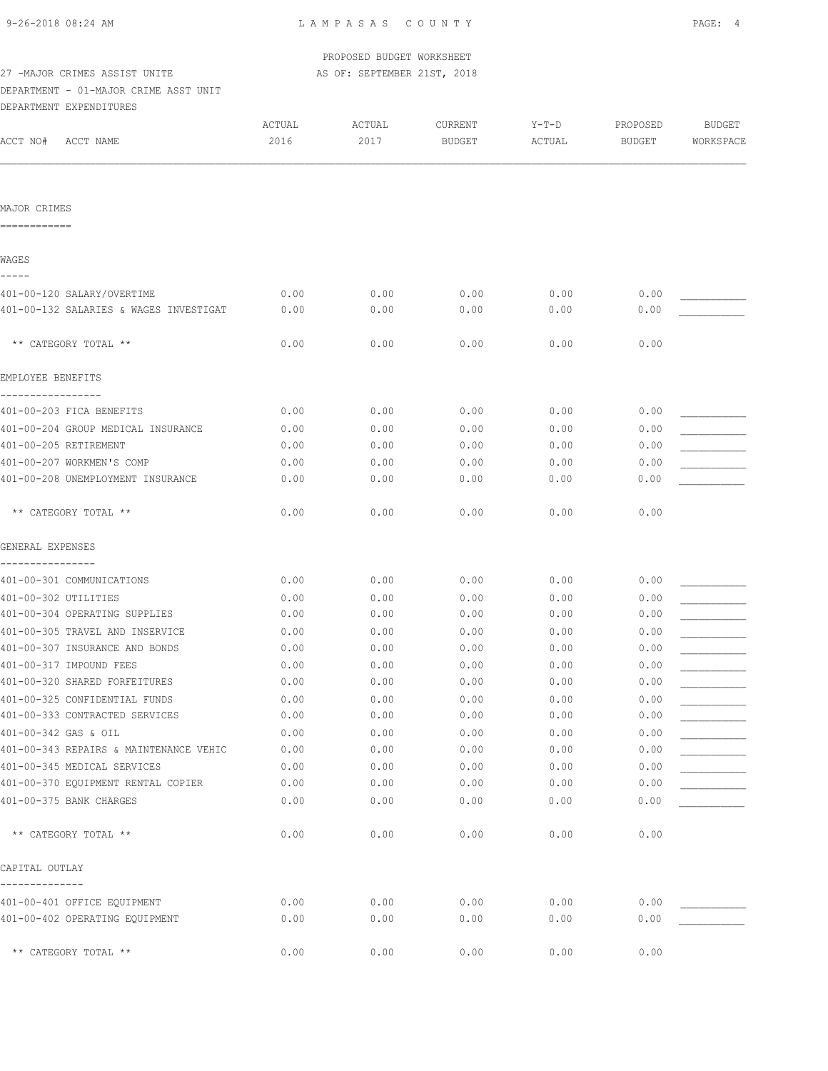PROPOSED BUDGET WORKSHEET

| 27 -MAJOR CRIMES ASSIST UNITE                                        |                | AS OF: SEPTEMBER 21ST, 2018 |                          |                 |                    |                            |
|----------------------------------------------------------------------|----------------|-----------------------------|--------------------------|-----------------|--------------------|----------------------------|
| DEPARTMENT - 01-MAJOR CRIME ASST UNIT                                |                |                             |                          |                 |                    |                            |
| DEPARTMENT EXPENDITURES                                              |                |                             |                          |                 |                    |                            |
| ACCT NO#<br>ACCT NAME                                                | ACTUAL<br>2016 | ACTUAL<br>2017              | CURRENT<br><b>BUDGET</b> | Y-T-D<br>ACTUAL | PROPOSED<br>BUDGET | <b>BUDGET</b><br>WORKSPACE |
|                                                                      |                |                             |                          |                 |                    |                            |
| MAJOR CRIMES<br>============                                         |                |                             |                          |                 |                    |                            |
| WAGES                                                                |                |                             |                          |                 |                    |                            |
|                                                                      |                |                             |                          |                 |                    |                            |
| 401-00-120 SALARY/OVERTIME<br>401-00-132 SALARIES & WAGES INVESTIGAT | 0.00<br>0.00   | 0.00<br>0.00                | 0.00<br>0.00             | 0.00<br>0.00    | 0.00<br>0.00       |                            |
|                                                                      |                |                             |                          |                 |                    |                            |
| ** CATEGORY TOTAL **                                                 | 0.00           | 0.00                        | 0.00                     | 0.00            | 0.00               |                            |
| EMPLOYEE BENEFITS                                                    |                |                             |                          |                 |                    |                            |
| 401-00-203 FICA BENEFITS                                             | 0.00           | 0.00                        | 0.00                     | 0.00            | 0.00               |                            |
| 401-00-204 GROUP MEDICAL INSURANCE                                   | 0.00           | 0.00                        | 0.00                     | 0.00            | 0.00               |                            |
| 401-00-205 RETIREMENT                                                | 0.00           | 0.00                        | 0.00                     | 0.00            | 0.00               |                            |
| 401-00-207 WORKMEN'S COMP                                            | 0.00           | 0.00                        | 0.00                     | 0.00            | 0.00               |                            |
| 401-00-208 UNEMPLOYMENT INSURANCE                                    | 0.00           | 0.00                        | 0.00                     | 0.00            | 0.00               |                            |
| ** CATEGORY TOTAL **                                                 | 0.00           | 0.00                        | 0.00                     | 0.00            | 0.00               |                            |
| GENERAL EXPENSES                                                     |                |                             |                          |                 |                    |                            |
| 401-00-301 COMMUNICATIONS                                            | 0.00           | 0.00                        | 0.00                     | 0.00            | 0.00               |                            |
| 401-00-302 UTILITIES                                                 | 0.00           | 0.00                        | 0.00                     | 0.00            | 0.00               |                            |
| 401-00-304 OPERATING SUPPLIES                                        | 0.00           | 0.00                        | 0.00                     | 0.00            | 0.00               |                            |
| 401-00-305 TRAVEL AND INSERVICE                                      | 0.00           | 0.00                        | 0.00                     | 0.00            | 0.00               |                            |
| 401-00-307 INSURANCE AND BONDS                                       | 0.00           | 0.00                        | 0.00                     | 0.00            | 0.00               |                            |
| 401-00-317 IMPOUND FEES                                              | 0.00           | 0.00                        | 0.00                     | 0.00            | 0.00               |                            |
| 401-00-320 SHARED FORFEITURES                                        | 0.00           | 0.00                        | 0.00                     | 0.00            | 0.00               |                            |
| 401-00-325 CONFIDENTIAL FUNDS                                        | 0.00           | 0.00                        | 0.00                     | 0.00            | 0.00               |                            |
| 401-00-333 CONTRACTED SERVICES                                       | 0.00           | 0.00                        | 0.00                     | 0.00            | 0.00               |                            |
| 401-00-342 GAS & OIL                                                 | 0.00           | 0.00                        | 0.00                     | 0.00            | 0.00               |                            |
| 401-00-343 REPAIRS & MAINTENANCE VEHIC                               | 0.00           | 0.00                        | 0.00                     | 0.00            | 0.00               |                            |
| 401-00-345 MEDICAL SERVICES                                          | 0.00           | 0.00                        | 0.00                     | 0.00            | 0.00               |                            |
| 401-00-370 EQUIPMENT RENTAL COPIER                                   | 0.00           | 0.00                        | 0.00                     | 0.00            | 0.00               |                            |
| 401-00-375 BANK CHARGES                                              | 0.00           | 0.00                        | 0.00                     | 0.00            | 0.00               |                            |
| ** CATEGORY TOTAL **                                                 | 0.00           | 0.00                        | 0.00                     | 0.00            | 0.00               |                            |
| CAPITAL OUTLAY                                                       |                |                             |                          |                 |                    |                            |
| 401-00-401 OFFICE EQUIPMENT                                          | 0.00           | 0.00                        | 0.00                     | 0.00            | 0.00               |                            |
| 401-00-402 OPERATING EQUIPMENT                                       | 0.00           | 0.00                        | 0.00                     | 0.00            | 0.00               |                            |
|                                                                      |                |                             |                          |                 |                    |                            |
| ** CATEGORY TOTAL **                                                 | 0.00           | 0.00                        | 0.00                     | 0.00            | 0.00               |                            |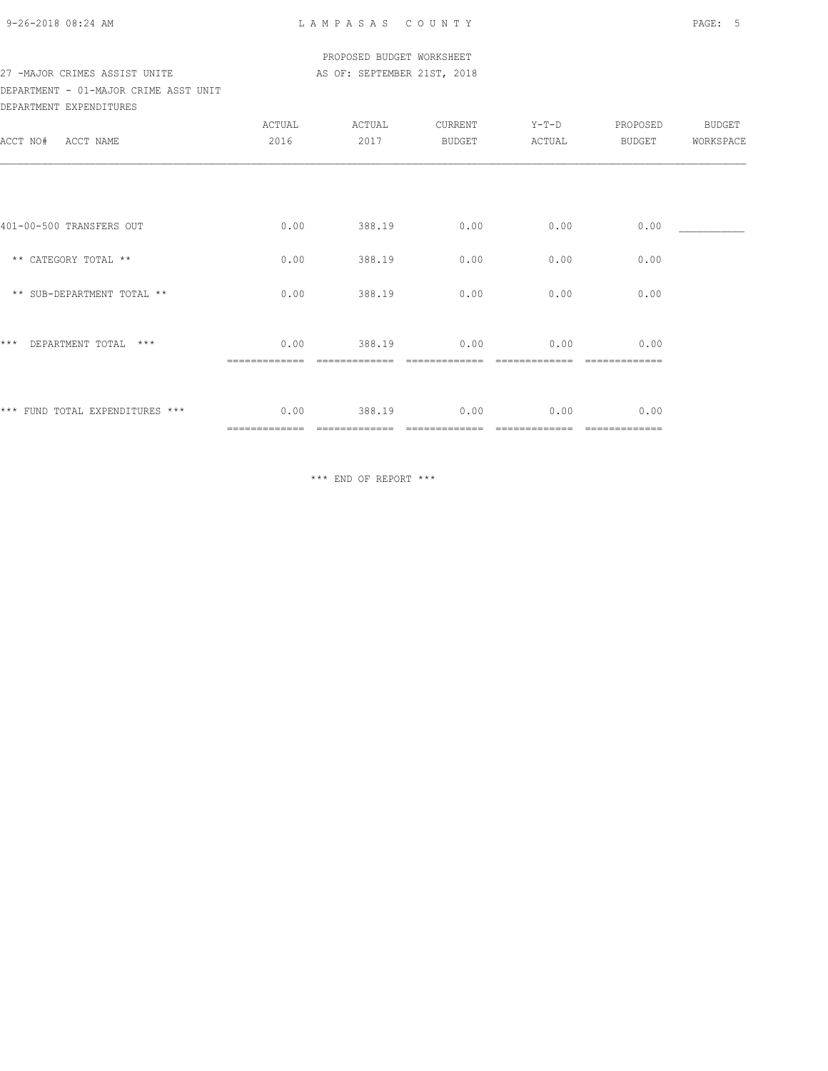#### PROPOSED BUDGET WORKSHEET 27 -MAJOR CRIMES ASSIST UNITE AS OF: SEPTEMBER 21ST, 2018

### DEPARTMENT - 01-MAJOR CRIME ASST UNIT DEPARTMENT EXPENDITURES

| ACCT NO#<br>ACCT NAME           | ACTUAL<br>2016        | ACTUAL<br>2017 | CURRENT<br><b>BUDGET</b> | Y-T-D<br>ACTUAL | PROPOSED<br>BUDGET    | BUDGET<br>WORKSPACE |
|---------------------------------|-----------------------|----------------|--------------------------|-----------------|-----------------------|---------------------|
| 401-00-500 TRANSFERS OUT        | 0.00                  | 388.19         | 0.00                     | 0.00            | 0.00                  |                     |
| ** CATEGORY TOTAL **            | 0.00                  | 388.19         | 0.00                     | 0.00            | 0.00                  |                     |
| ** SUB-DEPARTMENT TOTAL **      | 0.00                  | 388.19         | 0.00                     | 0.00            | 0.00                  |                     |
| $***$<br>DEPARTMENT TOTAL ***   | 0.00                  | 388.19         | 0.00                     | 0.00            | 0.00                  |                     |
| *** FUND TOTAL EXPENDITURES *** | 0.00<br>============= | 388.19         | 0.00                     | 0.00            | 0.00<br>============= |                     |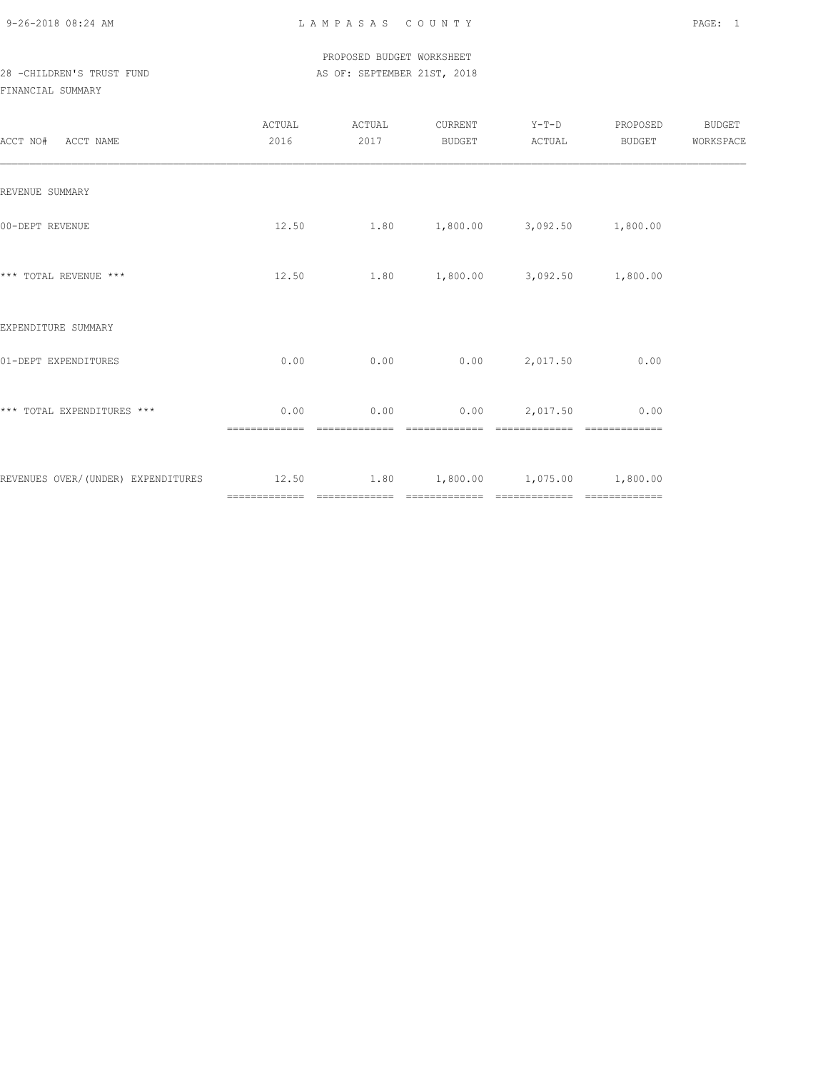### PROPOSED BUDGET WORKSHEET 28 -CHILDREN'S TRUST FUND AS OF: SEPTEMBER 21ST, 2018

| ACCT NO# ACCT NAME                                                       | ACTUAL<br>2016        | ACTUAL<br>2017 | CURRENT<br>BUDGET | $Y-T-D$<br>ACTUAL                         | PROPOSED<br>BUDGET | BUDGET<br>WORKSPACE |
|--------------------------------------------------------------------------|-----------------------|----------------|-------------------|-------------------------------------------|--------------------|---------------------|
| REVENUE SUMMARY                                                          |                       |                |                   |                                           |                    |                     |
| 00-DEPT REVENUE                                                          |                       |                |                   | $12.50$ 1.80 $1,800.00$ 3,092.50 1,800.00 |                    |                     |
| *** TOTAL REVENUE ***                                                    | 12.50                 |                |                   | $1.80$ $1,800.00$ $3,092.50$ $1,800.00$   |                    |                     |
| EXPENDITURE SUMMARY                                                      |                       |                |                   |                                           |                    |                     |
| 01-DEPT EXPENDITURES                                                     | 0.00                  | 0.00           |                   | $0.00$ 2,017.50                           | 0.00               |                     |
| *** TOTAL EXPENDITURES ***                                               | 0.00<br>============= | =============  | =============     | $0.00$ $0.00$ $2,017.50$ $0.00$           |                    |                     |
| REVENUES OVER/(UNDER) EXPENDITURES 12.50 1.80 1,800.00 1,075.00 1,800.00 |                       |                |                   |                                           |                    |                     |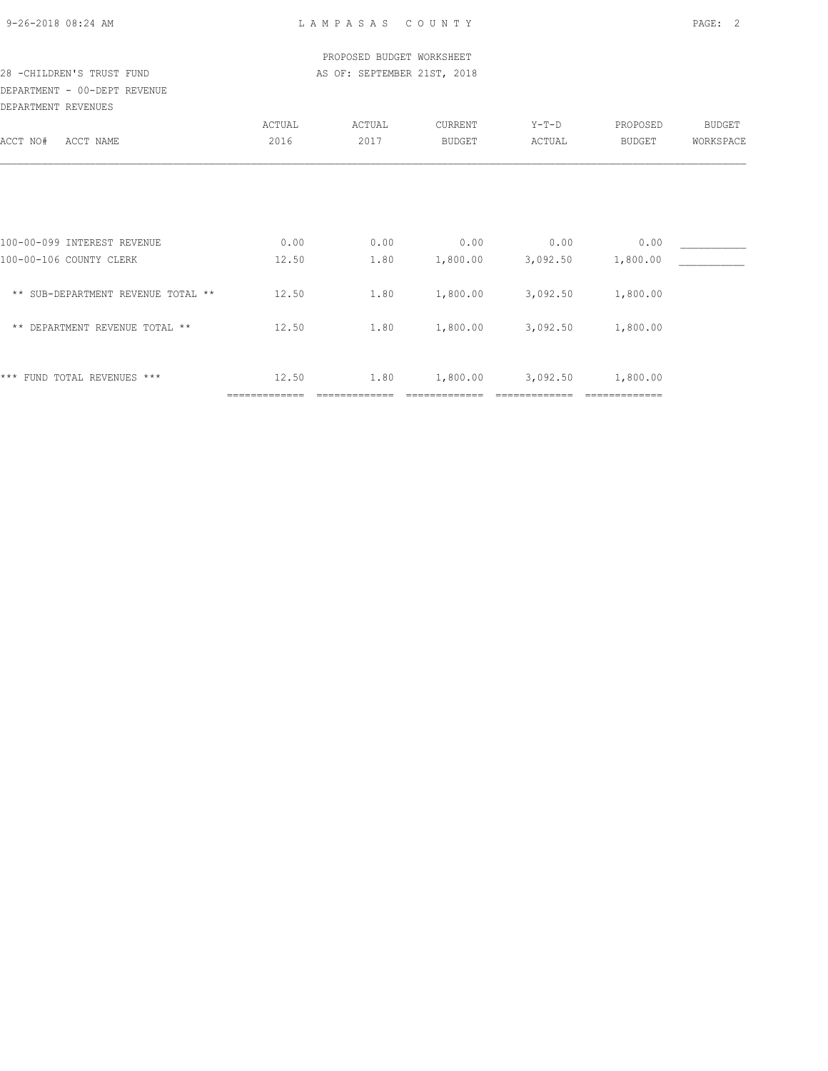| 9-26-2018 08:24 AM |  |
|--------------------|--|

| 28 - CHILDREN'S TRUST FUND<br>DEPARTMENT - 00-DEPT REVENUE |                        | PROPOSED BUDGET WORKSHEET<br>AS OF: SEPTEMBER 21ST, 2018 |          |          |                           |           |  |
|------------------------------------------------------------|------------------------|----------------------------------------------------------|----------|----------|---------------------------|-----------|--|
| DEPARTMENT REVENUES                                        |                        |                                                          |          |          |                           |           |  |
|                                                            | ACTUAL                 | ACTUAL                                                   | CURRENT  | $Y-T-D$  | PROPOSED                  | BUDGET    |  |
| ACCT NO#<br>ACCT NAME                                      | 2016                   | 2017                                                     | BUDGET   | ACTUAL   | BUDGET                    | WORKSPACE |  |
|                                                            |                        |                                                          |          |          |                           |           |  |
| 100-00-099 INTEREST REVENUE                                | 0.00                   | 0.00                                                     | 0.00     | 0.00     | 0.00                      |           |  |
| 100-00-106 COUNTY CLERK                                    | 12.50                  | 1.80                                                     | 1,800.00 | 3,092.50 | 1,800.00                  |           |  |
| ** SUB-DEPARTMENT REVENUE TOTAL **                         | 12.50                  | 1.80                                                     | 1,800.00 | 3,092.50 | 1,800.00                  |           |  |
| ** DEPARTMENT REVENUE TOTAL **                             | 12.50                  | 1.80                                                     | 1,800.00 | 3,092.50 | 1,800.00                  |           |  |
| FUND TOTAL REVENUES ***<br>* * *                           | 12.50<br>============= | 1.80                                                     | 1,800.00 | 3,092.50 | 1,800.00<br>------------- |           |  |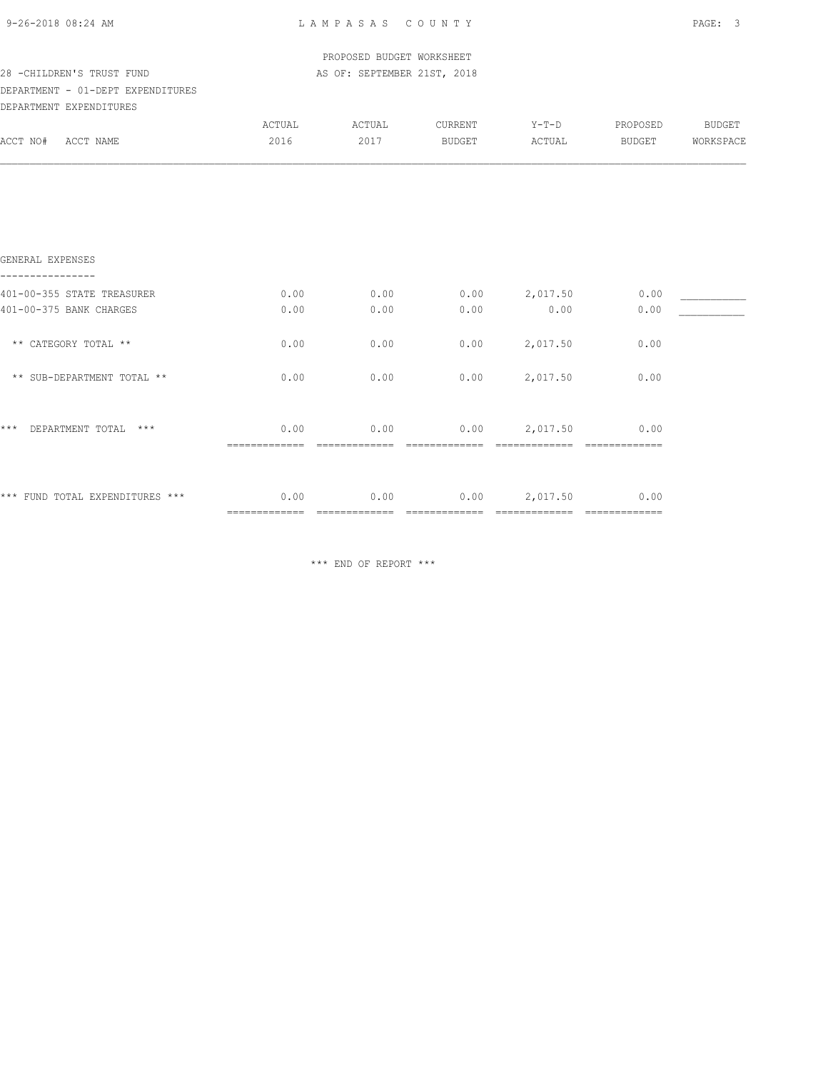|  | 9-26-2018 08:24 AM |  |
|--|--------------------|--|
|  |                    |  |

| 9-26-2018 08:24 AM                   | LAMPASAS COUNTY                        | PAGE: 3                     |               |                                        |        |                 |
|--------------------------------------|----------------------------------------|-----------------------------|---------------|----------------------------------------|--------|-----------------|
|                                      |                                        | PROPOSED BUDGET WORKSHEET   |               |                                        |        |                 |
| 28 -CHILDREN'S TRUST FUND            |                                        | AS OF: SEPTEMBER 21ST, 2018 |               |                                        |        |                 |
| DEPARTMENT - 01-DEPT EXPENDITURES    |                                        |                             |               |                                        |        |                 |
| DEPARTMENT EXPENDITURES              |                                        |                             |               |                                        |        |                 |
|                                      | ACTUAL                                 | ACTUAL                      | CURRENT       | $Y-T-D$                                |        | PROPOSED BUDGET |
| ACCT NO# ACCT NAME                   | 2016                                   | 2017                        | <b>BUDGET</b> | ACTUAL                                 | BUDGET | WORKSPACE       |
|                                      |                                        |                             |               |                                        |        |                 |
| GENERAL EXPENSES<br>---------------- |                                        |                             |               |                                        |        |                 |
| 401-00-355 STATE TREASURER           | 0.00                                   | 0.00                        | 0.00          | 2,017.50                               | 0.00   |                 |
| 401-00-375 BANK CHARGES              | 0.00                                   | 0.00                        | 0.00          | 0.00                                   | 0.00   |                 |
| ** CATEGORY TOTAL **                 | 0.00                                   | 0.00                        | 0.00          | 2,017.50                               | 0.00   |                 |
| ** SUB-DEPARTMENT TOTAL **           | 0.00                                   | 0.00                        | 0.00          | 2,017.50                               | 0.00   |                 |
| * * *<br>DEPARTMENT TOTAL ***        |                                        |                             |               | $0.00$ $0.00$ $0.00$ $0.017.50$ $0.00$ |        |                 |
| *** FUND TOTAL EXPENDITURES ***      | $0.00$ $0.00$ $0.00$ $0.017.50$ $0.00$ |                             |               |                                        |        |                 |
|                                      |                                        |                             |               |                                        |        |                 |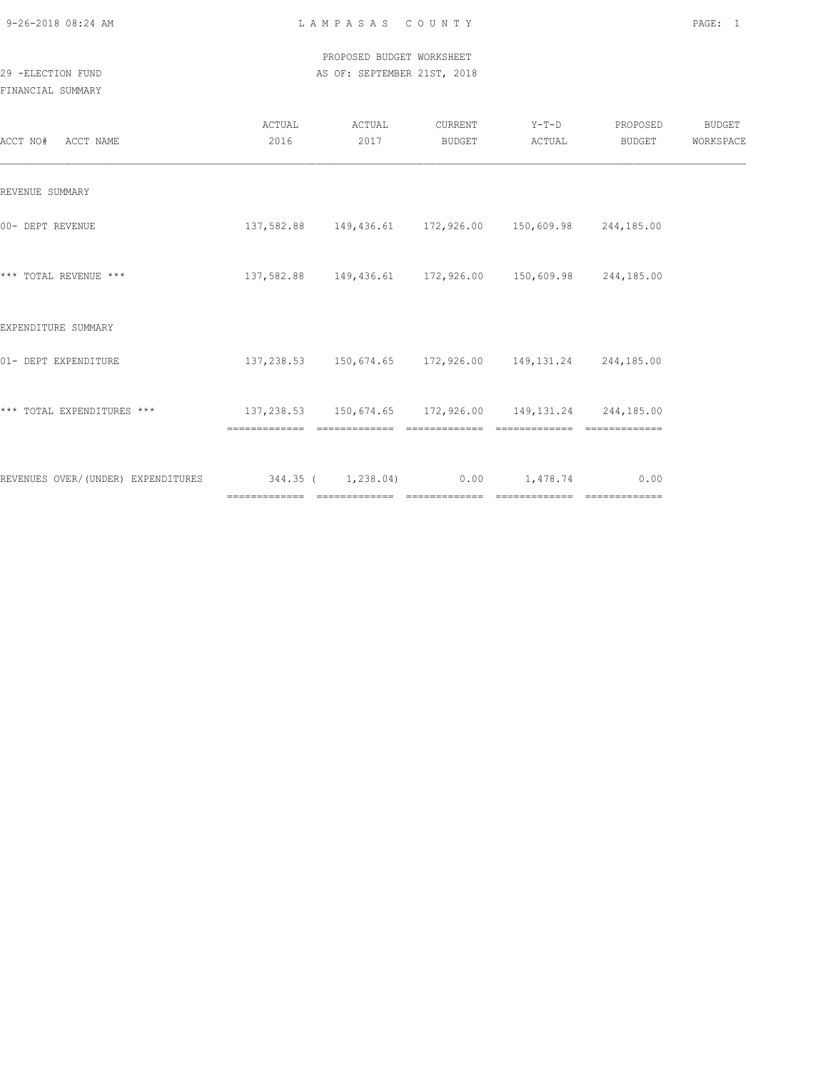PROPOSED BUDGET WORKSHEET 29 -ELECTION FUND AS OF: SEPTEMBER 21ST, 2018

| ACCT NO# ACCT NAME                 | ACTUAL<br>2016                                         | ACTUAL<br>2017 | CURRENT<br>BUDGET | $Y-T-D$<br>ACTUAL                                           | PROPOSED<br>BUDGET | <b>BUDGET</b><br>WORKSPACE |
|------------------------------------|--------------------------------------------------------|----------------|-------------------|-------------------------------------------------------------|--------------------|----------------------------|
| REVENUE SUMMARY                    |                                                        |                |                   |                                                             |                    |                            |
| 00- DEPT REVENUE                   |                                                        |                |                   | 137,582.88  149,436.61  172,926.00  150,609.98  244,185.00  |                    |                            |
| *** TOTAL REVENUE ***              |                                                        |                |                   | 137,582.88  149,436.61  172,926.00  150,609.98  244,185.00  |                    |                            |
| EXPENDITURE SUMMARY                |                                                        |                |                   |                                                             |                    |                            |
| 01- DEPT EXPENDITURE               |                                                        |                |                   | 137, 238.53 150, 674.65 172, 926.00 149, 131.24 244, 185.00 |                    |                            |
| *** TOTAL EXPENDITURES ***         | 137,238.53 150,674.65 172,926.00 149,131.24 244,185.00 |                | =============     | =============                                               |                    |                            |
| REVENUES OVER/(UNDER) EXPENDITURES | $344.35$ ( $1,238.04$ ) 0.00 1,478.74                  |                |                   |                                                             | 0.00               |                            |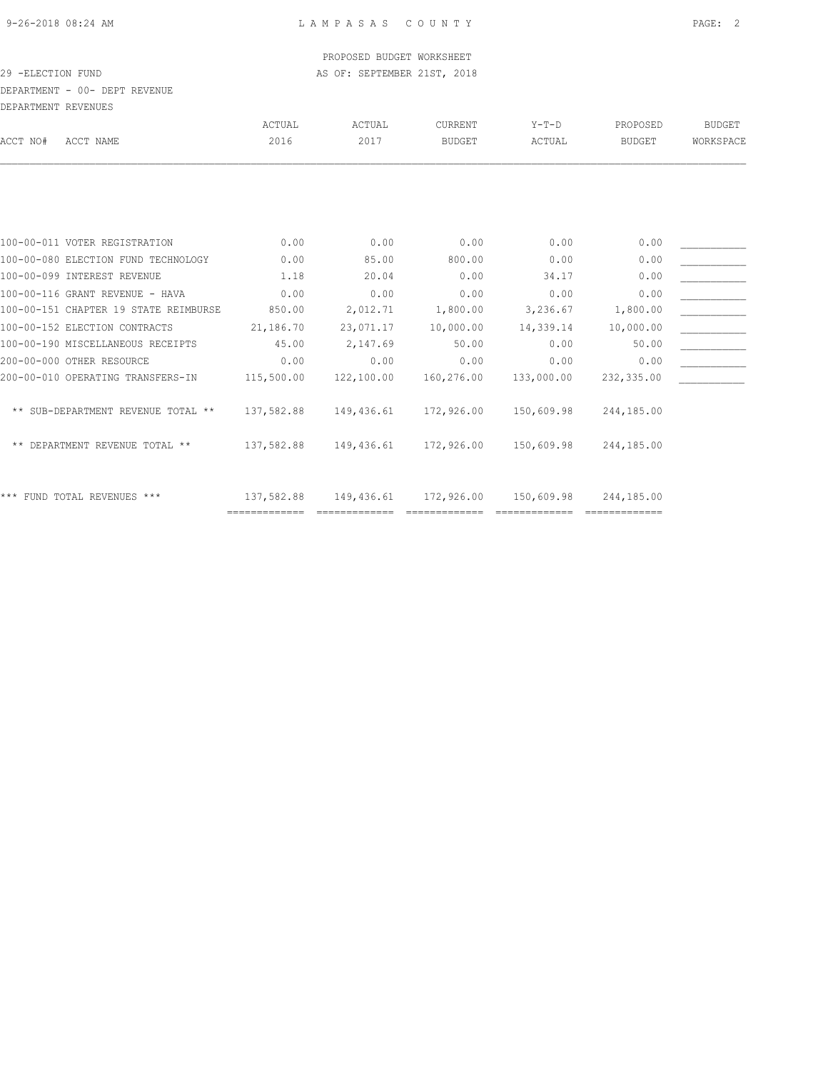#### PROPOSED BUDGET WORKSHEET 29 -ELECTION FUND AS OF: SEPTEMBER 21ST, 2018

DEPARTMENT - 00- DEPT REVENUE

| DEPARTMENT REVENUES                   |               |            |                |            |            |           |
|---------------------------------------|---------------|------------|----------------|------------|------------|-----------|
|                                       | ACTUAL        | ACTUAL     | <b>CURRENT</b> | $Y-T-D$    | PROPOSED   | BUDGET    |
| ACCT NO#<br>ACCT NAME                 | 2016          | 2017       | <b>BUDGET</b>  | ACTUAL     | BUDGET     | WORKSPACE |
|                                       |               |            |                |            |            |           |
|                                       |               |            |                |            |            |           |
| 100-00-011 VOTER REGISTRATION         | 0.00          | 0.00       | 0.00           | 0.00       | 0.00       |           |
| 100-00-080 ELECTION FUND TECHNOLOGY   | 0.00          | 85.00      | 800.00         | 0.00       | 0.00       |           |
| 100-00-099 INTEREST REVENUE           | 1.18          | 20.04      | 0.00           | 34.17      | 0.00       |           |
| 100-00-116 GRANT REVENUE - HAVA       | 0.00          | 0.00       | 0.00           | 0.00       | 0.00       |           |
| 100-00-151 CHAPTER 19 STATE REIMBURSE | 850.00        | 2,012.71   | 1,800.00       | 3,236.67   | 1,800.00   |           |
| 100-00-152 ELECTION CONTRACTS         | 21,186.70     | 23,071.17  | 10,000.00      | 14,339.14  | 10,000.00  |           |
| 100-00-190 MISCELLANEOUS RECEIPTS     | 45.00         | 2,147.69   | 50.00          | 0.00       | 50.00      |           |
| 200-00-000 OTHER RESOURCE             | 0.00          | 0.00       | 0.00           | 0.00       | 0.00       |           |
| 200-00-010 OPERATING TRANSFERS-IN     | 115,500.00    | 122,100.00 | 160,276.00     | 133,000.00 | 232,335.00 |           |
| ** SUB-DEPARTMENT REVENUE TOTAL **    | 137,582.88    | 149,436.61 | 172,926.00     | 150,609.98 | 244,185.00 |           |
| ** DEPARTMENT REVENUE TOTAL **        | 137,582.88    | 149,436.61 | 172,926.00     | 150,609.98 | 244,185.00 |           |
| *** FUND TOTAL REVENUES ***           | 137,582.88    | 149,436.61 | 172,926.00     | 150,609.98 | 244,185.00 |           |
|                                       | ============= |            |                |            |            |           |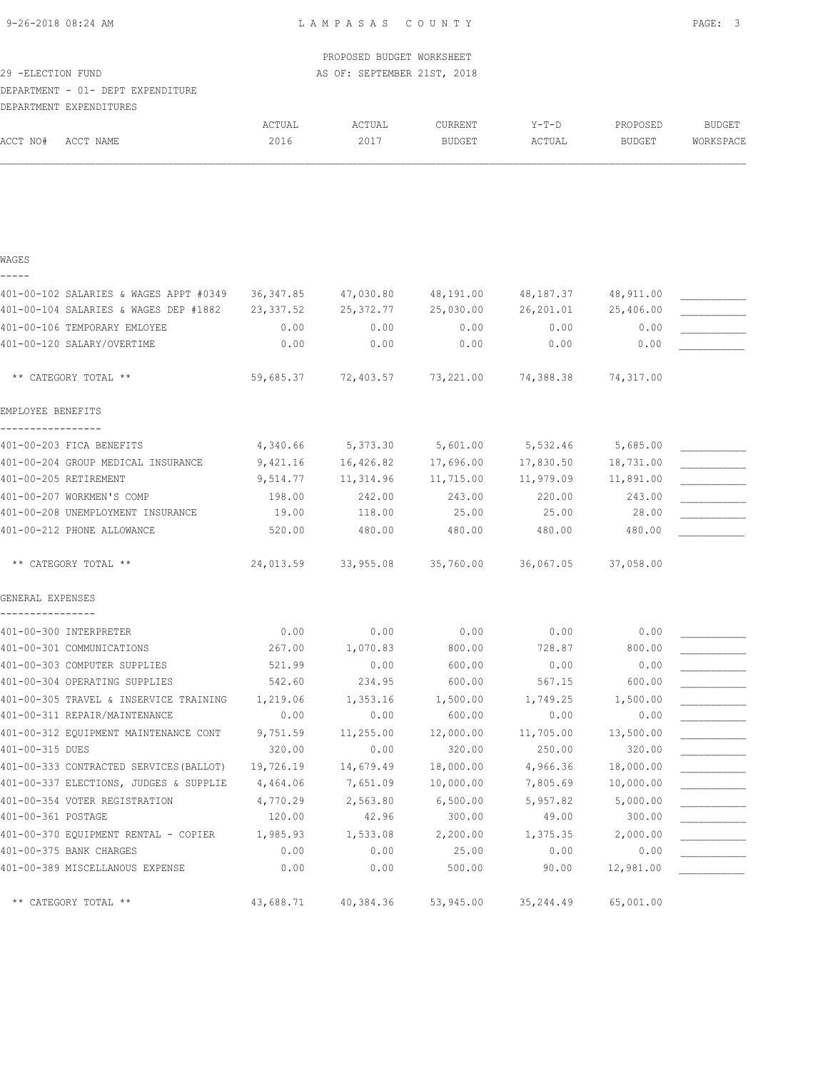| 29 - ELECTION FUND | DEPARTMENT - 01- DEPT EXPENDITURE<br>DEPARTMENT EXPENDITURES                      |                       | PROPOSED BUDGET WORKSHEET<br>AS OF: SEPTEMBER 21ST, 2018 |                        |                      |                           |                            |
|--------------------|-----------------------------------------------------------------------------------|-----------------------|----------------------------------------------------------|------------------------|----------------------|---------------------------|----------------------------|
| ACCT NO#           | ACCT NAME                                                                         | ACTUAL<br>2016        | ACTUAL<br>2017                                           | CURRENT<br>BUDGET      | $Y-T-D$<br>ACTUAL    | PROPOSED<br><b>BUDGET</b> | <b>BUDGET</b><br>WORKSPACE |
|                    |                                                                                   |                       |                                                          |                        |                      |                           |                            |
| WAGES              |                                                                                   |                       |                                                          |                        |                      |                           |                            |
|                    | 401-00-102 SALARIES & WAGES APPT #0349                                            | 36,347.85             | 47,030.80                                                | 48,191.00              | 48,187.37            | 48,911.00                 |                            |
|                    | 401-00-104 SALARIES & WAGES DEP #1882                                             | 23,337.52             | 25, 372.77                                               | 25,030.00              | 26,201.01            | 25,406.00                 |                            |
|                    | 401-00-106 TEMPORARY EMLOYEE                                                      | 0.00                  | 0.00                                                     | 0.00                   | 0.00                 | 0.00                      |                            |
|                    | 401-00-120 SALARY/OVERTIME                                                        | 0.00                  | 0.00                                                     | 0.00                   | 0.00                 | 0.00                      |                            |
|                    | ** CATEGORY TOTAL **                                                              | 59,685.37             | 72,403.57                                                | 73,221.00              | 74,388.38            | 74,317.00                 |                            |
| EMPLOYEE BENEFITS  |                                                                                   |                       |                                                          |                        |                      |                           |                            |
|                    | 401-00-203 FICA BENEFITS                                                          | 4,340.66              | 5,373.30                                                 | 5,601.00               | 5,532.46             | 5,685.00                  |                            |
|                    | 401-00-204 GROUP MEDICAL INSURANCE                                                | 9,421.16              | 16,426.82                                                | 17,696.00              | 17,830.50            | 18,731.00                 |                            |
|                    | 401-00-205 RETIREMENT                                                             | 9,514.77              | 11,314.96                                                | 11,715.00              | 11,979.09            | 11,891.00                 |                            |
|                    | 401-00-207 WORKMEN'S COMP                                                         | 198.00                | 242.00                                                   | 243.00                 | 220.00               | 243.00                    |                            |
|                    | 401-00-208 UNEMPLOYMENT INSURANCE                                                 | 19.00                 | 118.00                                                   | 25.00                  | 25.00                | 28.00                     |                            |
|                    | 401-00-212 PHONE ALLOWANCE                                                        | 520.00                | 480.00                                                   | 480.00                 | 480.00               | 480.00                    |                            |
|                    | ** CATEGORY TOTAL **                                                              | 24,013.59             | 33,955.08                                                | 35,760.00              | 36,067.05            | 37,058.00                 |                            |
| GENERAL EXPENSES   |                                                                                   |                       |                                                          |                        |                      |                           |                            |
|                    | 401-00-300 INTERPRETER                                                            | 0.00                  | 0.00                                                     | 0.00                   | 0.00                 | 0.00                      |                            |
|                    | 401-00-301 COMMUNICATIONS                                                         | 267.00                | 1,070.83                                                 | 800.00                 | 728.87               | 800.00                    |                            |
|                    | 401-00-303 COMPUTER SUPPLIES                                                      | 521.99                | 0.00                                                     | 600.00                 | 0.00                 | 0.00                      |                            |
|                    | 401-00-304 OPERATING SUPPLIES                                                     | 542.60                | 234.95                                                   | 600.00                 | 567.15               | 600.00                    |                            |
|                    | 401-00-305 TRAVEL & INSERVICE TRAINING                                            | 1,219.06              | 1,353.16                                                 | 1,500.00               | 1,749.25             | 1,500.00                  |                            |
|                    | 401-00-311 REPAIR/MAINTENANCE                                                     | 0.00                  | 0.00                                                     | 600.00                 | 0.00                 | 0.00                      |                            |
|                    | 401-00-312 EQUIPMENT MAINTENANCE CONT                                             | 9,751.59              | 11, 255.00                                               | 12,000.00              | 11,705.00            | 13,500.00                 |                            |
| 401-00-315 DUES    |                                                                                   | 320.00                | 0.00                                                     | 320.00                 | 250.00               | 320.00                    |                            |
|                    | 401-00-333 CONTRACTED SERVICES (BALLOT)<br>401-00-337 ELECTIONS, JUDGES & SUPPLIE | 19,726.19<br>4,464.06 | 14,679.49<br>7,651.09                                    | 18,000.00<br>10,000.00 | 4,966.36<br>7,805.69 | 18,000.00<br>10,000.00    |                            |
|                    | 401-00-354 VOTER REGISTRATION                                                     | 4,770.29              | 2,563.80                                                 | 6,500.00               | 5,957.82             | 5,000.00                  |                            |
| 401-00-361 POSTAGE |                                                                                   | 120.00                | 42.96                                                    | 300.00                 | 49.00                | 300.00                    |                            |
|                    | 401-00-370 EQUIPMENT RENTAL - COPIER                                              | 1,985.93              | 1,533.08                                                 | 2,200.00               | 1,375.35             | 2,000.00                  |                            |
|                    | 401-00-375 BANK CHARGES                                                           | 0.00                  | 0.00                                                     | 25.00                  | 0.00                 | 0.00                      |                            |
|                    | 401-00-389 MISCELLANOUS EXPENSE                                                   | 0.00                  | 0.00                                                     | 500.00                 | 90.00                | 12,981.00                 |                            |
|                    | ** CATEGORY TOTAL **                                                              | 43,688.71             | 40,384.36                                                | 53,945.00              | 35,244.49            | 65,001.00                 |                            |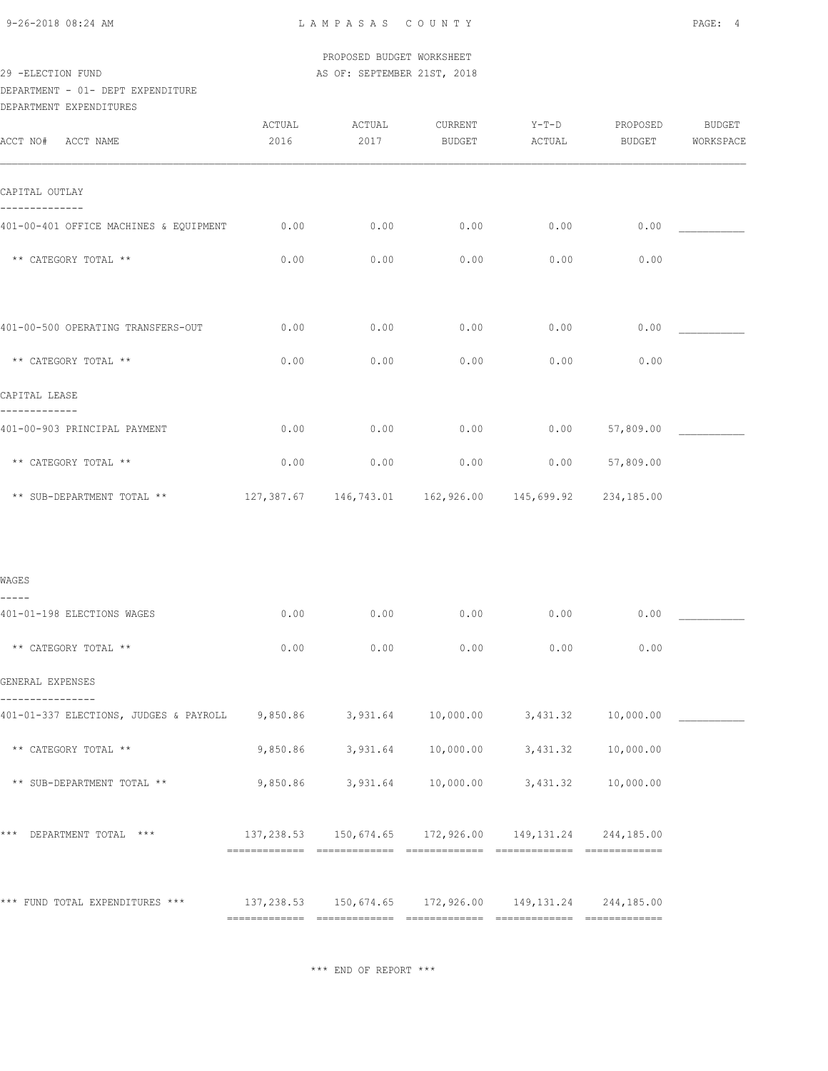#### PROPOSED BUDGET WORKSHEET 29 -ELECTION FUND **AS OF: SEPTEMBER 21ST, 2018**

## DEPARTMENT - 01- DEPT EXPENDITURE

| ACTUAL<br>2016                         | ACTUAL<br>2017 | CURRENT<br>BUDGET | $Y-T-D$<br>ACTUAL | PROPOSED<br>BUDGET | BUDGET                                                                                                                                                                                                                                                                                                      |
|----------------------------------------|----------------|-------------------|-------------------|--------------------|-------------------------------------------------------------------------------------------------------------------------------------------------------------------------------------------------------------------------------------------------------------------------------------------------------------|
|                                        |                |                   |                   |                    | WORKSPACE                                                                                                                                                                                                                                                                                                   |
|                                        |                |                   |                   |                    |                                                                                                                                                                                                                                                                                                             |
| 0.00                                   | 0.00           | 0.00              | 0.00              | 0.00               |                                                                                                                                                                                                                                                                                                             |
| 0.00                                   | 0.00           | 0.00              | 0.00              | 0.00               |                                                                                                                                                                                                                                                                                                             |
|                                        |                |                   |                   |                    |                                                                                                                                                                                                                                                                                                             |
| 0.00                                   | 0.00           | 0.00              | 0.00              | 0.00               |                                                                                                                                                                                                                                                                                                             |
| 0.00                                   | 0.00           | 0.00              | 0.00              | 0.00               |                                                                                                                                                                                                                                                                                                             |
|                                        |                |                   |                   |                    |                                                                                                                                                                                                                                                                                                             |
| 0.00                                   | 0.00           | 0.00              | 0.00              | 57,809.00          |                                                                                                                                                                                                                                                                                                             |
| 0.00                                   | 0.00           | 0.00              |                   | 57,809.00          |                                                                                                                                                                                                                                                                                                             |
|                                        |                |                   |                   |                    |                                                                                                                                                                                                                                                                                                             |
|                                        |                |                   |                   |                    |                                                                                                                                                                                                                                                                                                             |
|                                        |                |                   |                   |                    |                                                                                                                                                                                                                                                                                                             |
| 0.00                                   | 0.00           | 0.00              | 0.00              | 0.00               |                                                                                                                                                                                                                                                                                                             |
| 0.00                                   | 0.00           | 0.00              | 0.00              | 0.00               |                                                                                                                                                                                                                                                                                                             |
|                                        |                |                   |                   |                    |                                                                                                                                                                                                                                                                                                             |
| 401-01-337 ELECTIONS, JUDGES & PAYROLL |                |                   |                   |                    |                                                                                                                                                                                                                                                                                                             |
|                                        |                |                   |                   | 10,000.00          |                                                                                                                                                                                                                                                                                                             |
|                                        |                |                   |                   |                    |                                                                                                                                                                                                                                                                                                             |
|                                        |                |                   |                   |                    |                                                                                                                                                                                                                                                                                                             |
|                                        |                |                   |                   |                    | 0.00<br>127,387.67  146,743.01  162,926.00  145,699.92  234,185.00<br>9,850.86 3,931.64 10,000.00 3,431.32 10,000.00<br>9,850.86 3,931.64 10,000.00 3,431.32<br>9,850.86 3,931.64 10,000.00 3,431.32 10,000.00<br>*** DEPARTMENT TOTAL *** $137,238.53$ $150,674.65$ $172,926.00$ $149,131.24$ $244,185.00$ |

\*\*\* END OF REPORT \*\*\*

============= ============= ============= ============= =============

\*\*\* FUND TOTAL EXPENDITURES \*\*\* 137,238.53 150,674.65 172,926.00 149,131.24 244,185.00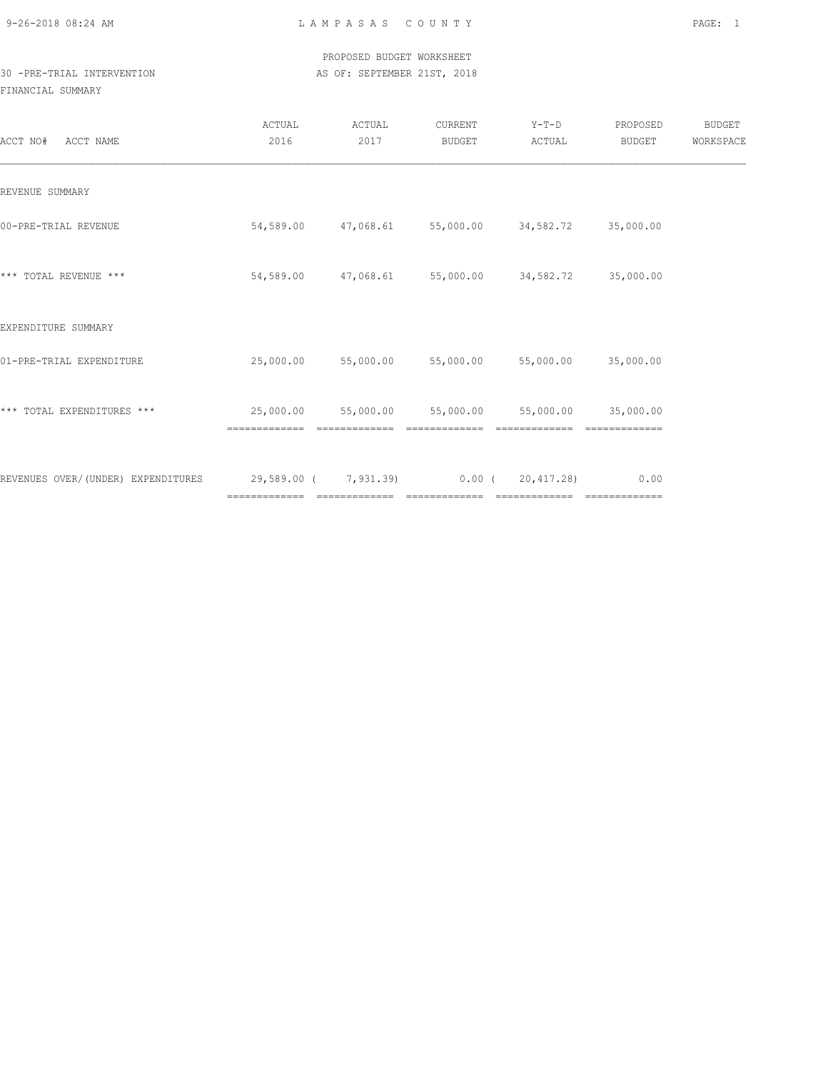## PROPOSED BUDGET WORKSHEET 30 -PRE-TRIAL INTERVENTION **AS OF: SEPTEMBER 21ST, 2018**

| ACCT NAME<br>ACCT NO#              | ACTUAL<br>2016             | ACTUAL<br>2017 | CURRENT<br>BUDGET                                 | $Y-T-D$<br>ACTUAL                    | PROPOSED<br>BUDGET | <b>BUDGET</b><br>WORKSPACE |
|------------------------------------|----------------------------|----------------|---------------------------------------------------|--------------------------------------|--------------------|----------------------------|
| REVENUE SUMMARY                    |                            |                |                                                   |                                      |                    |                            |
| 00-PRE-TRIAL REVENUE               |                            |                | 54,589.00 47,068.61 55,000.00 34,582.72 35,000.00 |                                      |                    |                            |
| *** TOTAL REVENUE ***              | 54,589.00                  |                | 47,068.61 55,000.00 34,582.72 35,000.00           |                                      |                    |                            |
| EXPENDITURE SUMMARY                |                            |                |                                                   |                                      |                    |                            |
| 01-PRE-TRIAL EXPENDITURE           | 25,000.00                  |                | 55,000.00 55,000.00 55,000.00 35,000.00           |                                      |                    |                            |
| *** TOTAL EXPENDITURES ***         | 25,000.00<br>------------- | =============  | 55,000.00 55,000.00<br>=============              | 55,000.00 35,000.00<br>============= |                    |                            |
| REVENUES OVER/(UNDER) EXPENDITURES | 29,589.00 ( 7,931.39)      |                |                                                   | 0.00(20, 417, 28)                    | 0.00               |                            |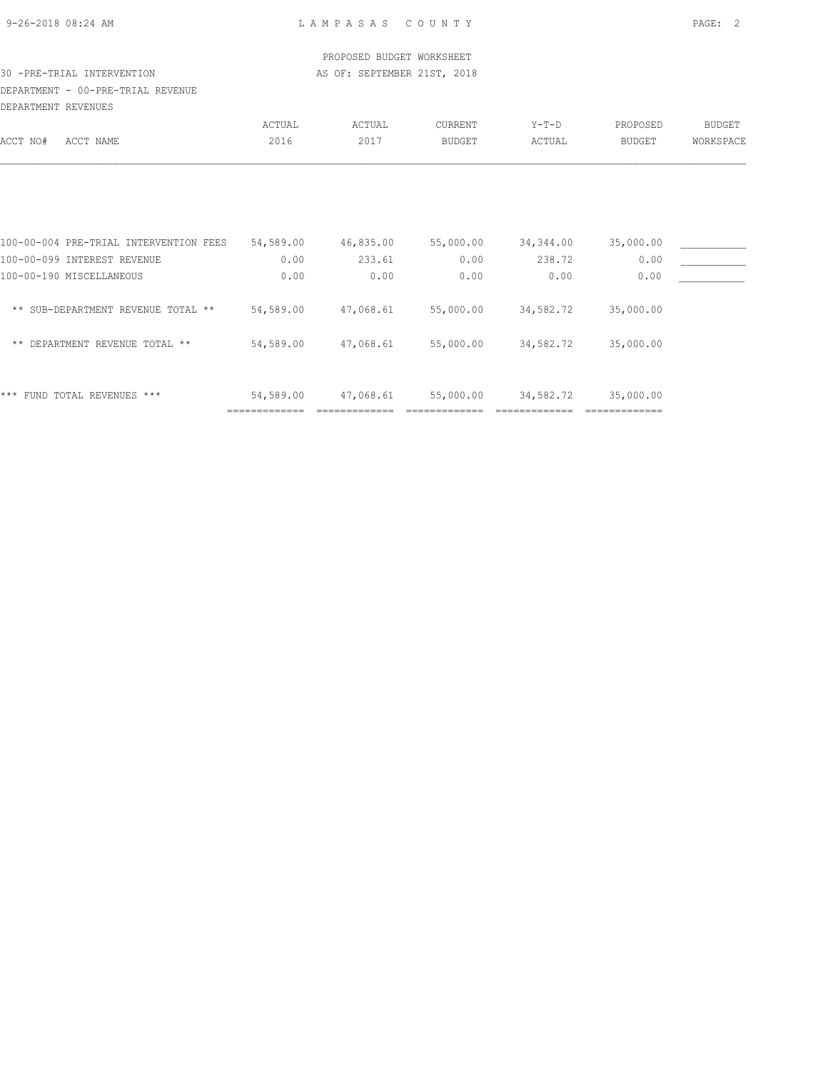|  | 9-26-2018 08:24 AM |  |
|--|--------------------|--|
|  |                    |  |

|                                        |           | PROPOSED BUDGET WORKSHEET   |               |           |           |               |
|----------------------------------------|-----------|-----------------------------|---------------|-----------|-----------|---------------|
| 30 -PRE-TRIAL INTERVENTION             |           | AS OF: SEPTEMBER 21ST, 2018 |               |           |           |               |
| DEPARTMENT - 00-PRE-TRIAL REVENUE      |           |                             |               |           |           |               |
| DEPARTMENT REVENUES                    |           |                             |               |           |           |               |
|                                        | ACTUAL    | ACTUAL                      | CURRENT       | $Y-T-D$   | PROPOSED  | <b>BUDGET</b> |
| ACCT NO#<br>ACCT NAME                  | 2016      | 2017                        | <b>BUDGET</b> | ACTUAL    | BUDGET    | WORKSPACE     |
|                                        |           |                             |               |           |           |               |
| 100-00-004 PRE-TRIAL INTERVENTION FEES | 54,589.00 | 46,835.00                   | 55,000.00     | 34,344.00 | 35,000.00 |               |
| 100-00-099 INTEREST REVENUE            | 0.00      | 233.61                      | 0.00          | 238.72    | 0.00      |               |
| 100-00-190 MISCELLANEOUS               | 0.00      | 0.00                        | 0.00          | 0.00      | 0.00      |               |
| ** SUB-DEPARTMENT REVENUE TOTAL **     | 54,589.00 | 47,068.61                   | 55,000.00     | 34,582.72 | 35,000.00 |               |
| ** DEPARTMENT REVENUE TOTAL **         | 54,589.00 | 47,068.61                   | 55,000.00     | 34,582.72 | 35,000.00 |               |
| *** FUND TOTAL REVENUES ***            | 54,589.00 | 47,068.61                   | 55,000.00     | 34,582.72 | 35,000.00 |               |

============= ============= ============= ============= =============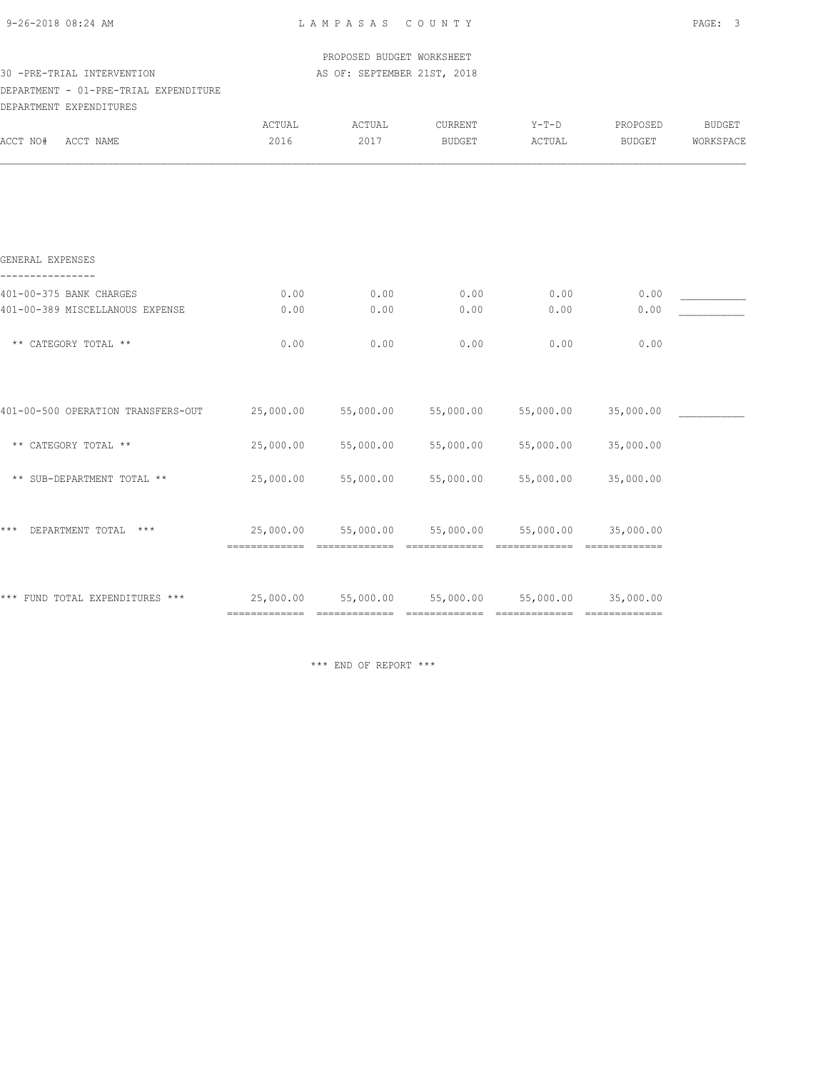| 9-26-2018 08:24 AM |  |
|--------------------|--|
|                    |  |

|                                       |                                                               | PROPOSED BUDGET WORKSHEET                         |           |           |           |           |
|---------------------------------------|---------------------------------------------------------------|---------------------------------------------------|-----------|-----------|-----------|-----------|
| 30 -PRE-TRIAL INTERVENTION            |                                                               | AS OF: SEPTEMBER 21ST, 2018                       |           |           |           |           |
| DEPARTMENT - 01-PRE-TRIAL EXPENDITURE |                                                               |                                                   |           |           |           |           |
| DEPARTMENT EXPENDITURES               |                                                               |                                                   |           |           |           |           |
|                                       | <b>ACTUAL</b>                                                 | ACTUAL                                            | CURRENT   | Y-T-D     | PROPOSED  | BUDGET    |
| ACCT NO#<br>ACCT NAME                 | 2016                                                          | 2017                                              | BUDGET    | ACTUAL    | BUDGET    | WORKSPACE |
|                                       |                                                               |                                                   |           |           |           |           |
|                                       |                                                               |                                                   |           |           |           |           |
|                                       |                                                               |                                                   |           |           |           |           |
| GENERAL EXPENSES<br>.                 |                                                               |                                                   |           |           |           |           |
| 401-00-375 BANK CHARGES               | 0.00                                                          | 0.00                                              | 0.00      | 0.00      | 0.00      |           |
| 401-00-389 MISCELLANOUS EXPENSE       | 0.00                                                          | 0.00                                              | 0.00      | 0.00      | 0.00      |           |
| ** CATEGORY TOTAL **                  | 0.00                                                          | 0.00                                              | 0.00      | 0.00      | 0.00      |           |
|                                       |                                                               |                                                   |           |           |           |           |
| 401-00-500 OPERATION TRANSFERS-OUT    | 25,000.00                                                     | 55,000.00                                         | 55,000.00 | 55,000.00 | 35,000.00 |           |
| ** CATEGORY TOTAL **                  | 25,000.00                                                     | 55,000.00                                         | 55,000.00 | 55,000.00 | 35,000.00 |           |
| ** SUB-DEPARTMENT TOTAL **            | 25,000.00                                                     | 55,000.00                                         | 55,000.00 | 55,000.00 | 35,000.00 |           |
| DEPARTMENT TOTAL ***<br>* * *         |                                                               | 25,000.00 55,000.00 55,000.00 55,000.00 35,000.00 |           |           |           |           |
|                                       |                                                               |                                                   |           |           |           |           |
| *** FUND TOTAL EXPENDITURES ***       | 25,000.00    55,000.00    55,000.00    55,000.00    35,000.00 |                                                   |           |           |           |           |
|                                       |                                                               |                                                   |           |           |           |           |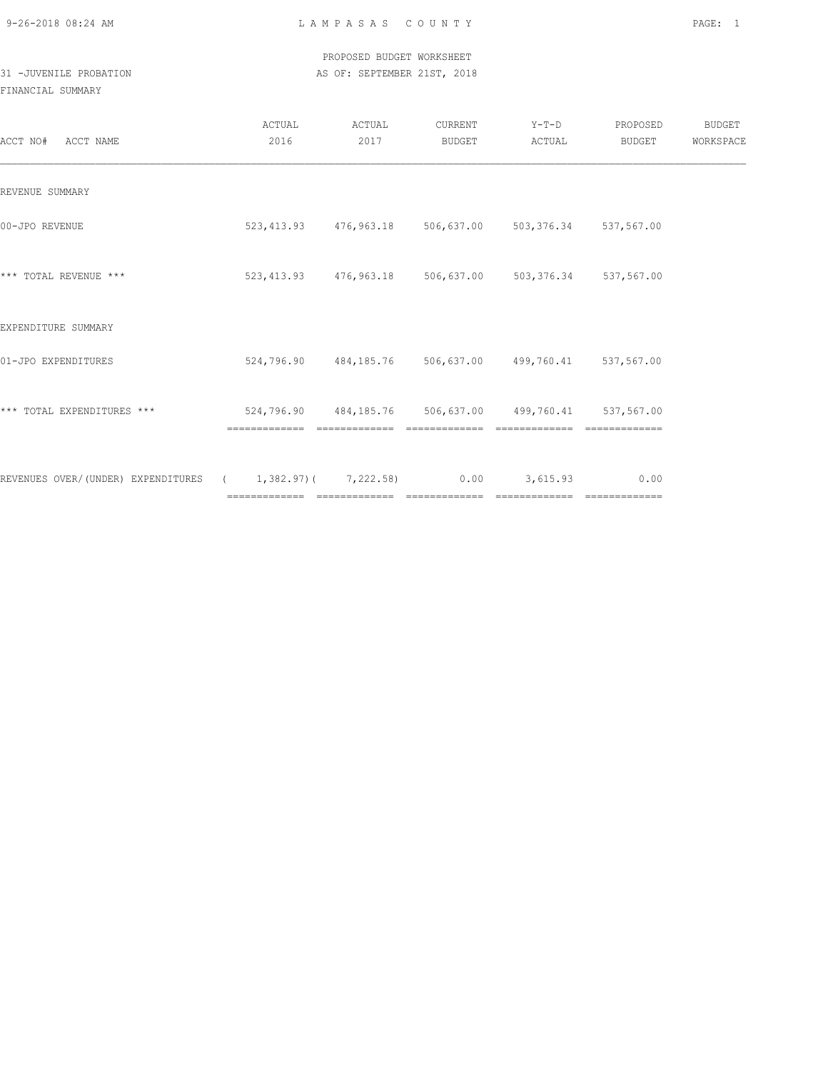#### PROPOSED BUDGET WORKSHEET 31 -JUVENILE PROBATION AS OF: SEPTEMBER 21ST, 2018

| ACCT NO# ACCT NAME                                                      | ACTUAL<br>2016                                         | ACTUAL<br>2017 | CURRENT<br>BUDGET | $Y-T-D$<br>ACTUAL                                           | PROPOSED<br>BUDGET | <b>BUDGET</b><br>WORKSPACE |
|-------------------------------------------------------------------------|--------------------------------------------------------|----------------|-------------------|-------------------------------------------------------------|--------------------|----------------------------|
| REVENUE SUMMARY                                                         |                                                        |                |                   |                                                             |                    |                            |
| 00-JPO REVENUE                                                          |                                                        |                |                   | 523, 413.93 476, 963.18 506, 637.00 503, 376.34 537, 567.00 |                    |                            |
| *** TOTAL REVENUE ***                                                   |                                                        |                |                   | 523,413.93 476,963.18 506,637.00 503,376.34 537,567.00      |                    |                            |
| EXPENDITURE SUMMARY                                                     |                                                        |                |                   |                                                             |                    |                            |
| 01-JPO EXPENDITURES                                                     |                                                        |                |                   | 524,796.90  484,185.76  506,637.00  499,760.41  537,567.00  |                    |                            |
| *** TOTAL EXPENDITURES ***                                              | 524,796.90 484,185.76 506,637.00 499,760.41 537,567.00 |                |                   |                                                             |                    |                            |
| REVENUES OVER/(UNDER) EXPENDITURES ( 1,382.97)( 7,222.58) 0.00 3,615.93 |                                                        |                |                   |                                                             | 0.00               |                            |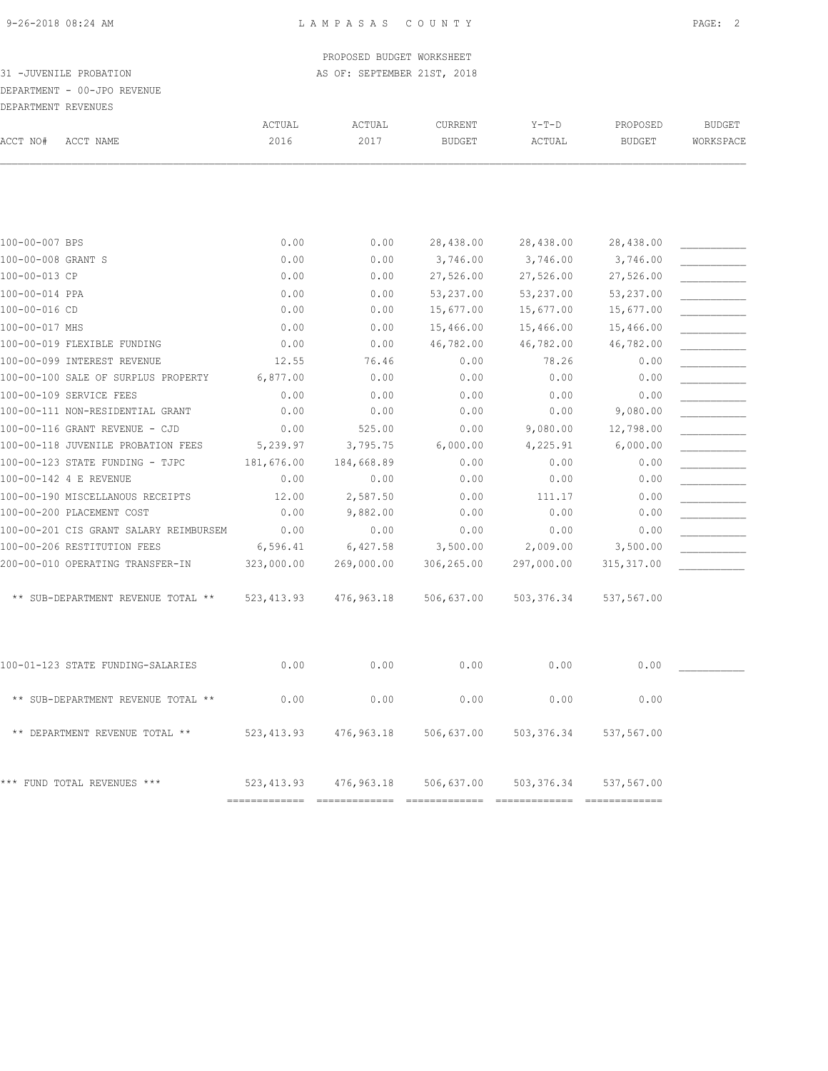#### PROPOSED BUDGET WORKSHEET 31 -JUVENILE PROBATION AS OF: SEPTEMBER 21ST, 2018

# DEPARTMENT - 00-JPO REVENUE

| DEPARTMENT REVENUES |                                                                    |                  |                    |                          |                      |                           |                            |
|---------------------|--------------------------------------------------------------------|------------------|--------------------|--------------------------|----------------------|---------------------------|----------------------------|
| ACCT NO#            | ACCT NAME                                                          | ACTUAL<br>2016   | ACTUAL<br>2017     | CURRENT<br><b>BUDGET</b> | $Y-T-D$<br>ACTUAL    | PROPOSED<br><b>BUDGET</b> | <b>BUDGET</b><br>WORKSPACE |
|                     |                                                                    |                  |                    |                          |                      |                           |                            |
|                     |                                                                    |                  |                    |                          |                      |                           |                            |
| 100-00-007 BPS      |                                                                    | 0.00             | 0.00               | 28,438.00                | 28,438.00            | 28,438.00                 |                            |
| 100-00-008 GRANT S  |                                                                    | 0.00             | 0.00               | 3,746.00                 | 3,746.00             | 3,746.00                  |                            |
| 100-00-013 CP       |                                                                    | 0.00             | 0.00               | 27,526.00                | 27,526.00            | 27,526.00                 |                            |
| 100-00-014 PPA      |                                                                    | 0.00             | 0.00               | 53,237.00                | 53,237.00            | 53,237.00                 |                            |
| 100-00-016 CD       |                                                                    | 0.00             | 0.00               | 15,677.00                | 15,677.00            | 15,677.00                 |                            |
| 100-00-017 MHS      |                                                                    | 0.00             | 0.00               | 15,466.00                | 15,466.00            | 15,466.00                 |                            |
|                     | 100-00-019 FLEXIBLE FUNDING                                        | 0.00             | 0.00               | 46,782.00                | 46,782.00            | 46,782.00                 |                            |
|                     | 100-00-099 INTEREST REVENUE<br>100-00-100 SALE OF SURPLUS PROPERTY | 12.55            | 76.46<br>0.00      | 0.00<br>0.00             | 78.26<br>0.00        | 0.00<br>0.00              |                            |
|                     |                                                                    | 6,877.00         |                    |                          |                      |                           |                            |
|                     | 100-00-109 SERVICE FEES                                            | 0.00             | 0.00               | 0.00                     | 0.00                 | 0.00                      |                            |
|                     | 100-00-111 NON-RESIDENTIAL GRANT<br>100-00-116 GRANT REVENUE - CJD | 0.00             | 0.00               | 0.00                     | 0.00                 | 9,080.00                  |                            |
|                     | 100-00-118 JUVENILE PROBATION FEES                                 | 0.00<br>5,239.97 | 525.00<br>3,795.75 | 0.00<br>6,000.00         | 9,080.00<br>4,225.91 | 12,798.00<br>6,000.00     |                            |
|                     |                                                                    |                  |                    |                          |                      |                           |                            |
|                     | 100-00-123 STATE FUNDING - TJPC                                    | 181,676.00       | 184,668.89         | 0.00<br>0.00             | 0.00                 | 0.00                      |                            |
|                     | 100-00-142 4 E REVENUE                                             | 0.00             | 0.00               |                          | 0.00                 | 0.00                      |                            |
|                     | 100-00-190 MISCELLANOUS RECEIPTS                                   | 12.00            | 2,587.50           | 0.00                     | 111.17               | 0.00                      |                            |
|                     | 100-00-200 PLACEMENT COST                                          | 0.00             | 9,882.00           | 0.00                     | 0.00                 | 0.00                      |                            |
|                     | 100-00-201 CIS GRANT SALARY REIMBURSEM                             | 0.00             | 0.00               | 0.00                     | 0.00                 | 0.00                      |                            |
|                     | 100-00-206 RESTITUTION FEES                                        | 6,596.41         | 6,427.58           | 3,500.00                 | 2,009.00             | 3,500.00                  |                            |
|                     | 200-00-010 OPERATING TRANSFER-IN                                   | 323,000.00       | 269,000.00         | 306,265.00               | 297,000.00           | 315, 317.00               |                            |
|                     | ** SUB-DEPARTMENT REVENUE TOTAL **                                 | 523, 413.93      | 476,963.18         | 506,637.00               | 503, 376.34          | 537,567.00                |                            |
|                     | 100-01-123 STATE FUNDING-SALARIES                                  | 0.00             | 0.00               | 0.00                     | 0.00                 | 0.00                      |                            |
|                     |                                                                    |                  |                    |                          |                      |                           |                            |
|                     | ** SUB-DEPARTMENT REVENUE TOTAL **                                 | 0.00             | 0.00               | 0.00                     | 0.00                 | 0.00                      |                            |
|                     | ** DEPARTMENT REVENUE TOTAL **                                     | 523, 413.93      | 476,963.18         | 506,637.00               | 503, 376.34          | 537,567.00                |                            |

\*\*\* FUND TOTAL REVENUES \*\*\* 523,413.93 476,963.18 506,637.00 503,376.34 537,567.00

============= ============= ============= ============= =============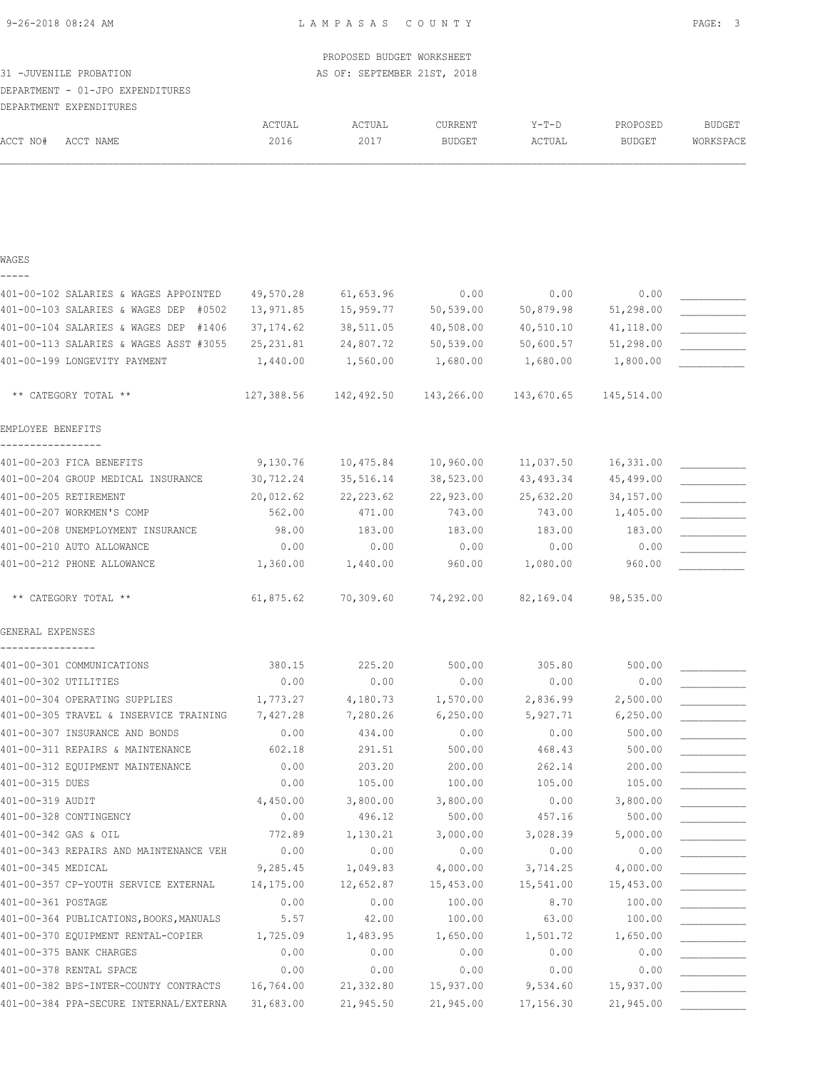|                                          |            | PROPOSED BUDGET WORKSHEET   |               |            |               |               |
|------------------------------------------|------------|-----------------------------|---------------|------------|---------------|---------------|
| 31 -JUVENILE PROBATION                   |            | AS OF: SEPTEMBER 21ST, 2018 |               |            |               |               |
| DEPARTMENT - 01-JPO EXPENDITURES         |            |                             |               |            |               |               |
| DEPARTMENT EXPENDITURES                  |            |                             |               |            |               |               |
|                                          | ACTUAL     | ACTUAL                      | CURRENT       | Y-T-D      | PROPOSED      | <b>BUDGET</b> |
| ACCT NO#<br>ACCT NAME                    | 2016       | 2017                        | <b>BUDGET</b> | ACTUAL     | <b>BUDGET</b> | WORKSPACE     |
|                                          |            |                             |               |            |               |               |
| WAGES                                    |            |                             |               |            |               |               |
| -----                                    |            |                             |               |            |               |               |
| 401-00-102 SALARIES & WAGES APPOINTED    | 49,570.28  | 61,653.96                   | 0.00          | 0.00       | 0.00          |               |
| 401-00-103 SALARIES & WAGES DEP<br>#0502 | 13,971.85  | 15,959.77                   | 50, 539.00    | 50,879.98  | 51,298.00     |               |
| 401-00-104 SALARIES & WAGES DEP #1406    | 37, 174.62 | 38,511.05                   | 40,508.00     | 40,510.10  | 41,118.00     |               |
| 401-00-113 SALARIES & WAGES ASST #3055   | 25, 231.81 | 24,807.72                   | 50,539.00     | 50,600.57  | 51,298.00     |               |
| 401-00-199 LONGEVITY PAYMENT             | 1,440.00   | 1,560.00                    | 1,680.00      | 1,680.00   | 1,800.00      |               |
| ** CATEGORY TOTAL **                     | 127,388.56 | 142,492.50                  | 143,266.00    | 143,670.65 | 145,514.00    |               |
| EMPLOYEE BENEFITS                        |            |                             |               |            |               |               |
| 401-00-203 FICA BENEFITS                 | 9,130.76   | 10,475.84                   | 10,960.00     | 11,037.50  | 16,331.00     |               |
| 401-00-204 GROUP MEDICAL INSURANCE       |            | 30,712.24 35,516.14         | 38,523.00     | 43,493.34  | 45,499.00     |               |
| 401-00-205 RETIREMENT                    | 20,012.62  | 22,223.62                   | 22,923.00     | 25,632.20  | 34,157.00     |               |
| 401-00-207 WORKMEN'S COMP                | 562.00     | 471.00                      | 743.00        | 743.00     | 1,405.00      |               |
| 401-00-208 UNEMPLOYMENT INSURANCE        | 98.00      | 183.00                      | 183.00        | 183.00     | 183.00        |               |
| 401-00-210 AUTO ALLOWANCE                | 0.00       | 0.00                        | 0.00          | 0.00       | 0.00          |               |
| 401-00-212 PHONE ALLOWANCE               | 1,360.00   | 1,440.00                    | 960.00        | 1,080.00   | 960.00        |               |
| ** CATEGORY TOTAL **                     | 61,875.62  | 70,309.60                   | 74,292.00     | 82,169.04  | 98,535.00     |               |
| GENERAL EXPENSES                         |            |                             |               |            |               |               |
| 401-00-301 COMMUNICATIONS                | 380.15     | 225.20                      | 500.00        | 305.80     | 500.00        |               |
| 401-00-302 UTILITIES                     | 0.00       | 0.00                        | 0.00          | 0.00       | 0.00          |               |
| 401-00-304 OPERATING SUPPLIES            | 1,773.27   | 4,180.73                    | 1,570.00      | 2,836.99   | 2,500.00      |               |
| 401-00-305 TRAVEL & INSERVICE TRAINING   | 7,427.28   | 7,280.26                    | 6, 250.00     | 5,927.71   | 6, 250.00     |               |
| 401-00-307 INSURANCE AND BONDS           | 0.00       | 434.00                      | 0.00          | 0.00       | 500.00        |               |
| 401-00-311 REPAIRS & MAINTENANCE         | 602.18     | 291.51                      | 500.00        | 468.43     | 500.00        |               |
| 401-00-312 EQUIPMENT MAINTENANCE         | 0.00       | 203.20                      | 200.00        | 262.14     | 200.00        |               |
| 401-00-315 DUES                          | 0.00       | 105.00                      | 100.00        | 105.00     | 105.00        |               |
| 401-00-319 AUDIT                         | 4,450.00   | 3,800.00                    | 3,800.00      | 0.00       | 3,800.00      |               |
| 401-00-328 CONTINGENCY                   | 0.00       | 496.12                      | 500.00        | 457.16     | 500.00        |               |
| 401-00-342 GAS & OIL                     | 772.89     | 1,130.21                    | 3,000.00      | 3,028.39   | 5,000.00      |               |
| 401-00-343 REPAIRS AND MAINTENANCE VEH   | 0.00       | 0.00                        | 0.00          | 0.00       | 0.00          |               |
| 401-00-345 MEDICAL                       | 9,285.45   | 1,049.83                    | 4,000.00      | 3,714.25   | 4,000.00      |               |
| 401-00-357 CP-YOUTH SERVICE EXTERNAL     | 14,175.00  | 12,652.87                   | 15,453.00     | 15,541.00  | 15,453.00     |               |
| 401-00-361 POSTAGE                       | 0.00       | 0.00                        | 100.00        | 8.70       | 100.00        |               |
| 401-00-364 PUBLICATIONS, BOOKS, MANUALS  | 5.57       | 42.00                       | 100.00        | 63.00      | 100.00        |               |
| 401-00-370 EQUIPMENT RENTAL-COPIER       | 1,725.09   | 1,483.95                    | 1,650.00      | 1,501.72   | 1,650.00      |               |
| 401-00-375 BANK CHARGES                  | 0.00       | 0.00                        | 0.00          | 0.00       | 0.00          |               |
| 401-00-378 RENTAL SPACE                  | 0.00       | 0.00                        | 0.00          | 0.00       | 0.00          |               |
| 401-00-382 BPS-INTER-COUNTY CONTRACTS    | 16,764.00  | 21,332.80                   | 15,937.00     | 9,534.60   | 15,937.00     |               |

401-00-384 PPA-SECURE INTERNAL/EXTERNA 31,683.00 21,945.50 21,945.00 17,156.30 21,945.00 \_\_\_\_\_\_\_\_\_\_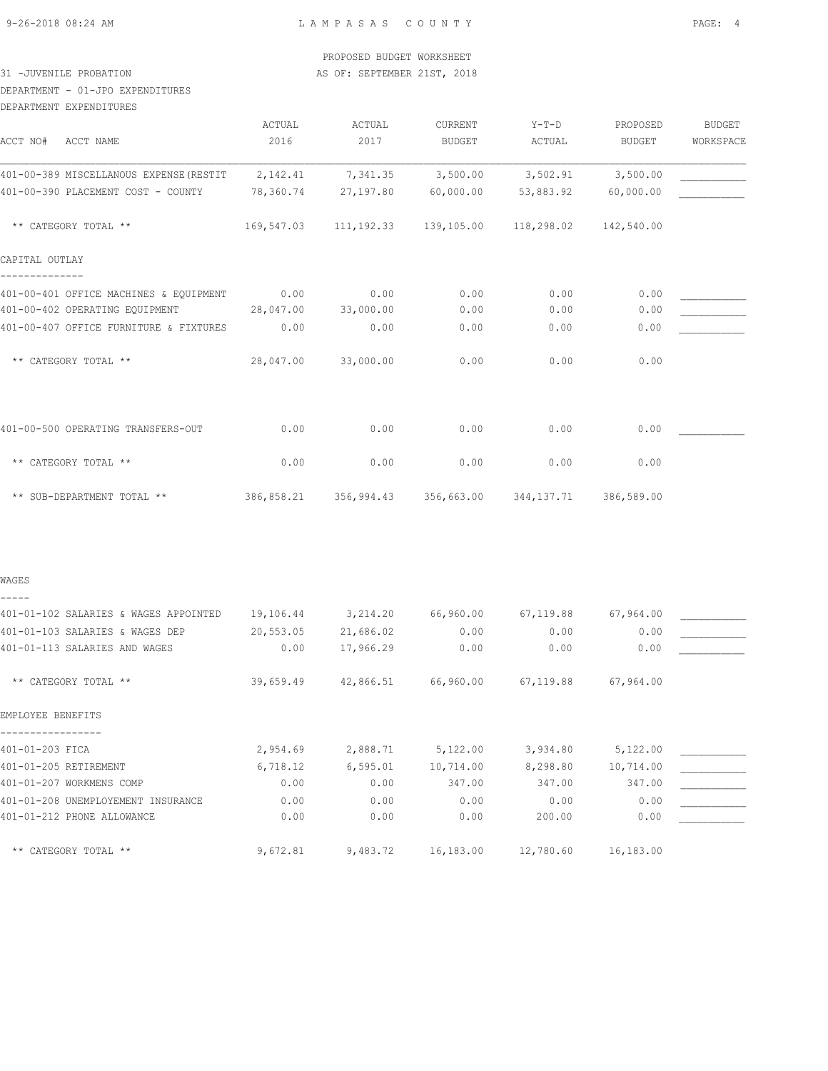#### PROPOSED BUDGET WORKSHEET 31 -JUVENILE PROBATION AS OF: SEPTEMBER 21ST, 2018

# DEPARTMENT - 01-JPO EXPENDITURES

DEPARTMENT EXPENDITURES

|                                                                       | ACTUAL    | ACTUAL                                                         | CURRENT       | $Y-T-D$   | PROPOSED   | <b>BUDGET</b> |
|-----------------------------------------------------------------------|-----------|----------------------------------------------------------------|---------------|-----------|------------|---------------|
| ACCT NO#<br>ACCT NAME                                                 | 2016      | 2017                                                           | <b>BUDGET</b> | ACTUAL    | BUDGET     | WORKSPACE     |
| 401-00-389 MISCELLANOUS EXPENSE (RESTIT 2, 142.41 7, 341.35 3, 500.00 |           |                                                                |               | 3,502.91  | 3,500.00   |               |
| 401-00-390 PLACEMENT COST - COUNTY                                    | 78,360.74 | 27,197.80                                                      | 60,000.00     | 53,883.92 | 60,000.00  |               |
| ** CATEGORY TOTAL **                                                  |           | 169,547.03 111,192.33 139,105.00 118,298.02                    |               |           | 142,540.00 |               |
| CAPITAL OUTLAY                                                        |           |                                                                |               |           |            |               |
| 401-00-401 OFFICE MACHINES & EQUIPMENT 0.00                           |           | 0.00                                                           | 0.00          | 0.00      | 0.00       |               |
| 401-00-402 OPERATING EQUIPMENT 28,047.00                              |           | 33,000.00                                                      | 0.00          | 0.00      | 0.00       |               |
| 401-00-407 OFFICE FURNITURE & FIXTURES                                | 0.00      | 0.00                                                           | 0.00          | 0.00      | 0.00       |               |
| ** CATEGORY TOTAL **                                                  | 28,047.00 | 33,000.00                                                      | 0.00          | 0.00      | 0.00       |               |
| 401-00-500 OPERATING TRANSFERS-OUT                                    | 0.00      | 0.00                                                           | 0.00          | 0.00      | 0.00       |               |
| ** CATEGORY TOTAL **                                                  | 0.00      | 0.00                                                           | 0.00          | 0.00      | 0.00       |               |
| ** SUB-DEPARTMENT TOTAL **                                            |           | 386,858.21   356,994.43   356,663.00   344,137.71   386,589.00 |               |           |            |               |
|                                                                       |           |                                                                |               |           |            |               |
| WAGES                                                                 |           |                                                                |               |           |            |               |
| 1401-01-102 SAIARTES & WAGES APPOTNTED 19.106.44 - 3.214.20 66.960.00 |           |                                                                |               | 67.119.88 | 67.964 00  |               |

| ANI-NI-INZ SALARILS & WAGLS AFFUINILD | 19,100.44 | <b>J, 414.40</b> | 00,900.00 | 01,113.00 | 01,904.00 |  |
|---------------------------------------|-----------|------------------|-----------|-----------|-----------|--|
| 401-01-103 SALARIES & WAGES DEP       | 20,553.05 | 21,686.02        | 0.00      | 0.00      | 0.00      |  |
| 401-01-113 SALARIES AND WAGES         | 0.00      | 17,966.29        | 0.00      | 0.00      | 0.00      |  |
| ** CATEGORY TOTAL **                  | 39,659.49 | 42,866.51        | 66,960.00 | 67,119.88 | 67,964.00 |  |
| EMPLOYEE BENEFITS                     |           |                  |           |           |           |  |
|                                       |           |                  |           |           |           |  |
| 401-01-203 FICA                       | 2,954.69  | 2,888.71         | 5,122.00  | 3,934.80  | 5,122.00  |  |
| 401-01-205 RETIREMENT                 | 6,718.12  | 6,595.01         | 10,714.00 | 8,298.80  | 10,714.00 |  |
| 401-01-207 WORKMENS COMP              | 0.00      | 0.00             | 347.00    | 347.00    | 347.00    |  |
| 401-01-208 UNEMPLOYEMENT INSURANCE    | 0.00      | 0.00             | 0.00      | 0.00      | 0.00      |  |
| 401-01-212 PHONE ALLOWANCE            | 0.00      | 0.00             | 0.00      | 200.00    | 0.00      |  |
| ** CATEGORY TOTAL **                  | 9,672.81  | 9,483.72         | 16,183.00 | 12,780.60 | 16,183.00 |  |
|                                       |           |                  |           |           |           |  |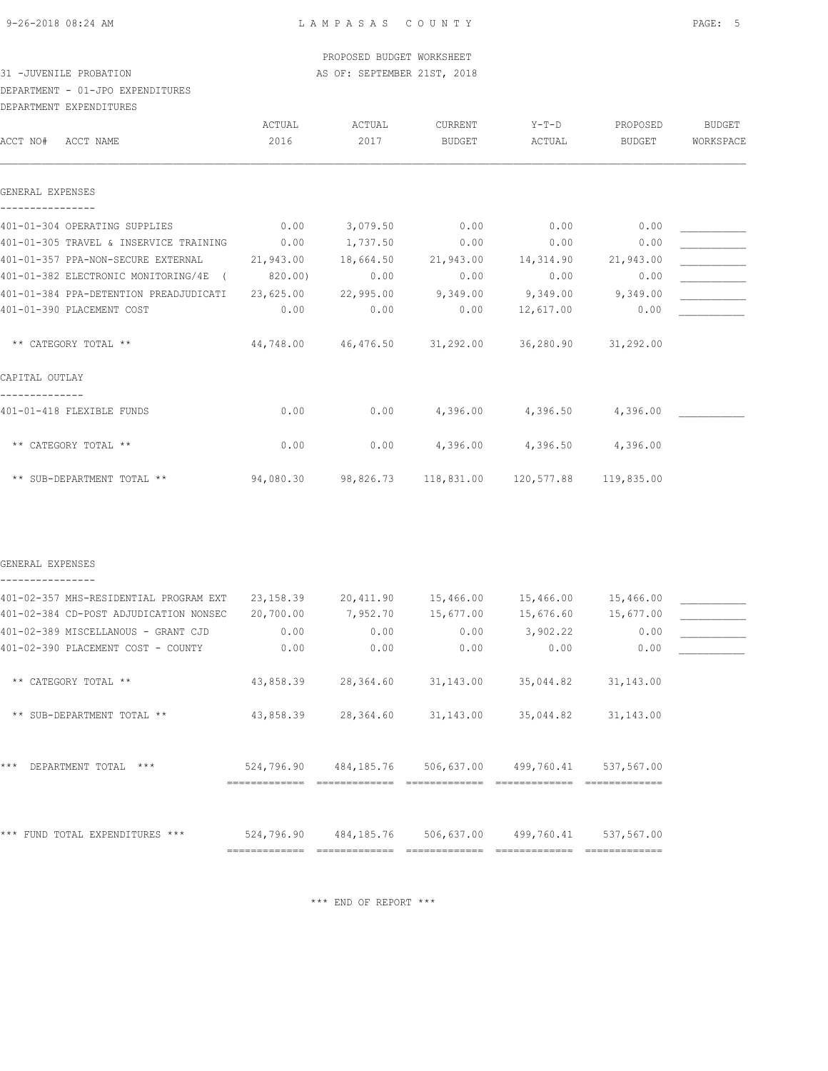#### PROPOSED BUDGET WORKSHEET 31 -JUVENILE PROBATION AS OF: SEPTEMBER 21ST, 2018

# DEPARTMENT - 01-JPO EXPENDITURES

#### DEPARTMENT EXPENDITURES

| DEFARIMENI EAFENDIIURES                |           |           |                                                       |                       |            |               |
|----------------------------------------|-----------|-----------|-------------------------------------------------------|-----------------------|------------|---------------|
|                                        | ACTUAL    | ACTUAL    | CURRENT                                               | $Y-T-D$               | PROPOSED   | <b>BUDGET</b> |
| ACCT NO#<br>ACCT NAME                  | 2016      | 2017      | <b>BUDGET</b>                                         | ACTUAL                | BUDGET     | WORKSPACE     |
|                                        |           |           |                                                       |                       |            |               |
| GENERAL EXPENSES                       |           |           |                                                       |                       |            |               |
| 401-01-304 OPERATING SUPPLIES          | 0.00      | 3,079.50  | 0.00                                                  | 0.00                  | 0.00       |               |
| 401-01-305 TRAVEL & INSERVICE TRAINING | 0.00      | 1,737.50  | 0.00                                                  | 0.00                  | 0.00       |               |
| 401-01-357 PPA-NON-SECURE EXTERNAL     | 21,943.00 | 18,664.50 | 21,943.00                                             | 14,314.90             | 21,943.00  |               |
| 401-01-382 ELECTRONIC MONITORING/4E (  | 820.00)   | 0.00      | 0.00                                                  | 0.00                  | 0.00       |               |
| 401-01-384 PPA-DETENTION PREADJUDICATI | 23,625.00 | 22,995.00 | 9,349.00                                              | 9,349.00              | 9,349.00   |               |
| 401-01-390 PLACEMENT COST              | 0.00      | 0.00      | 0.00                                                  | 12,617.00             | 0.00       |               |
| ** CATEGORY TOTAL **                   |           |           | 44,748.00  46,476.50  31,292.00  36,280.90  31,292.00 |                       |            |               |
| CAPITAL OUTLAY                         |           |           |                                                       |                       |            |               |
| 401-01-418 FLEXIBLE FUNDS              | 0.00      | 0.00      | 4,396.00                                              | 4,396.50              | 4,396.00   |               |
| ** CATEGORY TOTAL **                   | 0.00      | 0.00      | 4,396.00                                              | 4,396.50              | 4,396.00   |               |
| ** SUB-DEPARTMENT TOTAL **             | 94,080.30 | 98,826.73 |                                                       | 118,831.00 120,577.88 | 119,835.00 |               |

#### GENERAL EXPENSES ----------------

# 401-02-357 MHS-RESIDENTIAL PROGRAM EXT 23,158.39 20,411.90 15,466.00 15,466.00 15,466.00 \_\_\_\_\_\_\_\_\_\_\_ 401-02-384 CD-POST ADJUDICATION NONSEC 20,700.00 7,952.70 15,677.00 15,676.60 15,677.00 \_\_\_\_\_\_\_\_\_\_\_ 401-02-389 MISCELLANOUS - GRANT CJD  $0.00$  0.00  $0.00$  0.00 3,902.22 0.00 401-02-390 PLACEMENT COST - COUNTY  $0.00$  0.00 0.00 0.00 0.00 0.00 0.00 0.00 \*\* CATEGORY TOTAL \*\* 43,858.39 28,364.60 31,143.00 35,044.82 31,143.00 \*\* SUB-DEPARTMENT TOTAL \*\* 43,858.39 28,364.60 31,143.00 35,044.82 31,143.00 \*\*\* DEPARTMENT TOTAL \*\*\* 524,796.90 484,185.76 506,637.00 499,760.41 537,567.00 ============= ============= ============= ============= ============= \*\*\* FUND TOTAL EXPENDITURES \*\*\* 524,796.90 484,185.76 506,637.00 499,760.41 537,567.00 ============= ============= ============= ============= =============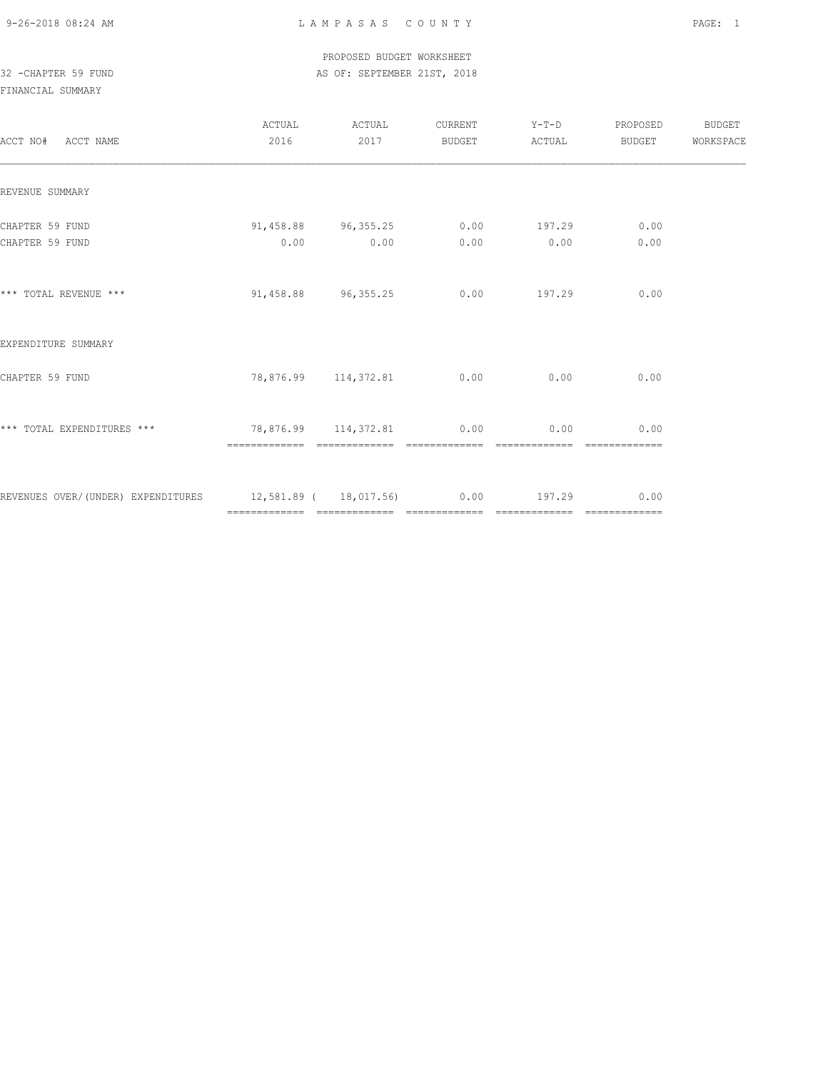#### PROPOSED BUDGET WORKSHEET 32 -CHAPTER 59 FUND AS OF: SEPTEMBER 21ST, 2018

| ACCT NO# ACCT NAME                                                   | 2016 | ACTUAL ACTUAL<br>2017                       |      | CURRENT Y-T-D PROPOSED<br>BUDGET ACTUAL | <b>BUDGET</b>         | BUDGET<br>WORKSPACE |
|----------------------------------------------------------------------|------|---------------------------------------------|------|-----------------------------------------|-----------------------|---------------------|
| REVENUE SUMMARY                                                      |      |                                             |      |                                         |                       |                     |
| CHAPTER 59 FUND<br>CHAPTER 59 FUND                                   | 0.00 | $91,458.88$ $96,355.25$ 0.00 197.29<br>0.00 | 0.00 | 0.00                                    | 0.00<br>0.00          |                     |
| *** TOTAL REVENUE ***                                                |      | $91,458.88$ $96,355.25$ 0.00 197.29         |      |                                         | 0.00                  |                     |
| EXPENDITURE SUMMARY                                                  |      |                                             |      |                                         |                       |                     |
| CHAPTER 59 FUND                                                      |      | 78,876.99 114,372.81 0.00 0.00              |      |                                         | 0.00                  |                     |
| *** TOTAL EXPENDITURES *** $78,876.99$ 114,372.81 0.00 0.00 0.00     |      |                                             |      | -------------                           | 0.00<br>============= |                     |
| REVENUES OVER/(UNDER) EXPENDITURES 12,581.89 (18,017.56) 0.00 197.29 |      |                                             |      |                                         | 0.00                  |                     |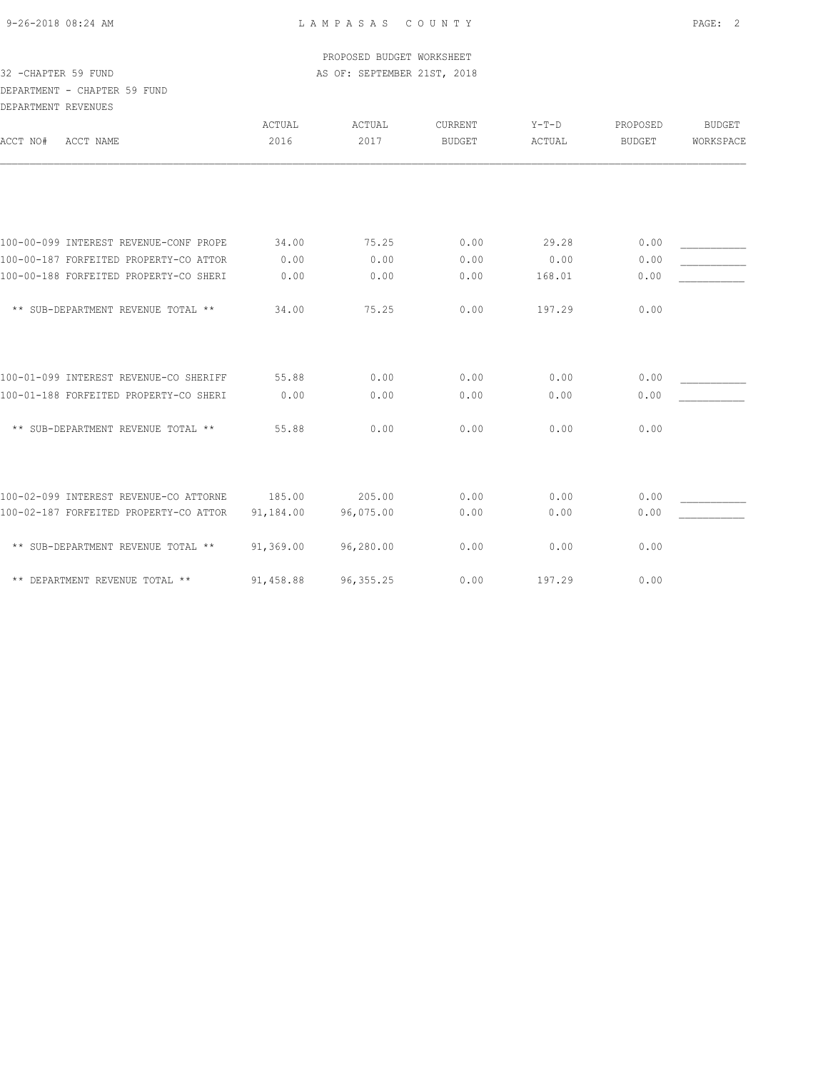#### PROPOSED BUDGET WORKSHEET 32 -CHAPTER 59 FUND AS OF: SEPTEMBER 21ST, 2018

# DEPARTMENT - CHAPTER 59 FUND DEPARTMENT REVENUES

| ספס מפאר במפתונות באת                  |           |            |                |         |          |           |
|----------------------------------------|-----------|------------|----------------|---------|----------|-----------|
|                                        | ACTUAL    | ACTUAL     | <b>CURRENT</b> | $Y-T-D$ | PROPOSED | BUDGET    |
| ACCT NO#<br>ACCT NAME                  | 2016      | 2017       | BUDGET         | ACTUAL  | BUDGET   | WORKSPACE |
|                                        |           |            |                |         |          |           |
|                                        |           |            |                |         |          |           |
| 100-00-099 INTEREST REVENUE-CONF PROPE | 34.00     | 75.25      | 0.00           | 29.28   | 0.00     |           |
| 100-00-187 FORFEITED PROPERTY-CO ATTOR | 0.00      | 0.00       | 0.00           | 0.00    | 0.00     |           |
| 100-00-188 FORFEITED PROPERTY-CO SHERI | 0.00      | 0.00       | 0.00           | 168.01  | 0.00     |           |
| ** SUB-DEPARTMENT REVENUE TOTAL **     | 34.00     | 75.25      | 0.00           | 197.29  | 0.00     |           |
|                                        |           |            |                |         |          |           |
| 100-01-099 INTEREST REVENUE-CO SHERIFF | 55.88     | 0.00       | 0.00           | 0.00    | 0.00     |           |
| 100-01-188 FORFEITED PROPERTY-CO SHERI | 0.00      | 0.00       | 0.00           | 0.00    | 0.00     |           |
| ** SUB-DEPARTMENT REVENUE TOTAL **     | 55.88     | 0.00       | 0.00           | 0.00    | 0.00     |           |
|                                        |           |            |                |         |          |           |
| 100-02-099 INTEREST REVENUE-CO ATTORNE | 185.00    | 205.00     | 0.00           | 0.00    | 0.00     |           |
| 100-02-187 FORFEITED PROPERTY-CO ATTOR | 91,184.00 | 96,075.00  | 0.00           | 0.00    | 0.00     |           |
| ** SUB-DEPARTMENT REVENUE TOTAL **     | 91,369.00 | 96,280.00  | 0.00           | 0.00    | 0.00     |           |
| ** DEPARTMENT REVENUE TOTAL **         | 91,458.88 | 96, 355.25 | 0.00           | 197.29  | 0.00     |           |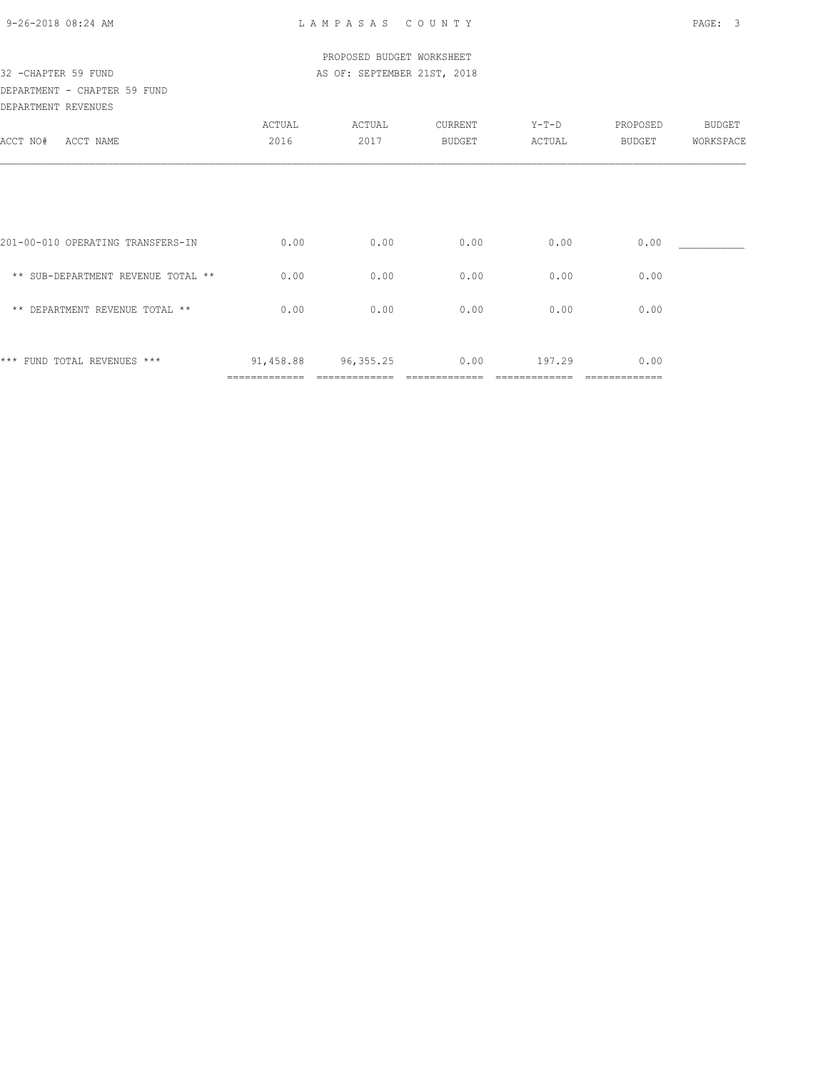| 9-26-2018 08:24 AM |  |
|--------------------|--|

| 32 - CHAPTER 59 FUND                                |                            | PROPOSED BUDGET WORKSHEET<br>AS OF: SEPTEMBER 21ST, 2018 |                   |                 |                    |                     |
|-----------------------------------------------------|----------------------------|----------------------------------------------------------|-------------------|-----------------|--------------------|---------------------|
| DEPARTMENT - CHAPTER 59 FUND<br>DEPARTMENT REVENUES |                            |                                                          |                   |                 |                    |                     |
| ACCT NO#<br>ACCT NAME                               | ACTUAL<br>2016             | ACTUAL<br>2017                                           | CURRENT<br>BUDGET | Y-T-D<br>ACTUAL | PROPOSED<br>BUDGET | BUDGET<br>WORKSPACE |
|                                                     |                            |                                                          |                   |                 |                    |                     |
| 201-00-010 OPERATING TRANSFERS-IN                   | 0.00                       | 0.00                                                     | 0.00              | 0.00            | 0.00               |                     |
| ** SUB-DEPARTMENT REVENUE TOTAL **                  | 0.00                       | 0.00                                                     | 0.00              | 0.00            | 0.00               |                     |
| ** DEPARTMENT REVENUE TOTAL **                      | 0.00                       | 0.00                                                     | 0.00              | 0.00            | 0.00               |                     |
| *** FUND TOTAL REVENUES ***                         | 91,458.88<br>============= | 96,355.25                                                | 0.00              | 197.29          | 0.00               |                     |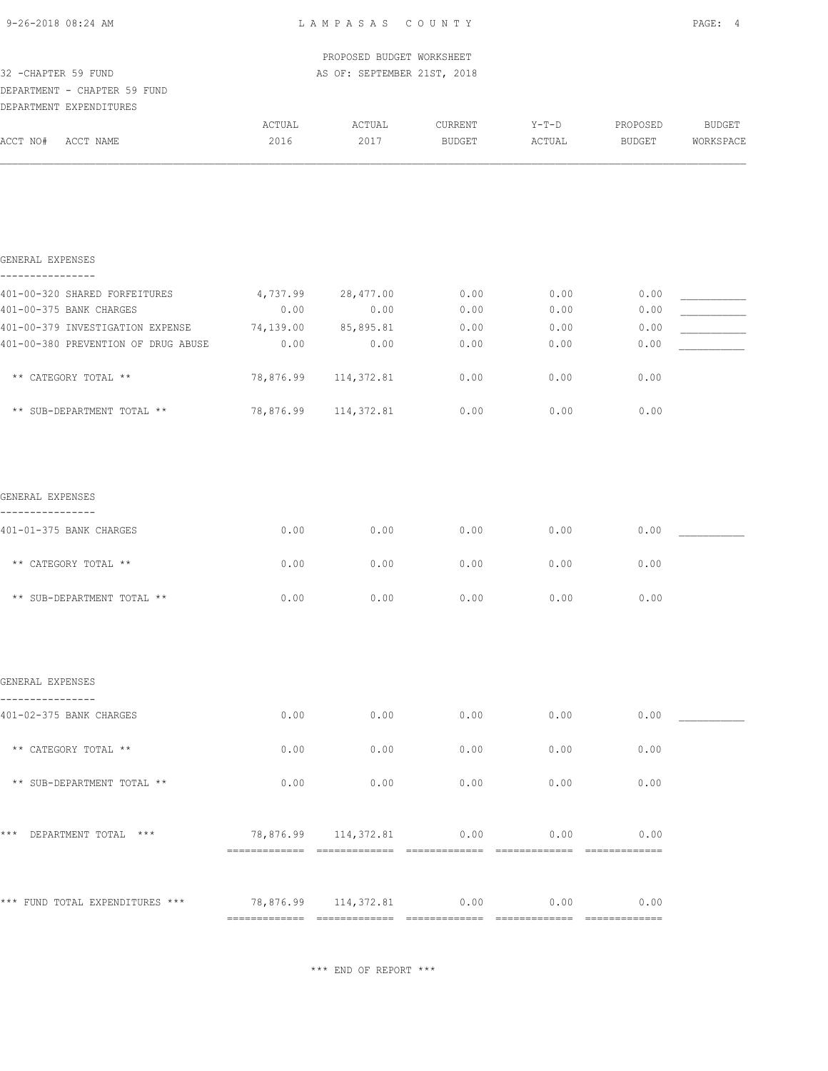| 9-26-2018 08:24 AM |
|--------------------|
|--------------------|

| 32 - CHAPTER 59 FUND                              |                                | PROPOSED BUDGET WORKSHEET<br>AS OF: SEPTEMBER 21ST, 2018 |         |         |          |           |
|---------------------------------------------------|--------------------------------|----------------------------------------------------------|---------|---------|----------|-----------|
| DEPARTMENT - CHAPTER 59 FUND                      |                                |                                                          |         |         |          |           |
| DEPARTMENT EXPENDITURES                           |                                |                                                          |         |         |          |           |
|                                                   | ACTUAL                         | ACTUAL                                                   | CURRENT | $Y-T-D$ | PROPOSED | BUDGET    |
| ACCT NO# ACCT NAME                                | 2016                           | 2017                                                     | BUDGET  | ACTUAL  | BUDGET   | WORKSPACE |
|                                                   |                                |                                                          |         |         |          |           |
| GENERAL EXPENSES                                  |                                |                                                          |         |         |          |           |
| ----------------<br>401-00-320 SHARED FORFEITURES |                                | 4,737.99 28,477.00                                       | 0.00    | 0.00    | 0.00     |           |
| 401-00-375 BANK CHARGES                           | 0.00                           | 0.00                                                     | 0.00    | 0.00    | 0.00     |           |
| 401-00-379 INVESTIGATION EXPENSE                  | 74,139.00                      | 85,895.81                                                | 0.00    | 0.00    | 0.00     |           |
| 401-00-380 PREVENTION OF DRUG ABUSE               | 0.00                           | 0.00                                                     | 0.00    | 0.00    | 0.00     |           |
| ** CATEGORY TOTAL **                              | 78,876.99                      | 114,372.81                                               | 0.00    | 0.00    | 0.00     |           |
| ** SUB-DEPARTMENT TOTAL **                        | 78,876.99                      | 114,372.81                                               | 0.00    | 0.00    | 0.00     |           |
| GENERAL EXPENSES<br>________________              |                                |                                                          |         |         |          |           |
| 401-01-375 BANK CHARGES                           | 0.00                           | 0.00                                                     | 0.00    | 0.00    | 0.00     |           |
| ** CATEGORY TOTAL **                              | 0.00                           | 0.00                                                     | 0.00    | 0.00    | 0.00     |           |
| ** SUB-DEPARTMENT TOTAL **                        | 0.00                           | 0.00                                                     | 0.00    | 0.00    | 0.00     |           |
| GENERAL EXPENSES                                  |                                |                                                          |         |         |          |           |
| 401-02-375 BANK CHARGES                           | 0.00                           | 0.00                                                     | 0.00    | 0.00    | 0.00     |           |
| ** CATEGORY TOTAL **                              | 0.00                           | 0.00                                                     | 0.00    | 0.00    | 0.00     |           |
| ** SUB-DEPARTMENT TOTAL **                        | 0.00                           | 0.00                                                     | 0.00    | 0.00    | 0.00     |           |
| *** DEPARTMENT TOTAL ***                          |                                | 78,876.99 114,372.81 0.00 0.00 0.00                      |         |         |          |           |
| *** FUND TOTAL EXPENDITURES ***                   | 78,876.99 114,372.81 0.00 0.00 |                                                          |         |         |          |           |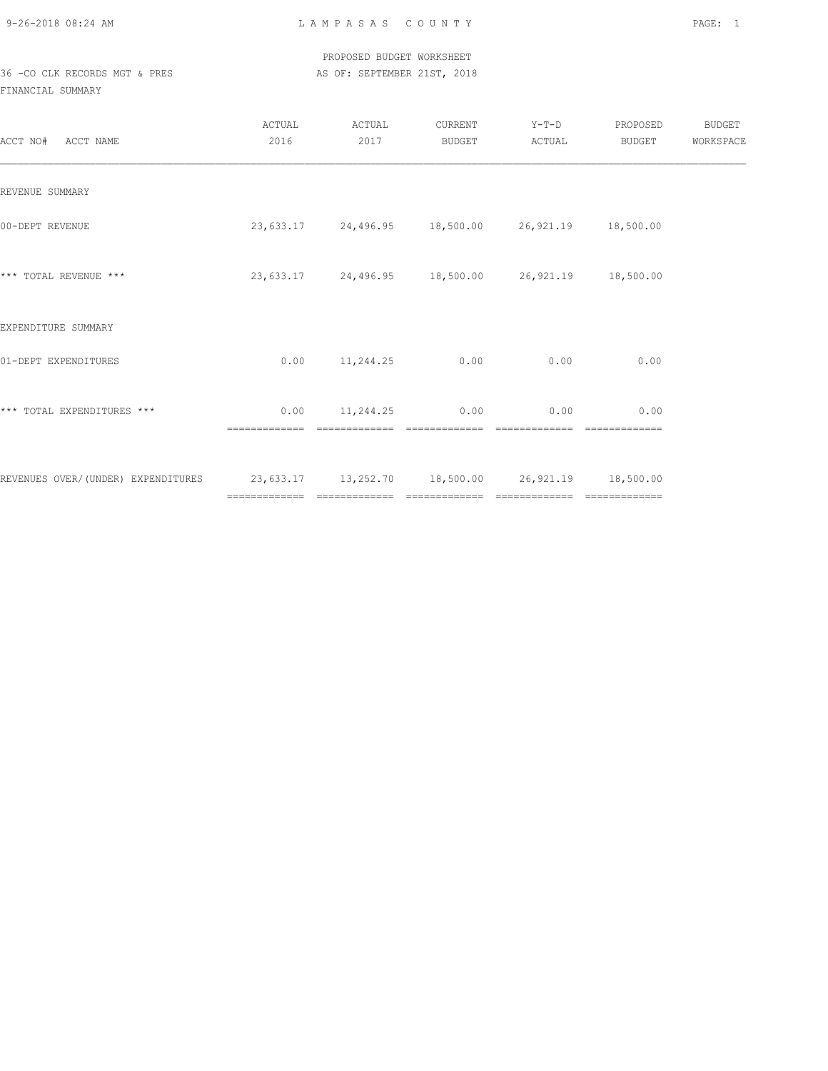PROPOSED BUDGET WORKSHEET 36 -CO CLK RECORDS MGT & PRES AS OF: SEPTEMBER 21ST, 2018

| ACCT NO# ACCT NAME                                                                   | ACTUAL<br>2016 | ACTUAL<br>2017                          | CURRENT<br>BUDGET | $Y-T-D$<br>ACTUAL                                     | PROPOSED<br>BUDGET | BUDGET<br>WORKSPACE |
|--------------------------------------------------------------------------------------|----------------|-----------------------------------------|-------------------|-------------------------------------------------------|--------------------|---------------------|
| REVENUE SUMMARY                                                                      |                |                                         |                   |                                                       |                    |                     |
| 00-DEPT REVENUE                                                                      |                |                                         |                   | 23,633.17 24,496.95 18,500.00 26,921.19 18,500.00     |                    |                     |
| *** TOTAL REVENUE ***                                                                |                |                                         |                   | 23,633.17  24,496.95  18,500.00  26,921.19  18,500.00 |                    |                     |
| EXPENDITURE SUMMARY                                                                  |                |                                         |                   |                                                       |                    |                     |
| 01-DEPT EXPENDITURES                                                                 |                | $0.00$ 11, 244.25 0.00                  |                   | 0.00                                                  | 0.00               |                     |
| *** TOTAL EXPENDITURES ***                                                           | =============  | $0.00$ 11, 244.25 0.00<br>============= | =============     | 0.00                                                  | 0.00               |                     |
| REVENUES OVER/(UNDER) EXPENDITURES 23,633.17 13,252.70 18,500.00 26,921.19 18,500.00 |                |                                         |                   |                                                       |                    |                     |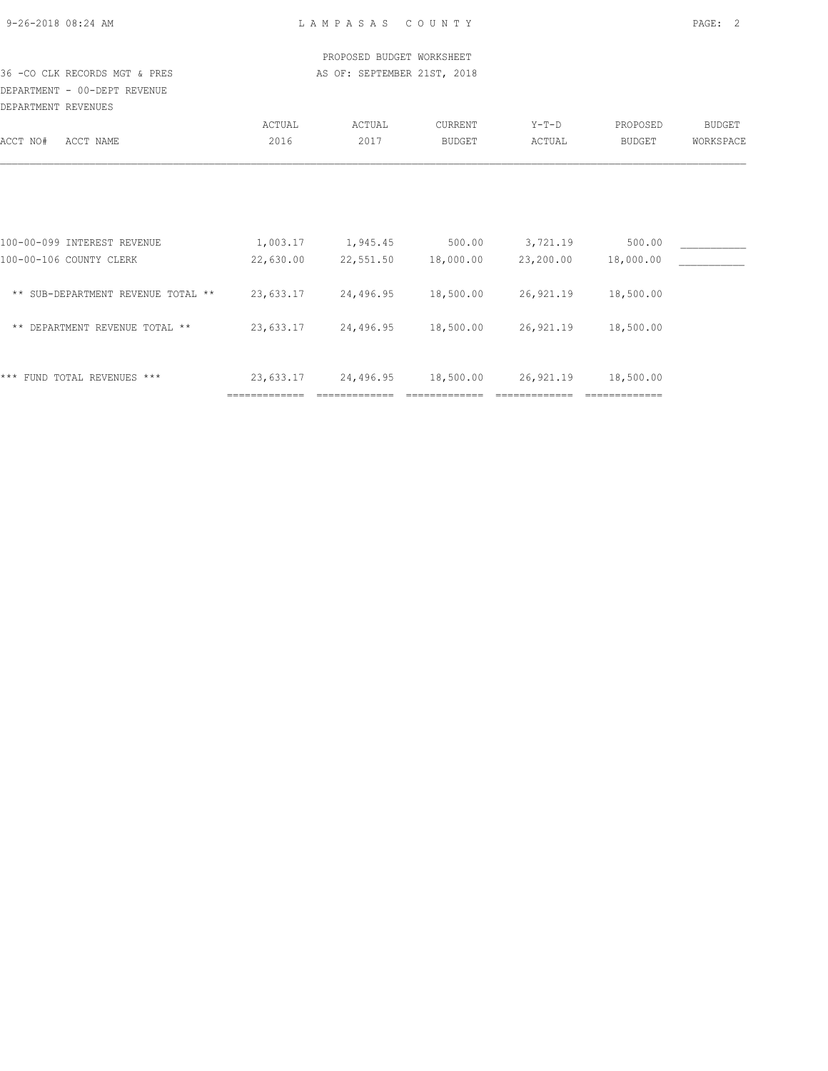| 9-26-2018 08:24 AM |  |  |  |
|--------------------|--|--|--|

 PROPOSED BUDGET WORKSHEET 36 -CO CLK RECORDS MGT & PRES AS OF: SEPTEMBER 21ST, 2018

DEPARTMENT - 00-DEPT REVENUE DEPARTMENT REVENUES

| DELARIPENI KEVENOEO                  |                            |           |                |           |               |           |
|--------------------------------------|----------------------------|-----------|----------------|-----------|---------------|-----------|
|                                      | ACTUAL                     | ACTUAL    | <b>CURRENT</b> | $Y-T-D$   | PROPOSED      | BUDGET    |
| ACCT NAME<br>ACCT NO#                | 2016                       | 2017      | <b>BUDGET</b>  | ACTUAL    | <b>BUDGET</b> | WORKSPACE |
|                                      |                            |           |                |           |               |           |
|                                      |                            |           |                |           |               |           |
| 100-00-099 INTEREST REVENUE          | 1,003.17                   | 1,945.45  | 500.00         | 3,721.19  | 500.00        |           |
| 100-00-106 COUNTY CLERK              | 22,630.00                  | 22,551.50 | 18,000.00      | 23,200.00 | 18,000.00     |           |
| ** SUB-DEPARTMENT REVENUE TOTAL **   | 23,633.17                  | 24,496.95 | 18,500.00      | 26,921.19 | 18,500.00     |           |
| DEPARTMENT REVENUE TOTAL **<br>$***$ | 23,633.17                  | 24,496.95 | 18,500.00      | 26,921.19 | 18,500.00     |           |
| * * *                                |                            | 24,496.95 | 18,500.00      | 26,921.19 | 18,500.00     |           |
| FUND TOTAL REVENUES ***              | 23,633.17<br>============= |           |                |           | _____________ |           |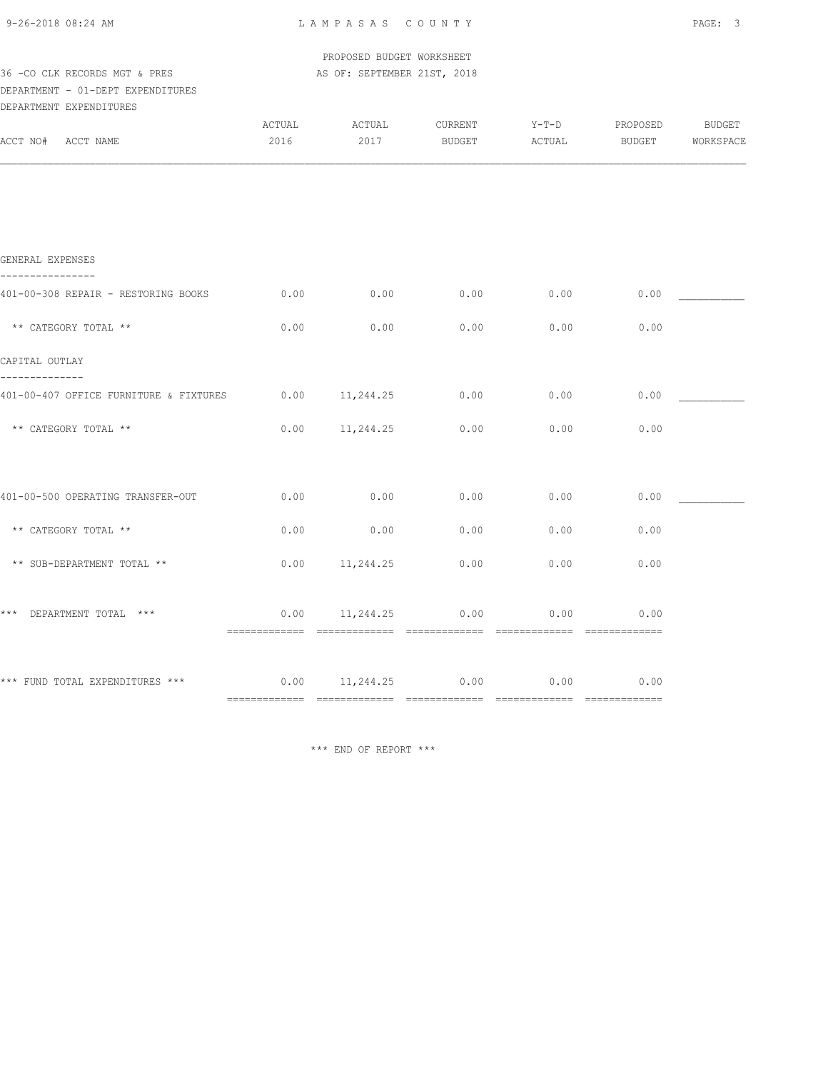| 9-26-2018 08:24 AM |  |
|--------------------|--|
|                    |  |

PROPOSED BUDGET WORKSHEET

| AS OF: SEPTEMBER 21ST, 2018 |              |                                                |                                                      |                |                                 |
|-----------------------------|--------------|------------------------------------------------|------------------------------------------------------|----------------|---------------------------------|
|                             |              |                                                |                                                      |                |                                 |
| ACTUAL                      | ACTUAL       | CURRENT                                        | $Y-T-D$                                              | PROPOSED       | BUDGET                          |
|                             |              |                                                |                                                      |                | WORKSPACE                       |
|                             |              |                                                |                                                      |                |                                 |
| 0.00                        | 0.00         | 0.00                                           | 0.00                                                 | 0.00           |                                 |
| 0.00                        | 0.00         | 0.00                                           | 0.00                                                 | 0.00           |                                 |
|                             |              |                                                |                                                      |                |                                 |
| 0.00                        | 11,244.25    | 0.00                                           | 0.00                                                 | 0.00           |                                 |
| 0.00                        | 11,244.25    | 0.00                                           | 0.00                                                 | 0.00           |                                 |
|                             |              |                                                |                                                      |                |                                 |
| 0.00                        | 0.00         | 0.00                                           | 0.00                                                 | 0.00           |                                 |
| 0.00                        | 11,244.25    | 0.00                                           | 0.00                                                 | 0.00           |                                 |
| 0.00<br>-------------       |              | 0.00                                           | 0.00                                                 | 0.00           |                                 |
| 0.00                        |              |                                                | 0.00                                                 | 0.00           |                                 |
|                             | 2016<br>0.00 | 2017<br>0.00<br>============================== | <b>BUDGET</b><br>0.00<br>11,244.25<br>11,244.25 0.00 | ACTUAL<br>0.00 | BUDGET<br>0.00<br>============= |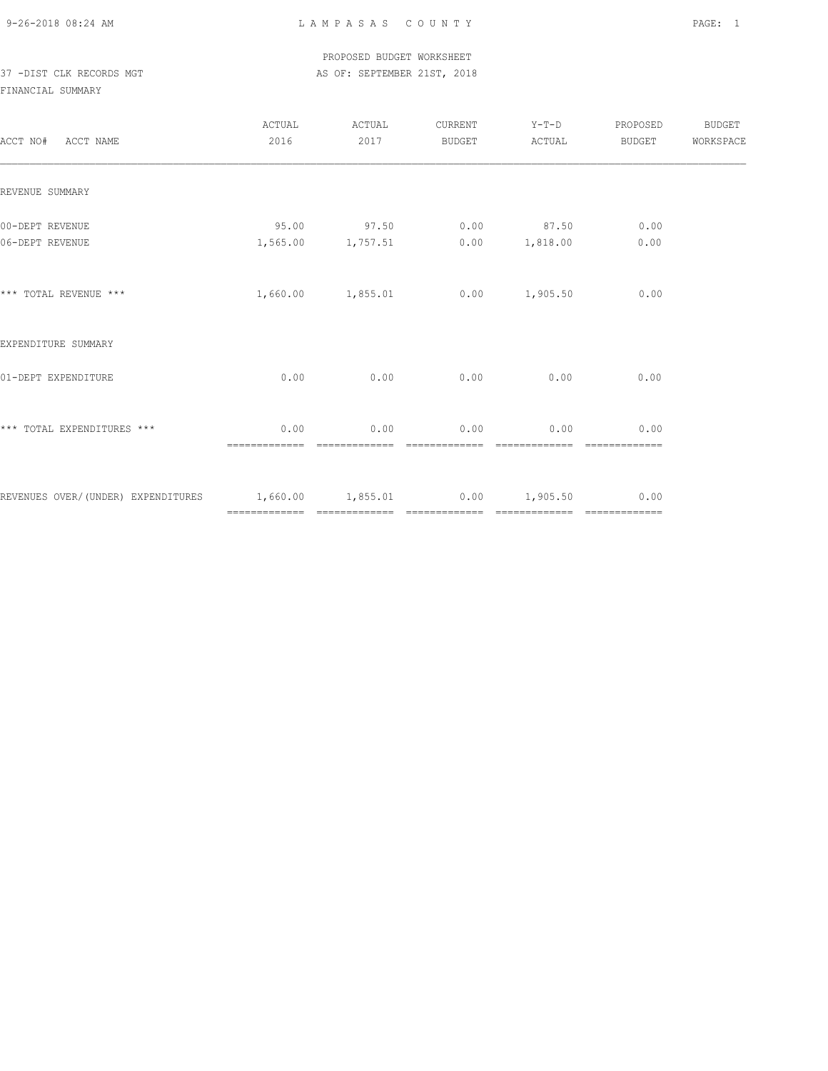### PROPOSED BUDGET WORKSHEET 37 -DIST CLK RECORDS MGT AS OF: SEPTEMBER 21ST, 2018

| ACCT NO# ACCT NAME                                                 | ACTUAL<br>2016        | ACTUAL<br>2017             | CURRENT<br>BUDGET | $Y-T-D$<br>ACTUAL               | PROPOSED<br>BUDGET | BUDGET<br>WORKSPACE |
|--------------------------------------------------------------------|-----------------------|----------------------------|-------------------|---------------------------------|--------------------|---------------------|
| REVENUE SUMMARY                                                    |                       |                            |                   |                                 |                    |                     |
| 00-DEPT REVENUE<br>06-DEPT REVENUE                                 | 95.00                 | 97.50<br>1,565.00 1,757.51 |                   | $0.00$ 87.50<br>$0.00$ 1,818.00 | 0.00<br>0.00       |                     |
| *** TOTAL REVENUE ***                                              |                       | 1,660.00 1,855.01          |                   | $0.00$ 1,905.50                 | 0.00               |                     |
| EXPENDITURE SUMMARY                                                |                       |                            |                   |                                 |                    |                     |
| 01-DEPT EXPENDITURE                                                | 0.00                  | 0.00                       | 0.00              | 0.00                            | 0.00               |                     |
| *** TOTAL EXPENDITURES ***                                         | 0.00<br>============= | 0.00                       | 0.00              | 0.00                            | 0.00               |                     |
| REVENUES OVER/(UNDER) EXPENDITURES 1,660.00 1,855.01 0.00 1,905.50 |                       |                            |                   |                                 | 0.00               |                     |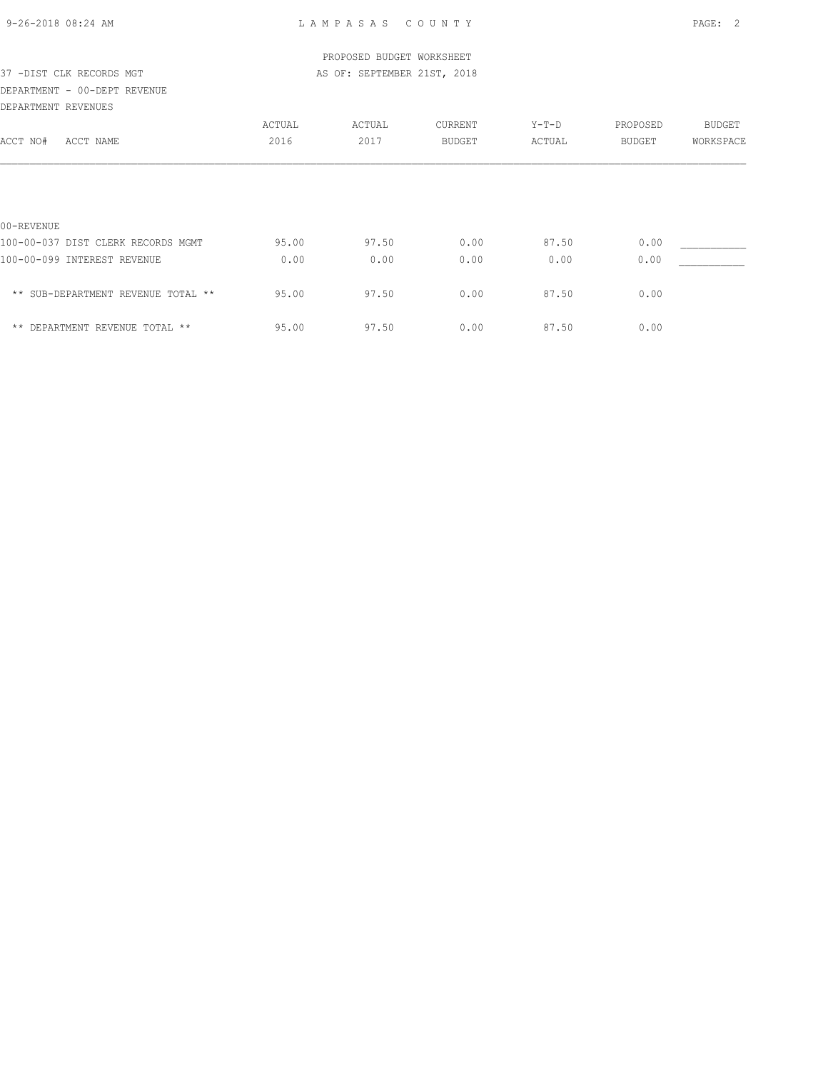| 9-26-2018 08:24 AM |  |
|--------------------|--|

|                                    |        | PROPOSED BUDGET WORKSHEET   |               |        |               |               |
|------------------------------------|--------|-----------------------------|---------------|--------|---------------|---------------|
| 37 -DIST CLK RECORDS MGT           |        | AS OF: SEPTEMBER 21ST, 2018 |               |        |               |               |
| DEPARTMENT - 00-DEPT REVENUE       |        |                             |               |        |               |               |
| DEPARTMENT REVENUES                |        |                             |               |        |               |               |
|                                    | ACTUAL | ACTUAL                      | CURRENT       | Y-T-D  | PROPOSED      | <b>BUDGET</b> |
| ACCT NO#<br>ACCT NAME              | 2016   | 2017                        | <b>BUDGET</b> | ACTUAL | <b>BUDGET</b> | WORKSPACE     |
|                                    |        |                             |               |        |               |               |
| 00-REVENUE                         |        |                             |               |        |               |               |
| 100-00-037 DIST CLERK RECORDS MGMT | 95.00  | 97.50                       | 0.00          | 87.50  | 0.00          |               |
| 100-00-099 INTEREST REVENUE        | 0.00   | 0.00                        | 0.00          | 0.00   | 0.00          |               |
| ** SUB-DEPARTMENT REVENUE TOTAL ** | 95.00  | 97.50                       | 0.00          | 87.50  | 0.00          |               |
| ** DEPARTMENT REVENUE TOTAL **     | 95.00  | 97.50                       | 0.00          | 87.50  | 0.00          |               |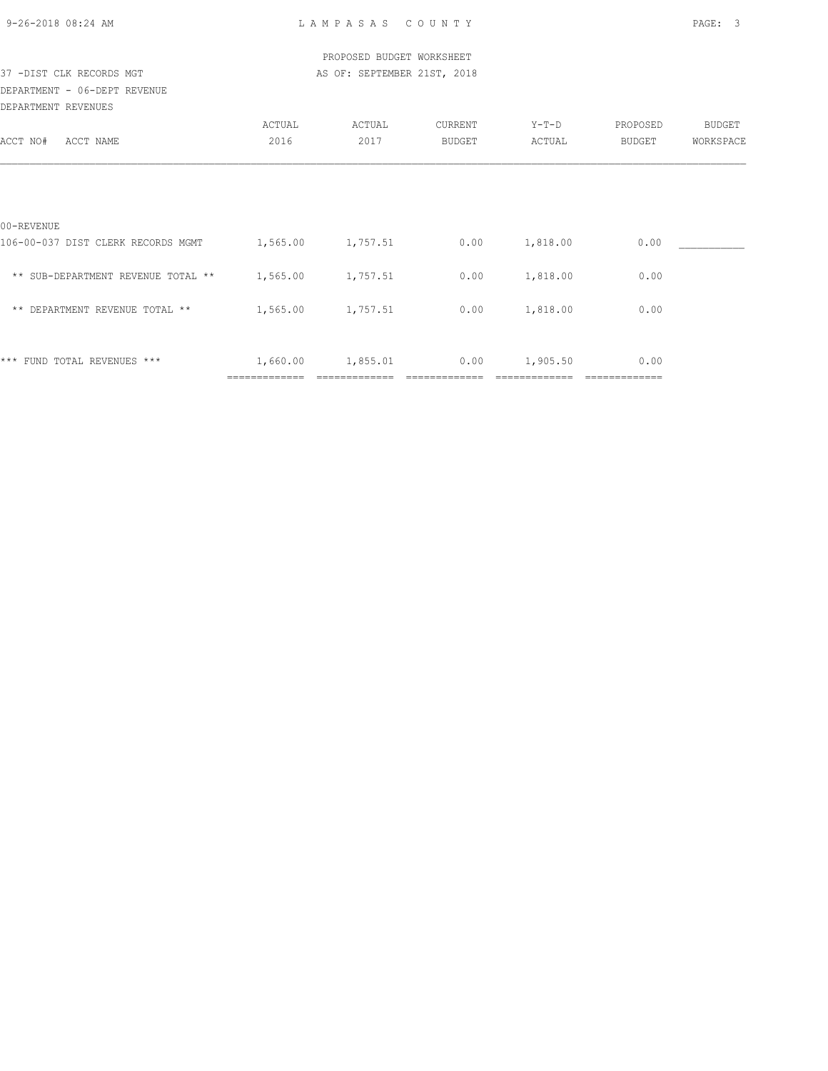| 9-26-2018 08:24 AM |  |  |
|--------------------|--|--|

| PROPOSED BUDGET WORKSHEET<br>AS OF: SEPTEMBER 21ST, 2018<br>37 -DIST CLK RECORDS MGT |                |                |                   |                   |                    |                     |  |  |
|--------------------------------------------------------------------------------------|----------------|----------------|-------------------|-------------------|--------------------|---------------------|--|--|
| DEPARTMENT - 06-DEPT REVENUE                                                         |                |                |                   |                   |                    |                     |  |  |
| DEPARTMENT REVENUES                                                                  |                |                |                   |                   |                    |                     |  |  |
| ACCT NO#<br>ACCT NAME                                                                | ACTUAL<br>2016 | ACTUAL<br>2017 | CURRENT<br>BUDGET | $Y-T-D$<br>ACTUAL | PROPOSED<br>BUDGET | BUDGET<br>WORKSPACE |  |  |
|                                                                                      |                |                |                   |                   |                    |                     |  |  |
| 00-REVENUE                                                                           |                |                |                   |                   |                    |                     |  |  |
| 106-00-037 DIST CLERK RECORDS MGMT                                                   | 1,565.00       | 1,757.51       | 0.00              | 1,818.00          | 0.00               |                     |  |  |
| ** SUB-DEPARTMENT REVENUE TOTAL ** 1,565.00                                          |                | 1,757.51       | 0.00              | 1,818.00          | 0.00               |                     |  |  |
| ** DEPARTMENT REVENUE TOTAL **                                                       | 1,565.00       | 1,757.51       | 0.00              | 1,818.00          | 0.00               |                     |  |  |
|                                                                                      |                |                |                   |                   |                    |                     |  |  |
| *** FUND TOTAL REVENUES ***                                                          | 1,660.00       | 1,855.01       | 0.00              | 1,905.50          | 0.00               |                     |  |  |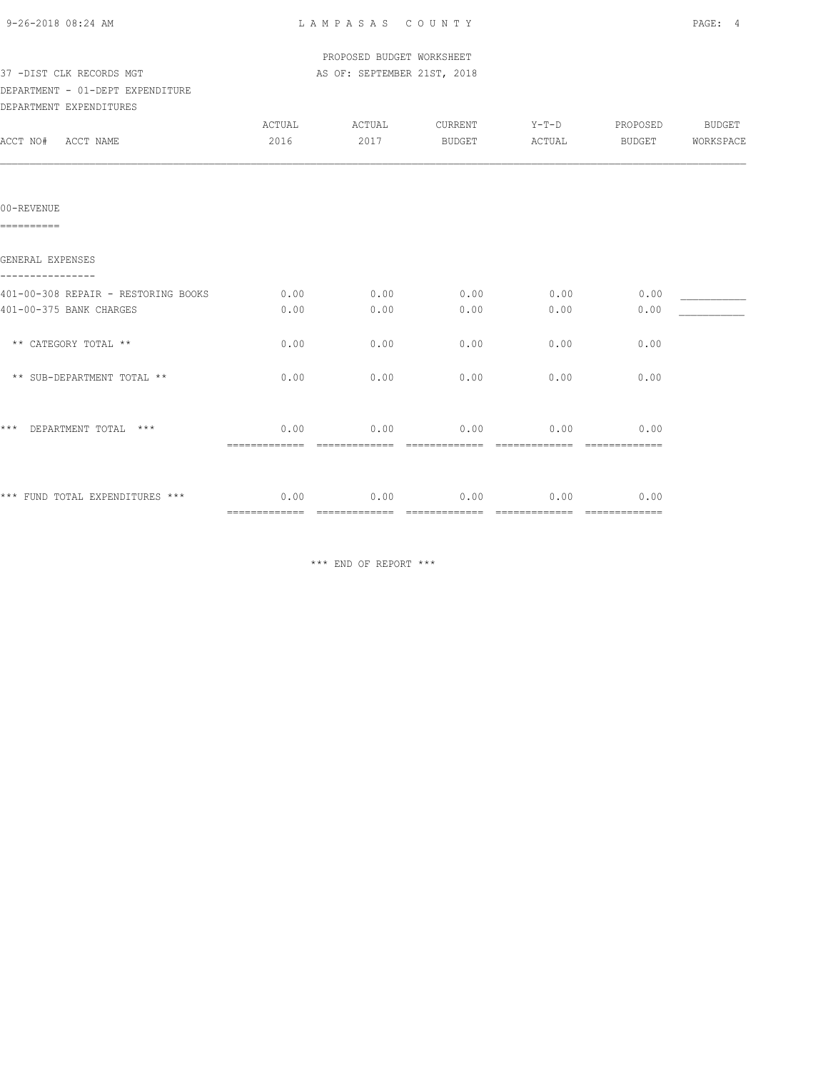|  | 9-26-2018 08:24 AM |  |
|--|--------------------|--|

| ACTUAL                | ACTUAL | CURRENT       |                                                                                     | PROPOSED                       | BUDGET                   |
|-----------------------|--------|---------------|-------------------------------------------------------------------------------------|--------------------------------|--------------------------|
| 2016                  | 2017   | BUDGET        | ACTUAL                                                                              | BUDGET                         | WORKSPACE                |
|                       |        |               |                                                                                     |                                |                          |
|                       |        |               |                                                                                     |                                |                          |
| 0.00                  | 0.00   | 0.00          | 0.00                                                                                | 0.00                           |                          |
| 0.00                  | 0.00   | 0.00          | 0.00                                                                                | 0.00                           |                          |
| 0.00                  | 0.00   | 0.00          | 0.00                                                                                | 0.00                           |                          |
| 0.00                  | 0.00   | 0.00          | 0.00                                                                                | 0.00                           |                          |
| 0.00                  |        |               |                                                                                     | 0.00                           |                          |
| =============<br>0.00 | 0.00   | 0.00          | 0.00                                                                                | 0.00                           |                          |
|                       |        | ============= | PROPOSED BUDGET WORKSHEET<br>AS OF: SEPTEMBER 21ST, 2018<br>0.00<br>- ============= | $0.00$ 0.00<br>- ============= | $Y-T-D$<br>============= |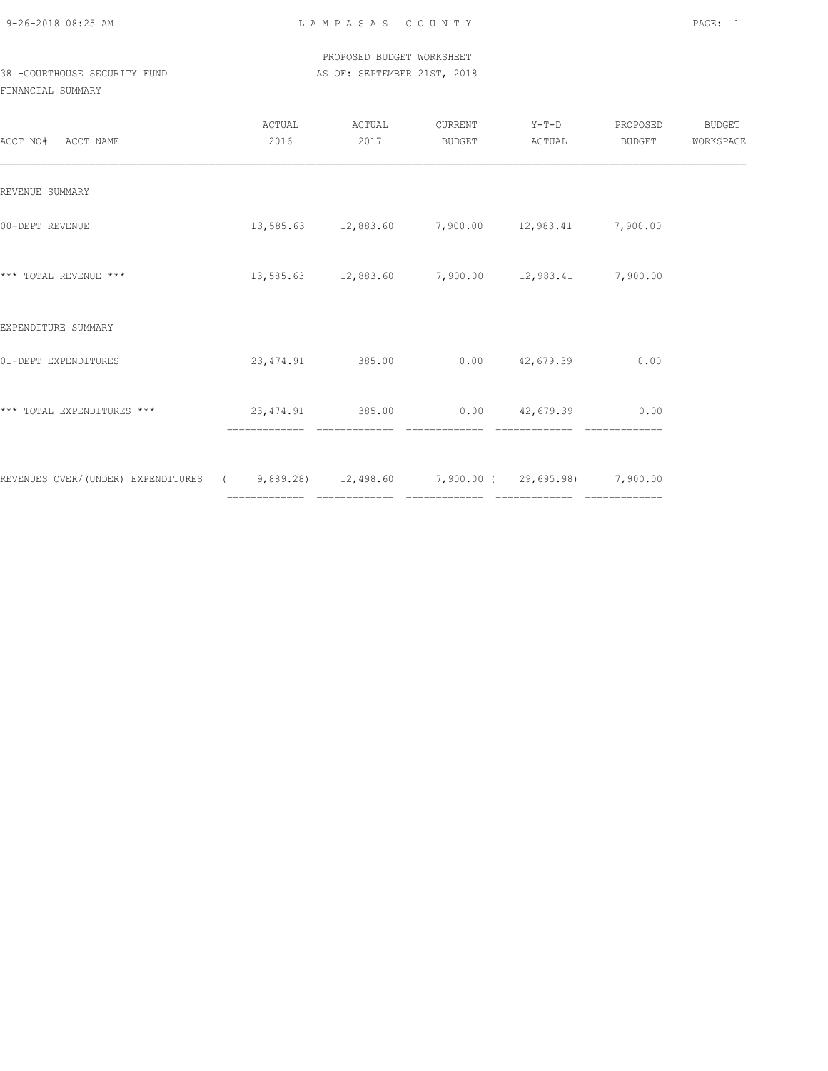PROPOSED BUDGET WORKSHEET 38 -COURTHOUSE SECURITY FUND AS OF: SEPTEMBER 21ST, 2018

| ACCT NO#<br>ACCT NAME                                                                 | ACTUAL<br>2016 | ACTUAL<br>2017 | CURRENT<br>BUDGET                                         | $Y-T-D$<br>ACTUAL  | PROPOSED<br>BUDGET | <b>BUDGET</b><br>WORKSPACE |
|---------------------------------------------------------------------------------------|----------------|----------------|-----------------------------------------------------------|--------------------|--------------------|----------------------------|
| REVENUE SUMMARY                                                                       |                |                |                                                           |                    |                    |                            |
| 00-DEPT REVENUE                                                                       |                |                | $13,585.63$ $12,883.60$ $7,900.00$ $12,983.41$ $7,900.00$ |                    |                    |                            |
| *** TOTAL REVENUE ***                                                                 |                |                | $13,585.63$ $12,883.60$ $7,900.00$ $12,983.41$ $7,900.00$ |                    |                    |                            |
| EXPENDITURE SUMMARY                                                                   |                |                |                                                           |                    |                    |                            |
| 01-DEPT EXPENDITURES                                                                  | 23,474.91      | 385.00         |                                                           | $0.00$ $42,679.39$ | 0.00               |                            |
| *** TOTAL EXPENDITURES ***                                                            |                | -------------  | 23,474.91 385.00 0.00 42,679.39<br>--------------         |                    | 0.00               |                            |
| REVENUES OVER/(UNDER) EXPENDITURES (3,889.28) 12,498.60 7,900.00 (29,695.98) 7,900.00 |                |                |                                                           |                    |                    |                            |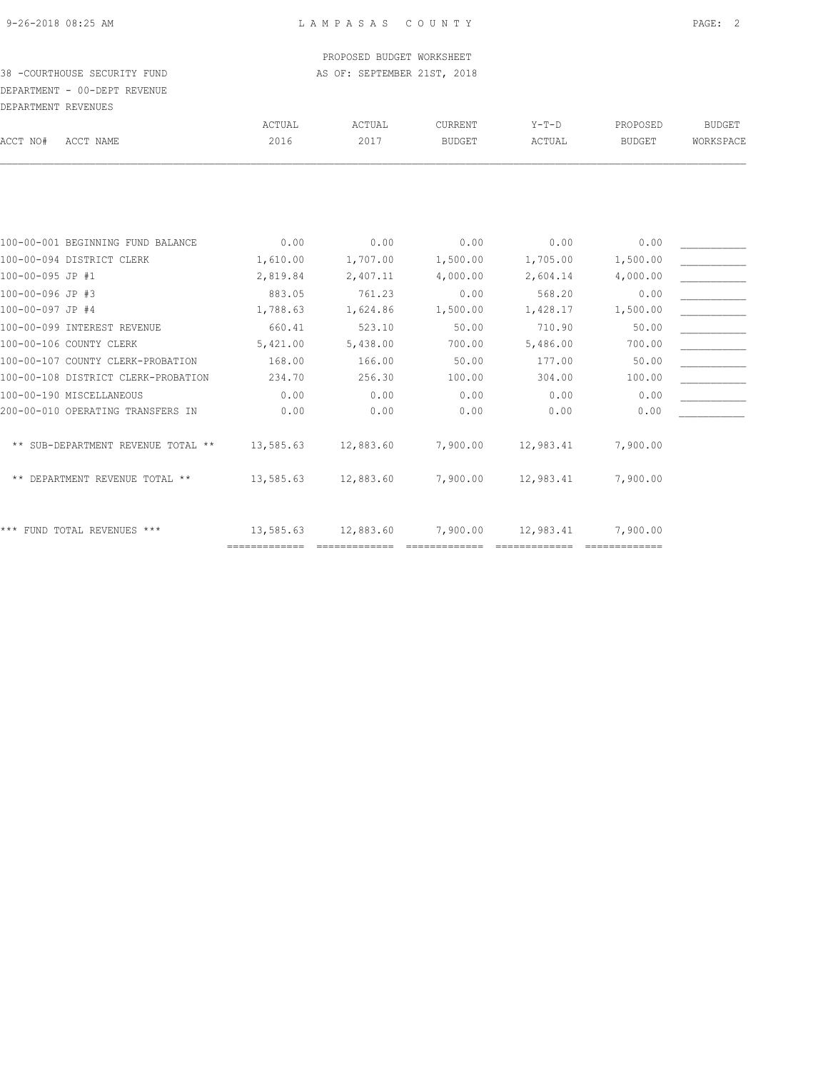### PROPOSED BUDGET WORKSHEET 38 -COURTHOUSE SECURITY FUND AS OF: SEPTEMBER 21ST, 2018

# DEPARTMENT - 00-DEPT REVENUE DEPARTMENT REVENUES

| ACTUAL<br>2016                                                                                                                                                                                                                                                                                                                                                               | ACTUAL<br>2017 | <b>CURRENT</b><br><b>BUDGET</b> | $Y-T-D$<br>ACTUAL | PROPOSED<br><b>BUDGET</b> | <b>BUDGET</b><br>WORKSPACE |
|------------------------------------------------------------------------------------------------------------------------------------------------------------------------------------------------------------------------------------------------------------------------------------------------------------------------------------------------------------------------------|----------------|---------------------------------|-------------------|---------------------------|----------------------------|
|                                                                                                                                                                                                                                                                                                                                                                              |                |                                 |                   |                           |                            |
|                                                                                                                                                                                                                                                                                                                                                                              |                |                                 |                   |                           |                            |
| 0.00                                                                                                                                                                                                                                                                                                                                                                         | 0.00           | 0.00                            | 0.00              | 0.00                      |                            |
| 1,610.00                                                                                                                                                                                                                                                                                                                                                                     | 1,707.00       | 1,500.00                        | 1,705.00          | 1,500.00                  |                            |
| 2,819.84                                                                                                                                                                                                                                                                                                                                                                     | 2,407.11       | 4,000.00                        | 2,604.14          | 4,000.00                  |                            |
| 883.05                                                                                                                                                                                                                                                                                                                                                                       | 761.23         | 0.00                            | 568.20            | 0.00                      |                            |
| 1,788.63                                                                                                                                                                                                                                                                                                                                                                     | 1,624.86       | 1,500.00                        | 1,428.17          | 1,500.00                  |                            |
| 660.41                                                                                                                                                                                                                                                                                                                                                                       | 523.10         | 50.00                           | 710.90            | 50.00                     |                            |
| 5,421.00                                                                                                                                                                                                                                                                                                                                                                     | 5,438.00       | 700.00                          | 5,486.00          | 700.00                    |                            |
| 168.00                                                                                                                                                                                                                                                                                                                                                                       | 166.00         | 50.00                           | 177.00            | 50.00                     |                            |
| 234.70                                                                                                                                                                                                                                                                                                                                                                       | 256.30         | 100.00                          | 304.00            | 100.00                    |                            |
| 0.00                                                                                                                                                                                                                                                                                                                                                                         | 0.00           | 0.00                            | 0.00              | 0.00                      |                            |
| 0.00                                                                                                                                                                                                                                                                                                                                                                         | 0.00           | 0.00                            | 0.00              | 0.00                      |                            |
|                                                                                                                                                                                                                                                                                                                                                                              |                |                                 |                   |                           |                            |
|                                                                                                                                                                                                                                                                                                                                                                              |                |                                 |                   |                           |                            |
| 13,585.63                                                                                                                                                                                                                                                                                                                                                                    | 12,883.60      | 7,900.00                        | 12,983.41         | 7,900.00                  |                            |
| 13,585.63                                                                                                                                                                                                                                                                                                                                                                    | 12,883.60      | 7,900.00                        | 12,983.41         | 7,900.00                  |                            |
| 100-00-001 BEGINNING FUND BALANCE<br>100-00-094 DISTRICT CLERK<br>100-00-099 INTEREST REVENUE<br>100-00-106 COUNTY CLERK<br>100-00-107 COUNTY CLERK-PROBATION<br>100-00-108 DISTRICT CLERK-PROBATION<br>100-00-190 MISCELLANEOUS<br>200-00-010 OPERATING TRANSFERS IN<br>** SUB-DEPARTMENT REVENUE TOTAL **<br>** DEPARTMENT REVENUE TOTAL **<br>*** FUND TOTAL REVENUES *** | 13,585.63      | 12,883.60                       | 7,900.00          | 12,983.41                 | 7,900.00                   |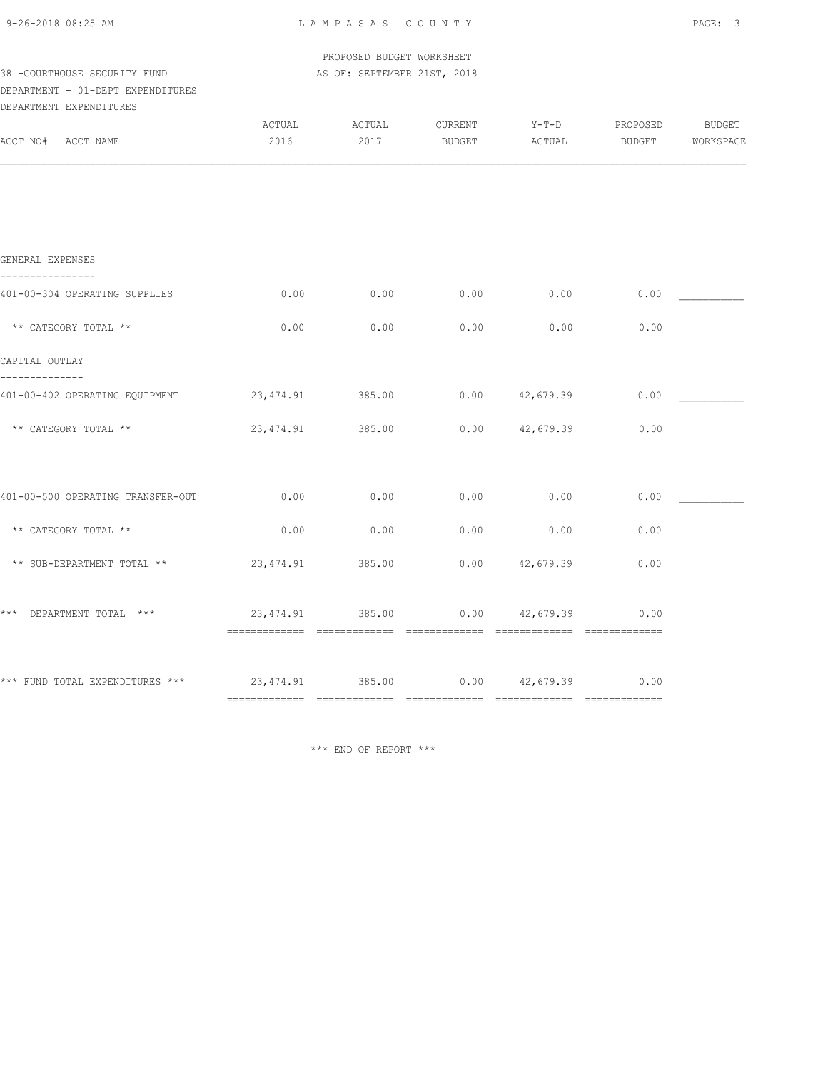| 9-26-2018 08:25 AM |  |
|--------------------|--|
|                    |  |

PROPOSED BUDGET WORKSHEET

| 38 -COURTHOUSE SECURITY FUND                                 |                                       | AS OF: SEPTEMBER 21ST, 2018 |                   |                   |                    |                     |
|--------------------------------------------------------------|---------------------------------------|-----------------------------|-------------------|-------------------|--------------------|---------------------|
| DEPARTMENT - 01-DEPT EXPENDITURES<br>DEPARTMENT EXPENDITURES |                                       |                             |                   |                   |                    |                     |
| ACCT NO# ACCT NAME                                           | ACTUAL<br>2016                        | ACTUAL<br>2017              | CURRENT<br>BUDGET | $Y-T-D$<br>ACTUAL | PROPOSED<br>BUDGET | BUDGET<br>WORKSPACE |
|                                                              |                                       |                             |                   |                   |                    |                     |
| GENERAL EXPENSES                                             |                                       |                             |                   |                   |                    |                     |
| 401-00-304 OPERATING SUPPLIES                                | 0.00                                  | 0.00                        | 0.00              | 0.00              | 0.00               |                     |
| ** CATEGORY TOTAL **                                         | 0.00                                  | 0.00                        | 0.00              | 0.00              | 0.00               |                     |
| CAPITAL OUTLAY<br>-------------                              |                                       |                             |                   |                   |                    |                     |
| 401-00-402 OPERATING EQUIPMENT                               | 23, 474.91                            | 385.00                      | 0.00              | 42,679.39         | 0.00               |                     |
| ** CATEGORY TOTAL **                                         | 23, 474.91                            | 385.00                      | 0.00              | 42,679.39         | 0.00               |                     |
| 401-00-500 OPERATING TRANSFER-OUT                            | 0.00                                  | 0.00                        | 0.00              | 0.00              | 0.00               |                     |
| ** CATEGORY TOTAL **                                         | 0.00                                  | 0.00                        | 0.00              | 0.00              | 0.00               |                     |
| ** SUB-DEPARTMENT TOTAL **                                   | 23, 474.91                            | 385.00                      | 0.00              | 42,679.39         | 0.00               |                     |
| $***$<br>DEPARTMENT TOTAL ***                                | 23,474.91 385.00                      |                             | 0.00              | 42,679.39         | 0.00               |                     |
| *** FUND TOTAL EXPENDITURES ***                              | $23,474.91$ $385.00$ 0.00 $42,679.39$ |                             |                   |                   | 0.00               |                     |
|                                                              |                                       |                             |                   |                   |                    |                     |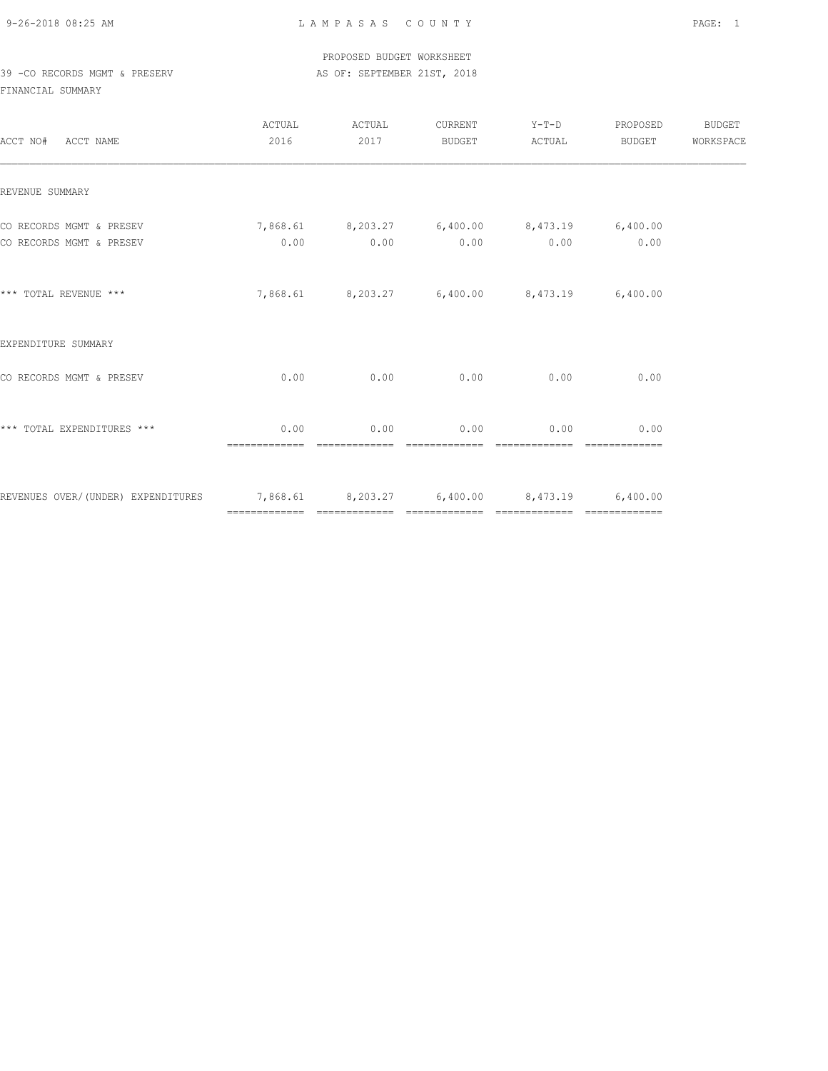PROPOSED BUDGET WORKSHEET 39 -CO RECORDS MGMT & PRESERV AS OF: SEPTEMBER 21ST, 2018

| ACCT NO# ACCT NAME                                                              | ACTUAL<br>2016                                       | ACTUAL<br>2017        | CURRENT<br><b>BUDGET</b> | $Y-T-D$<br>ACTUAL                            | PROPOSED<br>BUDGET    | BUDGET<br>WORKSPACE |
|---------------------------------------------------------------------------------|------------------------------------------------------|-----------------------|--------------------------|----------------------------------------------|-----------------------|---------------------|
| REVENUE SUMMARY                                                                 |                                                      |                       |                          |                                              |                       |                     |
| CO RECORDS MGMT & PRESEV<br>CO RECORDS MGMT & PRESEV                            | 7,868.61 8,203.27 6,400.00 8,473.19 6,400.00<br>0.00 |                       |                          | $0.00$ $0.00$ $0.00$ $0.00$ $0.00$ $0.00$    |                       |                     |
| *** TOTAL REVENUE ***                                                           |                                                      |                       |                          | 7,868.61 8,203.27 6,400.00 8,473.19 6,400.00 |                       |                     |
| EXPENDITURE SUMMARY                                                             |                                                      |                       |                          |                                              |                       |                     |
| CO RECORDS MGMT & PRESEV                                                        | 0.00                                                 | 0.00                  |                          | $0.00$ 0.00                                  | 0.00                  |                     |
| *** TOTAL EXPENDITURES ***                                                      | 0.00<br>essessessesse                                | 0.00<br>============= | 0.00<br>=============    | 0.00<br>=============                        | 0.00<br>============= |                     |
| REVENUES OVER/(UNDER) EXPENDITURES 7,868.61 8,203.27 6,400.00 8,473.19 6,400.00 |                                                      |                       |                          |                                              |                       |                     |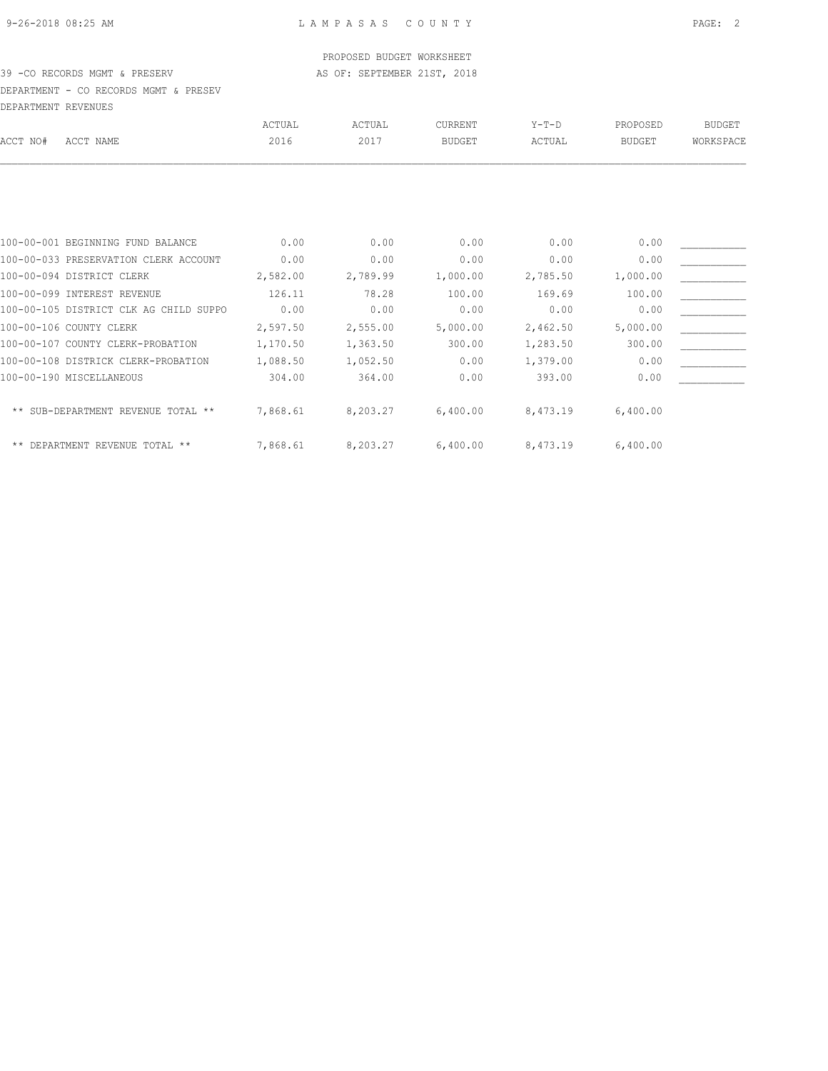#### PROPOSED BUDGET WORKSHEET

### 39 -CO RECORDS MGMT & PRESERV AS OF: SEPTEMBER 21ST, 2018

DEPARTMENT - CO RECORDS MGMT & PRESEV DEPARTMENT REVENUES

| DELARINENI KEVENUEJ |                                        |          |          |               |          |               |               |
|---------------------|----------------------------------------|----------|----------|---------------|----------|---------------|---------------|
|                     |                                        | ACTUAL   | ACTUAL   | CURRENT       | $Y-T-D$  | PROPOSED      | <b>BUDGET</b> |
| ACCT NO#            | ACCT NAME                              | 2016     | 2017     | <b>BUDGET</b> | ACTUAL   | <b>BUDGET</b> | WORKSPACE     |
|                     |                                        |          |          |               |          |               |               |
|                     | 100-00-001 BEGINNING FUND BALANCE      | 0.00     | 0.00     | 0.00          | 0.00     | 0.00          |               |
|                     | 100-00-033 PRESERVATION CLERK ACCOUNT  | 0.00     | 0.00     | 0.00          | 0.00     | 0.00          |               |
|                     | 100-00-094 DISTRICT CLERK              | 2,582.00 | 2,789.99 | 1,000.00      | 2,785.50 | 1,000.00      |               |
|                     | 100-00-099 INTEREST REVENUE            | 126.11   | 78.28    | 100.00        | 169.69   | 100.00        |               |
|                     | 100-00-105 DISTRICT CLK AG CHILD SUPPO | 0.00     | 0.00     | 0.00          | 0.00     | 0.00          |               |
|                     | 100-00-106 COUNTY CLERK                | 2,597.50 | 2,555.00 | 5,000.00      | 2,462.50 | 5,000.00      |               |
|                     | 100-00-107 COUNTY CLERK-PROBATION      | 1,170.50 | 1,363.50 | 300.00        | 1,283.50 | 300.00        |               |
|                     | 100-00-108 DISTRICK CLERK-PROBATION    | 1,088.50 | 1,052.50 | 0.00          | 1,379.00 | 0.00          |               |
|                     | 100-00-190 MISCELLANEOUS               | 304.00   | 364.00   | 0.00          | 393.00   | 0.00          |               |
|                     |                                        |          |          |               |          |               |               |
|                     | ** SUB-DEPARTMENT REVENUE TOTAL **     | 7,868.61 | 8,203.27 | 6,400.00      | 8,473.19 | 6,400.00      |               |
|                     | ** DEPARTMENT REVENUE TOTAL **         | 7,868.61 | 8,203.27 | 6,400.00      | 8,473.19 | 6,400.00      |               |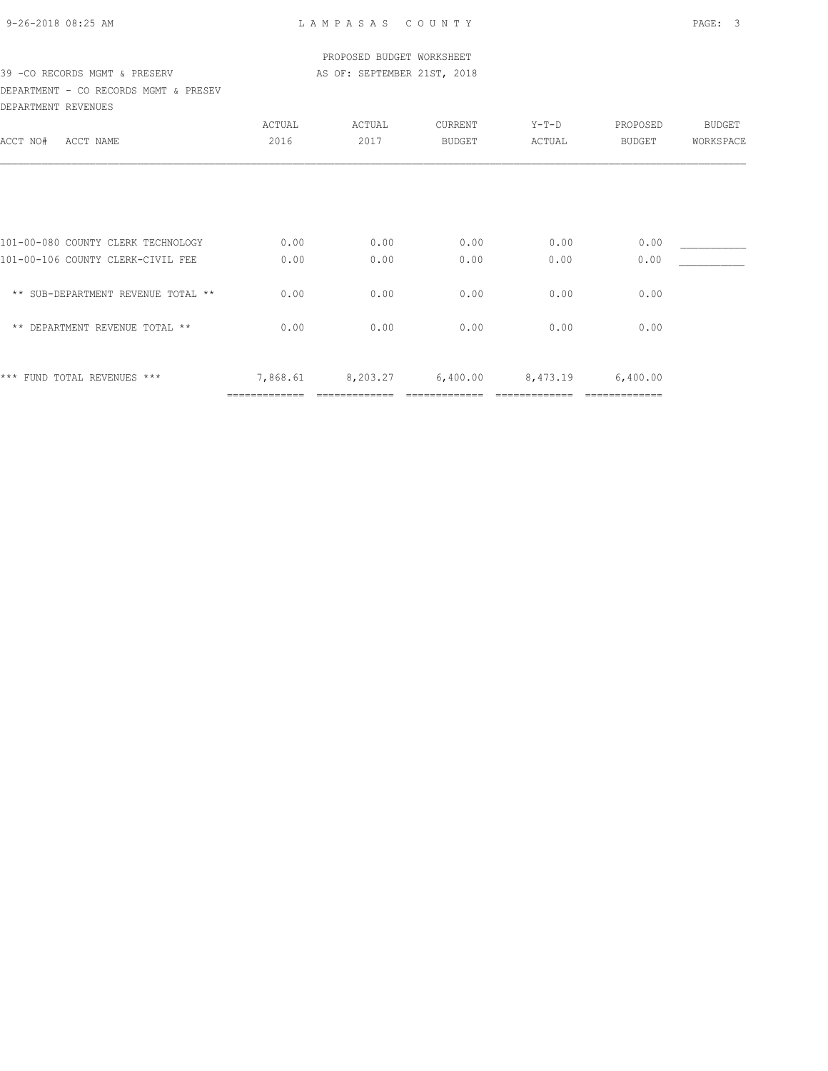|  | 9-26-2018 08:25 AM |  |
|--|--------------------|--|

### PROPOSED BUDGET WORKSHEET 39 -CO RECORDS MGMT & PRESERV AS OF: SEPTEMBER 21ST, 2018

DEPARTMENT - CO RECORDS MGMT & PRESEV DEPARTMENT REVENUES

| potintioni novodo                  |               |          |          |          |               |               |
|------------------------------------|---------------|----------|----------|----------|---------------|---------------|
|                                    | ACTUAL        | ACTUAL   | CURRENT  | $Y-T-D$  | PROPOSED      | <b>BUDGET</b> |
| ACCT NO#<br>ACCT NAME              | 2016          | 2017     | BUDGET   | ACTUAL   | BUDGET        | WORKSPACE     |
|                                    |               |          |          |          |               |               |
|                                    |               |          |          |          |               |               |
| 101-00-080 COUNTY CLERK TECHNOLOGY | 0.00          | 0.00     | 0.00     | 0.00     | 0.00          |               |
| 101-00-106 COUNTY CLERK-CIVIL FEE  | 0.00          | 0.00     | 0.00     | 0.00     | 0.00          |               |
| ** SUB-DEPARTMENT REVENUE TOTAL ** | 0.00          | 0.00     | 0.00     | 0.00     | 0.00          |               |
| ** DEPARTMENT REVENUE TOTAL **     | 0.00          | 0.00     | 0.00     | 0.00     | 0.00          |               |
| *** FUND TOTAL REVENUES ***        | 7,868.61      | 8,203.27 | 6,400.00 | 8,473.19 | 6,400.00      |               |
|                                    | ============= |          |          |          | ============= |               |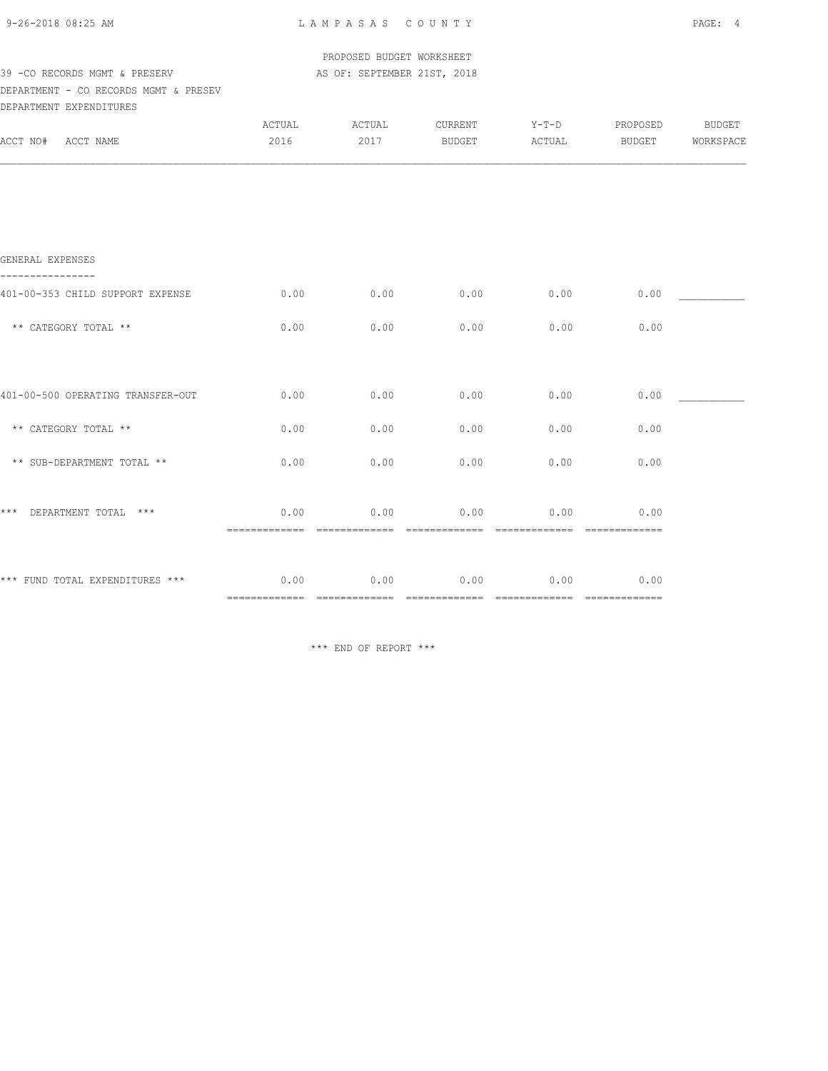| 9-26-2018 08:25 AM |  |
|--------------------|--|
|                    |  |

|                                       |                       | PROPOSED BUDGET WORKSHEET   |                       |                       |                      |           |
|---------------------------------------|-----------------------|-----------------------------|-----------------------|-----------------------|----------------------|-----------|
| 39 - CO RECORDS MGMT & PRESERV        |                       | AS OF: SEPTEMBER 21ST, 2018 |                       |                       |                      |           |
| DEPARTMENT - CO RECORDS MGMT & PRESEV |                       |                             |                       |                       |                      |           |
| DEPARTMENT EXPENDITURES               |                       |                             |                       |                       |                      |           |
|                                       | ACTUAL                | ACTUAL                      | CURRENT               | $Y-T-D$               | PROPOSED             | BUDGET    |
| ACCT NO# ACCT NAME                    | 2016                  | 2017                        | BUDGET                | ACTUAL                | BUDGET               | WORKSPACE |
|                                       |                       |                             |                       |                       |                      |           |
| GENERAL EXPENSES                      |                       |                             |                       |                       |                      |           |
| 401-00-353 CHILD SUPPORT EXPENSE      | 0.00                  | 0.00                        | 0.00                  | 0.00                  | 0.00                 |           |
| ** CATEGORY TOTAL **                  | 0.00                  | 0.00                        | 0.00                  | 0.00                  | 0.00                 |           |
|                                       |                       |                             |                       |                       |                      |           |
| 401-00-500 OPERATING TRANSFER-OUT     | 0.00                  | 0.00                        | 0.00                  | 0.00                  | 0.00                 |           |
| ** CATEGORY TOTAL **                  | 0.00                  | 0.00                        | 0.00                  | 0.00                  | 0.00                 |           |
| ** SUB-DEPARTMENT TOTAL **            | 0.00                  | 0.00                        | 0.00                  | 0.00                  | 0.00                 |           |
| ***<br>DEPARTMENT TOTAL ***           | 0.00                  | 0.00                        | 0.00                  | 0.00                  | 0.00                 |           |
|                                       |                       |                             |                       |                       |                      |           |
| *** FUND TOTAL EXPENDITURES ***       | 0.00<br>essessessesse | 0.00<br>=============       | 0.00<br>------------- | 0.00<br>============= | 0.00<br>essessessess |           |
|                                       |                       |                             |                       |                       |                      |           |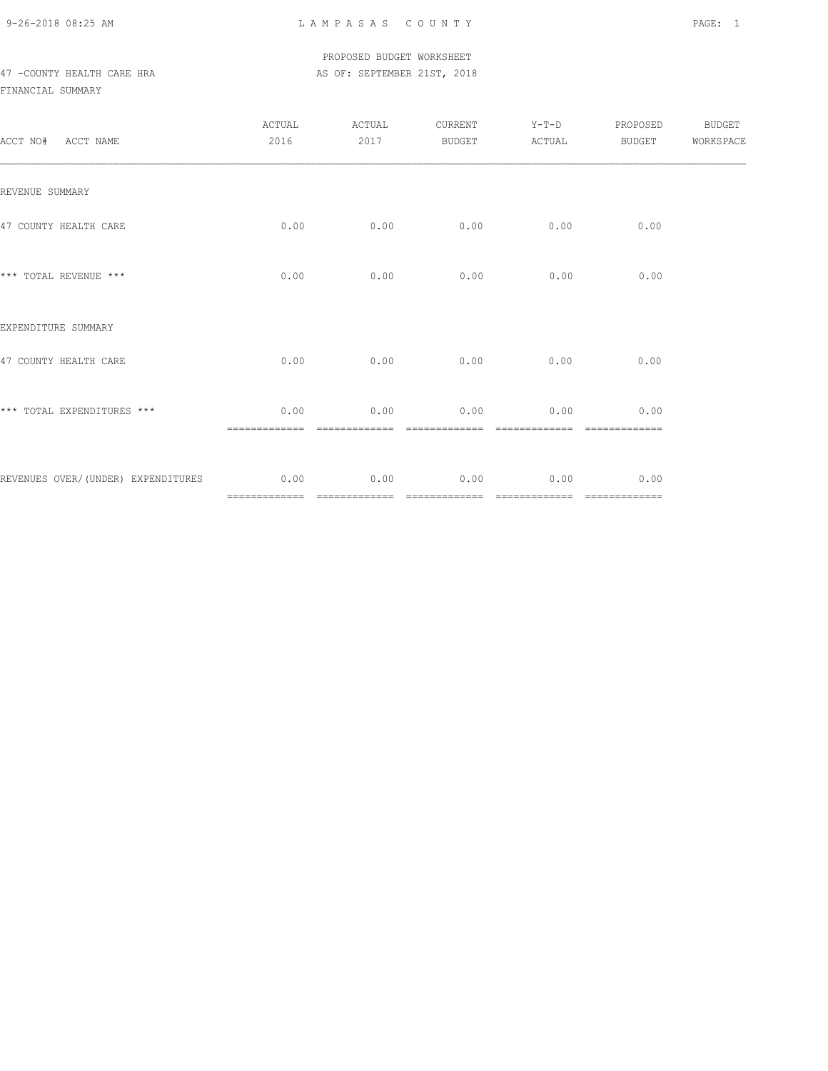## PROPOSED BUDGET WORKSHEET 47 -COUNTY HEALTH CARE HRA AS OF: SEPTEMBER 21ST, 2018

| ACCT NO# ACCT NAME                      | ACTUAL<br>2016        | ACTUAL<br>2017        | CURRENT<br>BUDGET     | $Y-T-D$<br>ACTUAL     | PROPOSED<br>BUDGET    | BUDGET<br>WORKSPACE |
|-----------------------------------------|-----------------------|-----------------------|-----------------------|-----------------------|-----------------------|---------------------|
| REVENUE SUMMARY                         |                       |                       |                       |                       |                       |                     |
| 47 COUNTY HEALTH CARE                   | 0.00                  | 0.00                  | 0.00                  | 0.00                  | 0.00                  |                     |
| *** TOTAL REVENUE ***                   | 0.00                  | 0.00                  | 0.00                  | 0.00                  | 0.00                  |                     |
| EXPENDITURE SUMMARY                     |                       |                       |                       |                       |                       |                     |
| 47 COUNTY HEALTH CARE                   | 0.00                  | 0.00                  | 0.00                  | 0.00                  | 0.00                  |                     |
| *** TOTAL EXPENDITURES ***              | 0.00<br>============= | 0.00<br>============= | 0.00<br>============= | 0.00<br>============= | 0.00<br>============= |                     |
| REVENUES OVER/(UNDER) EXPENDITURES 0.00 |                       | 0.00                  | 0.00                  | 0.00                  | 0.00                  |                     |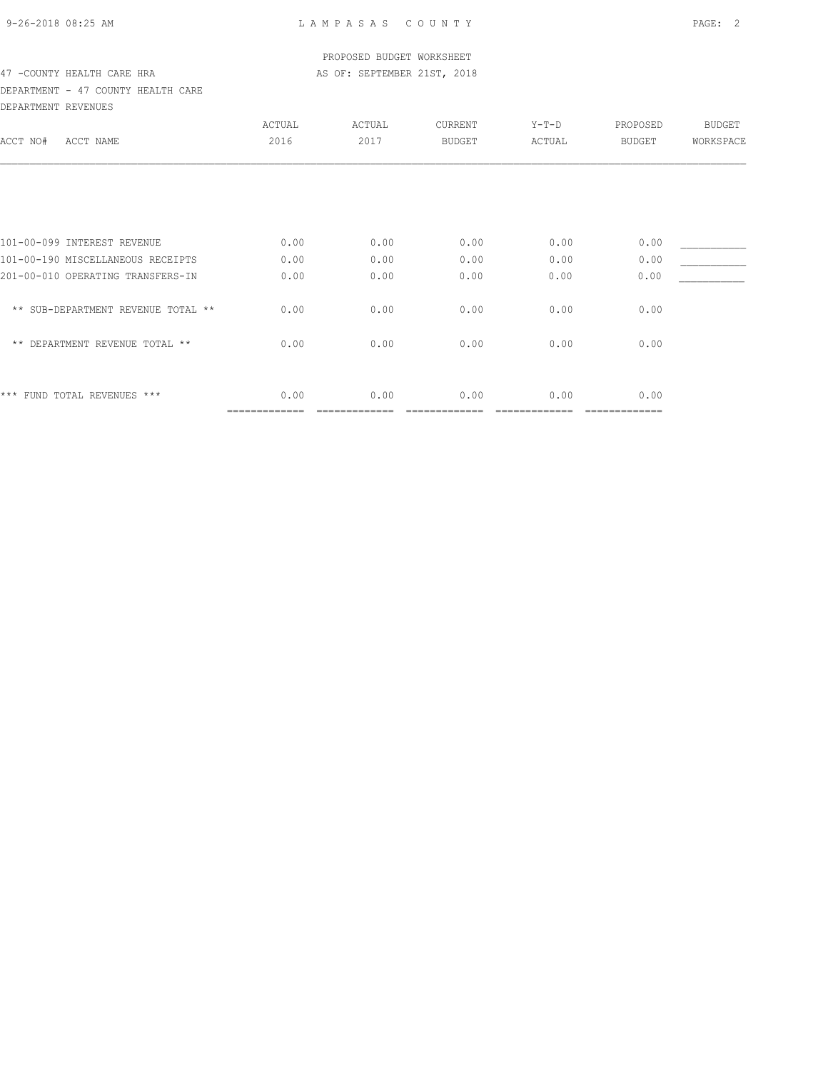### PROPOSED BUDGET WORKSHEET 47 -COUNTY HEALTH CARE HRA AS OF: SEPTEMBER 21ST, 2018

### DEPARTMENT - 47 COUNTY HEALTH CARE DEPARTMENT REVENUES

| ACTUAL                             | ACTUAL | <b>CURRENT</b> | $Y-T-D$ | PROPOSED        | <b>BUDGET</b> |
|------------------------------------|--------|----------------|---------|-----------------|---------------|
| 2016                               | 2017   | <b>BUDGET</b>  | ACTUAL  | <b>BUDGET</b>   | WORKSPACE     |
|                                    |        |                |         |                 |               |
|                                    |        |                |         |                 |               |
| 0.00                               | 0.00   | 0.00           | 0.00    | 0.00            |               |
| 0.00                               | 0.00   | 0.00           | 0.00    | 0.00            |               |
| 0.00                               | 0.00   | 0.00           | 0.00    | 0.00            |               |
| 0.00                               | 0.00   | 0.00           | 0.00    | 0.00            |               |
| 0.00                               | 0.00   | 0.00           | 0.00    | 0.00            |               |
|                                    |        |                |         |                 |               |
| 0.00<br>=============              | 0.00   | 0.00           | 0.00    | 0.00<br>======= |               |
| ** SUB-DEPARTMENT REVENUE TOTAL ** |        |                |         |                 |               |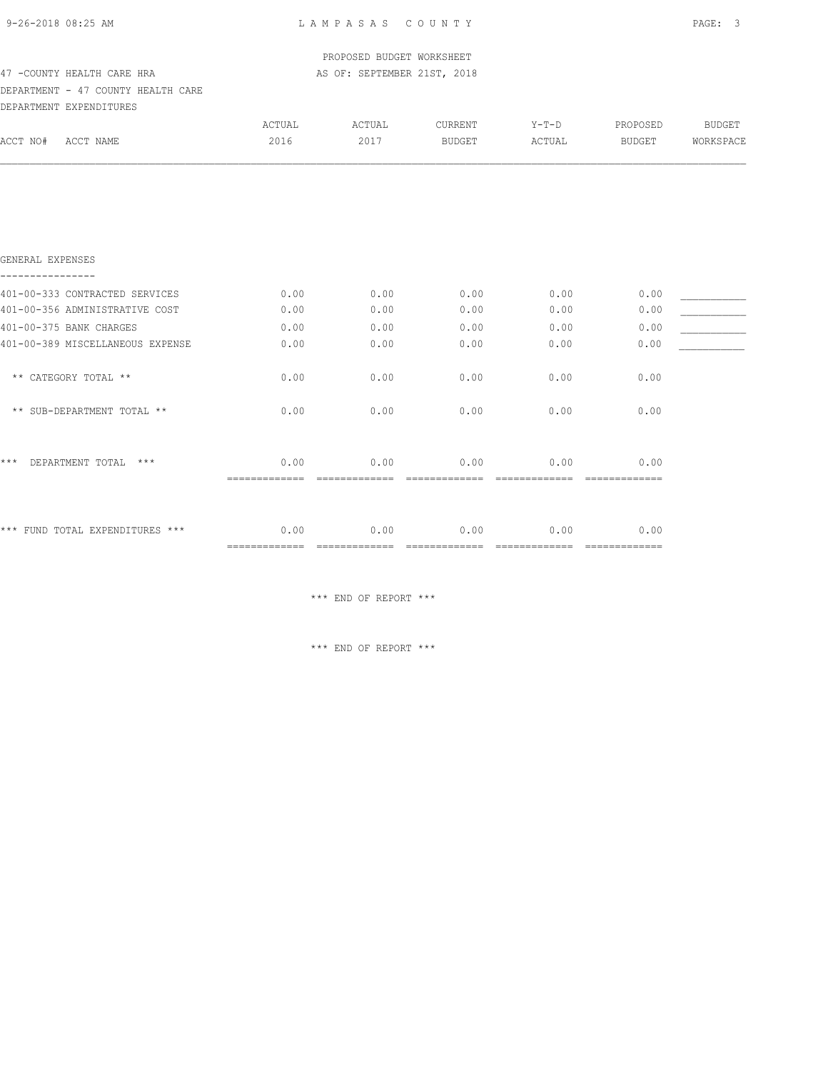| 9-26-2018 08:25 AM |
|--------------------|
|--------------------|

| 47 - COUNTY HEALTH CARE HRA<br>DEPARTMENT - 47 COUNTY HEALTH CARE | PROPOSED BUDGET WORKSHEET<br>AS OF: SEPTEMBER 21ST, 2018 |                        |                          |                   |                                                                                                                                                                                                                                                                                                                                                                                                                                                                                                |                     |
|-------------------------------------------------------------------|----------------------------------------------------------|------------------------|--------------------------|-------------------|------------------------------------------------------------------------------------------------------------------------------------------------------------------------------------------------------------------------------------------------------------------------------------------------------------------------------------------------------------------------------------------------------------------------------------------------------------------------------------------------|---------------------|
| DEPARTMENT EXPENDITURES<br>ACCT NO# ACCT NAME                     | ACTUAL<br>2016                                           | ACTUAL<br>2017         | <b>CURRENT</b><br>BUDGET | $Y-T-D$<br>ACTUAL | PROPOSED<br>BUDGET                                                                                                                                                                                                                                                                                                                                                                                                                                                                             | BUDGET<br>WORKSPACE |
|                                                                   |                                                          |                        |                          |                   |                                                                                                                                                                                                                                                                                                                                                                                                                                                                                                |                     |
| GENERAL EXPENSES                                                  |                                                          |                        |                          |                   |                                                                                                                                                                                                                                                                                                                                                                                                                                                                                                |                     |
| 401-00-333 CONTRACTED SERVICES                                    | 0.00                                                     | 0.00                   | 0.00                     | 0.00              | 0.00                                                                                                                                                                                                                                                                                                                                                                                                                                                                                           |                     |
| 401-00-356 ADMINISTRATIVE COST                                    | 0.00                                                     | 0.00                   | 0.00                     | 0.00              | 0.00                                                                                                                                                                                                                                                                                                                                                                                                                                                                                           |                     |
| 401-00-375 BANK CHARGES                                           | 0.00                                                     | 0.00                   | 0.00                     | 0.00              | 0.00                                                                                                                                                                                                                                                                                                                                                                                                                                                                                           |                     |
| 401-00-389 MISCELLANEOUS EXPENSE                                  | 0.00                                                     | 0.00                   | 0.00                     | 0.00              | 0.00                                                                                                                                                                                                                                                                                                                                                                                                                                                                                           |                     |
| ** CATEGORY TOTAL **                                              | 0.00                                                     | 0.00                   | 0.00                     | 0.00              | 0.00                                                                                                                                                                                                                                                                                                                                                                                                                                                                                           |                     |
| ** SUB-DEPARTMENT TOTAL **                                        | 0.00                                                     | 0.00                   | 0.00                     | 0.00              | 0.00                                                                                                                                                                                                                                                                                                                                                                                                                                                                                           |                     |
| ***<br>DEPARTMENT TOTAL ***                                       | 0.00<br>=============                                    | 0.00<br>-------------- | 0.00                     | 0.00              | 0.00<br>$\begin{array}{cccccccccccccc} \multicolumn{2}{c}{} & \multicolumn{2}{c}{} & \multicolumn{2}{c}{} & \multicolumn{2}{c}{} & \multicolumn{2}{c}{} & \multicolumn{2}{c}{} & \multicolumn{2}{c}{} & \multicolumn{2}{c}{} & \multicolumn{2}{c}{} & \multicolumn{2}{c}{} & \multicolumn{2}{c}{} & \multicolumn{2}{c}{} & \multicolumn{2}{c}{} & \multicolumn{2}{c}{} & \multicolumn{2}{c}{} & \multicolumn{2}{c}{} & \multicolumn{2}{c}{} & \multicolumn{2}{c}{} & \multicolumn{2}{c}{} & \$ |                     |
| *** FUND TOTAL EXPENDITURES ***                                   | 0.00<br>===============================                  | 0.00                   | 0.00                     | 0.00              | 0.00<br>--------------                                                                                                                                                                                                                                                                                                                                                                                                                                                                         |                     |

\*\*\* END OF REPORT \*\*\*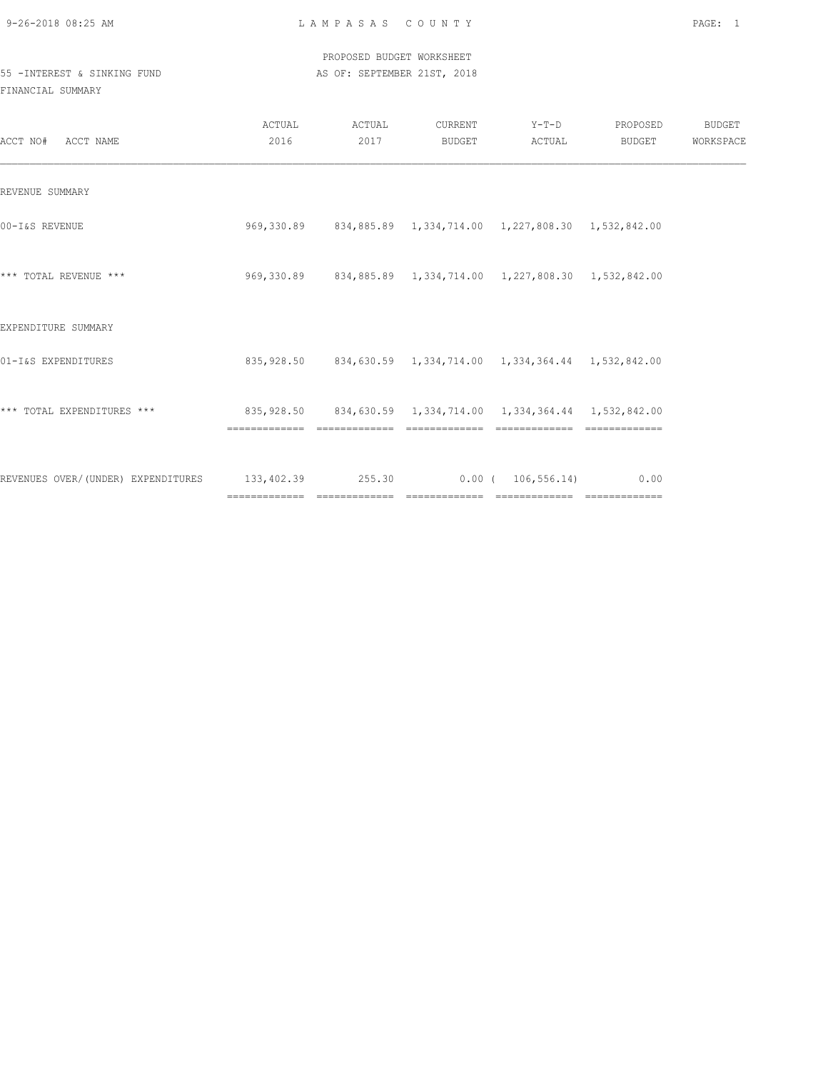|                             |  |  |  |  |  |  |  |  |  |  |  |  | PROPOSED BUDGET WORKSHEET   |  |
|-----------------------------|--|--|--|--|--|--|--|--|--|--|--|--|-----------------------------|--|
| 55 -INTEREST & SINKING FUND |  |  |  |  |  |  |  |  |  |  |  |  | AS OF: SEPTEMBER 21ST, 2018 |  |

| ACCT NO# ACCT NAME                                                     | ACTUAL<br>2016                                                                | ACTUAL<br>2017 | CURRENT<br>BUDGET | $Y-T-D$<br>ACTUAL                                                    | PROPOSED<br>BUDGET | BUDGET<br>WORKSPACE |
|------------------------------------------------------------------------|-------------------------------------------------------------------------------|----------------|-------------------|----------------------------------------------------------------------|--------------------|---------------------|
| REVENUE SUMMARY                                                        |                                                                               |                |                   |                                                                      |                    |                     |
| 00-I&S REVENUE                                                         |                                                                               |                |                   | 969, 330.89 834, 885.89 1, 334, 714.00 1, 227, 808.30 1, 532, 842.00 |                    |                     |
| *** TOTAL REVENUE ***                                                  |                                                                               |                |                   | 969,330.89 834,885.89 1,334,714.00 1,227,808.30 1,532,842.00         |                    |                     |
| EXPENDITURE SUMMARY                                                    |                                                                               |                |                   |                                                                      |                    |                     |
| 01-I&S EXPENDITURES                                                    |                                                                               |                |                   | 835,928.50 834,630.59 1,334,714.00 1,334,364.44 1,532,842.00         |                    |                     |
| *** TOTAL EXPENDITURES ***                                             | 835,928.50 834,630.59 1,334,714.00 1,334,364.44 1,532,842.00<br>============= | =============  | =============     | =============                                                        |                    |                     |
| REVENUES OVER/(UNDER) EXPENDITURES 133,402.39 255.30 0.00 (106,556.14) |                                                                               |                |                   |                                                                      | 0.00               |                     |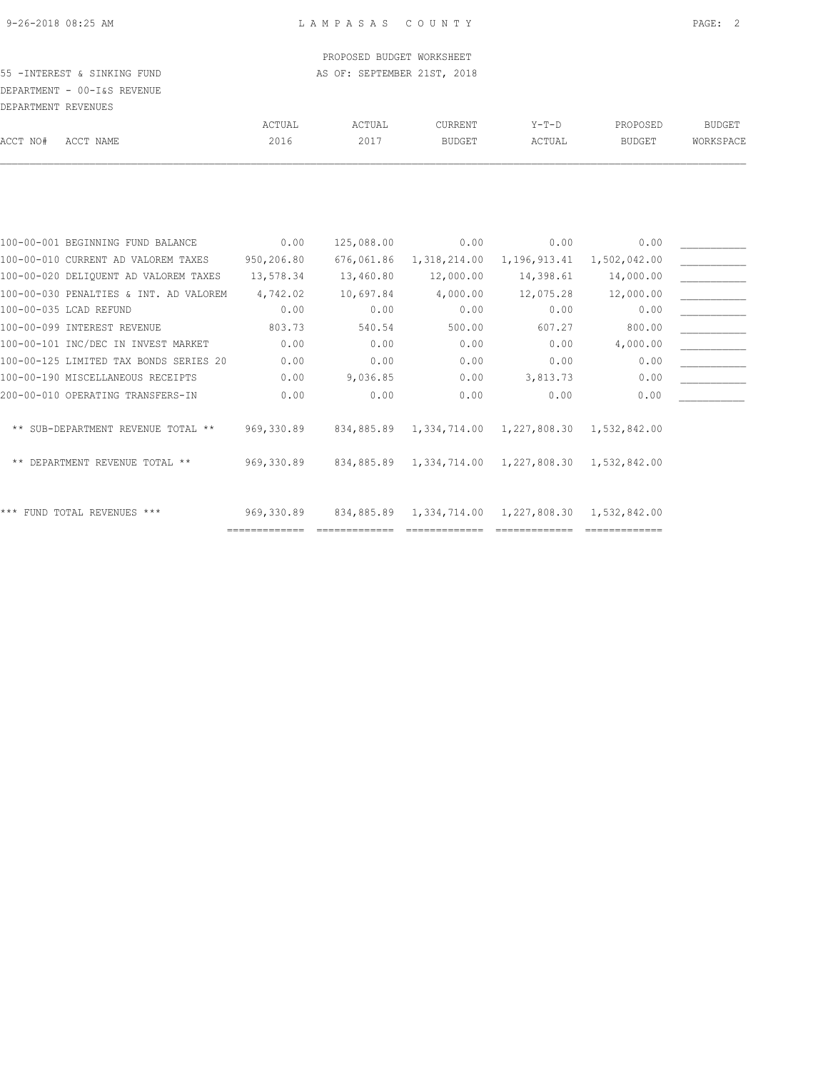### PROPOSED BUDGET WORKSHEET 55 -INTEREST & SINKING FUND **AS OF: SEPTEMBER 21ST, 2018**

DEPARTMENT - 00-I&S REVENUE

|          | DEPARTMENT REVENUES |        |        |               |         |               |           |
|----------|---------------------|--------|--------|---------------|---------|---------------|-----------|
|          |                     | ACTUAL | ACTUAL | CURRENT       | $Y-T-D$ | PROPOSED      | BUDGET    |
| ACCT NO# | ACCT NAME           | 2016   | 2017   | <b>BUDGET</b> | ACTUAL  | <b>BUDGET</b> | WORKSPACE |
|          |                     |        |        |               |         |               |           |

| 100-00-001 BEGINNING FUND BALANCE      | 0.00       | 125,088.00 | 0.00                    | 0.00         | 0.00         |  |
|----------------------------------------|------------|------------|-------------------------|--------------|--------------|--|
| 100-00-010 CURRENT AD VALOREM TAXES    | 950,206.80 | 676,061.86 | 1,318,214.00            | 1,196,913.41 | 1,502,042.00 |  |
| 100-00-020 DELIQUENT AD VALOREM TAXES  | 13,578.34  | 13,460.80  | 12,000.00               | 14,398.61    | 14,000.00    |  |
| 100-00-030 PENALTIES & INT. AD VALOREM | 4,742.02   | 10,697.84  | 4,000.00                | 12,075.28    | 12,000.00    |  |
| 100-00-035 LCAD REFUND                 | 0.00       | 0.00       | 0.00                    | 0.00         | 0.00         |  |
| 100-00-099 INTEREST REVENUE            | 803.73     | 540.54     | 500.00                  | 607.27       | 800.00       |  |
| 100-00-101 INC/DEC IN INVEST MARKET    | 0.00       | 0.00       | 0.00                    | 0.00         | 4,000.00     |  |
| 100-00-125 LIMITED TAX BONDS SERIES 20 | 0.00       | 0.00       | 0.00                    | 0.00         | 0.00         |  |
| 100-00-190 MISCELLANEOUS RECEIPTS      | 0.00       | 9,036.85   | 0.00                    | 3,813.73     | 0.00         |  |
| 200-00-010 OPERATING TRANSFERS-IN      | 0.00       | 0.00       | 0.00                    | 0.00         | 0.00         |  |
| ** SUB-DEPARTMENT REVENUE TOTAL **     | 969,330.89 |            | 834,885.89 1,334,714.00 | 1,227,808.30 | 1,532,842.00 |  |
| DEPARTMENT REVENUE TOTAL **<br>$***$   | 969,330.89 |            | 834,885.89 1,334,714.00 | 1,227,808.30 | 1,532,842.00 |  |
| *** FUND TOTAL REVENUES ***            | 969,330.89 | 834,885.89 | 1,334,714.00            | 1,227,808.30 | 1,532,842.00 |  |
|                                        |            |            |                         |              |              |  |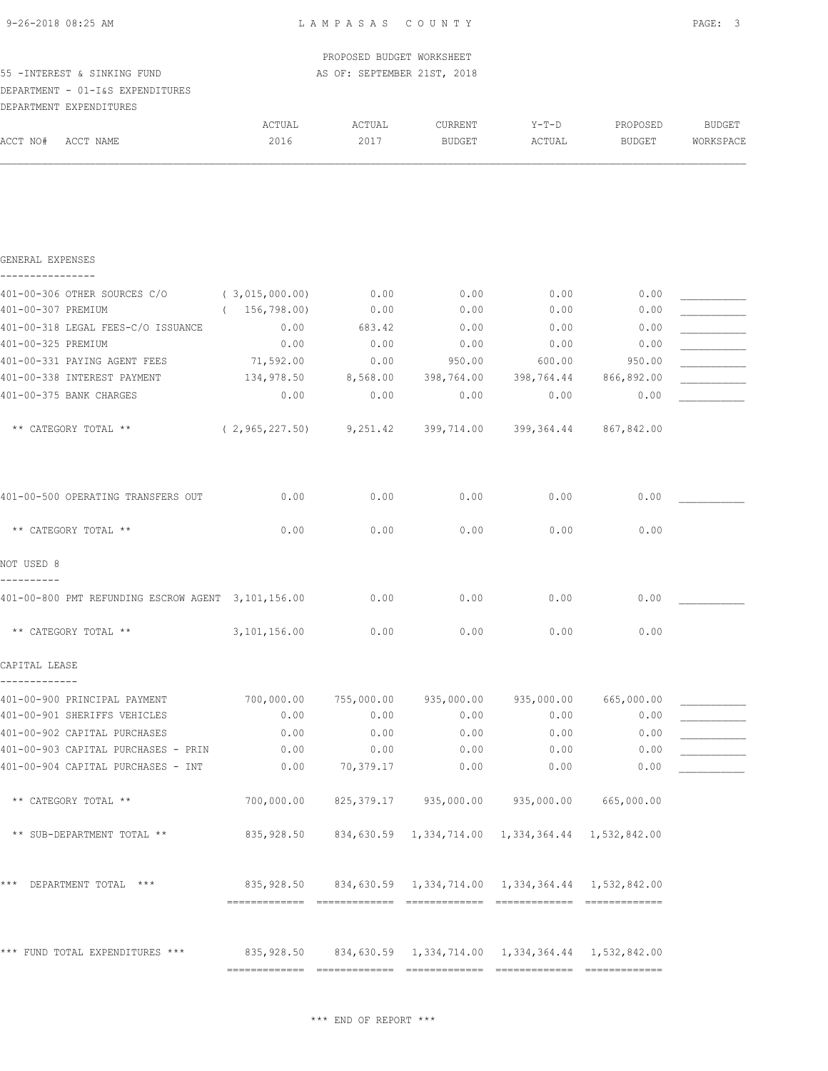| 9-26-2018 08:25 AM |  |
|--------------------|--|
|                    |  |

|                                                                           |                                                              | PROPOSED BUDGET WORKSHEET   |                       |                                                              |                       |           |
|---------------------------------------------------------------------------|--------------------------------------------------------------|-----------------------------|-----------------------|--------------------------------------------------------------|-----------------------|-----------|
| 55 - INTEREST & SINKING FUND                                              |                                                              | AS OF: SEPTEMBER 21ST, 2018 |                       |                                                              |                       |           |
| DEPARTMENT - 01-I&S EXPENDITURES                                          |                                                              |                             |                       |                                                              |                       |           |
| DEPARTMENT EXPENDITURES                                                   |                                                              |                             |                       |                                                              |                       |           |
|                                                                           | ACTUAL                                                       | ACTUAL                      | CURRENT               | Y-T-D                                                        | PROPOSED              | BUDGET    |
| ACCT NO#<br>ACCT NAME                                                     | 2016                                                         | 2017                        | <b>BUDGET</b>         | ACTUAL                                                       | <b>BUDGET</b>         | WORKSPACE |
|                                                                           |                                                              |                             |                       |                                                              |                       |           |
| GENERAL EXPENSES                                                          |                                                              |                             |                       |                                                              |                       |           |
| 401-00-306 OTHER SOURCES C/O                                              | (3,015,000.00)                                               | 0.00                        | 0.00                  | 0.00                                                         | 0.00                  |           |
| 401-00-307 PREMIUM                                                        | (156, 798.00)                                                | 0.00                        | 0.00                  | 0.00                                                         | 0.00                  |           |
| 401-00-318 LEGAL FEES-C/O ISSUANCE                                        | 0.00                                                         | 683.42                      | 0.00                  | 0.00                                                         | 0.00                  |           |
| 401-00-325 PREMIUM                                                        | 0.00                                                         | 0.00                        | 0.00                  | 0.00                                                         | 0.00                  |           |
| 401-00-331 PAYING AGENT FEES                                              | 71,592.00                                                    | 0.00                        | 950.00                | 600.00                                                       | 950.00                |           |
| 401-00-338 INTEREST PAYMENT                                               | 134,978.50                                                   |                             | 8,568.00 398,764.00   |                                                              | 398,764.44 866,892.00 |           |
| 401-00-375 BANK CHARGES                                                   | 0.00                                                         | 0.00                        | 0.00                  | 0.00                                                         | 0.00                  |           |
| ** CATEGORY TOTAL **                                                      | $(2,965,227.50)$ $9,251.42$ $399,714.00$ $399,364.44$        |                             |                       |                                                              | 867,842.00            |           |
| 401-00-500 OPERATING TRANSFERS OUT                                        | 0.00                                                         | 0.00                        | 0.00                  | 0.00                                                         | 0.00                  |           |
| ** CATEGORY TOTAL **                                                      | 0.00                                                         | 0.00                        | 0.00                  | 0.00                                                         | 0.00                  |           |
| NOT USED 8                                                                |                                                              |                             |                       |                                                              |                       |           |
| 401-00-800 PMT REFUNDING ESCROW AGENT 3,101,156.00                        |                                                              | 0.00                        | 0.00                  | 0.00                                                         | 0.00                  |           |
| ** CATEGORY TOTAL **                                                      | 3,101,156.00                                                 | 0.00                        | 0.00                  | 0.00                                                         | 0.00                  |           |
| CAPITAL LEASE                                                             |                                                              |                             |                       |                                                              |                       |           |
| 401-00-900 PRINCIPAL PAYMENT                                              | 700,000.00                                                   |                             | 755,000.00 935,000.00 | 935,000.00                                                   | 665,000.00            |           |
| 401-00-901 SHERIFFS VEHICLES                                              | 0.00                                                         | 0.00                        | 0.00                  | 0.00                                                         | 0.00                  |           |
| 401-00-902 CAPITAL PURCHASES                                              | 0.00                                                         | 0.00                        | 0.00                  | 0.00                                                         | 0.00                  |           |
| 401-00-903 CAPITAL PURCHASES - PRIN<br>401-00-904 CAPITAL PURCHASES - INT | 0.00<br>0.00                                                 | 0.00<br>70,379.17           | 0.00<br>0.00          | 0.00<br>0.00                                                 | 0.00<br>0.00          |           |
| ** CATEGORY TOTAL **                                                      | 700,000.00                                                   |                             | 825,379.17 935,000.00 | 935,000.00                                                   | 665,000.00            |           |
|                                                                           |                                                              |                             |                       |                                                              |                       |           |
| ** SUB-DEPARTMENT TOTAL **                                                | 835,928.50                                                   |                             |                       | 834,630.59  1,334,714.00  1,334,364.44  1,532,842.00         |                       |           |
| * * *<br>DEPARTMENT TOTAL ***                                             |                                                              |                             |                       | 835,928.50 834,630.59 1,334,714.00 1,334,364.44 1,532,842.00 |                       |           |
| *** FUND TOTAL EXPENDITURES ***                                           | 835,928.50 834,630.59 1,334,714.00 1,334,364.44 1,532,842.00 |                             |                       |                                                              |                       |           |
|                                                                           |                                                              |                             |                       |                                                              |                       |           |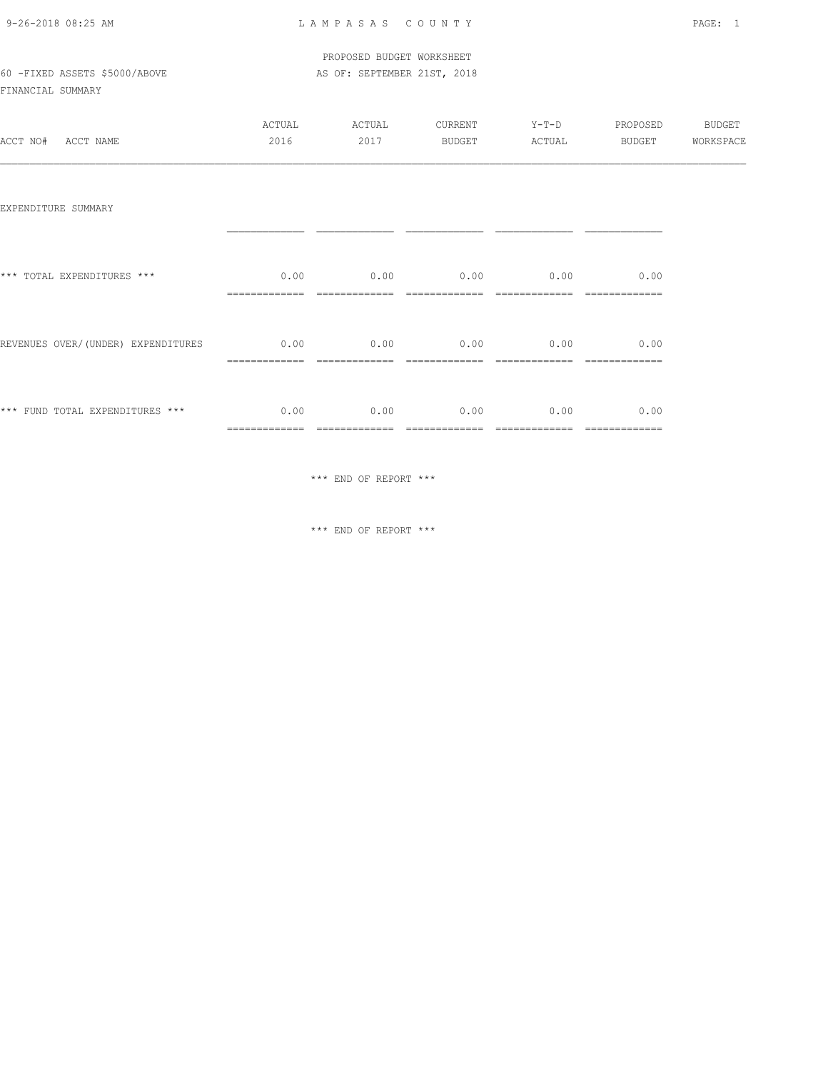| 9-26-2018 08:25 AM |  |
|--------------------|--|
|                    |  |

|                               | PROPOSED BUDGET WORKSHEET   |
|-------------------------------|-----------------------------|
| 60 -FIXED ASSETS \$5000/ABOVE | AS OF: SEPTEMBER 21ST, 2018 |

FINANCIAL SUMMARY

| ACCT NO#<br>ACCT NAME              | ACTUAL<br>2016        | ACTUAL<br>2017 | <b>CURRENT</b><br>BUDGET | Y-T-D PROPOSED BUDGET<br>ACTUAL | <b>BUDGET</b>         | WORKSPACE |
|------------------------------------|-----------------------|----------------|--------------------------|---------------------------------|-----------------------|-----------|
| EXPENDITURE SUMMARY                |                       |                |                          |                                 |                       |           |
| *** TOTAL EXPENDITURES ***         | 0.00                  |                | $0.00$ 0.00 0.00         |                                 | 0.00                  |           |
| REVENUES OVER/(UNDER) EXPENDITURES | 0.00                  | 0.00           |                          | $0.00$ 0.00                     | 0.00                  |           |
| *** FUND TOTAL EXPENDITURES ***    | 0.00<br>============= | 0.00           | 0.00                     | 0.00                            | 0.00<br>============= |           |

\*\*\* END OF REPORT \*\*\*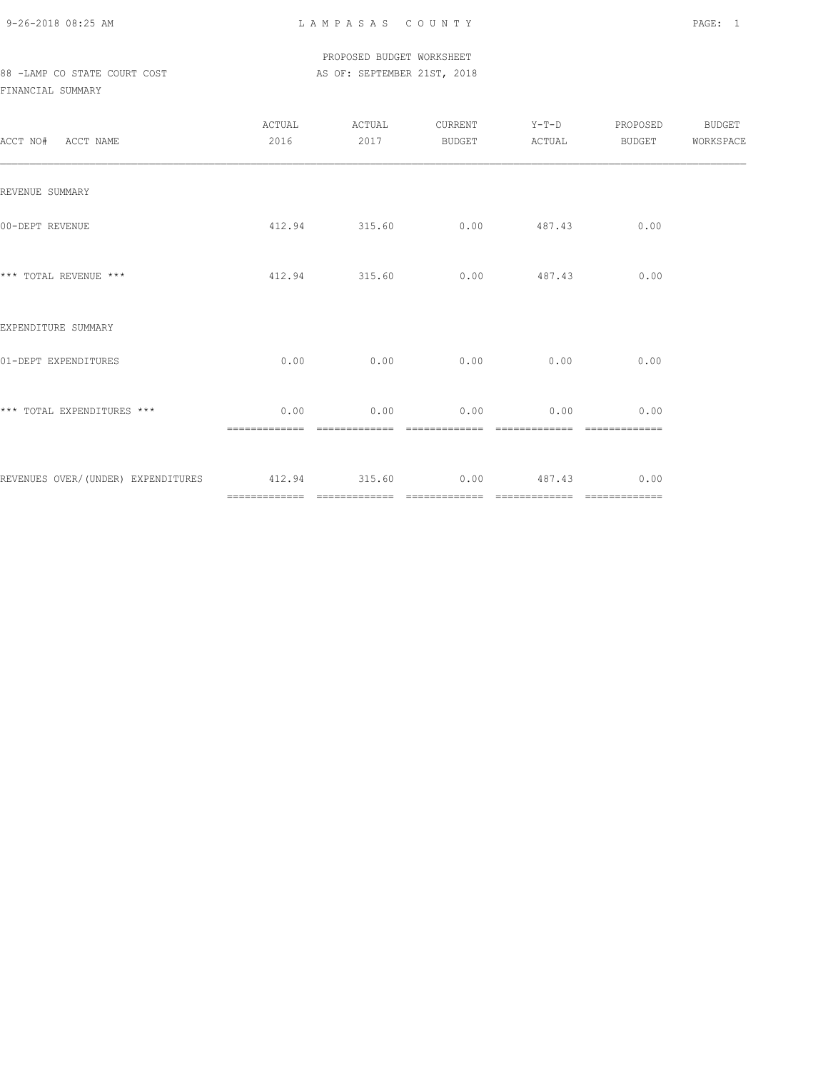PROPOSED BUDGET WORKSHEET 88 -LAMP CO STATE COURT COST AS OF: SEPTEMBER 21ST, 2018

| ACCT NO# ACCT NAME                                           | ACTUAL<br>2016        | ACTUAL<br>2017 | CURRENT<br>BUDGET           | $Y-T-D$<br>ACTUAL                 | PROPOSED<br>BUDGET | BUDGET<br>WORKSPACE |
|--------------------------------------------------------------|-----------------------|----------------|-----------------------------|-----------------------------------|--------------------|---------------------|
| REVENUE SUMMARY                                              |                       |                |                             |                                   |                    |                     |
| 00-DEPT REVENUE                                              |                       |                | 412.94 315.60 0.00 487.43   |                                   | 0.00               |                     |
| *** TOTAL REVENUE ***                                        |                       | 412.94 315.60  |                             | $0.00$ 487.43                     | 0.00               |                     |
| EXPENDITURE SUMMARY                                          |                       |                |                             |                                   |                    |                     |
| 01-DEPT EXPENDITURES                                         | 0.00                  |                | $0.00$ $0.00$ $0.00$ $0.00$ |                                   | 0.00               |                     |
| *** TOTAL EXPENDITURES ***                                   | 0.00<br>============= | 0.00           | 0.00<br>=============       | 0.00                              | 0.00               |                     |
| REVENUES OVER/(UNDER) EXPENDITURES 412.94 315.60 0.00 487.43 |                       |                |                             | _________________________________ | 0.00               |                     |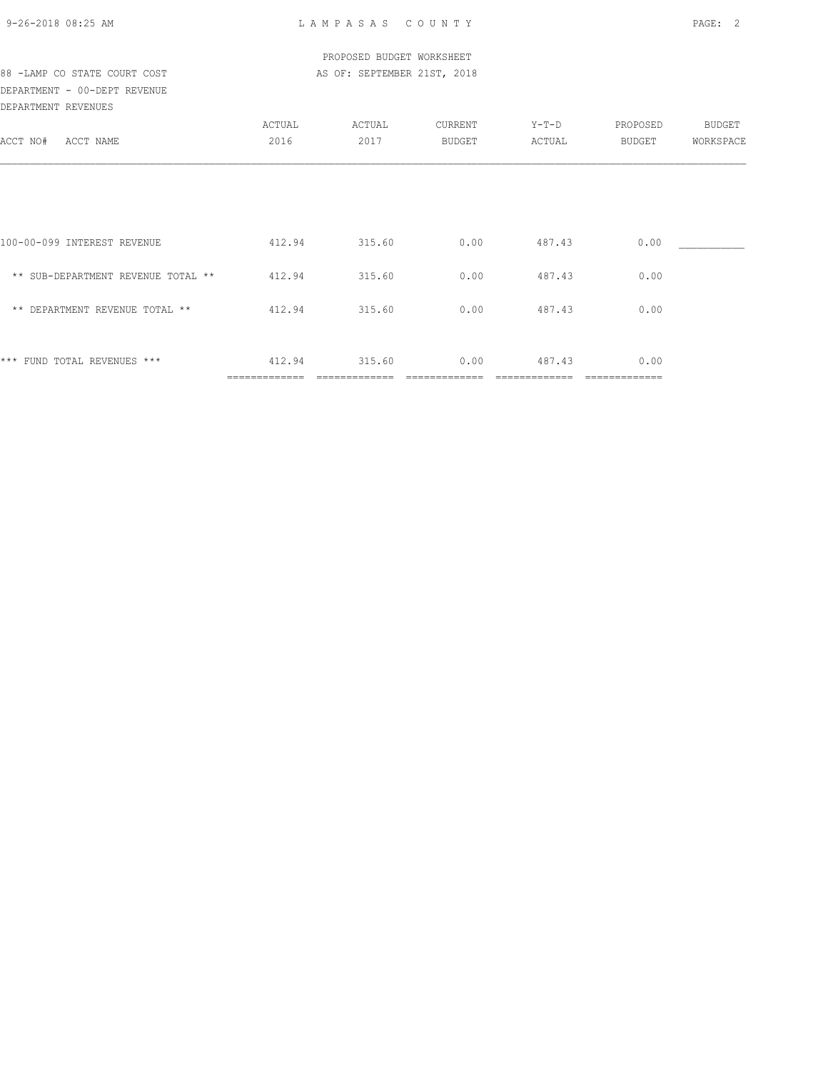|  | 9-26-2018 08:25 AM |  |
|--|--------------------|--|
|  |                    |  |

| PROPOSED BUDGET WORKSHEET          |                         |                             |                   |                   |                    |                     |  |  |  |
|------------------------------------|-------------------------|-----------------------------|-------------------|-------------------|--------------------|---------------------|--|--|--|
| 88 -LAMP CO STATE COURT COST       |                         | AS OF: SEPTEMBER 21ST, 2018 |                   |                   |                    |                     |  |  |  |
| DEPARTMENT - 00-DEPT REVENUE       |                         |                             |                   |                   |                    |                     |  |  |  |
| DEPARTMENT REVENUES                |                         |                             |                   |                   |                    |                     |  |  |  |
| ACCT NO# ACCT NAME                 | ACTUAL<br>2016          | ACTUAL<br>2017              | CURRENT<br>BUDGET | $Y-T-D$<br>ACTUAL | PROPOSED<br>BUDGET | BUDGET<br>WORKSPACE |  |  |  |
|                                    |                         |                             |                   |                   |                    |                     |  |  |  |
|                                    |                         |                             |                   |                   |                    |                     |  |  |  |
|                                    |                         |                             |                   |                   |                    |                     |  |  |  |
| 100-00-099 INTEREST REVENUE        |                         | 412.94 315.60               | 0.00              | 487.43            | 0.00               |                     |  |  |  |
| ** SUB-DEPARTMENT REVENUE TOTAL ** | 412.94                  | 315.60                      | 0.00              | 487.43            | 0.00               |                     |  |  |  |
| ** DEPARTMENT REVENUE TOTAL **     | 412.94                  | 315.60                      | 0.00              | 487.43            | 0.00               |                     |  |  |  |
|                                    |                         |                             |                   |                   |                    |                     |  |  |  |
| *** FUND TOTAL REVENUES ***        | 412.94<br>============= | 315.60                      | 0.00              | 487.43            | 0.00               |                     |  |  |  |